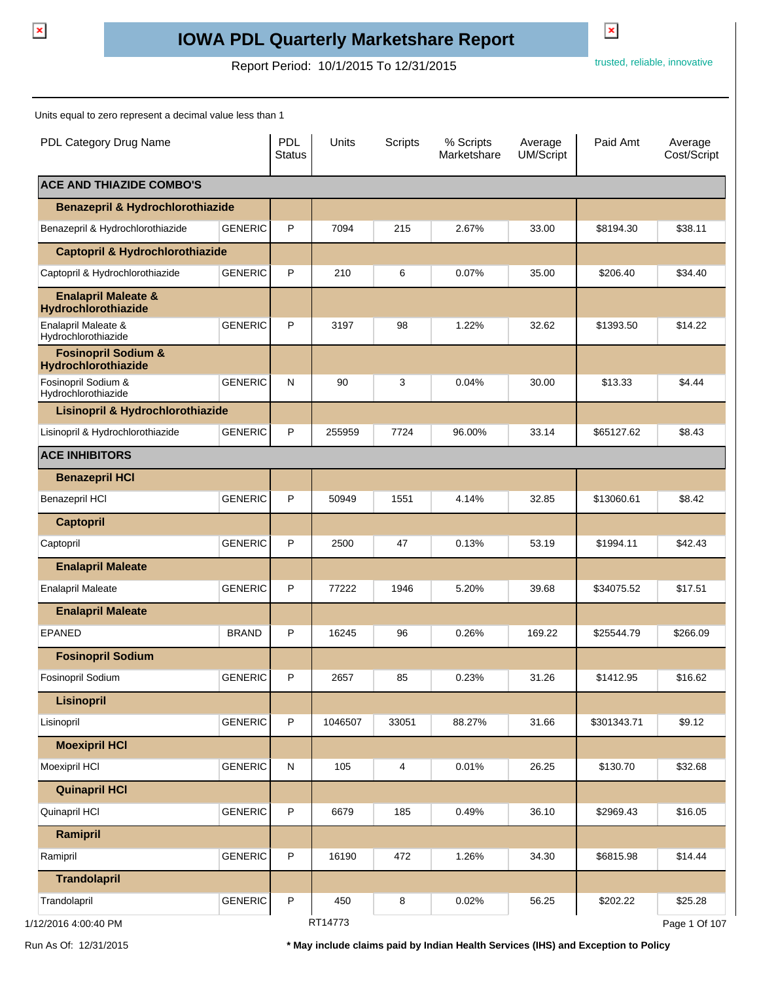$\pmb{\times}$ 

## **IOWA PDL Quarterly Marketshare Report**

Report Period: 10/1/2015 To 12/31/2015 To 12/31/2015

 $\pmb{\times}$ 

Units equal to zero represent a decimal value less than 1

| PDL Category Drug Name                                |                | <b>PDL</b><br><b>Status</b> | Units   | <b>Scripts</b> | % Scripts<br>Marketshare | Average<br><b>UM/Script</b> | Paid Amt    | Average<br>Cost/Script |
|-------------------------------------------------------|----------------|-----------------------------|---------|----------------|--------------------------|-----------------------------|-------------|------------------------|
| <b>ACE AND THIAZIDE COMBO'S</b>                       |                |                             |         |                |                          |                             |             |                        |
| <b>Benazepril &amp; Hydrochlorothiazide</b>           |                |                             |         |                |                          |                             |             |                        |
| Benazepril & Hydrochlorothiazide                      | <b>GENERIC</b> | P                           | 7094    | 215            | 2.67%                    | 33.00                       | \$8194.30   | \$38.11                |
| <b>Captopril &amp; Hydrochlorothiazide</b>            |                |                             |         |                |                          |                             |             |                        |
| Captopril & Hydrochlorothiazide                       | <b>GENERIC</b> | P                           | 210     | 6              | 0.07%                    | 35.00                       | \$206.40    | \$34.40                |
| <b>Enalapril Maleate &amp;</b><br>Hydrochlorothiazide |                |                             |         |                |                          |                             |             |                        |
| Enalapril Maleate &<br>Hydrochlorothiazide            | <b>GENERIC</b> | P                           | 3197    | 98             | 1.22%                    | 32.62                       | \$1393.50   | \$14.22                |
| <b>Fosinopril Sodium &amp;</b><br>Hydrochlorothiazide |                |                             |         |                |                          |                             |             |                        |
| Fosinopril Sodium &<br>Hydrochlorothiazide            | <b>GENERIC</b> | N                           | 90      | 3              | 0.04%                    | 30.00                       | \$13.33     | \$4.44                 |
| Lisinopril & Hydrochlorothiazide                      |                |                             |         |                |                          |                             |             |                        |
| Lisinopril & Hydrochlorothiazide                      | <b>GENERIC</b> | P                           | 255959  | 7724           | 96.00%                   | 33.14                       | \$65127.62  | \$8.43                 |
| <b>ACE INHIBITORS</b>                                 |                |                             |         |                |                          |                             |             |                        |
| <b>Benazepril HCI</b>                                 |                |                             |         |                |                          |                             |             |                        |
| Benazepril HCI                                        | <b>GENERIC</b> | P                           | 50949   | 1551           | 4.14%                    | 32.85                       | \$13060.61  | \$8.42                 |
| <b>Captopril</b>                                      |                |                             |         |                |                          |                             |             |                        |
| Captopril                                             | <b>GENERIC</b> | P                           | 2500    | 47             | 0.13%                    | 53.19                       | \$1994.11   | \$42.43                |
| <b>Enalapril Maleate</b>                              |                |                             |         |                |                          |                             |             |                        |
| <b>Enalapril Maleate</b>                              | <b>GENERIC</b> | P                           | 77222   | 1946           | 5.20%                    | 39.68                       | \$34075.52  | \$17.51                |
| <b>Enalapril Maleate</b>                              |                |                             |         |                |                          |                             |             |                        |
| <b>EPANED</b>                                         | <b>BRAND</b>   | P                           | 16245   | 96             | 0.26%                    | 169.22                      | \$25544.79  | \$266.09               |
| <b>Fosinopril Sodium</b>                              |                |                             |         |                |                          |                             |             |                        |
| Fosinopril Sodium                                     | <b>GENERIC</b> | P                           | 2657    | 85             | 0.23%                    | 31.26                       | \$1412.95   | \$16.62                |
| <b>Lisinopril</b>                                     |                |                             |         |                |                          |                             |             |                        |
| Lisinopril                                            | <b>GENERIC</b> | P                           | 1046507 | 33051          | 88.27%                   | 31.66                       | \$301343.71 | \$9.12                 |
| <b>Moexipril HCI</b>                                  |                |                             |         |                |                          |                             |             |                        |
| Moexipril HCI                                         | <b>GENERIC</b> | N                           | 105     | 4              | 0.01%                    | 26.25                       | \$130.70    | \$32.68                |
| <b>Quinapril HCI</b>                                  |                |                             |         |                |                          |                             |             |                        |
| Quinapril HCI                                         | <b>GENERIC</b> | P                           | 6679    | 185            | 0.49%                    | 36.10                       | \$2969.43   | \$16.05                |
| Ramipril                                              |                |                             |         |                |                          |                             |             |                        |
| Ramipril                                              | <b>GENERIC</b> | P                           | 16190   | 472            | 1.26%                    | 34.30                       | \$6815.98   | \$14.44                |
| <b>Trandolapril</b>                                   |                |                             |         |                |                          |                             |             |                        |
| Trandolapril                                          | <b>GENERIC</b> | P                           | 450     | 8              | 0.02%                    | 56.25                       | \$202.22    | \$25.28                |
| 1/12/2016 4:00:40 PM                                  |                |                             | RT14773 |                |                          |                             |             | Page 1 Of 107          |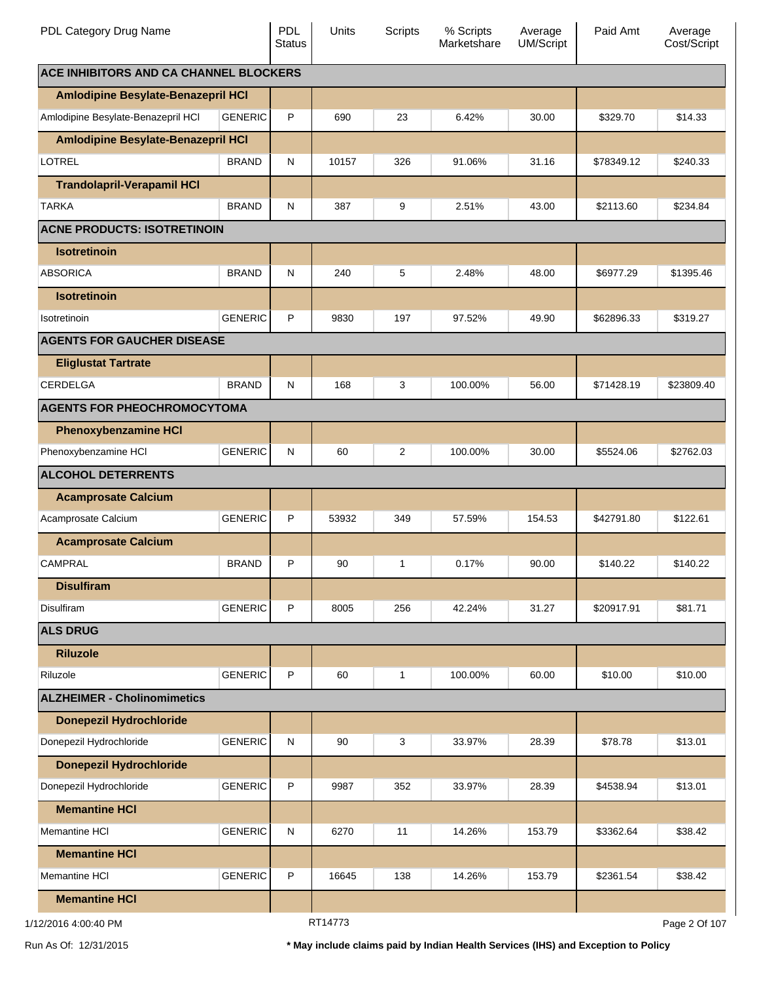| PDL Category Drug Name                        |                | <b>PDL</b><br><b>Status</b> | <b>Units</b> | Scripts | % Scripts<br>Marketshare | Average<br>UM/Script | Paid Amt   | Average<br>Cost/Script |
|-----------------------------------------------|----------------|-----------------------------|--------------|---------|--------------------------|----------------------|------------|------------------------|
| <b>ACE INHIBITORS AND CA CHANNEL BLOCKERS</b> |                |                             |              |         |                          |                      |            |                        |
| Amlodipine Besylate-Benazepril HCI            |                |                             |              |         |                          |                      |            |                        |
| Amlodipine Besylate-Benazepril HCI            | <b>GENERIC</b> | P                           | 690          | 23      | 6.42%                    | 30.00                | \$329.70   | \$14.33                |
| Amlodipine Besylate-Benazepril HCI            |                |                             |              |         |                          |                      |            |                        |
| <b>LOTREL</b>                                 | <b>BRAND</b>   | N                           | 10157        | 326     | 91.06%                   | 31.16                | \$78349.12 | \$240.33               |
| <b>Trandolapril-Verapamil HCI</b>             |                |                             |              |         |                          |                      |            |                        |
| <b>TARKA</b>                                  | <b>BRAND</b>   | N                           | 387          | 9       | 2.51%                    | 43.00                | \$2113.60  | \$234.84               |
| <b>ACNE PRODUCTS: ISOTRETINOIN</b>            |                |                             |              |         |                          |                      |            |                        |
| <b>Isotretinoin</b>                           |                |                             |              |         |                          |                      |            |                        |
| <b>ABSORICA</b>                               | <b>BRAND</b>   | ${\sf N}$                   | 240          | 5       | 2.48%                    | 48.00                | \$6977.29  | \$1395.46              |
| <b>Isotretinoin</b>                           |                |                             |              |         |                          |                      |            |                        |
| Isotretinoin                                  | <b>GENERIC</b> | P                           | 9830         | 197     | 97.52%                   | 49.90                | \$62896.33 | \$319.27               |
| <b>AGENTS FOR GAUCHER DISEASE</b>             |                |                             |              |         |                          |                      |            |                        |
| <b>Eliglustat Tartrate</b>                    |                |                             |              |         |                          |                      |            |                        |
| CERDELGA                                      | <b>BRAND</b>   | N                           | 168          | 3       | 100.00%                  | 56.00                | \$71428.19 | \$23809.40             |
| <b>AGENTS FOR PHEOCHROMOCYTOMA</b>            |                |                             |              |         |                          |                      |            |                        |
| <b>Phenoxybenzamine HCI</b>                   |                |                             |              |         |                          |                      |            |                        |
| Phenoxybenzamine HCI                          | <b>GENERIC</b> | ${\sf N}$                   | 60           | 2       | 100.00%                  | 30.00                | \$5524.06  | \$2762.03              |
| <b>ALCOHOL DETERRENTS</b>                     |                |                             |              |         |                          |                      |            |                        |
| <b>Acamprosate Calcium</b>                    |                |                             |              |         |                          |                      |            |                        |
| Acamprosate Calcium                           | <b>GENERIC</b> | P                           | 53932        | 349     | 57.59%                   | 154.53               | \$42791.80 | \$122.61               |
| <b>Acamprosate Calcium</b>                    |                |                             |              |         |                          |                      |            |                        |
| <b>CAMPRAL</b>                                | <b>BRAND</b>   | P                           | 90           | 1       | 0.17%                    | 90.00                | \$140.22   | \$140.22               |
| <b>Disulfiram</b>                             |                |                             |              |         |                          |                      |            |                        |
| <b>Disulfiram</b>                             | <b>GENERIC</b> | P                           | 8005         | 256     | 42.24%                   | 31.27                | \$20917.91 | \$81.71                |
| <b>ALS DRUG</b>                               |                |                             |              |         |                          |                      |            |                        |
| <b>Riluzole</b>                               |                |                             |              |         |                          |                      |            |                        |
| Riluzole                                      | <b>GENERIC</b> | P                           | 60           | 1       | 100.00%                  | 60.00                | \$10.00    | \$10.00                |
| <b>ALZHEIMER - Cholinomimetics</b>            |                |                             |              |         |                          |                      |            |                        |
| <b>Donepezil Hydrochloride</b>                |                |                             |              |         |                          |                      |            |                        |
| Donepezil Hydrochloride                       | <b>GENERIC</b> | ${\sf N}$                   | 90           | 3       | 33.97%                   | 28.39                | \$78.78    | \$13.01                |
| <b>Donepezil Hydrochloride</b>                |                |                             |              |         |                          |                      |            |                        |
| Donepezil Hydrochloride                       | <b>GENERIC</b> | P                           | 9987         | 352     | 33.97%                   | 28.39                | \$4538.94  | \$13.01                |
| <b>Memantine HCI</b>                          |                |                             |              |         |                          |                      |            |                        |
| <b>Memantine HCI</b>                          | <b>GENERIC</b> | ${\sf N}$                   | 6270         | 11      | 14.26%                   | 153.79               | \$3362.64  | \$38.42                |
| <b>Memantine HCI</b>                          |                |                             |              |         |                          |                      |            |                        |
| <b>Memantine HCI</b>                          | <b>GENERIC</b> | P                           | 16645        | 138     | 14.26%                   | 153.79               | \$2361.54  | \$38.42                |
| <b>Memantine HCI</b>                          |                |                             |              |         |                          |                      |            |                        |
| 1/12/2016 4:00:40 PM                          |                |                             | RT14773      |         |                          |                      |            | Page 2 Of 107          |

Run As Of: 12/31/2015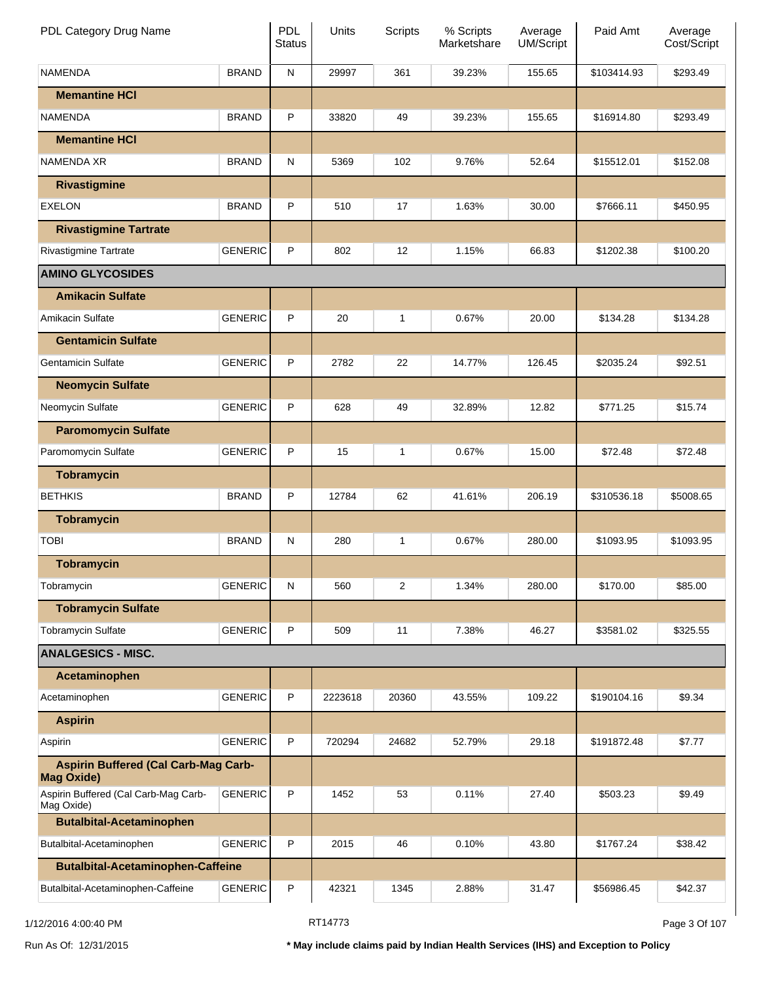| PDL Category Drug Name                                           |                | PDL<br><b>Status</b> | Units   | Scripts        | % Scripts<br>Marketshare | Average<br><b>UM/Script</b> | Paid Amt    | Average<br>Cost/Script |
|------------------------------------------------------------------|----------------|----------------------|---------|----------------|--------------------------|-----------------------------|-------------|------------------------|
| <b>NAMENDA</b>                                                   | <b>BRAND</b>   | N                    | 29997   | 361            | 39.23%                   | 155.65                      | \$103414.93 | \$293.49               |
| <b>Memantine HCI</b>                                             |                |                      |         |                |                          |                             |             |                        |
| <b>NAMENDA</b>                                                   | <b>BRAND</b>   | P                    | 33820   | 49             | 39.23%                   | 155.65                      | \$16914.80  | \$293.49               |
| <b>Memantine HCI</b>                                             |                |                      |         |                |                          |                             |             |                        |
| <b>NAMENDA XR</b>                                                | <b>BRAND</b>   | N                    | 5369    | 102            | 9.76%                    | 52.64                       | \$15512.01  | \$152.08               |
| <b>Rivastigmine</b>                                              |                |                      |         |                |                          |                             |             |                        |
| <b>EXELON</b>                                                    | <b>BRAND</b>   | P                    | 510     | 17             | 1.63%                    | 30.00                       | \$7666.11   | \$450.95               |
| <b>Rivastigmine Tartrate</b>                                     |                |                      |         |                |                          |                             |             |                        |
| <b>Rivastigmine Tartrate</b>                                     | <b>GENERIC</b> | P                    | 802     | 12             | 1.15%                    | 66.83                       | \$1202.38   | \$100.20               |
| <b>AMINO GLYCOSIDES</b>                                          |                |                      |         |                |                          |                             |             |                        |
| <b>Amikacin Sulfate</b>                                          |                |                      |         |                |                          |                             |             |                        |
| Amikacin Sulfate                                                 | <b>GENERIC</b> | P                    | 20      | 1              | 0.67%                    | 20.00                       | \$134.28    | \$134.28               |
| <b>Gentamicin Sulfate</b>                                        |                |                      |         |                |                          |                             |             |                        |
| <b>Gentamicin Sulfate</b>                                        | <b>GENERIC</b> | P                    | 2782    | 22             | 14.77%                   | 126.45                      | \$2035.24   | \$92.51                |
| <b>Neomycin Sulfate</b>                                          |                |                      |         |                |                          |                             |             |                        |
| Neomycin Sulfate                                                 | <b>GENERIC</b> | P                    | 628     | 49             | 32.89%                   | 12.82                       | \$771.25    | \$15.74                |
| <b>Paromomycin Sulfate</b>                                       |                |                      |         |                |                          |                             |             |                        |
| Paromomycin Sulfate                                              | <b>GENERIC</b> | P                    | 15      | 1              | 0.67%                    | 15.00                       | \$72.48     | \$72.48                |
| <b>Tobramycin</b>                                                |                |                      |         |                |                          |                             |             |                        |
| <b>BETHKIS</b>                                                   | <b>BRAND</b>   | P                    | 12784   | 62             | 41.61%                   | 206.19                      | \$310536.18 | \$5008.65              |
| <b>Tobramycin</b>                                                |                |                      |         |                |                          |                             |             |                        |
| <b>TOBI</b>                                                      | <b>BRAND</b>   | N                    | 280     | 1              | 0.67%                    | 280.00                      | \$1093.95   | \$1093.95              |
| <b>Tobramycin</b>                                                |                |                      |         |                |                          |                             |             |                        |
| Tobramycin                                                       | <b>GENERIC</b> | N                    | 560     | $\overline{2}$ | 1.34%                    | 280.00                      | \$170.00    | \$85.00                |
| <b>Tobramycin Sulfate</b>                                        |                |                      |         |                |                          |                             |             |                        |
| <b>Tobramycin Sulfate</b>                                        | <b>GENERIC</b> | P                    | 509     | 11             | 7.38%                    | 46.27                       | \$3581.02   | \$325.55               |
| <b>ANALGESICS - MISC.</b>                                        |                |                      |         |                |                          |                             |             |                        |
| Acetaminophen                                                    |                |                      |         |                |                          |                             |             |                        |
| Acetaminophen                                                    | <b>GENERIC</b> | P                    | 2223618 | 20360          | 43.55%                   | 109.22                      | \$190104.16 | \$9.34                 |
| <b>Aspirin</b>                                                   |                |                      |         |                |                          |                             |             |                        |
| Aspirin                                                          | <b>GENERIC</b> | P                    | 720294  | 24682          | 52.79%                   | 29.18                       | \$191872.48 | \$7.77                 |
| <b>Aspirin Buffered (Cal Carb-Mag Carb-</b><br><b>Mag Oxide)</b> |                |                      |         |                |                          |                             |             |                        |
| Aspirin Buffered (Cal Carb-Mag Carb-<br>Mag Oxide)               | <b>GENERIC</b> | P                    | 1452    | 53             | 0.11%                    | 27.40                       | \$503.23    | \$9.49                 |
| <b>Butalbital-Acetaminophen</b>                                  |                |                      |         |                |                          |                             |             |                        |
| Butalbital-Acetaminophen                                         | <b>GENERIC</b> | P                    | 2015    | 46             | 0.10%                    | 43.80                       | \$1767.24   | \$38.42                |
| <b>Butalbital-Acetaminophen-Caffeine</b>                         |                |                      |         |                |                          |                             |             |                        |
| Butalbital-Acetaminophen-Caffeine                                | <b>GENERIC</b> | P                    | 42321   | 1345           | 2.88%                    | 31.47                       | \$56986.45  | \$42.37                |

1/12/2016 4:00:40 PM **Page 3 Of 107** RT14773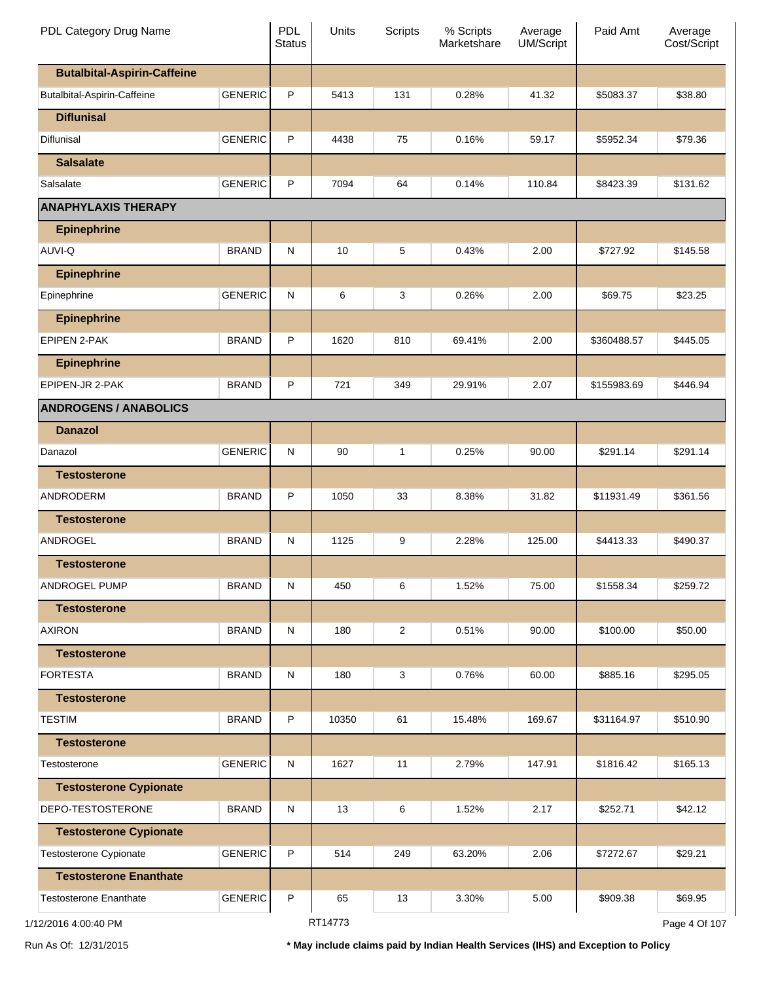| PDL Category Drug Name             |                | <b>PDL</b><br><b>Status</b> | Units   | <b>Scripts</b> | % Scripts<br>Marketshare | Average<br>UM/Script | Paid Amt    | Average<br>Cost/Script |
|------------------------------------|----------------|-----------------------------|---------|----------------|--------------------------|----------------------|-------------|------------------------|
| <b>Butalbital-Aspirin-Caffeine</b> |                |                             |         |                |                          |                      |             |                        |
| Butalbital-Aspirin-Caffeine        | <b>GENERIC</b> | P                           | 5413    | 131            | 0.28%                    | 41.32                | \$5083.37   | \$38.80                |
| <b>Diflunisal</b>                  |                |                             |         |                |                          |                      |             |                        |
| Diflunisal                         | <b>GENERIC</b> | P                           | 4438    | 75             | 0.16%                    | 59.17                | \$5952.34   | \$79.36                |
| <b>Salsalate</b>                   |                |                             |         |                |                          |                      |             |                        |
| Salsalate                          | <b>GENERIC</b> | P                           | 7094    | 64             | 0.14%                    | 110.84               | \$8423.39   | \$131.62               |
| <b>ANAPHYLAXIS THERAPY</b>         |                |                             |         |                |                          |                      |             |                        |
| <b>Epinephrine</b>                 |                |                             |         |                |                          |                      |             |                        |
| AUVI-Q                             | <b>BRAND</b>   | ${\sf N}$                   | 10      | 5              | 0.43%                    | 2.00                 | \$727.92    | \$145.58               |
| <b>Epinephrine</b>                 |                |                             |         |                |                          |                      |             |                        |
| Epinephrine                        | <b>GENERIC</b> | ${\sf N}$                   | 6       | 3              | 0.26%                    | 2.00                 | \$69.75     | \$23.25                |
| <b>Epinephrine</b>                 |                |                             |         |                |                          |                      |             |                        |
| <b>EPIPEN 2-PAK</b>                | <b>BRAND</b>   | P                           | 1620    | 810            | 69.41%                   | 2.00                 | \$360488.57 | \$445.05               |
| <b>Epinephrine</b>                 |                |                             |         |                |                          |                      |             |                        |
| EPIPEN-JR 2-PAK                    | <b>BRAND</b>   | P                           | 721     | 349            | 29.91%                   | 2.07                 | \$155983.69 | \$446.94               |
| <b>ANDROGENS / ANABOLICS</b>       |                |                             |         |                |                          |                      |             |                        |
| <b>Danazol</b>                     |                |                             |         |                |                          |                      |             |                        |
| Danazol                            | <b>GENERIC</b> | ${\sf N}$                   | 90      | 1              | 0.25%                    | 90.00                | \$291.14    | \$291.14               |
| <b>Testosterone</b>                |                |                             |         |                |                          |                      |             |                        |
| ANDRODERM                          | <b>BRAND</b>   | P                           | 1050    | 33             | 8.38%                    | 31.82                | \$11931.49  | \$361.56               |
| <b>Testosterone</b>                |                |                             |         |                |                          |                      |             |                        |
| ANDROGEL                           | <b>BRAND</b>   | ${\sf N}$                   | 1125    | 9              | 2.28%                    | 125.00               | \$4413.33   | \$490.37               |
| <b>Testosterone</b>                |                |                             |         |                |                          |                      |             |                        |
| ANDROGEL PUMP                      | <b>BRAND</b>   | ${\sf N}$                   | 450     | 6              | 1.52%                    | 75.00                | \$1558.34   | \$259.72               |
| <b>Testosterone</b>                |                |                             |         |                |                          |                      |             |                        |
| <b>AXIRON</b>                      | <b>BRAND</b>   | N                           | 180     | 2              | 0.51%                    | 90.00                | \$100.00    | \$50.00                |
| <b>Testosterone</b>                |                |                             |         |                |                          |                      |             |                        |
| <b>FORTESTA</b>                    | <b>BRAND</b>   | ${\sf N}$                   | 180     | 3              | 0.76%                    | 60.00                | \$885.16    | \$295.05               |
| <b>Testosterone</b>                |                |                             |         |                |                          |                      |             |                        |
| <b>TESTIM</b>                      | <b>BRAND</b>   | P                           | 10350   | 61             | 15.48%                   | 169.67               | \$31164.97  | \$510.90               |
| <b>Testosterone</b>                |                |                             |         |                |                          |                      |             |                        |
| Testosterone                       | <b>GENERIC</b> | ${\sf N}$                   | 1627    | 11             | 2.79%                    | 147.91               | \$1816.42   | \$165.13               |
| <b>Testosterone Cypionate</b>      |                |                             |         |                |                          |                      |             |                        |
| DEPO-TESTOSTERONE                  | <b>BRAND</b>   | N                           | 13      | 6              | 1.52%                    | 2.17                 | \$252.71    | \$42.12                |
| <b>Testosterone Cypionate</b>      |                |                             |         |                |                          |                      |             |                        |
| Testosterone Cypionate             | <b>GENERIC</b> | P                           | 514     | 249            | 63.20%                   | 2.06                 | \$7272.67   | \$29.21                |
| <b>Testosterone Enanthate</b>      |                |                             |         |                |                          |                      |             |                        |
| <b>Testosterone Enanthate</b>      | <b>GENERIC</b> | $\sf P$                     | 65      | 13             | 3.30%                    | 5.00                 | \$909.38    | \$69.95                |
| 1/12/2016 4:00:40 PM               |                |                             | RT14773 |                |                          |                      |             | Page 4 Of 107          |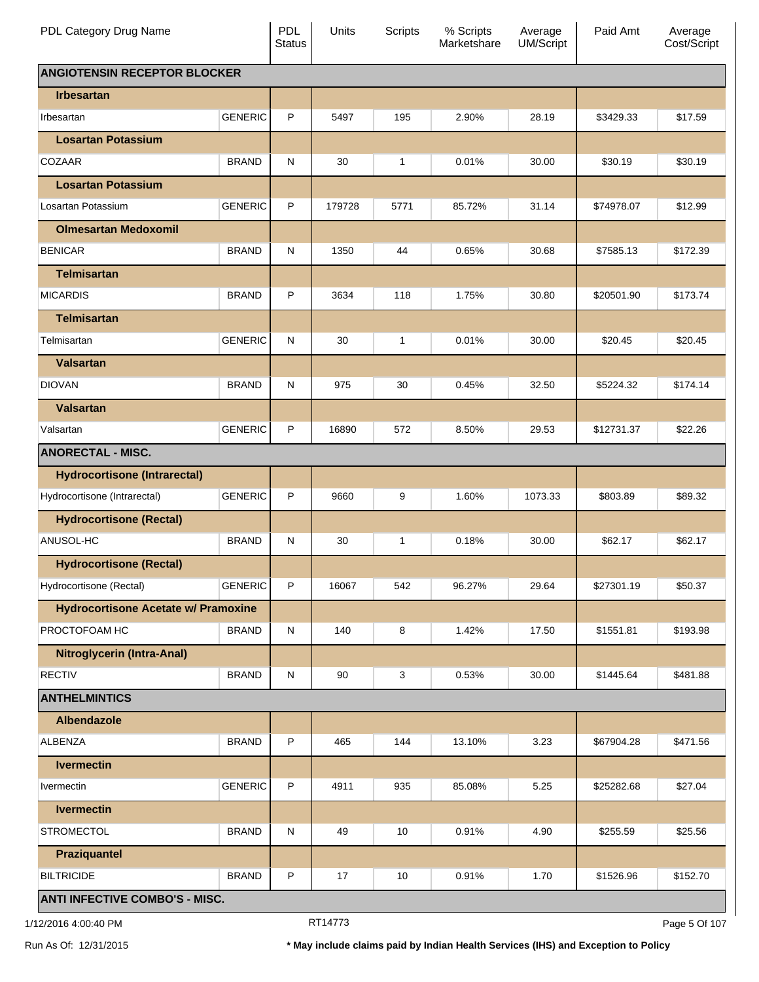| PDL Category Drug Name                     |                | PDL<br><b>Status</b> | Units  | Scripts      | % Scripts<br>Marketshare | Average<br><b>UM/Script</b> | Paid Amt   | Average<br>Cost/Script |
|--------------------------------------------|----------------|----------------------|--------|--------------|--------------------------|-----------------------------|------------|------------------------|
| <b>ANGIOTENSIN RECEPTOR BLOCKER</b>        |                |                      |        |              |                          |                             |            |                        |
| <b>Irbesartan</b>                          |                |                      |        |              |                          |                             |            |                        |
| Irbesartan                                 | <b>GENERIC</b> | P                    | 5497   | 195          | 2.90%                    | 28.19                       | \$3429.33  | \$17.59                |
| <b>Losartan Potassium</b>                  |                |                      |        |              |                          |                             |            |                        |
| COZAAR                                     | <b>BRAND</b>   | N                    | 30     | 1            | 0.01%                    | 30.00                       | \$30.19    | \$30.19                |
| <b>Losartan Potassium</b>                  |                |                      |        |              |                          |                             |            |                        |
| Losartan Potassium                         | <b>GENERIC</b> | P                    | 179728 | 5771         | 85.72%                   | 31.14                       | \$74978.07 | \$12.99                |
| <b>Olmesartan Medoxomil</b>                |                |                      |        |              |                          |                             |            |                        |
| <b>BENICAR</b>                             | <b>BRAND</b>   | N                    | 1350   | 44           | 0.65%                    | 30.68                       | \$7585.13  | \$172.39               |
| <b>Telmisartan</b>                         |                |                      |        |              |                          |                             |            |                        |
| <b>MICARDIS</b>                            | <b>BRAND</b>   | P                    | 3634   | 118          | 1.75%                    | 30.80                       | \$20501.90 | \$173.74               |
| <b>Telmisartan</b>                         |                |                      |        |              |                          |                             |            |                        |
| Telmisartan                                | <b>GENERIC</b> | N                    | 30     | $\mathbf{1}$ | 0.01%                    | 30.00                       | \$20.45    | \$20.45                |
| <b>Valsartan</b>                           |                |                      |        |              |                          |                             |            |                        |
| <b>DIOVAN</b>                              | <b>BRAND</b>   | N                    | 975    | 30           | 0.45%                    | 32.50                       | \$5224.32  | \$174.14               |
| <b>Valsartan</b>                           |                |                      |        |              |                          |                             |            |                        |
| Valsartan                                  | <b>GENERIC</b> | P                    | 16890  | 572          | 8.50%                    | 29.53                       | \$12731.37 | \$22.26                |
| <b>ANORECTAL - MISC.</b>                   |                |                      |        |              |                          |                             |            |                        |
| <b>Hydrocortisone (Intrarectal)</b>        |                |                      |        |              |                          |                             |            |                        |
| Hydrocortisone (Intrarectal)               | <b>GENERIC</b> | P                    | 9660   | 9            | 1.60%                    | 1073.33                     | \$803.89   | \$89.32                |
| <b>Hydrocortisone (Rectal)</b>             |                |                      |        |              |                          |                             |            |                        |
| ANUSOL-HC                                  | <b>BRAND</b>   | N                    | 30     | 1            | 0.18%                    | 30.00                       | \$62.17    | \$62.17                |
| <b>Hydrocortisone (Rectal)</b>             |                |                      |        |              |                          |                             |            |                        |
| Hydrocortisone (Rectal)                    | <b>GENERIC</b> | P                    | 16067  | 542          | 96.27%                   | 29.64                       | \$27301.19 | \$50.37                |
| <b>Hydrocortisone Acetate w/ Pramoxine</b> |                |                      |        |              |                          |                             |            |                        |
| PROCTOFOAM HC                              | <b>BRAND</b>   | N                    | 140    | 8            | 1.42%                    | 17.50                       | \$1551.81  | \$193.98               |
| <b>Nitroglycerin (Intra-Anal)</b>          |                |                      |        |              |                          |                             |            |                        |
| <b>RECTIV</b>                              | <b>BRAND</b>   | N                    | 90     | 3            | 0.53%                    | 30.00                       | \$1445.64  | \$481.88               |
| <b>ANTHELMINTICS</b>                       |                |                      |        |              |                          |                             |            |                        |
| <b>Albendazole</b>                         |                |                      |        |              |                          |                             |            |                        |
| <b>ALBENZA</b>                             | <b>BRAND</b>   | P                    | 465    | 144          | 13.10%                   | 3.23                        | \$67904.28 | \$471.56               |
| <b>Ivermectin</b>                          |                |                      |        |              |                          |                             |            |                        |
| Ivermectin                                 | <b>GENERIC</b> | P                    | 4911   | 935          | 85.08%                   | 5.25                        | \$25282.68 | \$27.04                |
| <b>Ivermectin</b>                          |                |                      |        |              |                          |                             |            |                        |
| <b>STROMECTOL</b>                          | <b>BRAND</b>   | N                    | 49     | 10           | 0.91%                    | 4.90                        | \$255.59   | \$25.56                |
| <b>Praziquantel</b>                        |                |                      |        |              |                          |                             |            |                        |
| <b>BILTRICIDE</b>                          | <b>BRAND</b>   | P                    | 17     | 10           | 0.91%                    | 1.70                        | \$1526.96  | \$152.70               |
| <b>ANTI INFECTIVE COMBO'S - MISC.</b>      |                |                      |        |              |                          |                             |            |                        |

1/12/2016 4:00:40 PM **Page 5 Of 107** RT14773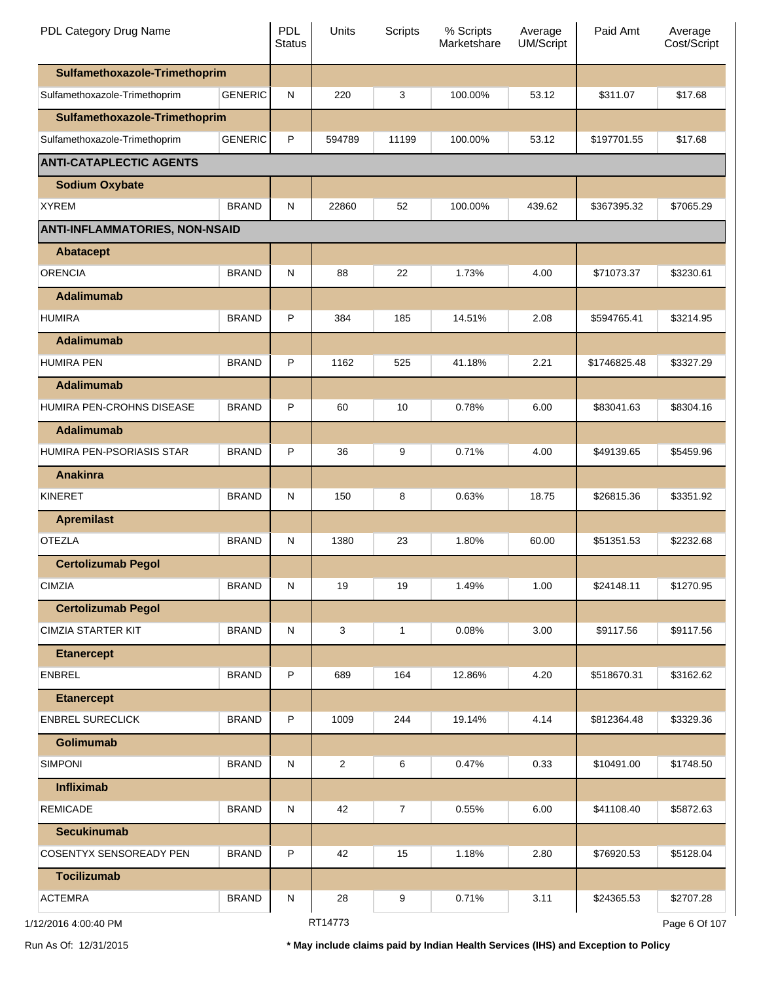| PDL Category Drug Name                |                | <b>PDL</b><br><b>Status</b> | Units          | <b>Scripts</b> | % Scripts<br>Marketshare | Average<br><b>UM/Script</b> | Paid Amt     | Average<br>Cost/Script |
|---------------------------------------|----------------|-----------------------------|----------------|----------------|--------------------------|-----------------------------|--------------|------------------------|
| Sulfamethoxazole-Trimethoprim         |                |                             |                |                |                          |                             |              |                        |
| Sulfamethoxazole-Trimethoprim         | <b>GENERIC</b> | N                           | 220            | 3              | 100.00%                  | 53.12                       | \$311.07     | \$17.68                |
| Sulfamethoxazole-Trimethoprim         |                |                             |                |                |                          |                             |              |                        |
| Sulfamethoxazole-Trimethoprim         | <b>GENERIC</b> | P                           | 594789         | 11199          | 100.00%                  | 53.12                       | \$197701.55  | \$17.68                |
| <b>ANTI-CATAPLECTIC AGENTS</b>        |                |                             |                |                |                          |                             |              |                        |
| <b>Sodium Oxybate</b>                 |                |                             |                |                |                          |                             |              |                        |
| <b>XYREM</b>                          | <b>BRAND</b>   | ${\sf N}$                   | 22860          | 52             | 100.00%                  | 439.62                      | \$367395.32  | \$7065.29              |
| <b>ANTI-INFLAMMATORIES, NON-NSAID</b> |                |                             |                |                |                          |                             |              |                        |
| <b>Abatacept</b>                      |                |                             |                |                |                          |                             |              |                        |
| <b>ORENCIA</b>                        | <b>BRAND</b>   | N                           | 88             | 22             | 1.73%                    | 4.00                        | \$71073.37   | \$3230.61              |
| <b>Adalimumab</b>                     |                |                             |                |                |                          |                             |              |                        |
| <b>HUMIRA</b>                         | <b>BRAND</b>   | P                           | 384            | 185            | 14.51%                   | 2.08                        | \$594765.41  | \$3214.95              |
| <b>Adalimumab</b>                     |                |                             |                |                |                          |                             |              |                        |
| <b>HUMIRA PEN</b>                     | <b>BRAND</b>   | P                           | 1162           | 525            | 41.18%                   | 2.21                        | \$1746825.48 | \$3327.29              |
| <b>Adalimumab</b>                     |                |                             |                |                |                          |                             |              |                        |
| HUMIRA PEN-CROHNS DISEASE             | <b>BRAND</b>   | P                           | 60             | 10             | 0.78%                    | 6.00                        | \$83041.63   | \$8304.16              |
| <b>Adalimumab</b>                     |                |                             |                |                |                          |                             |              |                        |
| HUMIRA PEN-PSORIASIS STAR             | <b>BRAND</b>   | P                           | 36             | 9              | 0.71%                    | 4.00                        | \$49139.65   | \$5459.96              |
| <b>Anakinra</b>                       |                |                             |                |                |                          |                             |              |                        |
| <b>KINERET</b>                        | <b>BRAND</b>   | N                           | 150            | 8              | 0.63%                    | 18.75                       | \$26815.36   | \$3351.92              |
| <b>Apremilast</b>                     |                |                             |                |                |                          |                             |              |                        |
| <b>OTEZLA</b>                         | <b>BRAND</b>   | N                           | 1380           | 23             | 1.80%                    | 60.00                       | \$51351.53   | \$2232.68              |
| <b>Certolizumab Pegol</b>             |                |                             |                |                |                          |                             |              |                        |
| <b>CIMZIA</b>                         | <b>BRAND</b>   | ${\sf N}$                   | 19             | 19             | 1.49%                    | 1.00                        | \$24148.11   | \$1270.95              |
| <b>Certolizumab Pegol</b>             |                |                             |                |                |                          |                             |              |                        |
| <b>CIMZIA STARTER KIT</b>             | <b>BRAND</b>   | N                           | 3              | $\mathbf{1}$   | 0.08%                    | 3.00                        | \$9117.56    | \$9117.56              |
| <b>Etanercept</b>                     |                |                             |                |                |                          |                             |              |                        |
| <b>ENBREL</b>                         | <b>BRAND</b>   | P                           | 689            | 164            | 12.86%                   | 4.20                        | \$518670.31  | \$3162.62              |
| <b>Etanercept</b>                     |                |                             |                |                |                          |                             |              |                        |
| <b>ENBREL SURECLICK</b>               | <b>BRAND</b>   | P                           | 1009           | 244            | 19.14%                   | 4.14                        | \$812364.48  | \$3329.36              |
| <b>Golimumab</b>                      |                |                             |                |                |                          |                             |              |                        |
| <b>SIMPONI</b>                        | <b>BRAND</b>   | ${\sf N}$                   | $\overline{2}$ | 6              | 0.47%                    | 0.33                        | \$10491.00   | \$1748.50              |
| <b>Infliximab</b>                     |                |                             |                |                |                          |                             |              |                        |
| <b>REMICADE</b>                       | <b>BRAND</b>   | N                           | 42             | $\overline{7}$ | 0.55%                    | 6.00                        | \$41108.40   | \$5872.63              |
| <b>Secukinumab</b>                    |                |                             |                |                |                          |                             |              |                        |
| <b>COSENTYX SENSOREADY PEN</b>        | <b>BRAND</b>   | P                           | 42             | 15             | 1.18%                    | 2.80                        | \$76920.53   | \$5128.04              |
| <b>Tocilizumab</b>                    |                |                             |                |                |                          |                             |              |                        |
| <b>ACTEMRA</b>                        | <b>BRAND</b>   | N                           | 28             | 9              | 0.71%                    | 3.11                        | \$24365.53   | \$2707.28              |
| 1/12/2016 4:00:40 PM                  |                |                             | RT14773        |                |                          |                             |              | Page 6 Of 107          |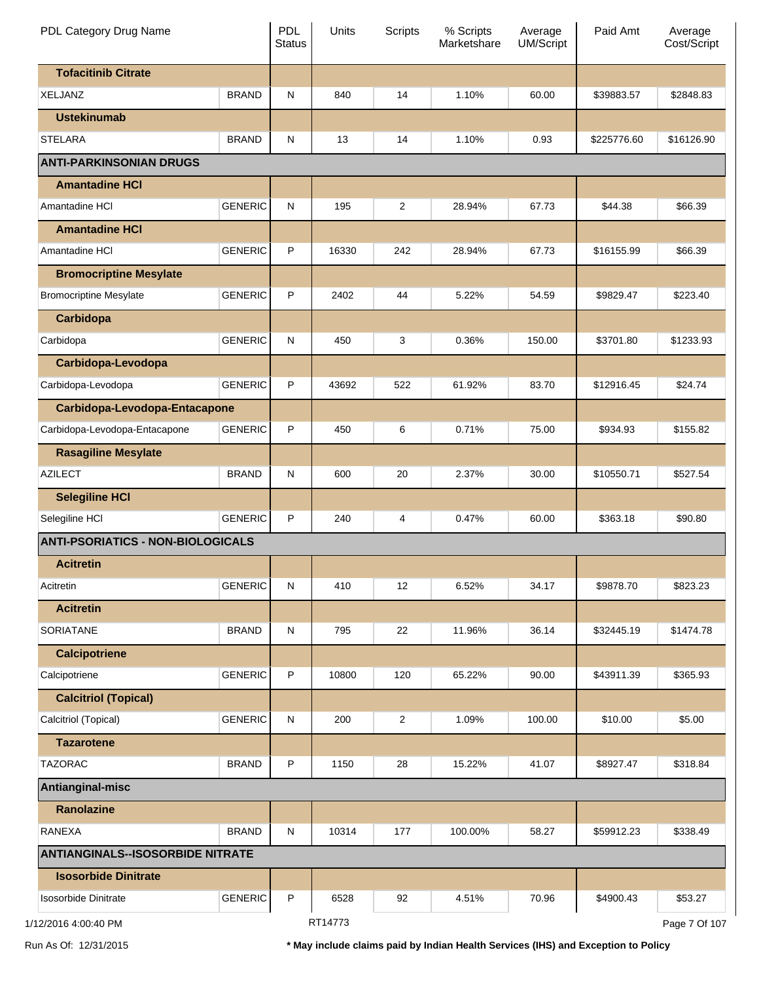| PDL Category Drug Name                   |                | <b>PDL</b><br><b>Status</b> | Units   | <b>Scripts</b> | % Scripts<br>Marketshare | Average<br><b>UM/Script</b> | Paid Amt    | Average<br>Cost/Script |
|------------------------------------------|----------------|-----------------------------|---------|----------------|--------------------------|-----------------------------|-------------|------------------------|
| <b>Tofacitinib Citrate</b>               |                |                             |         |                |                          |                             |             |                        |
| XELJANZ                                  | <b>BRAND</b>   | N                           | 840     | 14             | 1.10%                    | 60.00                       | \$39883.57  | \$2848.83              |
| <b>Ustekinumab</b>                       |                |                             |         |                |                          |                             |             |                        |
| STELARA                                  | <b>BRAND</b>   | N                           | 13      | 14             | 1.10%                    | 0.93                        | \$225776.60 | \$16126.90             |
| <b>ANTI-PARKINSONIAN DRUGS</b>           |                |                             |         |                |                          |                             |             |                        |
| <b>Amantadine HCI</b>                    |                |                             |         |                |                          |                             |             |                        |
| Amantadine HCI                           | <b>GENERIC</b> | N                           | 195     | 2              | 28.94%                   | 67.73                       | \$44.38     | \$66.39                |
| <b>Amantadine HCI</b>                    |                |                             |         |                |                          |                             |             |                        |
| Amantadine HCI                           | <b>GENERIC</b> | P                           | 16330   | 242            | 28.94%                   | 67.73                       | \$16155.99  | \$66.39                |
| <b>Bromocriptine Mesylate</b>            |                |                             |         |                |                          |                             |             |                        |
| <b>Bromocriptine Mesylate</b>            | <b>GENERIC</b> | P                           | 2402    | 44             | 5.22%                    | 54.59                       | \$9829.47   | \$223.40               |
| Carbidopa                                |                |                             |         |                |                          |                             |             |                        |
| Carbidopa                                | <b>GENERIC</b> | N                           | 450     | 3              | 0.36%                    | 150.00                      | \$3701.80   | \$1233.93              |
| Carbidopa-Levodopa                       |                |                             |         |                |                          |                             |             |                        |
| Carbidopa-Levodopa                       | <b>GENERIC</b> | P                           | 43692   | 522            | 61.92%                   | 83.70                       | \$12916.45  | \$24.74                |
| Carbidopa-Levodopa-Entacapone            |                |                             |         |                |                          |                             |             |                        |
| Carbidopa-Levodopa-Entacapone            | <b>GENERIC</b> | P                           | 450     | 6              | 0.71%                    | 75.00                       | \$934.93    | \$155.82               |
| <b>Rasagiline Mesylate</b>               |                |                             |         |                |                          |                             |             |                        |
| <b>AZILECT</b>                           | <b>BRAND</b>   | N                           | 600     | 20             | 2.37%                    | 30.00                       | \$10550.71  | \$527.54               |
| <b>Selegiline HCI</b>                    |                |                             |         |                |                          |                             |             |                        |
| Selegiline HCI                           | <b>GENERIC</b> | P                           | 240     | 4              | 0.47%                    | 60.00                       | \$363.18    | \$90.80                |
| <b>ANTI-PSORIATICS - NON-BIOLOGICALS</b> |                |                             |         |                |                          |                             |             |                        |
| <b>Acitretin</b>                         |                |                             |         |                |                          |                             |             |                        |
| Acitretin                                | <b>GENERIC</b> | ${\sf N}$                   | 410     | 12             | 6.52%                    | 34.17                       | \$9878.70   | \$823.23               |
| <b>Acitretin</b>                         |                |                             |         |                |                          |                             |             |                        |
| SORIATANE                                | <b>BRAND</b>   | N                           | 795     | 22             | 11.96%                   | 36.14                       | \$32445.19  | \$1474.78              |
| <b>Calcipotriene</b>                     |                |                             |         |                |                          |                             |             |                        |
| Calcipotriene                            | <b>GENERIC</b> | P                           | 10800   | 120            | 65.22%                   | 90.00                       | \$43911.39  | \$365.93               |
| <b>Calcitriol (Topical)</b>              |                |                             |         |                |                          |                             |             |                        |
| Calcitriol (Topical)                     | <b>GENERIC</b> | ${\sf N}$                   | 200     | $\overline{2}$ | 1.09%                    | 100.00                      | \$10.00     | \$5.00                 |
| <b>Tazarotene</b>                        |                |                             |         |                |                          |                             |             |                        |
| <b>TAZORAC</b>                           | <b>BRAND</b>   | P                           | 1150    | 28             | 15.22%                   | 41.07                       | \$8927.47   | \$318.84               |
| Antianginal-misc                         |                |                             |         |                |                          |                             |             |                        |
| Ranolazine                               |                |                             |         |                |                          |                             |             |                        |
| <b>RANEXA</b>                            | <b>BRAND</b>   | N                           | 10314   | 177            | 100.00%                  | 58.27                       | \$59912.23  | \$338.49               |
| <b>ANTIANGINALS--ISOSORBIDE NITRATE</b>  |                |                             |         |                |                          |                             |             |                        |
| <b>Isosorbide Dinitrate</b>              |                |                             |         |                |                          |                             |             |                        |
| Isosorbide Dinitrate                     | <b>GENERIC</b> | P                           | 6528    | 92             | 4.51%                    | 70.96                       | \$4900.43   | \$53.27                |
| 1/12/2016 4:00:40 PM                     |                |                             | RT14773 |                |                          |                             |             | Page 7 Of 107          |

Run As Of: 12/31/2015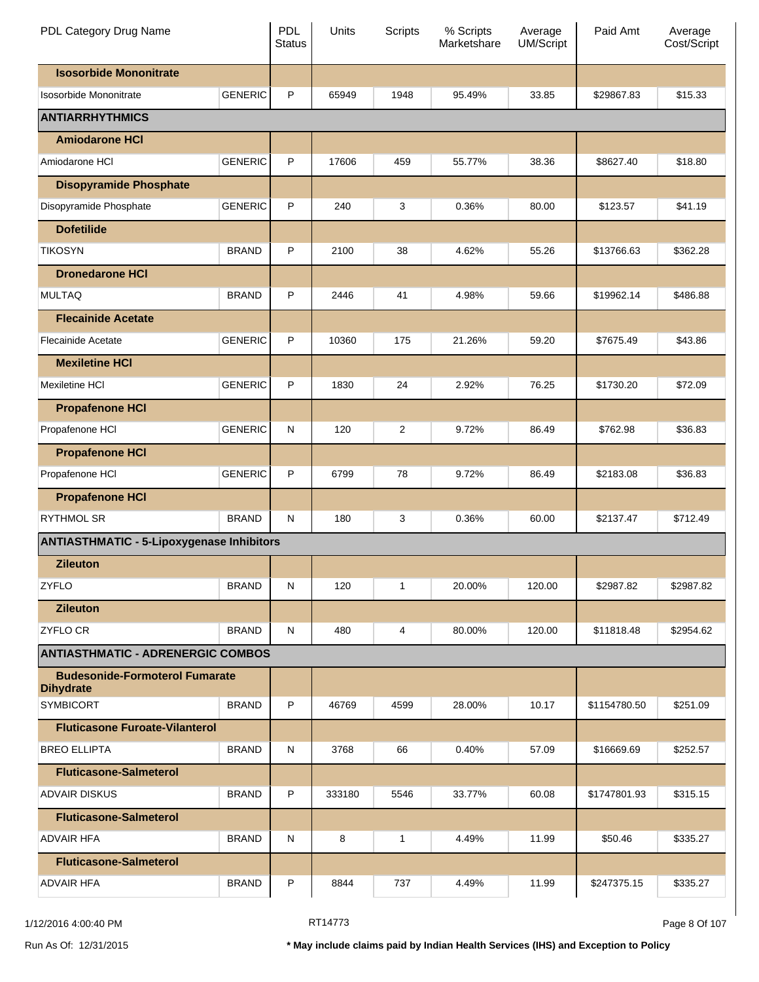| PDL Category Drug Name                                    |                | <b>PDL</b><br><b>Status</b> | Units  | Scripts        | % Scripts<br>Marketshare | Average<br><b>UM/Script</b> | Paid Amt     | Average<br>Cost/Script |
|-----------------------------------------------------------|----------------|-----------------------------|--------|----------------|--------------------------|-----------------------------|--------------|------------------------|
| <b>Isosorbide Mononitrate</b>                             |                |                             |        |                |                          |                             |              |                        |
| Isosorbide Mononitrate                                    | <b>GENERIC</b> | P                           | 65949  | 1948           | 95.49%                   | 33.85                       | \$29867.83   | \$15.33                |
| <b>ANTIARRHYTHMICS</b>                                    |                |                             |        |                |                          |                             |              |                        |
| <b>Amiodarone HCI</b>                                     |                |                             |        |                |                          |                             |              |                        |
| Amiodarone HCI                                            | <b>GENERIC</b> | P                           | 17606  | 459            | 55.77%                   | 38.36                       | \$8627.40    | \$18.80                |
| <b>Disopyramide Phosphate</b>                             |                |                             |        |                |                          |                             |              |                        |
| Disopyramide Phosphate                                    | <b>GENERIC</b> | P                           | 240    | 3              | 0.36%                    | 80.00                       | \$123.57     | \$41.19                |
| <b>Dofetilide</b>                                         |                |                             |        |                |                          |                             |              |                        |
| <b>TIKOSYN</b>                                            | <b>BRAND</b>   | P                           | 2100   | 38             | 4.62%                    | 55.26                       | \$13766.63   | \$362.28               |
| <b>Dronedarone HCI</b>                                    |                |                             |        |                |                          |                             |              |                        |
| <b>MULTAQ</b>                                             | <b>BRAND</b>   | P                           | 2446   | 41             | 4.98%                    | 59.66                       | \$19962.14   | \$486.88               |
| <b>Flecainide Acetate</b>                                 |                |                             |        |                |                          |                             |              |                        |
| <b>Flecainide Acetate</b>                                 | <b>GENERIC</b> | P                           | 10360  | 175            | 21.26%                   | 59.20                       | \$7675.49    | \$43.86                |
| <b>Mexiletine HCI</b>                                     |                |                             |        |                |                          |                             |              |                        |
| <b>Mexiletine HCI</b>                                     | <b>GENERIC</b> | P                           | 1830   | 24             | 2.92%                    | 76.25                       | \$1730.20    | \$72.09                |
| <b>Propafenone HCI</b>                                    |                |                             |        |                |                          |                             |              |                        |
| Propafenone HCI                                           | <b>GENERIC</b> | $\mathsf{N}$                | 120    | $\overline{c}$ | 9.72%                    | 86.49                       | \$762.98     | \$36.83                |
| <b>Propafenone HCI</b>                                    |                |                             |        |                |                          |                             |              |                        |
| Propafenone HCI                                           | <b>GENERIC</b> | P                           | 6799   | 78             | 9.72%                    | 86.49                       | \$2183.08    | \$36.83                |
| <b>Propafenone HCI</b>                                    |                |                             |        |                |                          |                             |              |                        |
| <b>RYTHMOL SR</b>                                         | <b>BRAND</b>   | N                           | 180    | 3              | 0.36%                    | 60.00                       | \$2137.47    | \$712.49               |
| <b>ANTIASTHMATIC - 5-Lipoxygenase Inhibitors</b>          |                |                             |        |                |                          |                             |              |                        |
| <b>Zileuton</b>                                           |                |                             |        |                |                          |                             |              |                        |
| <b>ZYFLO</b>                                              | <b>BRAND</b>   | N                           | 120    | $\mathbf{1}$   | 20.00%                   | 120.00                      | \$2987.82    | \$2987.82              |
| <b>Zileuton</b>                                           |                |                             |        |                |                          |                             |              |                        |
| ZYFLO CR                                                  | <b>BRAND</b>   | N                           | 480    | 4              | 80.00%                   | 120.00                      | \$11818.48   | \$2954.62              |
| <b>ANTIASTHMATIC - ADRENERGIC COMBOS</b>                  |                |                             |        |                |                          |                             |              |                        |
| <b>Budesonide-Formoterol Fumarate</b><br><b>Dihydrate</b> |                |                             |        |                |                          |                             |              |                        |
| <b>SYMBICORT</b>                                          | <b>BRAND</b>   | P                           | 46769  | 4599           | 28.00%                   | 10.17                       | \$1154780.50 | \$251.09               |
| <b>Fluticasone Furoate-Vilanterol</b>                     |                |                             |        |                |                          |                             |              |                        |
| <b>BREO ELLIPTA</b>                                       | <b>BRAND</b>   | N                           | 3768   | 66             | 0.40%                    | 57.09                       | \$16669.69   | \$252.57               |
| <b>Fluticasone-Salmeterol</b>                             |                |                             |        |                |                          |                             |              |                        |
| <b>ADVAIR DISKUS</b>                                      | <b>BRAND</b>   | P                           | 333180 | 5546           | 33.77%                   | 60.08                       | \$1747801.93 | \$315.15               |
| <b>Fluticasone-Salmeterol</b>                             |                |                             |        |                |                          |                             |              |                        |
| <b>ADVAIR HFA</b>                                         | <b>BRAND</b>   | N                           | 8      | 1              | 4.49%                    | 11.99                       | \$50.46      | \$335.27               |
| <b>Fluticasone-Salmeterol</b>                             |                |                             |        |                |                          |                             |              |                        |
| <b>ADVAIR HFA</b>                                         | <b>BRAND</b>   | P                           | 8844   | 737            | 4.49%                    | 11.99                       | \$247375.15  | \$335.27               |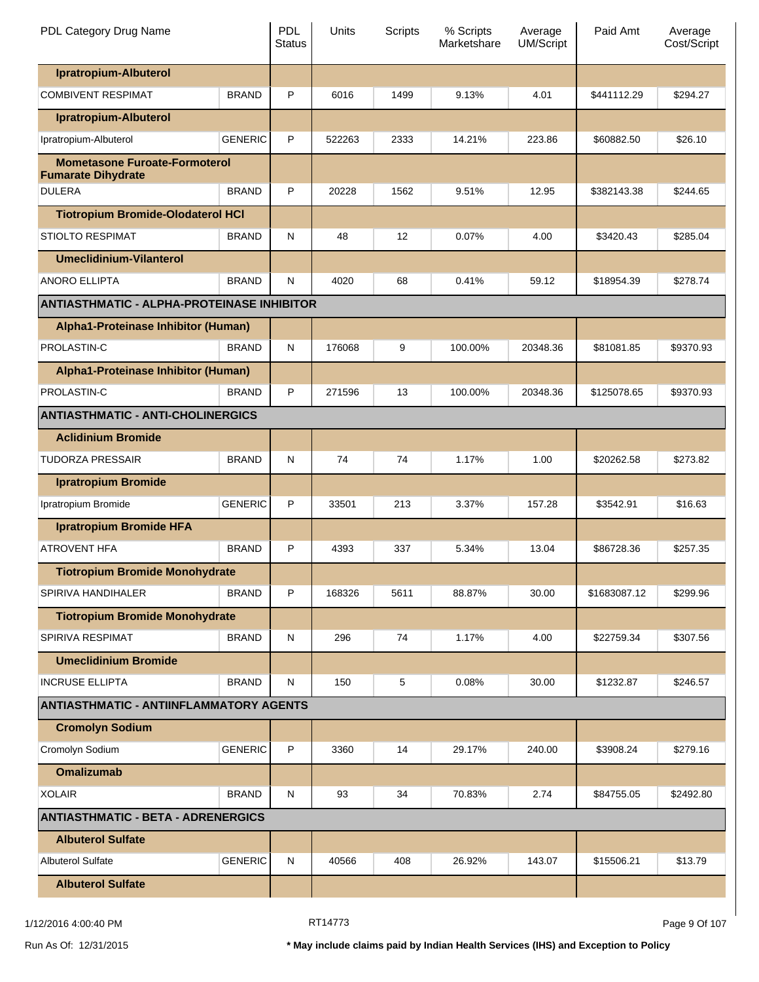| PDL Category Drug Name                                            |                | <b>PDL</b><br><b>Status</b> | Units  | Scripts | % Scripts<br>Marketshare | Average<br>UM/Script | Paid Amt     | Average<br>Cost/Script |
|-------------------------------------------------------------------|----------------|-----------------------------|--------|---------|--------------------------|----------------------|--------------|------------------------|
| Ipratropium-Albuterol                                             |                |                             |        |         |                          |                      |              |                        |
| <b>COMBIVENT RESPIMAT</b>                                         | <b>BRAND</b>   | P                           | 6016   | 1499    | 9.13%                    | 4.01                 | \$441112.29  | \$294.27               |
| Ipratropium-Albuterol                                             |                |                             |        |         |                          |                      |              |                        |
| Ipratropium-Albuterol                                             | <b>GENERIC</b> | P                           | 522263 | 2333    | 14.21%                   | 223.86               | \$60882.50   | \$26.10                |
| <b>Mometasone Furoate-Formoterol</b><br><b>Fumarate Dihydrate</b> |                |                             |        |         |                          |                      |              |                        |
| <b>DULERA</b>                                                     | <b>BRAND</b>   | P                           | 20228  | 1562    | 9.51%                    | 12.95                | \$382143.38  | \$244.65               |
| <b>Tiotropium Bromide-Olodaterol HCI</b>                          |                |                             |        |         |                          |                      |              |                        |
| <b>STIOLTO RESPIMAT</b>                                           | <b>BRAND</b>   | N                           | 48     | 12      | 0.07%                    | 4.00                 | \$3420.43    | \$285.04               |
| <b>Umeclidinium-Vilanterol</b>                                    |                |                             |        |         |                          |                      |              |                        |
| <b>ANORO ELLIPTA</b>                                              | <b>BRAND</b>   | N                           | 4020   | 68      | 0.41%                    | 59.12                | \$18954.39   | \$278.74               |
| <b>ANTIASTHMATIC - ALPHA-PROTEINASE INHIBITOR</b>                 |                |                             |        |         |                          |                      |              |                        |
| Alpha1-Proteinase Inhibitor (Human)                               |                |                             |        |         |                          |                      |              |                        |
| PROLASTIN-C                                                       | <b>BRAND</b>   | N                           | 176068 | 9       | 100.00%                  | 20348.36             | \$81081.85   | \$9370.93              |
| Alpha1-Proteinase Inhibitor (Human)                               |                |                             |        |         |                          |                      |              |                        |
| PROLASTIN-C                                                       | <b>BRAND</b>   | P                           | 271596 | 13      | 100.00%                  | 20348.36             | \$125078.65  | \$9370.93              |
| <b>ANTIASTHMATIC - ANTI-CHOLINERGICS</b>                          |                |                             |        |         |                          |                      |              |                        |
| <b>Aclidinium Bromide</b>                                         |                |                             |        |         |                          |                      |              |                        |
| <b>TUDORZA PRESSAIR</b>                                           | <b>BRAND</b>   | N                           | 74     | 74      | 1.17%                    | 1.00                 | \$20262.58   | \$273.82               |
| <b>Ipratropium Bromide</b>                                        |                |                             |        |         |                          |                      |              |                        |
| Ipratropium Bromide                                               | <b>GENERIC</b> | P                           | 33501  | 213     | 3.37%                    | 157.28               | \$3542.91    | \$16.63                |
| <b>Ipratropium Bromide HFA</b>                                    |                |                             |        |         |                          |                      |              |                        |
| <b>ATROVENT HFA</b>                                               | <b>BRAND</b>   | P                           | 4393   | 337     | 5.34%                    | 13.04                | \$86728.36   | \$257.35               |
| <b>Tiotropium Bromide Monohydrate</b>                             |                |                             |        |         |                          |                      |              |                        |
| SPIRIVA HANDIHALER                                                | <b>BRAND</b>   | P                           | 168326 | 5611    | 88.87%                   | 30.00                | \$1683087.12 | \$299.96               |
| <b>Tiotropium Bromide Monohydrate</b>                             |                |                             |        |         |                          |                      |              |                        |
| SPIRIVA RESPIMAT                                                  | <b>BRAND</b>   | N                           | 296    | 74      | 1.17%                    | 4.00                 | \$22759.34   | \$307.56               |
| <b>Umeclidinium Bromide</b>                                       |                |                             |        |         |                          |                      |              |                        |
| <b>INCRUSE ELLIPTA</b>                                            | <b>BRAND</b>   | N                           | 150    | 5       | 0.08%                    | 30.00                | \$1232.87    | \$246.57               |
| <b>ANTIASTHMATIC - ANTIINFLAMMATORY AGENTS</b>                    |                |                             |        |         |                          |                      |              |                        |
| <b>Cromolyn Sodium</b>                                            |                |                             |        |         |                          |                      |              |                        |
| Cromolyn Sodium                                                   | <b>GENERIC</b> | P                           | 3360   | 14      | 29.17%                   | 240.00               | \$3908.24    | \$279.16               |
| <b>Omalizumab</b>                                                 |                |                             |        |         |                          |                      |              |                        |
| <b>XOLAIR</b>                                                     | <b>BRAND</b>   | N                           | 93     | 34      | 70.83%                   | 2.74                 | \$84755.05   | \$2492.80              |
| <b>ANTIASTHMATIC - BETA - ADRENERGICS</b>                         |                |                             |        |         |                          |                      |              |                        |
| <b>Albuterol Sulfate</b>                                          |                |                             |        |         |                          |                      |              |                        |
| <b>Albuterol Sulfate</b>                                          | <b>GENERIC</b> | N                           | 40566  | 408     | 26.92%                   | 143.07               | \$15506.21   | \$13.79                |
| <b>Albuterol Sulfate</b>                                          |                |                             |        |         |                          |                      |              |                        |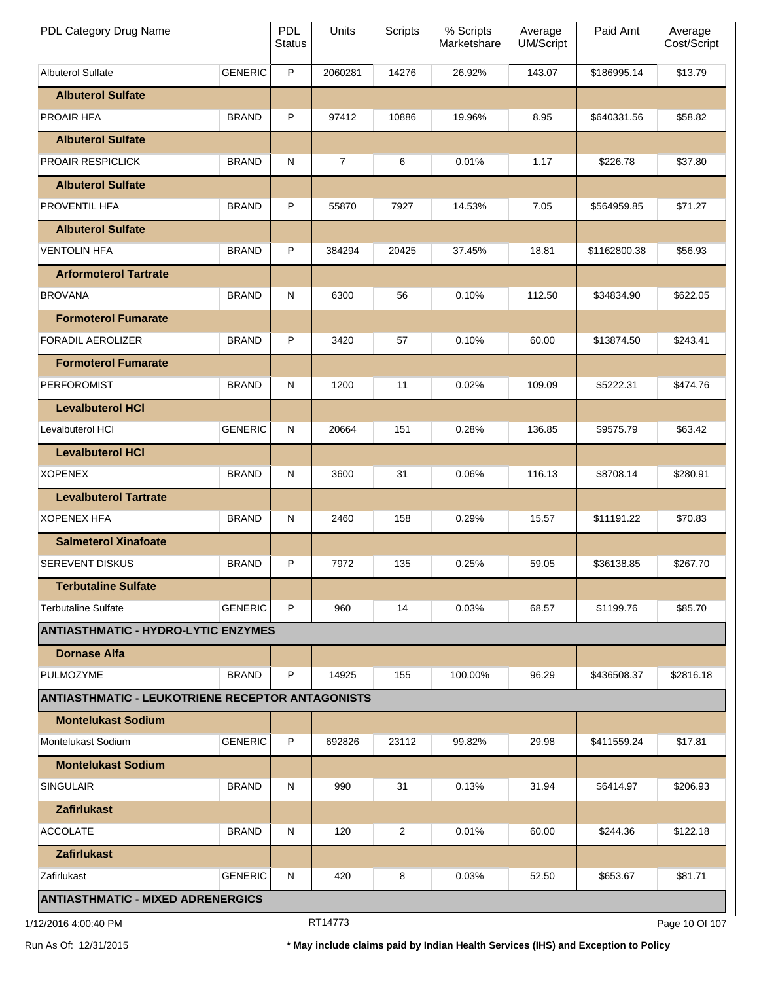| PDL Category Drug Name                                  |                | PDL<br><b>Status</b> | Units   | Scripts | % Scripts<br>Marketshare | Average<br><b>UM/Script</b> | Paid Amt     | Average<br>Cost/Script |
|---------------------------------------------------------|----------------|----------------------|---------|---------|--------------------------|-----------------------------|--------------|------------------------|
| <b>Albuterol Sulfate</b>                                | <b>GENERIC</b> | P                    | 2060281 | 14276   | 26.92%                   | 143.07                      | \$186995.14  | \$13.79                |
| <b>Albuterol Sulfate</b>                                |                |                      |         |         |                          |                             |              |                        |
| <b>PROAIR HFA</b>                                       | <b>BRAND</b>   | P                    | 97412   | 10886   | 19.96%                   | 8.95                        | \$640331.56  | \$58.82                |
| <b>Albuterol Sulfate</b>                                |                |                      |         |         |                          |                             |              |                        |
| PROAIR RESPICLICK                                       | <b>BRAND</b>   | N                    | 7       | 6       | 0.01%                    | 1.17                        | \$226.78     | \$37.80                |
| <b>Albuterol Sulfate</b>                                |                |                      |         |         |                          |                             |              |                        |
| <b>PROVENTIL HFA</b>                                    | <b>BRAND</b>   | P                    | 55870   | 7927    | 14.53%                   | 7.05                        | \$564959.85  | \$71.27                |
| <b>Albuterol Sulfate</b>                                |                |                      |         |         |                          |                             |              |                        |
| <b>VENTOLIN HFA</b>                                     | <b>BRAND</b>   | P                    | 384294  | 20425   | 37.45%                   | 18.81                       | \$1162800.38 | \$56.93                |
| <b>Arformoterol Tartrate</b>                            |                |                      |         |         |                          |                             |              |                        |
| <b>BROVANA</b>                                          | <b>BRAND</b>   | N                    | 6300    | 56      | 0.10%                    | 112.50                      | \$34834.90   | \$622.05               |
| <b>Formoterol Fumarate</b>                              |                |                      |         |         |                          |                             |              |                        |
| <b>FORADIL AEROLIZER</b>                                | <b>BRAND</b>   | P                    | 3420    | 57      | 0.10%                    | 60.00                       | \$13874.50   | \$243.41               |
| <b>Formoterol Fumarate</b>                              |                |                      |         |         |                          |                             |              |                        |
| <b>PERFOROMIST</b>                                      | <b>BRAND</b>   | N                    | 1200    | 11      | 0.02%                    | 109.09                      | \$5222.31    | \$474.76               |
| <b>Levalbuterol HCI</b>                                 |                |                      |         |         |                          |                             |              |                        |
| Levalbuterol HCI                                        | <b>GENERIC</b> | N                    | 20664   | 151     | 0.28%                    | 136.85                      | \$9575.79    | \$63.42                |
| <b>Levalbuterol HCI</b>                                 |                |                      |         |         |                          |                             |              |                        |
| <b>XOPENEX</b>                                          | <b>BRAND</b>   | N                    | 3600    | 31      | 0.06%                    | 116.13                      | \$8708.14    | \$280.91               |
| <b>Levalbuterol Tartrate</b>                            |                |                      |         |         |                          |                             |              |                        |
| <b>XOPENEX HFA</b>                                      | <b>BRAND</b>   | N                    | 2460    | 158     | 0.29%                    | 15.57                       | \$11191.22   | \$70.83                |
| <b>Salmeterol Xinafoate</b>                             |                |                      |         |         |                          |                             |              |                        |
| <b>SEREVENT DISKUS</b>                                  | <b>BRAND</b>   | P                    | 7972    | 135     | 0.25%                    | 59.05                       | \$36138.85   | \$267.70               |
| <b>Terbutaline Sulfate</b>                              |                |                      |         |         |                          |                             |              |                        |
| <b>Terbutaline Sulfate</b>                              | <b>GENERIC</b> | P                    | 960     | 14      | 0.03%                    | 68.57                       | \$1199.76    | \$85.70                |
| <b>ANTIASTHMATIC - HYDRO-LYTIC ENZYMES</b>              |                |                      |         |         |                          |                             |              |                        |
| <b>Dornase Alfa</b>                                     |                |                      |         |         |                          |                             |              |                        |
| <b>PULMOZYME</b>                                        | <b>BRAND</b>   | P                    | 14925   | 155     | 100.00%                  | 96.29                       | \$436508.37  | \$2816.18              |
| <b>ANTIASTHMATIC - LEUKOTRIENE RECEPTOR ANTAGONISTS</b> |                |                      |         |         |                          |                             |              |                        |
| <b>Montelukast Sodium</b>                               |                |                      |         |         |                          |                             |              |                        |
| Montelukast Sodium                                      | <b>GENERIC</b> | P                    | 692826  | 23112   | 99.82%                   | 29.98                       | \$411559.24  | \$17.81                |
| <b>Montelukast Sodium</b>                               |                |                      |         |         |                          |                             |              |                        |
| <b>SINGULAIR</b>                                        | <b>BRAND</b>   | N                    | 990     | 31      | 0.13%                    | 31.94                       | \$6414.97    | \$206.93               |
| <b>Zafirlukast</b>                                      |                |                      |         |         |                          |                             |              |                        |
| <b>ACCOLATE</b>                                         | <b>BRAND</b>   | N                    | 120     | 2       | 0.01%                    | 60.00                       | \$244.36     | \$122.18               |
| <b>Zafirlukast</b>                                      |                |                      |         |         |                          |                             |              |                        |
| Zafirlukast                                             | <b>GENERIC</b> | N                    | 420     | 8       | 0.03%                    | 52.50                       | \$653.67     | \$81.71                |
| <b>ANTIASTHMATIC - MIXED ADRENERGICS</b>                |                |                      |         |         |                          |                             |              |                        |

1/12/2016 4:00:40 PM **Page 10 Of 107** RT14773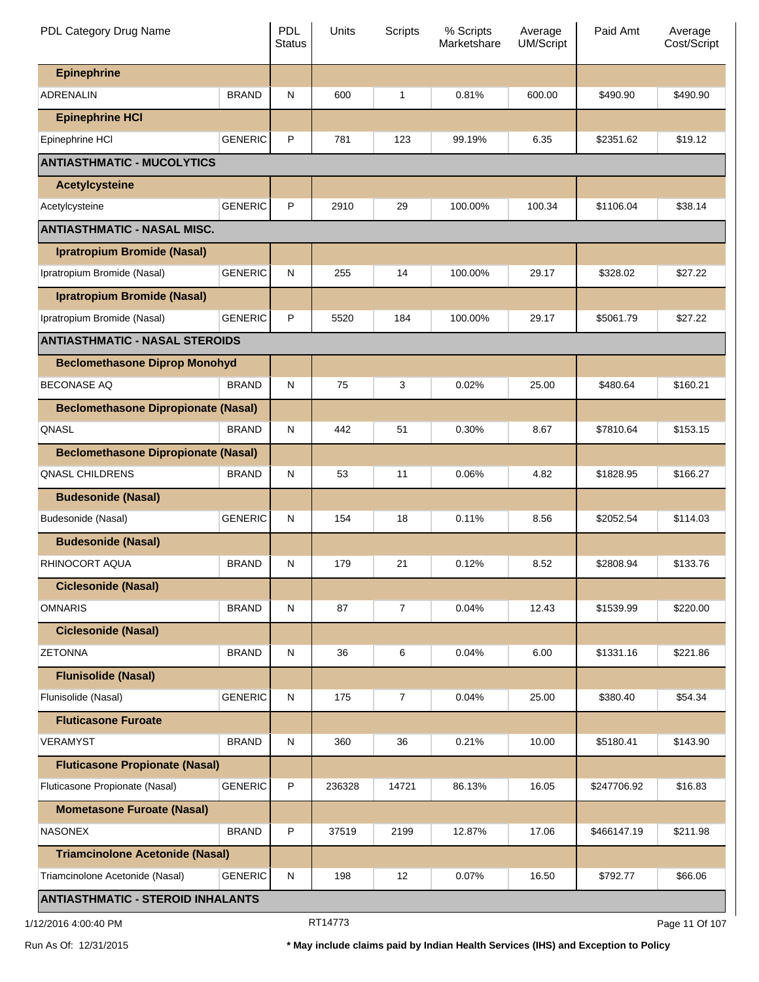| PDL Category Drug Name                     |                | <b>PDL</b><br><b>Status</b> | Units  | Scripts        | % Scripts<br>Marketshare | Average<br><b>UM/Script</b> | Paid Amt    | Average<br>Cost/Script |
|--------------------------------------------|----------------|-----------------------------|--------|----------------|--------------------------|-----------------------------|-------------|------------------------|
| <b>Epinephrine</b>                         |                |                             |        |                |                          |                             |             |                        |
| <b>ADRENALIN</b>                           | <b>BRAND</b>   | N                           | 600    | 1              | 0.81%                    | 600.00                      | \$490.90    | \$490.90               |
| <b>Epinephrine HCI</b>                     |                |                             |        |                |                          |                             |             |                        |
| Epinephrine HCI                            | <b>GENERIC</b> | P                           | 781    | 123            | 99.19%                   | 6.35                        | \$2351.62   | \$19.12                |
| <b>ANTIASTHMATIC - MUCOLYTICS</b>          |                |                             |        |                |                          |                             |             |                        |
| <b>Acetylcysteine</b>                      |                |                             |        |                |                          |                             |             |                        |
| Acetylcysteine                             | <b>GENERIC</b> | P                           | 2910   | 29             | 100.00%                  | 100.34                      | \$1106.04   | \$38.14                |
| <b>ANTIASTHMATIC - NASAL MISC.</b>         |                |                             |        |                |                          |                             |             |                        |
| Ipratropium Bromide (Nasal)                |                |                             |        |                |                          |                             |             |                        |
| Ipratropium Bromide (Nasal)                | <b>GENERIC</b> | N                           | 255    | 14             | 100.00%                  | 29.17                       | \$328.02    | \$27.22                |
| <b>Ipratropium Bromide (Nasal)</b>         |                |                             |        |                |                          |                             |             |                        |
| Ipratropium Bromide (Nasal)                | <b>GENERIC</b> | P                           | 5520   | 184            | 100.00%                  | 29.17                       | \$5061.79   | \$27.22                |
| <b>ANTIASTHMATIC - NASAL STEROIDS</b>      |                |                             |        |                |                          |                             |             |                        |
| <b>Beclomethasone Diprop Monohyd</b>       |                |                             |        |                |                          |                             |             |                        |
| <b>BECONASE AQ</b>                         | <b>BRAND</b>   | N                           | 75     | 3              | 0.02%                    | 25.00                       | \$480.64    | \$160.21               |
| <b>Beclomethasone Dipropionate (Nasal)</b> |                |                             |        |                |                          |                             |             |                        |
| QNASL                                      | <b>BRAND</b>   | N                           | 442    | 51             | 0.30%                    | 8.67                        | \$7810.64   | \$153.15               |
| <b>Beclomethasone Dipropionate (Nasal)</b> |                |                             |        |                |                          |                             |             |                        |
| <b>QNASL CHILDRENS</b>                     | <b>BRAND</b>   | N                           | 53     | 11             | 0.06%                    | 4.82                        | \$1828.95   | \$166.27               |
| <b>Budesonide (Nasal)</b>                  |                |                             |        |                |                          |                             |             |                        |
| Budesonide (Nasal)                         | <b>GENERIC</b> | N                           | 154    | 18             | 0.11%                    | 8.56                        | \$2052.54   | \$114.03               |
| <b>Budesonide (Nasal)</b>                  |                |                             |        |                |                          |                             |             |                        |
| RHINOCORT AQUA                             | <b>BRAND</b>   | N                           | 179    | 21             | 0.12%                    | 8.52                        | \$2808.94   | \$133.76               |
| <b>Ciclesonide (Nasal)</b>                 |                |                             |        |                |                          |                             |             |                        |
| <b>OMNARIS</b>                             | <b>BRAND</b>   | N                           | 87     | $\overline{7}$ | 0.04%                    | 12.43                       | \$1539.99   | \$220.00               |
| <b>Ciclesonide (Nasal)</b>                 |                |                             |        |                |                          |                             |             |                        |
| <b>ZETONNA</b>                             | <b>BRAND</b>   | N                           | 36     | 6              | 0.04%                    | 6.00                        | \$1331.16   | \$221.86               |
| <b>Flunisolide (Nasal)</b>                 |                |                             |        |                |                          |                             |             |                        |
| Flunisolide (Nasal)                        | <b>GENERIC</b> | $\mathsf{N}$                | 175    | $\overline{7}$ | 0.04%                    | 25.00                       | \$380.40    | \$54.34                |
| <b>Fluticasone Furoate</b>                 |                |                             |        |                |                          |                             |             |                        |
| <b>VERAMYST</b>                            | <b>BRAND</b>   | N                           | 360    | 36             | 0.21%                    | 10.00                       | \$5180.41   | \$143.90               |
| <b>Fluticasone Propionate (Nasal)</b>      |                |                             |        |                |                          |                             |             |                        |
| Fluticasone Propionate (Nasal)             | <b>GENERIC</b> | P                           | 236328 | 14721          | 86.13%                   | 16.05                       | \$247706.92 | \$16.83                |
| <b>Mometasone Furoate (Nasal)</b>          |                |                             |        |                |                          |                             |             |                        |
| <b>NASONEX</b>                             | <b>BRAND</b>   | P                           | 37519  | 2199           | 12.87%                   | 17.06                       | \$466147.19 | \$211.98               |
| <b>Triamcinolone Acetonide (Nasal)</b>     |                |                             |        |                |                          |                             |             |                        |
| Triamcinolone Acetonide (Nasal)            | <b>GENERIC</b> | N                           | 198    | 12             | 0.07%                    | 16.50                       | \$792.77    | \$66.06                |
| <b>ANTIASTHMATIC - STEROID INHALANTS</b>   |                |                             |        |                |                          |                             |             |                        |

1/12/2016 4:00:40 PM **Page 11 Of 107** RT14773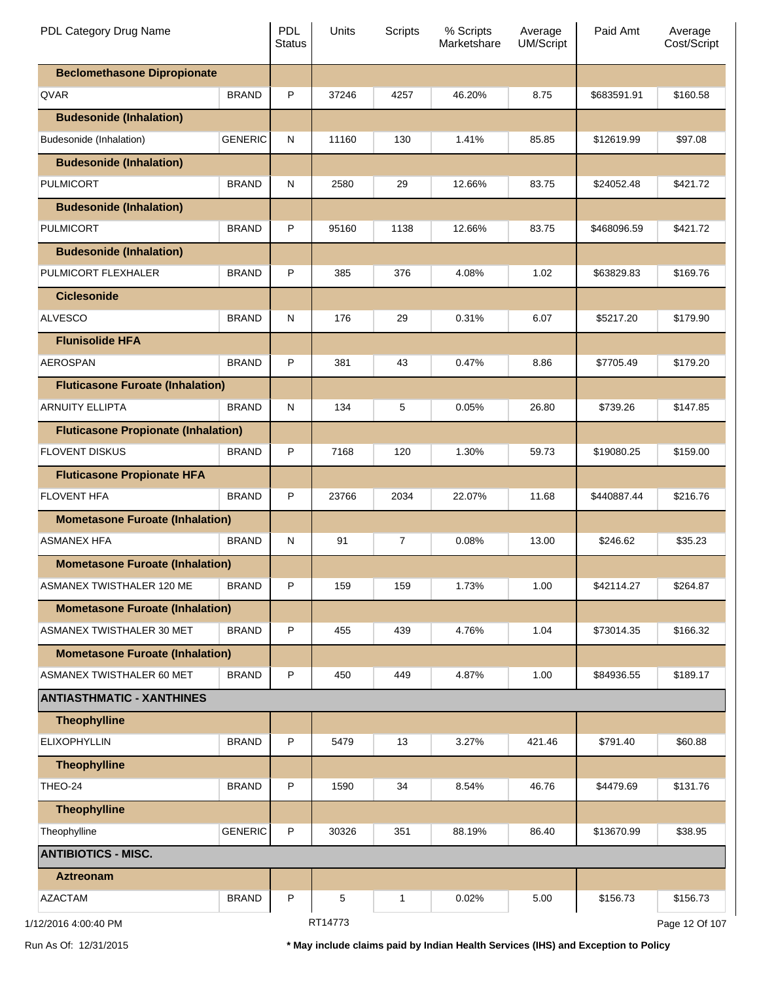| PDL Category Drug Name                     |                | <b>PDL</b><br><b>Status</b> | Units   | <b>Scripts</b> | % Scripts<br>Marketshare | Average<br><b>UM/Script</b> | Paid Amt    | Average<br>Cost/Script |
|--------------------------------------------|----------------|-----------------------------|---------|----------------|--------------------------|-----------------------------|-------------|------------------------|
| <b>Beclomethasone Dipropionate</b>         |                |                             |         |                |                          |                             |             |                        |
| QVAR                                       | <b>BRAND</b>   | P                           | 37246   | 4257           | 46.20%                   | 8.75                        | \$683591.91 | \$160.58               |
| <b>Budesonide (Inhalation)</b>             |                |                             |         |                |                          |                             |             |                        |
| Budesonide (Inhalation)                    | <b>GENERIC</b> | N                           | 11160   | 130            | 1.41%                    | 85.85                       | \$12619.99  | \$97.08                |
| <b>Budesonide (Inhalation)</b>             |                |                             |         |                |                          |                             |             |                        |
| PULMICORT                                  | <b>BRAND</b>   | N                           | 2580    | 29             | 12.66%                   | 83.75                       | \$24052.48  | \$421.72               |
| <b>Budesonide (Inhalation)</b>             |                |                             |         |                |                          |                             |             |                        |
| PULMICORT                                  | <b>BRAND</b>   | P                           | 95160   | 1138           | 12.66%                   | 83.75                       | \$468096.59 | \$421.72               |
| <b>Budesonide (Inhalation)</b>             |                |                             |         |                |                          |                             |             |                        |
| PULMICORT FLEXHALER                        | <b>BRAND</b>   | P                           | 385     | 376            | 4.08%                    | 1.02                        | \$63829.83  | \$169.76               |
| <b>Ciclesonide</b>                         |                |                             |         |                |                          |                             |             |                        |
| <b>ALVESCO</b>                             | <b>BRAND</b>   | N                           | 176     | 29             | 0.31%                    | 6.07                        | \$5217.20   | \$179.90               |
| <b>Flunisolide HFA</b>                     |                |                             |         |                |                          |                             |             |                        |
| <b>AEROSPAN</b>                            | <b>BRAND</b>   | P                           | 381     | 43             | 0.47%                    | 8.86                        | \$7705.49   | \$179.20               |
| <b>Fluticasone Furoate (Inhalation)</b>    |                |                             |         |                |                          |                             |             |                        |
| <b>ARNUITY ELLIPTA</b>                     | <b>BRAND</b>   | N                           | 134     | 5              | 0.05%                    | 26.80                       | \$739.26    | \$147.85               |
| <b>Fluticasone Propionate (Inhalation)</b> |                |                             |         |                |                          |                             |             |                        |
| <b>FLOVENT DISKUS</b>                      | <b>BRAND</b>   | P                           | 7168    | 120            | 1.30%                    | 59.73                       | \$19080.25  | \$159.00               |
| <b>Fluticasone Propionate HFA</b>          |                |                             |         |                |                          |                             |             |                        |
| <b>FLOVENT HFA</b>                         | <b>BRAND</b>   | P                           | 23766   | 2034           | 22.07%                   | 11.68                       | \$440887.44 | \$216.76               |
| <b>Mometasone Furoate (Inhalation)</b>     |                |                             |         |                |                          |                             |             |                        |
| <b>ASMANEX HFA</b>                         | <b>BRAND</b>   | N                           | 91      | $\overline{7}$ | 0.08%                    | 13.00                       | \$246.62    | \$35.23                |
| <b>Mometasone Furoate (Inhalation)</b>     |                |                             |         |                |                          |                             |             |                        |
| ASMANEX TWISTHALER 120 ME                  | <b>BRAND</b>   | P                           | 159     | 159            | 1.73%                    | 1.00                        | \$42114.27  | \$264.87               |
| <b>Mometasone Furoate (Inhalation)</b>     |                |                             |         |                |                          |                             |             |                        |
| ASMANEX TWISTHALER 30 MET                  | <b>BRAND</b>   | P                           | 455     | 439            | 4.76%                    | 1.04                        | \$73014.35  | \$166.32               |
| <b>Mometasone Furoate (Inhalation)</b>     |                |                             |         |                |                          |                             |             |                        |
| ASMANEX TWISTHALER 60 MET                  | <b>BRAND</b>   | P                           | 450     | 449            | 4.87%                    | 1.00                        | \$84936.55  | \$189.17               |
| <b>ANTIASTHMATIC - XANTHINES</b>           |                |                             |         |                |                          |                             |             |                        |
| <b>Theophylline</b>                        |                |                             |         |                |                          |                             |             |                        |
| <b>ELIXOPHYLLIN</b>                        | <b>BRAND</b>   | P                           | 5479    | 13             | 3.27%                    | 421.46                      | \$791.40    | \$60.88                |
| <b>Theophylline</b>                        |                |                             |         |                |                          |                             |             |                        |
| THEO-24                                    | <b>BRAND</b>   | P                           | 1590    | 34             | 8.54%                    | 46.76                       | \$4479.69   | \$131.76               |
| <b>Theophylline</b>                        |                |                             |         |                |                          |                             |             |                        |
| Theophylline                               | <b>GENERIC</b> | P                           | 30326   | 351            | 88.19%                   | 86.40                       | \$13670.99  | \$38.95                |
| <b>ANTIBIOTICS - MISC.</b>                 |                |                             |         |                |                          |                             |             |                        |
| <b>Aztreonam</b>                           |                |                             |         |                |                          |                             |             |                        |
| <b>AZACTAM</b>                             | <b>BRAND</b>   | P                           | 5       | 1              | 0.02%                    | 5.00                        | \$156.73    | \$156.73               |
| 1/12/2016 4:00:40 PM                       |                |                             | RT14773 |                |                          |                             |             | Page 12 Of 107         |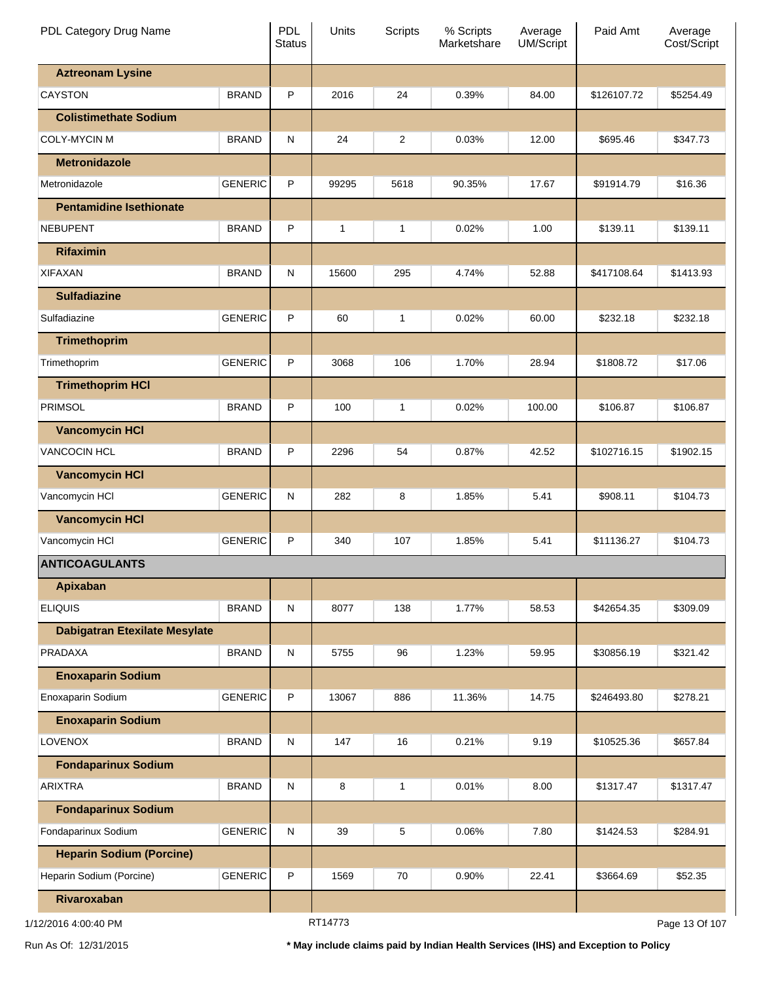| PDL Category Drug Name               |                | <b>PDL</b><br><b>Status</b> | Units          | Scripts        | % Scripts<br>Marketshare | Average<br><b>UM/Script</b> | Paid Amt    | Average<br>Cost/Script |
|--------------------------------------|----------------|-----------------------------|----------------|----------------|--------------------------|-----------------------------|-------------|------------------------|
| <b>Aztreonam Lysine</b>              |                |                             |                |                |                          |                             |             |                        |
| <b>CAYSTON</b>                       | <b>BRAND</b>   | P                           | 2016           | 24             | 0.39%                    | 84.00                       | \$126107.72 | \$5254.49              |
| <b>Colistimethate Sodium</b>         |                |                             |                |                |                          |                             |             |                        |
| <b>COLY-MYCIN M</b>                  | <b>BRAND</b>   | N                           | 24             | $\overline{2}$ | 0.03%                    | 12.00                       | \$695.46    | \$347.73               |
| <b>Metronidazole</b>                 |                |                             |                |                |                          |                             |             |                        |
| Metronidazole                        | <b>GENERIC</b> | P                           | 99295          | 5618           | 90.35%                   | 17.67                       | \$91914.79  | \$16.36                |
| <b>Pentamidine Isethionate</b>       |                |                             |                |                |                          |                             |             |                        |
| <b>NEBUPENT</b>                      | <b>BRAND</b>   | P                           | $\mathbf{1}$   | 1              | 0.02%                    | 1.00                        | \$139.11    | \$139.11               |
| <b>Rifaximin</b>                     |                |                             |                |                |                          |                             |             |                        |
| <b>XIFAXAN</b>                       | <b>BRAND</b>   | N                           | 15600          | 295            | 4.74%                    | 52.88                       | \$417108.64 | \$1413.93              |
| <b>Sulfadiazine</b>                  |                |                             |                |                |                          |                             |             |                        |
| Sulfadiazine                         | <b>GENERIC</b> | P                           | 60             | 1              | 0.02%                    | 60.00                       | \$232.18    | \$232.18               |
| <b>Trimethoprim</b>                  |                |                             |                |                |                          |                             |             |                        |
| Trimethoprim                         | <b>GENERIC</b> | P                           | 3068           | 106            | 1.70%                    | 28.94                       | \$1808.72   | \$17.06                |
| <b>Trimethoprim HCI</b>              |                |                             |                |                |                          |                             |             |                        |
| <b>PRIMSOL</b>                       | <b>BRAND</b>   | P                           | 100            | 1              | 0.02%                    | 100.00                      | \$106.87    | \$106.87               |
| <b>Vancomycin HCI</b>                |                |                             |                |                |                          |                             |             |                        |
| <b>VANCOCIN HCL</b>                  | <b>BRAND</b>   | P                           | 2296           | 54             | 0.87%                    | 42.52                       | \$102716.15 | \$1902.15              |
| <b>Vancomycin HCI</b>                |                |                             |                |                |                          |                             |             |                        |
| Vancomycin HCI                       | <b>GENERIC</b> | N                           | 282            | 8              | 1.85%                    | 5.41                        | \$908.11    | \$104.73               |
| <b>Vancomycin HCI</b>                |                |                             |                |                |                          |                             |             |                        |
| Vancomycin HCI                       | <b>GENERIC</b> | P                           | 340            | 107            | 1.85%                    | 5.41                        | \$11136.27  | \$104.73               |
| <b>ANTICOAGULANTS</b>                |                |                             |                |                |                          |                             |             |                        |
| <b>Apixaban</b>                      |                |                             |                |                |                          |                             |             |                        |
| <b>ELIQUIS</b>                       | <b>BRAND</b>   | $\mathsf{N}$                | 8077           | 138            | 1.77%                    | 58.53                       | \$42654.35  | \$309.09               |
| <b>Dabigatran Etexilate Mesylate</b> |                |                             |                |                |                          |                             |             |                        |
| PRADAXA                              | <b>BRAND</b>   | $\mathsf{N}$                | 5755           | 96             | 1.23%                    | 59.95                       | \$30856.19  | \$321.42               |
| <b>Enoxaparin Sodium</b>             |                |                             |                |                |                          |                             |             |                        |
| Enoxaparin Sodium                    | <b>GENERIC</b> | P                           | 13067          | 886            | 11.36%                   | 14.75                       | \$246493.80 | \$278.21               |
| <b>Enoxaparin Sodium</b>             |                |                             |                |                |                          |                             |             |                        |
| <b>LOVENOX</b>                       | <b>BRAND</b>   | $\mathsf{N}$                | 147            | 16             | 0.21%                    | 9.19                        | \$10525.36  | \$657.84               |
| <b>Fondaparinux Sodium</b>           |                |                             |                |                |                          |                             |             |                        |
| <b>ARIXTRA</b>                       | <b>BRAND</b>   | $\mathsf{N}$                | 8              | $\mathbf{1}$   | 0.01%                    | 8.00                        | \$1317.47   | \$1317.47              |
| <b>Fondaparinux Sodium</b>           |                |                             |                |                |                          |                             |             |                        |
| Fondaparinux Sodium                  | <b>GENERIC</b> | N                           | 39             | 5              | 0.06%                    | 7.80                        | \$1424.53   | \$284.91               |
| <b>Heparin Sodium (Porcine)</b>      |                |                             |                |                |                          |                             |             |                        |
| Heparin Sodium (Porcine)             | <b>GENERIC</b> | P                           | 1569           | 70             | 0.90%                    | 22.41                       | \$3664.69   | \$52.35                |
| Rivaroxaban                          |                |                             |                |                |                          |                             |             |                        |
|                                      |                |                             | <b>DT44770</b> |                |                          |                             |             |                        |

RT14773

Page 13 Of 107

Run As Of: 12/31/2015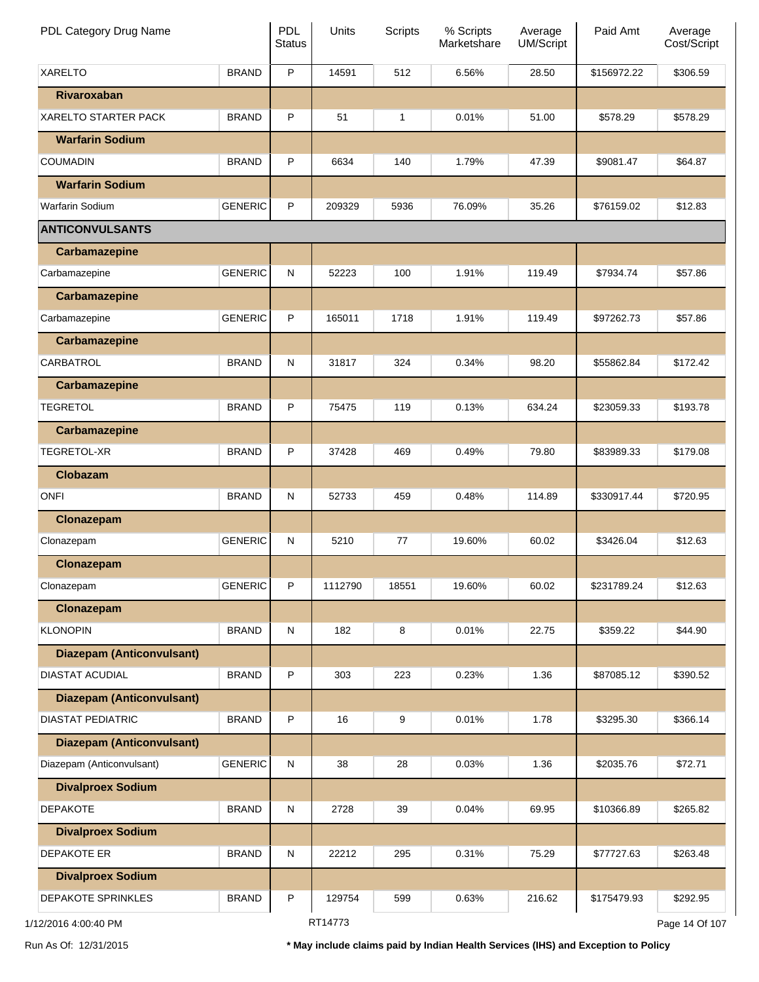| PDL Category Drug Name           |                | <b>PDL</b><br><b>Status</b> | Units   | <b>Scripts</b> | % Scripts<br>Marketshare | Average<br>UM/Script | Paid Amt    | Average<br>Cost/Script |
|----------------------------------|----------------|-----------------------------|---------|----------------|--------------------------|----------------------|-------------|------------------------|
| <b>XARELTO</b>                   | <b>BRAND</b>   | $\mathsf P$                 | 14591   | 512            | 6.56%                    | 28.50                | \$156972.22 | \$306.59               |
| Rivaroxaban                      |                |                             |         |                |                          |                      |             |                        |
| <b>XARELTO STARTER PACK</b>      | <b>BRAND</b>   | P                           | 51      | 1              | 0.01%                    | 51.00                | \$578.29    | \$578.29               |
| <b>Warfarin Sodium</b>           |                |                             |         |                |                          |                      |             |                        |
| <b>COUMADIN</b>                  | <b>BRAND</b>   | P                           | 6634    | 140            | 1.79%                    | 47.39                | \$9081.47   | \$64.87                |
| <b>Warfarin Sodium</b>           |                |                             |         |                |                          |                      |             |                        |
| <b>Warfarin Sodium</b>           | <b>GENERIC</b> | P                           | 209329  | 5936           | 76.09%                   | 35.26                | \$76159.02  | \$12.83                |
| <b>ANTICONVULSANTS</b>           |                |                             |         |                |                          |                      |             |                        |
| <b>Carbamazepine</b>             |                |                             |         |                |                          |                      |             |                        |
| Carbamazepine                    | <b>GENERIC</b> | ${\sf N}$                   | 52223   | 100            | 1.91%                    | 119.49               | \$7934.74   | \$57.86                |
| <b>Carbamazepine</b>             |                |                             |         |                |                          |                      |             |                        |
| Carbamazepine                    | <b>GENERIC</b> | P                           | 165011  | 1718           | 1.91%                    | 119.49               | \$97262.73  | \$57.86                |
| <b>Carbamazepine</b>             |                |                             |         |                |                          |                      |             |                        |
| CARBATROL                        | <b>BRAND</b>   | ${\sf N}$                   | 31817   | 324            | 0.34%                    | 98.20                | \$55862.84  | \$172.42               |
| <b>Carbamazepine</b>             |                |                             |         |                |                          |                      |             |                        |
| <b>TEGRETOL</b>                  | <b>BRAND</b>   | P                           | 75475   | 119            | 0.13%                    | 634.24               | \$23059.33  | \$193.78               |
| <b>Carbamazepine</b>             |                |                             |         |                |                          |                      |             |                        |
| TEGRETOL-XR                      | <b>BRAND</b>   | P                           | 37428   | 469            | 0.49%                    | 79.80                | \$83989.33  | \$179.08               |
| <b>Clobazam</b>                  |                |                             |         |                |                          |                      |             |                        |
| <b>ONFI</b>                      | <b>BRAND</b>   | ${\sf N}$                   | 52733   | 459            | 0.48%                    | 114.89               | \$330917.44 | \$720.95               |
| Clonazepam                       |                |                             |         |                |                          |                      |             |                        |
| Clonazepam                       | <b>GENERIC</b> | ${\sf N}$                   | 5210    | 77             | 19.60%                   | 60.02                | \$3426.04   | \$12.63                |
| Clonazepam                       |                |                             |         |                |                          |                      |             |                        |
| Clonazepam                       | <b>GENERIC</b> | P                           | 1112790 | 18551          | 19.60%                   | 60.02                | \$231789.24 | \$12.63                |
| Clonazepam                       |                |                             |         |                |                          |                      |             |                        |
| <b>KLONOPIN</b>                  | <b>BRAND</b>   | ${\sf N}$                   | 182     | 8              | 0.01%                    | 22.75                | \$359.22    | \$44.90                |
| <b>Diazepam (Anticonvulsant)</b> |                |                             |         |                |                          |                      |             |                        |
| DIASTAT ACUDIAL                  | <b>BRAND</b>   | P                           | 303     | 223            | 0.23%                    | 1.36                 | \$87085.12  | \$390.52               |
| <b>Diazepam (Anticonvulsant)</b> |                |                             |         |                |                          |                      |             |                        |
| <b>DIASTAT PEDIATRIC</b>         | <b>BRAND</b>   | P                           | 16      | 9              | 0.01%                    | 1.78                 | \$3295.30   | \$366.14               |
| <b>Diazepam (Anticonvulsant)</b> |                |                             |         |                |                          |                      |             |                        |
| Diazepam (Anticonvulsant)        | <b>GENERIC</b> | ${\sf N}$                   | 38      | 28             | 0.03%                    | 1.36                 | \$2035.76   | \$72.71                |
| <b>Divalproex Sodium</b>         |                |                             |         |                |                          |                      |             |                        |
| <b>DEPAKOTE</b>                  | <b>BRAND</b>   | ${\sf N}$                   | 2728    | 39             | 0.04%                    | 69.95                | \$10366.89  | \$265.82               |
| <b>Divalproex Sodium</b>         |                |                             |         |                |                          |                      |             |                        |
| <b>DEPAKOTE ER</b>               | <b>BRAND</b>   | ${\sf N}$                   | 22212   | 295            | 0.31%                    | 75.29                | \$77727.63  | \$263.48               |
| <b>Divalproex Sodium</b>         |                |                             |         |                |                          |                      |             |                        |
| DEPAKOTE SPRINKLES               | <b>BRAND</b>   | $\sf P$                     | 129754  | 599            | 0.63%                    | 216.62               | \$175479.93 | \$292.95               |
| 1/12/2016 4:00:40 PM             |                |                             | RT14773 |                |                          |                      |             | Page 14 Of 107         |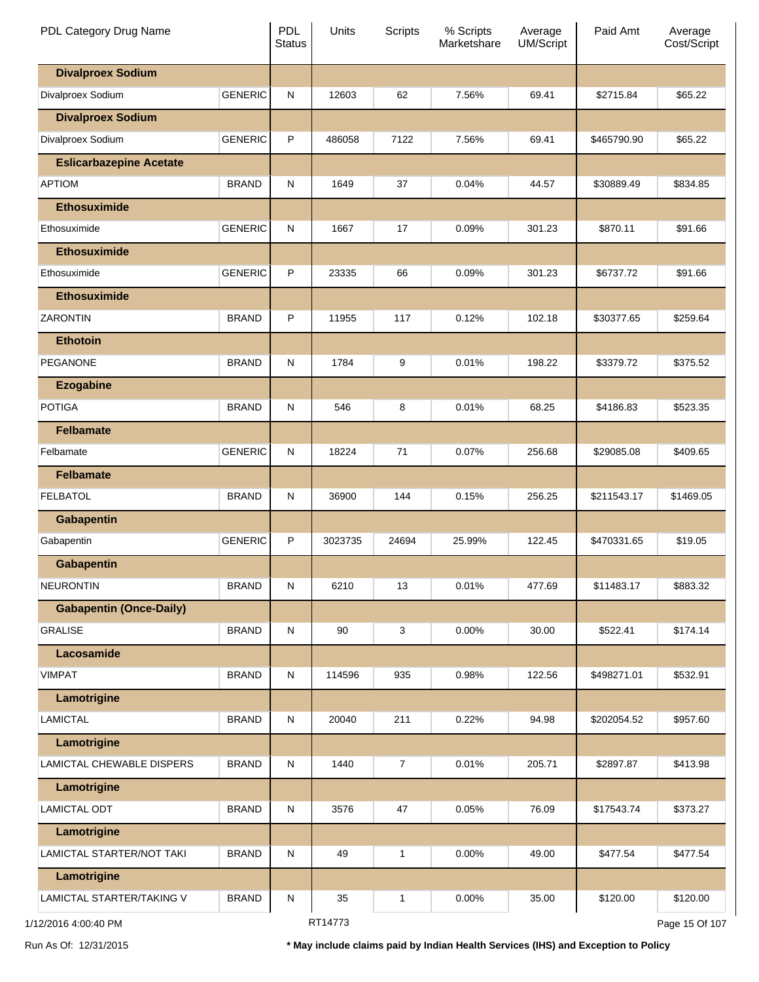| PDL Category Drug Name         |                | <b>PDL</b><br><b>Status</b> | Units   | <b>Scripts</b> | % Scripts<br>Marketshare | Average<br><b>UM/Script</b> | Paid Amt    | Average<br>Cost/Script |
|--------------------------------|----------------|-----------------------------|---------|----------------|--------------------------|-----------------------------|-------------|------------------------|
| <b>Divalproex Sodium</b>       |                |                             |         |                |                          |                             |             |                        |
| Divalproex Sodium              | <b>GENERIC</b> | N                           | 12603   | 62             | 7.56%                    | 69.41                       | \$2715.84   | \$65.22                |
| <b>Divalproex Sodium</b>       |                |                             |         |                |                          |                             |             |                        |
| Divalproex Sodium              | <b>GENERIC</b> | P                           | 486058  | 7122           | 7.56%                    | 69.41                       | \$465790.90 | \$65.22                |
| <b>Eslicarbazepine Acetate</b> |                |                             |         |                |                          |                             |             |                        |
| <b>APTIOM</b>                  | <b>BRAND</b>   | $\mathsf{N}$                | 1649    | 37             | 0.04%                    | 44.57                       | \$30889.49  | \$834.85               |
| <b>Ethosuximide</b>            |                |                             |         |                |                          |                             |             |                        |
| Ethosuximide                   | <b>GENERIC</b> | N                           | 1667    | 17             | 0.09%                    | 301.23                      | \$870.11    | \$91.66                |
| <b>Ethosuximide</b>            |                |                             |         |                |                          |                             |             |                        |
| Ethosuximide                   | <b>GENERIC</b> | P                           | 23335   | 66             | 0.09%                    | 301.23                      | \$6737.72   | \$91.66                |
| <b>Ethosuximide</b>            |                |                             |         |                |                          |                             |             |                        |
| ZARONTIN                       | <b>BRAND</b>   | P                           | 11955   | 117            | 0.12%                    | 102.18                      | \$30377.65  | \$259.64               |
| <b>Ethotoin</b>                |                |                             |         |                |                          |                             |             |                        |
| <b>PEGANONE</b>                | <b>BRAND</b>   | $\mathsf{N}$                | 1784    | 9              | 0.01%                    | 198.22                      | \$3379.72   | \$375.52               |
| <b>Ezogabine</b>               |                |                             |         |                |                          |                             |             |                        |
| <b>POTIGA</b>                  | <b>BRAND</b>   | $\mathsf{N}$                | 546     | 8              | 0.01%                    | 68.25                       | \$4186.83   | \$523.35               |
| <b>Felbamate</b>               |                |                             |         |                |                          |                             |             |                        |
| Felbamate                      | <b>GENERIC</b> | N                           | 18224   | 71             | 0.07%                    | 256.68                      | \$29085.08  | \$409.65               |
| <b>Felbamate</b>               |                |                             |         |                |                          |                             |             |                        |
| <b>FELBATOL</b>                | <b>BRAND</b>   | N                           | 36900   | 144            | 0.15%                    | 256.25                      | \$211543.17 | \$1469.05              |
| <b>Gabapentin</b>              |                |                             |         |                |                          |                             |             |                        |
| Gabapentin                     | <b>GENERIC</b> | P                           | 3023735 | 24694          | 25.99%                   | 122.45                      | \$470331.65 | \$19.05                |
| <b>Gabapentin</b>              |                |                             |         |                |                          |                             |             |                        |
| <b>NEURONTIN</b>               | <b>BRAND</b>   | N                           | 6210    | 13             | 0.01%                    | 477.69                      | \$11483.17  | \$883.32               |
| <b>Gabapentin (Once-Daily)</b> |                |                             |         |                |                          |                             |             |                        |
| <b>GRALISE</b>                 | <b>BRAND</b>   | ${\sf N}$                   | 90      | 3              | 0.00%                    | 30.00                       | \$522.41    | \$174.14               |
| Lacosamide                     |                |                             |         |                |                          |                             |             |                        |
| <b>VIMPAT</b>                  | <b>BRAND</b>   | N                           | 114596  | 935            | 0.98%                    | 122.56                      | \$498271.01 | \$532.91               |
| Lamotrigine                    |                |                             |         |                |                          |                             |             |                        |
| <b>LAMICTAL</b>                | <b>BRAND</b>   | N                           | 20040   | 211            | 0.22%                    | 94.98                       | \$202054.52 | \$957.60               |
| Lamotrigine                    |                |                             |         |                |                          |                             |             |                        |
| LAMICTAL CHEWABLE DISPERS      | <b>BRAND</b>   | ${\sf N}$                   | 1440    | $\overline{7}$ | 0.01%                    | 205.71                      | \$2897.87   | \$413.98               |
| Lamotrigine                    |                |                             |         |                |                          |                             |             |                        |
| <b>LAMICTAL ODT</b>            | <b>BRAND</b>   | ${\sf N}$                   | 3576    | 47             | 0.05%                    | 76.09                       | \$17543.74  | \$373.27               |
| Lamotrigine                    |                |                             |         |                |                          |                             |             |                        |
| LAMICTAL STARTER/NOT TAKI      | <b>BRAND</b>   | N                           | 49      | 1              | 0.00%                    | 49.00                       | \$477.54    | \$477.54               |
| Lamotrigine                    |                |                             |         |                |                          |                             |             |                        |
| LAMICTAL STARTER/TAKING V      | <b>BRAND</b>   | N                           | 35      | 1              | 0.00%                    | 35.00                       | \$120.00    | \$120.00               |
| 2/2016 4:00:40 PM              |                |                             | RT14773 |                |                          |                             |             | Page 15 Of 107         |

Run As Of: 12/31/2015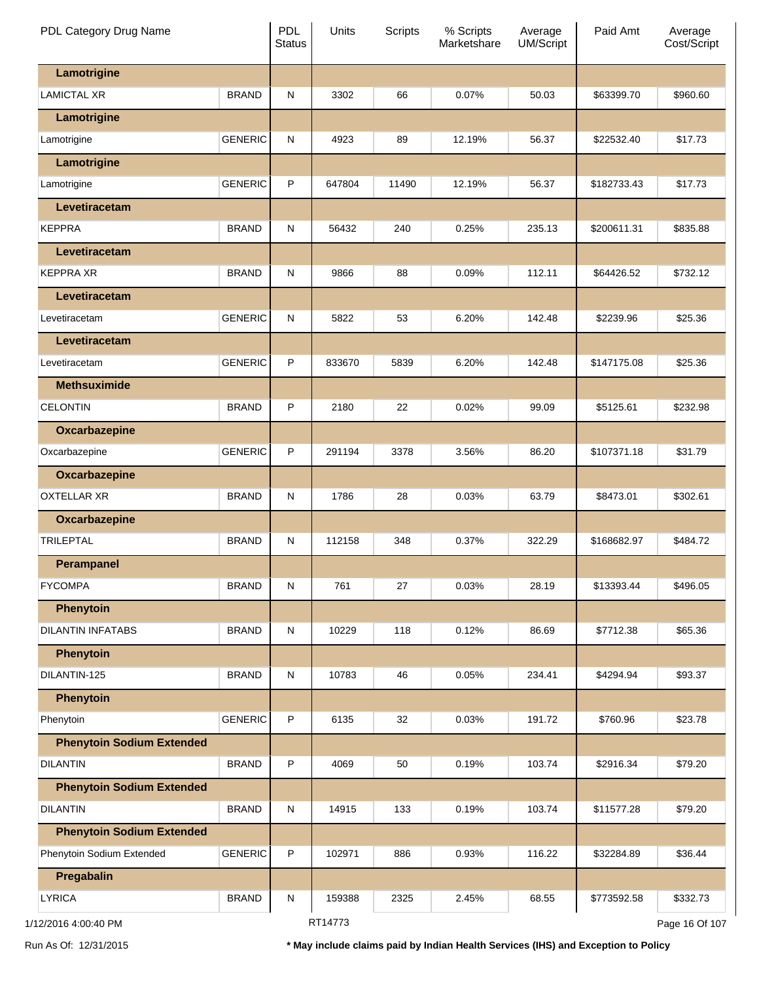| PDL Category Drug Name           |                | <b>PDL</b><br><b>Status</b> | Units   | <b>Scripts</b> | % Scripts<br>Marketshare | Average<br>UM/Script | Paid Amt    | Average<br>Cost/Script |
|----------------------------------|----------------|-----------------------------|---------|----------------|--------------------------|----------------------|-------------|------------------------|
| Lamotrigine                      |                |                             |         |                |                          |                      |             |                        |
| <b>LAMICTAL XR</b>               | <b>BRAND</b>   | ${\sf N}$                   | 3302    | 66             | 0.07%                    | 50.03                | \$63399.70  | \$960.60               |
| Lamotrigine                      |                |                             |         |                |                          |                      |             |                        |
| Lamotrigine                      | <b>GENERIC</b> | ${\sf N}$                   | 4923    | 89             | 12.19%                   | 56.37                | \$22532.40  | \$17.73                |
| Lamotrigine                      |                |                             |         |                |                          |                      |             |                        |
| Lamotrigine                      | <b>GENERIC</b> | P                           | 647804  | 11490          | 12.19%                   | 56.37                | \$182733.43 | \$17.73                |
| Levetiracetam                    |                |                             |         |                |                          |                      |             |                        |
| <b>KEPPRA</b>                    | <b>BRAND</b>   | ${\sf N}$                   | 56432   | 240            | 0.25%                    | 235.13               | \$200611.31 | \$835.88               |
| Levetiracetam                    |                |                             |         |                |                          |                      |             |                        |
| <b>KEPPRA XR</b>                 | <b>BRAND</b>   | ${\sf N}$                   | 9866    | 88             | 0.09%                    | 112.11               | \$64426.52  | \$732.12               |
| Levetiracetam                    |                |                             |         |                |                          |                      |             |                        |
| Levetiracetam                    | <b>GENERIC</b> | ${\sf N}$                   | 5822    | 53             | 6.20%                    | 142.48               | \$2239.96   | \$25.36                |
| Levetiracetam                    |                |                             |         |                |                          |                      |             |                        |
| Levetiracetam                    | <b>GENERIC</b> | P                           | 833670  | 5839           | 6.20%                    | 142.48               | \$147175.08 | \$25.36                |
| <b>Methsuximide</b>              |                |                             |         |                |                          |                      |             |                        |
| <b>CELONTIN</b>                  | <b>BRAND</b>   | P                           | 2180    | 22             | 0.02%                    | 99.09                | \$5125.61   | \$232.98               |
| Oxcarbazepine                    |                |                             |         |                |                          |                      |             |                        |
| Oxcarbazepine                    | <b>GENERIC</b> | P                           | 291194  | 3378           | 3.56%                    | 86.20                | \$107371.18 | \$31.79                |
| Oxcarbazepine                    |                |                             |         |                |                          |                      |             |                        |
| <b>OXTELLAR XR</b>               | <b>BRAND</b>   | ${\sf N}$                   | 1786    | 28             | 0.03%                    | 63.79                | \$8473.01   | \$302.61               |
| Oxcarbazepine                    |                |                             |         |                |                          |                      |             |                        |
| <b>TRILEPTAL</b>                 | <b>BRAND</b>   | ${\sf N}$                   | 112158  | 348            | 0.37%                    | 322.29               | \$168682.97 | \$484.72               |
| <b>Perampanel</b>                |                |                             |         |                |                          |                      |             |                        |
| <b>FYCOMPA</b>                   | <b>BRAND</b>   | ${\sf N}$                   | 761     | 27             | 0.03%                    | 28.19                | \$13393.44  | \$496.05               |
| <b>Phenytoin</b>                 |                |                             |         |                |                          |                      |             |                        |
| <b>DILANTIN INFATABS</b>         | <b>BRAND</b>   | ${\sf N}$                   | 10229   | 118            | 0.12%                    | 86.69                | \$7712.38   | \$65.36                |
| <b>Phenytoin</b>                 |                |                             |         |                |                          |                      |             |                        |
| DILANTIN-125                     | <b>BRAND</b>   | ${\sf N}$                   | 10783   | 46             | 0.05%                    | 234.41               | \$4294.94   | \$93.37                |
| Phenytoin                        |                |                             |         |                |                          |                      |             |                        |
| Phenytoin                        | <b>GENERIC</b> | P                           | 6135    | 32             | 0.03%                    | 191.72               | \$760.96    | \$23.78                |
| <b>Phenytoin Sodium Extended</b> |                |                             |         |                |                          |                      |             |                        |
| <b>DILANTIN</b>                  | <b>BRAND</b>   | P                           | 4069    | 50             | 0.19%                    | 103.74               | \$2916.34   | \$79.20                |
| <b>Phenytoin Sodium Extended</b> |                |                             |         |                |                          |                      |             |                        |
| <b>DILANTIN</b>                  | <b>BRAND</b>   | ${\sf N}$                   | 14915   | 133            | 0.19%                    | 103.74               | \$11577.28  | \$79.20                |
| <b>Phenytoin Sodium Extended</b> |                |                             |         |                |                          |                      |             |                        |
| Phenytoin Sodium Extended        | <b>GENERIC</b> | P                           | 102971  | 886            | 0.93%                    | 116.22               | \$32284.89  | \$36.44                |
| Pregabalin                       |                |                             |         |                |                          |                      |             |                        |
| <b>LYRICA</b>                    | <b>BRAND</b>   | ${\sf N}$                   | 159388  | 2325           | 2.45%                    | 68.55                | \$773592.58 | \$332.73               |
| 1/12/2016 4:00:40 PM             |                |                             | RT14773 |                |                          |                      |             | Page 16 Of 107         |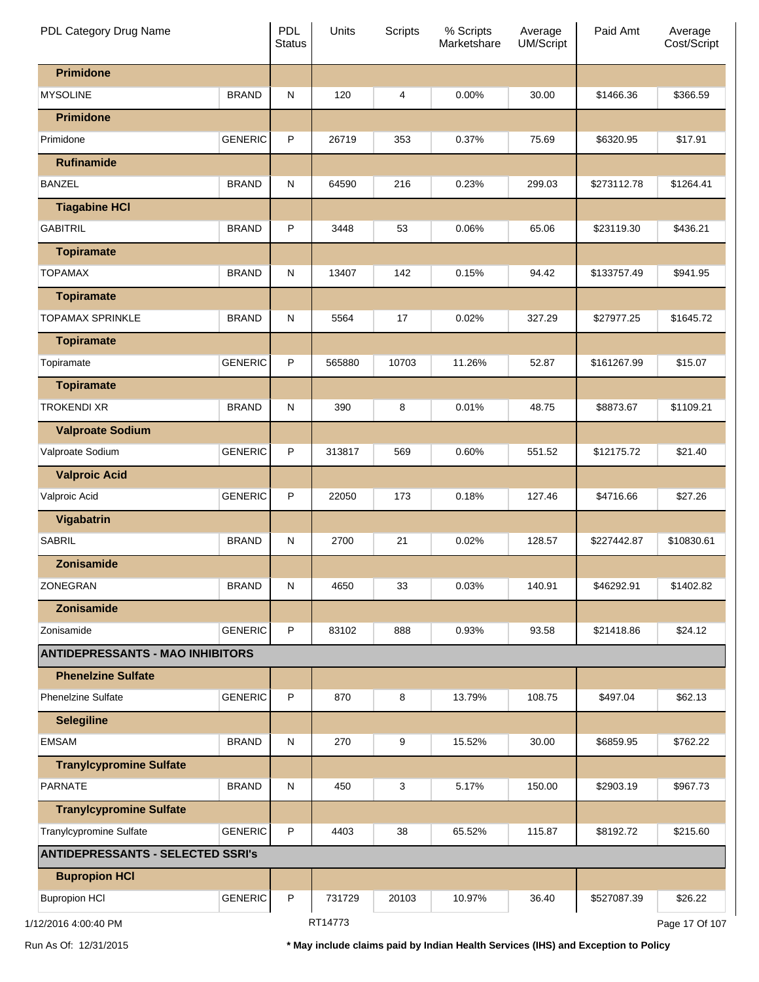| PDL Category Drug Name                   |                | <b>PDL</b><br><b>Status</b> | Units   | <b>Scripts</b> | % Scripts<br>Marketshare | Average<br><b>UM/Script</b> | Paid Amt    | Average<br>Cost/Script |
|------------------------------------------|----------------|-----------------------------|---------|----------------|--------------------------|-----------------------------|-------------|------------------------|
| <b>Primidone</b>                         |                |                             |         |                |                          |                             |             |                        |
| <b>MYSOLINE</b>                          | <b>BRAND</b>   | N                           | 120     | 4              | $0.00\%$                 | 30.00                       | \$1466.36   | \$366.59               |
| <b>Primidone</b>                         |                |                             |         |                |                          |                             |             |                        |
| Primidone                                | <b>GENERIC</b> | P                           | 26719   | 353            | 0.37%                    | 75.69                       | \$6320.95   | \$17.91                |
| <b>Rufinamide</b>                        |                |                             |         |                |                          |                             |             |                        |
| <b>BANZEL</b>                            | <b>BRAND</b>   | N                           | 64590   | 216            | 0.23%                    | 299.03                      | \$273112.78 | \$1264.41              |
| <b>Tiagabine HCI</b>                     |                |                             |         |                |                          |                             |             |                        |
| <b>GABITRIL</b>                          | <b>BRAND</b>   | P                           | 3448    | 53             | 0.06%                    | 65.06                       | \$23119.30  | \$436.21               |
| <b>Topiramate</b>                        |                |                             |         |                |                          |                             |             |                        |
| TOPAMAX                                  | <b>BRAND</b>   | N                           | 13407   | 142            | 0.15%                    | 94.42                       | \$133757.49 | \$941.95               |
| <b>Topiramate</b>                        |                |                             |         |                |                          |                             |             |                        |
| <b>TOPAMAX SPRINKLE</b>                  | <b>BRAND</b>   | N                           | 5564    | 17             | 0.02%                    | 327.29                      | \$27977.25  | \$1645.72              |
| <b>Topiramate</b>                        |                |                             |         |                |                          |                             |             |                        |
| Topiramate                               | <b>GENERIC</b> | P                           | 565880  | 10703          | 11.26%                   | 52.87                       | \$161267.99 | \$15.07                |
| <b>Topiramate</b>                        |                |                             |         |                |                          |                             |             |                        |
| <b>TROKENDI XR</b>                       | <b>BRAND</b>   | N                           | 390     | 8              | 0.01%                    | 48.75                       | \$8873.67   | \$1109.21              |
| <b>Valproate Sodium</b>                  |                |                             |         |                |                          |                             |             |                        |
| Valproate Sodium                         | <b>GENERIC</b> | P                           | 313817  | 569            | 0.60%                    | 551.52                      | \$12175.72  | \$21.40                |
| <b>Valproic Acid</b>                     |                |                             |         |                |                          |                             |             |                        |
| Valproic Acid                            | <b>GENERIC</b> | P                           | 22050   | 173            | 0.18%                    | 127.46                      | \$4716.66   | \$27.26                |
| Vigabatrin                               |                |                             |         |                |                          |                             |             |                        |
| <b>SABRIL</b>                            | <b>BRAND</b>   | N                           | 2700    | 21             | 0.02%                    | 128.57                      | \$227442.87 | \$10830.61             |
| Zonisamide                               |                |                             |         |                |                          |                             |             |                        |
| ZONEGRAN                                 | <b>BRAND</b>   | ${\sf N}$                   | 4650    | 33             | 0.03%                    | 140.91                      | \$46292.91  | \$1402.82              |
| Zonisamide                               |                |                             |         |                |                          |                             |             |                        |
| Zonisamide                               | <b>GENERIC</b> | P                           | 83102   | 888            | 0.93%                    | 93.58                       | \$21418.86  | \$24.12                |
| <b>ANTIDEPRESSANTS - MAO INHIBITORS</b>  |                |                             |         |                |                          |                             |             |                        |
| <b>Phenelzine Sulfate</b>                |                |                             |         |                |                          |                             |             |                        |
| <b>Phenelzine Sulfate</b>                | <b>GENERIC</b> | P                           | 870     | 8              | 13.79%                   | 108.75                      | \$497.04    | \$62.13                |
| <b>Selegiline</b>                        |                |                             |         |                |                          |                             |             |                        |
| <b>EMSAM</b>                             | <b>BRAND</b>   | N                           | 270     | 9              | 15.52%                   | 30.00                       | \$6859.95   | \$762.22               |
| <b>Tranylcypromine Sulfate</b>           |                |                             |         |                |                          |                             |             |                        |
| <b>PARNATE</b>                           | <b>BRAND</b>   | N                           | 450     | 3              | 5.17%                    | 150.00                      | \$2903.19   | \$967.73               |
| <b>Tranylcypromine Sulfate</b>           |                |                             |         |                |                          |                             |             |                        |
| Tranylcypromine Sulfate                  | <b>GENERIC</b> | P                           | 4403    | 38             | 65.52%                   | 115.87                      | \$8192.72   | \$215.60               |
| <b>ANTIDEPRESSANTS - SELECTED SSRI's</b> |                |                             |         |                |                          |                             |             |                        |
| <b>Bupropion HCI</b>                     |                |                             |         |                |                          |                             |             |                        |
| <b>Bupropion HCI</b>                     | <b>GENERIC</b> | P                           | 731729  | 20103          | 10.97%                   | 36.40                       | \$527087.39 | \$26.22                |
| 1/12/2016 4:00:40 PM                     |                |                             | RT14773 |                |                          |                             |             | Page 17 Of 107         |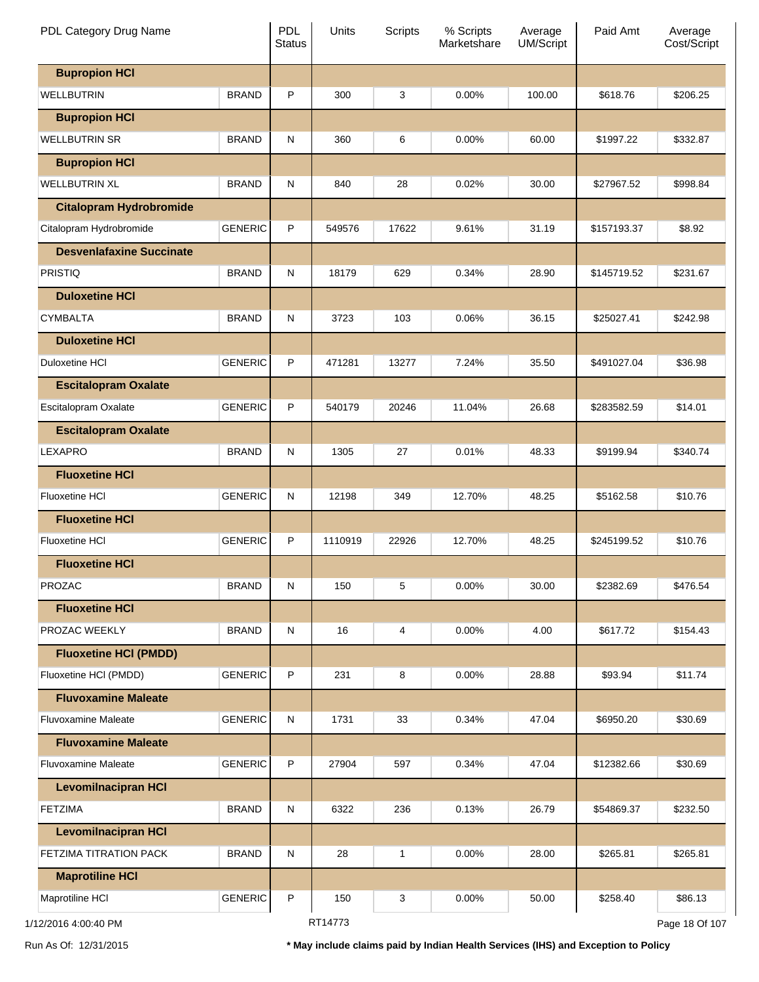| PDL Category Drug Name          |                | <b>PDL</b><br><b>Status</b> | Units   | <b>Scripts</b> | % Scripts<br>Marketshare | Average<br><b>UM/Script</b> | Paid Amt    | Average<br>Cost/Script |
|---------------------------------|----------------|-----------------------------|---------|----------------|--------------------------|-----------------------------|-------------|------------------------|
| <b>Bupropion HCI</b>            |                |                             |         |                |                          |                             |             |                        |
| <b>WELLBUTRIN</b>               | <b>BRAND</b>   | P                           | 300     | 3              | 0.00%                    | 100.00                      | \$618.76    | \$206.25               |
| <b>Bupropion HCI</b>            |                |                             |         |                |                          |                             |             |                        |
| <b>WELLBUTRIN SR</b>            | <b>BRAND</b>   | N                           | 360     | 6              | 0.00%                    | 60.00                       | \$1997.22   | \$332.87               |
| <b>Bupropion HCI</b>            |                |                             |         |                |                          |                             |             |                        |
| <b>WELLBUTRIN XL</b>            | <b>BRAND</b>   | N                           | 840     | 28             | 0.02%                    | 30.00                       | \$27967.52  | \$998.84               |
| <b>Citalopram Hydrobromide</b>  |                |                             |         |                |                          |                             |             |                        |
| Citalopram Hydrobromide         | <b>GENERIC</b> | P                           | 549576  | 17622          | 9.61%                    | 31.19                       | \$157193.37 | \$8.92                 |
| <b>Desvenlafaxine Succinate</b> |                |                             |         |                |                          |                             |             |                        |
| <b>PRISTIQ</b>                  | <b>BRAND</b>   | N                           | 18179   | 629            | 0.34%                    | 28.90                       | \$145719.52 | \$231.67               |
| <b>Duloxetine HCI</b>           |                |                             |         |                |                          |                             |             |                        |
| <b>CYMBALTA</b>                 | <b>BRAND</b>   | N                           | 3723    | 103            | 0.06%                    | 36.15                       | \$25027.41  | \$242.98               |
| <b>Duloxetine HCI</b>           |                |                             |         |                |                          |                             |             |                        |
| Duloxetine HCI                  | <b>GENERIC</b> | P                           | 471281  | 13277          | 7.24%                    | 35.50                       | \$491027.04 | \$36.98                |
| <b>Escitalopram Oxalate</b>     |                |                             |         |                |                          |                             |             |                        |
| Escitalopram Oxalate            | <b>GENERIC</b> | P                           | 540179  | 20246          | 11.04%                   | 26.68                       | \$283582.59 | \$14.01                |
| <b>Escitalopram Oxalate</b>     |                |                             |         |                |                          |                             |             |                        |
| <b>LEXAPRO</b>                  | <b>BRAND</b>   | N                           | 1305    | 27             | 0.01%                    | 48.33                       | \$9199.94   | \$340.74               |
| <b>Fluoxetine HCI</b>           |                |                             |         |                |                          |                             |             |                        |
| <b>Fluoxetine HCI</b>           | <b>GENERIC</b> | N                           | 12198   | 349            | 12.70%                   | 48.25                       | \$5162.58   | \$10.76                |
| <b>Fluoxetine HCI</b>           |                |                             |         |                |                          |                             |             |                        |
| <b>Fluoxetine HCI</b>           | <b>GENERIC</b> | P                           | 1110919 | 22926          | 12.70%                   | 48.25                       | \$245199.52 | \$10.76                |
| <b>Fluoxetine HCI</b>           |                |                             |         |                |                          |                             |             |                        |
| PROZAC                          | <b>BRAND</b>   | ${\sf N}$                   | 150     | 5              | 0.00%                    | 30.00                       | \$2382.69   | \$476.54               |
| <b>Fluoxetine HCI</b>           |                |                             |         |                |                          |                             |             |                        |
| PROZAC WEEKLY                   | <b>BRAND</b>   | N                           | 16      | 4              | 0.00%                    | 4.00                        | \$617.72    | \$154.43               |
| <b>Fluoxetine HCI (PMDD)</b>    |                |                             |         |                |                          |                             |             |                        |
| Fluoxetine HCI (PMDD)           | <b>GENERIC</b> | P                           | 231     | 8              | 0.00%                    | 28.88                       | \$93.94     | \$11.74                |
| <b>Fluvoxamine Maleate</b>      |                |                             |         |                |                          |                             |             |                        |
| <b>Fluvoxamine Maleate</b>      | <b>GENERIC</b> | N                           | 1731    | 33             | 0.34%                    | 47.04                       | \$6950.20   | \$30.69                |
| <b>Fluvoxamine Maleate</b>      |                |                             |         |                |                          |                             |             |                        |
| <b>Fluvoxamine Maleate</b>      | <b>GENERIC</b> | P                           | 27904   | 597            | 0.34%                    | 47.04                       | \$12382.66  | \$30.69                |
| <b>Levomilnacipran HCI</b>      |                |                             |         |                |                          |                             |             |                        |
| <b>FETZIMA</b>                  | <b>BRAND</b>   | N                           | 6322    | 236            | 0.13%                    | 26.79                       | \$54869.37  | \$232.50               |
| <b>Levomilnacipran HCI</b>      |                |                             |         |                |                          |                             |             |                        |
| FETZIMA TITRATION PACK          | <b>BRAND</b>   | N                           | 28      | 1              | 0.00%                    | 28.00                       | \$265.81    | \$265.81               |
| <b>Maprotiline HCI</b>          |                |                             |         |                |                          |                             |             |                        |
| Maprotiline HCI                 | <b>GENERIC</b> | P                           | 150     | 3              | 0.00%                    | 50.00                       | \$258.40    | \$86.13                |
| 1/12/2016 4:00:40 PM            |                |                             | RT14773 |                |                          |                             |             | Page 18 Of 107         |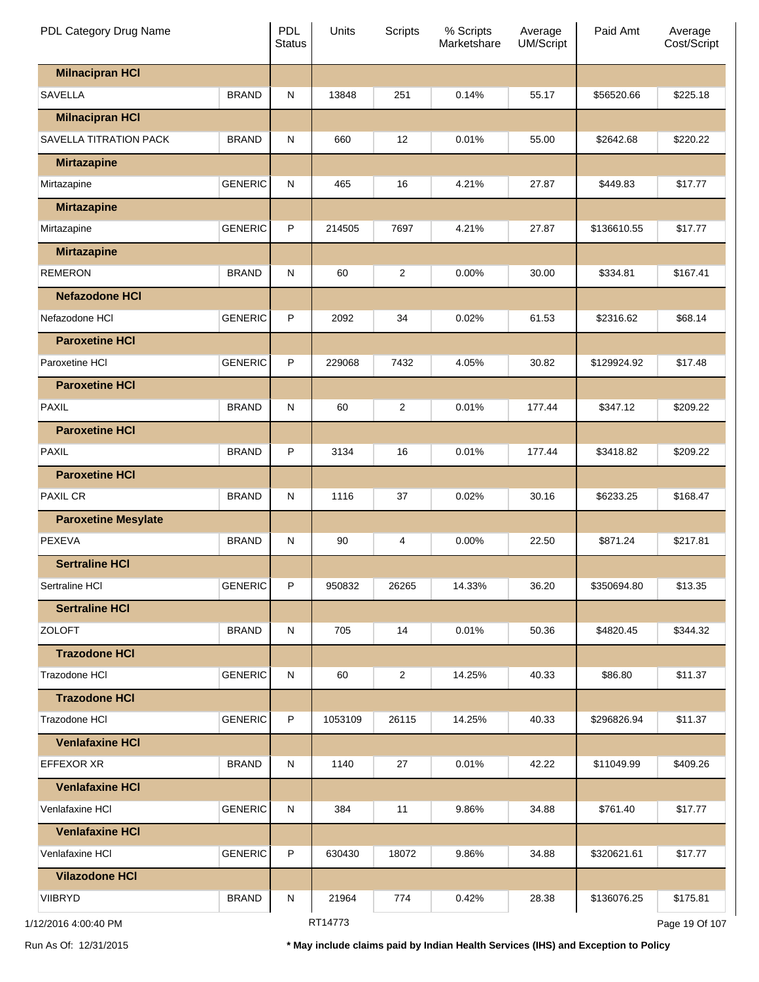| PDL Category Drug Name     |                | <b>PDL</b><br><b>Status</b> | Units   | <b>Scripts</b> | % Scripts<br>Marketshare | Average<br>UM/Script | Paid Amt    | Average<br>Cost/Script |
|----------------------------|----------------|-----------------------------|---------|----------------|--------------------------|----------------------|-------------|------------------------|
| <b>Milnacipran HCI</b>     |                |                             |         |                |                          |                      |             |                        |
| <b>SAVELLA</b>             | <b>BRAND</b>   | ${\sf N}$                   | 13848   | 251            | 0.14%                    | 55.17                | \$56520.66  | \$225.18               |
| <b>Milnacipran HCI</b>     |                |                             |         |                |                          |                      |             |                        |
| SAVELLA TITRATION PACK     | <b>BRAND</b>   | ${\sf N}$                   | 660     | 12             | 0.01%                    | 55.00                | \$2642.68   | \$220.22               |
| <b>Mirtazapine</b>         |                |                             |         |                |                          |                      |             |                        |
| Mirtazapine                | <b>GENERIC</b> | ${\sf N}$                   | 465     | 16             | 4.21%                    | 27.87                | \$449.83    | \$17.77                |
| <b>Mirtazapine</b>         |                |                             |         |                |                          |                      |             |                        |
| Mirtazapine                | <b>GENERIC</b> | P                           | 214505  | 7697           | 4.21%                    | 27.87                | \$136610.55 | \$17.77                |
| <b>Mirtazapine</b>         |                |                             |         |                |                          |                      |             |                        |
| REMERON                    | <b>BRAND</b>   | ${\sf N}$                   | 60      | 2              | 0.00%                    | 30.00                | \$334.81    | \$167.41               |
| <b>Nefazodone HCI</b>      |                |                             |         |                |                          |                      |             |                        |
| Nefazodone HCI             | <b>GENERIC</b> | P                           | 2092    | 34             | 0.02%                    | 61.53                | \$2316.62   | \$68.14                |
| <b>Paroxetine HCI</b>      |                |                             |         |                |                          |                      |             |                        |
| Paroxetine HCI             | <b>GENERIC</b> | P                           | 229068  | 7432           | 4.05%                    | 30.82                | \$129924.92 | \$17.48                |
| <b>Paroxetine HCI</b>      |                |                             |         |                |                          |                      |             |                        |
| <b>PAXIL</b>               | <b>BRAND</b>   | ${\sf N}$                   | 60      | 2              | 0.01%                    | 177.44               | \$347.12    | \$209.22               |
| <b>Paroxetine HCI</b>      |                |                             |         |                |                          |                      |             |                        |
| <b>PAXIL</b>               | <b>BRAND</b>   | P                           | 3134    | 16             | 0.01%                    | 177.44               | \$3418.82   | \$209.22               |
| <b>Paroxetine HCI</b>      |                |                             |         |                |                          |                      |             |                        |
| PAXIL CR                   | <b>BRAND</b>   | ${\sf N}$                   | 1116    | 37             | 0.02%                    | 30.16                | \$6233.25   | \$168.47               |
| <b>Paroxetine Mesylate</b> |                |                             |         |                |                          |                      |             |                        |
| <b>PEXEVA</b>              | <b>BRAND</b>   | ${\sf N}$                   | 90      | 4              | 0.00%                    | 22.50                | \$871.24    | \$217.81               |
| <b>Sertraline HCI</b>      |                |                             |         |                |                          |                      |             |                        |
| Sertraline HCI             | <b>GENERIC</b> | P                           | 950832  | 26265          | 14.33%                   | 36.20                | \$350694.80 | \$13.35                |
| <b>Sertraline HCI</b>      |                |                             |         |                |                          |                      |             |                        |
| <b>ZOLOFT</b>              | <b>BRAND</b>   | N                           | 705     | 14             | 0.01%                    | 50.36                | \$4820.45   | \$344.32               |
| <b>Trazodone HCI</b>       |                |                             |         |                |                          |                      |             |                        |
| Trazodone HCI              | <b>GENERIC</b> | N                           | 60      | 2              | 14.25%                   | 40.33                | \$86.80     | \$11.37                |
| <b>Trazodone HCI</b>       |                |                             |         |                |                          |                      |             |                        |
| Trazodone HCI              | <b>GENERIC</b> | P                           | 1053109 | 26115          | 14.25%                   | 40.33                | \$296826.94 | \$11.37                |
| <b>Venlafaxine HCI</b>     |                |                             |         |                |                          |                      |             |                        |
| <b>EFFEXOR XR</b>          | <b>BRAND</b>   | N                           | 1140    | 27             | 0.01%                    | 42.22                | \$11049.99  | \$409.26               |
| <b>Venlafaxine HCI</b>     |                |                             |         |                |                          |                      |             |                        |
| Venlafaxine HCI            | <b>GENERIC</b> | N                           | 384     | 11             | 9.86%                    | 34.88                | \$761.40    | \$17.77                |
| <b>Venlafaxine HCI</b>     |                |                             |         |                |                          |                      |             |                        |
| Venlafaxine HCI            | <b>GENERIC</b> | P                           | 630430  | 18072          | 9.86%                    | 34.88                | \$320621.61 | \$17.77                |
| <b>Vilazodone HCI</b>      |                |                             |         |                |                          |                      |             |                        |
| <b>VIIBRYD</b>             | <b>BRAND</b>   | N                           | 21964   | 774            | 0.42%                    | 28.38                | \$136076.25 | \$175.81               |
| 1/12/2016 4:00:40 PM       |                |                             | RT14773 |                |                          |                      |             | Page 19 Of 107         |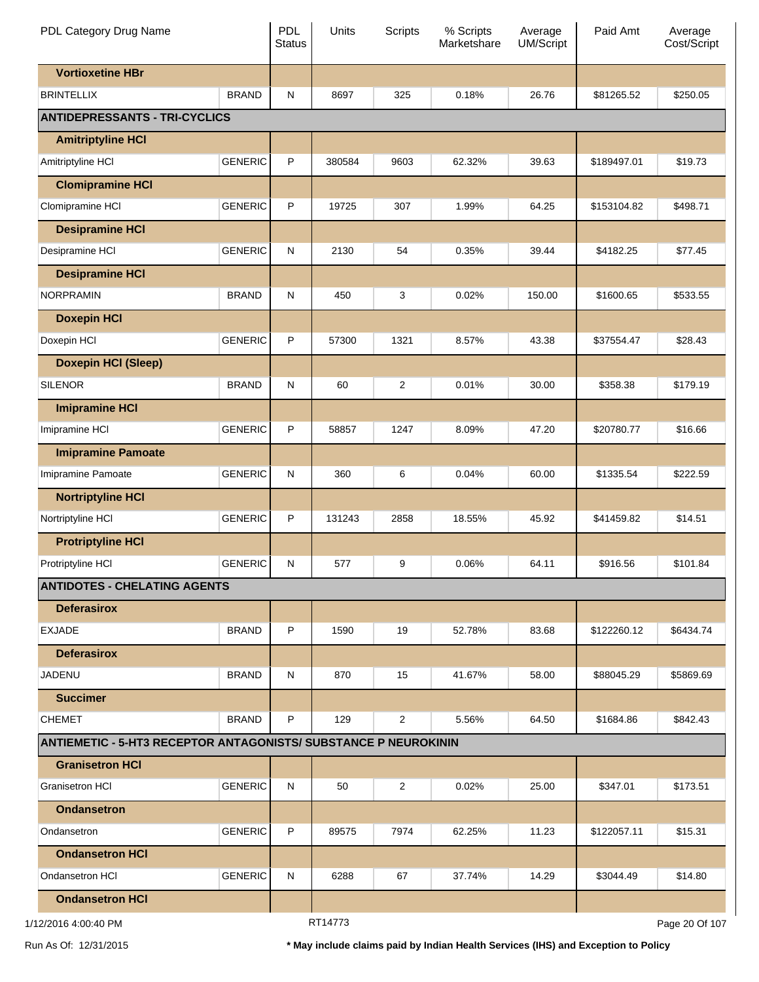| PDL Category Drug Name                                                 |                | PDL<br><b>Status</b> | Units  | Scripts        | % Scripts<br>Marketshare | Average<br><b>UM/Script</b> | Paid Amt    | Average<br>Cost/Script |
|------------------------------------------------------------------------|----------------|----------------------|--------|----------------|--------------------------|-----------------------------|-------------|------------------------|
| <b>Vortioxetine HBr</b>                                                |                |                      |        |                |                          |                             |             |                        |
| <b>BRINTELLIX</b>                                                      | <b>BRAND</b>   | N                    | 8697   | 325            | 0.18%                    | 26.76                       | \$81265.52  | \$250.05               |
| <b>ANTIDEPRESSANTS - TRI-CYCLICS</b>                                   |                |                      |        |                |                          |                             |             |                        |
| <b>Amitriptyline HCI</b>                                               |                |                      |        |                |                          |                             |             |                        |
| Amitriptyline HCI                                                      | <b>GENERIC</b> | P                    | 380584 | 9603           | 62.32%                   | 39.63                       | \$189497.01 | \$19.73                |
| <b>Clomipramine HCI</b>                                                |                |                      |        |                |                          |                             |             |                        |
| Clomipramine HCI                                                       | <b>GENERIC</b> | P                    | 19725  | 307            | 1.99%                    | 64.25                       | \$153104.82 | \$498.71               |
| <b>Desipramine HCI</b>                                                 |                |                      |        |                |                          |                             |             |                        |
| Desipramine HCI                                                        | <b>GENERIC</b> | N                    | 2130   | 54             | 0.35%                    | 39.44                       | \$4182.25   | \$77.45                |
| <b>Desipramine HCI</b>                                                 |                |                      |        |                |                          |                             |             |                        |
| <b>NORPRAMIN</b>                                                       | <b>BRAND</b>   | N                    | 450    | 3              | 0.02%                    | 150.00                      | \$1600.65   | \$533.55               |
| <b>Doxepin HCI</b>                                                     |                |                      |        |                |                          |                             |             |                        |
| Doxepin HCI                                                            | <b>GENERIC</b> | P                    | 57300  | 1321           | 8.57%                    | 43.38                       | \$37554.47  | \$28.43                |
| <b>Doxepin HCI (Sleep)</b>                                             |                |                      |        |                |                          |                             |             |                        |
| <b>SILENOR</b>                                                         | <b>BRAND</b>   | N                    | 60     | $\overline{c}$ | 0.01%                    | 30.00                       | \$358.38    | \$179.19               |
| <b>Imipramine HCI</b>                                                  |                |                      |        |                |                          |                             |             |                        |
| Imipramine HCI                                                         | <b>GENERIC</b> | P                    | 58857  | 1247           | 8.09%                    | 47.20                       | \$20780.77  | \$16.66                |
| <b>Imipramine Pamoate</b>                                              |                |                      |        |                |                          |                             |             |                        |
| Imipramine Pamoate                                                     | <b>GENERIC</b> | N                    | 360    | 6              | 0.04%                    | 60.00                       | \$1335.54   | \$222.59               |
| <b>Nortriptyline HCI</b>                                               |                |                      |        |                |                          |                             |             |                        |
| Nortriptyline HCI                                                      | <b>GENERIC</b> | P                    | 131243 | 2858           | 18.55%                   | 45.92                       | \$41459.82  | \$14.51                |
| <b>Protriptyline HCI</b>                                               |                |                      |        |                |                          |                             |             |                        |
| Protriptyline HCI                                                      | <b>GENERIC</b> | N                    | 577    | 9              | 0.06%                    | 64.11                       | \$916.56    | \$101.84               |
| <b>ANTIDOTES - CHELATING AGENTS</b>                                    |                |                      |        |                |                          |                             |             |                        |
| <b>Deferasirox</b>                                                     |                |                      |        |                |                          |                             |             |                        |
| <b>EXJADE</b>                                                          | <b>BRAND</b>   | P                    | 1590   | 19             | 52.78%                   | 83.68                       | \$122260.12 | \$6434.74              |
| <b>Deferasirox</b>                                                     |                |                      |        |                |                          |                             |             |                        |
| <b>JADENU</b>                                                          | <b>BRAND</b>   | N                    | 870    | 15             | 41.67%                   | 58.00                       | \$88045.29  | \$5869.69              |
| <b>Succimer</b>                                                        |                |                      |        |                |                          |                             |             |                        |
| <b>CHEMET</b>                                                          | <b>BRAND</b>   | P                    | 129    | $\overline{c}$ | 5.56%                    | 64.50                       | \$1684.86   | \$842.43               |
| <b>ANTIEMETIC - 5-HT3 RECEPTOR ANTAGONISTS/ SUBSTANCE P NEUROKININ</b> |                |                      |        |                |                          |                             |             |                        |
| <b>Granisetron HCI</b>                                                 |                |                      |        |                |                          |                             |             |                        |
| <b>Granisetron HCI</b>                                                 | <b>GENERIC</b> | N                    | 50     | $\overline{c}$ | 0.02%                    | 25.00                       | \$347.01    | \$173.51               |
| <b>Ondansetron</b>                                                     |                |                      |        |                |                          |                             |             |                        |
| Ondansetron                                                            | <b>GENERIC</b> | P                    | 89575  | 7974           | 62.25%                   | 11.23                       | \$122057.11 | \$15.31                |
| <b>Ondansetron HCI</b>                                                 |                |                      |        |                |                          |                             |             |                        |
| Ondansetron HCI                                                        | <b>GENERIC</b> | N                    | 6288   | 67             | 37.74%                   | 14.29                       | \$3044.49   | \$14.80                |
| <b>Ondansetron HCI</b>                                                 |                |                      |        |                |                          |                             |             |                        |
|                                                                        |                |                      |        |                |                          |                             |             |                        |

RT14773

Page 20 Of 107

Run As Of: 12/31/2015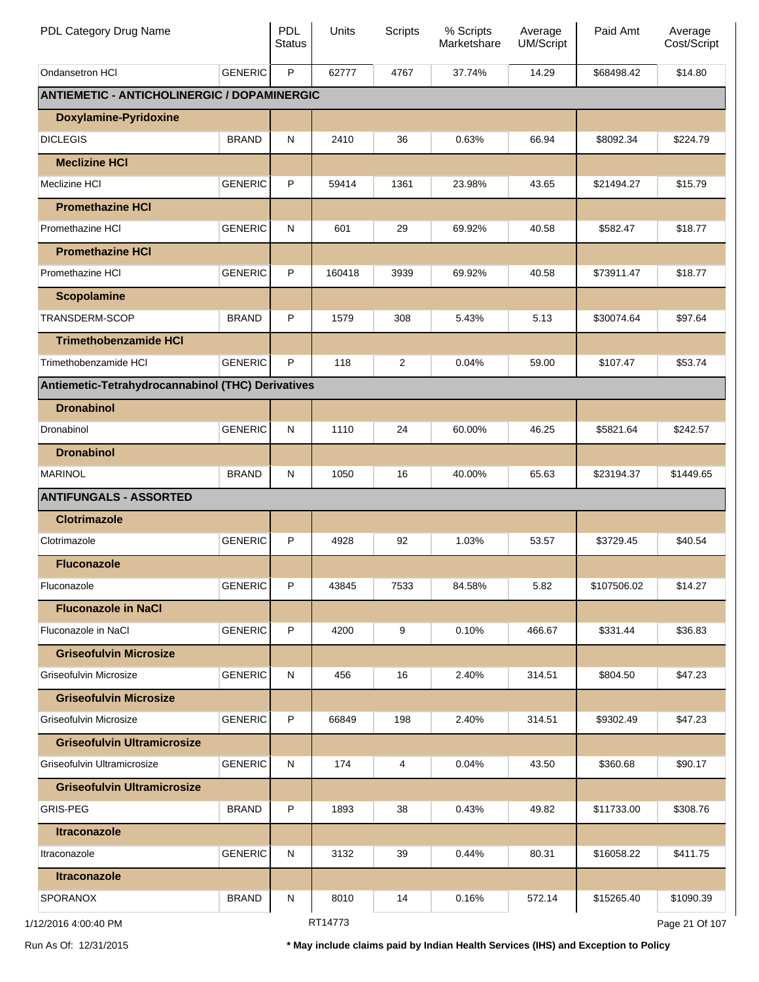| PDL Category Drug Name                             |                | PDL<br><b>Status</b> | Units   | <b>Scripts</b> | % Scripts<br>Marketshare | Average<br>UM/Script | Paid Amt    | Average<br>Cost/Script |
|----------------------------------------------------|----------------|----------------------|---------|----------------|--------------------------|----------------------|-------------|------------------------|
| Ondansetron HCI                                    | <b>GENERIC</b> | P                    | 62777   | 4767           | 37.74%                   | 14.29                | \$68498.42  | \$14.80                |
| <b>ANTIEMETIC - ANTICHOLINERGIC / DOPAMINERGIC</b> |                |                      |         |                |                          |                      |             |                        |
| <b>Doxylamine-Pyridoxine</b>                       |                |                      |         |                |                          |                      |             |                        |
| <b>DICLEGIS</b>                                    | <b>BRAND</b>   | N                    | 2410    | 36             | 0.63%                    | 66.94                | \$8092.34   | \$224.79               |
| <b>Meclizine HCI</b>                               |                |                      |         |                |                          |                      |             |                        |
| Meclizine HCI                                      | <b>GENERIC</b> | P                    | 59414   | 1361           | 23.98%                   | 43.65                | \$21494.27  | \$15.79                |
| <b>Promethazine HCI</b>                            |                |                      |         |                |                          |                      |             |                        |
| Promethazine HCI                                   | <b>GENERIC</b> | N                    | 601     | 29             | 69.92%                   | 40.58                | \$582.47    | \$18.77                |
| <b>Promethazine HCI</b>                            |                |                      |         |                |                          |                      |             |                        |
| Promethazine HCI                                   | <b>GENERIC</b> | P                    | 160418  | 3939           | 69.92%                   | 40.58                | \$73911.47  | \$18.77                |
| <b>Scopolamine</b>                                 |                |                      |         |                |                          |                      |             |                        |
| <b>TRANSDERM-SCOP</b>                              | <b>BRAND</b>   | P                    | 1579    | 308            | 5.43%                    | 5.13                 | \$30074.64  | \$97.64                |
| <b>Trimethobenzamide HCI</b>                       |                |                      |         |                |                          |                      |             |                        |
| Trimethobenzamide HCI                              | <b>GENERIC</b> | P                    | 118     | $\overline{2}$ | 0.04%                    | 59.00                | \$107.47    | \$53.74                |
| Antiemetic-Tetrahydrocannabinol (THC) Derivatives  |                |                      |         |                |                          |                      |             |                        |
| <b>Dronabinol</b>                                  |                |                      |         |                |                          |                      |             |                        |
| Dronabinol                                         | <b>GENERIC</b> | N                    | 1110    | 24             | 60.00%                   | 46.25                | \$5821.64   | \$242.57               |
| <b>Dronabinol</b>                                  |                |                      |         |                |                          |                      |             |                        |
| <b>MARINOL</b>                                     | <b>BRAND</b>   | ${\sf N}$            | 1050    | 16             | 40.00%                   | 65.63                | \$23194.37  | \$1449.65              |
| <b>ANTIFUNGALS - ASSORTED</b>                      |                |                      |         |                |                          |                      |             |                        |
| <b>Clotrimazole</b>                                |                |                      |         |                |                          |                      |             |                        |
| Clotrimazole                                       | <b>GENERIC</b> | P                    | 4928    | 92             | 1.03%                    | 53.57                | \$3729.45   | \$40.54                |
| <b>Fluconazole</b>                                 |                |                      |         |                |                          |                      |             |                        |
| Fluconazole                                        | <b>GENERIC</b> | P                    | 43845   | 7533           | 84.58%                   | 5.82                 | \$107506.02 | \$14.27                |
| <b>Fluconazole in NaCl</b>                         |                |                      |         |                |                          |                      |             |                        |
| Fluconazole in NaCl                                | <b>GENERIC</b> | P                    | 4200    | 9              | 0.10%                    | 466.67               | \$331.44    | \$36.83                |
| <b>Griseofulvin Microsize</b>                      |                |                      |         |                |                          |                      |             |                        |
| Griseofulvin Microsize                             | <b>GENERIC</b> | N                    | 456     | 16             | 2.40%                    | 314.51               | \$804.50    | \$47.23                |
| <b>Griseofulvin Microsize</b>                      |                |                      |         |                |                          |                      |             |                        |
| Griseofulvin Microsize                             | <b>GENERIC</b> | P                    | 66849   | 198            | 2.40%                    | 314.51               | \$9302.49   | \$47.23                |
| <b>Griseofulvin Ultramicrosize</b>                 |                |                      |         |                |                          |                      |             |                        |
| Griseofulvin Ultramicrosize                        | <b>GENERIC</b> | N                    | 174     | 4              | 0.04%                    | 43.50                | \$360.68    | \$90.17                |
| <b>Griseofulvin Ultramicrosize</b>                 |                |                      |         |                |                          |                      |             |                        |
| <b>GRIS-PEG</b>                                    | <b>BRAND</b>   | P                    | 1893    | 38             | 0.43%                    | 49.82                | \$11733.00  | \$308.76               |
| <b>Itraconazole</b>                                |                |                      |         |                |                          |                      |             |                        |
| Itraconazole                                       | <b>GENERIC</b> | N                    | 3132    | 39             | 0.44%                    | 80.31                | \$16058.22  | \$411.75               |
| <b>Itraconazole</b>                                |                |                      |         |                |                          |                      |             |                        |
| <b>SPORANOX</b>                                    | <b>BRAND</b>   | N                    | 8010    | 14             | 0.16%                    | 572.14               | \$15265.40  | \$1090.39              |
| 1/12/2016 4:00:40 PM                               |                |                      | RT14773 |                |                          |                      |             | Page 21 Of 107         |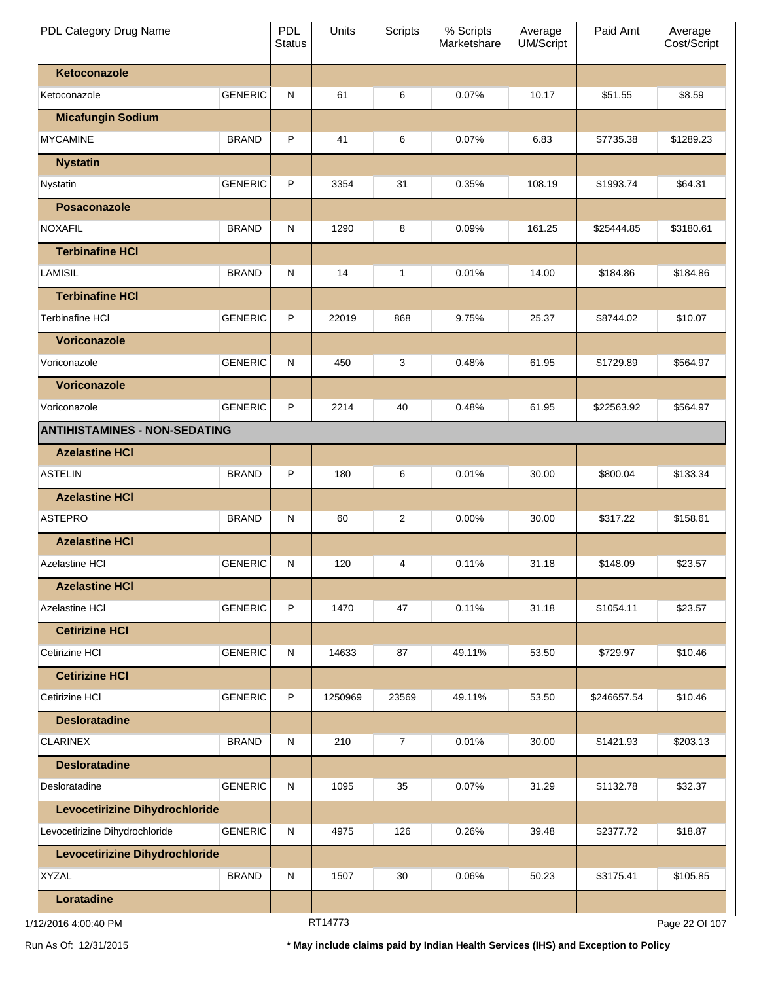| PDL Category Drug Name               |                | PDL<br><b>Status</b> | Units   | <b>Scripts</b> | % Scripts<br>Marketshare | Average<br><b>UM/Script</b> | Paid Amt    | Average<br>Cost/Script |
|--------------------------------------|----------------|----------------------|---------|----------------|--------------------------|-----------------------------|-------------|------------------------|
| Ketoconazole                         |                |                      |         |                |                          |                             |             |                        |
| Ketoconazole                         | <b>GENERIC</b> | N                    | 61      | 6              | 0.07%                    | 10.17                       | \$51.55     | \$8.59                 |
| <b>Micafungin Sodium</b>             |                |                      |         |                |                          |                             |             |                        |
| <b>MYCAMINE</b>                      | <b>BRAND</b>   | P                    | 41      | 6              | 0.07%                    | 6.83                        | \$7735.38   | \$1289.23              |
| <b>Nystatin</b>                      |                |                      |         |                |                          |                             |             |                        |
| Nystatin                             | <b>GENERIC</b> | P                    | 3354    | 31             | 0.35%                    | 108.19                      | \$1993.74   | \$64.31                |
| Posaconazole                         |                |                      |         |                |                          |                             |             |                        |
| <b>NOXAFIL</b>                       | <b>BRAND</b>   | N                    | 1290    | 8              | 0.09%                    | 161.25                      | \$25444.85  | \$3180.61              |
| <b>Terbinafine HCI</b>               |                |                      |         |                |                          |                             |             |                        |
| <b>LAMISIL</b>                       | <b>BRAND</b>   | N                    | 14      | 1              | 0.01%                    | 14.00                       | \$184.86    | \$184.86               |
| <b>Terbinafine HCI</b>               |                |                      |         |                |                          |                             |             |                        |
| <b>Terbinafine HCI</b>               | <b>GENERIC</b> | P                    | 22019   | 868            | 9.75%                    | 25.37                       | \$8744.02   | \$10.07                |
| Voriconazole                         |                |                      |         |                |                          |                             |             |                        |
| Voriconazole                         | <b>GENERIC</b> | N                    | 450     | 3              | 0.48%                    | 61.95                       | \$1729.89   | \$564.97               |
| Voriconazole                         |                |                      |         |                |                          |                             |             |                        |
| Voriconazole                         | <b>GENERIC</b> | P                    | 2214    | 40             | 0.48%                    | 61.95                       | \$22563.92  | \$564.97               |
| <b>ANTIHISTAMINES - NON-SEDATING</b> |                |                      |         |                |                          |                             |             |                        |
| <b>Azelastine HCI</b>                |                |                      |         |                |                          |                             |             |                        |
| <b>ASTELIN</b>                       | <b>BRAND</b>   | P                    | 180     | 6              | 0.01%                    | 30.00                       | \$800.04    | \$133.34               |
| <b>Azelastine HCI</b>                |                |                      |         |                |                          |                             |             |                        |
| <b>ASTEPRO</b>                       | <b>BRAND</b>   | N                    | 60      | $\overline{c}$ | 0.00%                    | 30.00                       | \$317.22    | \$158.61               |
| <b>Azelastine HCI</b>                |                |                      |         |                |                          |                             |             |                        |
| Azelastine HCI                       | <b>GENERIC</b> | N                    | 120     | 4              | 0.11%                    | 31.18                       | \$148.09    | \$23.57                |
| <b>Azelastine HCI</b>                |                |                      |         |                |                          |                             |             |                        |
| <b>Azelastine HCI</b>                | <b>GENERIC</b> | P                    | 1470    | 47             | 0.11%                    | 31.18                       | \$1054.11   | \$23.57                |
| <b>Cetirizine HCI</b>                |                |                      |         |                |                          |                             |             |                        |
| Cetirizine HCI                       | <b>GENERIC</b> | ${\sf N}$            | 14633   | 87             | 49.11%                   | 53.50                       | \$729.97    | \$10.46                |
| <b>Cetirizine HCI</b>                |                |                      |         |                |                          |                             |             |                        |
| Cetirizine HCI                       | <b>GENERIC</b> | P                    | 1250969 | 23569          | 49.11%                   | 53.50                       | \$246657.54 | \$10.46                |
| <b>Desloratadine</b>                 |                |                      |         |                |                          |                             |             |                        |
| <b>CLARINEX</b>                      | <b>BRAND</b>   | ${\sf N}$            | 210     | $\overline{7}$ | 0.01%                    | 30.00                       | \$1421.93   | \$203.13               |
| <b>Desloratadine</b>                 |                |                      |         |                |                          |                             |             |                        |
| Desloratadine                        | <b>GENERIC</b> | ${\sf N}$            | 1095    | 35             | 0.07%                    | 31.29                       | \$1132.78   | \$32.37                |
| Levocetirizine Dihydrochloride       |                |                      |         |                |                          |                             |             |                        |
| Levocetirizine Dihydrochloride       | <b>GENERIC</b> | ${\sf N}$            | 4975    | 126            | 0.26%                    | 39.48                       | \$2377.72   | \$18.87                |
| Levocetirizine Dihydrochloride       |                |                      |         |                |                          |                             |             |                        |
| <b>XYZAL</b>                         | <b>BRAND</b>   | N                    | 1507    | 30             | 0.06%                    | 50.23                       | \$3175.41   | \$105.85               |
| Loratadine                           |                |                      |         |                |                          |                             |             |                        |
|                                      |                |                      |         |                |                          |                             |             |                        |

RT14773

Page 22 Of 107

Run As Of: 12/31/2015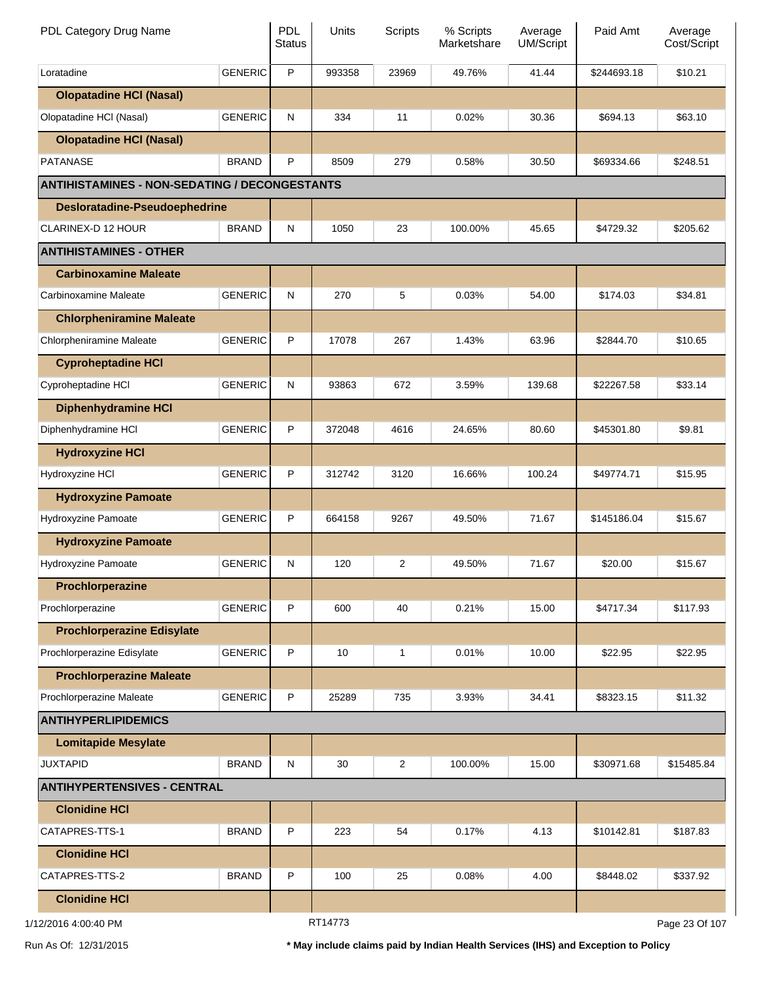| PDL Category Drug Name                               |                | <b>PDL</b><br><b>Status</b> | Units   | Scripts        | % Scripts<br>Marketshare | Average<br><b>UM/Script</b> | Paid Amt    | Average<br>Cost/Script |
|------------------------------------------------------|----------------|-----------------------------|---------|----------------|--------------------------|-----------------------------|-------------|------------------------|
| Loratadine                                           | <b>GENERIC</b> | P                           | 993358  | 23969          | 49.76%                   | 41.44                       | \$244693.18 | \$10.21                |
| <b>Olopatadine HCI (Nasal)</b>                       |                |                             |         |                |                          |                             |             |                        |
| Olopatadine HCI (Nasal)                              | <b>GENERIC</b> | ${\sf N}$                   | 334     | 11             | 0.02%                    | 30.36                       | \$694.13    | \$63.10                |
| <b>Olopatadine HCI (Nasal)</b>                       |                |                             |         |                |                          |                             |             |                        |
| <b>PATANASE</b>                                      | <b>BRAND</b>   | P                           | 8509    | 279            | 0.58%                    | 30.50                       | \$69334.66  | \$248.51               |
| <b>ANTIHISTAMINES - NON-SEDATING / DECONGESTANTS</b> |                |                             |         |                |                          |                             |             |                        |
| <b>Desloratadine-Pseudoephedrine</b>                 |                |                             |         |                |                          |                             |             |                        |
| CLARINEX-D 12 HOUR                                   | <b>BRAND</b>   | ${\sf N}$                   | 1050    | 23             | 100.00%                  | 45.65                       | \$4729.32   | \$205.62               |
| <b>ANTIHISTAMINES - OTHER</b>                        |                |                             |         |                |                          |                             |             |                        |
| <b>Carbinoxamine Maleate</b>                         |                |                             |         |                |                          |                             |             |                        |
| Carbinoxamine Maleate                                | <b>GENERIC</b> | ${\sf N}$                   | 270     | 5              | 0.03%                    | 54.00                       | \$174.03    | \$34.81                |
| <b>Chlorpheniramine Maleate</b>                      |                |                             |         |                |                          |                             |             |                        |
| Chlorpheniramine Maleate                             | <b>GENERIC</b> | P                           | 17078   | 267            | 1.43%                    | 63.96                       | \$2844.70   | \$10.65                |
| <b>Cyproheptadine HCI</b>                            |                |                             |         |                |                          |                             |             |                        |
| Cyproheptadine HCI                                   | <b>GENERIC</b> | ${\sf N}$                   | 93863   | 672            | 3.59%                    | 139.68                      | \$22267.58  | \$33.14                |
| <b>Diphenhydramine HCI</b>                           |                |                             |         |                |                          |                             |             |                        |
| Diphenhydramine HCI                                  | <b>GENERIC</b> | P                           | 372048  | 4616           | 24.65%                   | 80.60                       | \$45301.80  | \$9.81                 |
| <b>Hydroxyzine HCI</b>                               |                |                             |         |                |                          |                             |             |                        |
| Hydroxyzine HCI                                      | <b>GENERIC</b> | P                           | 312742  | 3120           | 16.66%                   | 100.24                      | \$49774.71  | \$15.95                |
| <b>Hydroxyzine Pamoate</b>                           |                |                             |         |                |                          |                             |             |                        |
| Hydroxyzine Pamoate                                  | <b>GENERIC</b> | P                           | 664158  | 9267           | 49.50%                   | 71.67                       | \$145186.04 | \$15.67                |
| <b>Hydroxyzine Pamoate</b>                           |                |                             |         |                |                          |                             |             |                        |
| Hydroxyzine Pamoate                                  | <b>GENERIC</b> | N                           | 120     | 2              | 49.50%                   | 71.67                       | \$20.00     | \$15.67                |
| Prochlorperazine                                     |                |                             |         |                |                          |                             |             |                        |
| Prochlorperazine                                     | <b>GENERIC</b> | P                           | 600     | 40             | 0.21%                    | 15.00                       | \$4717.34   | \$117.93               |
| <b>Prochlorperazine Edisylate</b>                    |                |                             |         |                |                          |                             |             |                        |
| Prochlorperazine Edisylate                           | <b>GENERIC</b> | P                           | 10      | $\mathbf{1}$   | 0.01%                    | 10.00                       | \$22.95     | \$22.95                |
| <b>Prochlorperazine Maleate</b>                      |                |                             |         |                |                          |                             |             |                        |
| Prochlorperazine Maleate                             | <b>GENERIC</b> | P                           | 25289   | 735            | 3.93%                    | 34.41                       | \$8323.15   | \$11.32                |
| <b>ANTIHYPERLIPIDEMICS</b>                           |                |                             |         |                |                          |                             |             |                        |
| <b>Lomitapide Mesylate</b>                           |                |                             |         |                |                          |                             |             |                        |
| <b>JUXTAPID</b>                                      | <b>BRAND</b>   | ${\sf N}$                   | 30      | $\overline{2}$ | 100.00%                  | 15.00                       | \$30971.68  | \$15485.84             |
| <b>ANTIHYPERTENSIVES - CENTRAL</b>                   |                |                             |         |                |                          |                             |             |                        |
| <b>Clonidine HCI</b>                                 |                |                             |         |                |                          |                             |             |                        |
| CATAPRES-TTS-1                                       | <b>BRAND</b>   | P                           | 223     | 54             | 0.17%                    | 4.13                        | \$10142.81  | \$187.83               |
| <b>Clonidine HCI</b>                                 |                |                             |         |                |                          |                             |             |                        |
| CATAPRES-TTS-2                                       | <b>BRAND</b>   | P                           | 100     | 25             | 0.08%                    | 4.00                        | \$8448.02   | \$337.92               |
| <b>Clonidine HCI</b>                                 |                |                             |         |                |                          |                             |             |                        |
| 1/12/2016 4:00:40 PM                                 |                |                             | RT14773 |                |                          |                             |             | Page 23 Of 107         |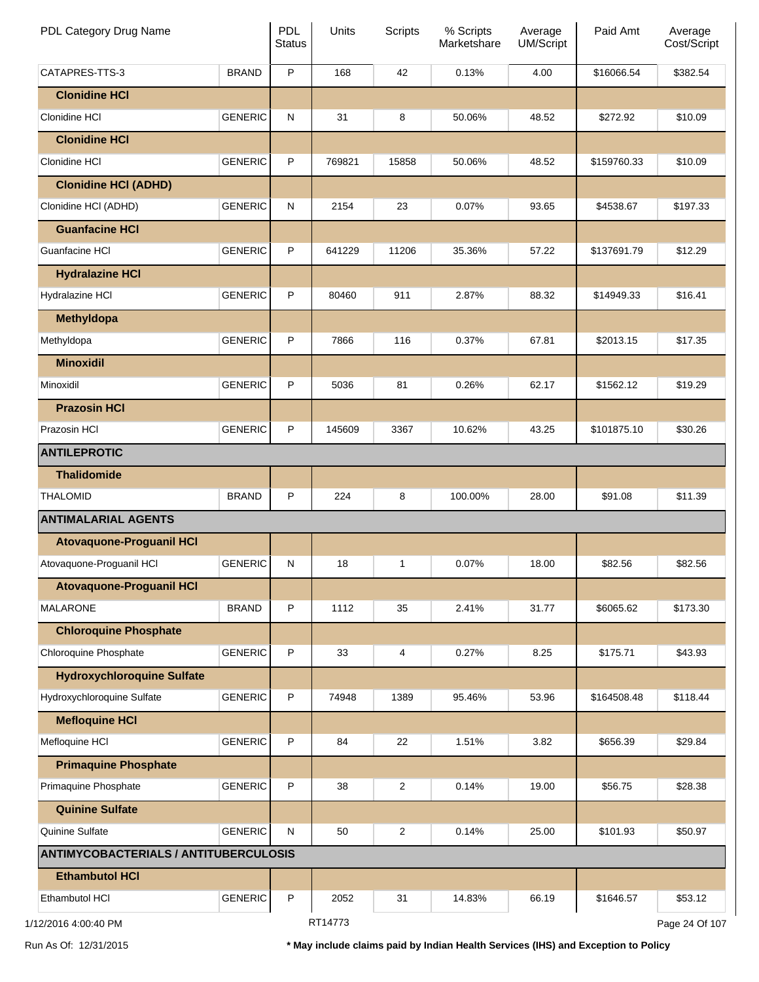| PDL Category Drug Name                       |                | <b>PDL</b><br><b>Status</b> | Units   | Scripts        | % Scripts<br>Marketshare | Average<br><b>UM/Script</b> | Paid Amt    | Average<br>Cost/Script |
|----------------------------------------------|----------------|-----------------------------|---------|----------------|--------------------------|-----------------------------|-------------|------------------------|
| CATAPRES-TTS-3                               | <b>BRAND</b>   | $\mathsf P$                 | 168     | 42             | 0.13%                    | 4.00                        | \$16066.54  | \$382.54               |
| <b>Clonidine HCI</b>                         |                |                             |         |                |                          |                             |             |                        |
| Clonidine HCI                                | <b>GENERIC</b> | ${\sf N}$                   | 31      | 8              | 50.06%                   | 48.52                       | \$272.92    | \$10.09                |
| <b>Clonidine HCI</b>                         |                |                             |         |                |                          |                             |             |                        |
| Clonidine HCI                                | <b>GENERIC</b> | P                           | 769821  | 15858          | 50.06%                   | 48.52                       | \$159760.33 | \$10.09                |
| <b>Clonidine HCI (ADHD)</b>                  |                |                             |         |                |                          |                             |             |                        |
| Clonidine HCI (ADHD)                         | <b>GENERIC</b> | ${\sf N}$                   | 2154    | 23             | 0.07%                    | 93.65                       | \$4538.67   | \$197.33               |
| <b>Guanfacine HCI</b>                        |                |                             |         |                |                          |                             |             |                        |
| Guanfacine HCI                               | <b>GENERIC</b> | P                           | 641229  | 11206          | 35.36%                   | 57.22                       | \$137691.79 | \$12.29                |
| <b>Hydralazine HCI</b>                       |                |                             |         |                |                          |                             |             |                        |
| Hydralazine HCI                              | <b>GENERIC</b> | P                           | 80460   | 911            | 2.87%                    | 88.32                       | \$14949.33  | \$16.41                |
| <b>Methyldopa</b>                            |                |                             |         |                |                          |                             |             |                        |
| Methyldopa                                   | <b>GENERIC</b> | P                           | 7866    | 116            | 0.37%                    | 67.81                       | \$2013.15   | \$17.35                |
| <b>Minoxidil</b>                             |                |                             |         |                |                          |                             |             |                        |
| Minoxidil                                    | <b>GENERIC</b> | P                           | 5036    | 81             | 0.26%                    | 62.17                       | \$1562.12   | \$19.29                |
| <b>Prazosin HCI</b>                          |                |                             |         |                |                          |                             |             |                        |
| Prazosin HCI                                 | <b>GENERIC</b> | P                           | 145609  | 3367           | 10.62%                   | 43.25                       | \$101875.10 | \$30.26                |
| <b>ANTILEPROTIC</b>                          |                |                             |         |                |                          |                             |             |                        |
| <b>Thalidomide</b>                           |                |                             |         |                |                          |                             |             |                        |
| <b>THALOMID</b>                              | <b>BRAND</b>   | P                           | 224     | 8              | 100.00%                  | 28.00                       | \$91.08     | \$11.39                |
| <b>ANTIMALARIAL AGENTS</b>                   |                |                             |         |                |                          |                             |             |                        |
| <b>Atovaquone-Proguanil HCI</b>              |                |                             |         |                |                          |                             |             |                        |
| Atovaquone-Proguanil HCI                     | <b>GENERIC</b> | ${\sf N}$                   | 18      | 1              | 0.07%                    | 18.00                       | \$82.56     | \$82.56                |
| <b>Atovaquone-Proguanil HCI</b>              |                |                             |         |                |                          |                             |             |                        |
| <b>MALARONE</b>                              | <b>BRAND</b>   | P                           | 1112    | 35             | 2.41%                    | 31.77                       | \$6065.62   | \$173.30               |
| <b>Chloroquine Phosphate</b>                 |                |                             |         |                |                          |                             |             |                        |
| Chloroquine Phosphate                        | <b>GENERIC</b> | P                           | 33      | 4              | 0.27%                    | 8.25                        | \$175.71    | \$43.93                |
| <b>Hydroxychloroquine Sulfate</b>            |                |                             |         |                |                          |                             |             |                        |
| Hydroxychloroquine Sulfate                   | <b>GENERIC</b> | P                           | 74948   | 1389           | 95.46%                   | 53.96                       | \$164508.48 | \$118.44               |
| <b>Mefloquine HCI</b>                        |                |                             |         |                |                          |                             |             |                        |
| Mefloquine HCI                               | <b>GENERIC</b> | P                           | 84      | 22             | 1.51%                    | 3.82                        | \$656.39    | \$29.84                |
| <b>Primaquine Phosphate</b>                  |                |                             |         |                |                          |                             |             |                        |
| Primaquine Phosphate                         | <b>GENERIC</b> | P                           | 38      | $\overline{2}$ | 0.14%                    | 19.00                       | \$56.75     | \$28.38                |
| <b>Quinine Sulfate</b>                       |                |                             |         |                |                          |                             |             |                        |
| Quinine Sulfate                              | <b>GENERIC</b> | ${\sf N}$                   | 50      | $\overline{2}$ | 0.14%                    | 25.00                       | \$101.93    | \$50.97                |
| <b>ANTIMYCOBACTERIALS / ANTITUBERCULOSIS</b> |                |                             |         |                |                          |                             |             |                        |
| <b>Ethambutol HCI</b>                        |                |                             |         |                |                          |                             |             |                        |
| Ethambutol HCI                               | <b>GENERIC</b> | P                           | 2052    | 31             | 14.83%                   | 66.19                       | \$1646.57   | \$53.12                |
| 1/12/2016 4:00:40 PM                         |                |                             | RT14773 |                |                          |                             |             | Page 24 Of 107         |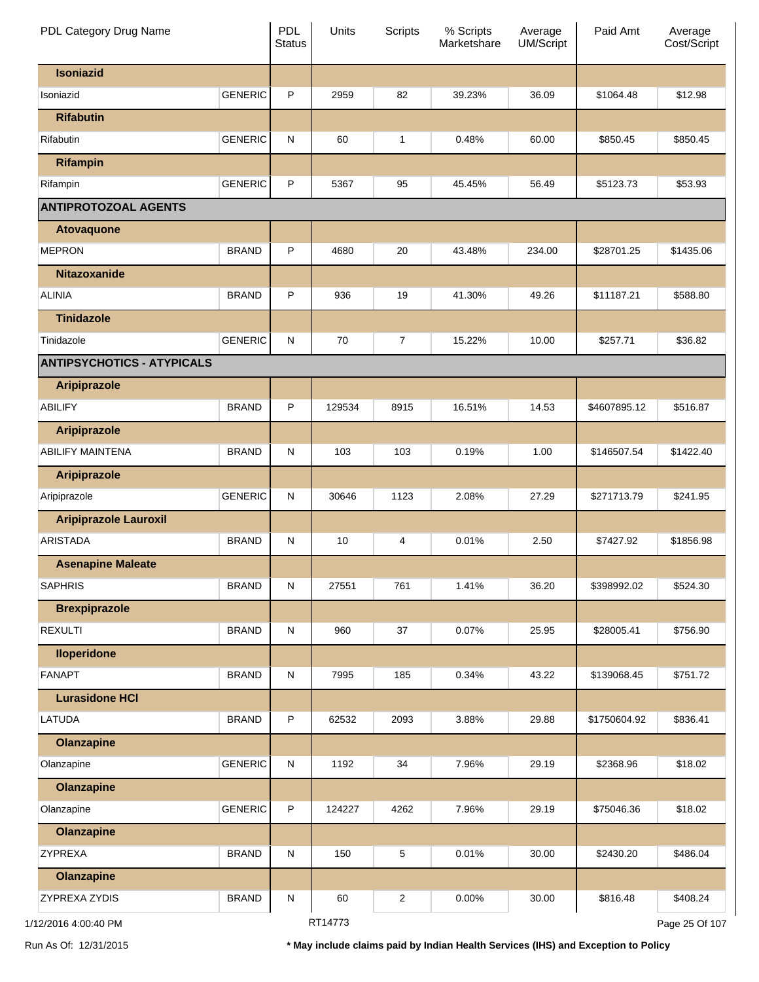| PDL Category Drug Name            |                | PDL<br><b>Status</b> | Units   | <b>Scripts</b> | % Scripts<br>Marketshare | Average<br><b>UM/Script</b> | Paid Amt     | Average<br>Cost/Script |
|-----------------------------------|----------------|----------------------|---------|----------------|--------------------------|-----------------------------|--------------|------------------------|
| <b>Isoniazid</b>                  |                |                      |         |                |                          |                             |              |                        |
| Isoniazid                         | <b>GENERIC</b> | P                    | 2959    | 82             | 39.23%                   | 36.09                       | \$1064.48    | \$12.98                |
| <b>Rifabutin</b>                  |                |                      |         |                |                          |                             |              |                        |
| Rifabutin                         | <b>GENERIC</b> | N                    | 60      | 1              | 0.48%                    | 60.00                       | \$850.45     | \$850.45               |
| <b>Rifampin</b>                   |                |                      |         |                |                          |                             |              |                        |
| Rifampin                          | <b>GENERIC</b> | P                    | 5367    | 95             | 45.45%                   | 56.49                       | \$5123.73    | \$53.93                |
| <b>ANTIPROTOZOAL AGENTS</b>       |                |                      |         |                |                          |                             |              |                        |
| <b>Atovaquone</b>                 |                |                      |         |                |                          |                             |              |                        |
| <b>MEPRON</b>                     | <b>BRAND</b>   | P                    | 4680    | 20             | 43.48%                   | 234.00                      | \$28701.25   | \$1435.06              |
| <b>Nitazoxanide</b>               |                |                      |         |                |                          |                             |              |                        |
| <b>ALINIA</b>                     | <b>BRAND</b>   | P                    | 936     | 19             | 41.30%                   | 49.26                       | \$11187.21   | \$588.80               |
| <b>Tinidazole</b>                 |                |                      |         |                |                          |                             |              |                        |
| Tinidazole                        | <b>GENERIC</b> | $\mathsf{N}$         | 70      | $\overline{7}$ | 15.22%                   | 10.00                       | \$257.71     | \$36.82                |
| <b>ANTIPSYCHOTICS - ATYPICALS</b> |                |                      |         |                |                          |                             |              |                        |
| <b>Aripiprazole</b>               |                |                      |         |                |                          |                             |              |                        |
| <b>ABILIFY</b>                    | <b>BRAND</b>   | P                    | 129534  | 8915           | 16.51%                   | 14.53                       | \$4607895.12 | \$516.87               |
| <b>Aripiprazole</b>               |                |                      |         |                |                          |                             |              |                        |
| <b>ABILIFY MAINTENA</b>           | <b>BRAND</b>   | N                    | 103     | 103            | 0.19%                    | 1.00                        | \$146507.54  | \$1422.40              |
| <b>Aripiprazole</b>               |                |                      |         |                |                          |                             |              |                        |
| Aripiprazole                      | <b>GENERIC</b> | N                    | 30646   | 1123           | 2.08%                    | 27.29                       | \$271713.79  | \$241.95               |
| <b>Aripiprazole Lauroxil</b>      |                |                      |         |                |                          |                             |              |                        |
| <b>ARISTADA</b>                   | <b>BRAND</b>   | $\mathsf{N}$         | 10      | 4              | 0.01%                    | 2.50                        | \$7427.92    | \$1856.98              |
| <b>Asenapine Maleate</b>          |                |                      |         |                |                          |                             |              |                        |
| <b>SAPHRIS</b>                    | <b>BRAND</b>   | N                    | 27551   | 761            | 1.41%                    | 36.20                       | \$398992.02  | \$524.30               |
| <b>Brexpiprazole</b>              |                |                      |         |                |                          |                             |              |                        |
| <b>REXULTI</b>                    | <b>BRAND</b>   | ${\sf N}$            | 960     | $37\,$         | 0.07%                    | 25.95                       | \$28005.41   | \$756.90               |
| <b>Iloperidone</b>                |                |                      |         |                |                          |                             |              |                        |
| <b>FANAPT</b>                     | <b>BRAND</b>   | ${\sf N}$            | 7995    | 185            | 0.34%                    | 43.22                       | \$139068.45  | \$751.72               |
| <b>Lurasidone HCI</b>             |                |                      |         |                |                          |                             |              |                        |
| LATUDA                            | <b>BRAND</b>   | P                    | 62532   | 2093           | 3.88%                    | 29.88                       | \$1750604.92 | \$836.41               |
| <b>Olanzapine</b>                 |                |                      |         |                |                          |                             |              |                        |
| Olanzapine                        | <b>GENERIC</b> | ${\sf N}$            | 1192    | 34             | 7.96%                    | 29.19                       | \$2368.96    | \$18.02                |
| <b>Olanzapine</b>                 |                |                      |         |                |                          |                             |              |                        |
| Olanzapine                        | <b>GENERIC</b> | P                    | 124227  | 4262           | 7.96%                    | 29.19                       | \$75046.36   | \$18.02                |
| <b>Olanzapine</b>                 |                |                      |         |                |                          |                             |              |                        |
| ZYPREXA                           | <b>BRAND</b>   | ${\sf N}$            | 150     | 5              | 0.01%                    | 30.00                       | \$2430.20    | \$486.04               |
| <b>Olanzapine</b>                 |                |                      |         |                |                          |                             |              |                        |
| ZYPREXA ZYDIS                     | <b>BRAND</b>   | N                    | 60      | 2              | 0.00%                    | 30.00                       | \$816.48     | \$408.24               |
| 2/2016 4:00:40 PM                 |                |                      | RT14773 |                |                          |                             |              | Page 25 Of 107         |

Run As Of: 12/31/2015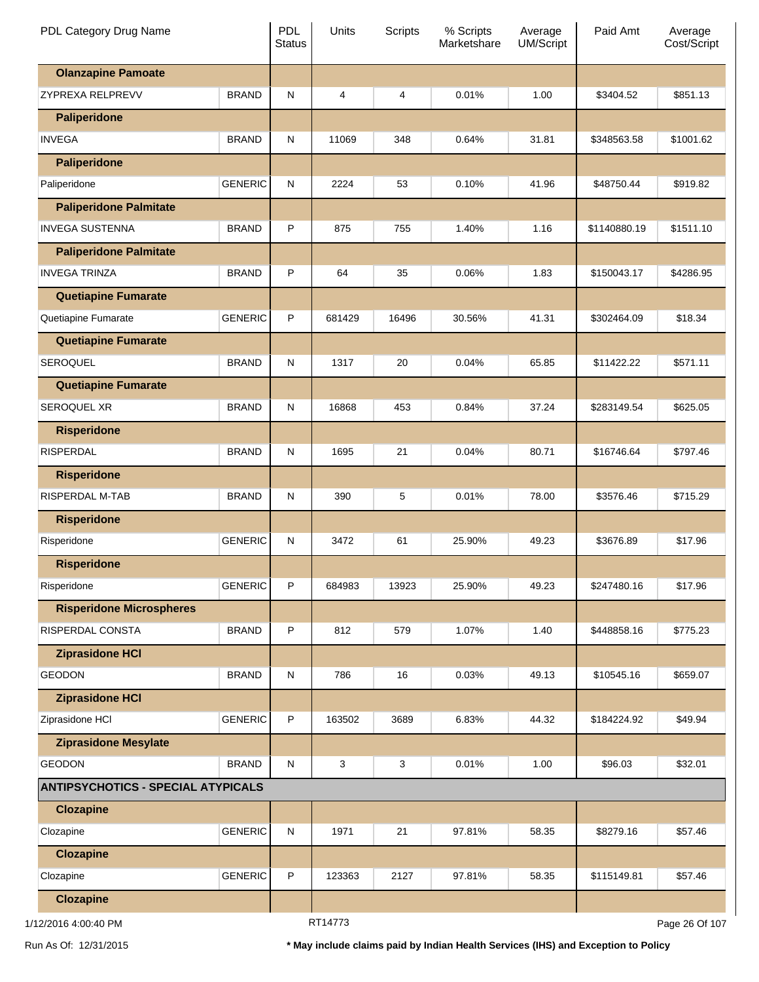| PDL Category Drug Name                    |                | PDL<br><b>Status</b> | Units   | <b>Scripts</b> | % Scripts<br>Marketshare | Average<br>UM/Script | Paid Amt     | Average<br>Cost/Script |
|-------------------------------------------|----------------|----------------------|---------|----------------|--------------------------|----------------------|--------------|------------------------|
| <b>Olanzapine Pamoate</b>                 |                |                      |         |                |                          |                      |              |                        |
| ZYPREXA RELPREVV                          | <b>BRAND</b>   | ${\sf N}$            | 4       | 4              | 0.01%                    | 1.00                 | \$3404.52    | \$851.13               |
| <b>Paliperidone</b>                       |                |                      |         |                |                          |                      |              |                        |
| <b>INVEGA</b>                             | <b>BRAND</b>   | ${\sf N}$            | 11069   | 348            | 0.64%                    | 31.81                | \$348563.58  | \$1001.62              |
| <b>Paliperidone</b>                       |                |                      |         |                |                          |                      |              |                        |
| Paliperidone                              | <b>GENERIC</b> | ${\sf N}$            | 2224    | 53             | 0.10%                    | 41.96                | \$48750.44   | \$919.82               |
| <b>Paliperidone Palmitate</b>             |                |                      |         |                |                          |                      |              |                        |
| <b>INVEGA SUSTENNA</b>                    | <b>BRAND</b>   | P                    | 875     | 755            | 1.40%                    | 1.16                 | \$1140880.19 | \$1511.10              |
| <b>Paliperidone Palmitate</b>             |                |                      |         |                |                          |                      |              |                        |
| <b>INVEGA TRINZA</b>                      | <b>BRAND</b>   | P                    | 64      | 35             | 0.06%                    | 1.83                 | \$150043.17  | \$4286.95              |
| <b>Quetiapine Fumarate</b>                |                |                      |         |                |                          |                      |              |                        |
| Quetiapine Fumarate                       | <b>GENERIC</b> | P                    | 681429  | 16496          | 30.56%                   | 41.31                | \$302464.09  | \$18.34                |
| <b>Quetiapine Fumarate</b>                |                |                      |         |                |                          |                      |              |                        |
| <b>SEROQUEL</b>                           | <b>BRAND</b>   | ${\sf N}$            | 1317    | 20             | 0.04%                    | 65.85                | \$11422.22   | \$571.11               |
| <b>Quetiapine Fumarate</b>                |                |                      |         |                |                          |                      |              |                        |
| <b>SEROQUEL XR</b>                        | <b>BRAND</b>   | ${\sf N}$            | 16868   | 453            | 0.84%                    | 37.24                | \$283149.54  | \$625.05               |
| <b>Risperidone</b>                        |                |                      |         |                |                          |                      |              |                        |
| <b>RISPERDAL</b>                          | <b>BRAND</b>   | ${\sf N}$            | 1695    | 21             | 0.04%                    | 80.71                | \$16746.64   | \$797.46               |
| <b>Risperidone</b>                        |                |                      |         |                |                          |                      |              |                        |
| RISPERDAL M-TAB                           | <b>BRAND</b>   | ${\sf N}$            | 390     | 5              | 0.01%                    | 78.00                | \$3576.46    | \$715.29               |
| <b>Risperidone</b>                        |                |                      |         |                |                          |                      |              |                        |
| Risperidone                               | <b>GENERIC</b> | ${\sf N}$            | 3472    | 61             | 25.90%                   | 49.23                | \$3676.89    | \$17.96                |
| <b>Risperidone</b>                        |                |                      |         |                |                          |                      |              |                        |
| Risperidone                               | <b>GENERIC</b> | P                    | 684983  | 13923          | 25.90%                   | 49.23                | \$247480.16  | \$17.96                |
| <b>Risperidone Microspheres</b>           |                |                      |         |                |                          |                      |              |                        |
| RISPERDAL CONSTA                          | <b>BRAND</b>   | P                    | 812     | 579            | 1.07%                    | 1.40                 | \$448858.16  | \$775.23               |
| <b>Ziprasidone HCI</b>                    |                |                      |         |                |                          |                      |              |                        |
| <b>GEODON</b>                             | <b>BRAND</b>   | ${\sf N}$            | 786     | 16             | 0.03%                    | 49.13                | \$10545.16   | \$659.07               |
| <b>Ziprasidone HCI</b>                    |                |                      |         |                |                          |                      |              |                        |
| Ziprasidone HCI                           | <b>GENERIC</b> | P                    | 163502  | 3689           | 6.83%                    | 44.32                | \$184224.92  | \$49.94                |
| <b>Ziprasidone Mesylate</b>               |                |                      |         |                |                          |                      |              |                        |
| <b>GEODON</b>                             | <b>BRAND</b>   | ${\sf N}$            | 3       | 3              | 0.01%                    | 1.00                 | \$96.03      | \$32.01                |
| <b>ANTIPSYCHOTICS - SPECIAL ATYPICALS</b> |                |                      |         |                |                          |                      |              |                        |
| <b>Clozapine</b>                          |                |                      |         |                |                          |                      |              |                        |
| Clozapine                                 | <b>GENERIC</b> | ${\sf N}$            | 1971    | 21             | 97.81%                   | 58.35                | \$8279.16    | \$57.46                |
| <b>Clozapine</b>                          |                |                      |         |                |                          |                      |              |                        |
| Clozapine                                 | <b>GENERIC</b> | P                    | 123363  | 2127           | 97.81%                   | 58.35                | \$115149.81  | \$57.46                |
| <b>Clozapine</b>                          |                |                      |         |                |                          |                      |              |                        |
| 1/12/2016 4:00:40 PM                      |                |                      | RT14773 |                |                          |                      |              | Page 26 Of 107         |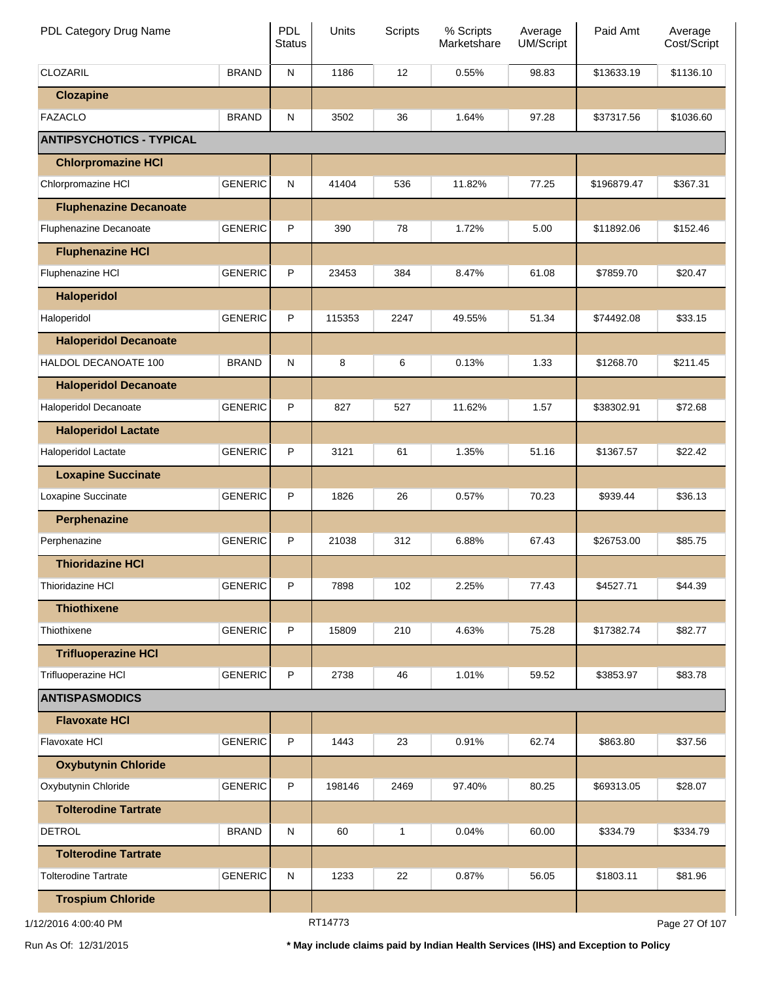| PDL Category Drug Name          |                | PDL<br><b>Status</b> | Units   | <b>Scripts</b> | % Scripts<br>Marketshare | Average<br>UM/Script | Paid Amt    | Average<br>Cost/Script |
|---------------------------------|----------------|----------------------|---------|----------------|--------------------------|----------------------|-------------|------------------------|
| <b>CLOZARIL</b>                 | <b>BRAND</b>   | ${\sf N}$            | 1186    | 12             | 0.55%                    | 98.83                | \$13633.19  | \$1136.10              |
| <b>Clozapine</b>                |                |                      |         |                |                          |                      |             |                        |
| <b>FAZACLO</b>                  | <b>BRAND</b>   | ${\sf N}$            | 3502    | 36             | 1.64%                    | 97.28                | \$37317.56  | \$1036.60              |
| <b>ANTIPSYCHOTICS - TYPICAL</b> |                |                      |         |                |                          |                      |             |                        |
| <b>Chlorpromazine HCI</b>       |                |                      |         |                |                          |                      |             |                        |
| Chlorpromazine HCI              | <b>GENERIC</b> | ${\sf N}$            | 41404   | 536            | 11.82%                   | 77.25                | \$196879.47 | \$367.31               |
| <b>Fluphenazine Decanoate</b>   |                |                      |         |                |                          |                      |             |                        |
| Fluphenazine Decanoate          | <b>GENERIC</b> | P                    | 390     | 78             | 1.72%                    | 5.00                 | \$11892.06  | \$152.46               |
| <b>Fluphenazine HCI</b>         |                |                      |         |                |                          |                      |             |                        |
| Fluphenazine HCI                | <b>GENERIC</b> | P                    | 23453   | 384            | 8.47%                    | 61.08                | \$7859.70   | \$20.47                |
| <b>Haloperidol</b>              |                |                      |         |                |                          |                      |             |                        |
| Haloperidol                     | <b>GENERIC</b> | P                    | 115353  | 2247           | 49.55%                   | 51.34                | \$74492.08  | \$33.15                |
| <b>Haloperidol Decanoate</b>    |                |                      |         |                |                          |                      |             |                        |
| HALDOL DECANOATE 100            | <b>BRAND</b>   | ${\sf N}$            | 8       | 6              | 0.13%                    | 1.33                 | \$1268.70   | \$211.45               |
| <b>Haloperidol Decanoate</b>    |                |                      |         |                |                          |                      |             |                        |
| Haloperidol Decanoate           | <b>GENERIC</b> | P                    | 827     | 527            | 11.62%                   | 1.57                 | \$38302.91  | \$72.68                |
| <b>Haloperidol Lactate</b>      |                |                      |         |                |                          |                      |             |                        |
| Haloperidol Lactate             | <b>GENERIC</b> | P                    | 3121    | 61             | 1.35%                    | 51.16                | \$1367.57   | \$22.42                |
| <b>Loxapine Succinate</b>       |                |                      |         |                |                          |                      |             |                        |
| Loxapine Succinate              | <b>GENERIC</b> | P                    | 1826    | 26             | 0.57%                    | 70.23                | \$939.44    | \$36.13                |
| <b>Perphenazine</b>             |                |                      |         |                |                          |                      |             |                        |
| Perphenazine                    | <b>GENERIC</b> | P                    | 21038   | 312            | 6.88%                    | 67.43                | \$26753.00  | \$85.75                |
| <b>Thioridazine HCI</b>         |                |                      |         |                |                          |                      |             |                        |
| Thioridazine HCI                | <b>GENERIC</b> | P                    | 7898    | 102            | 2.25%                    | 77.43                | \$4527.71   | \$44.39                |
| <b>Thiothixene</b>              |                |                      |         |                |                          |                      |             |                        |
| Thiothixene                     | <b>GENERIC</b> | $\sf P$              | 15809   | 210            | 4.63%                    | 75.28                | \$17382.74  | \$82.77                |
| <b>Trifluoperazine HCI</b>      |                |                      |         |                |                          |                      |             |                        |
| Trifluoperazine HCI             | <b>GENERIC</b> | P                    | 2738    | 46             | 1.01%                    | 59.52                | \$3853.97   | \$83.78                |
| <b>ANTISPASMODICS</b>           |                |                      |         |                |                          |                      |             |                        |
| <b>Flavoxate HCI</b>            |                |                      |         |                |                          |                      |             |                        |
| Flavoxate HCI                   | <b>GENERIC</b> | P                    | 1443    | 23             | 0.91%                    | 62.74                | \$863.80    | \$37.56                |
| <b>Oxybutynin Chloride</b>      |                |                      |         |                |                          |                      |             |                        |
| Oxybutynin Chloride             | <b>GENERIC</b> | P                    | 198146  | 2469           | 97.40%                   | 80.25                | \$69313.05  | \$28.07                |
| <b>Tolterodine Tartrate</b>     |                |                      |         |                |                          |                      |             |                        |
| <b>DETROL</b>                   | <b>BRAND</b>   | ${\sf N}$            | 60      | 1              | 0.04%                    | 60.00                | \$334.79    | \$334.79               |
| <b>Tolterodine Tartrate</b>     |                |                      |         |                |                          |                      |             |                        |
| <b>Tolterodine Tartrate</b>     | <b>GENERIC</b> | ${\sf N}$            | 1233    | 22             | 0.87%                    | 56.05                | \$1803.11   | \$81.96                |
| <b>Trospium Chloride</b>        |                |                      |         |                |                          |                      |             |                        |
| 1/12/2016 4:00:40 PM            |                |                      | RT14773 |                |                          |                      |             | Page 27 Of 107         |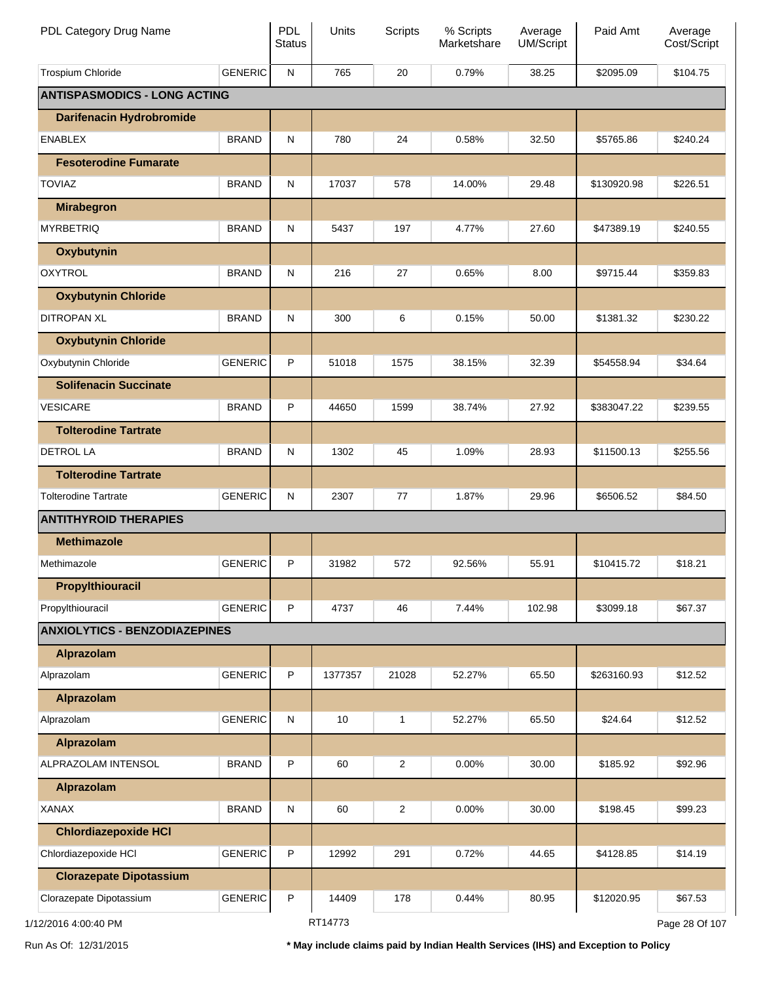| PDL Category Drug Name               |                | <b>PDL</b><br><b>Status</b> | Units   | <b>Scripts</b> | % Scripts<br>Marketshare | Average<br><b>UM/Script</b> | Paid Amt    | Average<br>Cost/Script |
|--------------------------------------|----------------|-----------------------------|---------|----------------|--------------------------|-----------------------------|-------------|------------------------|
| <b>Trospium Chloride</b>             | <b>GENERIC</b> | ${\sf N}$                   | 765     | 20             | 0.79%                    | 38.25                       | \$2095.09   | \$104.75               |
| <b>ANTISPASMODICS - LONG ACTING</b>  |                |                             |         |                |                          |                             |             |                        |
| <b>Darifenacin Hydrobromide</b>      |                |                             |         |                |                          |                             |             |                        |
| <b>ENABLEX</b>                       | <b>BRAND</b>   | N                           | 780     | 24             | 0.58%                    | 32.50                       | \$5765.86   | \$240.24               |
| <b>Fesoterodine Fumarate</b>         |                |                             |         |                |                          |                             |             |                        |
| <b>TOVIAZ</b>                        | <b>BRAND</b>   | N                           | 17037   | 578            | 14.00%                   | 29.48                       | \$130920.98 | \$226.51               |
| <b>Mirabegron</b>                    |                |                             |         |                |                          |                             |             |                        |
| <b>MYRBETRIQ</b>                     | <b>BRAND</b>   | N                           | 5437    | 197            | 4.77%                    | 27.60                       | \$47389.19  | \$240.55               |
| Oxybutynin                           |                |                             |         |                |                          |                             |             |                        |
| <b>OXYTROL</b>                       | <b>BRAND</b>   | N                           | 216     | 27             | 0.65%                    | 8.00                        | \$9715.44   | \$359.83               |
| <b>Oxybutynin Chloride</b>           |                |                             |         |                |                          |                             |             |                        |
| <b>DITROPAN XL</b>                   | <b>BRAND</b>   | N                           | 300     | 6              | 0.15%                    | 50.00                       | \$1381.32   | \$230.22               |
| <b>Oxybutynin Chloride</b>           |                |                             |         |                |                          |                             |             |                        |
| Oxybutynin Chloride                  | <b>GENERIC</b> | P                           | 51018   | 1575           | 38.15%                   | 32.39                       | \$54558.94  | \$34.64                |
| <b>Solifenacin Succinate</b>         |                |                             |         |                |                          |                             |             |                        |
| <b>VESICARE</b>                      | <b>BRAND</b>   | P                           | 44650   | 1599           | 38.74%                   | 27.92                       | \$383047.22 | \$239.55               |
| <b>Tolterodine Tartrate</b>          |                |                             |         |                |                          |                             |             |                        |
| <b>DETROL LA</b>                     | <b>BRAND</b>   | N                           | 1302    | 45             | 1.09%                    | 28.93                       | \$11500.13  | \$255.56               |
| <b>Tolterodine Tartrate</b>          |                |                             |         |                |                          |                             |             |                        |
| <b>Tolterodine Tartrate</b>          | <b>GENERIC</b> | N                           | 2307    | 77             | 1.87%                    | 29.96                       | \$6506.52   | \$84.50                |
| <b>ANTITHYROID THERAPIES</b>         |                |                             |         |                |                          |                             |             |                        |
| <b>Methimazole</b>                   |                |                             |         |                |                          |                             |             |                        |
| Methimazole                          | <b>GENERIC</b> | P                           | 31982   | 572            | 92.56%                   | 55.91                       | \$10415.72  | \$18.21                |
| Propylthiouracil                     |                |                             |         |                |                          |                             |             |                        |
| Propylthiouracil                     | <b>GENERIC</b> | P                           | 4737    | 46             | 7.44%                    | 102.98                      | \$3099.18   | \$67.37                |
| <b>ANXIOLYTICS - BENZODIAZEPINES</b> |                |                             |         |                |                          |                             |             |                        |
| Alprazolam                           |                |                             |         |                |                          |                             |             |                        |
| Alprazolam                           | <b>GENERIC</b> | P                           | 1377357 | 21028          | 52.27%                   | 65.50                       | \$263160.93 | \$12.52                |
| <b>Alprazolam</b>                    |                |                             |         |                |                          |                             |             |                        |
| Alprazolam                           | <b>GENERIC</b> | ${\sf N}$                   | 10      | 1              | 52.27%                   | 65.50                       | \$24.64     | \$12.52                |
| Alprazolam                           |                |                             |         |                |                          |                             |             |                        |
| ALPRAZOLAM INTENSOL                  | <b>BRAND</b>   | P                           | 60      | $\overline{c}$ | 0.00%                    | 30.00                       | \$185.92    | \$92.96                |
| Alprazolam                           |                |                             |         |                |                          |                             |             |                        |
| <b>XANAX</b>                         | <b>BRAND</b>   | ${\sf N}$                   | 60      | $\overline{c}$ | 0.00%                    | 30.00                       | \$198.45    | \$99.23                |
| <b>Chlordiazepoxide HCI</b>          |                |                             |         |                |                          |                             |             |                        |
| Chlordiazepoxide HCI                 | <b>GENERIC</b> | P                           | 12992   | 291            | 0.72%                    | 44.65                       | \$4128.85   | \$14.19                |
| <b>Clorazepate Dipotassium</b>       |                |                             |         |                |                          |                             |             |                        |
| Clorazepate Dipotassium              | <b>GENERIC</b> | P                           | 14409   | 178            | 0.44%                    | 80.95                       | \$12020.95  | \$67.53                |
| 12/2016 4:00:40 PM                   |                |                             | RT14773 |                |                          |                             |             | Page 28 Of 107         |

Run As Of: 12/31/2015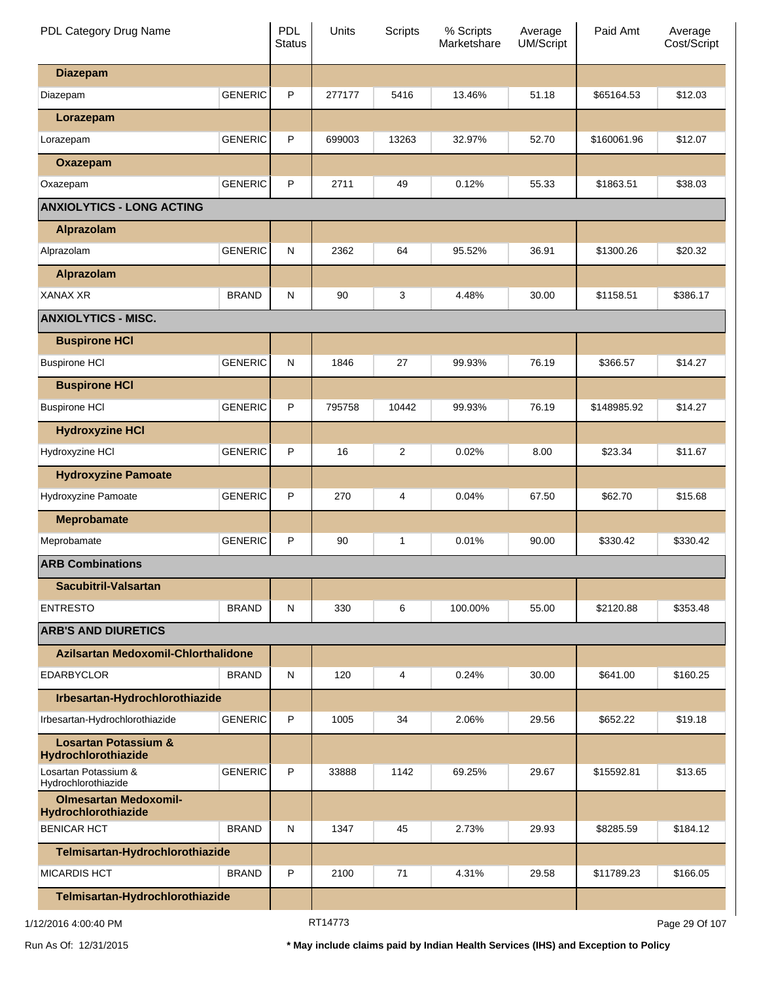| PDL Category Drug Name                                 |                | <b>PDL</b><br><b>Status</b> | Units   | <b>Scripts</b> | % Scripts<br>Marketshare | Average<br>UM/Script | Paid Amt    | Average<br>Cost/Script |
|--------------------------------------------------------|----------------|-----------------------------|---------|----------------|--------------------------|----------------------|-------------|------------------------|
| <b>Diazepam</b>                                        |                |                             |         |                |                          |                      |             |                        |
| Diazepam                                               | <b>GENERIC</b> | P                           | 277177  | 5416           | 13.46%                   | 51.18                | \$65164.53  | \$12.03                |
| Lorazepam                                              |                |                             |         |                |                          |                      |             |                        |
| Lorazepam                                              | <b>GENERIC</b> | P                           | 699003  | 13263          | 32.97%                   | 52.70                | \$160061.96 | \$12.07                |
| Oxazepam                                               |                |                             |         |                |                          |                      |             |                        |
| Oxazepam                                               | <b>GENERIC</b> | P                           | 2711    | 49             | 0.12%                    | 55.33                | \$1863.51   | \$38.03                |
| <b>ANXIOLYTICS - LONG ACTING</b>                       |                |                             |         |                |                          |                      |             |                        |
| Alprazolam                                             |                |                             |         |                |                          |                      |             |                        |
| Alprazolam                                             | <b>GENERIC</b> | ${\sf N}$                   | 2362    | 64             | 95.52%                   | 36.91                | \$1300.26   | \$20.32                |
| Alprazolam                                             |                |                             |         |                |                          |                      |             |                        |
| <b>XANAX XR</b>                                        | <b>BRAND</b>   | ${\sf N}$                   | 90      | 3              | 4.48%                    | 30.00                | \$1158.51   | \$386.17               |
| <b>ANXIOLYTICS - MISC.</b>                             |                |                             |         |                |                          |                      |             |                        |
| <b>Buspirone HCI</b>                                   |                |                             |         |                |                          |                      |             |                        |
| <b>Buspirone HCI</b>                                   | <b>GENERIC</b> | ${\sf N}$                   | 1846    | 27             | 99.93%                   | 76.19                | \$366.57    | \$14.27                |
| <b>Buspirone HCI</b>                                   |                |                             |         |                |                          |                      |             |                        |
| <b>Buspirone HCI</b>                                   | <b>GENERIC</b> | P                           | 795758  | 10442          | 99.93%                   | 76.19                | \$148985.92 | \$14.27                |
| <b>Hydroxyzine HCI</b>                                 |                |                             |         |                |                          |                      |             |                        |
| Hydroxyzine HCI                                        | <b>GENERIC</b> | P                           | 16      | 2              | 0.02%                    | 8.00                 | \$23.34     | \$11.67                |
| <b>Hydroxyzine Pamoate</b>                             |                |                             |         |                |                          |                      |             |                        |
| Hydroxyzine Pamoate                                    | <b>GENERIC</b> | P                           | 270     | 4              | 0.04%                    | 67.50                | \$62.70     | \$15.68                |
| <b>Meprobamate</b>                                     |                |                             |         |                |                          |                      |             |                        |
| Meprobamate                                            | <b>GENERIC</b> | P                           | 90      | 1              | 0.01%                    | 90.00                | \$330.42    | \$330.42               |
| <b>ARB Combinations</b>                                |                |                             |         |                |                          |                      |             |                        |
| Sacubitril-Valsartan                                   |                |                             |         |                |                          |                      |             |                        |
| <b>ENTRESTO</b>                                        | <b>BRAND</b>   | ${\sf N}$                   | 330     | 6              | 100.00%                  | 55.00                | \$2120.88   | \$353.48               |
| <b>ARB'S AND DIURETICS</b>                             |                |                             |         |                |                          |                      |             |                        |
| Azilsartan Medoxomil-Chlorthalidone                    |                |                             |         |                |                          |                      |             |                        |
| <b>EDARBYCLOR</b>                                      | <b>BRAND</b>   | ${\sf N}$                   | 120     | 4              | 0.24%                    | 30.00                | \$641.00    | \$160.25               |
| Irbesartan-Hydrochlorothiazide                         |                |                             |         |                |                          |                      |             |                        |
| Irbesartan-Hydrochlorothiazide                         | <b>GENERIC</b> | P                           | 1005    | 34             | 2.06%                    | 29.56                | \$652.22    | \$19.18                |
| <b>Losartan Potassium &amp;</b><br>Hydrochlorothiazide |                |                             |         |                |                          |                      |             |                        |
| Losartan Potassium &<br>Hydrochlorothiazide            | <b>GENERIC</b> | P                           | 33888   | 1142           | 69.25%                   | 29.67                | \$15592.81  | \$13.65                |
| <b>Olmesartan Medoxomil-</b><br>Hydrochlorothiazide    |                |                             |         |                |                          |                      |             |                        |
| <b>BENICAR HCT</b>                                     | <b>BRAND</b>   | N                           | 1347    | 45             | 2.73%                    | 29.93                | \$8285.59   | \$184.12               |
| Telmisartan-Hydrochlorothiazide                        |                |                             |         |                |                          |                      |             |                        |
| <b>MICARDIS HCT</b>                                    | <b>BRAND</b>   | P                           | 2100    | 71             | 4.31%                    | 29.58                | \$11789.23  | \$166.05               |
| Telmisartan-Hydrochlorothiazide                        |                |                             |         |                |                          |                      |             |                        |
| 1/12/2016 4:00:40 PM                                   |                |                             | RT14773 |                |                          |                      |             | Page 29 Of 107         |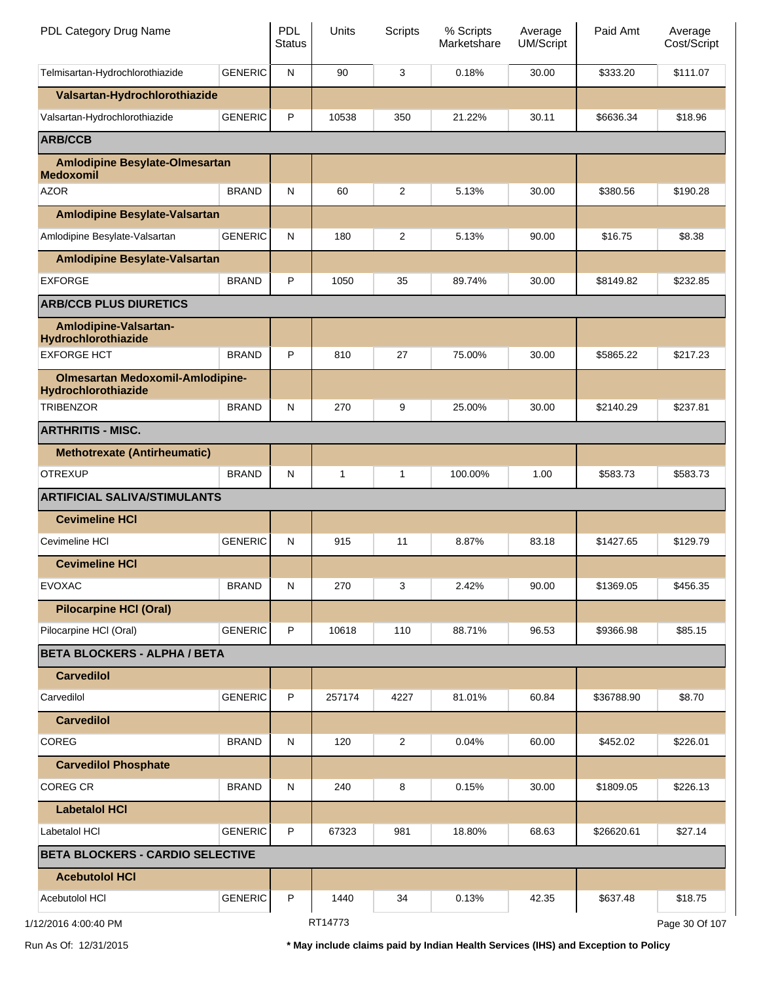| PDL Category Drug Name                                         |                | <b>PDL</b><br><b>Status</b> | <b>Units</b> | Scripts        | % Scripts<br>Marketshare | Average<br><b>UM/Script</b> | Paid Amt   | Average<br>Cost/Script |
|----------------------------------------------------------------|----------------|-----------------------------|--------------|----------------|--------------------------|-----------------------------|------------|------------------------|
| Telmisartan-Hydrochlorothiazide                                | <b>GENERIC</b> | ${\sf N}$                   | 90           | 3              | 0.18%                    | 30.00                       | \$333.20   | \$111.07               |
| Valsartan-Hydrochlorothiazide                                  |                |                             |              |                |                          |                             |            |                        |
| Valsartan-Hydrochlorothiazide                                  | <b>GENERIC</b> | P                           | 10538        | 350            | 21.22%                   | 30.11                       | \$6636.34  | \$18.96                |
| <b>ARB/CCB</b>                                                 |                |                             |              |                |                          |                             |            |                        |
| <b>Amlodipine Besylate-Olmesartan</b><br><b>Medoxomil</b>      |                |                             |              |                |                          |                             |            |                        |
| <b>AZOR</b>                                                    | <b>BRAND</b>   | N                           | 60           | $\overline{2}$ | 5.13%                    | 30.00                       | \$380.56   | \$190.28               |
| <b>Amlodipine Besylate-Valsartan</b>                           |                |                             |              |                |                          |                             |            |                        |
| Amlodipine Besylate-Valsartan                                  | <b>GENERIC</b> | N                           | 180          | $\overline{c}$ | 5.13%                    | 90.00                       | \$16.75    | \$8.38                 |
| <b>Amlodipine Besylate-Valsartan</b>                           |                |                             |              |                |                          |                             |            |                        |
| <b>EXFORGE</b>                                                 | <b>BRAND</b>   | P                           | 1050         | 35             | 89.74%                   | 30.00                       | \$8149.82  | \$232.85               |
| <b>ARB/CCB PLUS DIURETICS</b>                                  |                |                             |              |                |                          |                             |            |                        |
| Amlodipine-Valsartan-<br>Hydrochlorothiazide                   |                |                             |              |                |                          |                             |            |                        |
| <b>EXFORGE HCT</b>                                             | <b>BRAND</b>   | P                           | 810          | 27             | 75.00%                   | 30.00                       | \$5865.22  | \$217.23               |
| <b>Olmesartan Medoxomil-Amlodipine-</b><br>Hydrochlorothiazide |                |                             |              |                |                          |                             |            |                        |
| <b>TRIBENZOR</b>                                               | <b>BRAND</b>   | N                           | 270          | 9              | 25.00%                   | 30.00                       | \$2140.29  | \$237.81               |
| <b>ARTHRITIS - MISC.</b>                                       |                |                             |              |                |                          |                             |            |                        |
| <b>Methotrexate (Antirheumatic)</b>                            |                |                             |              |                |                          |                             |            |                        |
| <b>OTREXUP</b>                                                 | <b>BRAND</b>   | N                           | $\mathbf{1}$ | $\mathbf{1}$   | 100.00%                  | 1.00                        | \$583.73   | \$583.73               |
| <b>ARTIFICIAL SALIVA/STIMULANTS</b>                            |                |                             |              |                |                          |                             |            |                        |
| <b>Cevimeline HCI</b>                                          |                |                             |              |                |                          |                             |            |                        |
| Cevimeline HCI                                                 | <b>GENERIC</b> | N                           | 915          | 11             | 8.87%                    | 83.18                       | \$1427.65  | \$129.79               |
| <b>Cevimeline HCI</b>                                          |                |                             |              |                |                          |                             |            |                        |
| <b>EVOXAC</b>                                                  | <b>BRAND</b>   | N                           | 270          | 3              | 2.42%                    | 90.00                       | \$1369.05  | \$456.35               |
| <b>Pilocarpine HCI (Oral)</b>                                  |                |                             |              |                |                          |                             |            |                        |
| Pilocarpine HCl (Oral)                                         | <b>GENERIC</b> | P                           | 10618        | 110            | 88.71%                   | 96.53                       | \$9366.98  | \$85.15                |
| <b>BETA BLOCKERS - ALPHA / BETA</b>                            |                |                             |              |                |                          |                             |            |                        |
| <b>Carvedilol</b>                                              |                |                             |              |                |                          |                             |            |                        |
| Carvedilol                                                     | <b>GENERIC</b> | P                           | 257174       | 4227           | 81.01%                   | 60.84                       | \$36788.90 | \$8.70                 |
| <b>Carvedilol</b>                                              |                |                             |              |                |                          |                             |            |                        |
| <b>COREG</b>                                                   | <b>BRAND</b>   | N                           | 120          | $\overline{2}$ | 0.04%                    | 60.00                       | \$452.02   | \$226.01               |
| <b>Carvedilol Phosphate</b>                                    |                |                             |              |                |                          |                             |            |                        |
| <b>COREG CR</b>                                                | <b>BRAND</b>   | N                           | 240          | 8              | 0.15%                    | 30.00                       | \$1809.05  | \$226.13               |
| <b>Labetalol HCI</b>                                           |                |                             |              |                |                          |                             |            |                        |
| Labetalol HCI                                                  | <b>GENERIC</b> | P                           | 67323        | 981            | 18.80%                   | 68.63                       | \$26620.61 | \$27.14                |
| <b>BETA BLOCKERS - CARDIO SELECTIVE</b>                        |                |                             |              |                |                          |                             |            |                        |
| <b>Acebutolol HCI</b>                                          |                |                             |              |                |                          |                             |            |                        |
| Acebutolol HCI                                                 | <b>GENERIC</b> | P                           | 1440         | 34             | 0.13%                    | 42.35                       | \$637.48   | \$18.75                |
|                                                                |                |                             | RT14773      |                |                          |                             |            | Page 30 Of 107         |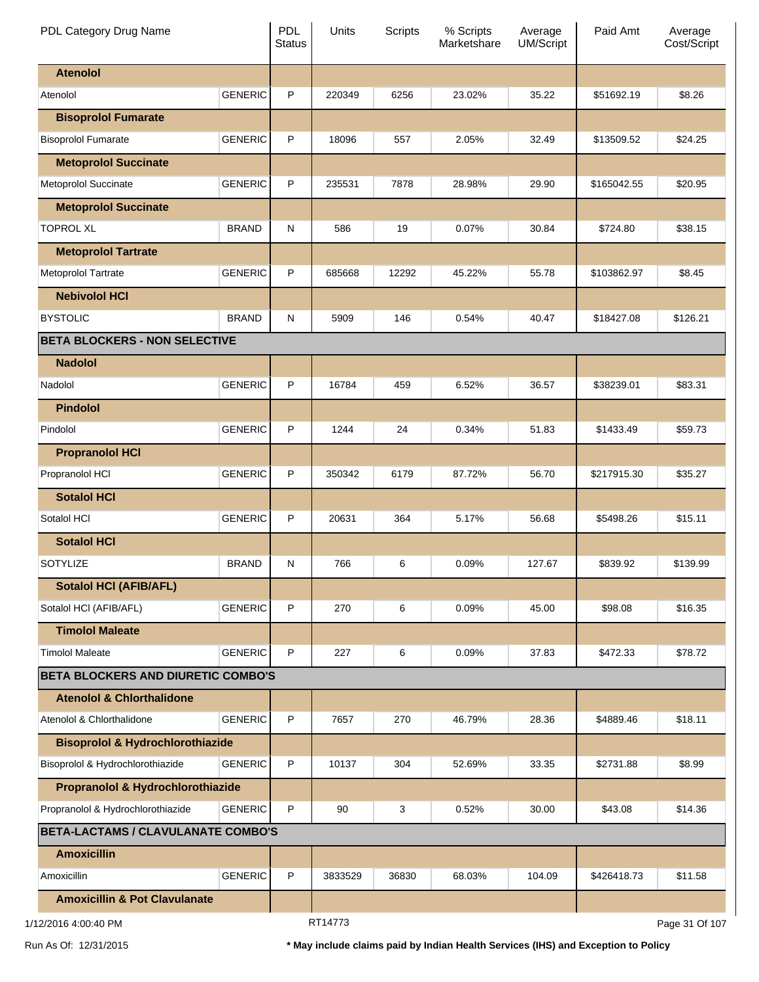| PDL Category Drug Name                      |                | <b>PDL</b><br><b>Status</b> | Units   | Scripts | % Scripts<br>Marketshare | Average<br><b>UM/Script</b> | Paid Amt    | Average<br>Cost/Script |
|---------------------------------------------|----------------|-----------------------------|---------|---------|--------------------------|-----------------------------|-------------|------------------------|
| <b>Atenolol</b>                             |                |                             |         |         |                          |                             |             |                        |
| Atenolol                                    | <b>GENERIC</b> | P                           | 220349  | 6256    | 23.02%                   | 35.22                       | \$51692.19  | \$8.26                 |
| <b>Bisoprolol Fumarate</b>                  |                |                             |         |         |                          |                             |             |                        |
| <b>Bisoprolol Fumarate</b>                  | <b>GENERIC</b> | P                           | 18096   | 557     | 2.05%                    | 32.49                       | \$13509.52  | \$24.25                |
| <b>Metoprolol Succinate</b>                 |                |                             |         |         |                          |                             |             |                        |
| Metoprolol Succinate                        | <b>GENERIC</b> | P                           | 235531  | 7878    | 28.98%                   | 29.90                       | \$165042.55 | \$20.95                |
| <b>Metoprolol Succinate</b>                 |                |                             |         |         |                          |                             |             |                        |
| <b>TOPROL XL</b>                            | <b>BRAND</b>   | N                           | 586     | 19      | 0.07%                    | 30.84                       | \$724.80    | \$38.15                |
| <b>Metoprolol Tartrate</b>                  |                |                             |         |         |                          |                             |             |                        |
| Metoprolol Tartrate                         | <b>GENERIC</b> | P                           | 685668  | 12292   | 45.22%                   | 55.78                       | \$103862.97 | \$8.45                 |
| <b>Nebivolol HCI</b>                        |                |                             |         |         |                          |                             |             |                        |
| <b>BYSTOLIC</b>                             | <b>BRAND</b>   | N                           | 5909    | 146     | 0.54%                    | 40.47                       | \$18427.08  | \$126.21               |
| <b>BETA BLOCKERS - NON SELECTIVE</b>        |                |                             |         |         |                          |                             |             |                        |
| <b>Nadolol</b>                              |                |                             |         |         |                          |                             |             |                        |
| Nadolol                                     | <b>GENERIC</b> | P                           | 16784   | 459     | 6.52%                    | 36.57                       | \$38239.01  | \$83.31                |
| <b>Pindolol</b>                             |                |                             |         |         |                          |                             |             |                        |
| Pindolol                                    | <b>GENERIC</b> | P                           | 1244    | 24      | 0.34%                    | 51.83                       | \$1433.49   | \$59.73                |
| <b>Propranolol HCI</b>                      |                |                             |         |         |                          |                             |             |                        |
| Propranolol HCI                             | <b>GENERIC</b> | P                           | 350342  | 6179    | 87.72%                   | 56.70                       | \$217915.30 | \$35.27                |
| <b>Sotalol HCI</b>                          |                |                             |         |         |                          |                             |             |                        |
| Sotalol HCI                                 | <b>GENERIC</b> | P                           | 20631   | 364     | 5.17%                    | 56.68                       | \$5498.26   | \$15.11                |
| <b>Sotalol HCI</b>                          |                |                             |         |         |                          |                             |             |                        |
| <b>SOTYLIZE</b>                             | <b>BRAND</b>   | N                           | 766     | 6       | 0.09%                    | 127.67                      | \$839.92    | \$139.99               |
| <b>Sotalol HCI (AFIB/AFL)</b>               |                |                             |         |         |                          |                             |             |                        |
| Sotalol HCI (AFIB/AFL)                      | <b>GENERIC</b> | P                           | 270     | 6       | 0.09%                    | 45.00                       | \$98.08     | \$16.35                |
| <b>Timolol Maleate</b>                      |                |                             |         |         |                          |                             |             |                        |
| <b>Timolol Maleate</b>                      | <b>GENERIC</b> | P                           | 227     | 6       | 0.09%                    | 37.83                       | \$472.33    | \$78.72                |
| <b>BETA BLOCKERS AND DIURETIC COMBO'S</b>   |                |                             |         |         |                          |                             |             |                        |
| <b>Atenolol &amp; Chlorthalidone</b>        |                |                             |         |         |                          |                             |             |                        |
| Atenolol & Chlorthalidone                   | <b>GENERIC</b> | P                           | 7657    | 270     | 46.79%                   | 28.36                       | \$4889.46   | \$18.11                |
| <b>Bisoprolol &amp; Hydrochlorothiazide</b> |                |                             |         |         |                          |                             |             |                        |
| Bisoprolol & Hydrochlorothiazide            | <b>GENERIC</b> | P                           | 10137   | 304     | 52.69%                   | 33.35                       | \$2731.88   | \$8.99                 |
| Propranolol & Hydrochlorothiazide           |                |                             |         |         |                          |                             |             |                        |
| Propranolol & Hydrochlorothiazide           | <b>GENERIC</b> | P                           | 90      | 3       | 0.52%                    | 30.00                       | \$43.08     | \$14.36                |
| <b>BETA-LACTAMS / CLAVULANATE COMBO'S</b>   |                |                             |         |         |                          |                             |             |                        |
| <b>Amoxicillin</b>                          |                |                             |         |         |                          |                             |             |                        |
| Amoxicillin                                 | <b>GENERIC</b> | P                           | 3833529 | 36830   | 68.03%                   | 104.09                      | \$426418.73 | \$11.58                |
| <b>Amoxicillin &amp; Pot Clavulanate</b>    |                |                             |         |         |                          |                             |             |                        |
| 12/2016 4:00:40 PM                          |                |                             | RT14773 |         |                          |                             |             | Page 31 Of 107         |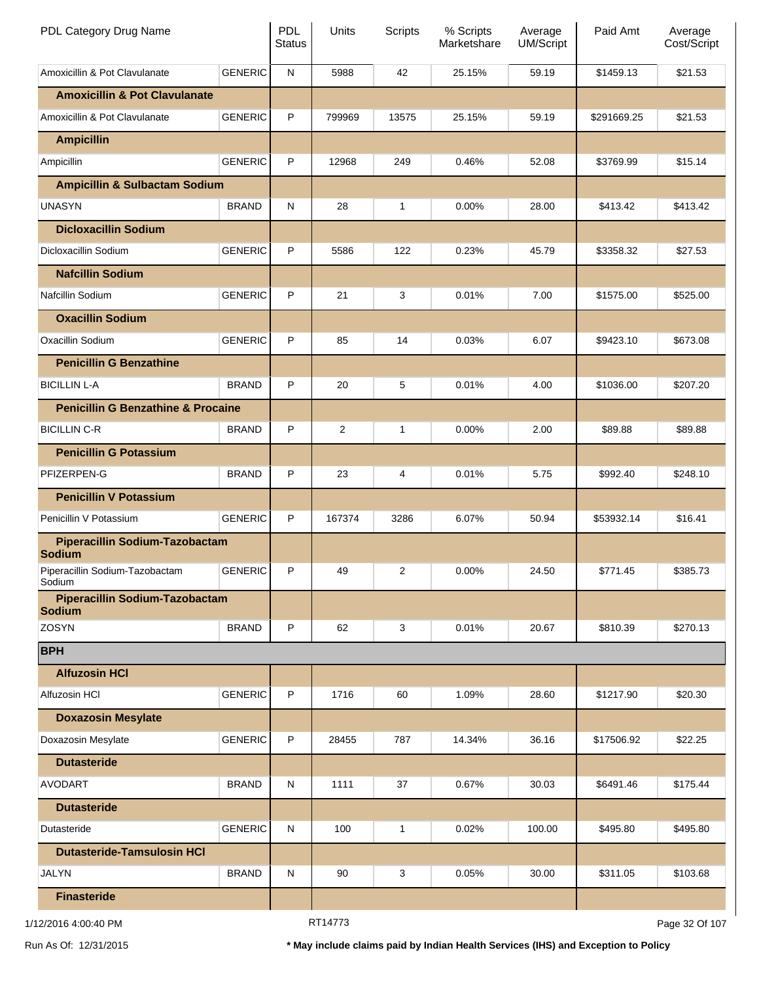| PDL Category Drug Name                                 |                | PDL<br><b>Status</b> | Units   | Scripts | % Scripts<br>Marketshare | Average<br>UM/Script | Paid Amt    | Average<br>Cost/Script |
|--------------------------------------------------------|----------------|----------------------|---------|---------|--------------------------|----------------------|-------------|------------------------|
| Amoxicillin & Pot Clavulanate                          | <b>GENERIC</b> | ${\sf N}$            | 5988    | 42      | 25.15%                   | 59.19                | \$1459.13   | \$21.53                |
| <b>Amoxicillin &amp; Pot Clavulanate</b>               |                |                      |         |         |                          |                      |             |                        |
| Amoxicillin & Pot Clavulanate                          | <b>GENERIC</b> | P                    | 799969  | 13575   | 25.15%                   | 59.19                | \$291669.25 | \$21.53                |
| <b>Ampicillin</b>                                      |                |                      |         |         |                          |                      |             |                        |
| Ampicillin                                             | <b>GENERIC</b> | P                    | 12968   | 249     | 0.46%                    | 52.08                | \$3769.99   | \$15.14                |
| <b>Ampicillin &amp; Sulbactam Sodium</b>               |                |                      |         |         |                          |                      |             |                        |
| <b>UNASYN</b>                                          | <b>BRAND</b>   | ${\sf N}$            | 28      | 1       | 0.00%                    | 28.00                | \$413.42    | \$413.42               |
| <b>Dicloxacillin Sodium</b>                            |                |                      |         |         |                          |                      |             |                        |
| Dicloxacillin Sodium                                   | <b>GENERIC</b> | P                    | 5586    | 122     | 0.23%                    | 45.79                | \$3358.32   | \$27.53                |
| <b>Nafcillin Sodium</b>                                |                |                      |         |         |                          |                      |             |                        |
| Nafcillin Sodium                                       | <b>GENERIC</b> | P                    | 21      | 3       | 0.01%                    | 7.00                 | \$1575.00   | \$525.00               |
| <b>Oxacillin Sodium</b>                                |                |                      |         |         |                          |                      |             |                        |
| Oxacillin Sodium                                       | <b>GENERIC</b> | P                    | 85      | 14      | 0.03%                    | 6.07                 | \$9423.10   | \$673.08               |
| <b>Penicillin G Benzathine</b>                         |                |                      |         |         |                          |                      |             |                        |
| <b>BICILLIN L-A</b>                                    | <b>BRAND</b>   | P                    | 20      | 5       | 0.01%                    | 4.00                 | \$1036.00   | \$207.20               |
| <b>Penicillin G Benzathine &amp; Procaine</b>          |                |                      |         |         |                          |                      |             |                        |
| <b>BICILLIN C-R</b>                                    | <b>BRAND</b>   | P                    | 2       | 1       | 0.00%                    | 2.00                 | \$89.88     | \$89.88                |
| <b>Penicillin G Potassium</b>                          |                |                      |         |         |                          |                      |             |                        |
| PFIZERPEN-G                                            | <b>BRAND</b>   | P                    | 23      | 4       | 0.01%                    | 5.75                 | \$992.40    | \$248.10               |
| <b>Penicillin V Potassium</b>                          |                |                      |         |         |                          |                      |             |                        |
| Penicillin V Potassium                                 | <b>GENERIC</b> | P                    | 167374  | 3286    | 6.07%                    | 50.94                | \$53932.14  | \$16.41                |
| <b>Piperacillin Sodium-Tazobactam</b><br><b>Sodium</b> |                |                      |         |         |                          |                      |             |                        |
| Piperacillin Sodium-Tazobactam<br>Sodium               | <b>GENERIC</b> | P                    | 49      | 2       | 0.00%                    | 24.50                | \$771.45    | \$385.73               |
| <b>Piperacillin Sodium-Tazobactam</b><br><b>Sodium</b> |                |                      |         |         |                          |                      |             |                        |
| <b>ZOSYN</b>                                           | <b>BRAND</b>   | $\sf P$              | 62      | 3       | 0.01%                    | 20.67                | \$810.39    | \$270.13               |
| <b>BPH</b>                                             |                |                      |         |         |                          |                      |             |                        |
| <b>Alfuzosin HCI</b>                                   |                |                      |         |         |                          |                      |             |                        |
| Alfuzosin HCI                                          | <b>GENERIC</b> | P                    | 1716    | 60      | 1.09%                    | 28.60                | \$1217.90   | \$20.30                |
| <b>Doxazosin Mesylate</b>                              |                |                      |         |         |                          |                      |             |                        |
| Doxazosin Mesylate                                     | <b>GENERIC</b> | P                    | 28455   | 787     | 14.34%                   | 36.16                | \$17506.92  | \$22.25                |
| <b>Dutasteride</b>                                     |                |                      |         |         |                          |                      |             |                        |
| <b>AVODART</b>                                         | <b>BRAND</b>   | ${\sf N}$            | 1111    | 37      | 0.67%                    | 30.03                | \$6491.46   | \$175.44               |
| <b>Dutasteride</b>                                     |                |                      |         |         |                          |                      |             |                        |
| Dutasteride                                            | <b>GENERIC</b> | ${\sf N}$            | 100     | 1       | 0.02%                    | 100.00               | \$495.80    | \$495.80               |
| <b>Dutasteride-Tamsulosin HCI</b>                      |                |                      |         |         |                          |                      |             |                        |
| <b>JALYN</b>                                           | <b>BRAND</b>   | ${\sf N}$            | 90      | 3       | 0.05%                    | 30.00                | \$311.05    | \$103.68               |
| <b>Finasteride</b>                                     |                |                      |         |         |                          |                      |             |                        |
| 1/12/2016 4:00:40 PM                                   |                |                      | RT14773 |         |                          |                      |             | Page 32 Of 107         |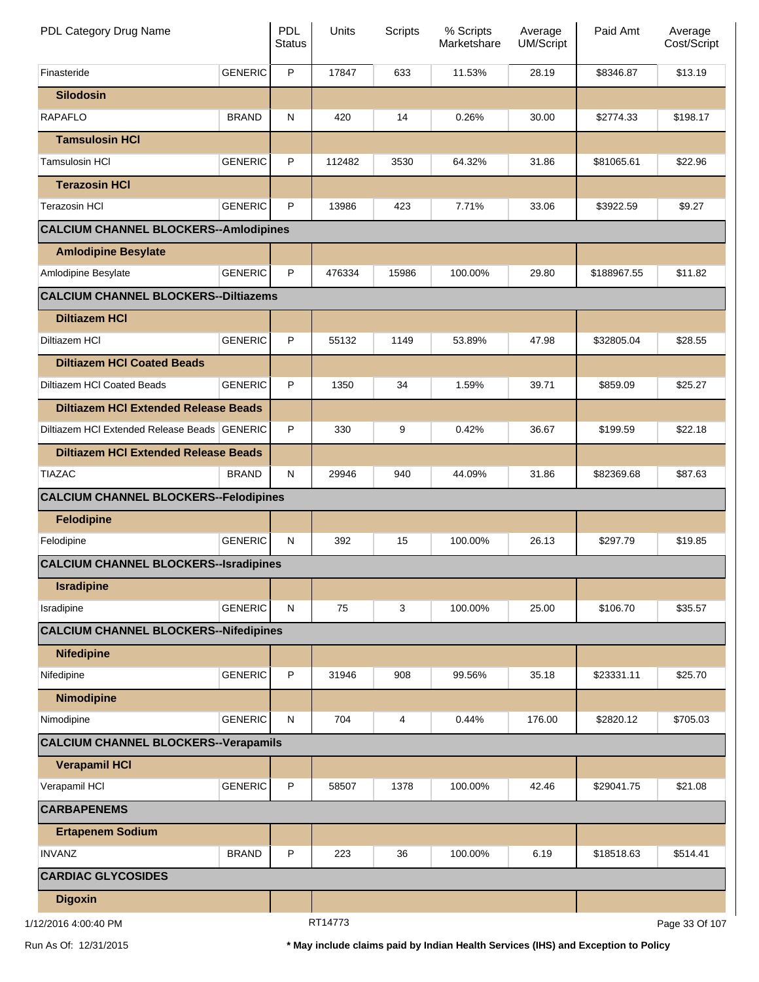| PDL Category Drug Name                       |                | <b>PDL</b><br><b>Status</b> | Units   | <b>Scripts</b> | % Scripts<br>Marketshare | Average<br><b>UM/Script</b> | Paid Amt    | Average<br>Cost/Script |
|----------------------------------------------|----------------|-----------------------------|---------|----------------|--------------------------|-----------------------------|-------------|------------------------|
| Finasteride                                  | <b>GENERIC</b> | P                           | 17847   | 633            | 11.53%                   | 28.19                       | \$8346.87   | \$13.19                |
| <b>Silodosin</b>                             |                |                             |         |                |                          |                             |             |                        |
| <b>RAPAFLO</b>                               | <b>BRAND</b>   | N                           | 420     | 14             | 0.26%                    | 30.00                       | \$2774.33   | \$198.17               |
| <b>Tamsulosin HCI</b>                        |                |                             |         |                |                          |                             |             |                        |
| <b>Tamsulosin HCI</b>                        | <b>GENERIC</b> | P                           | 112482  | 3530           | 64.32%                   | 31.86                       | \$81065.61  | \$22.96                |
| <b>Terazosin HCI</b>                         |                |                             |         |                |                          |                             |             |                        |
| <b>Terazosin HCI</b>                         | <b>GENERIC</b> | P                           | 13986   | 423            | 7.71%                    | 33.06                       | \$3922.59   | \$9.27                 |
| <b>CALCIUM CHANNEL BLOCKERS--Amlodipines</b> |                |                             |         |                |                          |                             |             |                        |
| <b>Amlodipine Besylate</b>                   |                |                             |         |                |                          |                             |             |                        |
| Amlodipine Besylate                          | <b>GENERIC</b> | P                           | 476334  | 15986          | 100.00%                  | 29.80                       | \$188967.55 | \$11.82                |
| <b>CALCIUM CHANNEL BLOCKERS--Diltiazems</b>  |                |                             |         |                |                          |                             |             |                        |
| <b>Diltiazem HCI</b>                         |                |                             |         |                |                          |                             |             |                        |
| Diltiazem HCI                                | <b>GENERIC</b> | P                           | 55132   | 1149           | 53.89%                   | 47.98                       | \$32805.04  | \$28.55                |
| <b>Diltiazem HCI Coated Beads</b>            |                |                             |         |                |                          |                             |             |                        |
| Diltiazem HCI Coated Beads                   | <b>GENERIC</b> | P                           | 1350    | 34             | 1.59%                    | 39.71                       | \$859.09    | \$25.27                |
| <b>Diltiazem HCI Extended Release Beads</b>  |                |                             |         |                |                          |                             |             |                        |
| Diltiazem HCI Extended Release Beads GENERIC |                | P                           | 330     | 9              | 0.42%                    | 36.67                       | \$199.59    | \$22.18                |
| <b>Diltiazem HCI Extended Release Beads</b>  |                |                             |         |                |                          |                             |             |                        |
| <b>TIAZAC</b>                                | <b>BRAND</b>   | N                           | 29946   | 940            | 44.09%                   | 31.86                       | \$82369.68  | \$87.63                |
| <b>CALCIUM CHANNEL BLOCKERS--Felodipines</b> |                |                             |         |                |                          |                             |             |                        |
| <b>Felodipine</b>                            |                |                             |         |                |                          |                             |             |                        |
| Felodipine                                   | <b>GENERIC</b> | N                           | 392     | 15             | 100.00%                  | 26.13                       | \$297.79    | \$19.85                |
| <b>CALCIUM CHANNEL BLOCKERS--Isradipines</b> |                |                             |         |                |                          |                             |             |                        |
| <b>Isradipine</b>                            |                |                             |         |                |                          |                             |             |                        |
| Isradipine                                   | <b>GENERIC</b> | N                           | 75      | 3              | 100.00%                  | 25.00                       | \$106.70    | \$35.57                |
| <b>CALCIUM CHANNEL BLOCKERS--Nifedipines</b> |                |                             |         |                |                          |                             |             |                        |
| <b>Nifedipine</b>                            |                |                             |         |                |                          |                             |             |                        |
| Nifedipine                                   | <b>GENERIC</b> | P                           | 31946   | 908            | 99.56%                   | 35.18                       | \$23331.11  | \$25.70                |
| <b>Nimodipine</b>                            |                |                             |         |                |                          |                             |             |                        |
| Nimodipine                                   | <b>GENERIC</b> | N                           | 704     | 4              | 0.44%                    | 176.00                      | \$2820.12   | \$705.03               |
| <b>CALCIUM CHANNEL BLOCKERS--Verapamils</b>  |                |                             |         |                |                          |                             |             |                        |
| <b>Verapamil HCI</b>                         |                |                             |         |                |                          |                             |             |                        |
| Verapamil HCI                                | <b>GENERIC</b> | P                           | 58507   | 1378           | 100.00%                  | 42.46                       | \$29041.75  | \$21.08                |
| <b>CARBAPENEMS</b>                           |                |                             |         |                |                          |                             |             |                        |
| <b>Ertapenem Sodium</b>                      |                |                             |         |                |                          |                             |             |                        |
| <b>INVANZ</b>                                | <b>BRAND</b>   | P                           | 223     | 36             | 100.00%                  | 6.19                        | \$18518.63  | \$514.41               |
| <b>CARDIAC GLYCOSIDES</b>                    |                |                             |         |                |                          |                             |             |                        |
| <b>Digoxin</b>                               |                |                             |         |                |                          |                             |             |                        |
| 1/12/2016 4:00:40 PM                         |                |                             | RT14773 |                |                          |                             |             | Page 33 Of 107         |

Run As Of: 12/31/2015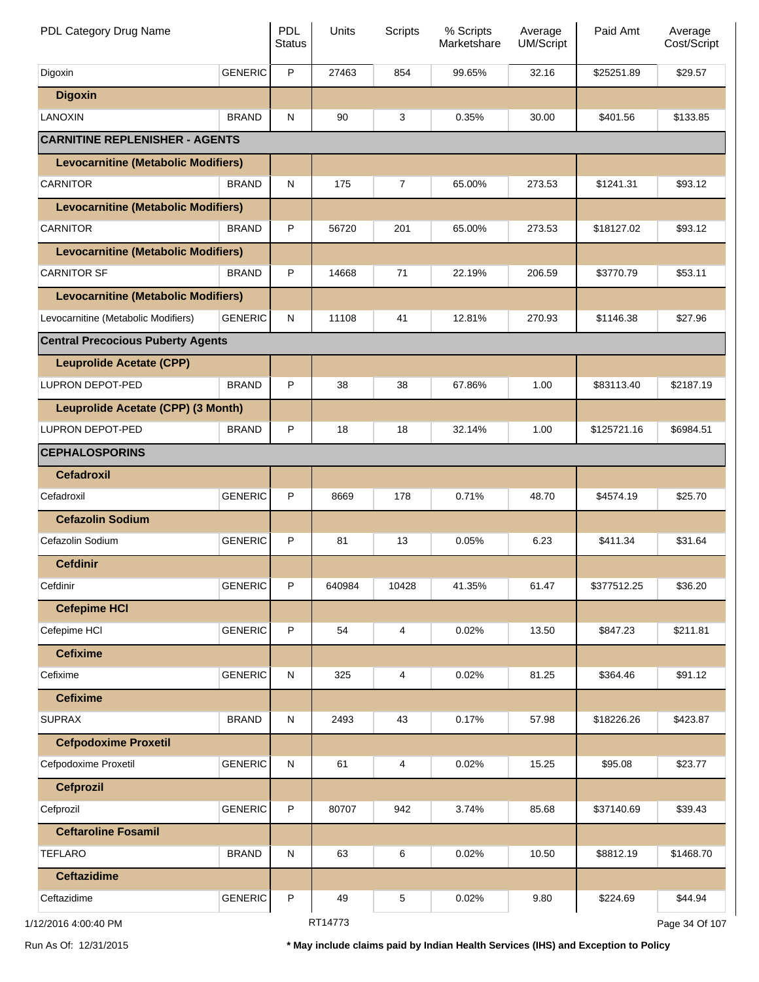| PDL Category Drug Name                     |                | <b>PDL</b><br><b>Status</b> | Units   | <b>Scripts</b> | % Scripts<br>Marketshare | Average<br><b>UM/Script</b> | Paid Amt    | Average<br>Cost/Script |
|--------------------------------------------|----------------|-----------------------------|---------|----------------|--------------------------|-----------------------------|-------------|------------------------|
| Digoxin                                    | <b>GENERIC</b> | P                           | 27463   | 854            | 99.65%                   | 32.16                       | \$25251.89  | \$29.57                |
| <b>Digoxin</b>                             |                |                             |         |                |                          |                             |             |                        |
| LANOXIN                                    | <b>BRAND</b>   | N                           | 90      | 3              | 0.35%                    | 30.00                       | \$401.56    | \$133.85               |
| <b>CARNITINE REPLENISHER - AGENTS</b>      |                |                             |         |                |                          |                             |             |                        |
| <b>Levocarnitine (Metabolic Modifiers)</b> |                |                             |         |                |                          |                             |             |                        |
| <b>CARNITOR</b>                            | <b>BRAND</b>   | N                           | 175     | $\overline{7}$ | 65.00%                   | 273.53                      | \$1241.31   | \$93.12                |
| <b>Levocarnitine (Metabolic Modifiers)</b> |                |                             |         |                |                          |                             |             |                        |
| <b>CARNITOR</b>                            | <b>BRAND</b>   | P                           | 56720   | 201            | 65.00%                   | 273.53                      | \$18127.02  | \$93.12                |
| <b>Levocarnitine (Metabolic Modifiers)</b> |                |                             |         |                |                          |                             |             |                        |
| <b>CARNITOR SF</b>                         | <b>BRAND</b>   | P                           | 14668   | 71             | 22.19%                   | 206.59                      | \$3770.79   | \$53.11                |
| <b>Levocarnitine (Metabolic Modifiers)</b> |                |                             |         |                |                          |                             |             |                        |
| Levocarnitine (Metabolic Modifiers)        | <b>GENERIC</b> | N                           | 11108   | 41             | 12.81%                   | 270.93                      | \$1146.38   | \$27.96                |
| <b>Central Precocious Puberty Agents</b>   |                |                             |         |                |                          |                             |             |                        |
| <b>Leuprolide Acetate (CPP)</b>            |                |                             |         |                |                          |                             |             |                        |
| LUPRON DEPOT-PED                           | <b>BRAND</b>   | P                           | 38      | 38             | 67.86%                   | 1.00                        | \$83113.40  | \$2187.19              |
| Leuprolide Acetate (CPP) (3 Month)         |                |                             |         |                |                          |                             |             |                        |
| LUPRON DEPOT-PED                           | <b>BRAND</b>   | P                           | 18      | 18             | 32.14%                   | 1.00                        | \$125721.16 | \$6984.51              |
| <b>CEPHALOSPORINS</b>                      |                |                             |         |                |                          |                             |             |                        |
| <b>Cefadroxil</b>                          |                |                             |         |                |                          |                             |             |                        |
| Cefadroxil                                 | <b>GENERIC</b> | P                           | 8669    | 178            | 0.71%                    | 48.70                       | \$4574.19   | \$25.70                |
| <b>Cefazolin Sodium</b>                    |                |                             |         |                |                          |                             |             |                        |
| Cefazolin Sodium                           | <b>GENERIC</b> | P                           | 81      | 13             | 0.05%                    | 6.23                        | \$411.34    | \$31.64                |
| <b>Cefdinir</b>                            |                |                             |         |                |                          |                             |             |                        |
| Cefdinir                                   | <b>GENERIC</b> | $\mathsf P$                 | 640984  | 10428          | 41.35%                   | 61.47                       | \$377512.25 | \$36.20                |
| <b>Cefepime HCI</b>                        |                |                             |         |                |                          |                             |             |                        |
| Cefepime HCI                               | <b>GENERIC</b> | $\mathsf P$                 | 54      | 4              | 0.02%                    | 13.50                       | \$847.23    | \$211.81               |
| <b>Cefixime</b>                            |                |                             |         |                |                          |                             |             |                        |
| Cefixime                                   | <b>GENERIC</b> | ${\sf N}$                   | 325     | 4              | 0.02%                    | 81.25                       | \$364.46    | \$91.12                |
| <b>Cefixime</b>                            |                |                             |         |                |                          |                             |             |                        |
| <b>SUPRAX</b>                              | <b>BRAND</b>   | ${\sf N}$                   | 2493    | 43             | 0.17%                    | 57.98                       | \$18226.26  | \$423.87               |
| <b>Cefpodoxime Proxetil</b>                |                |                             |         |                |                          |                             |             |                        |
| Cefpodoxime Proxetil                       | <b>GENERIC</b> | ${\sf N}$                   | 61      | 4              | 0.02%                    | 15.25                       | \$95.08     | \$23.77                |
| <b>Cefprozil</b>                           |                |                             |         |                |                          |                             |             |                        |
| Cefprozil                                  | <b>GENERIC</b> | P                           | 80707   | 942            | 3.74%                    | 85.68                       | \$37140.69  | \$39.43                |
| <b>Ceftaroline Fosamil</b>                 |                |                             |         |                |                          |                             |             |                        |
| <b>TEFLARO</b>                             | <b>BRAND</b>   | ${\sf N}$                   | 63      | 6              | 0.02%                    | 10.50                       | \$8812.19   | \$1468.70              |
| <b>Ceftazidime</b>                         |                |                             |         |                |                          |                             |             |                        |
| Ceftazidime                                | <b>GENERIC</b> | P                           | 49      | 5              | 0.02%                    | 9.80                        | \$224.69    | \$44.94                |
| 1/12/2016 4:00:40 PM                       |                |                             | RT14773 |                |                          |                             |             | Page 34 Of 107         |

\* May include claims paid by Indian Health Services (IHS) and Exception to Policy

Run As Of: 12/31/2015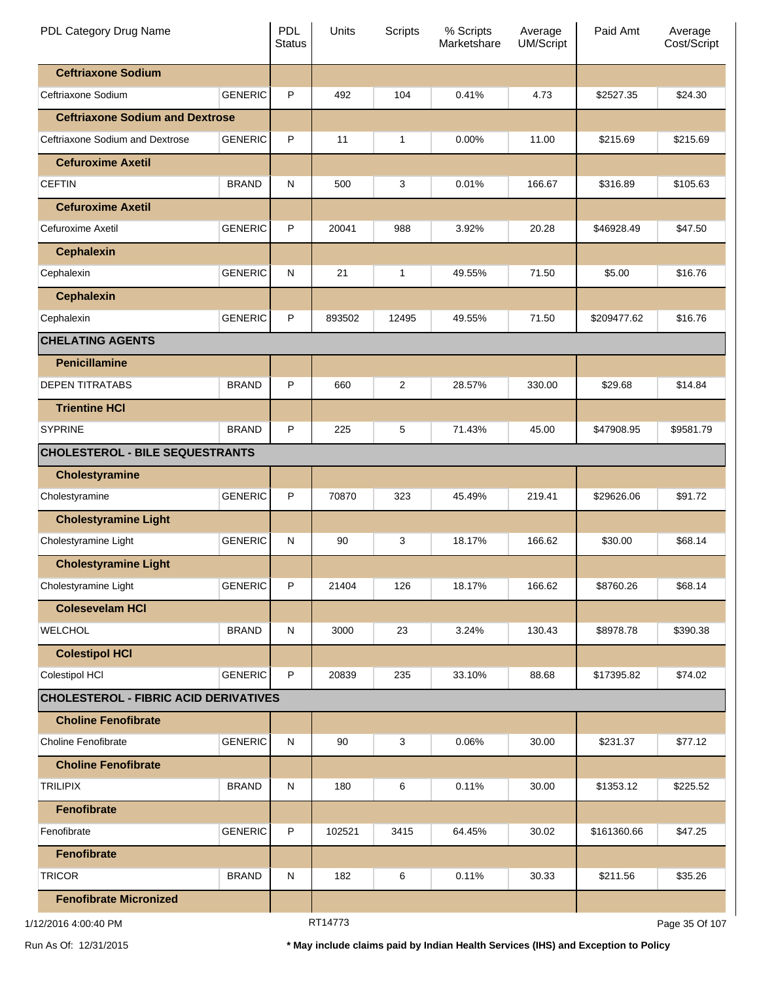| PDL Category Drug Name                       |                | PDL<br><b>Status</b> | Units          | Scripts        | % Scripts<br>Marketshare | Average<br><b>UM/Script</b> | Paid Amt    | Average<br>Cost/Script |
|----------------------------------------------|----------------|----------------------|----------------|----------------|--------------------------|-----------------------------|-------------|------------------------|
| <b>Ceftriaxone Sodium</b>                    |                |                      |                |                |                          |                             |             |                        |
| Ceftriaxone Sodium                           | <b>GENERIC</b> | P                    | 492            | 104            | 0.41%                    | 4.73                        | \$2527.35   | \$24.30                |
| <b>Ceftriaxone Sodium and Dextrose</b>       |                |                      |                |                |                          |                             |             |                        |
| Ceftriaxone Sodium and Dextrose              | <b>GENERIC</b> | P                    | 11             | 1              | 0.00%                    | 11.00                       | \$215.69    | \$215.69               |
| <b>Cefuroxime Axetil</b>                     |                |                      |                |                |                          |                             |             |                        |
| <b>CEFTIN</b>                                | <b>BRAND</b>   | N                    | 500            | 3              | 0.01%                    | 166.67                      | \$316.89    | \$105.63               |
| <b>Cefuroxime Axetil</b>                     |                |                      |                |                |                          |                             |             |                        |
| Cefuroxime Axetil                            | <b>GENERIC</b> | P                    | 20041          | 988            | 3.92%                    | 20.28                       | \$46928.49  | \$47.50                |
| <b>Cephalexin</b>                            |                |                      |                |                |                          |                             |             |                        |
| Cephalexin                                   | <b>GENERIC</b> | N                    | 21             | 1              | 49.55%                   | 71.50                       | \$5.00      | \$16.76                |
| <b>Cephalexin</b>                            |                |                      |                |                |                          |                             |             |                        |
| Cephalexin                                   | <b>GENERIC</b> | P                    | 893502         | 12495          | 49.55%                   | 71.50                       | \$209477.62 | \$16.76                |
| <b>CHELATING AGENTS</b>                      |                |                      |                |                |                          |                             |             |                        |
| <b>Penicillamine</b>                         |                |                      |                |                |                          |                             |             |                        |
| <b>DEPEN TITRATABS</b>                       | <b>BRAND</b>   | P                    | 660            | $\overline{2}$ | 28.57%                   | 330.00                      | \$29.68     | \$14.84                |
| <b>Trientine HCI</b>                         |                |                      |                |                |                          |                             |             |                        |
| <b>SYPRINE</b>                               | <b>BRAND</b>   | P                    | 225            | 5              | 71.43%                   | 45.00                       | \$47908.95  | \$9581.79              |
| <b>CHOLESTEROL - BILE SEQUESTRANTS</b>       |                |                      |                |                |                          |                             |             |                        |
| <b>Cholestyramine</b>                        |                |                      |                |                |                          |                             |             |                        |
| Cholestyramine                               | <b>GENERIC</b> | P                    | 70870          | 323            | 45.49%                   | 219.41                      | \$29626.06  | \$91.72                |
| <b>Cholestyramine Light</b>                  |                |                      |                |                |                          |                             |             |                        |
| Cholestyramine Light                         | <b>GENERIC</b> | N                    | 90             | 3              | 18.17%                   | 166.62                      | \$30.00     | \$68.14                |
| <b>Cholestyramine Light</b>                  |                |                      |                |                |                          |                             |             |                        |
| Cholestyramine Light                         | <b>GENERIC</b> | P                    | 21404          | 126            | 18.17%                   | 166.62                      | \$8760.26   | \$68.14                |
| <b>Colesevelam HCI</b>                       |                |                      |                |                |                          |                             |             |                        |
| <b>WELCHOL</b>                               | <b>BRAND</b>   | ${\sf N}$            | 3000           | 23             | 3.24%                    | 130.43                      | \$8978.78   | \$390.38               |
| <b>Colestipol HCI</b>                        |                |                      |                |                |                          |                             |             |                        |
| Colestipol HCI                               | <b>GENERIC</b> | P                    | 20839          | 235            | 33.10%                   | 88.68                       | \$17395.82  | \$74.02                |
| <b>CHOLESTEROL - FIBRIC ACID DERIVATIVES</b> |                |                      |                |                |                          |                             |             |                        |
| <b>Choline Fenofibrate</b>                   |                |                      |                |                |                          |                             |             |                        |
| <b>Choline Fenofibrate</b>                   | <b>GENERIC</b> | ${\sf N}$            | 90             | 3              | 0.06%                    | 30.00                       | \$231.37    | \$77.12                |
| <b>Choline Fenofibrate</b>                   |                |                      |                |                |                          |                             |             |                        |
| <b>TRILIPIX</b>                              | <b>BRAND</b>   | ${\sf N}$            | 180            | 6              | 0.11%                    | 30.00                       | \$1353.12   | \$225.52               |
| <b>Fenofibrate</b>                           |                |                      |                |                |                          |                             |             |                        |
| Fenofibrate                                  | <b>GENERIC</b> | P                    | 102521         | 3415           | 64.45%                   | 30.02                       | \$161360.66 | \$47.25                |
| <b>Fenofibrate</b>                           |                |                      |                |                |                          |                             |             |                        |
| <b>TRICOR</b>                                | <b>BRAND</b>   | ${\sf N}$            | 182            | 6              | 0.11%                    | 30.33                       | \$211.56    | \$35.26                |
| <b>Fenofibrate Micronized</b>                |                |                      |                |                |                          |                             |             |                        |
|                                              |                |                      | <b>DT44770</b> |                |                          |                             |             |                        |

RT14773

Page 35 Of 107

Run As Of: 12/31/2015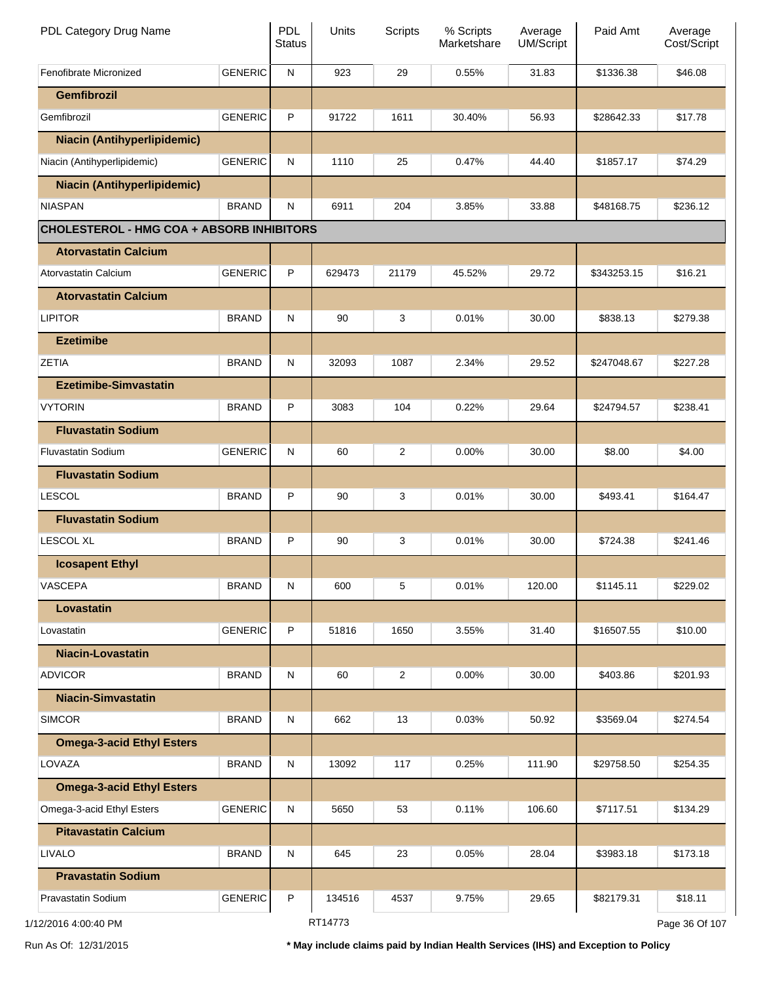| PDL Category Drug Name                           |                | <b>PDL</b><br><b>Status</b> | Units   | Scripts        | % Scripts<br>Marketshare | Average<br><b>UM/Script</b> | Paid Amt    | Average<br>Cost/Script |
|--------------------------------------------------|----------------|-----------------------------|---------|----------------|--------------------------|-----------------------------|-------------|------------------------|
| Fenofibrate Micronized                           | <b>GENERIC</b> | N                           | 923     | 29             | 0.55%                    | 31.83                       | \$1336.38   | \$46.08                |
| <b>Gemfibrozil</b>                               |                |                             |         |                |                          |                             |             |                        |
| Gemfibrozil                                      | <b>GENERIC</b> | P                           | 91722   | 1611           | 30.40%                   | 56.93                       | \$28642.33  | \$17.78                |
| <b>Niacin (Antihyperlipidemic)</b>               |                |                             |         |                |                          |                             |             |                        |
| Niacin (Antihyperlipidemic)                      | <b>GENERIC</b> | N                           | 1110    | 25             | 0.47%                    | 44.40                       | \$1857.17   | \$74.29                |
| <b>Niacin (Antihyperlipidemic)</b>               |                |                             |         |                |                          |                             |             |                        |
| <b>NIASPAN</b>                                   | <b>BRAND</b>   | N                           | 6911    | 204            | 3.85%                    | 33.88                       | \$48168.75  | \$236.12               |
| <b>CHOLESTEROL - HMG COA + ABSORB INHIBITORS</b> |                |                             |         |                |                          |                             |             |                        |
| <b>Atorvastatin Calcium</b>                      |                |                             |         |                |                          |                             |             |                        |
| Atorvastatin Calcium                             | <b>GENERIC</b> | P                           | 629473  | 21179          | 45.52%                   | 29.72                       | \$343253.15 | \$16.21                |
| <b>Atorvastatin Calcium</b>                      |                |                             |         |                |                          |                             |             |                        |
| <b>LIPITOR</b>                                   | <b>BRAND</b>   | N                           | 90      | 3              | 0.01%                    | 30.00                       | \$838.13    | \$279.38               |
| <b>Ezetimibe</b>                                 |                |                             |         |                |                          |                             |             |                        |
| <b>ZETIA</b>                                     | <b>BRAND</b>   | N                           | 32093   | 1087           | 2.34%                    | 29.52                       | \$247048.67 | \$227.28               |
| <b>Ezetimibe-Simvastatin</b>                     |                |                             |         |                |                          |                             |             |                        |
| <b>VYTORIN</b>                                   | <b>BRAND</b>   | P                           | 3083    | 104            | 0.22%                    | 29.64                       | \$24794.57  | \$238.41               |
| <b>Fluvastatin Sodium</b>                        |                |                             |         |                |                          |                             |             |                        |
| <b>Fluvastatin Sodium</b>                        | <b>GENERIC</b> | N                           | 60      | $\overline{c}$ | 0.00%                    | 30.00                       | \$8.00      | \$4.00                 |
| <b>Fluvastatin Sodium</b>                        |                |                             |         |                |                          |                             |             |                        |
| <b>LESCOL</b>                                    | <b>BRAND</b>   | P                           | 90      | 3              | 0.01%                    | 30.00                       | \$493.41    | \$164.47               |
| <b>Fluvastatin Sodium</b>                        |                |                             |         |                |                          |                             |             |                        |
| <b>LESCOL XL</b>                                 | <b>BRAND</b>   | P                           | 90      | 3              | 0.01%                    | 30.00                       | \$724.38    | \$241.46               |
| <b>Icosapent Ethyl</b>                           |                |                             |         |                |                          |                             |             |                        |
| VASCEPA                                          | <b>BRAND</b>   | N                           | 600     | 5              | 0.01%                    | 120.00                      | \$1145.11   | \$229.02               |
| Lovastatin                                       |                |                             |         |                |                          |                             |             |                        |
| Lovastatin                                       | <b>GENERIC</b> | P                           | 51816   | 1650           | 3.55%                    | 31.40                       | \$16507.55  | \$10.00                |
|                                                  |                |                             |         |                |                          |                             |             |                        |
| <b>Niacin-Lovastatin</b>                         |                |                             |         |                |                          |                             |             |                        |
| <b>ADVICOR</b>                                   | <b>BRAND</b>   | N                           | 60      | $\overline{a}$ | 0.00%                    | 30.00                       | \$403.86    | \$201.93               |
| <b>Niacin-Simvastatin</b>                        |                |                             |         |                |                          |                             |             |                        |
| <b>SIMCOR</b>                                    | <b>BRAND</b>   | ${\sf N}$                   | 662     | 13             | 0.03%                    | 50.92                       | \$3569.04   | \$274.54               |
| <b>Omega-3-acid Ethyl Esters</b>                 |                |                             |         |                |                          |                             |             |                        |
| LOVAZA                                           | <b>BRAND</b>   | N                           | 13092   | 117            | 0.25%                    | 111.90                      | \$29758.50  | \$254.35               |
| <b>Omega-3-acid Ethyl Esters</b>                 |                |                             |         |                |                          |                             |             |                        |
| Omega-3-acid Ethyl Esters                        | <b>GENERIC</b> | N                           | 5650    | 53             | 0.11%                    | 106.60                      | \$7117.51   | \$134.29               |
| <b>Pitavastatin Calcium</b>                      |                |                             |         |                |                          |                             |             |                        |
| <b>LIVALO</b>                                    | <b>BRAND</b>   | ${\sf N}$                   | 645     | 23             | 0.05%                    | 28.04                       | \$3983.18   | \$173.18               |
| <b>Pravastatin Sodium</b>                        |                |                             |         |                |                          |                             |             |                        |
| Pravastatin Sodium                               | <b>GENERIC</b> | P                           | 134516  | 4537           | 9.75%                    | 29.65                       | \$82179.31  | \$18.11                |
| 1/12/2016 4:00:40 PM                             |                |                             | RT14773 |                |                          |                             |             | Page 36 Of 107         |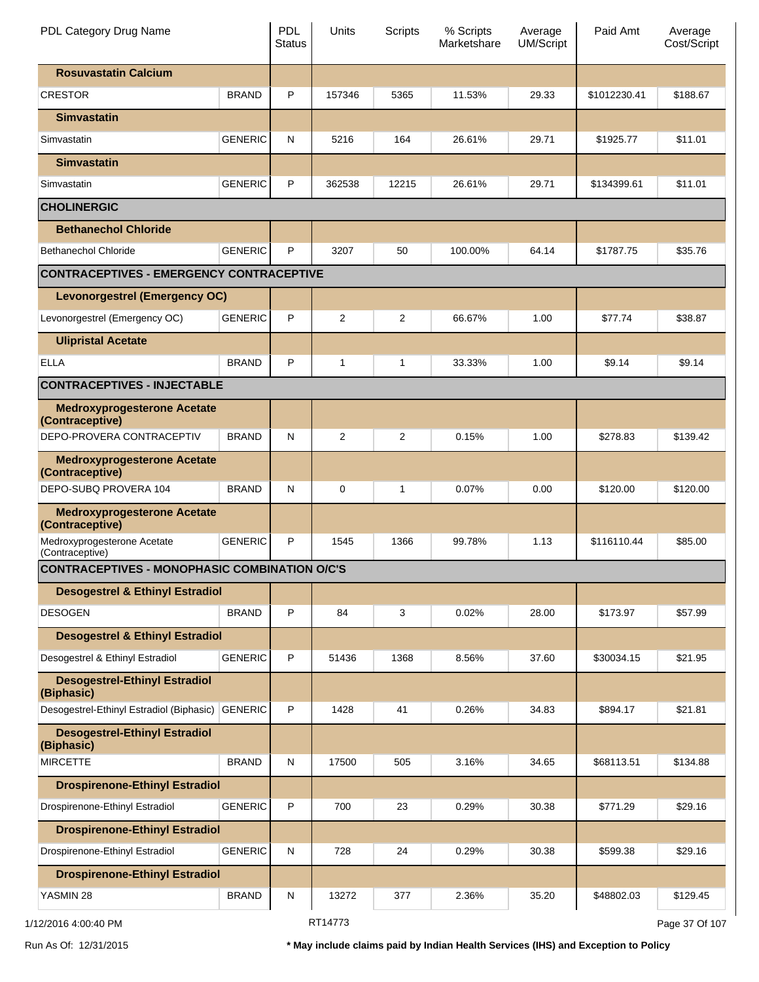| PDL Category Drug Name                                |                | PDL<br><b>Status</b> | Units          | Scripts | % Scripts<br>Marketshare | Average<br><b>UM/Script</b> | Paid Amt     | Average<br>Cost/Script |
|-------------------------------------------------------|----------------|----------------------|----------------|---------|--------------------------|-----------------------------|--------------|------------------------|
| <b>Rosuvastatin Calcium</b>                           |                |                      |                |         |                          |                             |              |                        |
| <b>CRESTOR</b>                                        | <b>BRAND</b>   | P                    | 157346         | 5365    | 11.53%                   | 29.33                       | \$1012230.41 | \$188.67               |
| <b>Simvastatin</b>                                    |                |                      |                |         |                          |                             |              |                        |
| Simvastatin                                           | <b>GENERIC</b> | ${\sf N}$            | 5216           | 164     | 26.61%                   | 29.71                       | \$1925.77    | \$11.01                |
| <b>Simvastatin</b>                                    |                |                      |                |         |                          |                             |              |                        |
| Simvastatin                                           | <b>GENERIC</b> | P                    | 362538         | 12215   | 26.61%                   | 29.71                       | \$134399.61  | \$11.01                |
| <b>CHOLINERGIC</b>                                    |                |                      |                |         |                          |                             |              |                        |
| <b>Bethanechol Chloride</b>                           |                |                      |                |         |                          |                             |              |                        |
| <b>Bethanechol Chloride</b>                           | <b>GENERIC</b> | P                    | 3207           | 50      | 100.00%                  | 64.14                       | \$1787.75    | \$35.76                |
| <b>CONTRACEPTIVES - EMERGENCY CONTRACEPTIVE</b>       |                |                      |                |         |                          |                             |              |                        |
| <b>Levonorgestrel (Emergency OC)</b>                  |                |                      |                |         |                          |                             |              |                        |
| Levonorgestrel (Emergency OC)                         | <b>GENERIC</b> | P                    | $\overline{2}$ | 2       | 66.67%                   | 1.00                        | \$77.74      | \$38.87                |
| <b>Ulipristal Acetate</b>                             |                |                      |                |         |                          |                             |              |                        |
| <b>ELLA</b>                                           | <b>BRAND</b>   | P                    | 1              | 1       | 33.33%                   | 1.00                        | \$9.14       | \$9.14                 |
| <b>CONTRACEPTIVES - INJECTABLE</b>                    |                |                      |                |         |                          |                             |              |                        |
| <b>Medroxyprogesterone Acetate</b><br>(Contraceptive) |                |                      |                |         |                          |                             |              |                        |
| DEPO-PROVERA CONTRACEPTIV                             | <b>BRAND</b>   | ${\sf N}$            | $\overline{2}$ | 2       | 0.15%                    | 1.00                        | \$278.83     | \$139.42               |
| <b>Medroxyprogesterone Acetate</b><br>(Contraceptive) |                |                      |                |         |                          |                             |              |                        |
| DEPO-SUBQ PROVERA 104                                 | <b>BRAND</b>   | ${\sf N}$            | $\mathbf 0$    | 1       | 0.07%                    | 0.00                        | \$120.00     | \$120.00               |
| <b>Medroxyprogesterone Acetate</b><br>(Contraceptive) |                |                      |                |         |                          |                             |              |                        |
| Medroxyprogesterone Acetate<br>(Contraceptive)        | <b>GENERIC</b> | P                    | 1545           | 1366    | 99.78%                   | 1.13                        | \$116110.44  | \$85.00                |
| <b>CONTRACEPTIVES - MONOPHASIC COMBINATION O/C'S</b>  |                |                      |                |         |                          |                             |              |                        |
| <b>Desogestrel &amp; Ethinyl Estradiol</b>            |                |                      |                |         |                          |                             |              |                        |
| <b>DESOGEN</b>                                        | <b>BRAND</b>   | P                    | 84             | 3       | 0.02%                    | 28.00                       | \$173.97     | \$57.99                |
| <b>Desogestrel &amp; Ethinyl Estradiol</b>            |                |                      |                |         |                          |                             |              |                        |
| Desogestrel & Ethinyl Estradiol                       | <b>GENERIC</b> | P                    | 51436          | 1368    | 8.56%                    | 37.60                       | \$30034.15   | \$21.95                |
| <b>Desogestrel-Ethinyl Estradiol</b><br>(Biphasic)    |                |                      |                |         |                          |                             |              |                        |
| Desogestrel-Ethinyl Estradiol (Biphasic)              | <b>GENERIC</b> | $\mathsf{P}$         | 1428           | 41      | 0.26%                    | 34.83                       | \$894.17     | \$21.81                |
| <b>Desogestrel-Ethinyl Estradiol</b><br>(Biphasic)    |                |                      |                |         |                          |                             |              |                        |
| <b>MIRCETTE</b>                                       | <b>BRAND</b>   | ${\sf N}$            | 17500          | 505     | 3.16%                    | 34.65                       | \$68113.51   | \$134.88               |
| <b>Drospirenone-Ethinyl Estradiol</b>                 |                |                      |                |         |                          |                             |              |                        |
| Drospirenone-Ethinyl Estradiol                        | <b>GENERIC</b> | $\mathsf{P}$         | 700            | 23      | 0.29%                    | 30.38                       | \$771.29     | \$29.16                |
| <b>Drospirenone-Ethinyl Estradiol</b>                 |                |                      |                |         |                          |                             |              |                        |
| Drospirenone-Ethinyl Estradiol                        | <b>GENERIC</b> | ${\sf N}$            | 728            | 24      | 0.29%                    | 30.38                       | \$599.38     | \$29.16                |
| <b>Drospirenone-Ethinyl Estradiol</b>                 |                |                      |                |         |                          |                             |              |                        |
| YASMIN 28                                             | <b>BRAND</b>   | N                    | 13272          | 377     | 2.36%                    | 35.20                       | \$48802.03   | \$129.45               |
| 1/12/2016 4:00:40 PM                                  |                |                      | RT14773        |         |                          |                             |              | Page 37 Of 107         |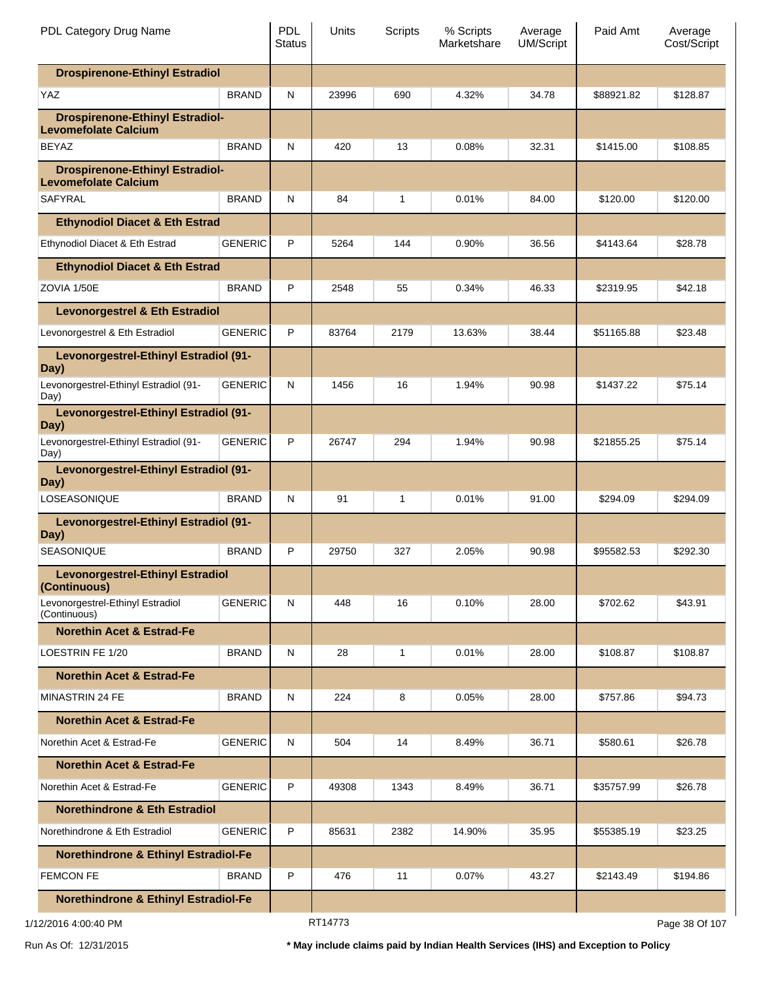| PDL Category Drug Name                                                |                | <b>PDL</b><br><b>Status</b> | Units   | <b>Scripts</b> | % Scripts<br>Marketshare | Average<br><b>UM/Script</b> | Paid Amt   | Average<br>Cost/Script |
|-----------------------------------------------------------------------|----------------|-----------------------------|---------|----------------|--------------------------|-----------------------------|------------|------------------------|
| <b>Drospirenone-Ethinyl Estradiol</b>                                 |                |                             |         |                |                          |                             |            |                        |
| <b>YAZ</b>                                                            | <b>BRAND</b>   | N                           | 23996   | 690            | 4.32%                    | 34.78                       | \$88921.82 | \$128.87               |
| <b>Drospirenone-Ethinyl Estradiol-</b><br><b>Levomefolate Calcium</b> |                |                             |         |                |                          |                             |            |                        |
| <b>BEYAZ</b>                                                          | <b>BRAND</b>   | N                           | 420     | 13             | 0.08%                    | 32.31                       | \$1415.00  | \$108.85               |
| <b>Drospirenone-Ethinyl Estradiol-</b><br><b>Levomefolate Calcium</b> |                |                             |         |                |                          |                             |            |                        |
| <b>SAFYRAL</b>                                                        | <b>BRAND</b>   | N                           | 84      | $\mathbf{1}$   | 0.01%                    | 84.00                       | \$120.00   | \$120.00               |
| <b>Ethynodiol Diacet &amp; Eth Estrad</b>                             |                |                             |         |                |                          |                             |            |                        |
| Ethynodiol Diacet & Eth Estrad                                        | <b>GENERIC</b> | P                           | 5264    | 144            | 0.90%                    | 36.56                       | \$4143.64  | \$28.78                |
| <b>Ethynodiol Diacet &amp; Eth Estrad</b>                             |                |                             |         |                |                          |                             |            |                        |
| ZOVIA 1/50E                                                           | <b>BRAND</b>   | P                           | 2548    | 55             | 0.34%                    | 46.33                       | \$2319.95  | \$42.18                |
| <b>Levonorgestrel &amp; Eth Estradiol</b>                             |                |                             |         |                |                          |                             |            |                        |
| Levonorgestrel & Eth Estradiol                                        | <b>GENERIC</b> | P                           | 83764   | 2179           | 13.63%                   | 38.44                       | \$51165.88 | \$23.48                |
| Levonorgestrel-Ethinyl Estradiol (91-<br>Day)                         |                |                             |         |                |                          |                             |            |                        |
| Levonorgestrel-Ethinyl Estradiol (91-<br>Day)                         | <b>GENERIC</b> | N                           | 1456    | 16             | 1.94%                    | 90.98                       | \$1437.22  | \$75.14                |
| Levonorgestrel-Ethinyl Estradiol (91-<br>Day)                         |                |                             |         |                |                          |                             |            |                        |
| Levonorgestrel-Ethinyl Estradiol (91-<br>Day)                         | <b>GENERIC</b> | P                           | 26747   | 294            | 1.94%                    | 90.98                       | \$21855.25 | \$75.14                |
| Levonorgestrel-Ethinyl Estradiol (91-<br>Day)                         |                |                             |         |                |                          |                             |            |                        |
| LOSEASONIQUE                                                          | <b>BRAND</b>   | N                           | 91      | 1              | 0.01%                    | 91.00                       | \$294.09   | \$294.09               |
| Levonorgestrel-Ethinyl Estradiol (91-<br>Day)                         |                |                             |         |                |                          |                             |            |                        |
| SEASONIQUE                                                            | <b>BRAND</b>   | P                           | 29750   | 327            | 2.05%                    | 90.98                       | \$95582.53 | \$292.30               |
| <b>Levonorgestrel-Ethinyl Estradiol</b><br>(Continuous)               |                |                             |         |                |                          |                             |            |                        |
| Levonorgestrel-Ethinyl Estradiol<br>(Continuous)                      | <b>GENERIC</b> | N                           | 448     | 16             | 0.10%                    | 28.00                       | \$702.62   | \$43.91                |
| <b>Norethin Acet &amp; Estrad-Fe</b>                                  |                |                             |         |                |                          |                             |            |                        |
| LOESTRIN FE 1/20                                                      | <b>BRAND</b>   | N                           | 28      | 1              | 0.01%                    | 28.00                       | \$108.87   | \$108.87               |
| <b>Norethin Acet &amp; Estrad-Fe</b>                                  |                |                             |         |                |                          |                             |            |                        |
| <b>MINASTRIN 24 FE</b>                                                | <b>BRAND</b>   | N                           | 224     | 8              | 0.05%                    | 28.00                       | \$757.86   | \$94.73                |
| <b>Norethin Acet &amp; Estrad-Fe</b>                                  |                |                             |         |                |                          |                             |            |                        |
| Norethin Acet & Estrad-Fe                                             | <b>GENERIC</b> | N                           | 504     | 14             | 8.49%                    | 36.71                       | \$580.61   | \$26.78                |
| <b>Norethin Acet &amp; Estrad-Fe</b>                                  |                |                             |         |                |                          |                             |            |                        |
| Norethin Acet & Estrad-Fe                                             | <b>GENERIC</b> | P                           | 49308   | 1343           | 8.49%                    | 36.71                       | \$35757.99 | \$26.78                |
| <b>Norethindrone &amp; Eth Estradiol</b>                              |                |                             |         |                |                          |                             |            |                        |
| Norethindrone & Eth Estradiol                                         | <b>GENERIC</b> | P                           | 85631   | 2382           | 14.90%                   | 35.95                       | \$55385.19 | \$23.25                |
| <b>Norethindrone &amp; Ethinyl Estradiol-Fe</b>                       |                |                             |         |                |                          |                             |            |                        |
| <b>FEMCON FE</b>                                                      | <b>BRAND</b>   | P                           | 476     | 11             | 0.07%                    | 43.27                       | \$2143.49  | \$194.86               |
| <b>Norethindrone &amp; Ethinyl Estradiol-Fe</b>                       |                |                             |         |                |                          |                             |            |                        |
| 1/12/2016 4:00:40 PM                                                  |                |                             | RT14773 |                |                          |                             |            | Page 38 Of 107         |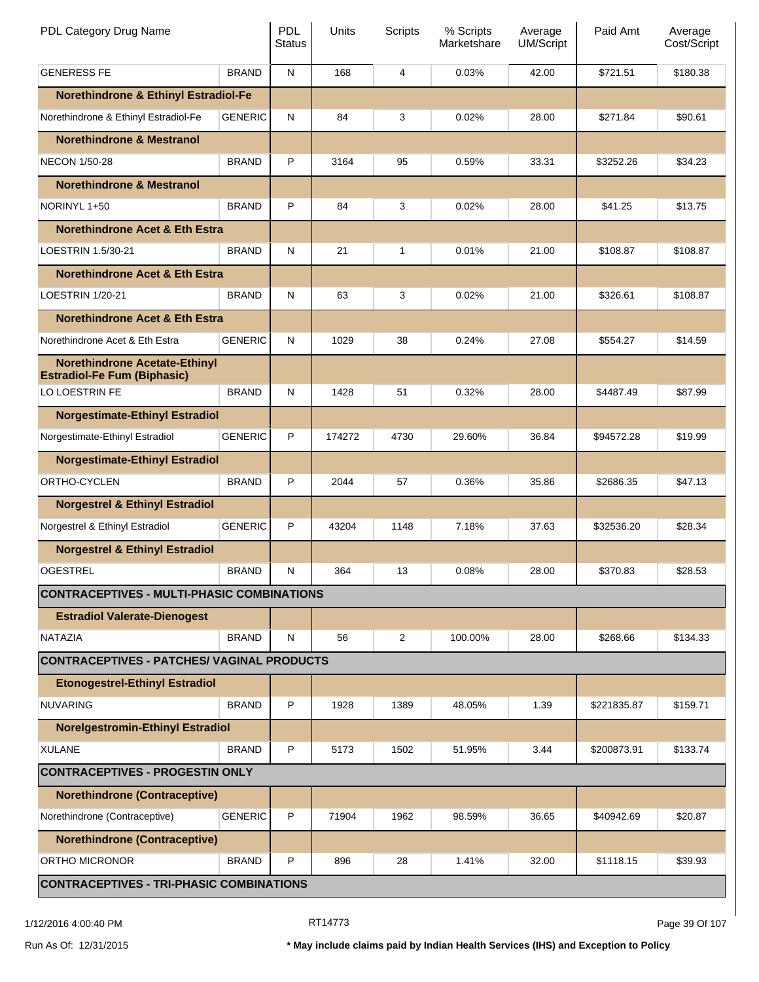| PDL Category Drug Name                                                     |                | <b>PDL</b><br>Status | Units  | Scripts | % Scripts<br>Marketshare | Average<br><b>UM/Script</b> | Paid Amt    | Average<br>Cost/Script |
|----------------------------------------------------------------------------|----------------|----------------------|--------|---------|--------------------------|-----------------------------|-------------|------------------------|
| <b>GENERESS FE</b>                                                         | <b>BRAND</b>   | ${\sf N}$            | 168    | 4       | 0.03%                    | 42.00                       | \$721.51    | \$180.38               |
| <b>Norethindrone &amp; Ethinyl Estradiol-Fe</b>                            |                |                      |        |         |                          |                             |             |                        |
| Norethindrone & Ethinyl Estradiol-Fe                                       | <b>GENERIC</b> | N                    | 84     | 3       | 0.02%                    | 28.00                       | \$271.84    | \$90.61                |
| <b>Norethindrone &amp; Mestranol</b>                                       |                |                      |        |         |                          |                             |             |                        |
| <b>NECON 1/50-28</b>                                                       | <b>BRAND</b>   | P                    | 3164   | 95      | 0.59%                    | 33.31                       | \$3252.26   | \$34.23                |
| <b>Norethindrone &amp; Mestranol</b>                                       |                |                      |        |         |                          |                             |             |                        |
| NORINYL 1+50                                                               | <b>BRAND</b>   | P                    | 84     | 3       | 0.02%                    | 28.00                       | \$41.25     | \$13.75                |
| <b>Norethindrone Acet &amp; Eth Estra</b>                                  |                |                      |        |         |                          |                             |             |                        |
| LOESTRIN 1.5/30-21                                                         | <b>BRAND</b>   | N                    | 21     | 1       | 0.01%                    | 21.00                       | \$108.87    | \$108.87               |
| <b>Norethindrone Acet &amp; Eth Estra</b>                                  |                |                      |        |         |                          |                             |             |                        |
| <b>LOESTRIN 1/20-21</b>                                                    | <b>BRAND</b>   | N                    | 63     | 3       | 0.02%                    | 21.00                       | \$326.61    | \$108.87               |
| <b>Norethindrone Acet &amp; Eth Estra</b>                                  |                |                      |        |         |                          |                             |             |                        |
| Norethindrone Acet & Eth Estra                                             | <b>GENERIC</b> | N                    | 1029   | 38      | 0.24%                    | 27.08                       | \$554.27    | \$14.59                |
| <b>Norethindrone Acetate-Ethinyl</b><br><b>Estradiol-Fe Fum (Biphasic)</b> |                |                      |        |         |                          |                             |             |                        |
| LO LOESTRIN FE                                                             | <b>BRAND</b>   | N                    | 1428   | 51      | 0.32%                    | 28.00                       | \$4487.49   | \$87.99                |
| <b>Norgestimate-Ethinyl Estradiol</b>                                      |                |                      |        |         |                          |                             |             |                        |
| Norgestimate-Ethinyl Estradiol                                             | <b>GENERIC</b> | P                    | 174272 | 4730    | 29.60%                   | 36.84                       | \$94572.28  | \$19.99                |
| <b>Norgestimate-Ethinyl Estradiol</b>                                      |                |                      |        |         |                          |                             |             |                        |
| ORTHO-CYCLEN                                                               | <b>BRAND</b>   | P                    | 2044   | 57      | 0.36%                    | 35.86                       | \$2686.35   | \$47.13                |
| <b>Norgestrel &amp; Ethinyl Estradiol</b>                                  |                |                      |        |         |                          |                             |             |                        |
| Norgestrel & Ethinyl Estradiol                                             | <b>GENERIC</b> | P                    | 43204  | 1148    | 7.18%                    | 37.63                       | \$32536.20  | \$28.34                |
| <b>Norgestrel &amp; Ethinyl Estradiol</b>                                  |                |                      |        |         |                          |                             |             |                        |
| OGESTREL                                                                   | <b>BRAND</b>   | N                    | 364    | 13      | 0.08%                    | 28.00                       | \$370.83    | \$28.53                |
| <b>CONTRACEPTIVES - MULTI-PHASIC COMBINATIONS</b>                          |                |                      |        |         |                          |                             |             |                        |
| <b>Estradiol Valerate-Dienogest</b>                                        |                |                      |        |         |                          |                             |             |                        |
| NATAZIA                                                                    | <b>BRAND</b>   | N                    | 56     | 2       | 100.00%                  | 28.00                       | \$268.66    | \$134.33               |
| <b>CONTRACEPTIVES - PATCHES/ VAGINAL PRODUCTS</b>                          |                |                      |        |         |                          |                             |             |                        |
| <b>Etonogestrel-Ethinyl Estradiol</b>                                      |                |                      |        |         |                          |                             |             |                        |
| <b>NUVARING</b>                                                            | <b>BRAND</b>   | P                    | 1928   | 1389    | 48.05%                   | 1.39                        | \$221835.87 | \$159.71               |
| <b>Norelgestromin-Ethinyl Estradiol</b>                                    |                |                      |        |         |                          |                             |             |                        |
| <b>XULANE</b>                                                              | <b>BRAND</b>   | P                    | 5173   | 1502    | 51.95%                   | 3.44                        | \$200873.91 | \$133.74               |
| <b>CONTRACEPTIVES - PROGESTIN ONLY</b>                                     |                |                      |        |         |                          |                             |             |                        |
| <b>Norethindrone (Contraceptive)</b>                                       |                |                      |        |         |                          |                             |             |                        |
| Norethindrone (Contraceptive)                                              | <b>GENERIC</b> | P                    | 71904  | 1962    | 98.59%                   | 36.65                       | \$40942.69  | \$20.87                |
| <b>Norethindrone (Contraceptive)</b>                                       |                |                      |        |         |                          |                             |             |                        |
| ORTHO MICRONOR                                                             | <b>BRAND</b>   | P                    | 896    | 28      | 1.41%                    | 32.00                       | \$1118.15   | \$39.93                |
| <b>CONTRACEPTIVES - TRI-PHASIC COMBINATIONS</b>                            |                |                      |        |         |                          |                             |             |                        |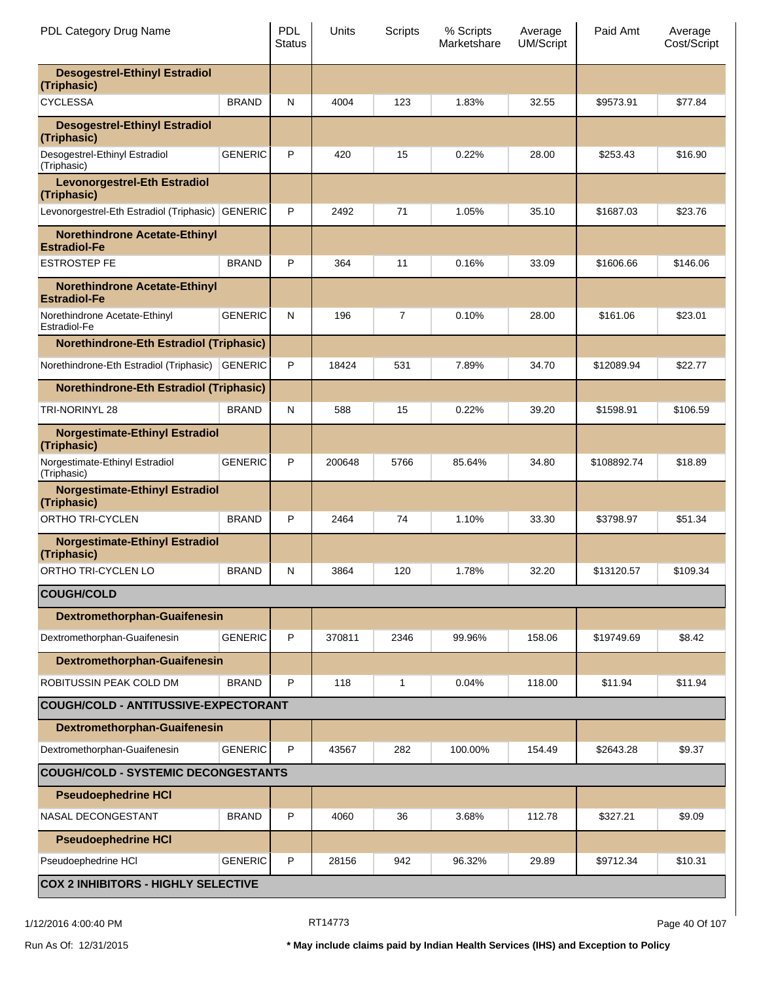| PDL Category Drug Name                                      |                | <b>PDL</b><br><b>Status</b> | Units  | Scripts | % Scripts<br>Marketshare | Average<br><b>UM/Script</b> | Paid Amt    | Average<br>Cost/Script |
|-------------------------------------------------------------|----------------|-----------------------------|--------|---------|--------------------------|-----------------------------|-------------|------------------------|
| <b>Desogestrel-Ethinyl Estradiol</b><br>(Triphasic)         |                |                             |        |         |                          |                             |             |                        |
| <b>CYCLESSA</b>                                             | <b>BRAND</b>   | N                           | 4004   | 123     | 1.83%                    | 32.55                       | \$9573.91   | \$77.84                |
| <b>Desogestrel-Ethinyl Estradiol</b><br>(Triphasic)         |                |                             |        |         |                          |                             |             |                        |
| Desogestrel-Ethinyl Estradiol<br>(Triphasic)                | <b>GENERIC</b> | P                           | 420    | 15      | 0.22%                    | 28.00                       | \$253.43    | \$16.90                |
| <b>Levonorgestrel-Eth Estradiol</b><br>(Triphasic)          |                |                             |        |         |                          |                             |             |                        |
| Levonorgestrel-Eth Estradiol (Triphasic)                    | <b>GENERIC</b> | P                           | 2492   | 71      | 1.05%                    | 35.10                       | \$1687.03   | \$23.76                |
| <b>Norethindrone Acetate-Ethinyl</b><br><b>Estradiol-Fe</b> |                |                             |        |         |                          |                             |             |                        |
| <b>ESTROSTEP FE</b>                                         | <b>BRAND</b>   | P                           | 364    | 11      | 0.16%                    | 33.09                       | \$1606.66   | \$146.06               |
| <b>Norethindrone Acetate-Ethinyl</b><br><b>Estradiol-Fe</b> |                |                             |        |         |                          |                             |             |                        |
| Norethindrone Acetate-Ethinyl<br>Estradiol-Fe               | <b>GENERIC</b> | N                           | 196    | 7       | 0.10%                    | 28.00                       | \$161.06    | \$23.01                |
| <b>Norethindrone-Eth Estradiol (Triphasic)</b>              |                |                             |        |         |                          |                             |             |                        |
| Norethindrone-Eth Estradiol (Triphasic)                     | <b>GENERIC</b> | P                           | 18424  | 531     | 7.89%                    | 34.70                       | \$12089.94  | \$22.77                |
| <b>Norethindrone-Eth Estradiol (Triphasic)</b>              |                |                             |        |         |                          |                             |             |                        |
| <b>TRI-NORINYL 28</b>                                       | <b>BRAND</b>   | N                           | 588    | 15      | 0.22%                    | 39.20                       | \$1598.91   | \$106.59               |
| <b>Norgestimate-Ethinyl Estradiol</b><br>(Triphasic)        |                |                             |        |         |                          |                             |             |                        |
| Norgestimate-Ethinyl Estradiol<br>(Triphasic)               | <b>GENERIC</b> | P                           | 200648 | 5766    | 85.64%                   | 34.80                       | \$108892.74 | \$18.89                |
| <b>Norgestimate-Ethinyl Estradiol</b><br>(Triphasic)        |                |                             |        |         |                          |                             |             |                        |
| <b>ORTHO TRI-CYCLEN</b>                                     | <b>BRAND</b>   | P                           | 2464   | 74      | 1.10%                    | 33.30                       | \$3798.97   | \$51.34                |
| <b>Norgestimate-Ethinyl Estradiol</b><br>(Triphasic)        |                |                             |        |         |                          |                             |             |                        |
| ORTHO TRI-CYCLEN LO                                         | <b>BRAND</b>   | N                           | 3864   | 120     | 1.78%                    | 32.20                       | \$13120.57  | \$109.34               |
| <b>COUGH/COLD</b>                                           |                |                             |        |         |                          |                             |             |                        |
| Dextromethorphan-Guaifenesin                                |                |                             |        |         |                          |                             |             |                        |
| Dextromethorphan-Guaifenesin                                | <b>GENERIC</b> | P                           | 370811 | 2346    | 99.96%                   | 158.06                      | \$19749.69  | \$8.42                 |
| Dextromethorphan-Guaifenesin                                |                |                             |        |         |                          |                             |             |                        |
| ROBITUSSIN PEAK COLD DM                                     | <b>BRAND</b>   | P                           | 118    | 1       | 0.04%                    | 118.00                      | \$11.94     | \$11.94                |
| COUGH/COLD - ANTITUSSIVE-EXPECTORANT                        |                |                             |        |         |                          |                             |             |                        |
| <b>Dextromethorphan-Guaifenesin</b>                         |                |                             |        |         |                          |                             |             |                        |
| Dextromethorphan-Guaifenesin                                | <b>GENERIC</b> | P                           | 43567  | 282     | 100.00%                  | 154.49                      | \$2643.28   | \$9.37                 |
| <b>COUGH/COLD - SYSTEMIC DECONGESTANTS</b>                  |                |                             |        |         |                          |                             |             |                        |
| <b>Pseudoephedrine HCI</b>                                  |                |                             |        |         |                          |                             |             |                        |
| NASAL DECONGESTANT                                          | <b>BRAND</b>   | P                           | 4060   | 36      | 3.68%                    | 112.78                      | \$327.21    | \$9.09                 |
| <b>Pseudoephedrine HCI</b>                                  |                |                             |        |         |                          |                             |             |                        |
| Pseudoephedrine HCI                                         | <b>GENERIC</b> | P                           | 28156  | 942     | 96.32%                   | 29.89                       | \$9712.34   | \$10.31                |
| <b>COX 2 INHIBITORS - HIGHLY SELECTIVE</b>                  |                |                             |        |         |                          |                             |             |                        |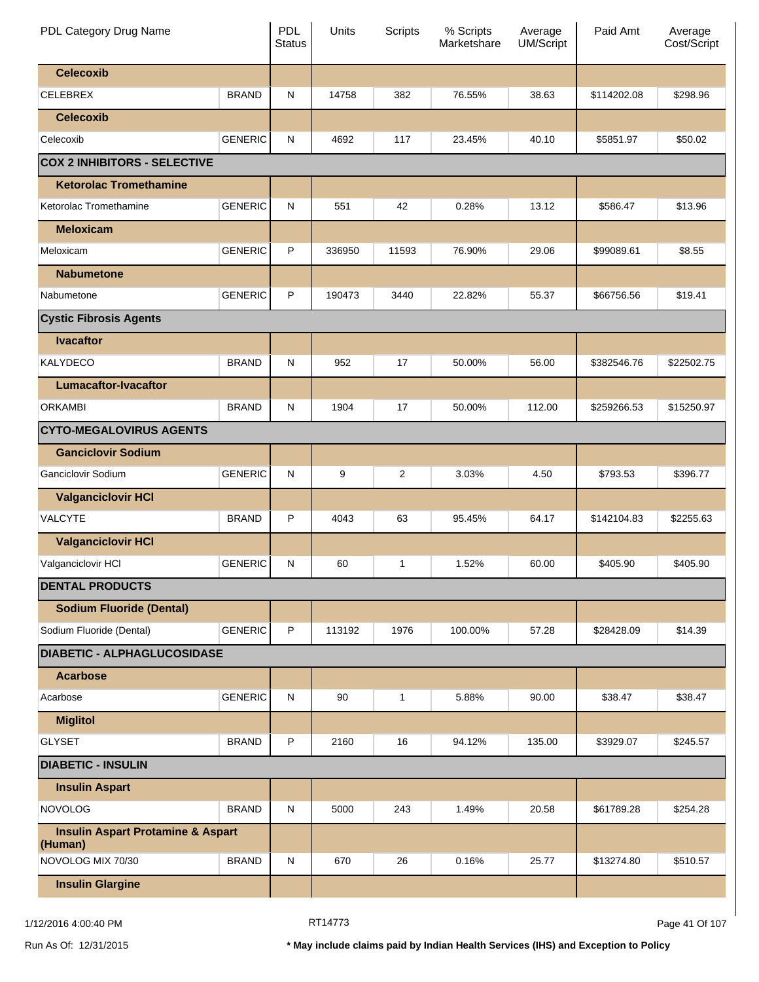| PDL Category Drug Name                                  |                | <b>PDL</b><br><b>Status</b> | Units  | Scripts        | % Scripts<br>Marketshare | Average<br>UM/Script | Paid Amt    | Average<br>Cost/Script |
|---------------------------------------------------------|----------------|-----------------------------|--------|----------------|--------------------------|----------------------|-------------|------------------------|
| <b>Celecoxib</b>                                        |                |                             |        |                |                          |                      |             |                        |
| <b>CELEBREX</b>                                         | <b>BRAND</b>   | N                           | 14758  | 382            | 76.55%                   | 38.63                | \$114202.08 | \$298.96               |
| <b>Celecoxib</b>                                        |                |                             |        |                |                          |                      |             |                        |
| Celecoxib                                               | <b>GENERIC</b> | N                           | 4692   | 117            | 23.45%                   | 40.10                | \$5851.97   | \$50.02                |
| <b>COX 2 INHIBITORS - SELECTIVE</b>                     |                |                             |        |                |                          |                      |             |                        |
| <b>Ketorolac Tromethamine</b>                           |                |                             |        |                |                          |                      |             |                        |
| Ketorolac Tromethamine                                  | <b>GENERIC</b> | $\mathsf{N}$                | 551    | 42             | 0.28%                    | 13.12                | \$586.47    | \$13.96                |
| <b>Meloxicam</b>                                        |                |                             |        |                |                          |                      |             |                        |
| Meloxicam                                               | <b>GENERIC</b> | P                           | 336950 | 11593          | 76.90%                   | 29.06                | \$99089.61  | \$8.55                 |
| <b>Nabumetone</b>                                       |                |                             |        |                |                          |                      |             |                        |
| Nabumetone                                              | <b>GENERIC</b> | P                           | 190473 | 3440           | 22.82%                   | 55.37                | \$66756.56  | \$19.41                |
| <b>Cystic Fibrosis Agents</b>                           |                |                             |        |                |                          |                      |             |                        |
| <b>Ivacaftor</b>                                        |                |                             |        |                |                          |                      |             |                        |
| <b>KALYDECO</b>                                         | <b>BRAND</b>   | N                           | 952    | 17             | 50.00%                   | 56.00                | \$382546.76 | \$22502.75             |
| <b>Lumacaftor-Ivacaftor</b>                             |                |                             |        |                |                          |                      |             |                        |
| <b>ORKAMBI</b>                                          | <b>BRAND</b>   | N                           | 1904   | 17             | 50.00%                   | 112.00               | \$259266.53 | \$15250.97             |
| <b>CYTO-MEGALOVIRUS AGENTS</b>                          |                |                             |        |                |                          |                      |             |                        |
| <b>Ganciclovir Sodium</b>                               |                |                             |        |                |                          |                      |             |                        |
| Ganciclovir Sodium                                      | <b>GENERIC</b> | N                           | 9      | $\overline{c}$ | 3.03%                    | 4.50                 | \$793.53    | \$396.77               |
| <b>Valganciclovir HCI</b>                               |                |                             |        |                |                          |                      |             |                        |
| <b>VALCYTE</b>                                          | <b>BRAND</b>   | P                           | 4043   | 63             | 95.45%                   | 64.17                | \$142104.83 | \$2255.63              |
| <b>Valganciclovir HCI</b>                               |                |                             |        |                |                          |                      |             |                        |
| Valganciclovir HCI                                      | <b>GENERIC</b> | N                           | 60     | 1              | 1.52%                    | 60.00                | \$405.90    | \$405.90               |
| <b>DENTAL PRODUCTS</b>                                  |                |                             |        |                |                          |                      |             |                        |
| <b>Sodium Fluoride (Dental)</b>                         |                |                             |        |                |                          |                      |             |                        |
| Sodium Fluoride (Dental)                                | <b>GENERIC</b> | P                           | 113192 | 1976           | 100.00%                  | 57.28                | \$28428.09  | \$14.39                |
| <b>DIABETIC - ALPHAGLUCOSIDASE</b>                      |                |                             |        |                |                          |                      |             |                        |
| <b>Acarbose</b>                                         |                |                             |        |                |                          |                      |             |                        |
| Acarbose                                                | <b>GENERIC</b> | $\mathsf{N}$                | 90     | $\mathbf{1}$   | 5.88%                    | 90.00                | \$38.47     | \$38.47                |
| <b>Miglitol</b>                                         |                |                             |        |                |                          |                      |             |                        |
| <b>GLYSET</b>                                           | <b>BRAND</b>   | P                           | 2160   | 16             | 94.12%                   | 135.00               | \$3929.07   | \$245.57               |
| <b>DIABETIC - INSULIN</b>                               |                |                             |        |                |                          |                      |             |                        |
| <b>Insulin Aspart</b>                                   |                |                             |        |                |                          |                      |             |                        |
| <b>NOVOLOG</b>                                          | <b>BRAND</b>   | $\mathsf{N}$                | 5000   | 243            | 1.49%                    | 20.58                | \$61789.28  | \$254.28               |
| <b>Insulin Aspart Protamine &amp; Aspart</b><br>(Human) |                |                             |        |                |                          |                      |             |                        |
| NOVOLOG MIX 70/30                                       | <b>BRAND</b>   | N                           | 670    | 26             | 0.16%                    | 25.77                | \$13274.80  | \$510.57               |
| <b>Insulin Glargine</b>                                 |                |                             |        |                |                          |                      |             |                        |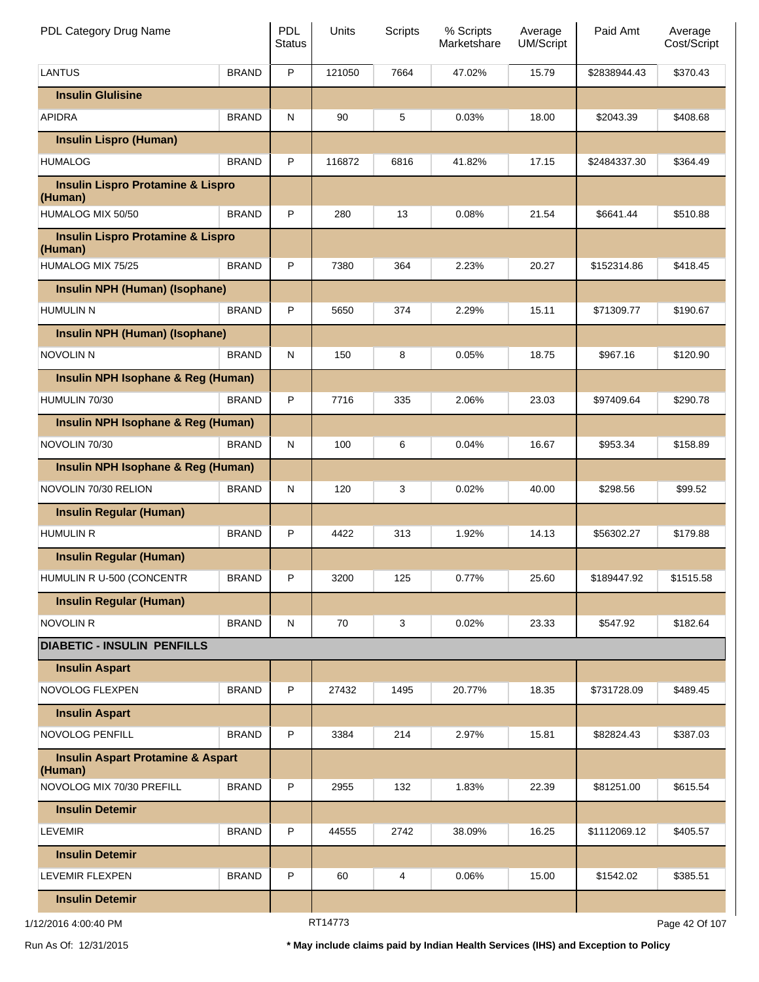| PDL Category Drug Name                                  |              | <b>PDL</b><br><b>Status</b> | Units  | Scripts | % Scripts<br>Marketshare | Average<br><b>UM/Script</b> | Paid Amt       | Average<br>Cost/Script |
|---------------------------------------------------------|--------------|-----------------------------|--------|---------|--------------------------|-----------------------------|----------------|------------------------|
| <b>LANTUS</b>                                           | <b>BRAND</b> | $\mathsf P$                 | 121050 | 7664    | 47.02%                   | 15.79                       | \$2838944.43   | \$370.43               |
| <b>Insulin Glulisine</b>                                |              |                             |        |         |                          |                             |                |                        |
| <b>APIDRA</b>                                           | <b>BRAND</b> | ${\sf N}$                   | 90     | 5       | 0.03%                    | 18.00                       | \$2043.39      | \$408.68               |
| <b>Insulin Lispro (Human)</b>                           |              |                             |        |         |                          |                             |                |                        |
| <b>HUMALOG</b>                                          | <b>BRAND</b> | P                           | 116872 | 6816    | 41.82%                   | 17.15                       | \$2484337.30   | \$364.49               |
| <b>Insulin Lispro Protamine &amp; Lispro</b><br>(Human) |              |                             |        |         |                          |                             |                |                        |
| HUMALOG MIX 50/50                                       | <b>BRAND</b> | P                           | 280    | 13      | 0.08%                    | 21.54                       | \$6641.44      | \$510.88               |
| <b>Insulin Lispro Protamine &amp; Lispro</b><br>(Human) |              |                             |        |         |                          |                             |                |                        |
| HUMALOG MIX 75/25                                       | <b>BRAND</b> | P                           | 7380   | 364     | 2.23%                    | 20.27                       | \$152314.86    | \$418.45               |
| Insulin NPH (Human) (Isophane)                          |              |                             |        |         |                          |                             |                |                        |
| <b>HUMULIN N</b>                                        | <b>BRAND</b> | P                           | 5650   | 374     | 2.29%                    | 15.11                       | \$71309.77     | \$190.67               |
| Insulin NPH (Human) (Isophane)                          |              |                             |        |         |                          |                             |                |                        |
| <b>NOVOLIN N</b>                                        | <b>BRAND</b> | ${\sf N}$                   | 150    | 8       | 0.05%                    | 18.75                       | \$967.16       | \$120.90               |
| Insulin NPH Isophane & Reg (Human)                      |              |                             |        |         |                          |                             |                |                        |
| HUMULIN 70/30                                           | <b>BRAND</b> | P                           | 7716   | 335     | 2.06%                    | 23.03                       | \$97409.64     | \$290.78               |
| Insulin NPH Isophane & Reg (Human)                      |              |                             |        |         |                          |                             |                |                        |
| NOVOLIN 70/30                                           | <b>BRAND</b> | ${\sf N}$                   | 100    | 6       | 0.04%                    | 16.67                       | \$953.34       | \$158.89               |
| Insulin NPH Isophane & Reg (Human)                      |              |                             |        |         |                          |                             |                |                        |
| NOVOLIN 70/30 RELION                                    | <b>BRAND</b> | ${\sf N}$                   | 120    | 3       | 0.02%                    | 40.00                       | \$298.56       | \$99.52                |
| <b>Insulin Regular (Human)</b>                          |              |                             |        |         |                          |                             |                |                        |
| <b>HUMULIN R</b>                                        | <b>BRAND</b> | P                           | 4422   | 313     | 1.92%                    | 14.13                       | \$56302.27     | \$179.88               |
| <b>Insulin Regular (Human)</b>                          |              |                             |        |         |                          |                             |                |                        |
| HUMULIN R U-500 (CONCENTR                               | <b>BRAND</b> | P                           | 3200   | 125     | 0.77%                    | 25.60                       | \$189447.92    | \$1515.58              |
| <b>Insulin Regular (Human)</b>                          |              |                             |        |         |                          |                             |                |                        |
| <b>NOVOLIN R</b>                                        | <b>BRAND</b> | ${\sf N}$                   | 70     | 3       | 0.02%                    | 23.33                       | \$547.92       | \$182.64               |
| <b>DIABETIC - INSULIN PENFILLS</b>                      |              |                             |        |         |                          |                             |                |                        |
| <b>Insulin Aspart</b>                                   |              |                             |        |         |                          |                             |                |                        |
| NOVOLOG FLEXPEN                                         | <b>BRAND</b> | P                           | 27432  | 1495    | 20.77%                   | 18.35                       | \$731728.09    | \$489.45               |
| <b>Insulin Aspart</b>                                   |              |                             |        |         |                          |                             |                |                        |
| NOVOLOG PENFILL                                         | <b>BRAND</b> | P                           | 3384   | 214     | 2.97%                    | 15.81                       | \$82824.43     | \$387.03               |
| <b>Insulin Aspart Protamine &amp; Aspart</b><br>(Human) |              |                             |        |         |                          |                             |                |                        |
| NOVOLOG MIX 70/30 PREFILL                               | <b>BRAND</b> | P                           | 2955   | 132     | 1.83%                    | 22.39                       | \$81251.00     | \$615.54               |
| <b>Insulin Detemir</b>                                  |              |                             |        |         |                          |                             |                |                        |
| <b>LEVEMIR</b>                                          | <b>BRAND</b> | P                           | 44555  | 2742    | 38.09%                   | 16.25                       | \$1112069.12   | \$405.57               |
| <b>Insulin Detemir</b>                                  |              |                             |        |         |                          |                             |                |                        |
| LEVEMIR FLEXPEN                                         | <b>BRAND</b> | P                           | 60     | 4       | 0.06%                    | 15.00                       | \$1542.02      | \$385.51               |
| <b>Insulin Detemir</b>                                  |              |                             |        |         |                          |                             |                |                        |
| 1/12/2016 4:00:40 PM                                    |              | RT14773                     |        |         |                          |                             | Page 42 Of 107 |                        |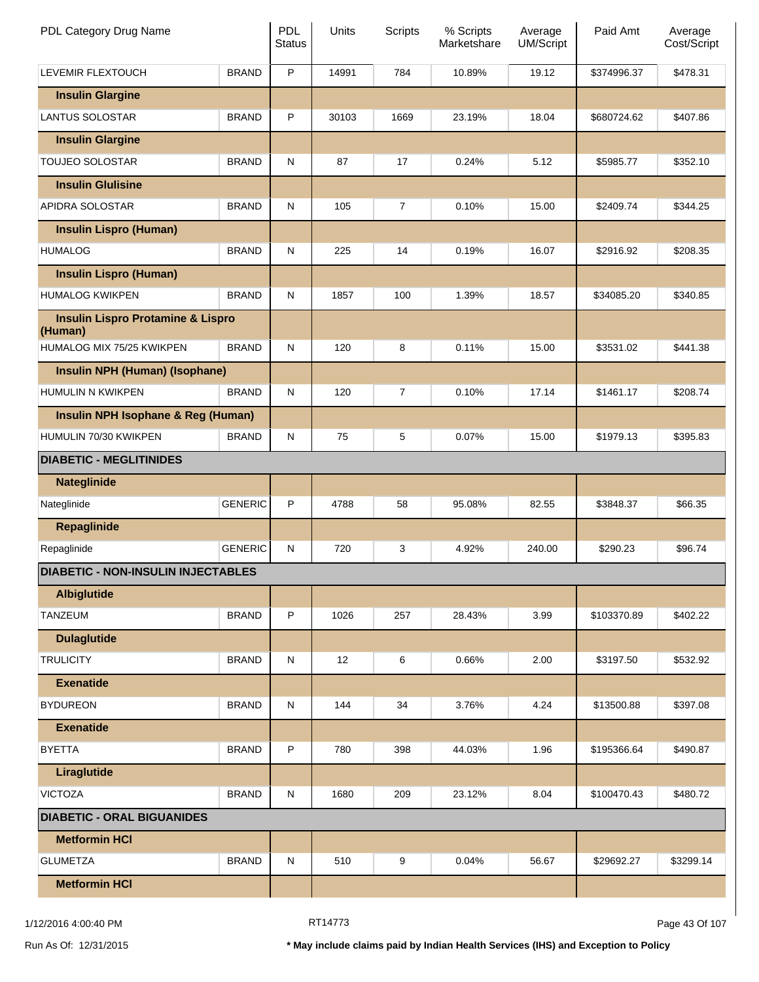| PDL Category Drug Name                                  |                | <b>PDL</b><br><b>Status</b> | Units | Scripts | % Scripts<br>Marketshare | Average<br><b>UM/Script</b> | Paid Amt    | Average<br>Cost/Script |
|---------------------------------------------------------|----------------|-----------------------------|-------|---------|--------------------------|-----------------------------|-------------|------------------------|
| LEVEMIR FLEXTOUCH                                       | <b>BRAND</b>   | P                           | 14991 | 784     | 10.89%                   | 19.12                       | \$374996.37 | \$478.31               |
| <b>Insulin Glargine</b>                                 |                |                             |       |         |                          |                             |             |                        |
| <b>LANTUS SOLOSTAR</b>                                  | <b>BRAND</b>   | P                           | 30103 | 1669    | 23.19%                   | 18.04                       | \$680724.62 | \$407.86               |
| <b>Insulin Glargine</b>                                 |                |                             |       |         |                          |                             |             |                        |
| TOUJEO SOLOSTAR                                         | <b>BRAND</b>   | N                           | 87    | 17      | 0.24%                    | 5.12                        | \$5985.77   | \$352.10               |
| <b>Insulin Glulisine</b>                                |                |                             |       |         |                          |                             |             |                        |
| APIDRA SOLOSTAR                                         | <b>BRAND</b>   | N                           | 105   | 7       | 0.10%                    | 15.00                       | \$2409.74   | \$344.25               |
| <b>Insulin Lispro (Human)</b>                           |                |                             |       |         |                          |                             |             |                        |
| <b>HUMALOG</b>                                          | <b>BRAND</b>   | N                           | 225   | 14      | 0.19%                    | 16.07                       | \$2916.92   | \$208.35               |
| <b>Insulin Lispro (Human)</b>                           |                |                             |       |         |                          |                             |             |                        |
| <b>HUMALOG KWIKPEN</b>                                  | <b>BRAND</b>   | N                           | 1857  | 100     | 1.39%                    | 18.57                       | \$34085.20  | \$340.85               |
| <b>Insulin Lispro Protamine &amp; Lispro</b><br>(Human) |                |                             |       |         |                          |                             |             |                        |
| HUMALOG MIX 75/25 KWIKPEN                               | <b>BRAND</b>   | $\mathsf{N}$                | 120   | 8       | 0.11%                    | 15.00                       | \$3531.02   | \$441.38               |
| Insulin NPH (Human) (Isophane)                          |                |                             |       |         |                          |                             |             |                        |
| HUMULIN N KWIKPEN                                       | <b>BRAND</b>   | N                           | 120   | 7       | 0.10%                    | 17.14                       | \$1461.17   | \$208.74               |
| Insulin NPH Isophane & Reg (Human)                      |                |                             |       |         |                          |                             |             |                        |
| HUMULIN 70/30 KWIKPEN                                   | <b>BRAND</b>   | $\mathsf{N}$                | 75    | 5       | 0.07%                    | 15.00                       | \$1979.13   | \$395.83               |
| <b>DIABETIC - MEGLITINIDES</b>                          |                |                             |       |         |                          |                             |             |                        |
| <b>Nateglinide</b>                                      |                |                             |       |         |                          |                             |             |                        |
| Nateglinide                                             | <b>GENERIC</b> | P                           | 4788  | 58      | 95.08%                   | 82.55                       | \$3848.37   | \$66.35                |
| <b>Repaglinide</b>                                      |                |                             |       |         |                          |                             |             |                        |
| Repaglinide                                             | <b>GENERIC</b> | N                           | 720   | 3       | 4.92%                    | 240.00                      | \$290.23    | \$96.74                |
| <b>DIABETIC - NON-INSULIN INJECTABLES</b>               |                |                             |       |         |                          |                             |             |                        |
| <b>Albiglutide</b>                                      |                |                             |       |         |                          |                             |             |                        |
| TANZEUM                                                 | <b>BRAND</b>   | P                           | 1026  | 257     | 28.43%                   | 3.99                        | \$103370.89 | \$402.22               |
| <b>Dulaglutide</b>                                      |                |                             |       |         |                          |                             |             |                        |
| <b>TRULICITY</b>                                        | <b>BRAND</b>   | N                           | 12    | 6       | 0.66%                    | 2.00                        | \$3197.50   | \$532.92               |
| <b>Exenatide</b>                                        |                |                             |       |         |                          |                             |             |                        |
| <b>BYDUREON</b>                                         | <b>BRAND</b>   | N                           | 144   | 34      | 3.76%                    | 4.24                        | \$13500.88  | \$397.08               |
| <b>Exenatide</b>                                        |                |                             |       |         |                          |                             |             |                        |
| <b>BYETTA</b>                                           | <b>BRAND</b>   | P                           | 780   | 398     | 44.03%                   | 1.96                        | \$195366.64 | \$490.87               |
| Liraglutide                                             |                |                             |       |         |                          |                             |             |                        |
| <b>VICTOZA</b>                                          | <b>BRAND</b>   | N                           | 1680  | 209     | 23.12%                   | 8.04                        | \$100470.43 | \$480.72               |
| <b>DIABETIC - ORAL BIGUANIDES</b>                       |                |                             |       |         |                          |                             |             |                        |
| <b>Metformin HCI</b>                                    |                |                             |       |         |                          |                             |             |                        |
| <b>GLUMETZA</b>                                         | <b>BRAND</b>   | N                           | 510   | 9       | 0.04%                    | 56.67                       | \$29692.27  | \$3299.14              |
| <b>Metformin HCI</b>                                    |                |                             |       |         |                          |                             |             |                        |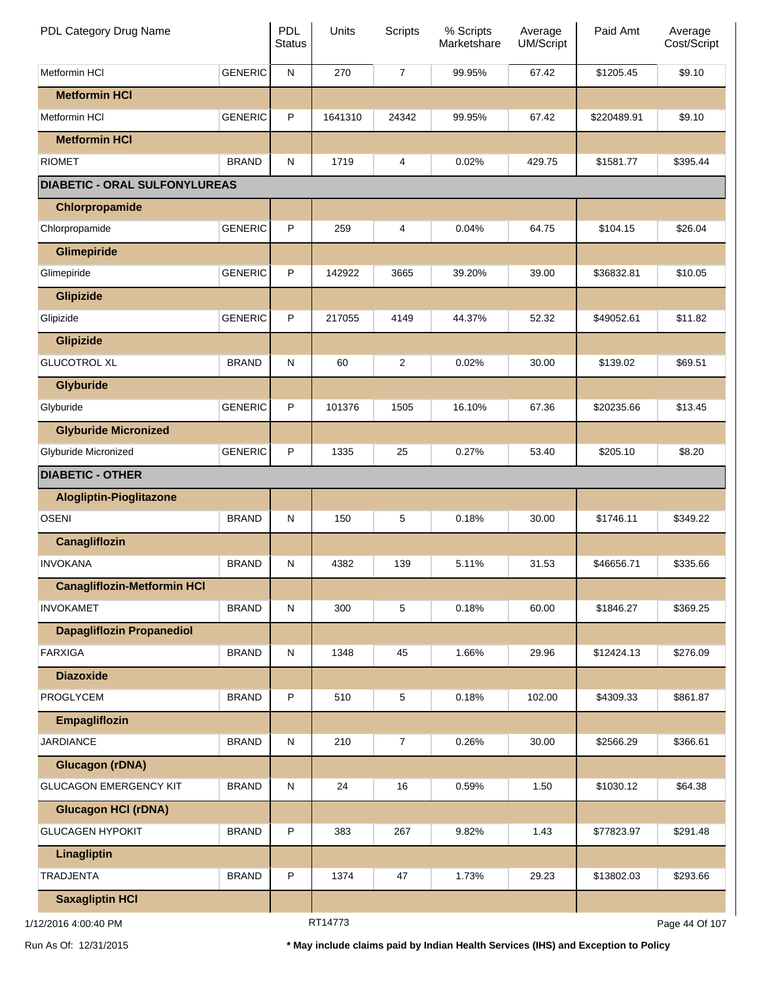| PDL Category Drug Name               |                | PDL<br><b>Status</b> | Units   | <b>Scripts</b> | % Scripts<br>Marketshare | Average<br>UM/Script | Paid Amt    | Average<br>Cost/Script |
|--------------------------------------|----------------|----------------------|---------|----------------|--------------------------|----------------------|-------------|------------------------|
| Metformin HCI                        | <b>GENERIC</b> | ${\sf N}$            | 270     | $\overline{7}$ | 99.95%                   | 67.42                | \$1205.45   | \$9.10                 |
| <b>Metformin HCI</b>                 |                |                      |         |                |                          |                      |             |                        |
| Metformin HCI                        | <b>GENERIC</b> | P                    | 1641310 | 24342          | 99.95%                   | 67.42                | \$220489.91 | \$9.10                 |
| <b>Metformin HCI</b>                 |                |                      |         |                |                          |                      |             |                        |
| <b>RIOMET</b>                        | <b>BRAND</b>   | ${\sf N}$            | 1719    | 4              | 0.02%                    | 429.75               | \$1581.77   | \$395.44               |
| <b>DIABETIC - ORAL SULFONYLUREAS</b> |                |                      |         |                |                          |                      |             |                        |
| Chlorpropamide                       |                |                      |         |                |                          |                      |             |                        |
| Chlorpropamide                       | <b>GENERIC</b> | P                    | 259     | 4              | 0.04%                    | 64.75                | \$104.15    | \$26.04                |
| <b>Glimepiride</b>                   |                |                      |         |                |                          |                      |             |                        |
| Glimepiride                          | <b>GENERIC</b> | P                    | 142922  | 3665           | 39.20%                   | 39.00                | \$36832.81  | \$10.05                |
| <b>Glipizide</b>                     |                |                      |         |                |                          |                      |             |                        |
| Glipizide                            | <b>GENERIC</b> | P                    | 217055  | 4149           | 44.37%                   | 52.32                | \$49052.61  | \$11.82                |
| <b>Glipizide</b>                     |                |                      |         |                |                          |                      |             |                        |
| <b>GLUCOTROL XL</b>                  | <b>BRAND</b>   | ${\sf N}$            | 60      | 2              | 0.02%                    | 30.00                | \$139.02    | \$69.51                |
| <b>Glyburide</b>                     |                |                      |         |                |                          |                      |             |                        |
| Glyburide                            | <b>GENERIC</b> | P                    | 101376  | 1505           | 16.10%                   | 67.36                | \$20235.66  | \$13.45                |
| <b>Glyburide Micronized</b>          |                |                      |         |                |                          |                      |             |                        |
| Glyburide Micronized                 | <b>GENERIC</b> | P                    | 1335    | 25             | 0.27%                    | 53.40                | \$205.10    | \$8.20                 |
| <b>DIABETIC - OTHER</b>              |                |                      |         |                |                          |                      |             |                        |
| <b>Alogliptin-Pioglitazone</b>       |                |                      |         |                |                          |                      |             |                        |
| <b>OSENI</b>                         | <b>BRAND</b>   | ${\sf N}$            | 150     | 5              | 0.18%                    | 30.00                | \$1746.11   | \$349.22               |
| Canagliflozin                        |                |                      |         |                |                          |                      |             |                        |
| <b>INVOKANA</b>                      | <b>BRAND</b>   | N                    | 4382    | 139            | 5.11%                    | 31.53                | \$46656.71  | \$335.66               |
| <b>Canagliflozin-Metformin HCI</b>   |                |                      |         |                |                          |                      |             |                        |
| <b>INVOKAMET</b>                     | <b>BRAND</b>   | ${\sf N}$            | 300     | 5              | 0.18%                    | 60.00                | \$1846.27   | \$369.25               |
| <b>Dapagliflozin Propanediol</b>     |                |                      |         |                |                          |                      |             |                        |
| <b>FARXIGA</b>                       | <b>BRAND</b>   | ${\sf N}$            | 1348    | 45             | 1.66%                    | 29.96                | \$12424.13  | \$276.09               |
| <b>Diazoxide</b>                     |                |                      |         |                |                          |                      |             |                        |
| PROGLYCEM                            | <b>BRAND</b>   | P                    | 510     | 5              | 0.18%                    | 102.00               | \$4309.33   | \$861.87               |
| <b>Empagliflozin</b>                 |                |                      |         |                |                          |                      |             |                        |
| <b>JARDIANCE</b>                     | <b>BRAND</b>   | ${\sf N}$            | 210     | $\overline{7}$ | 0.26%                    | 30.00                | \$2566.29   | \$366.61               |
| <b>Glucagon (rDNA)</b>               |                |                      |         |                |                          |                      |             |                        |
| <b>GLUCAGON EMERGENCY KIT</b>        | <b>BRAND</b>   | ${\sf N}$            | 24      | 16             | 0.59%                    | 1.50                 | \$1030.12   | \$64.38                |
| <b>Glucagon HCI (rDNA)</b>           |                |                      |         |                |                          |                      |             |                        |
| <b>GLUCAGEN HYPOKIT</b>              | <b>BRAND</b>   | P                    | 383     | 267            | 9.82%                    | 1.43                 | \$77823.97  | \$291.48               |
| Linagliptin                          |                |                      |         |                |                          |                      |             |                        |
| <b>TRADJENTA</b>                     | <b>BRAND</b>   | P                    | 1374    | 47             | 1.73%                    | 29.23                | \$13802.03  | \$293.66               |
| <b>Saxagliptin HCI</b>               |                |                      |         |                |                          |                      |             |                        |
| 1/12/2016 4:00:40 PM                 |                |                      | RT14773 |                |                          |                      |             | Page 44 Of 107         |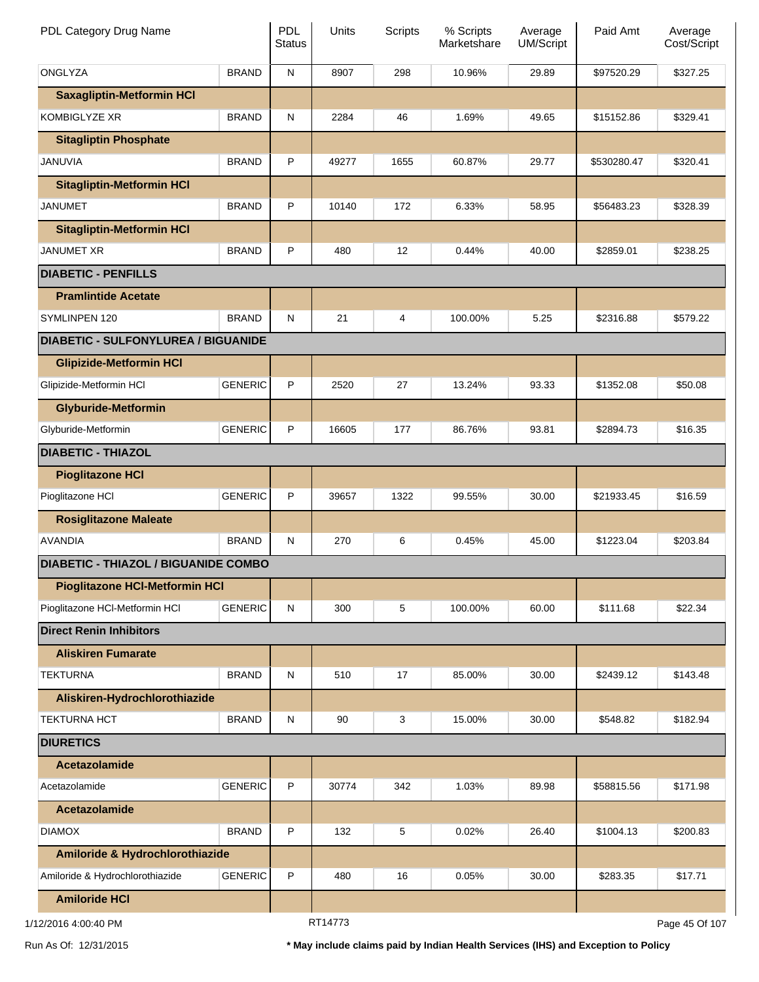| PDL Category Drug Name                      |                | <b>PDL</b><br><b>Status</b> | Units   | <b>Scripts</b> | % Scripts<br>Marketshare | Average<br><b>UM/Script</b> | Paid Amt    | Average<br>Cost/Script |
|---------------------------------------------|----------------|-----------------------------|---------|----------------|--------------------------|-----------------------------|-------------|------------------------|
| ONGLYZA                                     | <b>BRAND</b>   | ${\sf N}$                   | 8907    | 298            | 10.96%                   | 29.89                       | \$97520.29  | \$327.25               |
| <b>Saxagliptin-Metformin HCI</b>            |                |                             |         |                |                          |                             |             |                        |
| <b>KOMBIGLYZE XR</b>                        | <b>BRAND</b>   | ${\sf N}$                   | 2284    | 46             | 1.69%                    | 49.65                       | \$15152.86  | \$329.41               |
| <b>Sitagliptin Phosphate</b>                |                |                             |         |                |                          |                             |             |                        |
| <b>JANUVIA</b>                              | <b>BRAND</b>   | P                           | 49277   | 1655           | 60.87%                   | 29.77                       | \$530280.47 | \$320.41               |
| <b>Sitagliptin-Metformin HCI</b>            |                |                             |         |                |                          |                             |             |                        |
| <b>JANUMET</b>                              | <b>BRAND</b>   | P                           | 10140   | 172            | 6.33%                    | 58.95                       | \$56483.23  | \$328.39               |
| <b>Sitagliptin-Metformin HCI</b>            |                |                             |         |                |                          |                             |             |                        |
| <b>JANUMET XR</b>                           | <b>BRAND</b>   | P                           | 480     | 12             | 0.44%                    | 40.00                       | \$2859.01   | \$238.25               |
| <b>DIABETIC - PENFILLS</b>                  |                |                             |         |                |                          |                             |             |                        |
| <b>Pramlintide Acetate</b>                  |                |                             |         |                |                          |                             |             |                        |
| SYMLINPEN 120                               | <b>BRAND</b>   | ${\sf N}$                   | 21      | 4              | 100.00%                  | 5.25                        | \$2316.88   | \$579.22               |
| <b>DIABETIC - SULFONYLUREA / BIGUANIDE</b>  |                |                             |         |                |                          |                             |             |                        |
| <b>Glipizide-Metformin HCI</b>              |                |                             |         |                |                          |                             |             |                        |
| Glipizide-Metformin HCl                     | <b>GENERIC</b> | P                           | 2520    | 27             | 13.24%                   | 93.33                       | \$1352.08   | \$50.08                |
| <b>Glyburide-Metformin</b>                  |                |                             |         |                |                          |                             |             |                        |
| Glyburide-Metformin                         | <b>GENERIC</b> | P                           | 16605   | 177            | 86.76%                   | 93.81                       | \$2894.73   | \$16.35                |
| <b>DIABETIC - THIAZOL</b>                   |                |                             |         |                |                          |                             |             |                        |
| <b>Pioglitazone HCI</b>                     |                |                             |         |                |                          |                             |             |                        |
| Pioglitazone HCI                            | <b>GENERIC</b> | P                           | 39657   | 1322           | 99.55%                   | 30.00                       | \$21933.45  | \$16.59                |
| <b>Rosiglitazone Maleate</b>                |                |                             |         |                |                          |                             |             |                        |
| <b>AVANDIA</b>                              | <b>BRAND</b>   | ${\sf N}$                   | 270     | 6              | 0.45%                    | 45.00                       | \$1223.04   | \$203.84               |
| <b>DIABETIC - THIAZOL / BIGUANIDE COMBO</b> |                |                             |         |                |                          |                             |             |                        |
| <b>Pioglitazone HCI-Metformin HCI</b>       |                |                             |         |                |                          |                             |             |                        |
| Pioglitazone HCI-Metformin HCI              | <b>GENERIC</b> | ${\sf N}$                   | 300     | 5              | 100.00%                  | 60.00                       | \$111.68    | \$22.34                |
| <b>Direct Renin Inhibitors</b>              |                |                             |         |                |                          |                             |             |                        |
| <b>Aliskiren Fumarate</b>                   |                |                             |         |                |                          |                             |             |                        |
| <b>TEKTURNA</b>                             | <b>BRAND</b>   | ${\sf N}$                   | 510     | 17             | 85.00%                   | 30.00                       | \$2439.12   | \$143.48               |
| Aliskiren-Hydrochlorothiazide               |                |                             |         |                |                          |                             |             |                        |
| <b>TEKTURNA HCT</b>                         | <b>BRAND</b>   | ${\sf N}$                   | 90      | 3              | 15.00%                   | 30.00                       | \$548.82    | \$182.94               |
| <b>DIURETICS</b>                            |                |                             |         |                |                          |                             |             |                        |
| Acetazolamide                               |                |                             |         |                |                          |                             |             |                        |
| Acetazolamide                               | <b>GENERIC</b> | P                           | 30774   | 342            | 1.03%                    | 89.98                       | \$58815.56  | \$171.98               |
| Acetazolamide                               |                |                             |         |                |                          |                             |             |                        |
| <b>DIAMOX</b>                               | <b>BRAND</b>   | P                           | 132     | 5              | 0.02%                    | 26.40                       | \$1004.13   | \$200.83               |
| Amiloride & Hydrochlorothiazide             |                |                             |         |                |                          |                             |             |                        |
| Amiloride & Hydrochlorothiazide             | <b>GENERIC</b> | P                           | 480     | 16             | 0.05%                    | 30.00                       | \$283.35    | \$17.71                |
| <b>Amiloride HCI</b>                        |                |                             |         |                |                          |                             |             |                        |
| 1/12/2016 4:00:40 PM                        |                |                             | RT14773 |                |                          |                             |             | Page 45 Of 107         |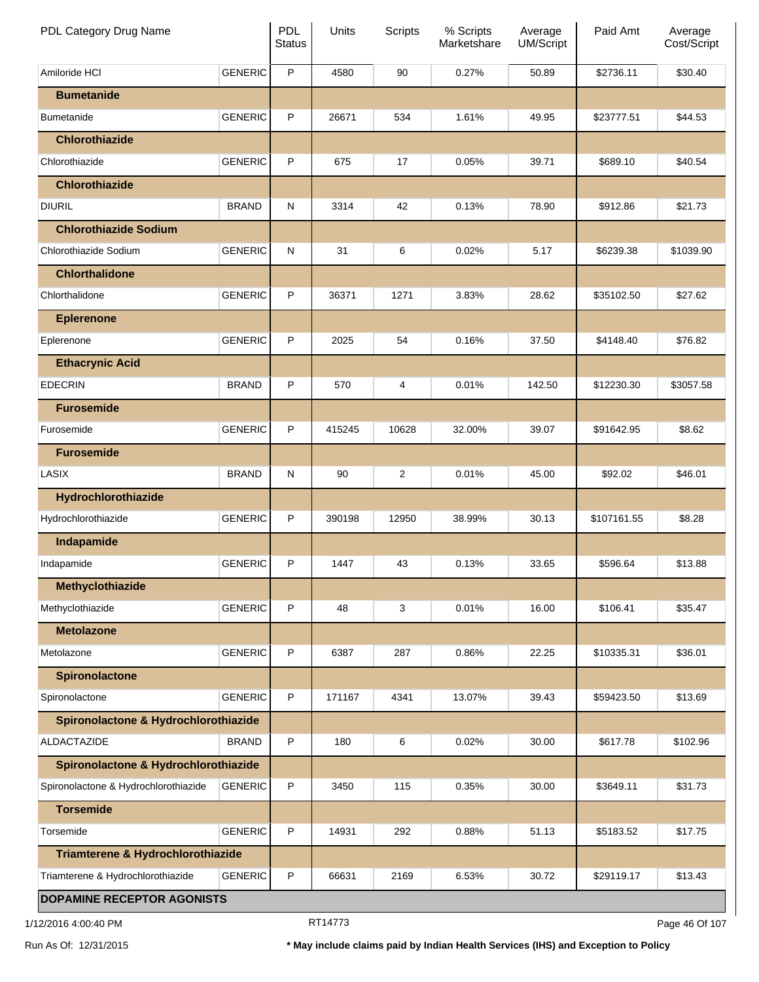| PDL Category Drug Name               |                | PDL<br><b>Status</b> | Units  | Scripts        | % Scripts<br>Marketshare | Average<br><b>UM/Script</b> | Paid Amt    | Average<br>Cost/Script |
|--------------------------------------|----------------|----------------------|--------|----------------|--------------------------|-----------------------------|-------------|------------------------|
| Amiloride HCI                        | <b>GENERIC</b> | P                    | 4580   | 90             | 0.27%                    | 50.89                       | \$2736.11   | \$30.40                |
| <b>Bumetanide</b>                    |                |                      |        |                |                          |                             |             |                        |
| <b>Bumetanide</b>                    | <b>GENERIC</b> | P                    | 26671  | 534            | 1.61%                    | 49.95                       | \$23777.51  | \$44.53                |
| <b>Chlorothiazide</b>                |                |                      |        |                |                          |                             |             |                        |
| Chlorothiazide                       | <b>GENERIC</b> | P                    | 675    | 17             | 0.05%                    | 39.71                       | \$689.10    | \$40.54                |
| <b>Chlorothiazide</b>                |                |                      |        |                |                          |                             |             |                        |
| <b>DIURIL</b>                        | <b>BRAND</b>   | N                    | 3314   | 42             | 0.13%                    | 78.90                       | \$912.86    | \$21.73                |
| <b>Chlorothiazide Sodium</b>         |                |                      |        |                |                          |                             |             |                        |
| Chlorothiazide Sodium                | <b>GENERIC</b> | N                    | 31     | 6              | 0.02%                    | 5.17                        | \$6239.38   | \$1039.90              |
| <b>Chlorthalidone</b>                |                |                      |        |                |                          |                             |             |                        |
| Chlorthalidone                       | <b>GENERIC</b> | P                    | 36371  | 1271           | 3.83%                    | 28.62                       | \$35102.50  | \$27.62                |
| <b>Eplerenone</b>                    |                |                      |        |                |                          |                             |             |                        |
| Eplerenone                           | <b>GENERIC</b> | P                    | 2025   | 54             | 0.16%                    | 37.50                       | \$4148.40   | \$76.82                |
| <b>Ethacrynic Acid</b>               |                |                      |        |                |                          |                             |             |                        |
| <b>EDECRIN</b>                       | <b>BRAND</b>   | P                    | 570    | 4              | 0.01%                    | 142.50                      | \$12230.30  | \$3057.58              |
| <b>Furosemide</b>                    |                |                      |        |                |                          |                             |             |                        |
| Furosemide                           | <b>GENERIC</b> | P                    | 415245 | 10628          | 32.00%                   | 39.07                       | \$91642.95  | \$8.62                 |
| <b>Furosemide</b>                    |                |                      |        |                |                          |                             |             |                        |
| LASIX                                | <b>BRAND</b>   | N                    | 90     | $\overline{c}$ | 0.01%                    | 45.00                       | \$92.02     | \$46.01                |
| Hydrochlorothiazide                  |                |                      |        |                |                          |                             |             |                        |
| Hydrochlorothiazide                  | <b>GENERIC</b> | P                    | 390198 | 12950          | 38.99%                   | 30.13                       | \$107161.55 | \$8.28                 |
| Indapamide                           |                |                      |        |                |                          |                             |             |                        |
| Indapamide                           | <b>GENERIC</b> | P                    | 1447   | 43             | 0.13%                    | 33.65                       | \$596.64    | \$13.88                |
| Methyclothiazide                     |                |                      |        |                |                          |                             |             |                        |
| Methyclothiazide                     | <b>GENERIC</b> | P                    | 48     | 3              | 0.01%                    | 16.00                       | \$106.41    | \$35.47                |
| <b>Metolazone</b>                    |                |                      |        |                |                          |                             |             |                        |
| Metolazone                           | <b>GENERIC</b> | P                    | 6387   | 287            | 0.86%                    | 22.25                       | \$10335.31  | \$36.01                |
| <b>Spironolactone</b>                |                |                      |        |                |                          |                             |             |                        |
| Spironolactone                       | <b>GENERIC</b> | P                    | 171167 | 4341           | 13.07%                   | 39.43                       | \$59423.50  | \$13.69                |
| Spironolactone & Hydrochlorothiazide |                |                      |        |                |                          |                             |             |                        |
| <b>ALDACTAZIDE</b>                   | <b>BRAND</b>   | P                    | 180    | 6              | 0.02%                    | 30.00                       | \$617.78    | \$102.96               |
| Spironolactone & Hydrochlorothiazide |                |                      |        |                |                          |                             |             |                        |
| Spironolactone & Hydrochlorothiazide | <b>GENERIC</b> | P                    | 3450   | 115            | 0.35%                    | 30.00                       | \$3649.11   | \$31.73                |
| <b>Torsemide</b>                     |                |                      |        |                |                          |                             |             |                        |
| Torsemide                            | <b>GENERIC</b> | P                    | 14931  | 292            | 0.88%                    | 51.13                       | \$5183.52   | \$17.75                |
| Triamterene & Hydrochlorothiazide    |                |                      |        |                |                          |                             |             |                        |
| Triamterene & Hydrochlorothiazide    | <b>GENERIC</b> | P                    | 66631  | 2169           | 6.53%                    | 30.72                       | \$29119.17  | \$13.43                |
| <b>DOPAMINE RECEPTOR AGONISTS</b>    |                |                      |        |                |                          |                             |             |                        |

1/12/2016 4:00:40 PM **Page 46 Of 107** RT14773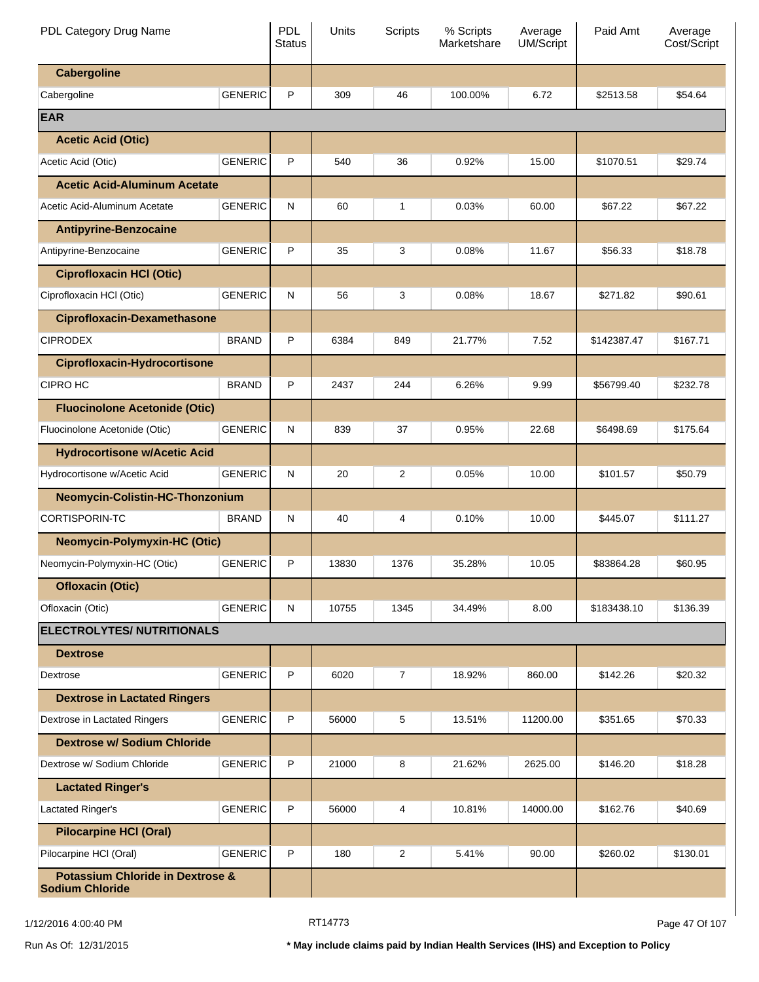| PDL Category Drug Name                                                |                | <b>PDL</b><br><b>Status</b> | Units | Scripts        | % Scripts<br>Marketshare | Average<br><b>UM/Script</b> | Paid Amt    | Average<br>Cost/Script |
|-----------------------------------------------------------------------|----------------|-----------------------------|-------|----------------|--------------------------|-----------------------------|-------------|------------------------|
| <b>Cabergoline</b>                                                    |                |                             |       |                |                          |                             |             |                        |
| Cabergoline                                                           | <b>GENERIC</b> | P                           | 309   | 46             | 100.00%                  | 6.72                        | \$2513.58   | \$54.64                |
| <b>EAR</b>                                                            |                |                             |       |                |                          |                             |             |                        |
| <b>Acetic Acid (Otic)</b>                                             |                |                             |       |                |                          |                             |             |                        |
| Acetic Acid (Otic)                                                    | <b>GENERIC</b> | P                           | 540   | 36             | 0.92%                    | 15.00                       | \$1070.51   | \$29.74                |
| <b>Acetic Acid-Aluminum Acetate</b>                                   |                |                             |       |                |                          |                             |             |                        |
| Acetic Acid-Aluminum Acetate                                          | <b>GENERIC</b> | N                           | 60    | 1              | 0.03%                    | 60.00                       | \$67.22     | \$67.22                |
| <b>Antipyrine-Benzocaine</b>                                          |                |                             |       |                |                          |                             |             |                        |
| Antipyrine-Benzocaine                                                 | <b>GENERIC</b> | P                           | 35    | 3              | 0.08%                    | 11.67                       | \$56.33     | \$18.78                |
| <b>Ciprofloxacin HCI (Otic)</b>                                       |                |                             |       |                |                          |                             |             |                        |
| Ciprofloxacin HCI (Otic)                                              | <b>GENERIC</b> | N                           | 56    | 3              | 0.08%                    | 18.67                       | \$271.82    | \$90.61                |
| <b>Ciprofloxacin-Dexamethasone</b>                                    |                |                             |       |                |                          |                             |             |                        |
| <b>CIPRODEX</b>                                                       | <b>BRAND</b>   | P                           | 6384  | 849            | 21.77%                   | 7.52                        | \$142387.47 | \$167.71               |
| <b>Ciprofloxacin-Hydrocortisone</b>                                   |                |                             |       |                |                          |                             |             |                        |
| <b>CIPRO HC</b>                                                       | <b>BRAND</b>   | P                           | 2437  | 244            | 6.26%                    | 9.99                        | \$56799.40  | \$232.78               |
| <b>Fluocinolone Acetonide (Otic)</b>                                  |                |                             |       |                |                          |                             |             |                        |
| Fluocinolone Acetonide (Otic)                                         | <b>GENERIC</b> | N                           | 839   | 37             | 0.95%                    | 22.68                       | \$6498.69   | \$175.64               |
| <b>Hydrocortisone w/Acetic Acid</b>                                   |                |                             |       |                |                          |                             |             |                        |
| Hydrocortisone w/Acetic Acid                                          | <b>GENERIC</b> | N                           | 20    | $\overline{2}$ | 0.05%                    | 10.00                       | \$101.57    | \$50.79                |
| Neomycin-Colistin-HC-Thonzonium                                       |                |                             |       |                |                          |                             |             |                        |
| <b>CORTISPORIN-TC</b>                                                 | <b>BRAND</b>   | N                           | 40    | 4              | 0.10%                    | 10.00                       | \$445.07    | \$111.27               |
| <b>Neomycin-Polymyxin-HC (Otic)</b>                                   |                |                             |       |                |                          |                             |             |                        |
| Neomycin-Polymyxin-HC (Otic)                                          | <b>GENERIC</b> | P                           | 13830 | 1376           | 35.28%                   | 10.05                       | \$83864.28  | \$60.95                |
| <b>Ofloxacin (Otic)</b>                                               |                |                             |       |                |                          |                             |             |                        |
| Ofloxacin (Otic)                                                      | <b>GENERIC</b> | N                           | 10755 | 1345           | 34.49%                   | 8.00                        | \$183438.10 | \$136.39               |
| <b>ELECTROLYTES/ NUTRITIONALS</b>                                     |                |                             |       |                |                          |                             |             |                        |
| <b>Dextrose</b>                                                       |                |                             |       |                |                          |                             |             |                        |
| Dextrose                                                              | <b>GENERIC</b> | P                           | 6020  | $\overline{7}$ | 18.92%                   | 860.00                      | \$142.26    | \$20.32                |
| <b>Dextrose in Lactated Ringers</b>                                   |                |                             |       |                |                          |                             |             |                        |
| Dextrose in Lactated Ringers                                          | <b>GENERIC</b> | P                           | 56000 | 5              | 13.51%                   | 11200.00                    | \$351.65    | \$70.33                |
| <b>Dextrose w/ Sodium Chloride</b>                                    |                |                             |       |                |                          |                             |             |                        |
| Dextrose w/ Sodium Chloride                                           | <b>GENERIC</b> | P                           | 21000 | 8              | 21.62%                   | 2625.00                     | \$146.20    | \$18.28                |
| <b>Lactated Ringer's</b>                                              |                |                             |       |                |                          |                             |             |                        |
| Lactated Ringer's                                                     | <b>GENERIC</b> | P                           | 56000 | 4              | 10.81%                   | 14000.00                    | \$162.76    | \$40.69                |
| <b>Pilocarpine HCI (Oral)</b>                                         |                |                             |       |                |                          |                             |             |                        |
| Pilocarpine HCI (Oral)                                                | <b>GENERIC</b> | P                           | 180   | $\overline{c}$ | 5.41%                    | 90.00                       | \$260.02    | \$130.01               |
| <b>Potassium Chloride in Dextrose &amp;</b><br><b>Sodium Chloride</b> |                |                             |       |                |                          |                             |             |                        |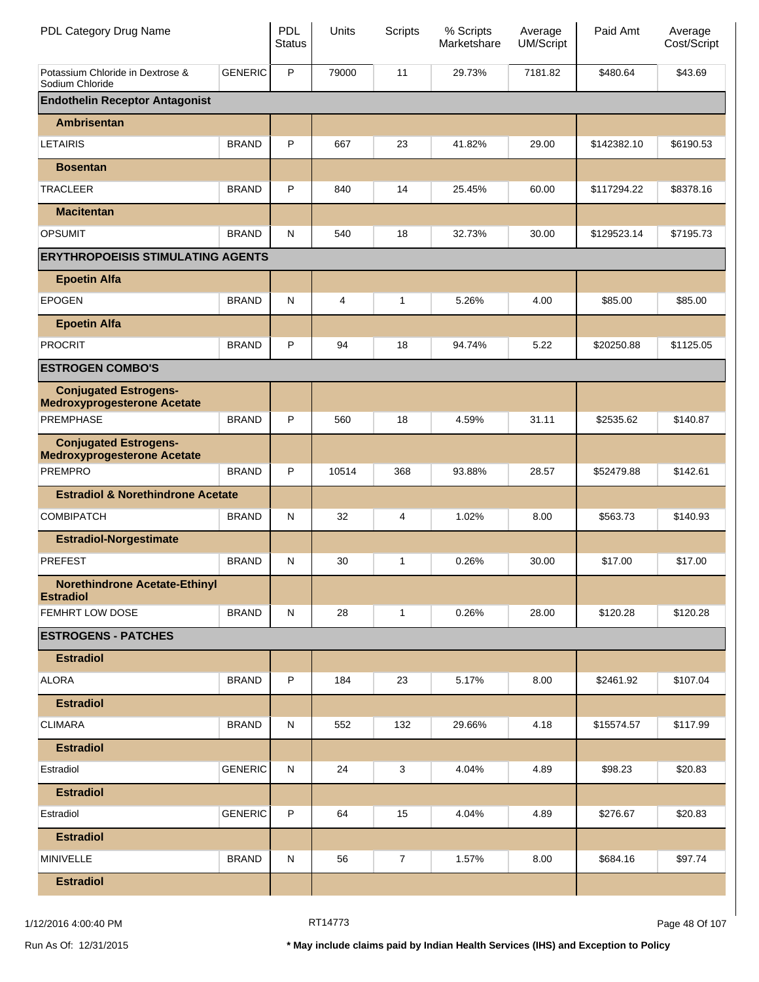| PDL Category Drug Name                                             |                | <b>PDL</b><br><b>Status</b> | Units | <b>Scripts</b> | % Scripts<br>Marketshare | Average<br>UM/Script | Paid Amt    | Average<br>Cost/Script |
|--------------------------------------------------------------------|----------------|-----------------------------|-------|----------------|--------------------------|----------------------|-------------|------------------------|
| Potassium Chloride in Dextrose &<br>Sodium Chloride                | <b>GENERIC</b> | P                           | 79000 | 11             | 29.73%                   | 7181.82              | \$480.64    | \$43.69                |
| <b>Endothelin Receptor Antagonist</b>                              |                |                             |       |                |                          |                      |             |                        |
| Ambrisentan                                                        |                |                             |       |                |                          |                      |             |                        |
| <b>LETAIRIS</b>                                                    | <b>BRAND</b>   | P                           | 667   | 23             | 41.82%                   | 29.00                | \$142382.10 | \$6190.53              |
| <b>Bosentan</b>                                                    |                |                             |       |                |                          |                      |             |                        |
| <b>TRACLEER</b>                                                    | <b>BRAND</b>   | P                           | 840   | 14             | 25.45%                   | 60.00                | \$117294.22 | \$8378.16              |
| <b>Macitentan</b>                                                  |                |                             |       |                |                          |                      |             |                        |
| <b>OPSUMIT</b>                                                     | <b>BRAND</b>   | N                           | 540   | 18             | 32.73%                   | 30.00                | \$129523.14 | \$7195.73              |
| <b>ERYTHROPOEISIS STIMULATING AGENTS</b>                           |                |                             |       |                |                          |                      |             |                        |
| <b>Epoetin Alfa</b>                                                |                |                             |       |                |                          |                      |             |                        |
| <b>EPOGEN</b>                                                      | <b>BRAND</b>   | N                           | 4     | 1              | 5.26%                    | 4.00                 | \$85.00     | \$85.00                |
| <b>Epoetin Alfa</b>                                                |                |                             |       |                |                          |                      |             |                        |
| <b>PROCRIT</b>                                                     | <b>BRAND</b>   | P                           | 94    | 18             | 94.74%                   | 5.22                 | \$20250.88  | \$1125.05              |
| <b>ESTROGEN COMBO'S</b>                                            |                |                             |       |                |                          |                      |             |                        |
| <b>Conjugated Estrogens-</b><br><b>Medroxyprogesterone Acetate</b> |                |                             |       |                |                          |                      |             |                        |
| <b>PREMPHASE</b>                                                   | <b>BRAND</b>   | P                           | 560   | 18             | 4.59%                    | 31.11                | \$2535.62   | \$140.87               |
| <b>Conjugated Estrogens-</b><br><b>Medroxyprogesterone Acetate</b> |                |                             |       |                |                          |                      |             |                        |
| <b>PREMPRO</b>                                                     | <b>BRAND</b>   | P                           | 10514 | 368            | 93.88%                   | 28.57                | \$52479.88  | \$142.61               |
| <b>Estradiol &amp; Norethindrone Acetate</b>                       |                |                             |       |                |                          |                      |             |                        |
| <b>COMBIPATCH</b>                                                  | <b>BRAND</b>   | N                           | 32    | 4              | 1.02%                    | 8.00                 | \$563.73    | \$140.93               |
| <b>Estradiol-Norgestimate</b>                                      |                |                             |       |                |                          |                      |             |                        |
| <b>PREFEST</b>                                                     | <b>BRAND</b>   | N                           | 30    | 1              | 0.26%                    | 30.00                | \$17.00     | \$17.00                |
| <b>Norethindrone Acetate-Ethinyl</b><br><b>Estradiol</b>           |                |                             |       |                |                          |                      |             |                        |
| FEMHRT LOW DOSE                                                    | <b>BRAND</b>   | N                           | 28    | $\mathbf{1}$   | 0.26%                    | 28.00                | \$120.28    | \$120.28               |
| <b>ESTROGENS - PATCHES</b>                                         |                |                             |       |                |                          |                      |             |                        |
| <b>Estradiol</b>                                                   |                |                             |       |                |                          |                      |             |                        |
| <b>ALORA</b>                                                       | <b>BRAND</b>   | P                           | 184   | 23             | 5.17%                    | 8.00                 | \$2461.92   | \$107.04               |
| <b>Estradiol</b>                                                   |                |                             |       |                |                          |                      |             |                        |
| <b>CLIMARA</b>                                                     | <b>BRAND</b>   | N                           | 552   | 132            | 29.66%                   | 4.18                 | \$15574.57  | \$117.99               |
| <b>Estradiol</b>                                                   |                |                             |       |                |                          |                      |             |                        |
| Estradiol                                                          | <b>GENERIC</b> | N                           | 24    | 3              | 4.04%                    | 4.89                 | \$98.23     | \$20.83                |
| <b>Estradiol</b>                                                   |                |                             |       |                |                          |                      |             |                        |
| Estradiol                                                          | <b>GENERIC</b> | P                           | 64    | 15             | 4.04%                    | 4.89                 | \$276.67    | \$20.83                |
| <b>Estradiol</b>                                                   |                |                             |       |                |                          |                      |             |                        |
| MINIVELLE                                                          | <b>BRAND</b>   | N                           | 56    | $\overline{7}$ | 1.57%                    | 8.00                 | \$684.16    | \$97.74                |
| <b>Estradiol</b>                                                   |                |                             |       |                |                          |                      |             |                        |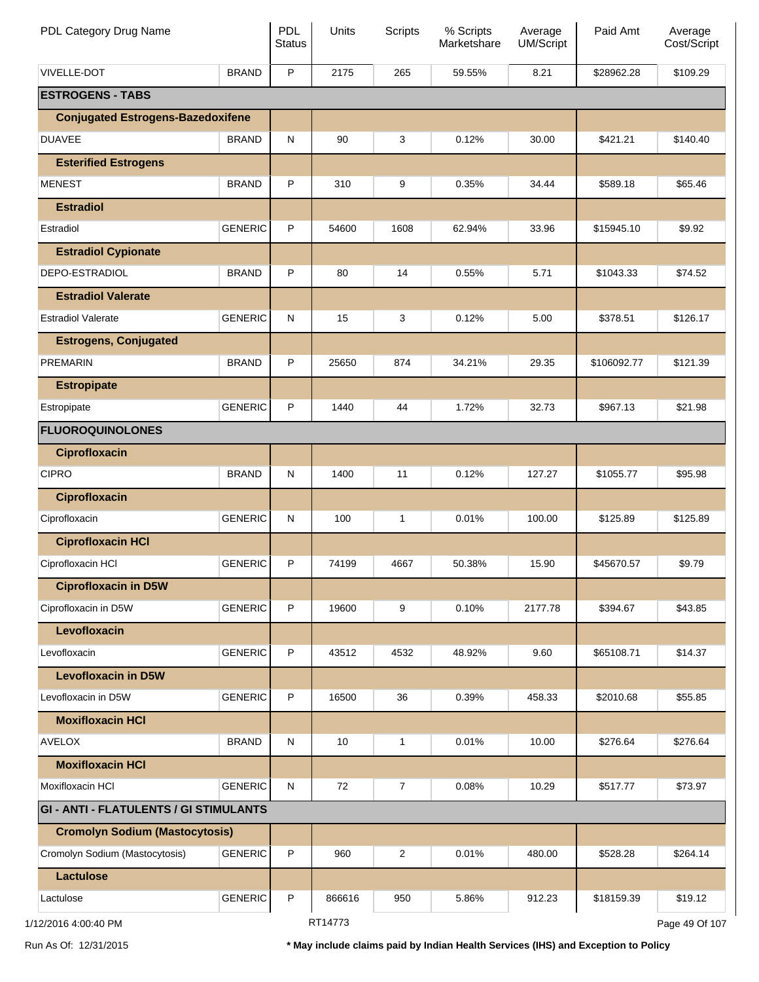| PDL Category Drug Name                        |                | PDL<br><b>Status</b> | Units   | <b>Scripts</b> | % Scripts<br>Marketshare | Average<br>UM/Script | Paid Amt    | Average<br>Cost/Script |
|-----------------------------------------------|----------------|----------------------|---------|----------------|--------------------------|----------------------|-------------|------------------------|
| <b>VIVELLE-DOT</b>                            | <b>BRAND</b>   | P                    | 2175    | 265            | 59.55%                   | 8.21                 | \$28962.28  | \$109.29               |
| <b>ESTROGENS - TABS</b>                       |                |                      |         |                |                          |                      |             |                        |
| <b>Conjugated Estrogens-Bazedoxifene</b>      |                |                      |         |                |                          |                      |             |                        |
| <b>DUAVEE</b>                                 | <b>BRAND</b>   | N                    | 90      | 3              | 0.12%                    | 30.00                | \$421.21    | \$140.40               |
| <b>Esterified Estrogens</b>                   |                |                      |         |                |                          |                      |             |                        |
| <b>MENEST</b>                                 | <b>BRAND</b>   | P                    | 310     | 9              | 0.35%                    | 34.44                | \$589.18    | \$65.46                |
| <b>Estradiol</b>                              |                |                      |         |                |                          |                      |             |                        |
| Estradiol                                     | <b>GENERIC</b> | P                    | 54600   | 1608           | 62.94%                   | 33.96                | \$15945.10  | \$9.92                 |
| <b>Estradiol Cypionate</b>                    |                |                      |         |                |                          |                      |             |                        |
| DEPO-ESTRADIOL                                | <b>BRAND</b>   | P                    | 80      | 14             | 0.55%                    | 5.71                 | \$1043.33   | \$74.52                |
| <b>Estradiol Valerate</b>                     |                |                      |         |                |                          |                      |             |                        |
| <b>Estradiol Valerate</b>                     | <b>GENERIC</b> | N                    | 15      | 3              | 0.12%                    | 5.00                 | \$378.51    | \$126.17               |
| <b>Estrogens, Conjugated</b>                  |                |                      |         |                |                          |                      |             |                        |
| <b>PREMARIN</b>                               | <b>BRAND</b>   | P                    | 25650   | 874            | 34.21%                   | 29.35                | \$106092.77 | \$121.39               |
| <b>Estropipate</b>                            |                |                      |         |                |                          |                      |             |                        |
| Estropipate                                   | <b>GENERIC</b> | P                    | 1440    | 44             | 1.72%                    | 32.73                | \$967.13    | \$21.98                |
| <b>FLUOROQUINOLONES</b>                       |                |                      |         |                |                          |                      |             |                        |
| <b>Ciprofloxacin</b>                          |                |                      |         |                |                          |                      |             |                        |
| <b>CIPRO</b>                                  | <b>BRAND</b>   | N                    | 1400    | 11             | 0.12%                    | 127.27               | \$1055.77   | \$95.98                |
| <b>Ciprofloxacin</b>                          |                |                      |         |                |                          |                      |             |                        |
| Ciprofloxacin                                 | <b>GENERIC</b> | N                    | 100     | 1              | 0.01%                    | 100.00               | \$125.89    | \$125.89               |
| <b>Ciprofloxacin HCI</b>                      |                |                      |         |                |                          |                      |             |                        |
| Ciprofloxacin HCI                             | <b>GENERIC</b> | P                    | 74199   | 4667           | 50.38%                   | 15.90                | \$45670.57  | \$9.79                 |
| <b>Ciprofloxacin in D5W</b>                   |                |                      |         |                |                          |                      |             |                        |
| Ciprofloxacin in D5W                          | <b>GENERIC</b> | P                    | 19600   | 9              | 0.10%                    | 2177.78              | \$394.67    | \$43.85                |
| Levofloxacin                                  |                |                      |         |                |                          |                      |             |                        |
| Levofloxacin                                  | <b>GENERIC</b> | P                    | 43512   | 4532           | 48.92%                   | 9.60                 | \$65108.71  | \$14.37                |
| <b>Levofloxacin in D5W</b>                    |                |                      |         |                |                          |                      |             |                        |
| Levofloxacin in D5W                           | <b>GENERIC</b> | P                    | 16500   | 36             | 0.39%                    | 458.33               | \$2010.68   | \$55.85                |
| <b>Moxifloxacin HCI</b>                       |                |                      |         |                |                          |                      |             |                        |
| <b>AVELOX</b>                                 | <b>BRAND</b>   | N                    | 10      | 1              | 0.01%                    | 10.00                | \$276.64    | \$276.64               |
| <b>Moxifloxacin HCI</b>                       |                |                      |         |                |                          |                      |             |                        |
| Moxifloxacin HCI                              | <b>GENERIC</b> | N                    | 72      | $\overline{7}$ | 0.08%                    | 10.29                | \$517.77    | \$73.97                |
| <b>GI - ANTI - FLATULENTS / GI STIMULANTS</b> |                |                      |         |                |                          |                      |             |                        |
| <b>Cromolyn Sodium (Mastocytosis)</b>         |                |                      |         |                |                          |                      |             |                        |
| Cromolyn Sodium (Mastocytosis)                | <b>GENERIC</b> | P                    | 960     | $\overline{c}$ | 0.01%                    | 480.00               | \$528.28    | \$264.14               |
| <b>Lactulose</b>                              |                |                      |         |                |                          |                      |             |                        |
| Lactulose                                     | <b>GENERIC</b> | P                    | 866616  | 950            | 5.86%                    | 912.23               | \$18159.39  | \$19.12                |
| 1/12/2016 4:00:40 PM                          |                |                      | RT14773 |                |                          |                      |             | Page 49 Of 107         |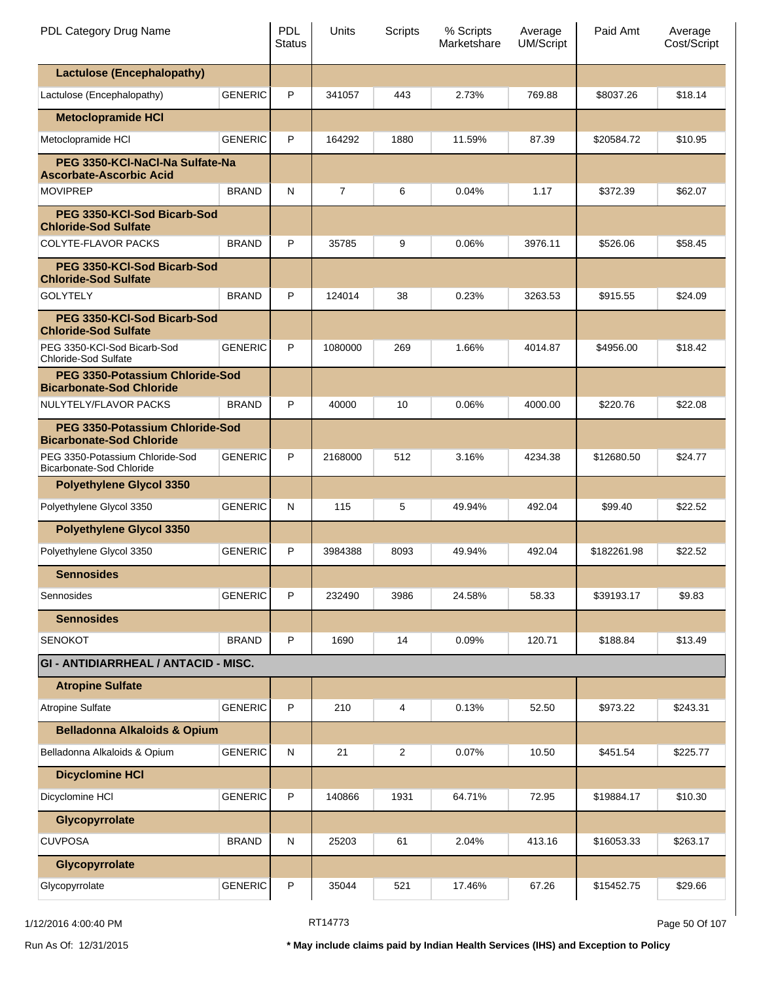| PDL Category Drug Name                                                    |                | <b>PDL</b><br><b>Status</b> | Units          | Scripts | % Scripts<br>Marketshare | Average<br><b>UM/Script</b> | Paid Amt    | Average<br>Cost/Script |
|---------------------------------------------------------------------------|----------------|-----------------------------|----------------|---------|--------------------------|-----------------------------|-------------|------------------------|
| <b>Lactulose (Encephalopathy)</b>                                         |                |                             |                |         |                          |                             |             |                        |
| Lactulose (Encephalopathy)                                                | <b>GENERIC</b> | P                           | 341057         | 443     | 2.73%                    | 769.88                      | \$8037.26   | \$18.14                |
| <b>Metoclopramide HCI</b>                                                 |                |                             |                |         |                          |                             |             |                        |
| Metoclopramide HCI                                                        | <b>GENERIC</b> | P                           | 164292         | 1880    | 11.59%                   | 87.39                       | \$20584.72  | \$10.95                |
| PEG 3350-KCI-NaCI-Na Sulfate-Na<br><b>Ascorbate-Ascorbic Acid</b>         |                |                             |                |         |                          |                             |             |                        |
| <b>MOVIPREP</b>                                                           | <b>BRAND</b>   | N                           | $\overline{7}$ | 6       | 0.04%                    | 1.17                        | \$372.39    | \$62.07                |
| PEG 3350-KCI-Sod Bicarb-Sod<br><b>Chloride-Sod Sulfate</b>                |                |                             |                |         |                          |                             |             |                        |
| COLYTE-FLAVOR PACKS                                                       | <b>BRAND</b>   | P                           | 35785          | 9       | 0.06%                    | 3976.11                     | \$526.06    | \$58.45                |
| PEG 3350-KCI-Sod Bicarb-Sod<br><b>Chloride-Sod Sulfate</b>                |                |                             |                |         |                          |                             |             |                        |
| <b>GOLYTELY</b>                                                           | <b>BRAND</b>   | P                           | 124014         | 38      | 0.23%                    | 3263.53                     | \$915.55    | \$24.09                |
| PEG 3350-KCI-Sod Bicarb-Sod<br><b>Chloride-Sod Sulfate</b>                |                |                             |                |         |                          |                             |             |                        |
| PEG 3350-KCI-Sod Bicarb-Sod<br><b>Chloride-Sod Sulfate</b>                | <b>GENERIC</b> | P                           | 1080000        | 269     | 1.66%                    | 4014.87                     | \$4956.00   | \$18.42                |
| <b>PEG 3350-Potassium Chloride-Sod</b><br><b>Bicarbonate-Sod Chloride</b> |                |                             |                |         |                          |                             |             |                        |
| NULYTELY/FLAVOR PACKS                                                     | <b>BRAND</b>   | P                           | 40000          | 10      | 0.06%                    | 4000.00                     | \$220.76    | \$22.08                |
| <b>PEG 3350-Potassium Chloride-Sod</b><br><b>Bicarbonate-Sod Chloride</b> |                |                             |                |         |                          |                             |             |                        |
| PEG 3350-Potassium Chloride-Sod<br>Bicarbonate-Sod Chloride               | <b>GENERIC</b> | P                           | 2168000        | 512     | 3.16%                    | 4234.38                     | \$12680.50  | \$24.77                |
| <b>Polyethylene Glycol 3350</b>                                           |                |                             |                |         |                          |                             |             |                        |
| Polyethylene Glycol 3350                                                  | <b>GENERIC</b> | N                           | 115            | 5       | 49.94%                   | 492.04                      | \$99.40     | \$22.52                |
| <b>Polyethylene Glycol 3350</b>                                           |                |                             |                |         |                          |                             |             |                        |
| Polyethylene Glycol 3350                                                  | <b>GENERIC</b> | P                           | 3984388        | 8093    | 49.94%                   | 492.04                      | \$182261.98 | \$22.52                |
| <b>Sennosides</b>                                                         |                |                             |                |         |                          |                             |             |                        |
| Sennosides                                                                | <b>GENERIC</b> | P                           | 232490         | 3986    | 24.58%                   | 58.33                       | \$39193.17  | \$9.83                 |
| <b>Sennosides</b>                                                         |                |                             |                |         |                          |                             |             |                        |
| <b>SENOKOT</b>                                                            | <b>BRAND</b>   | P                           | 1690           | 14      | 0.09%                    | 120.71                      | \$188.84    | \$13.49                |
| <b>GI - ANTIDIARRHEAL / ANTACID - MISC.</b>                               |                |                             |                |         |                          |                             |             |                        |
| <b>Atropine Sulfate</b>                                                   |                |                             |                |         |                          |                             |             |                        |
| <b>Atropine Sulfate</b>                                                   | <b>GENERIC</b> | P                           | 210            | 4       | 0.13%                    | 52.50                       | \$973.22    | \$243.31               |
| <b>Belladonna Alkaloids &amp; Opium</b>                                   |                |                             |                |         |                          |                             |             |                        |
| Belladonna Alkaloids & Opium                                              | <b>GENERIC</b> | ${\sf N}$                   | 21             | 2       | 0.07%                    | 10.50                       | \$451.54    | \$225.77               |
| <b>Dicyclomine HCI</b>                                                    |                |                             |                |         |                          |                             |             |                        |
| Dicyclomine HCI                                                           | <b>GENERIC</b> | P                           | 140866         | 1931    | 64.71%                   | 72.95                       | \$19884.17  | \$10.30                |
| Glycopyrrolate                                                            |                |                             |                |         |                          |                             |             |                        |
| <b>CUVPOSA</b>                                                            | <b>BRAND</b>   | N                           | 25203          | 61      | 2.04%                    | 413.16                      | \$16053.33  | \$263.17               |
| Glycopyrrolate                                                            |                |                             |                |         |                          |                             |             |                        |
| Glycopyrrolate                                                            | <b>GENERIC</b> | P                           | 35044          | 521     | 17.46%                   | 67.26                       | \$15452.75  | \$29.66                |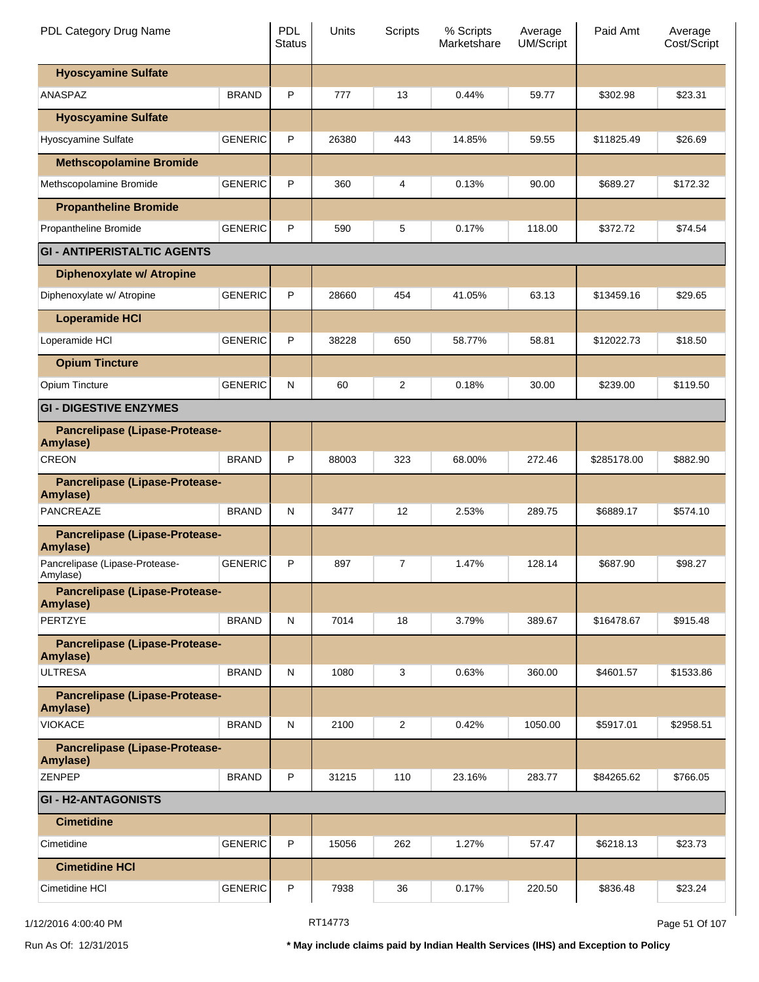| PDL Category Drug Name                     |                | <b>PDL</b><br><b>Status</b> | Units | Scripts        | % Scripts<br>Marketshare | Average<br><b>UM/Script</b> | Paid Amt    | Average<br>Cost/Script |
|--------------------------------------------|----------------|-----------------------------|-------|----------------|--------------------------|-----------------------------|-------------|------------------------|
| <b>Hyoscyamine Sulfate</b>                 |                |                             |       |                |                          |                             |             |                        |
| ANASPAZ                                    | <b>BRAND</b>   | P                           | 777   | 13             | 0.44%                    | 59.77                       | \$302.98    | \$23.31                |
| <b>Hyoscyamine Sulfate</b>                 |                |                             |       |                |                          |                             |             |                        |
| Hyoscyamine Sulfate                        | <b>GENERIC</b> | P                           | 26380 | 443            | 14.85%                   | 59.55                       | \$11825.49  | \$26.69                |
| <b>Methscopolamine Bromide</b>             |                |                             |       |                |                          |                             |             |                        |
| Methscopolamine Bromide                    | <b>GENERIC</b> | P                           | 360   | 4              | 0.13%                    | 90.00                       | \$689.27    | \$172.32               |
| <b>Propantheline Bromide</b>               |                |                             |       |                |                          |                             |             |                        |
| Propantheline Bromide                      | <b>GENERIC</b> | P                           | 590   | 5              | 0.17%                    | 118.00                      | \$372.72    | \$74.54                |
| <b>GI - ANTIPERISTALTIC AGENTS</b>         |                |                             |       |                |                          |                             |             |                        |
| <b>Diphenoxylate w/ Atropine</b>           |                |                             |       |                |                          |                             |             |                        |
| Diphenoxylate w/ Atropine                  | <b>GENERIC</b> | P                           | 28660 | 454            | 41.05%                   | 63.13                       | \$13459.16  | \$29.65                |
| <b>Loperamide HCI</b>                      |                |                             |       |                |                          |                             |             |                        |
| Loperamide HCI                             | <b>GENERIC</b> | P                           | 38228 | 650            | 58.77%                   | 58.81                       | \$12022.73  | \$18.50                |
| <b>Opium Tincture</b>                      |                |                             |       |                |                          |                             |             |                        |
| Opium Tincture                             | <b>GENERIC</b> | N                           | 60    | $\overline{2}$ | 0.18%                    | 30.00                       | \$239.00    | \$119.50               |
| <b>GI - DIGESTIVE ENZYMES</b>              |                |                             |       |                |                          |                             |             |                        |
| Pancrelipase (Lipase-Protease-<br>Amylase) |                |                             |       |                |                          |                             |             |                        |
| <b>CREON</b>                               | <b>BRAND</b>   | P                           | 88003 | 323            | 68.00%                   | 272.46                      | \$285178.00 | \$882.90               |
| Pancrelipase (Lipase-Protease-<br>Amylase) |                |                             |       |                |                          |                             |             |                        |
| PANCREAZE                                  | <b>BRAND</b>   | N                           | 3477  | 12             | 2.53%                    | 289.75                      | \$6889.17   | \$574.10               |
| Pancrelipase (Lipase-Protease-<br>Amylase) |                |                             |       |                |                          |                             |             |                        |
| Pancrelipase (Lipase-Protease-<br>Amylase) | <b>GENERIC</b> | P                           | 897   | 7              | 1.47%                    | 128.14                      | \$687.90    | \$98.27                |
| Pancrelipase (Lipase-Protease-<br>Amylase) |                |                             |       |                |                          |                             |             |                        |
| PERTZYE                                    | <b>BRAND</b>   | N                           | 7014  | 18             | 3.79%                    | 389.67                      | \$16478.67  | \$915.48               |
| Pancrelipase (Lipase-Protease-<br>Amylase) |                |                             |       |                |                          |                             |             |                        |
| <b>ULTRESA</b>                             | <b>BRAND</b>   | N                           | 1080  | 3              | 0.63%                    | 360.00                      | \$4601.57   | \$1533.86              |
| Pancrelipase (Lipase-Protease-<br>Amylase) |                |                             |       |                |                          |                             |             |                        |
| <b>VIOKACE</b>                             | <b>BRAND</b>   | N                           | 2100  | 2              | 0.42%                    | 1050.00                     | \$5917.01   | \$2958.51              |
| Pancrelipase (Lipase-Protease-<br>Amylase) |                |                             |       |                |                          |                             |             |                        |
| <b>ZENPEP</b>                              | <b>BRAND</b>   | P                           | 31215 | 110            | 23.16%                   | 283.77                      | \$84265.62  | \$766.05               |
| <b>GI-H2-ANTAGONISTS</b>                   |                |                             |       |                |                          |                             |             |                        |
| <b>Cimetidine</b>                          |                |                             |       |                |                          |                             |             |                        |
| Cimetidine                                 | <b>GENERIC</b> | P                           | 15056 | 262            | 1.27%                    | 57.47                       | \$6218.13   | \$23.73                |
| <b>Cimetidine HCI</b>                      |                |                             |       |                |                          |                             |             |                        |
| Cimetidine HCI                             | <b>GENERIC</b> | Ρ                           | 7938  | 36             | 0.17%                    | 220.50                      | \$836.48    | \$23.24                |

1/12/2016 4:00:40 PM **RT14773** RT14773 **Page 51 Of 107**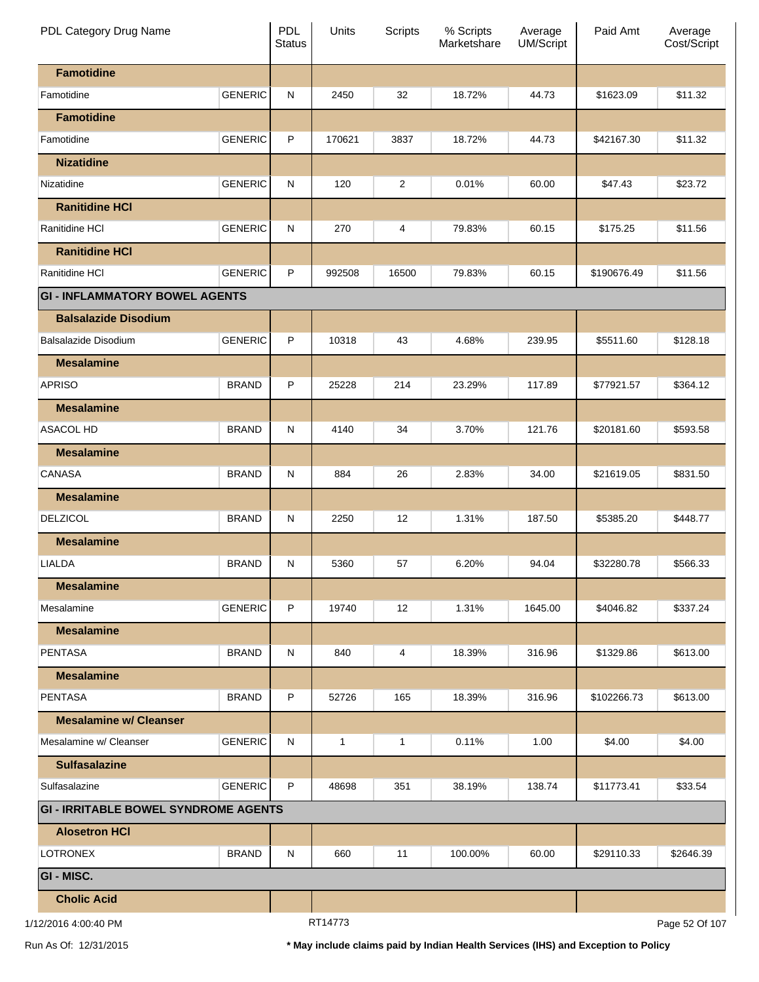| PDL Category Drug Name                      |                | <b>PDL</b><br><b>Status</b> | Units   | <b>Scripts</b> | % Scripts<br>Marketshare | Average<br>UM/Script | Paid Amt    | Average<br>Cost/Script |
|---------------------------------------------|----------------|-----------------------------|---------|----------------|--------------------------|----------------------|-------------|------------------------|
| <b>Famotidine</b>                           |                |                             |         |                |                          |                      |             |                        |
| Famotidine                                  | <b>GENERIC</b> | N                           | 2450    | 32             | 18.72%                   | 44.73                | \$1623.09   | \$11.32                |
| <b>Famotidine</b>                           |                |                             |         |                |                          |                      |             |                        |
| Famotidine                                  | <b>GENERIC</b> | P                           | 170621  | 3837           | 18.72%                   | 44.73                | \$42167.30  | \$11.32                |
| <b>Nizatidine</b>                           |                |                             |         |                |                          |                      |             |                        |
| Nizatidine                                  | <b>GENERIC</b> | N                           | 120     | $\overline{2}$ | 0.01%                    | 60.00                | \$47.43     | \$23.72                |
| <b>Ranitidine HCI</b>                       |                |                             |         |                |                          |                      |             |                        |
| Ranitidine HCI                              | <b>GENERIC</b> | N                           | 270     | 4              | 79.83%                   | 60.15                | \$175.25    | \$11.56                |
| <b>Ranitidine HCI</b>                       |                |                             |         |                |                          |                      |             |                        |
| Ranitidine HCI                              | <b>GENERIC</b> | P                           | 992508  | 16500          | 79.83%                   | 60.15                | \$190676.49 | \$11.56                |
| <b>GI - INFLAMMATORY BOWEL AGENTS</b>       |                |                             |         |                |                          |                      |             |                        |
| <b>Balsalazide Disodium</b>                 |                |                             |         |                |                          |                      |             |                        |
| <b>Balsalazide Disodium</b>                 | <b>GENERIC</b> | P                           | 10318   | 43             | 4.68%                    | 239.95               | \$5511.60   | \$128.18               |
| <b>Mesalamine</b>                           |                |                             |         |                |                          |                      |             |                        |
| <b>APRISO</b>                               | <b>BRAND</b>   | P                           | 25228   | 214            | 23.29%                   | 117.89               | \$77921.57  | \$364.12               |
| <b>Mesalamine</b>                           |                |                             |         |                |                          |                      |             |                        |
| <b>ASACOL HD</b>                            | <b>BRAND</b>   | N                           | 4140    | 34             | 3.70%                    | 121.76               | \$20181.60  | \$593.58               |
| <b>Mesalamine</b>                           |                |                             |         |                |                          |                      |             |                        |
| <b>CANASA</b>                               | <b>BRAND</b>   | N                           | 884     | 26             | 2.83%                    | 34.00                | \$21619.05  | \$831.50               |
| <b>Mesalamine</b>                           |                |                             |         |                |                          |                      |             |                        |
| <b>DELZICOL</b>                             | <b>BRAND</b>   | N                           | 2250    | 12             | 1.31%                    | 187.50               | \$5385.20   | \$448.77               |
| <b>Mesalamine</b>                           |                |                             |         |                |                          |                      |             |                        |
| LIALDA                                      | <b>BRAND</b>   | N                           | 5360    | 57             | 6.20%                    | 94.04                | \$32280.78  | \$566.33               |
| <b>Mesalamine</b>                           |                |                             |         |                |                          |                      |             |                        |
| Mesalamine                                  | <b>GENERIC</b> | P                           | 19740   | 12             | 1.31%                    | 1645.00              | \$4046.82   | \$337.24               |
| <b>Mesalamine</b>                           |                |                             |         |                |                          |                      |             |                        |
| <b>PENTASA</b>                              | <b>BRAND</b>   | N                           | 840     | 4              | 18.39%                   | 316.96               | \$1329.86   | \$613.00               |
| <b>Mesalamine</b>                           |                |                             |         |                |                          |                      |             |                        |
| <b>PENTASA</b>                              | <b>BRAND</b>   | P                           | 52726   | 165            | 18.39%                   | 316.96               | \$102266.73 | \$613.00               |
| <b>Mesalamine w/ Cleanser</b>               |                |                             |         |                |                          |                      |             |                        |
| Mesalamine w/ Cleanser                      | <b>GENERIC</b> | N                           | 1       | 1              | 0.11%                    | 1.00                 | \$4.00      | \$4.00                 |
| <b>Sulfasalazine</b>                        |                |                             |         |                |                          |                      |             |                        |
| Sulfasalazine                               | <b>GENERIC</b> | P                           | 48698   | 351            | 38.19%                   | 138.74               | \$11773.41  | \$33.54                |
| <b>GI - IRRITABLE BOWEL SYNDROME AGENTS</b> |                |                             |         |                |                          |                      |             |                        |
| <b>Alosetron HCI</b>                        |                |                             |         |                |                          |                      |             |                        |
| <b>LOTRONEX</b>                             | <b>BRAND</b>   | N                           | 660     | 11             | 100.00%                  | 60.00                | \$29110.33  | \$2646.39              |
| <b>GI - MISC.</b>                           |                |                             |         |                |                          |                      |             |                        |
| <b>Cholic Acid</b>                          |                |                             |         |                |                          |                      |             |                        |
| 1/12/2016 4:00:40 PM                        |                |                             | RT14773 |                |                          |                      |             | Page 52 Of 107         |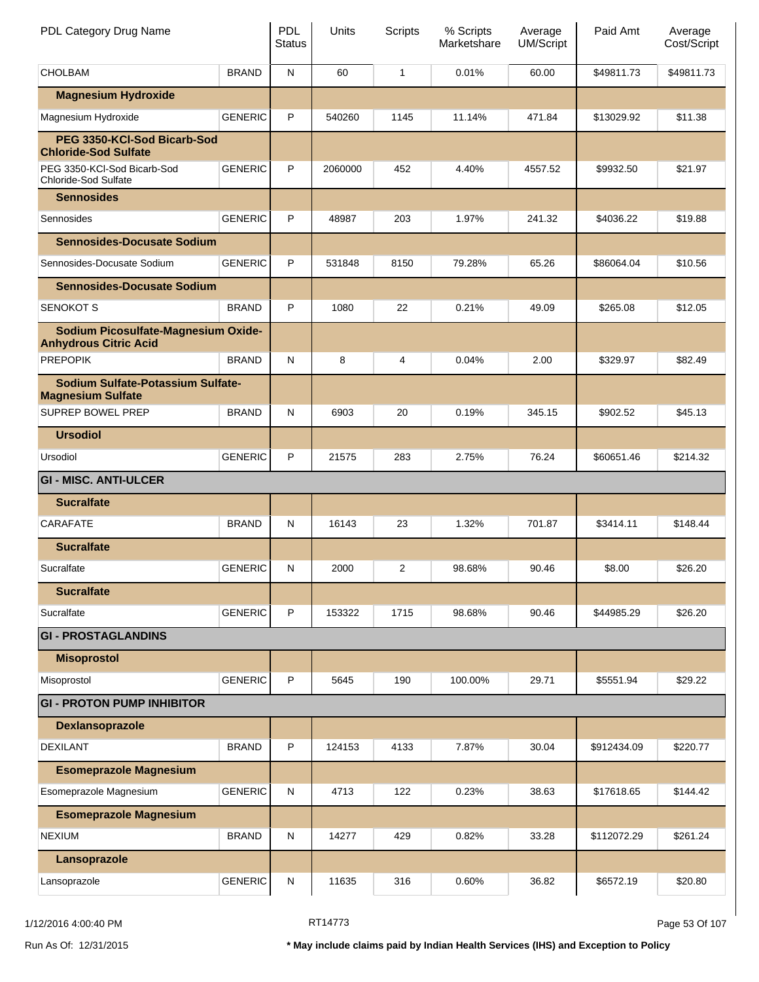| PDL Category Drug Name                                              |                | <b>PDL</b><br><b>Status</b> | Units   | Scripts | % Scripts<br>Marketshare | Average<br><b>UM/Script</b> | Paid Amt    | Average<br>Cost/Script |
|---------------------------------------------------------------------|----------------|-----------------------------|---------|---------|--------------------------|-----------------------------|-------------|------------------------|
| <b>CHOLBAM</b>                                                      | <b>BRAND</b>   | $\mathsf{N}$                | 60      | 1       | 0.01%                    | 60.00                       | \$49811.73  | \$49811.73             |
| <b>Magnesium Hydroxide</b>                                          |                |                             |         |         |                          |                             |             |                        |
| Magnesium Hydroxide                                                 | <b>GENERIC</b> | P                           | 540260  | 1145    | 11.14%                   | 471.84                      | \$13029.92  | \$11.38                |
| PEG 3350-KCI-Sod Bicarb-Sod<br><b>Chloride-Sod Sulfate</b>          |                |                             |         |         |                          |                             |             |                        |
| PEG 3350-KCI-Sod Bicarb-Sod<br>Chloride-Sod Sulfate                 | <b>GENERIC</b> | P                           | 2060000 | 452     | 4.40%                    | 4557.52                     | \$9932.50   | \$21.97                |
| <b>Sennosides</b>                                                   |                |                             |         |         |                          |                             |             |                        |
| Sennosides                                                          | <b>GENERIC</b> | P                           | 48987   | 203     | 1.97%                    | 241.32                      | \$4036.22   | \$19.88                |
| <b>Sennosides-Docusate Sodium</b>                                   |                |                             |         |         |                          |                             |             |                        |
| Sennosides-Docusate Sodium                                          | <b>GENERIC</b> | P                           | 531848  | 8150    | 79.28%                   | 65.26                       | \$86064.04  | \$10.56                |
| <b>Sennosides-Docusate Sodium</b>                                   |                |                             |         |         |                          |                             |             |                        |
| <b>SENOKOT S</b>                                                    | <b>BRAND</b>   | P                           | 1080    | 22      | 0.21%                    | 49.09                       | \$265.08    | \$12.05                |
| Sodium Picosulfate-Magnesium Oxide-<br><b>Anhydrous Citric Acid</b> |                |                             |         |         |                          |                             |             |                        |
| <b>PREPOPIK</b>                                                     | <b>BRAND</b>   | N                           | 8       | 4       | 0.04%                    | 2.00                        | \$329.97    | \$82.49                |
| Sodium Sulfate-Potassium Sulfate-<br><b>Magnesium Sulfate</b>       |                |                             |         |         |                          |                             |             |                        |
| SUPREP BOWEL PREP                                                   | <b>BRAND</b>   | N                           | 6903    | 20      | 0.19%                    | 345.15                      | \$902.52    | \$45.13                |
| <b>Ursodiol</b>                                                     |                |                             |         |         |                          |                             |             |                        |
| Ursodiol                                                            | <b>GENERIC</b> | P                           | 21575   | 283     | 2.75%                    | 76.24                       | \$60651.46  | \$214.32               |
| <b>GI - MISC. ANTI-ULCER</b>                                        |                |                             |         |         |                          |                             |             |                        |
| <b>Sucralfate</b>                                                   |                |                             |         |         |                          |                             |             |                        |
| <b>CARAFATE</b>                                                     | <b>BRAND</b>   | N                           | 16143   | 23      | 1.32%                    | 701.87                      | \$3414.11   | \$148.44               |
| <b>Sucralfate</b>                                                   |                |                             |         |         |                          |                             |             |                        |
| Sucralfate                                                          | <b>GENERIC</b> | N                           | 2000    | 2       | 98.68%                   | 90.46                       | \$8.00      | \$26.20                |
| <b>Sucralfate</b>                                                   |                |                             |         |         |                          |                             |             |                        |
| Sucralfate                                                          | <b>GENERIC</b> | P                           | 153322  | 1715    | 98.68%                   | 90.46                       | \$44985.29  | \$26.20                |
| <b>GI - PROSTAGLANDINS</b>                                          |                |                             |         |         |                          |                             |             |                        |
| <b>Misoprostol</b>                                                  |                |                             |         |         |                          |                             |             |                        |
| Misoprostol                                                         | <b>GENERIC</b> | P                           | 5645    | 190     | 100.00%                  | 29.71                       | \$5551.94   | \$29.22                |
| <b>GI - PROTON PUMP INHIBITOR</b>                                   |                |                             |         |         |                          |                             |             |                        |
| Dexlansoprazole                                                     |                |                             |         |         |                          |                             |             |                        |
| <b>DEXILANT</b>                                                     | <b>BRAND</b>   | P                           | 124153  | 4133    | 7.87%                    | 30.04                       | \$912434.09 | \$220.77               |
| <b>Esomeprazole Magnesium</b>                                       |                |                             |         |         |                          |                             |             |                        |
| Esomeprazole Magnesium                                              | <b>GENERIC</b> | N                           | 4713    | 122     | 0.23%                    | 38.63                       | \$17618.65  | \$144.42               |
| <b>Esomeprazole Magnesium</b>                                       |                |                             |         |         |                          |                             |             |                        |
| <b>NEXIUM</b>                                                       | <b>BRAND</b>   | N                           | 14277   | 429     | 0.82%                    | 33.28                       | \$112072.29 | \$261.24               |
| Lansoprazole                                                        |                |                             |         |         |                          |                             |             |                        |
| Lansoprazole                                                        | <b>GENERIC</b> | N                           | 11635   | 316     | 0.60%                    | 36.82                       | \$6572.19   | \$20.80                |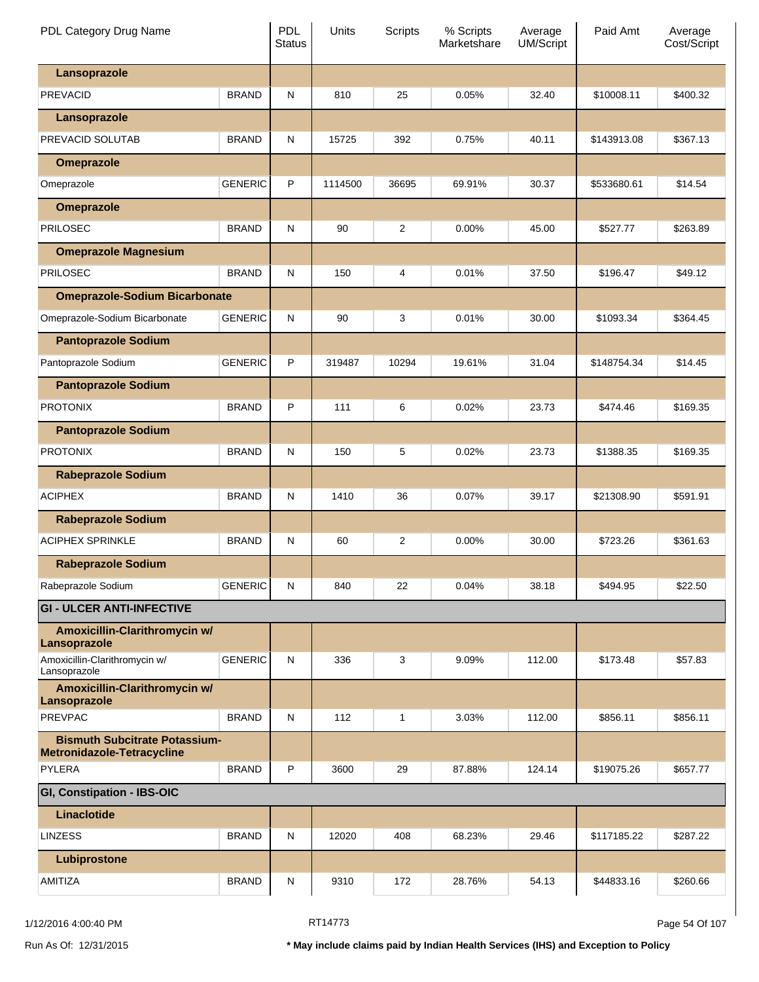| PDL Category Drug Name                                  |                | <b>PDL</b><br><b>Status</b> | Units   | Scripts        | % Scripts<br>Marketshare | Average<br><b>UM/Script</b> | Paid Amt    | Average<br>Cost/Script |
|---------------------------------------------------------|----------------|-----------------------------|---------|----------------|--------------------------|-----------------------------|-------------|------------------------|
| Lansoprazole                                            |                |                             |         |                |                          |                             |             |                        |
| <b>PREVACID</b>                                         | <b>BRAND</b>   | N                           | 810     | 25             | 0.05%                    | 32.40                       | \$10008.11  | \$400.32               |
| Lansoprazole                                            |                |                             |         |                |                          |                             |             |                        |
| PREVACID SOLUTAB                                        | <b>BRAND</b>   | N                           | 15725   | 392            | 0.75%                    | 40.11                       | \$143913.08 | \$367.13               |
| <b>Omeprazole</b>                                       |                |                             |         |                |                          |                             |             |                        |
| Omeprazole                                              | <b>GENERIC</b> | P                           | 1114500 | 36695          | 69.91%                   | 30.37                       | \$533680.61 | \$14.54                |
| <b>Omeprazole</b>                                       |                |                             |         |                |                          |                             |             |                        |
| <b>PRILOSEC</b>                                         | <b>BRAND</b>   | N                           | 90      | $\overline{2}$ | $0.00\%$                 | 45.00                       | \$527.77    | \$263.89               |
| <b>Omeprazole Magnesium</b>                             |                |                             |         |                |                          |                             |             |                        |
| <b>PRILOSEC</b>                                         | <b>BRAND</b>   | N                           | 150     | 4              | 0.01%                    | 37.50                       | \$196.47    | \$49.12                |
| <b>Omeprazole-Sodium Bicarbonate</b>                    |                |                             |         |                |                          |                             |             |                        |
| Omeprazole-Sodium Bicarbonate                           | <b>GENERIC</b> | N                           | 90      | 3              | 0.01%                    | 30.00                       | \$1093.34   | \$364.45               |
| <b>Pantoprazole Sodium</b>                              |                |                             |         |                |                          |                             |             |                        |
| Pantoprazole Sodium                                     | <b>GENERIC</b> | P                           | 319487  | 10294          | 19.61%                   | 31.04                       | \$148754.34 | \$14.45                |
| <b>Pantoprazole Sodium</b>                              |                |                             |         |                |                          |                             |             |                        |
| <b>PROTONIX</b>                                         | <b>BRAND</b>   | P                           | 111     | 6              | 0.02%                    | 23.73                       | \$474.46    | \$169.35               |
| <b>Pantoprazole Sodium</b>                              |                |                             |         |                |                          |                             |             |                        |
| <b>PROTONIX</b>                                         | <b>BRAND</b>   | N                           | 150     | 5              | 0.02%                    | 23.73                       | \$1388.35   | \$169.35               |
| <b>Rabeprazole Sodium</b>                               |                |                             |         |                |                          |                             |             |                        |
| <b>ACIPHEX</b>                                          | <b>BRAND</b>   | N                           | 1410    | 36             | 0.07%                    | 39.17                       | \$21308.90  | \$591.91               |
| <b>Rabeprazole Sodium</b>                               |                |                             |         |                |                          |                             |             |                        |
| <b>ACIPHEX SPRINKLE</b>                                 | <b>BRAND</b>   | N                           | 60      | $\overline{2}$ | $0.00\%$                 | 30.00                       | \$723.26    | \$361.63               |
| <b>Rabeprazole Sodium</b>                               |                |                             |         |                |                          |                             |             |                        |
| Rabeprazole Sodium                                      | <b>GENERIC</b> | N                           | 840     | 22             | 0.04%                    | 38.18                       | \$494.95    | \$22.50                |
| <b>GI - ULCER ANTI-INFECTIVE</b>                        |                |                             |         |                |                          |                             |             |                        |
| Amoxicillin-Clarithromycin w/                           |                |                             |         |                |                          |                             |             |                        |
| Lansoprazole                                            |                |                             |         |                |                          |                             |             |                        |
| Amoxicillin-Clarithromycin w/<br>Lansoprazole           | <b>GENERIC</b> | N                           | 336     | 3              | 9.09%                    | 112.00                      | \$173.48    | \$57.83                |
| Amoxicillin-Clarithromycin w/<br>Lansoprazole           |                |                             |         |                |                          |                             |             |                        |
| <b>PREVPAC</b>                                          | <b>BRAND</b>   | N                           | 112     | 1              | 3.03%                    | 112.00                      | \$856.11    | \$856.11               |
| <b>Bismuth Subcitrate Potassium-</b>                    |                |                             |         |                |                          |                             |             |                        |
| <b>Metronidazole-Tetracycline</b><br>PYLERA             | <b>BRAND</b>   | P                           | 3600    | 29             | 87.88%                   | 124.14                      | \$19075.26  | \$657.77               |
|                                                         |                |                             |         |                |                          |                             |             |                        |
| <b>GI, Constipation - IBS-OIC</b><br><b>Linaclotide</b> |                |                             |         |                |                          |                             |             |                        |
| <b>LINZESS</b>                                          | <b>BRAND</b>   | N                           | 12020   | 408            | 68.23%                   | 29.46                       | \$117185.22 | \$287.22               |
|                                                         |                |                             |         |                |                          |                             |             |                        |
| Lubiprostone                                            |                |                             |         |                |                          |                             |             |                        |
| AMITIZA                                                 | <b>BRAND</b>   | N                           | 9310    | 172            | 28.76%                   | 54.13                       | \$44833.16  | \$260.66               |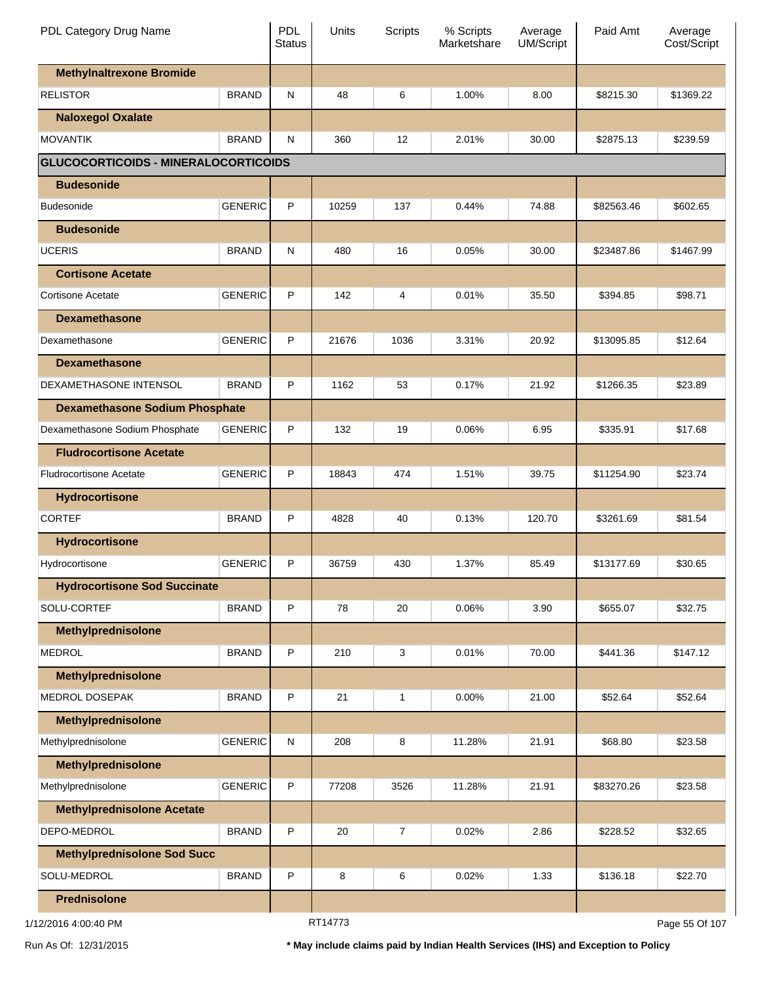| PDL Category Drug Name                      |                | PDL<br><b>Status</b> | Units   | <b>Scripts</b> | % Scripts<br>Marketshare | Average<br>UM/Script | Paid Amt   | Average<br>Cost/Script |
|---------------------------------------------|----------------|----------------------|---------|----------------|--------------------------|----------------------|------------|------------------------|
| <b>Methylnaltrexone Bromide</b>             |                |                      |         |                |                          |                      |            |                        |
| <b>RELISTOR</b>                             | <b>BRAND</b>   | ${\sf N}$            | 48      | 6              | 1.00%                    | 8.00                 | \$8215.30  | \$1369.22              |
| <b>Naloxegol Oxalate</b>                    |                |                      |         |                |                          |                      |            |                        |
| <b>MOVANTIK</b>                             | <b>BRAND</b>   | N                    | 360     | 12             | 2.01%                    | 30.00                | \$2875.13  | \$239.59               |
| <b>GLUCOCORTICOIDS - MINERALOCORTICOIDS</b> |                |                      |         |                |                          |                      |            |                        |
| <b>Budesonide</b>                           |                |                      |         |                |                          |                      |            |                        |
| <b>Budesonide</b>                           | <b>GENERIC</b> | P                    | 10259   | 137            | 0.44%                    | 74.88                | \$82563.46 | \$602.65               |
| <b>Budesonide</b>                           |                |                      |         |                |                          |                      |            |                        |
| <b>UCERIS</b>                               | <b>BRAND</b>   | ${\sf N}$            | 480     | 16             | 0.05%                    | 30.00                | \$23487.86 | \$1467.99              |
| <b>Cortisone Acetate</b>                    |                |                      |         |                |                          |                      |            |                        |
| <b>Cortisone Acetate</b>                    | <b>GENERIC</b> | P                    | 142     | 4              | 0.01%                    | 35.50                | \$394.85   | \$98.71                |
| <b>Dexamethasone</b>                        |                |                      |         |                |                          |                      |            |                        |
| Dexamethasone                               | <b>GENERIC</b> | P                    | 21676   | 1036           | 3.31%                    | 20.92                | \$13095.85 | \$12.64                |
| <b>Dexamethasone</b>                        |                |                      |         |                |                          |                      |            |                        |
| DEXAMETHASONE INTENSOL                      | <b>BRAND</b>   | P                    | 1162    | 53             | 0.17%                    | 21.92                | \$1266.35  | \$23.89                |
| <b>Dexamethasone Sodium Phosphate</b>       |                |                      |         |                |                          |                      |            |                        |
| Dexamethasone Sodium Phosphate              | <b>GENERIC</b> | P                    | 132     | 19             | 0.06%                    | 6.95                 | \$335.91   | \$17.68                |
| <b>Fludrocortisone Acetate</b>              |                |                      |         |                |                          |                      |            |                        |
| <b>Fludrocortisone Acetate</b>              | <b>GENERIC</b> | P                    | 18843   | 474            | 1.51%                    | 39.75                | \$11254.90 | \$23.74                |
| <b>Hydrocortisone</b>                       |                |                      |         |                |                          |                      |            |                        |
| <b>CORTEF</b>                               | <b>BRAND</b>   | P                    | 4828    | 40             | 0.13%                    | 120.70               | \$3261.69  | \$81.54                |
| <b>Hydrocortisone</b>                       |                |                      |         |                |                          |                      |            |                        |
| Hydrocortisone                              | <b>GENERIC</b> | P                    | 36759   | 430            | 1.37%                    | 85.49                | \$13177.69 | \$30.65                |
| <b>Hydrocortisone Sod Succinate</b>         |                |                      |         |                |                          |                      |            |                        |
| SOLU-CORTEF                                 | <b>BRAND</b>   | P                    | 78      | 20             | 0.06%                    | 3.90                 | \$655.07   | \$32.75                |
| <b>Methylprednisolone</b>                   |                |                      |         |                |                          |                      |            |                        |
| <b>MEDROL</b>                               | <b>BRAND</b>   | P                    | 210     | 3              | 0.01%                    | 70.00                | \$441.36   | \$147.12               |
| <b>Methylprednisolone</b>                   |                |                      |         |                |                          |                      |            |                        |
| <b>MEDROL DOSEPAK</b>                       | <b>BRAND</b>   | P                    | 21      | 1              | 0.00%                    | 21.00                | \$52.64    | \$52.64                |
| <b>Methylprednisolone</b>                   |                |                      |         |                |                          |                      |            |                        |
| Methylprednisolone                          | <b>GENERIC</b> | ${\sf N}$            | 208     | 8              | 11.28%                   | 21.91                | \$68.80    | \$23.58                |
| Methylprednisolone                          |                |                      |         |                |                          |                      |            |                        |
| Methylprednisolone                          | <b>GENERIC</b> | P                    | 77208   | 3526           | 11.28%                   | 21.91                | \$83270.26 | \$23.58                |
| <b>Methylprednisolone Acetate</b>           |                |                      |         |                |                          |                      |            |                        |
| DEPO-MEDROL                                 | <b>BRAND</b>   | P                    | 20      | $\overline{7}$ | 0.02%                    | 2.86                 | \$228.52   | \$32.65                |
| <b>Methylprednisolone Sod Succ</b>          |                |                      |         |                |                          |                      |            |                        |
| SOLU-MEDROL                                 | <b>BRAND</b>   | P                    | 8       | 6              | 0.02%                    | 1.33                 | \$136.18   | \$22.70                |
| <b>Prednisolone</b>                         |                |                      |         |                |                          |                      |            |                        |
| 1/12/2016 4:00:40 PM                        |                |                      | RT14773 |                |                          |                      |            | Page 55 Of 107         |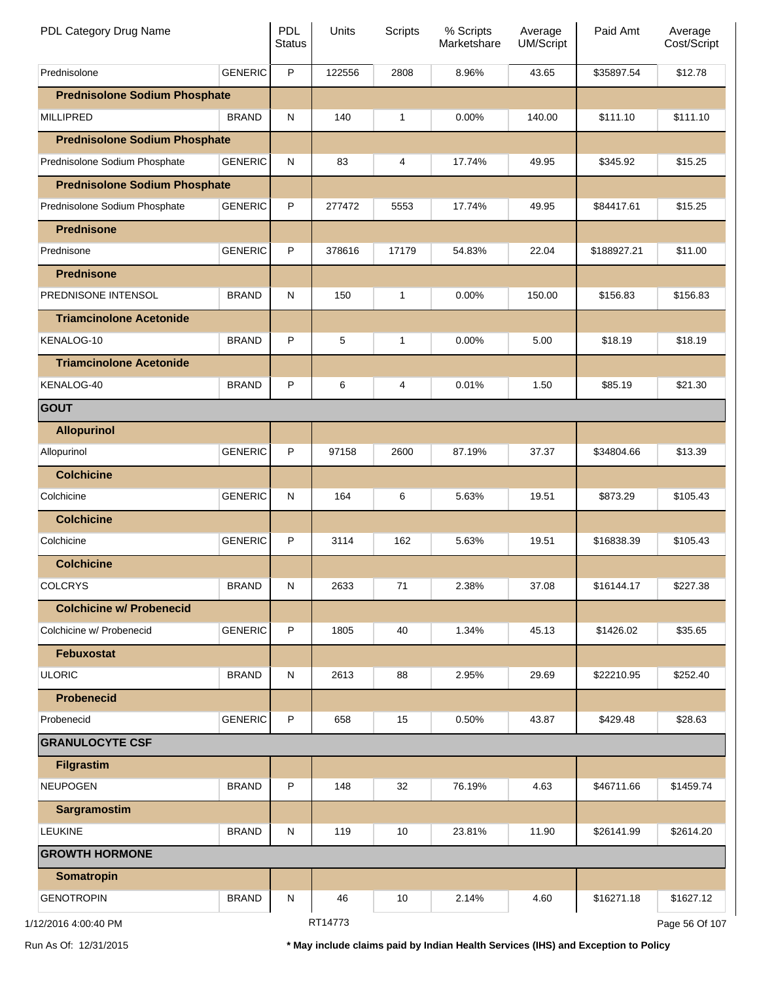| PDL Category Drug Name               |                | <b>PDL</b><br><b>Status</b> | Units   | <b>Scripts</b> | % Scripts<br>Marketshare | Average<br><b>UM/Script</b> | Paid Amt    | Average<br>Cost/Script |
|--------------------------------------|----------------|-----------------------------|---------|----------------|--------------------------|-----------------------------|-------------|------------------------|
| Prednisolone                         | <b>GENERIC</b> | P                           | 122556  | 2808           | 8.96%                    | 43.65                       | \$35897.54  | \$12.78                |
| <b>Prednisolone Sodium Phosphate</b> |                |                             |         |                |                          |                             |             |                        |
| <b>MILLIPRED</b>                     | <b>BRAND</b>   | N                           | 140     | 1              | $0.00\%$                 | 140.00                      | \$111.10    | \$111.10               |
| <b>Prednisolone Sodium Phosphate</b> |                |                             |         |                |                          |                             |             |                        |
| Prednisolone Sodium Phosphate        | <b>GENERIC</b> | N                           | 83      | 4              | 17.74%                   | 49.95                       | \$345.92    | \$15.25                |
| <b>Prednisolone Sodium Phosphate</b> |                |                             |         |                |                          |                             |             |                        |
| Prednisolone Sodium Phosphate        | <b>GENERIC</b> | P                           | 277472  | 5553           | 17.74%                   | 49.95                       | \$84417.61  | \$15.25                |
| <b>Prednisone</b>                    |                |                             |         |                |                          |                             |             |                        |
| Prednisone                           | <b>GENERIC</b> | P                           | 378616  | 17179          | 54.83%                   | 22.04                       | \$188927.21 | \$11.00                |
| <b>Prednisone</b>                    |                |                             |         |                |                          |                             |             |                        |
| PREDNISONE INTENSOL                  | <b>BRAND</b>   | N                           | 150     | 1              | $0.00\%$                 | 150.00                      | \$156.83    | \$156.83               |
| <b>Triamcinolone Acetonide</b>       |                |                             |         |                |                          |                             |             |                        |
| KENALOG-10                           | <b>BRAND</b>   | P                           | 5       | 1              | $0.00\%$                 | 5.00                        | \$18.19     | \$18.19                |
| <b>Triamcinolone Acetonide</b>       |                |                             |         |                |                          |                             |             |                        |
| KENALOG-40                           | <b>BRAND</b>   | P                           | 6       | 4              | 0.01%                    | 1.50                        | \$85.19     | \$21.30                |
| GOUT                                 |                |                             |         |                |                          |                             |             |                        |
| <b>Allopurinol</b>                   |                |                             |         |                |                          |                             |             |                        |
| Allopurinol                          | <b>GENERIC</b> | P                           | 97158   | 2600           | 87.19%                   | 37.37                       | \$34804.66  | \$13.39                |
| <b>Colchicine</b>                    |                |                             |         |                |                          |                             |             |                        |
| Colchicine                           | <b>GENERIC</b> | N                           | 164     | 6              | 5.63%                    | 19.51                       | \$873.29    | \$105.43               |
| <b>Colchicine</b>                    |                |                             |         |                |                          |                             |             |                        |
| Colchicine                           | <b>GENERIC</b> | P                           | 3114    | 162            | 5.63%                    | 19.51                       | \$16838.39  | \$105.43               |
| <b>Colchicine</b>                    |                |                             |         |                |                          |                             |             |                        |
| <b>COLCRYS</b>                       | <b>BRAND</b>   | ${\sf N}$                   | 2633    | 71             | 2.38%                    | 37.08                       | \$16144.17  | \$227.38               |
| <b>Colchicine w/ Probenecid</b>      |                |                             |         |                |                          |                             |             |                        |
| Colchicine w/ Probenecid             | <b>GENERIC</b> | P                           | 1805    | 40             | 1.34%                    | 45.13                       | \$1426.02   | \$35.65                |
| <b>Febuxostat</b>                    |                |                             |         |                |                          |                             |             |                        |
| <b>ULORIC</b>                        | <b>BRAND</b>   | N                           | 2613    | 88             | 2.95%                    | 29.69                       | \$22210.95  | \$252.40               |
| <b>Probenecid</b>                    |                |                             |         |                |                          |                             |             |                        |
| Probenecid                           | <b>GENERIC</b> | P                           | 658     | 15             | 0.50%                    | 43.87                       | \$429.48    | \$28.63                |
| <b>GRANULOCYTE CSF</b>               |                |                             |         |                |                          |                             |             |                        |
| <b>Filgrastim</b>                    |                |                             |         |                |                          |                             |             |                        |
| <b>NEUPOGEN</b>                      | <b>BRAND</b>   | P                           | 148     | 32             | 76.19%                   | 4.63                        | \$46711.66  | \$1459.74              |
| Sargramostim                         |                |                             |         |                |                          |                             |             |                        |
| <b>LEUKINE</b>                       | <b>BRAND</b>   | N                           | 119     | 10             | 23.81%                   | 11.90                       | \$26141.99  | \$2614.20              |
| <b>GROWTH HORMONE</b>                |                |                             |         |                |                          |                             |             |                        |
| <b>Somatropin</b>                    |                |                             |         |                |                          |                             |             |                        |
| <b>GENOTROPIN</b>                    | <b>BRAND</b>   | N                           | 46      | 10             | 2.14%                    | 4.60                        | \$16271.18  | \$1627.12              |
| 1/12/2016 4:00:40 PM                 |                |                             | RT14773 |                |                          |                             |             | Page 56 Of 107         |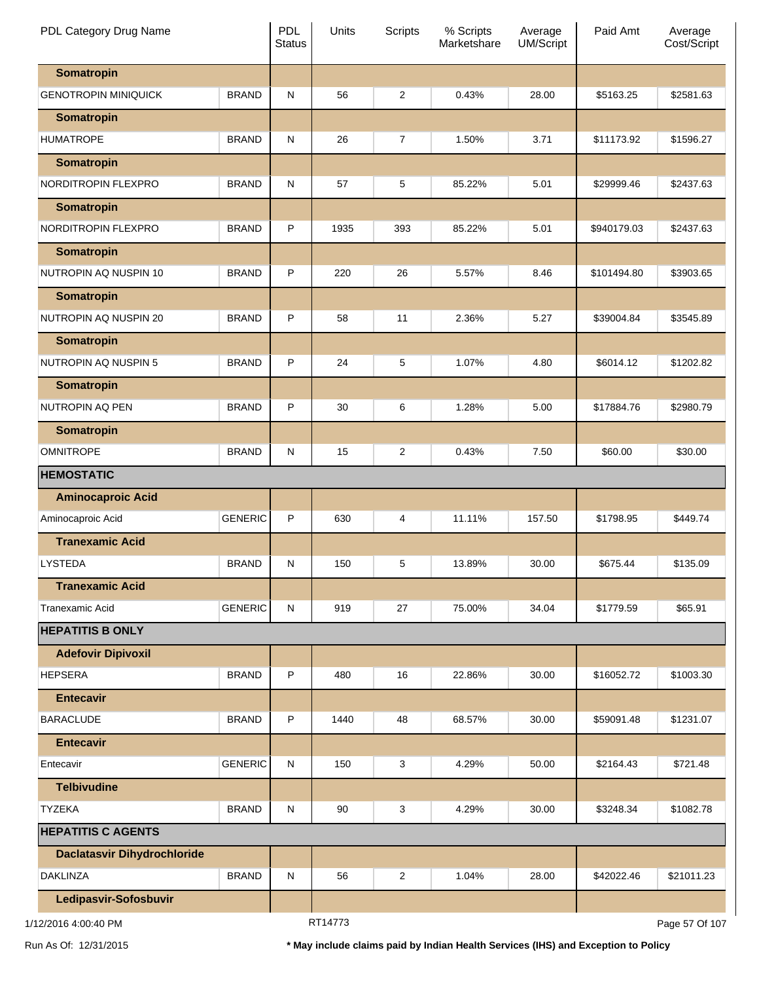| PDL Category Drug Name             |                | <b>PDL</b><br><b>Status</b> | Units   | <b>Scripts</b> | % Scripts<br>Marketshare | Average<br>UM/Script | Paid Amt    | Average<br>Cost/Script |
|------------------------------------|----------------|-----------------------------|---------|----------------|--------------------------|----------------------|-------------|------------------------|
| <b>Somatropin</b>                  |                |                             |         |                |                          |                      |             |                        |
| <b>GENOTROPIN MINIQUICK</b>        | <b>BRAND</b>   | N                           | 56      | $\overline{c}$ | 0.43%                    | 28.00                | \$5163.25   | \$2581.63              |
| <b>Somatropin</b>                  |                |                             |         |                |                          |                      |             |                        |
| <b>HUMATROPE</b>                   | <b>BRAND</b>   | ${\sf N}$                   | 26      | 7              | 1.50%                    | 3.71                 | \$11173.92  | \$1596.27              |
| <b>Somatropin</b>                  |                |                             |         |                |                          |                      |             |                        |
| NORDITROPIN FLEXPRO                | <b>BRAND</b>   | ${\sf N}$                   | 57      | 5              | 85.22%                   | 5.01                 | \$29999.46  | \$2437.63              |
| <b>Somatropin</b>                  |                |                             |         |                |                          |                      |             |                        |
| NORDITROPIN FLEXPRO                | <b>BRAND</b>   | $\mathsf{P}$                | 1935    | 393            | 85.22%                   | 5.01                 | \$940179.03 | \$2437.63              |
| <b>Somatropin</b>                  |                |                             |         |                |                          |                      |             |                        |
| NUTROPIN AQ NUSPIN 10              | <b>BRAND</b>   | P                           | 220     | 26             | 5.57%                    | 8.46                 | \$101494.80 | \$3903.65              |
| <b>Somatropin</b>                  |                |                             |         |                |                          |                      |             |                        |
| NUTROPIN AQ NUSPIN 20              | <b>BRAND</b>   | P                           | 58      | 11             | 2.36%                    | 5.27                 | \$39004.84  | \$3545.89              |
| <b>Somatropin</b>                  |                |                             |         |                |                          |                      |             |                        |
| NUTROPIN AQ NUSPIN 5               | <b>BRAND</b>   | $\mathsf{P}$                | 24      | 5              | 1.07%                    | 4.80                 | \$6014.12   | \$1202.82              |
| <b>Somatropin</b>                  |                |                             |         |                |                          |                      |             |                        |
| NUTROPIN AQ PEN                    | <b>BRAND</b>   | P                           | 30      | 6              | 1.28%                    | 5.00                 | \$17884.76  | \$2980.79              |
| <b>Somatropin</b>                  |                |                             |         |                |                          |                      |             |                        |
| <b>OMNITROPE</b>                   | <b>BRAND</b>   | ${\sf N}$                   | 15      | $\overline{c}$ | 0.43%                    | 7.50                 | \$60.00     | \$30.00                |
| <b>HEMOSTATIC</b>                  |                |                             |         |                |                          |                      |             |                        |
| <b>Aminocaproic Acid</b>           |                |                             |         |                |                          |                      |             |                        |
| Aminocaproic Acid                  | <b>GENERIC</b> | $\mathsf{P}$                | 630     | 4              | 11.11%                   | 157.50               | \$1798.95   | \$449.74               |
| <b>Tranexamic Acid</b>             |                |                             |         |                |                          |                      |             |                        |
| <b>LYSTEDA</b>                     | <b>BRAND</b>   | N                           | 150     | 5              | 13.89%                   | 30.00                | \$675.44    | \$135.09               |
| <b>Tranexamic Acid</b>             |                |                             |         |                |                          |                      |             |                        |
| Tranexamic Acid                    | <b>GENERIC</b> | N                           | 919     | 27             | 75.00%                   | 34.04                | \$1779.59   | \$65.91                |
| <b>HEPATITIS B ONLY</b>            |                |                             |         |                |                          |                      |             |                        |
| <b>Adefovir Dipivoxil</b>          |                |                             |         |                |                          |                      |             |                        |
| <b>HEPSERA</b>                     | <b>BRAND</b>   | P                           | 480     | 16             | 22.86%                   | 30.00                | \$16052.72  | \$1003.30              |
| <b>Entecavir</b>                   |                |                             |         |                |                          |                      |             |                        |
| <b>BARACLUDE</b>                   | <b>BRAND</b>   | $\mathsf{P}$                | 1440    | 48             | 68.57%                   | 30.00                | \$59091.48  | \$1231.07              |
| <b>Entecavir</b>                   |                |                             |         |                |                          |                      |             |                        |
| Entecavir                          | <b>GENERIC</b> | N                           | 150     | 3              | 4.29%                    | 50.00                | \$2164.43   | \$721.48               |
| <b>Telbivudine</b>                 |                |                             |         |                |                          |                      |             |                        |
| <b>TYZEKA</b>                      | <b>BRAND</b>   | N                           | 90      | 3              | 4.29%                    | 30.00                | \$3248.34   | \$1082.78              |
| <b>HEPATITIS C AGENTS</b>          |                |                             |         |                |                          |                      |             |                        |
| <b>Daclatasvir Dihydrochloride</b> |                |                             |         |                |                          |                      |             |                        |
| <b>DAKLINZA</b>                    | <b>BRAND</b>   | N                           | 56      | $\overline{c}$ | 1.04%                    | 28.00                | \$42022.46  | \$21011.23             |
| Ledipasvir-Sofosbuvir              |                |                             |         |                |                          |                      |             |                        |
| 1/12/2016 4:00:40 PM               |                |                             | RT14773 |                |                          |                      |             | Page 57 Of 107         |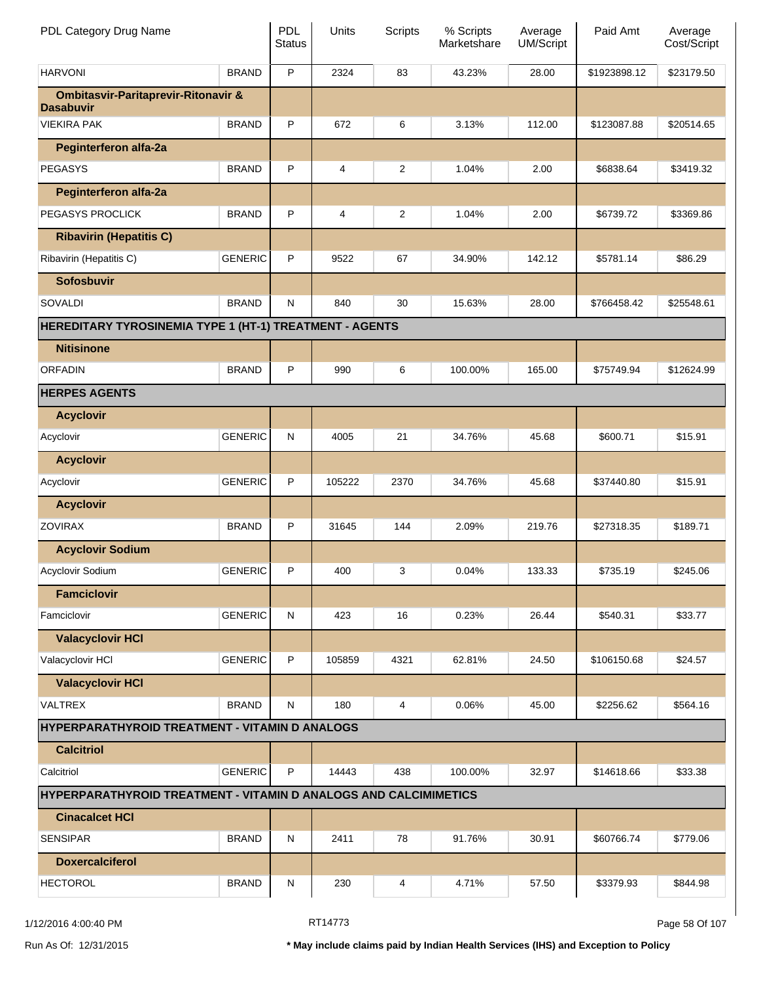| PDL Category Drug Name                                             |                | <b>PDL</b><br><b>Status</b> | Units  | Scripts        | % Scripts<br>Marketshare | Average<br>UM/Script | Paid Amt     | Average<br>Cost/Script |
|--------------------------------------------------------------------|----------------|-----------------------------|--------|----------------|--------------------------|----------------------|--------------|------------------------|
| <b>HARVONI</b>                                                     | <b>BRAND</b>   | P                           | 2324   | 83             | 43.23%                   | 28.00                | \$1923898.12 | \$23179.50             |
| <b>Ombitasvir-Paritaprevir-Ritonavir &amp;</b><br><b>Dasabuvir</b> |                |                             |        |                |                          |                      |              |                        |
| <b>VIEKIRA PAK</b>                                                 | <b>BRAND</b>   | P                           | 672    | 6              | 3.13%                    | 112.00               | \$123087.88  | \$20514.65             |
| <b>Peginterferon alfa-2a</b>                                       |                |                             |        |                |                          |                      |              |                        |
| <b>PEGASYS</b>                                                     | <b>BRAND</b>   | P                           | 4      | $\overline{2}$ | 1.04%                    | 2.00                 | \$6838.64    | \$3419.32              |
| <b>Peginterferon alfa-2a</b>                                       |                |                             |        |                |                          |                      |              |                        |
| PEGASYS PROCLICK                                                   | <b>BRAND</b>   | P                           | 4      | $\overline{2}$ | 1.04%                    | 2.00                 | \$6739.72    | \$3369.86              |
| <b>Ribavirin (Hepatitis C)</b>                                     |                |                             |        |                |                          |                      |              |                        |
| Ribavirin (Hepatitis C)                                            | <b>GENERIC</b> | P                           | 9522   | 67             | 34.90%                   | 142.12               | \$5781.14    | \$86.29                |
| <b>Sofosbuvir</b>                                                  |                |                             |        |                |                          |                      |              |                        |
| <b>SOVALDI</b>                                                     | <b>BRAND</b>   | N                           | 840    | 30             | 15.63%                   | 28.00                | \$766458.42  | \$25548.61             |
| HEREDITARY TYROSINEMIA TYPE 1 (HT-1) TREATMENT - AGENTS            |                |                             |        |                |                          |                      |              |                        |
| <b>Nitisinone</b>                                                  |                |                             |        |                |                          |                      |              |                        |
| <b>ORFADIN</b>                                                     | <b>BRAND</b>   | P                           | 990    | 6              | 100.00%                  | 165.00               | \$75749.94   | \$12624.99             |
| <b>HERPES AGENTS</b>                                               |                |                             |        |                |                          |                      |              |                        |
| <b>Acyclovir</b>                                                   |                |                             |        |                |                          |                      |              |                        |
| Acyclovir                                                          | <b>GENERIC</b> | N                           | 4005   | 21             | 34.76%                   | 45.68                | \$600.71     | \$15.91                |
| <b>Acyclovir</b>                                                   |                |                             |        |                |                          |                      |              |                        |
| Acyclovir                                                          | <b>GENERIC</b> | P                           | 105222 | 2370           | 34.76%                   | 45.68                | \$37440.80   | \$15.91                |
| <b>Acyclovir</b>                                                   |                |                             |        |                |                          |                      |              |                        |
| <b>ZOVIRAX</b>                                                     | <b>BRAND</b>   | P                           | 31645  | 144            | 2.09%                    | 219.76               | \$27318.35   | \$189.71               |
| <b>Acyclovir Sodium</b>                                            |                |                             |        |                |                          |                      |              |                        |
| Acyclovir Sodium                                                   | <b>GENERIC</b> | P                           | 400    | 3              | 0.04%                    | 133.33               | \$735.19     | \$245.06               |
| <b>Famciclovir</b>                                                 |                |                             |        |                |                          |                      |              |                        |
| Famciclovir                                                        | <b>GENERIC</b> | ${\sf N}$                   | 423    | 16             | 0.23%                    | 26.44                | \$540.31     | \$33.77                |
| <b>Valacyclovir HCI</b>                                            |                |                             |        |                |                          |                      |              |                        |
| Valacyclovir HCI                                                   | <b>GENERIC</b> | P                           | 105859 | 4321           | 62.81%                   | 24.50                | \$106150.68  | \$24.57                |
| <b>Valacyclovir HCI</b>                                            |                |                             |        |                |                          |                      |              |                        |
| VALTREX                                                            | <b>BRAND</b>   | N                           | 180    | 4              | 0.06%                    | 45.00                | \$2256.62    | \$564.16               |
| <b>HYPERPARATHYROID TREATMENT - VITAMIN D ANALOGS</b>              |                |                             |        |                |                          |                      |              |                        |
| <b>Calcitriol</b>                                                  |                |                             |        |                |                          |                      |              |                        |
| Calcitriol                                                         | <b>GENERIC</b> | P                           | 14443  | 438            | 100.00%                  | 32.97                | \$14618.66   | \$33.38                |
| HYPERPARATHYROID TREATMENT - VITAMIN D ANALOGS AND CALCIMIMETICS   |                |                             |        |                |                          |                      |              |                        |
| <b>Cinacalcet HCI</b>                                              |                |                             |        |                |                          |                      |              |                        |
| <b>SENSIPAR</b>                                                    | <b>BRAND</b>   | N                           | 2411   | 78             | 91.76%                   | 30.91                | \$60766.74   | \$779.06               |
| <b>Doxercalciferol</b>                                             |                |                             |        |                |                          |                      |              |                        |
| <b>HECTOROL</b>                                                    | <b>BRAND</b>   | N                           | 230    | 4              | 4.71%                    | 57.50                | \$3379.93    | \$844.98               |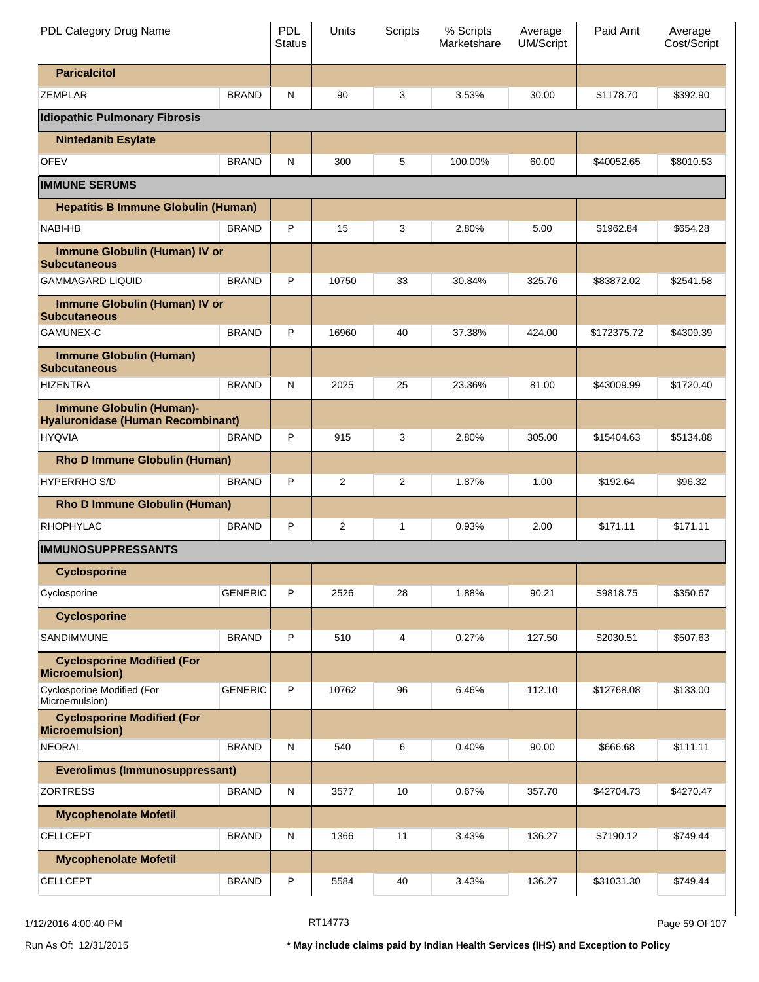| PDL Category Drug Name                                                      |                | <b>PDL</b><br><b>Status</b> | Units | Scripts        | % Scripts<br>Marketshare | Average<br>UM/Script | Paid Amt    | Average<br>Cost/Script |
|-----------------------------------------------------------------------------|----------------|-----------------------------|-------|----------------|--------------------------|----------------------|-------------|------------------------|
| <b>Paricalcitol</b>                                                         |                |                             |       |                |                          |                      |             |                        |
| <b>ZEMPLAR</b>                                                              | <b>BRAND</b>   | N                           | 90    | 3              | 3.53%                    | 30.00                | \$1178.70   | \$392.90               |
| <b>Idiopathic Pulmonary Fibrosis</b>                                        |                |                             |       |                |                          |                      |             |                        |
| <b>Nintedanib Esylate</b>                                                   |                |                             |       |                |                          |                      |             |                        |
| <b>OFEV</b>                                                                 | <b>BRAND</b>   | N                           | 300   | 5              | 100.00%                  | 60.00                | \$40052.65  | \$8010.53              |
| <b>IMMUNE SERUMS</b>                                                        |                |                             |       |                |                          |                      |             |                        |
| <b>Hepatitis B Immune Globulin (Human)</b>                                  |                |                             |       |                |                          |                      |             |                        |
| <b>NABI-HB</b>                                                              | <b>BRAND</b>   | P                           | 15    | 3              | 2.80%                    | 5.00                 | \$1962.84   | \$654.28               |
| Immune Globulin (Human) IV or<br><b>Subcutaneous</b>                        |                |                             |       |                |                          |                      |             |                        |
| <b>GAMMAGARD LIQUID</b>                                                     | <b>BRAND</b>   | P                           | 10750 | 33             | 30.84%                   | 325.76               | \$83872.02  | \$2541.58              |
| <b>Immune Globulin (Human) IV or</b><br><b>Subcutaneous</b>                 |                |                             |       |                |                          |                      |             |                        |
| GAMUNEX-C                                                                   | <b>BRAND</b>   | P                           | 16960 | 40             | 37.38%                   | 424.00               | \$172375.72 | \$4309.39              |
| <b>Immune Globulin (Human)</b><br><b>Subcutaneous</b>                       |                |                             |       |                |                          |                      |             |                        |
| <b>HIZENTRA</b>                                                             | <b>BRAND</b>   | N                           | 2025  | 25             | 23.36%                   | 81.00                | \$43009.99  | \$1720.40              |
| <b>Immune Globulin (Human)-</b><br><b>Hyaluronidase (Human Recombinant)</b> |                |                             |       |                |                          |                      |             |                        |
| <b>HYQVIA</b>                                                               | <b>BRAND</b>   | P                           | 915   | 3              | 2.80%                    | 305.00               | \$15404.63  | \$5134.88              |
| Rho D Immune Globulin (Human)                                               |                |                             |       |                |                          |                      |             |                        |
| <b>HYPERRHO S/D</b>                                                         | <b>BRAND</b>   | P                           | 2     | $\overline{2}$ | 1.87%                    | 1.00                 | \$192.64    | \$96.32                |
| Rho D Immune Globulin (Human)                                               |                |                             |       |                |                          |                      |             |                        |
| RHOPHYLAC                                                                   | <b>BRAND</b>   | P                           | 2     | 1              | 0.93%                    | 2.00                 | \$171.11    | \$171.11               |
| <b>IMMUNOSUPPRESSANTS</b>                                                   |                |                             |       |                |                          |                      |             |                        |
| <b>Cyclosporine</b>                                                         |                |                             |       |                |                          |                      |             |                        |
| Cyclosporine                                                                | <b>GENERIC</b> | P                           | 2526  | 28             | 1.88%                    | 90.21                | \$9818.75   | \$350.67               |
| <b>Cyclosporine</b>                                                         |                |                             |       |                |                          |                      |             |                        |
| <b>SANDIMMUNE</b>                                                           | <b>BRAND</b>   | P                           | 510   | 4              | 0.27%                    | 127.50               | \$2030.51   | \$507.63               |
| <b>Cyclosporine Modified (For</b><br><b>Microemulsion)</b>                  |                |                             |       |                |                          |                      |             |                        |
| Cyclosporine Modified (For<br>Microemulsion)                                | <b>GENERIC</b> | P                           | 10762 | 96             | 6.46%                    | 112.10               | \$12768.08  | \$133.00               |
| <b>Cyclosporine Modified (For</b><br><b>Microemulsion</b> )                 |                |                             |       |                |                          |                      |             |                        |
| <b>NEORAL</b>                                                               | <b>BRAND</b>   | N                           | 540   | 6              | 0.40%                    | 90.00                | \$666.68    | \$111.11               |
| <b>Everolimus (Immunosuppressant)</b>                                       |                |                             |       |                |                          |                      |             |                        |
| <b>ZORTRESS</b>                                                             | <b>BRAND</b>   | N                           | 3577  | 10             | 0.67%                    | 357.70               | \$42704.73  | \$4270.47              |
| <b>Mycophenolate Mofetil</b>                                                |                |                             |       |                |                          |                      |             |                        |
| <b>CELLCEPT</b>                                                             | <b>BRAND</b>   | N                           | 1366  | 11             | 3.43%                    | 136.27               | \$7190.12   | \$749.44               |
| <b>Mycophenolate Mofetil</b>                                                |                |                             |       |                |                          |                      |             |                        |
| <b>CELLCEPT</b>                                                             | <b>BRAND</b>   | P                           | 5584  | 40             | 3.43%                    | 136.27               | \$31031.30  | \$749.44               |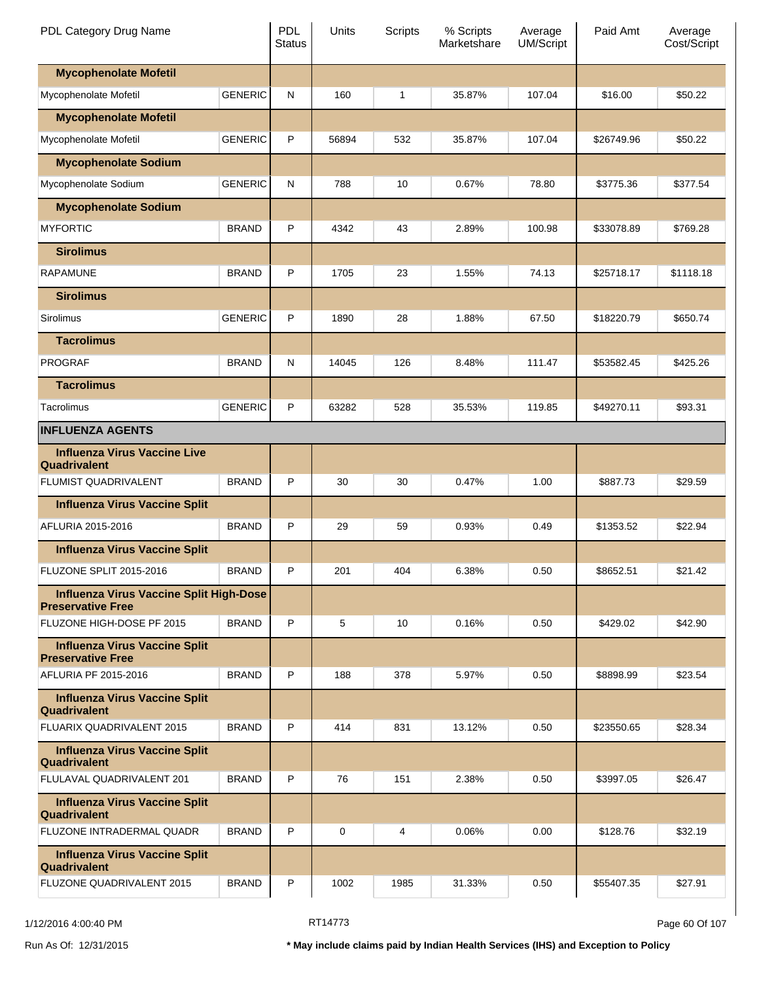| PDL Category Drug Name                                              |                | <b>PDL</b><br><b>Status</b> | Units | Scripts | % Scripts<br>Marketshare | Average<br><b>UM/Script</b> | Paid Amt   | Average<br>Cost/Script |
|---------------------------------------------------------------------|----------------|-----------------------------|-------|---------|--------------------------|-----------------------------|------------|------------------------|
| <b>Mycophenolate Mofetil</b>                                        |                |                             |       |         |                          |                             |            |                        |
| Mycophenolate Mofetil                                               | <b>GENERIC</b> | N                           | 160   | 1       | 35.87%                   | 107.04                      | \$16.00    | \$50.22                |
| <b>Mycophenolate Mofetil</b>                                        |                |                             |       |         |                          |                             |            |                        |
| Mycophenolate Mofetil                                               | <b>GENERIC</b> | P                           | 56894 | 532     | 35.87%                   | 107.04                      | \$26749.96 | \$50.22                |
| <b>Mycophenolate Sodium</b>                                         |                |                             |       |         |                          |                             |            |                        |
| Mycophenolate Sodium                                                | <b>GENERIC</b> | N                           | 788   | 10      | 0.67%                    | 78.80                       | \$3775.36  | \$377.54               |
| <b>Mycophenolate Sodium</b>                                         |                |                             |       |         |                          |                             |            |                        |
| <b>MYFORTIC</b>                                                     | <b>BRAND</b>   | P                           | 4342  | 43      | 2.89%                    | 100.98                      | \$33078.89 | \$769.28               |
| <b>Sirolimus</b>                                                    |                |                             |       |         |                          |                             |            |                        |
| <b>RAPAMUNE</b>                                                     | <b>BRAND</b>   | P                           | 1705  | 23      | 1.55%                    | 74.13                       | \$25718.17 | \$1118.18              |
| <b>Sirolimus</b>                                                    |                |                             |       |         |                          |                             |            |                        |
| Sirolimus                                                           | <b>GENERIC</b> | P                           | 1890  | 28      | 1.88%                    | 67.50                       | \$18220.79 | \$650.74               |
| <b>Tacrolimus</b>                                                   |                |                             |       |         |                          |                             |            |                        |
| <b>PROGRAF</b>                                                      | <b>BRAND</b>   | N                           | 14045 | 126     | 8.48%                    | 111.47                      | \$53582.45 | \$425.26               |
| <b>Tacrolimus</b>                                                   |                |                             |       |         |                          |                             |            |                        |
| Tacrolimus                                                          | <b>GENERIC</b> | P                           | 63282 | 528     | 35.53%                   | 119.85                      | \$49270.11 | \$93.31                |
| <b>INFLUENZA AGENTS</b>                                             |                |                             |       |         |                          |                             |            |                        |
| <b>Influenza Virus Vaccine Live</b><br>Quadrivalent                 |                |                             |       |         |                          |                             |            |                        |
| <b>FLUMIST QUADRIVALENT</b>                                         | <b>BRAND</b>   | P                           | 30    | 30      | 0.47%                    | 1.00                        | \$887.73   | \$29.59                |
| <b>Influenza Virus Vaccine Split</b>                                |                |                             |       |         |                          |                             |            |                        |
| AFLURIA 2015-2016                                                   | <b>BRAND</b>   | P                           | 29    | 59      | 0.93%                    | 0.49                        | \$1353.52  | \$22.94                |
| <b>Influenza Virus Vaccine Split</b>                                |                |                             |       |         |                          |                             |            |                        |
| FLUZONE SPLIT 2015-2016                                             | <b>BRAND</b>   | P                           | 201   | 404     | 6.38%                    | 0.50                        | \$8652.51  | \$21.42                |
| Influenza Virus Vaccine Split High-Dose<br><b>Preservative Free</b> |                |                             |       |         |                          |                             |            |                        |
| FLUZONE HIGH-DOSE PF 2015                                           | <b>BRAND</b>   | P                           | 5     | 10      | 0.16%                    | 0.50                        | \$429.02   | \$42.90                |
| <b>Influenza Virus Vaccine Split</b><br><b>Preservative Free</b>    |                |                             |       |         |                          |                             |            |                        |
| AFLURIA PF 2015-2016                                                | <b>BRAND</b>   | P                           | 188   | 378     | 5.97%                    | 0.50                        | \$8898.99  | \$23.54                |
| <b>Influenza Virus Vaccine Split</b><br>Quadrivalent                |                |                             |       |         |                          |                             |            |                        |
| FLUARIX QUADRIVALENT 2015                                           | <b>BRAND</b>   | P                           | 414   | 831     | 13.12%                   | 0.50                        | \$23550.65 | \$28.34                |
| <b>Influenza Virus Vaccine Split</b><br>Quadrivalent                |                |                             |       |         |                          |                             |            |                        |
| FLULAVAL QUADRIVALENT 201                                           | <b>BRAND</b>   | P                           | 76    | 151     | 2.38%                    | 0.50                        | \$3997.05  | \$26.47                |
| <b>Influenza Virus Vaccine Split</b><br>Quadrivalent                |                |                             |       |         |                          |                             |            |                        |
| FLUZONE INTRADERMAL QUADR                                           | <b>BRAND</b>   | P                           | 0     | 4       | 0.06%                    | 0.00                        | \$128.76   | \$32.19                |
| <b>Influenza Virus Vaccine Split</b><br>Quadrivalent                |                |                             |       |         |                          |                             |            |                        |
| FLUZONE QUADRIVALENT 2015                                           | <b>BRAND</b>   | Ρ                           | 1002  | 1985    | 31.33%                   | 0.50                        | \$55407.35 | \$27.91                |

1/12/2016 4:00:40 PM **RT14773** RT14773 **Page 60 Of 107**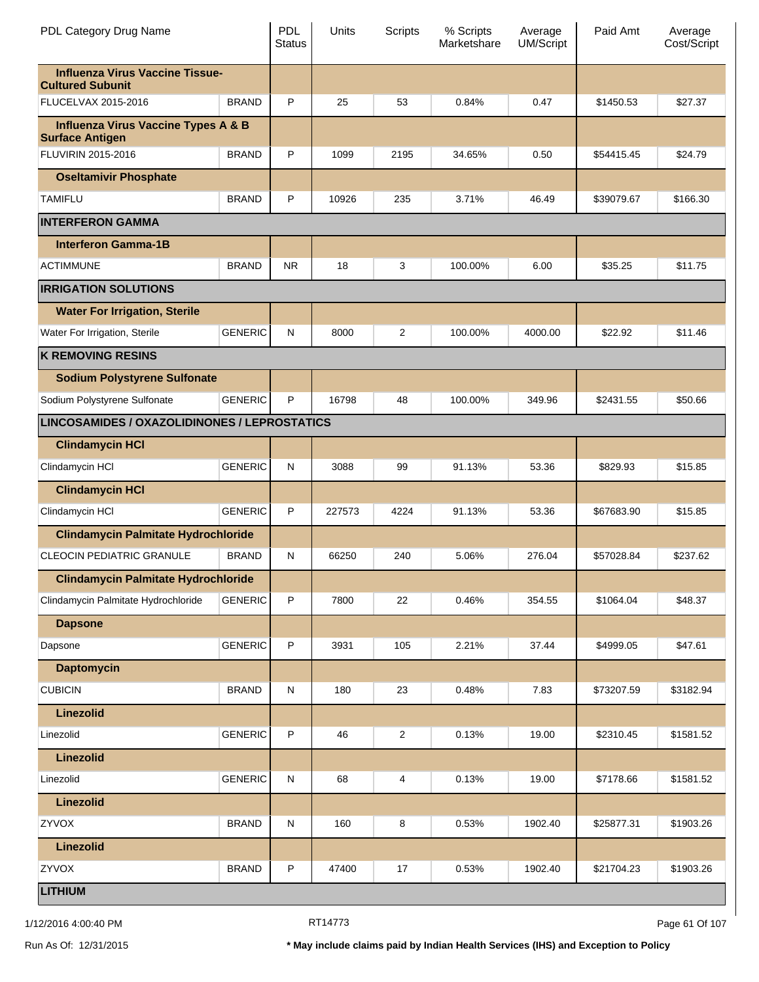| PDL Category Drug Name                                            |                | <b>PDL</b><br><b>Status</b> | Units  | <b>Scripts</b> | % Scripts<br>Marketshare | Average<br><b>UM/Script</b> | Paid Amt   | Average<br>Cost/Script |
|-------------------------------------------------------------------|----------------|-----------------------------|--------|----------------|--------------------------|-----------------------------|------------|------------------------|
| <b>Influenza Virus Vaccine Tissue-</b><br><b>Cultured Subunit</b> |                |                             |        |                |                          |                             |            |                        |
| FLUCELVAX 2015-2016                                               | <b>BRAND</b>   | P                           | 25     | 53             | 0.84%                    | 0.47                        | \$1450.53  | \$27.37                |
| <b>Influenza Virus Vaccine Types A &amp; B</b>                    |                |                             |        |                |                          |                             |            |                        |
| <b>Surface Antigen</b><br>FLUVIRIN 2015-2016                      | <b>BRAND</b>   | P                           | 1099   | 2195           | 34.65%                   | 0.50                        | \$54415.45 | \$24.79                |
| <b>Oseltamivir Phosphate</b>                                      |                |                             |        |                |                          |                             |            |                        |
| <b>TAMIFLU</b>                                                    | <b>BRAND</b>   | P                           | 10926  | 235            | 3.71%                    | 46.49                       | \$39079.67 | \$166.30               |
| <b>INTERFERON GAMMA</b>                                           |                |                             |        |                |                          |                             |            |                        |
| <b>Interferon Gamma-1B</b>                                        |                |                             |        |                |                          |                             |            |                        |
| <b>ACTIMMUNE</b>                                                  | <b>BRAND</b>   | <b>NR</b>                   | 18     | 3              | 100.00%                  | 6.00                        | \$35.25    | \$11.75                |
| <b>IRRIGATION SOLUTIONS</b>                                       |                |                             |        |                |                          |                             |            |                        |
| <b>Water For Irrigation, Sterile</b>                              |                |                             |        |                |                          |                             |            |                        |
| Water For Irrigation, Sterile                                     | <b>GENERIC</b> | N                           | 8000   | 2              | 100.00%                  | 4000.00                     | \$22.92    | \$11.46                |
| <b>K REMOVING RESINS</b>                                          |                |                             |        |                |                          |                             |            |                        |
| <b>Sodium Polystyrene Sulfonate</b>                               |                |                             |        |                |                          |                             |            |                        |
| Sodium Polystyrene Sulfonate                                      | <b>GENERIC</b> | P                           | 16798  | 48             | 100.00%                  | 349.96                      | \$2431.55  | \$50.66                |
| LINCOSAMIDES / OXAZOLIDINONES / LEPROSTATICS                      |                |                             |        |                |                          |                             |            |                        |
| <b>Clindamycin HCI</b>                                            |                |                             |        |                |                          |                             |            |                        |
| Clindamycin HCI                                                   | <b>GENERIC</b> | N                           | 3088   | 99             | 91.13%                   | 53.36                       | \$829.93   | \$15.85                |
| <b>Clindamycin HCI</b>                                            |                |                             |        |                |                          |                             |            |                        |
| Clindamycin HCI                                                   | <b>GENERIC</b> | P                           | 227573 | 4224           | 91.13%                   | 53.36                       | \$67683.90 | \$15.85                |
| <b>Clindamycin Palmitate Hydrochloride</b>                        |                |                             |        |                |                          |                             |            |                        |
| <b>CLEOCIN PEDIATRIC GRANULE</b>                                  | <b>BRAND</b>   | N                           | 66250  | 240            | 5.06%                    | 276.04                      | \$57028.84 | \$237.62               |
| <b>Clindamycin Palmitate Hydrochloride</b>                        |                |                             |        |                |                          |                             |            |                        |
| Clindamycin Palmitate Hydrochloride                               | <b>GENERIC</b> | P                           | 7800   | 22             | 0.46%                    | 354.55                      | \$1064.04  | \$48.37                |
| <b>Dapsone</b>                                                    |                |                             |        |                |                          |                             |            |                        |
| Dapsone                                                           | <b>GENERIC</b> | P                           | 3931   | 105            | 2.21%                    | 37.44                       | \$4999.05  | \$47.61                |
| <b>Daptomycin</b>                                                 |                |                             |        |                |                          |                             |            |                        |
| <b>CUBICIN</b>                                                    | <b>BRAND</b>   | ${\sf N}$                   | 180    | 23             | 0.48%                    | 7.83                        | \$73207.59 | \$3182.94              |
| Linezolid                                                         |                |                             |        |                |                          |                             |            |                        |
| Linezolid                                                         | <b>GENERIC</b> | P                           | 46     | 2              | 0.13%                    | 19.00                       | \$2310.45  | \$1581.52              |
| <b>Linezolid</b>                                                  |                |                             |        |                |                          |                             |            |                        |
| Linezolid                                                         | <b>GENERIC</b> | ${\sf N}$                   | 68     | 4              | 0.13%                    | 19.00                       | \$7178.66  | \$1581.52              |
| <b>Linezolid</b>                                                  |                |                             |        |                |                          |                             |            |                        |
| ZYVOX                                                             | <b>BRAND</b>   | ${\sf N}$                   | 160    | 8              | 0.53%                    | 1902.40                     | \$25877.31 | \$1903.26              |
| <b>Linezolid</b>                                                  |                |                             |        |                |                          |                             |            |                        |
| ZYVOX                                                             | <b>BRAND</b>   | P                           | 47400  | $17$           | 0.53%                    | 1902.40                     | \$21704.23 | \$1903.26              |
| <b>LITHIUM</b>                                                    |                |                             |        |                |                          |                             |            |                        |

1/12/2016 4:00:40 PM **Page 61 Of 107** RT14773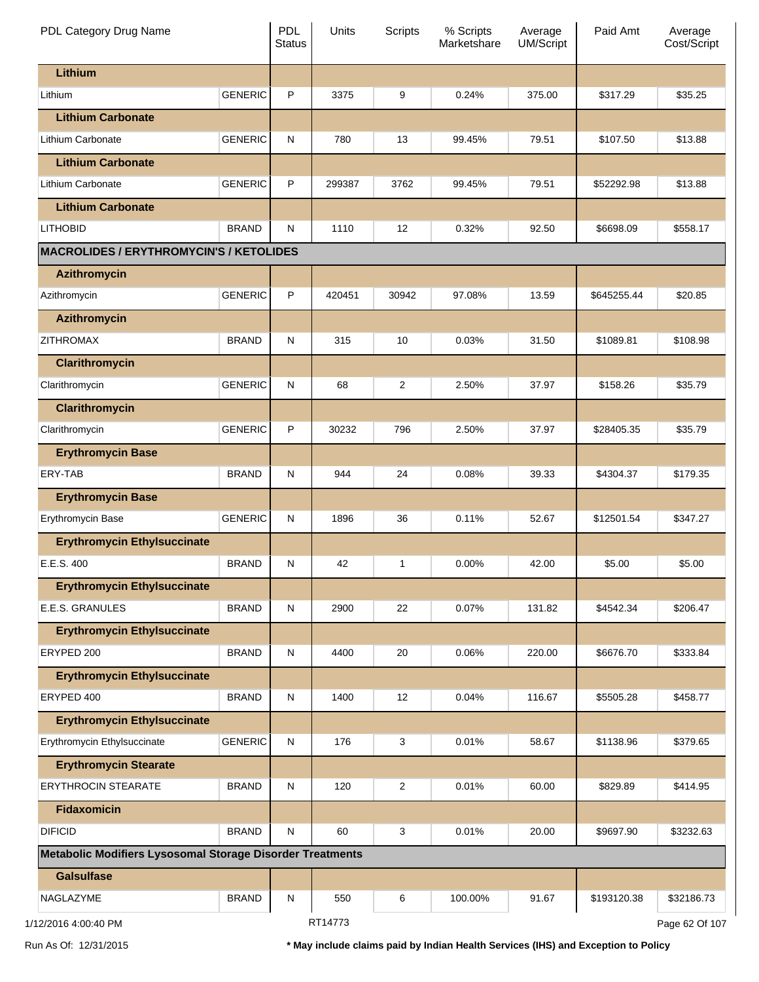| PDL Category Drug Name                                    |                | PDL<br><b>Status</b> | Units   | <b>Scripts</b> | % Scripts<br>Marketshare | Average<br><b>UM/Script</b> | Paid Amt    | Average<br>Cost/Script |
|-----------------------------------------------------------|----------------|----------------------|---------|----------------|--------------------------|-----------------------------|-------------|------------------------|
| Lithium                                                   |                |                      |         |                |                          |                             |             |                        |
| Lithium                                                   | <b>GENERIC</b> | P                    | 3375    | 9              | 0.24%                    | 375.00                      | \$317.29    | \$35.25                |
| <b>Lithium Carbonate</b>                                  |                |                      |         |                |                          |                             |             |                        |
| Lithium Carbonate                                         | <b>GENERIC</b> | N                    | 780     | 13             | 99.45%                   | 79.51                       | \$107.50    | \$13.88                |
| <b>Lithium Carbonate</b>                                  |                |                      |         |                |                          |                             |             |                        |
| Lithium Carbonate                                         | <b>GENERIC</b> | P                    | 299387  | 3762           | 99.45%                   | 79.51                       | \$52292.98  | \$13.88                |
| <b>Lithium Carbonate</b>                                  |                |                      |         |                |                          |                             |             |                        |
| <b>LITHOBID</b>                                           | <b>BRAND</b>   | N                    | 1110    | 12             | 0.32%                    | 92.50                       | \$6698.09   | \$558.17               |
| <b>MACROLIDES / ERYTHROMYCIN'S / KETOLIDES</b>            |                |                      |         |                |                          |                             |             |                        |
| <b>Azithromycin</b>                                       |                |                      |         |                |                          |                             |             |                        |
| Azithromycin                                              | <b>GENERIC</b> | P                    | 420451  | 30942          | 97.08%                   | 13.59                       | \$645255.44 | \$20.85                |
| <b>Azithromycin</b>                                       |                |                      |         |                |                          |                             |             |                        |
| <b>ZITHROMAX</b>                                          | <b>BRAND</b>   | N                    | 315     | 10             | 0.03%                    | 31.50                       | \$1089.81   | \$108.98               |
| <b>Clarithromycin</b>                                     |                |                      |         |                |                          |                             |             |                        |
| Clarithromycin                                            | <b>GENERIC</b> | N                    | 68      | 2              | 2.50%                    | 37.97                       | \$158.26    | \$35.79                |
| <b>Clarithromycin</b>                                     |                |                      |         |                |                          |                             |             |                        |
| Clarithromycin                                            | <b>GENERIC</b> | P                    | 30232   | 796            | 2.50%                    | 37.97                       | \$28405.35  | \$35.79                |
| <b>Erythromycin Base</b>                                  |                |                      |         |                |                          |                             |             |                        |
| ERY-TAB                                                   | <b>BRAND</b>   | N                    | 944     | 24             | 0.08%                    | 39.33                       | \$4304.37   | \$179.35               |
| <b>Erythromycin Base</b>                                  |                |                      |         |                |                          |                             |             |                        |
| Erythromycin Base                                         | <b>GENERIC</b> | N                    | 1896    | 36             | 0.11%                    | 52.67                       | \$12501.54  | \$347.27               |
| <b>Erythromycin Ethylsuccinate</b>                        |                |                      |         |                |                          |                             |             |                        |
| E.E.S. 400                                                | <b>BRAND</b>   | N                    | 42      | 1              | 0.00%                    | 42.00                       | \$5.00      | \$5.00                 |
| <b>Erythromycin Ethylsuccinate</b>                        |                |                      |         |                |                          |                             |             |                        |
| E.E.S. GRANULES                                           | <b>BRAND</b>   | N                    | 2900    | 22             | 0.07%                    | 131.82                      | \$4542.34   | \$206.47               |
| <b>Erythromycin Ethylsuccinate</b>                        |                |                      |         |                |                          |                             |             |                        |
| ERYPED 200                                                | <b>BRAND</b>   | N                    | 4400    | 20             | 0.06%                    | 220.00                      | \$6676.70   | \$333.84               |
| <b>Erythromycin Ethylsuccinate</b>                        |                |                      |         |                |                          |                             |             |                        |
| ERYPED 400                                                | <b>BRAND</b>   | N                    | 1400    | 12             | 0.04%                    | 116.67                      | \$5505.28   | \$458.77               |
| <b>Erythromycin Ethylsuccinate</b>                        |                |                      |         |                |                          |                             |             |                        |
| Erythromycin Ethylsuccinate                               | <b>GENERIC</b> | $\mathsf{N}$         | 176     | 3              | 0.01%                    | 58.67                       | \$1138.96   | \$379.65               |
| <b>Erythromycin Stearate</b>                              |                |                      |         |                |                          |                             |             |                        |
| <b>ERYTHROCIN STEARATE</b>                                | <b>BRAND</b>   | N                    | 120     | $\overline{c}$ | 0.01%                    | 60.00                       | \$829.89    | \$414.95               |
| <b>Fidaxomicin</b>                                        |                |                      |         |                |                          |                             |             |                        |
| <b>DIFICID</b>                                            | <b>BRAND</b>   | N                    | 60      | 3              | 0.01%                    | 20.00                       | \$9697.90   | \$3232.63              |
| Metabolic Modifiers Lysosomal Storage Disorder Treatments |                |                      |         |                |                          |                             |             |                        |
| <b>Galsulfase</b>                                         |                |                      |         |                |                          |                             |             |                        |
| NAGLAZYME                                                 | <b>BRAND</b>   | ${\sf N}$            | 550     | 6              | 100.00%                  | 91.67                       | \$193120.38 | \$32186.73             |
| 1/12/2016 4:00:40 PM                                      |                |                      | RT14773 |                |                          |                             |             | Page 62 Of 107         |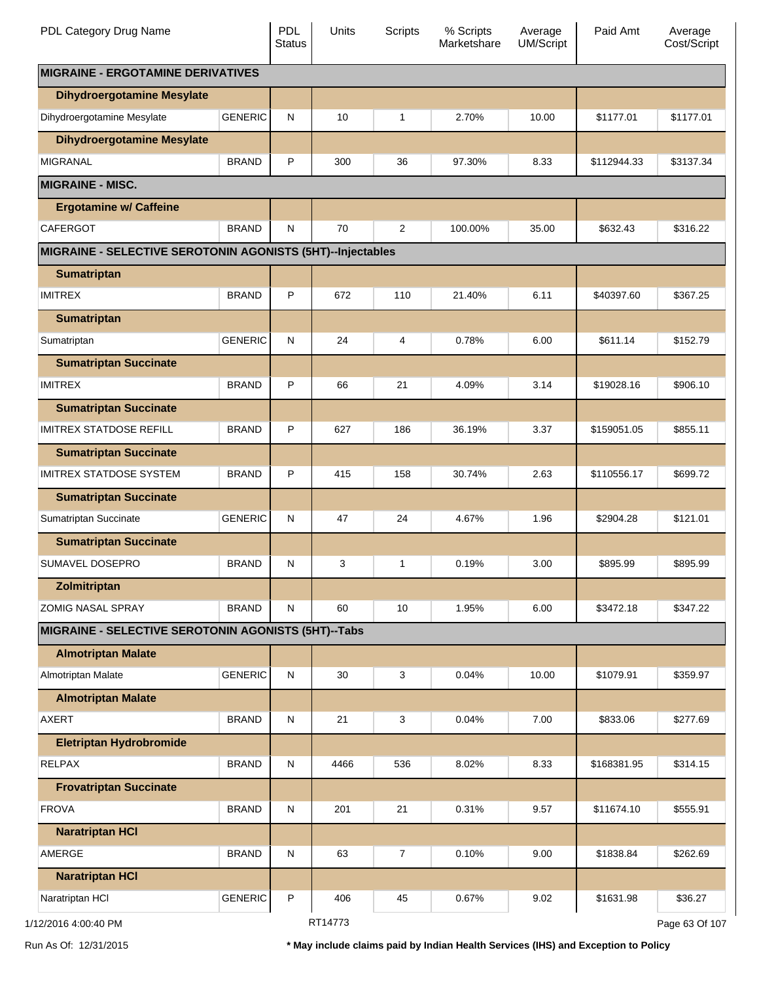| PDL Category Drug Name                                     |                | <b>PDL</b><br><b>Status</b> | Units   | Scripts        | % Scripts<br>Marketshare | Average<br><b>UM/Script</b> | Paid Amt    | Average<br>Cost/Script |
|------------------------------------------------------------|----------------|-----------------------------|---------|----------------|--------------------------|-----------------------------|-------------|------------------------|
| <b>MIGRAINE - ERGOTAMINE DERIVATIVES</b>                   |                |                             |         |                |                          |                             |             |                        |
| <b>Dihydroergotamine Mesylate</b>                          |                |                             |         |                |                          |                             |             |                        |
| Dihydroergotamine Mesylate                                 | <b>GENERIC</b> | N                           | 10      | 1              | 2.70%                    | 10.00                       | \$1177.01   | \$1177.01              |
| <b>Dihydroergotamine Mesylate</b>                          |                |                             |         |                |                          |                             |             |                        |
| <b>MIGRANAL</b>                                            | <b>BRAND</b>   | P                           | 300     | 36             | 97.30%                   | 8.33                        | \$112944.33 | \$3137.34              |
| <b>MIGRAINE - MISC.</b>                                    |                |                             |         |                |                          |                             |             |                        |
| <b>Ergotamine w/ Caffeine</b>                              |                |                             |         |                |                          |                             |             |                        |
| <b>CAFERGOT</b>                                            | <b>BRAND</b>   | ${\sf N}$                   | 70      | $\overline{2}$ | 100.00%                  | 35.00                       | \$632.43    | \$316.22               |
| MIGRAINE - SELECTIVE SEROTONIN AGONISTS (5HT)--Injectables |                |                             |         |                |                          |                             |             |                        |
| <b>Sumatriptan</b>                                         |                |                             |         |                |                          |                             |             |                        |
| <b>IMITREX</b>                                             | <b>BRAND</b>   | P                           | 672     | 110            | 21.40%                   | 6.11                        | \$40397.60  | \$367.25               |
| <b>Sumatriptan</b>                                         |                |                             |         |                |                          |                             |             |                        |
| Sumatriptan                                                | <b>GENERIC</b> | ${\sf N}$                   | 24      | 4              | 0.78%                    | 6.00                        | \$611.14    | \$152.79               |
| <b>Sumatriptan Succinate</b>                               |                |                             |         |                |                          |                             |             |                        |
| <b>IMITREX</b>                                             | <b>BRAND</b>   | P                           | 66      | 21             | 4.09%                    | 3.14                        | \$19028.16  | \$906.10               |
| <b>Sumatriptan Succinate</b>                               |                |                             |         |                |                          |                             |             |                        |
| <b>IMITREX STATDOSE REFILL</b>                             | <b>BRAND</b>   | P                           | 627     | 186            | 36.19%                   | 3.37                        | \$159051.05 | \$855.11               |
| <b>Sumatriptan Succinate</b>                               |                |                             |         |                |                          |                             |             |                        |
| <b>IMITREX STATDOSE SYSTEM</b>                             | <b>BRAND</b>   | P                           | 415     | 158            | 30.74%                   | 2.63                        | \$110556.17 | \$699.72               |
| <b>Sumatriptan Succinate</b>                               |                |                             |         |                |                          |                             |             |                        |
| Sumatriptan Succinate                                      | <b>GENERIC</b> | N                           | 47      | 24             | 4.67%                    | 1.96                        | \$2904.28   | \$121.01               |
| <b>Sumatriptan Succinate</b>                               |                |                             |         |                |                          |                             |             |                        |
| <b>SUMAVEL DOSEPRO</b>                                     | <b>BRAND</b>   | N                           | 3       | 1              | 0.19%                    | 3.00                        | \$895.99    | \$895.99               |
| Zolmitriptan                                               |                |                             |         |                |                          |                             |             |                        |
| <b>ZOMIG NASAL SPRAY</b>                                   | <b>BRAND</b>   | N                           | 60      | 10             | 1.95%                    | 6.00                        | \$3472.18   | \$347.22               |
| MIGRAINE - SELECTIVE SEROTONIN AGONISTS (5HT)--Tabs        |                |                             |         |                |                          |                             |             |                        |
| <b>Almotriptan Malate</b>                                  |                |                             |         |                |                          |                             |             |                        |
| Almotriptan Malate                                         | <b>GENERIC</b> | ${\sf N}$                   | 30      | 3              | 0.04%                    | 10.00                       | \$1079.91   | \$359.97               |
| <b>Almotriptan Malate</b>                                  |                |                             |         |                |                          |                             |             |                        |
| <b>AXERT</b>                                               | <b>BRAND</b>   | ${\sf N}$                   | 21      | 3              | 0.04%                    | 7.00                        | \$833.06    | \$277.69               |
| <b>Eletriptan Hydrobromide</b>                             |                |                             |         |                |                          |                             |             |                        |
| <b>RELPAX</b>                                              | <b>BRAND</b>   | ${\sf N}$                   | 4466    | 536            | 8.02%                    | 8.33                        | \$168381.95 | \$314.15               |
| <b>Frovatriptan Succinate</b>                              |                |                             |         |                |                          |                             |             |                        |
| <b>FROVA</b>                                               | <b>BRAND</b>   | ${\sf N}$                   | 201     | 21             | 0.31%                    | 9.57                        | \$11674.10  | \$555.91               |
| <b>Naratriptan HCI</b>                                     |                |                             |         |                |                          |                             |             |                        |
| AMERGE                                                     | <b>BRAND</b>   | ${\sf N}$                   | 63      | $\overline{7}$ | 0.10%                    | 9.00                        | \$1838.84   | \$262.69               |
| <b>Naratriptan HCI</b>                                     |                |                             |         |                |                          |                             |             |                        |
| Naratriptan HCI                                            | <b>GENERIC</b> | P                           | 406     | 45             | 0.67%                    | 9.02                        | \$1631.98   | \$36.27                |
| 1/12/2016 4:00:40 PM                                       |                |                             | RT14773 |                |                          |                             |             | Page 63 Of 107         |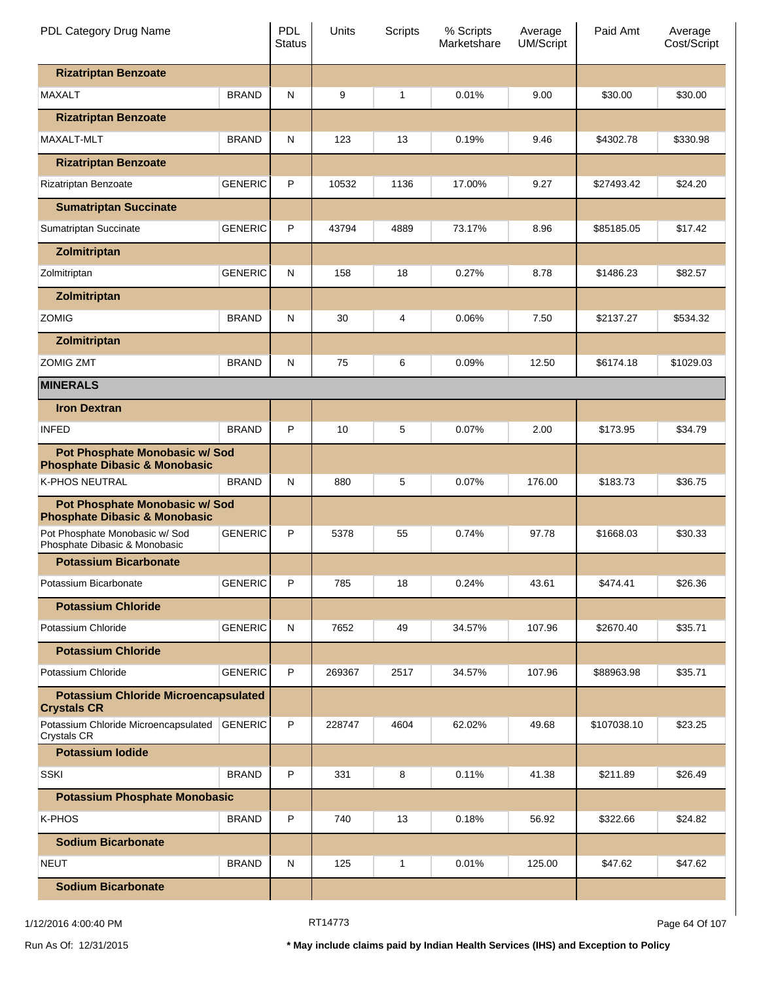| PDL Category Drug Name                                                     |                | PDL<br><b>Status</b> | Units  | <b>Scripts</b> | % Scripts<br>Marketshare | Average<br><b>UM/Script</b> | Paid Amt    | Average<br>Cost/Script |
|----------------------------------------------------------------------------|----------------|----------------------|--------|----------------|--------------------------|-----------------------------|-------------|------------------------|
| <b>Rizatriptan Benzoate</b>                                                |                |                      |        |                |                          |                             |             |                        |
| <b>MAXALT</b>                                                              | <b>BRAND</b>   | N                    | 9      | 1              | 0.01%                    | 9.00                        | \$30.00     | \$30.00                |
| <b>Rizatriptan Benzoate</b>                                                |                |                      |        |                |                          |                             |             |                        |
| <b>MAXALT-MLT</b>                                                          | <b>BRAND</b>   | N                    | 123    | 13             | 0.19%                    | 9.46                        | \$4302.78   | \$330.98               |
| <b>Rizatriptan Benzoate</b>                                                |                |                      |        |                |                          |                             |             |                        |
| Rizatriptan Benzoate                                                       | <b>GENERIC</b> | P                    | 10532  | 1136           | 17.00%                   | 9.27                        | \$27493.42  | \$24.20                |
| <b>Sumatriptan Succinate</b>                                               |                |                      |        |                |                          |                             |             |                        |
| Sumatriptan Succinate                                                      | <b>GENERIC</b> | P                    | 43794  | 4889           | 73.17%                   | 8.96                        | \$85185.05  | \$17.42                |
| Zolmitriptan                                                               |                |                      |        |                |                          |                             |             |                        |
| Zolmitriptan                                                               | <b>GENERIC</b> | N                    | 158    | 18             | 0.27%                    | 8.78                        | \$1486.23   | \$82.57                |
| Zolmitriptan                                                               |                |                      |        |                |                          |                             |             |                        |
| <b>ZOMIG</b>                                                               | <b>BRAND</b>   | N                    | 30     | 4              | 0.06%                    | 7.50                        | \$2137.27   | \$534.32               |
| Zolmitriptan                                                               |                |                      |        |                |                          |                             |             |                        |
| <b>ZOMIG ZMT</b>                                                           | <b>BRAND</b>   | N                    | 75     | 6              | 0.09%                    | 12.50                       | \$6174.18   | \$1029.03              |
| <b>MINERALS</b>                                                            |                |                      |        |                |                          |                             |             |                        |
| <b>Iron Dextran</b>                                                        |                |                      |        |                |                          |                             |             |                        |
| <b>INFED</b>                                                               | <b>BRAND</b>   | P                    | 10     | 5              | 0.07%                    | 2.00                        | \$173.95    | \$34.79                |
| Pot Phosphate Monobasic w/ Sod<br><b>Phosphate Dibasic &amp; Monobasic</b> |                |                      |        |                |                          |                             |             |                        |
| <b>K-PHOS NEUTRAL</b>                                                      | <b>BRAND</b>   | N                    | 880    | 5              | 0.07%                    | 176.00                      | \$183.73    | \$36.75                |
| Pot Phosphate Monobasic w/ Sod<br><b>Phosphate Dibasic &amp; Monobasic</b> |                |                      |        |                |                          |                             |             |                        |
| Pot Phosphate Monobasic w/ Sod<br>Phosphate Dibasic & Monobasic            | <b>GENERIC</b> | P                    | 5378   | 55             | 0.74%                    | 97.78                       | \$1668.03   | \$30.33                |
| <b>Potassium Bicarbonate</b>                                               |                |                      |        |                |                          |                             |             |                        |
| Potassium Bicarbonate                                                      | <b>GENERIC</b> | P                    | 785    | 18             | 0.24%                    | 43.61                       | \$474.41    | \$26.36                |
| <b>Potassium Chloride</b>                                                  |                |                      |        |                |                          |                             |             |                        |
| Potassium Chloride                                                         | <b>GENERIC</b> | N                    | 7652   | 49             | 34.57%                   | 107.96                      | \$2670.40   | \$35.71                |
| <b>Potassium Chloride</b>                                                  |                |                      |        |                |                          |                             |             |                        |
| Potassium Chloride                                                         | <b>GENERIC</b> | P                    | 269367 | 2517           | 34.57%                   | 107.96                      | \$88963.98  | \$35.71                |
| <b>Potassium Chloride Microencapsulated</b><br><b>Crystals CR</b>          |                |                      |        |                |                          |                             |             |                        |
| Potassium Chloride Microencapsulated<br><b>Crystals CR</b>                 | <b>GENERIC</b> | P                    | 228747 | 4604           | 62.02%                   | 49.68                       | \$107038.10 | \$23.25                |
| <b>Potassium lodide</b>                                                    |                |                      |        |                |                          |                             |             |                        |
| <b>SSKI</b>                                                                | <b>BRAND</b>   | P                    | 331    | 8              | 0.11%                    | 41.38                       | \$211.89    | \$26.49                |
| <b>Potassium Phosphate Monobasic</b>                                       |                |                      |        |                |                          |                             |             |                        |
| K-PHOS                                                                     | <b>BRAND</b>   | P                    | 740    | 13             | 0.18%                    | 56.92                       | \$322.66    | \$24.82                |
| <b>Sodium Bicarbonate</b>                                                  |                |                      |        |                |                          |                             |             |                        |
| <b>NEUT</b>                                                                | <b>BRAND</b>   | N                    | 125    | 1              | 0.01%                    | 125.00                      | \$47.62     | \$47.62                |
| <b>Sodium Bicarbonate</b>                                                  |                |                      |        |                |                          |                             |             |                        |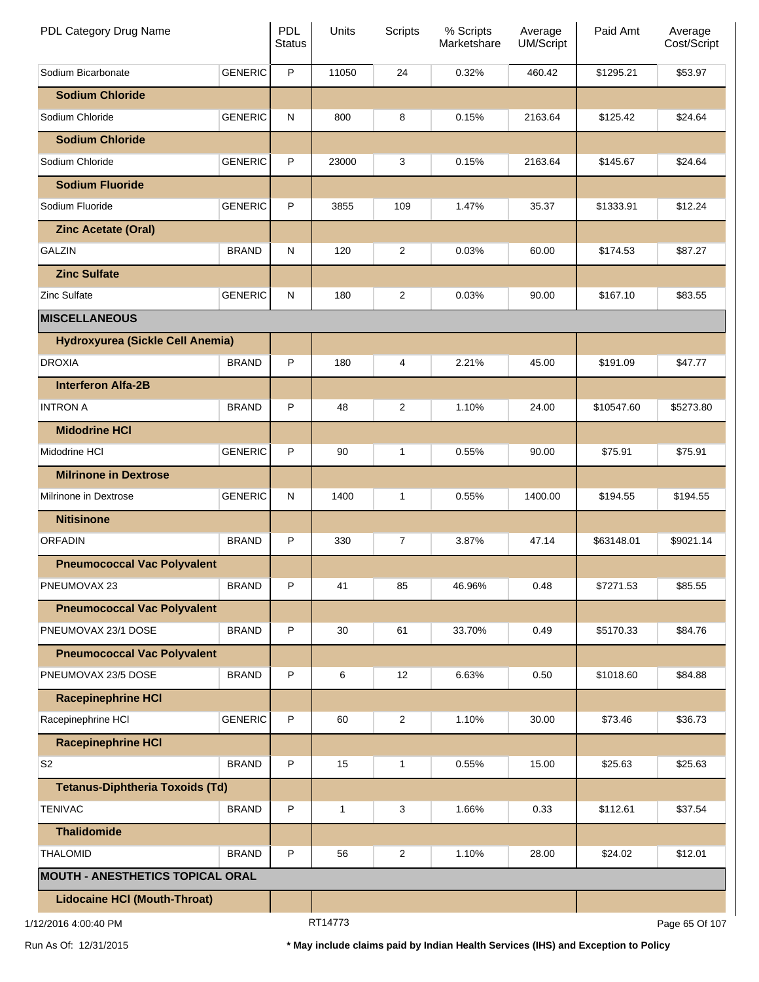| PDL Category Drug Name                  |                | <b>PDL</b><br><b>Status</b> | Units   | <b>Scripts</b> | % Scripts<br>Marketshare | Average<br>UM/Script | Paid Amt   | Average<br>Cost/Script |
|-----------------------------------------|----------------|-----------------------------|---------|----------------|--------------------------|----------------------|------------|------------------------|
| Sodium Bicarbonate                      | <b>GENERIC</b> | P                           | 11050   | 24             | 0.32%                    | 460.42               | \$1295.21  | \$53.97                |
| <b>Sodium Chloride</b>                  |                |                             |         |                |                          |                      |            |                        |
| Sodium Chloride                         | <b>GENERIC</b> | N                           | 800     | 8              | 0.15%                    | 2163.64              | \$125.42   | \$24.64                |
| <b>Sodium Chloride</b>                  |                |                             |         |                |                          |                      |            |                        |
| Sodium Chloride                         | <b>GENERIC</b> | P                           | 23000   | 3              | 0.15%                    | 2163.64              | \$145.67   | \$24.64                |
| <b>Sodium Fluoride</b>                  |                |                             |         |                |                          |                      |            |                        |
| Sodium Fluoride                         | <b>GENERIC</b> | P                           | 3855    | 109            | 1.47%                    | 35.37                | \$1333.91  | \$12.24                |
| <b>Zinc Acetate (Oral)</b>              |                |                             |         |                |                          |                      |            |                        |
| <b>GALZIN</b>                           | <b>BRAND</b>   | N                           | 120     | $\overline{c}$ | 0.03%                    | 60.00                | \$174.53   | \$87.27                |
| <b>Zinc Sulfate</b>                     |                |                             |         |                |                          |                      |            |                        |
| <b>Zinc Sulfate</b>                     | <b>GENERIC</b> | N                           | 180     | 2              | 0.03%                    | 90.00                | \$167.10   | \$83.55                |
| <b>MISCELLANEOUS</b>                    |                |                             |         |                |                          |                      |            |                        |
| Hydroxyurea (Sickle Cell Anemia)        |                |                             |         |                |                          |                      |            |                        |
| <b>DROXIA</b>                           | <b>BRAND</b>   | P                           | 180     | 4              | 2.21%                    | 45.00                | \$191.09   | \$47.77                |
| <b>Interferon Alfa-2B</b>               |                |                             |         |                |                          |                      |            |                        |
| <b>INTRON A</b>                         | <b>BRAND</b>   | P                           | 48      | $\overline{c}$ | 1.10%                    | 24.00                | \$10547.60 | \$5273.80              |
| <b>Midodrine HCI</b>                    |                |                             |         |                |                          |                      |            |                        |
| Midodrine HCI                           | <b>GENERIC</b> | P                           | 90      | 1              | 0.55%                    | 90.00                | \$75.91    | \$75.91                |
| <b>Milrinone in Dextrose</b>            |                |                             |         |                |                          |                      |            |                        |
| Milrinone in Dextrose                   | <b>GENERIC</b> | N                           | 1400    | 1              | 0.55%                    | 1400.00              | \$194.55   | \$194.55               |
| <b>Nitisinone</b>                       |                |                             |         |                |                          |                      |            |                        |
| <b>ORFADIN</b>                          | <b>BRAND</b>   | P                           | 330     | 7              | 3.87%                    | 47.14                | \$63148.01 | \$9021.14              |
| <b>Pneumococcal Vac Polyvalent</b>      |                |                             |         |                |                          |                      |            |                        |
| PNEUMOVAX 23                            | <b>BRAND</b>   | P                           | 41      | 85             | 46.96%                   | 0.48                 | \$7271.53  | \$85.55                |
| <b>Pneumococcal Vac Polyvalent</b>      |                |                             |         |                |                          |                      |            |                        |
| PNEUMOVAX 23/1 DOSE                     | <b>BRAND</b>   | P                           | 30      | 61             | 33.70%                   | 0.49                 | \$5170.33  | \$84.76                |
| <b>Pneumococcal Vac Polyvalent</b>      |                |                             |         |                |                          |                      |            |                        |
| PNEUMOVAX 23/5 DOSE                     | <b>BRAND</b>   | P                           | 6       | 12             | 6.63%                    | 0.50                 | \$1018.60  | \$84.88                |
| <b>Racepinephrine HCI</b>               |                |                             |         |                |                          |                      |            |                        |
| Racepinephrine HCI                      | <b>GENERIC</b> | P                           | 60      | 2              | 1.10%                    | 30.00                | \$73.46    | \$36.73                |
| <b>Racepinephrine HCI</b>               |                |                             |         |                |                          |                      |            |                        |
| S <sub>2</sub>                          | <b>BRAND</b>   | P                           | 15      | 1              | 0.55%                    | 15.00                | \$25.63    | \$25.63                |
| <b>Tetanus-Diphtheria Toxoids (Td)</b>  |                |                             |         |                |                          |                      |            |                        |
| <b>TENIVAC</b>                          | <b>BRAND</b>   | P                           | 1       | 3              | 1.66%                    | 0.33                 | \$112.61   | \$37.54                |
| <b>Thalidomide</b>                      |                |                             |         |                |                          |                      |            |                        |
| <b>THALOMID</b>                         | <b>BRAND</b>   | P                           | 56      | $\overline{2}$ | 1.10%                    | 28.00                | \$24.02    | \$12.01                |
| <b>MOUTH - ANESTHETICS TOPICAL ORAL</b> |                |                             |         |                |                          |                      |            |                        |
| <b>Lidocaine HCI (Mouth-Throat)</b>     |                |                             |         |                |                          |                      |            |                        |
| 1/12/2016 4:00:40 PM                    |                |                             | RT14773 |                |                          |                      |            | Page 65 Of 107         |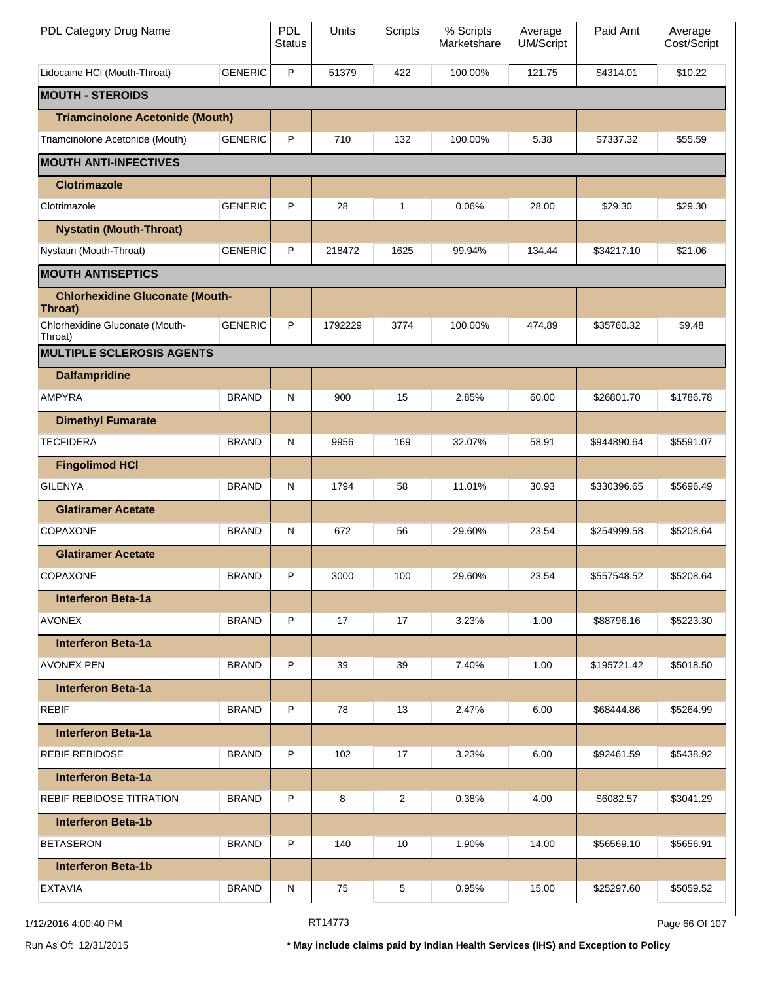| PDL Category Drug Name                            |                | <b>PDL</b><br><b>Status</b> | Units   | <b>Scripts</b> | % Scripts<br>Marketshare | Average<br><b>UM/Script</b> | Paid Amt    | Average<br>Cost/Script |
|---------------------------------------------------|----------------|-----------------------------|---------|----------------|--------------------------|-----------------------------|-------------|------------------------|
| Lidocaine HCI (Mouth-Throat)                      | <b>GENERIC</b> | P                           | 51379   | 422            | 100.00%                  | 121.75                      | \$4314.01   | \$10.22                |
| <b>MOUTH - STEROIDS</b>                           |                |                             |         |                |                          |                             |             |                        |
| <b>Triamcinolone Acetonide (Mouth)</b>            |                |                             |         |                |                          |                             |             |                        |
| Triamcinolone Acetonide (Mouth)                   | <b>GENERIC</b> | P                           | 710     | 132            | 100.00%                  | 5.38                        | \$7337.32   | \$55.59                |
| <b>MOUTH ANTI-INFECTIVES</b>                      |                |                             |         |                |                          |                             |             |                        |
| <b>Clotrimazole</b>                               |                |                             |         |                |                          |                             |             |                        |
| Clotrimazole                                      | <b>GENERIC</b> | P                           | 28      | $\mathbf{1}$   | 0.06%                    | 28.00                       | \$29.30     | \$29.30                |
| <b>Nystatin (Mouth-Throat)</b>                    |                |                             |         |                |                          |                             |             |                        |
| Nystatin (Mouth-Throat)                           | <b>GENERIC</b> | P                           | 218472  | 1625           | 99.94%                   | 134.44                      | \$34217.10  | \$21.06                |
| <b>MOUTH ANTISEPTICS</b>                          |                |                             |         |                |                          |                             |             |                        |
| <b>Chlorhexidine Gluconate (Mouth-</b><br>Throat) |                |                             |         |                |                          |                             |             |                        |
| Chlorhexidine Gluconate (Mouth-<br>Throat)        | <b>GENERIC</b> | P                           | 1792229 | 3774           | 100.00%                  | 474.89                      | \$35760.32  | \$9.48                 |
| <b>MULTIPLE SCLEROSIS AGENTS</b>                  |                |                             |         |                |                          |                             |             |                        |
| <b>Dalfampridine</b>                              |                |                             |         |                |                          |                             |             |                        |
| AMPYRA                                            | <b>BRAND</b>   | N                           | 900     | 15             | 2.85%                    | 60.00                       | \$26801.70  | \$1786.78              |
| <b>Dimethyl Fumarate</b>                          |                |                             |         |                |                          |                             |             |                        |
| <b>TECFIDERA</b>                                  | <b>BRAND</b>   | N                           | 9956    | 169            | 32.07%                   | 58.91                       | \$944890.64 | \$5591.07              |
| <b>Fingolimod HCI</b>                             |                |                             |         |                |                          |                             |             |                        |
| <b>GILENYA</b>                                    | <b>BRAND</b>   | N                           | 1794    | 58             | 11.01%                   | 30.93                       | \$330396.65 | \$5696.49              |
| <b>Glatiramer Acetate</b>                         |                |                             |         |                |                          |                             |             |                        |
| <b>COPAXONE</b>                                   | <b>BRAND</b>   | N                           | 672     | 56             | 29.60%                   | 23.54                       | \$254999.58 | \$5208.64              |
| <b>Glatiramer Acetate</b>                         |                |                             |         |                |                          |                             |             |                        |
| COPAXONE                                          | <b>BRAND</b>   | P                           | 3000    | 100            | 29.60%                   | 23.54                       | \$557548.52 | \$5208.64              |
| <b>Interferon Beta-1a</b>                         |                |                             |         |                |                          |                             |             |                        |
| <b>AVONEX</b>                                     | <b>BRAND</b>   | P                           | 17      | 17             | 3.23%                    | 1.00                        | \$88796.16  | \$5223.30              |
| <b>Interferon Beta-1a</b>                         |                |                             |         |                |                          |                             |             |                        |
| <b>AVONEX PEN</b>                                 | <b>BRAND</b>   | P                           | 39      | 39             | 7.40%                    | 1.00                        | \$195721.42 | \$5018.50              |
| <b>Interferon Beta-1a</b>                         |                |                             |         |                |                          |                             |             |                        |
| <b>REBIF</b>                                      | <b>BRAND</b>   | P                           | 78      | 13             | 2.47%                    | 6.00                        | \$68444.86  | \$5264.99              |
| <b>Interferon Beta-1a</b>                         |                |                             |         |                |                          |                             |             |                        |
| <b>REBIF REBIDOSE</b>                             | <b>BRAND</b>   | P                           | 102     | 17             | 3.23%                    | 6.00                        | \$92461.59  | \$5438.92              |
| <b>Interferon Beta-1a</b>                         |                |                             |         |                |                          |                             |             |                        |
| <b>REBIF REBIDOSE TITRATION</b>                   | <b>BRAND</b>   | P                           | 8       | 2              | 0.38%                    | 4.00                        | \$6082.57   | \$3041.29              |
| <b>Interferon Beta-1b</b>                         |                |                             |         |                |                          |                             |             |                        |
| <b>BETASERON</b>                                  | <b>BRAND</b>   | P                           | 140     | 10             | 1.90%                    | 14.00                       | \$56569.10  | \$5656.91              |
| <b>Interferon Beta-1b</b>                         |                |                             |         |                |                          |                             |             |                        |
| <b>EXTAVIA</b>                                    | <b>BRAND</b>   | N                           | 75      | 5              | 0.95%                    | 15.00                       | \$25297.60  | \$5059.52              |

1/12/2016 4:00:40 PM **RT14773** RT14773 **Page 66 Of 107**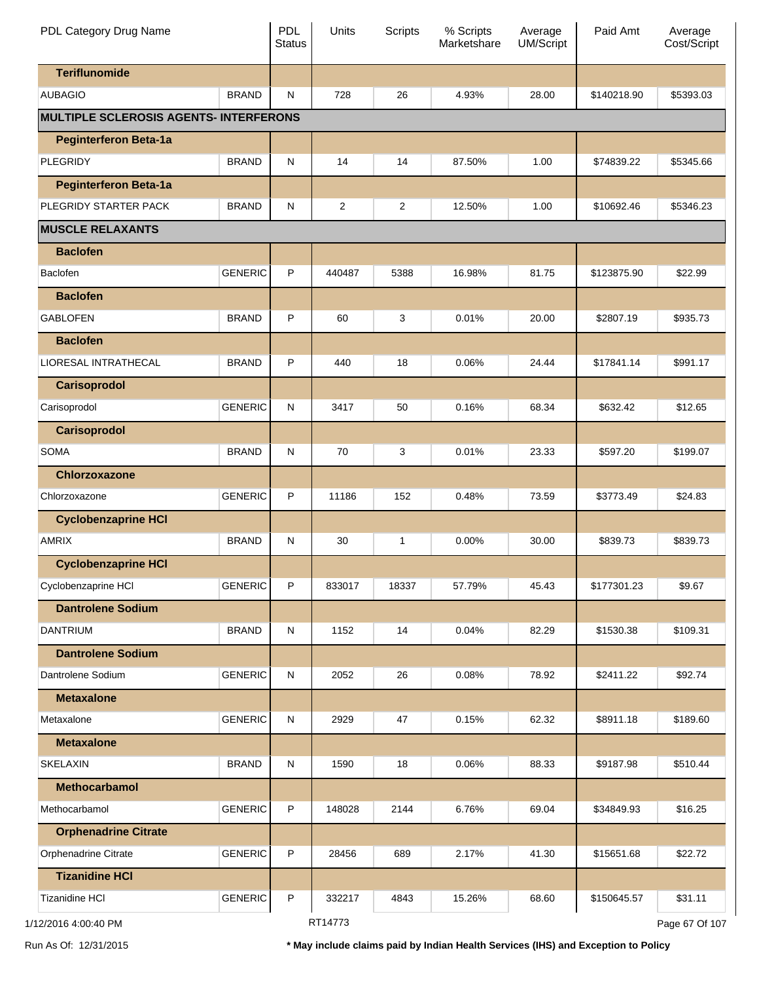| PDL Category Drug Name                        |                | <b>PDL</b><br><b>Status</b> | Units   | <b>Scripts</b> | % Scripts<br>Marketshare | Average<br><b>UM/Script</b> | Paid Amt    | Average<br>Cost/Script |
|-----------------------------------------------|----------------|-----------------------------|---------|----------------|--------------------------|-----------------------------|-------------|------------------------|
| <b>Teriflunomide</b>                          |                |                             |         |                |                          |                             |             |                        |
| <b>AUBAGIO</b>                                | <b>BRAND</b>   | N                           | 728     | 26             | 4.93%                    | 28.00                       | \$140218.90 | \$5393.03              |
| <b>MULTIPLE SCLEROSIS AGENTS- INTERFERONS</b> |                |                             |         |                |                          |                             |             |                        |
| <b>Peginterferon Beta-1a</b>                  |                |                             |         |                |                          |                             |             |                        |
| <b>PLEGRIDY</b>                               | <b>BRAND</b>   | N                           | 14      | 14             | 87.50%                   | 1.00                        | \$74839.22  | \$5345.66              |
| <b>Peginterferon Beta-1a</b>                  |                |                             |         |                |                          |                             |             |                        |
| PLEGRIDY STARTER PACK                         | <b>BRAND</b>   | N                           | 2       | $\overline{c}$ | 12.50%                   | 1.00                        | \$10692.46  | \$5346.23              |
| <b>MUSCLE RELAXANTS</b>                       |                |                             |         |                |                          |                             |             |                        |
| <b>Baclofen</b>                               |                |                             |         |                |                          |                             |             |                        |
| Baclofen                                      | <b>GENERIC</b> | P                           | 440487  | 5388           | 16.98%                   | 81.75                       | \$123875.90 | \$22.99                |
| <b>Baclofen</b>                               |                |                             |         |                |                          |                             |             |                        |
| <b>GABLOFEN</b>                               | <b>BRAND</b>   | P                           | 60      | 3              | 0.01%                    | 20.00                       | \$2807.19   | \$935.73               |
| <b>Baclofen</b>                               |                |                             |         |                |                          |                             |             |                        |
| <b>LIORESAL INTRATHECAL</b>                   | <b>BRAND</b>   | P                           | 440     | 18             | 0.06%                    | 24.44                       | \$17841.14  | \$991.17               |
| <b>Carisoprodol</b>                           |                |                             |         |                |                          |                             |             |                        |
| Carisoprodol                                  | <b>GENERIC</b> | N                           | 3417    | 50             | 0.16%                    | 68.34                       | \$632.42    | \$12.65                |
| <b>Carisoprodol</b>                           |                |                             |         |                |                          |                             |             |                        |
| <b>SOMA</b>                                   | <b>BRAND</b>   | N                           | 70      | 3              | 0.01%                    | 23.33                       | \$597.20    | \$199.07               |
| Chlorzoxazone                                 |                |                             |         |                |                          |                             |             |                        |
| Chlorzoxazone                                 | <b>GENERIC</b> | P                           | 11186   | 152            | 0.48%                    | 73.59                       | \$3773.49   | \$24.83                |
| <b>Cyclobenzaprine HCI</b>                    |                |                             |         |                |                          |                             |             |                        |
| <b>AMRIX</b>                                  | <b>BRAND</b>   | N                           | 30      | 1              | 0.00%                    | 30.00                       | \$839.73    | \$839.73               |
| <b>Cyclobenzaprine HCI</b>                    |                |                             |         |                |                          |                             |             |                        |
| Cyclobenzaprine HCI                           | <b>GENERIC</b> | P                           | 833017  | 18337          | 57.79%                   | 45.43                       | \$177301.23 | \$9.67                 |
| <b>Dantrolene Sodium</b>                      |                |                             |         |                |                          |                             |             |                        |
| <b>DANTRIUM</b>                               | <b>BRAND</b>   | ${\sf N}$                   | 1152    | 14             | 0.04%                    | 82.29                       | \$1530.38   | \$109.31               |
| <b>Dantrolene Sodium</b>                      |                |                             |         |                |                          |                             |             |                        |
| Dantrolene Sodium                             | <b>GENERIC</b> | ${\sf N}$                   | 2052    | 26             | 0.08%                    | 78.92                       | \$2411.22   | \$92.74                |
| <b>Metaxalone</b>                             |                |                             |         |                |                          |                             |             |                        |
| Metaxalone                                    | <b>GENERIC</b> | ${\sf N}$                   | 2929    | 47             | 0.15%                    | 62.32                       | \$8911.18   | \$189.60               |
| <b>Metaxalone</b>                             |                |                             |         |                |                          |                             |             |                        |
| <b>SKELAXIN</b>                               | <b>BRAND</b>   | N                           | 1590    | 18             | 0.06%                    | 88.33                       | \$9187.98   | \$510.44               |
| <b>Methocarbamol</b>                          |                |                             |         |                |                          |                             |             |                        |
| Methocarbamol                                 | <b>GENERIC</b> | P                           | 148028  | 2144           | 6.76%                    | 69.04                       | \$34849.93  | \$16.25                |
| <b>Orphenadrine Citrate</b>                   |                |                             |         |                |                          |                             |             |                        |
| Orphenadrine Citrate                          | <b>GENERIC</b> | P                           | 28456   | 689            | 2.17%                    | 41.30                       | \$15651.68  | \$22.72                |
| <b>Tizanidine HCI</b>                         |                |                             |         |                |                          |                             |             |                        |
| <b>Tizanidine HCI</b>                         | <b>GENERIC</b> | P                           | 332217  | 4843           | 15.26%                   | 68.60                       | \$150645.57 | \$31.11                |
| 1/12/2016 4:00:40 PM                          |                |                             | RT14773 |                |                          |                             |             | Page 67 Of 107         |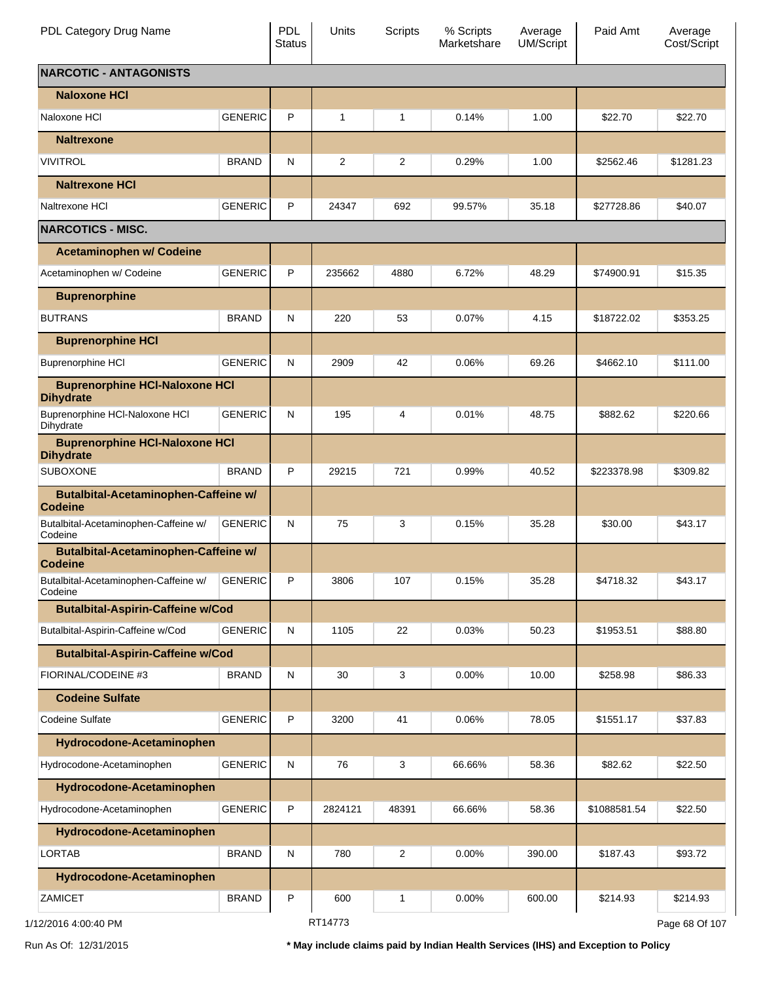| PDL Category Drug Name                                        |                | <b>PDL</b><br><b>Status</b> | Units   | Scripts        | % Scripts<br>Marketshare | Average<br>UM/Script | Paid Amt     | Average<br>Cost/Script |
|---------------------------------------------------------------|----------------|-----------------------------|---------|----------------|--------------------------|----------------------|--------------|------------------------|
| <b>NARCOTIC - ANTAGONISTS</b>                                 |                |                             |         |                |                          |                      |              |                        |
| <b>Naloxone HCI</b>                                           |                |                             |         |                |                          |                      |              |                        |
| Naloxone HCI                                                  | <b>GENERIC</b> | P                           | 1       | 1              | 0.14%                    | 1.00                 | \$22.70      | \$22.70                |
| <b>Naltrexone</b>                                             |                |                             |         |                |                          |                      |              |                        |
| <b>VIVITROL</b>                                               | <b>BRAND</b>   | N                           | 2       | $\overline{2}$ | 0.29%                    | 1.00                 | \$2562.46    | \$1281.23              |
| <b>Naltrexone HCI</b>                                         |                |                             |         |                |                          |                      |              |                        |
| Naltrexone HCI                                                | <b>GENERIC</b> | P                           | 24347   | 692            | 99.57%                   | 35.18                | \$27728.86   | \$40.07                |
| <b>NARCOTICS - MISC.</b>                                      |                |                             |         |                |                          |                      |              |                        |
| <b>Acetaminophen w/ Codeine</b>                               |                |                             |         |                |                          |                      |              |                        |
| Acetaminophen w/ Codeine                                      | <b>GENERIC</b> | P                           | 235662  | 4880           | 6.72%                    | 48.29                | \$74900.91   | \$15.35                |
| <b>Buprenorphine</b>                                          |                |                             |         |                |                          |                      |              |                        |
| <b>BUTRANS</b>                                                | <b>BRAND</b>   | N                           | 220     | 53             | 0.07%                    | 4.15                 | \$18722.02   | \$353.25               |
| <b>Buprenorphine HCI</b>                                      |                |                             |         |                |                          |                      |              |                        |
| <b>Buprenorphine HCI</b>                                      | <b>GENERIC</b> | N                           | 2909    | 42             | 0.06%                    | 69.26                | \$4662.10    | \$111.00               |
| <b>Buprenorphine HCI-Naloxone HCI</b><br><b>Dihydrate</b>     |                |                             |         |                |                          |                      |              |                        |
| Buprenorphine HCI-Naloxone HCI<br>Dihydrate                   | <b>GENERIC</b> | N                           | 195     | 4              | 0.01%                    | 48.75                | \$882.62     | \$220.66               |
| <b>Buprenorphine HCI-Naloxone HCI</b><br><b>Dihydrate</b>     |                |                             |         |                |                          |                      |              |                        |
| <b>SUBOXONE</b>                                               | <b>BRAND</b>   | P                           | 29215   | 721            | 0.99%                    | 40.52                | \$223378.98  | \$309.82               |
| Butalbital-Acetaminophen-Caffeine w/<br><b>Codeine</b>        |                |                             |         |                |                          |                      |              |                        |
| Butalbital-Acetaminophen-Caffeine w/<br>Codeine               | <b>GENERIC</b> | N                           | 75      | 3              | 0.15%                    | 35.28                | \$30.00      | \$43.17                |
| <b>Butalbital-Acetaminophen-Caffeine w/</b><br><b>Codeine</b> |                |                             |         |                |                          |                      |              |                        |
| Butalbital-Acetaminophen-Caffeine w/<br>Codeine               | GENERIC        | P                           | 3806    | 107            | 0.15%                    | 35.28                | \$4718.32    | \$43.17                |
| <b>Butalbital-Aspirin-Caffeine w/Cod</b>                      |                |                             |         |                |                          |                      |              |                        |
| Butalbital-Aspirin-Caffeine w/Cod                             | <b>GENERIC</b> | N                           | 1105    | 22             | 0.03%                    | 50.23                | \$1953.51    | \$88.80                |
| <b>Butalbital-Aspirin-Caffeine w/Cod</b>                      |                |                             |         |                |                          |                      |              |                        |
| FIORINAL/CODEINE #3                                           | <b>BRAND</b>   | N                           | 30      | 3              | 0.00%                    | 10.00                | \$258.98     | \$86.33                |
| <b>Codeine Sulfate</b>                                        |                |                             |         |                |                          |                      |              |                        |
| <b>Codeine Sulfate</b>                                        | <b>GENERIC</b> | P                           | 3200    | 41             | 0.06%                    | 78.05                | \$1551.17    | \$37.83                |
| Hydrocodone-Acetaminophen                                     |                |                             |         |                |                          |                      |              |                        |
| Hydrocodone-Acetaminophen                                     | <b>GENERIC</b> | N                           | 76      | 3              | 66.66%                   | 58.36                | \$82.62      | \$22.50                |
| Hydrocodone-Acetaminophen                                     |                |                             |         |                |                          |                      |              |                        |
| Hydrocodone-Acetaminophen                                     | <b>GENERIC</b> | P                           | 2824121 | 48391          | 66.66%                   | 58.36                | \$1088581.54 | \$22.50                |
| Hydrocodone-Acetaminophen                                     |                |                             |         |                |                          |                      |              |                        |
| <b>LORTAB</b>                                                 | <b>BRAND</b>   | N                           | 780     | $\overline{2}$ | 0.00%                    | 390.00               | \$187.43     | \$93.72                |
| Hydrocodone-Acetaminophen                                     |                |                             |         |                |                          |                      |              |                        |
| <b>ZAMICET</b>                                                | <b>BRAND</b>   | P                           | 600     | 1              | 0.00%                    | 600.00               | \$214.93     | \$214.93               |
| 1/12/2016 4:00:40 PM                                          |                |                             | RT14773 |                |                          |                      |              | Page 68 Of 107         |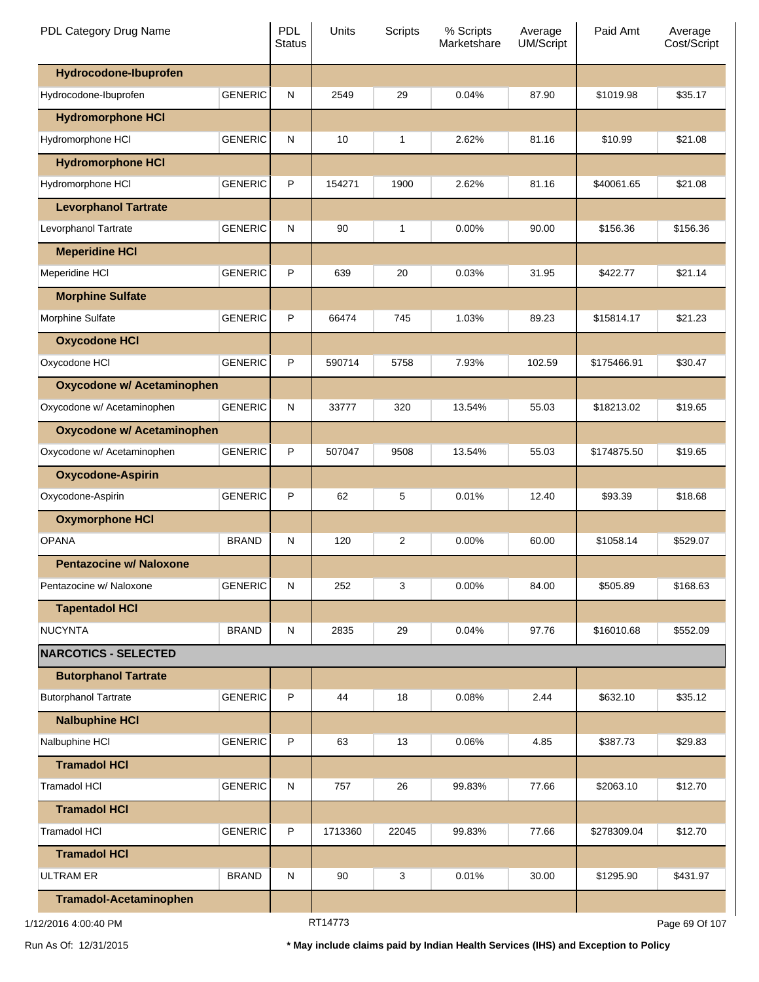| PDL Category Drug Name            |                | <b>PDL</b><br><b>Status</b> | Units   | <b>Scripts</b> | % Scripts<br>Marketshare | Average<br><b>UM/Script</b> | Paid Amt    | Average<br>Cost/Script |
|-----------------------------------|----------------|-----------------------------|---------|----------------|--------------------------|-----------------------------|-------------|------------------------|
| Hydrocodone-Ibuprofen             |                |                             |         |                |                          |                             |             |                        |
| Hydrocodone-Ibuprofen             | <b>GENERIC</b> | N                           | 2549    | 29             | 0.04%                    | 87.90                       | \$1019.98   | \$35.17                |
| <b>Hydromorphone HCI</b>          |                |                             |         |                |                          |                             |             |                        |
| Hydromorphone HCI                 | <b>GENERIC</b> | N                           | 10      | 1              | 2.62%                    | 81.16                       | \$10.99     | \$21.08                |
| <b>Hydromorphone HCI</b>          |                |                             |         |                |                          |                             |             |                        |
| Hydromorphone HCI                 | <b>GENERIC</b> | P                           | 154271  | 1900           | 2.62%                    | 81.16                       | \$40061.65  | \$21.08                |
| <b>Levorphanol Tartrate</b>       |                |                             |         |                |                          |                             |             |                        |
| Levorphanol Tartrate              | <b>GENERIC</b> | N                           | 90      | 1              | $0.00\%$                 | 90.00                       | \$156.36    | \$156.36               |
| <b>Meperidine HCI</b>             |                |                             |         |                |                          |                             |             |                        |
| Meperidine HCI                    | <b>GENERIC</b> | P                           | 639     | 20             | 0.03%                    | 31.95                       | \$422.77    | \$21.14                |
| <b>Morphine Sulfate</b>           |                |                             |         |                |                          |                             |             |                        |
| Morphine Sulfate                  | <b>GENERIC</b> | P                           | 66474   | 745            | 1.03%                    | 89.23                       | \$15814.17  | \$21.23                |
| <b>Oxycodone HCI</b>              |                |                             |         |                |                          |                             |             |                        |
| Oxycodone HCI                     | <b>GENERIC</b> | P                           | 590714  | 5758           | 7.93%                    | 102.59                      | \$175466.91 | \$30.47                |
| <b>Oxycodone w/ Acetaminophen</b> |                |                             |         |                |                          |                             |             |                        |
| Oxycodone w/ Acetaminophen        | <b>GENERIC</b> | N                           | 33777   | 320            | 13.54%                   | 55.03                       | \$18213.02  | \$19.65                |
| <b>Oxycodone w/ Acetaminophen</b> |                |                             |         |                |                          |                             |             |                        |
| Oxycodone w/ Acetaminophen        | <b>GENERIC</b> | P                           | 507047  | 9508           | 13.54%                   | 55.03                       | \$174875.50 | \$19.65                |
| <b>Oxycodone-Aspirin</b>          |                |                             |         |                |                          |                             |             |                        |
| Oxycodone-Aspirin                 | <b>GENERIC</b> | P                           | 62      | 5              | 0.01%                    | 12.40                       | \$93.39     | \$18.68                |
| <b>Oxymorphone HCI</b>            |                |                             |         |                |                          |                             |             |                        |
| <b>OPANA</b>                      | <b>BRAND</b>   | N                           | 120     | 2              | $0.00\%$                 | 60.00                       | \$1058.14   | \$529.07               |
| <b>Pentazocine w/ Naloxone</b>    |                |                             |         |                |                          |                             |             |                        |
| Pentazocine w/ Naloxone           | <b>GENERIC</b> | ${\sf N}$                   | 252     | 3              | 0.00%                    | 84.00                       | \$505.89    | \$168.63               |
| <b>Tapentadol HCI</b>             |                |                             |         |                |                          |                             |             |                        |
| <b>NUCYNTA</b>                    | <b>BRAND</b>   | N                           | 2835    | 29             | 0.04%                    | 97.76                       | \$16010.68  | \$552.09               |
| <b>NARCOTICS - SELECTED</b>       |                |                             |         |                |                          |                             |             |                        |
| <b>Butorphanol Tartrate</b>       |                |                             |         |                |                          |                             |             |                        |
| <b>Butorphanol Tartrate</b>       | <b>GENERIC</b> | P                           | 44      | 18             | 0.08%                    | 2.44                        | \$632.10    | \$35.12                |
| <b>Nalbuphine HCI</b>             |                |                             |         |                |                          |                             |             |                        |
| Nalbuphine HCI                    | <b>GENERIC</b> | P                           | 63      | 13             | 0.06%                    | 4.85                        | \$387.73    | \$29.83                |
| <b>Tramadol HCI</b>               |                |                             |         |                |                          |                             |             |                        |
| <b>Tramadol HCI</b>               | <b>GENERIC</b> | ${\sf N}$                   | 757     | 26             | 99.83%                   | 77.66                       | \$2063.10   | \$12.70                |
| <b>Tramadol HCI</b>               |                |                             |         |                |                          |                             |             |                        |
| <b>Tramadol HCI</b>               | <b>GENERIC</b> | P                           | 1713360 | 22045          | 99.83%                   | 77.66                       | \$278309.04 | \$12.70                |
| <b>Tramadol HCI</b>               |                |                             |         |                |                          |                             |             |                        |
| <b>ULTRAM ER</b>                  | <b>BRAND</b>   | N                           | 90      | 3              | 0.01%                    | 30.00                       | \$1295.90   | \$431.97               |
| Tramadol-Acetaminophen            |                |                             |         |                |                          |                             |             |                        |
| 1/12/2016 4:00:40 PM              |                |                             | RT14773 |                |                          |                             |             | Page 69 Of 107         |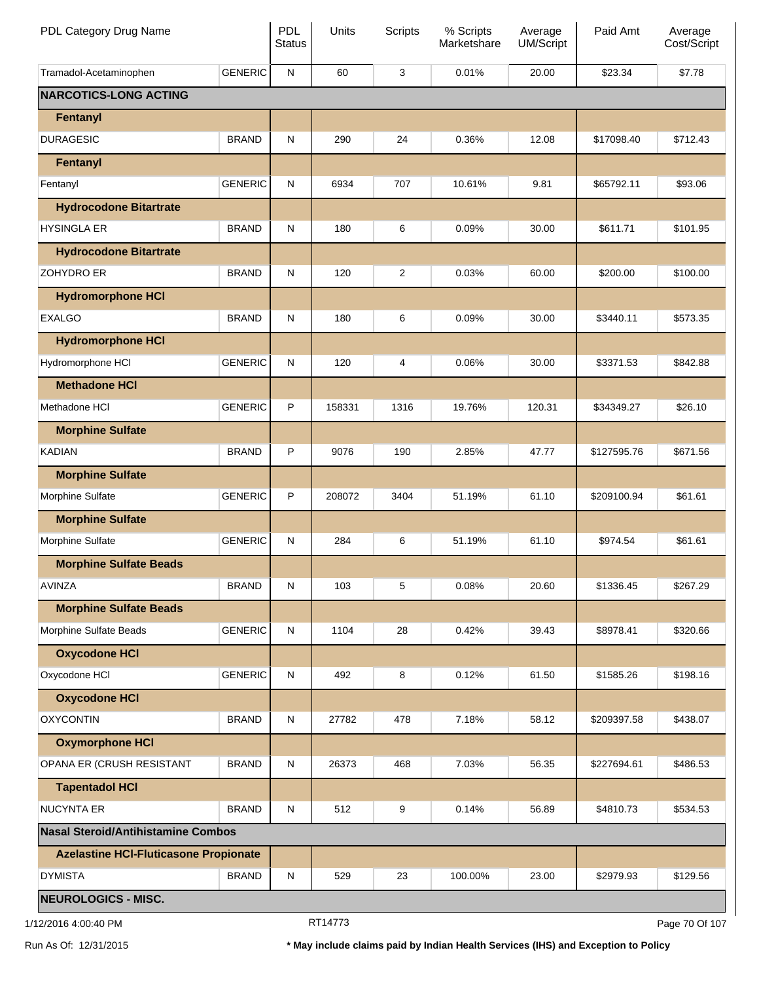| PDL Category Drug Name                       |                | PDL<br><b>Status</b> | Units  | Scripts        | % Scripts<br>Marketshare | Average<br><b>UM/Script</b> | Paid Amt    | Average<br>Cost/Script |
|----------------------------------------------|----------------|----------------------|--------|----------------|--------------------------|-----------------------------|-------------|------------------------|
| Tramadol-Acetaminophen                       | <b>GENERIC</b> | N                    | 60     | 3              | 0.01%                    | 20.00                       | \$23.34     | \$7.78                 |
| <b>NARCOTICS-LONG ACTING</b>                 |                |                      |        |                |                          |                             |             |                        |
| Fentanyl                                     |                |                      |        |                |                          |                             |             |                        |
| <b>DURAGESIC</b>                             | <b>BRAND</b>   | N                    | 290    | 24             | 0.36%                    | 12.08                       | \$17098.40  | \$712.43               |
| Fentanyl                                     |                |                      |        |                |                          |                             |             |                        |
| Fentanyl                                     | <b>GENERIC</b> | N                    | 6934   | 707            | 10.61%                   | 9.81                        | \$65792.11  | \$93.06                |
| <b>Hydrocodone Bitartrate</b>                |                |                      |        |                |                          |                             |             |                        |
| <b>HYSINGLA ER</b>                           | <b>BRAND</b>   | N                    | 180    | 6              | 0.09%                    | 30.00                       | \$611.71    | \$101.95               |
| <b>Hydrocodone Bitartrate</b>                |                |                      |        |                |                          |                             |             |                        |
| <b>ZOHYDRO ER</b>                            | <b>BRAND</b>   | N                    | 120    | $\overline{c}$ | 0.03%                    | 60.00                       | \$200.00    | \$100.00               |
| <b>Hydromorphone HCI</b>                     |                |                      |        |                |                          |                             |             |                        |
| <b>EXALGO</b>                                | <b>BRAND</b>   | N                    | 180    | 6              | 0.09%                    | 30.00                       | \$3440.11   | \$573.35               |
| <b>Hydromorphone HCI</b>                     |                |                      |        |                |                          |                             |             |                        |
| Hydromorphone HCI                            | <b>GENERIC</b> | N                    | 120    | 4              | 0.06%                    | 30.00                       | \$3371.53   | \$842.88               |
| <b>Methadone HCI</b>                         |                |                      |        |                |                          |                             |             |                        |
| Methadone HCI                                | <b>GENERIC</b> | P                    | 158331 | 1316           | 19.76%                   | 120.31                      | \$34349.27  | \$26.10                |
| <b>Morphine Sulfate</b>                      |                |                      |        |                |                          |                             |             |                        |
| <b>KADIAN</b>                                | <b>BRAND</b>   | P                    | 9076   | 190            | 2.85%                    | 47.77                       | \$127595.76 | \$671.56               |
| <b>Morphine Sulfate</b>                      |                |                      |        |                |                          |                             |             |                        |
| Morphine Sulfate                             | <b>GENERIC</b> | P                    | 208072 | 3404           | 51.19%                   | 61.10                       | \$209100.94 | \$61.61                |
| <b>Morphine Sulfate</b>                      |                |                      |        |                |                          |                             |             |                        |
| Morphine Sulfate                             | <b>GENERIC</b> | N                    | 284    | 6              | 51.19%                   | 61.10                       | \$974.54    | \$61.61                |
| <b>Morphine Sulfate Beads</b>                |                |                      |        |                |                          |                             |             |                        |
| <b>AVINZA</b>                                | <b>BRAND</b>   | N                    | 103    | 5              | 0.08%                    | 20.60                       | \$1336.45   | \$267.29               |
| <b>Morphine Sulfate Beads</b>                |                |                      |        |                |                          |                             |             |                        |
| Morphine Sulfate Beads                       | <b>GENERIC</b> | N                    | 1104   | 28             | 0.42%                    | 39.43                       | \$8978.41   | \$320.66               |
| <b>Oxycodone HCI</b>                         |                |                      |        |                |                          |                             |             |                        |
| Oxycodone HCI                                | <b>GENERIC</b> | N                    | 492    | 8              | 0.12%                    | 61.50                       | \$1585.26   | \$198.16               |
| <b>Oxycodone HCI</b>                         |                |                      |        |                |                          |                             |             |                        |
| <b>OXYCONTIN</b>                             | <b>BRAND</b>   | N                    | 27782  | 478            | 7.18%                    | 58.12                       | \$209397.58 | \$438.07               |
| <b>Oxymorphone HCI</b>                       |                |                      |        |                |                          |                             |             |                        |
| OPANA ER (CRUSH RESISTANT                    | <b>BRAND</b>   | N                    | 26373  | 468            | 7.03%                    | 56.35                       | \$227694.61 | \$486.53               |
| <b>Tapentadol HCI</b>                        |                |                      |        |                |                          |                             |             |                        |
| <b>NUCYNTA ER</b>                            | <b>BRAND</b>   | N                    | 512    | 9              | 0.14%                    | 56.89                       | \$4810.73   | \$534.53               |
| Nasal Steroid/Antihistamine Combos           |                |                      |        |                |                          |                             |             |                        |
| <b>Azelastine HCI-Fluticasone Propionate</b> |                |                      |        |                |                          |                             |             |                        |
| <b>DYMISTA</b>                               | <b>BRAND</b>   | ${\sf N}$            | 529    | 23             | 100.00%                  | 23.00                       | \$2979.93   | \$129.56               |
| NEUROLOGICS - MISC.                          |                |                      |        |                |                          |                             |             |                        |

1/12/2016 4:00:40 PM **Page 70 Of 107** RT14773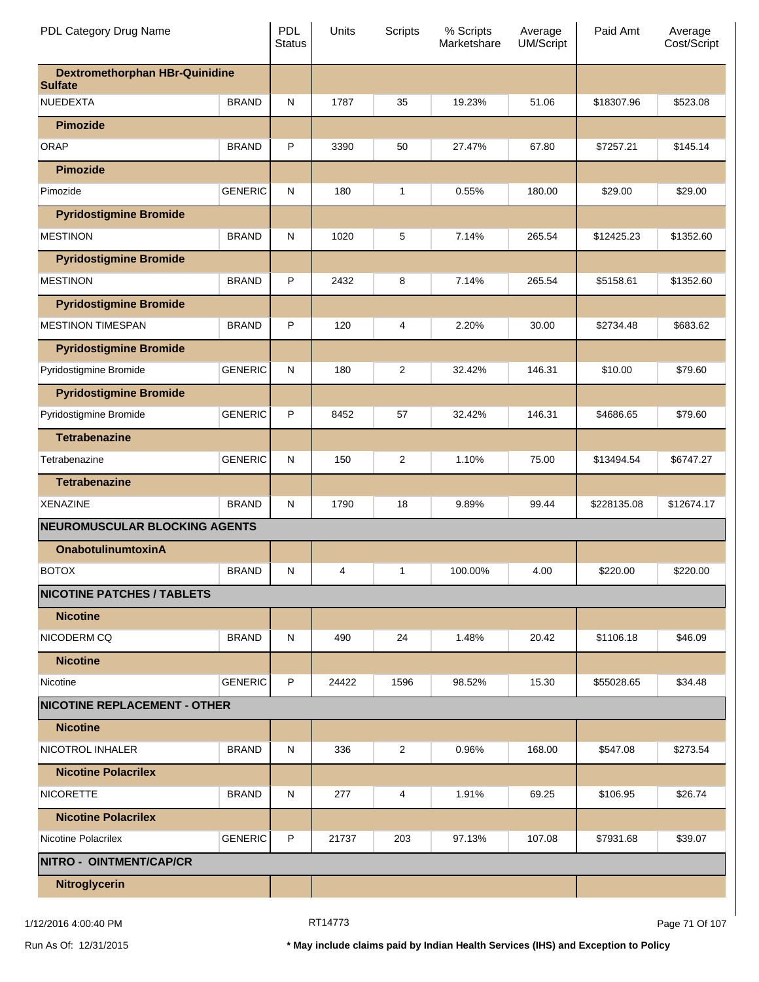| PDL Category Drug Name                                  |                | <b>PDL</b><br><b>Status</b> | Units | Scripts        | % Scripts<br>Marketshare | Average<br><b>UM/Script</b> | Paid Amt    | Average<br>Cost/Script |
|---------------------------------------------------------|----------------|-----------------------------|-------|----------------|--------------------------|-----------------------------|-------------|------------------------|
| <b>Dextromethorphan HBr-Quinidine</b><br><b>Sulfate</b> |                |                             |       |                |                          |                             |             |                        |
| <b>NUEDEXTA</b>                                         | <b>BRAND</b>   | N                           | 1787  | 35             | 19.23%                   | 51.06                       | \$18307.96  | \$523.08               |
| <b>Pimozide</b>                                         |                |                             |       |                |                          |                             |             |                        |
| <b>ORAP</b>                                             | <b>BRAND</b>   | P                           | 3390  | 50             | 27.47%                   | 67.80                       | \$7257.21   | \$145.14               |
| <b>Pimozide</b>                                         |                |                             |       |                |                          |                             |             |                        |
| Pimozide                                                | <b>GENERIC</b> | N                           | 180   | 1              | 0.55%                    | 180.00                      | \$29.00     | \$29.00                |
| <b>Pyridostigmine Bromide</b>                           |                |                             |       |                |                          |                             |             |                        |
| <b>MESTINON</b>                                         | <b>BRAND</b>   | N                           | 1020  | 5              | 7.14%                    | 265.54                      | \$12425.23  | \$1352.60              |
| <b>Pyridostigmine Bromide</b>                           |                |                             |       |                |                          |                             |             |                        |
| <b>MESTINON</b>                                         | <b>BRAND</b>   | P                           | 2432  | 8              | 7.14%                    | 265.54                      | \$5158.61   | \$1352.60              |
| <b>Pyridostigmine Bromide</b>                           |                |                             |       |                |                          |                             |             |                        |
| <b>MESTINON TIMESPAN</b>                                | <b>BRAND</b>   | P                           | 120   | 4              | 2.20%                    | 30.00                       | \$2734.48   | \$683.62               |
| <b>Pyridostigmine Bromide</b>                           |                |                             |       |                |                          |                             |             |                        |
| Pyridostigmine Bromide                                  | <b>GENERIC</b> | N                           | 180   | 2              | 32.42%                   | 146.31                      | \$10.00     | \$79.60                |
| <b>Pyridostigmine Bromide</b>                           |                |                             |       |                |                          |                             |             |                        |
| Pyridostigmine Bromide                                  | <b>GENERIC</b> | P                           | 8452  | 57             | 32.42%                   | 146.31                      | \$4686.65   | \$79.60                |
| <b>Tetrabenazine</b>                                    |                |                             |       |                |                          |                             |             |                        |
| Tetrabenazine                                           | <b>GENERIC</b> | N                           | 150   | 2              | 1.10%                    | 75.00                       | \$13494.54  | \$6747.27              |
| <b>Tetrabenazine</b>                                    |                |                             |       |                |                          |                             |             |                        |
| <b>XENAZINE</b>                                         | <b>BRAND</b>   | N                           | 1790  | 18             | 9.89%                    | 99.44                       | \$228135.08 | \$12674.17             |
| <b>NEUROMUSCULAR BLOCKING AGENTS</b>                    |                |                             |       |                |                          |                             |             |                        |
| <b>OnabotulinumtoxinA</b>                               |                |                             |       |                |                          |                             |             |                        |
| <b>BOTOX</b>                                            | <b>BRAND</b>   | N                           | 4     | $\mathbf{1}$   | 100.00%                  | 4.00                        | \$220.00    | \$220.00               |
| <b>NICOTINE PATCHES / TABLETS</b>                       |                |                             |       |                |                          |                             |             |                        |
| <b>Nicotine</b>                                         |                |                             |       |                |                          |                             |             |                        |
| NICODERM CQ                                             | <b>BRAND</b>   | ${\sf N}$                   | 490   | 24             | 1.48%                    | 20.42                       | \$1106.18   | \$46.09                |
| <b>Nicotine</b>                                         |                |                             |       |                |                          |                             |             |                        |
| Nicotine                                                | <b>GENERIC</b> | P                           | 24422 | 1596           | 98.52%                   | 15.30                       | \$55028.65  | \$34.48                |
| <b>NICOTINE REPLACEMENT - OTHER</b>                     |                |                             |       |                |                          |                             |             |                        |
| <b>Nicotine</b>                                         |                |                             |       |                |                          |                             |             |                        |
| NICOTROL INHALER                                        | <b>BRAND</b>   | ${\sf N}$                   | 336   | $\overline{c}$ | 0.96%                    | 168.00                      | \$547.08    | \$273.54               |
| <b>Nicotine Polacrilex</b>                              |                |                             |       |                |                          |                             |             |                        |
| <b>NICORETTE</b>                                        | <b>BRAND</b>   | ${\sf N}$                   | 277   | 4              | 1.91%                    | 69.25                       | \$106.95    | \$26.74                |
| <b>Nicotine Polacrilex</b>                              |                |                             |       |                |                          |                             |             |                        |
| Nicotine Polacrilex                                     | <b>GENERIC</b> | P                           | 21737 | 203            | 97.13%                   | 107.08                      | \$7931.68   | \$39.07                |
| NITRO - OINTMENT/CAP/CR                                 |                |                             |       |                |                          |                             |             |                        |
| Nitroglycerin                                           |                |                             |       |                |                          |                             |             |                        |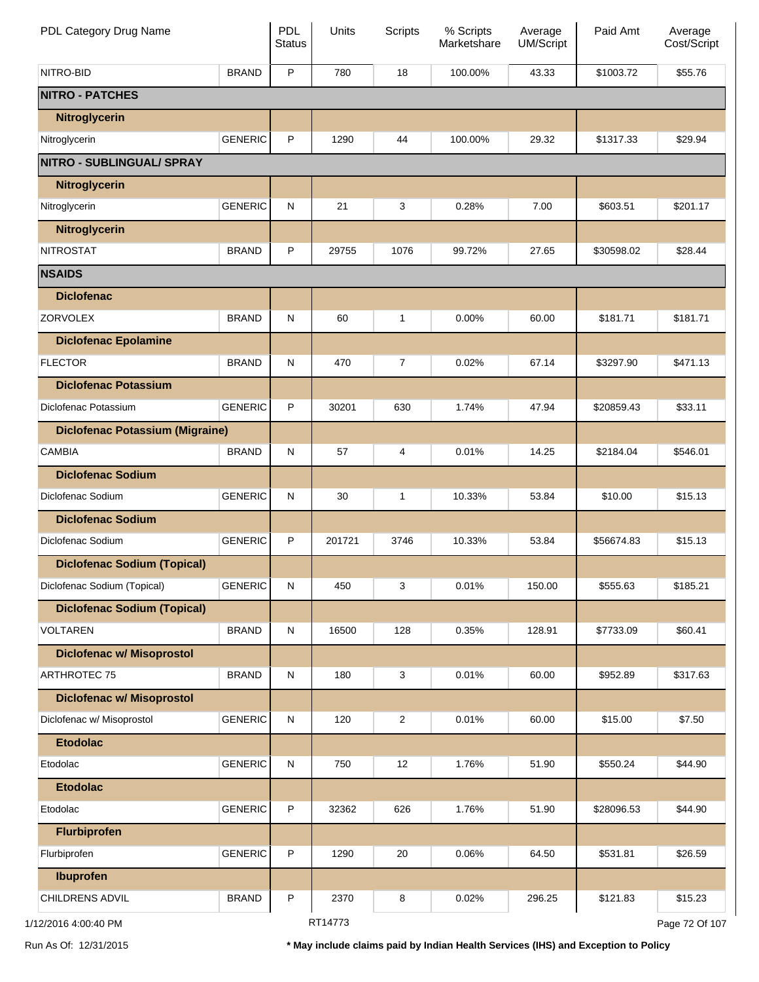| PDL Category Drug Name                 |                | PDL<br><b>Status</b> | Units   | <b>Scripts</b> | % Scripts<br>Marketshare | Average<br>UM/Script | Paid Amt   | Average<br>Cost/Script |
|----------------------------------------|----------------|----------------------|---------|----------------|--------------------------|----------------------|------------|------------------------|
| NITRO-BID                              | <b>BRAND</b>   | P                    | 780     | 18             | 100.00%                  | 43.33                | \$1003.72  | \$55.76                |
| <b>NITRO - PATCHES</b>                 |                |                      |         |                |                          |                      |            |                        |
| Nitroglycerin                          |                |                      |         |                |                          |                      |            |                        |
| Nitroglycerin                          | <b>GENERIC</b> | P                    | 1290    | 44             | 100.00%                  | 29.32                | \$1317.33  | \$29.94                |
| NITRO - SUBLINGUAL/ SPRAY              |                |                      |         |                |                          |                      |            |                        |
| Nitroglycerin                          |                |                      |         |                |                          |                      |            |                        |
| Nitroglycerin                          | <b>GENERIC</b> | ${\sf N}$            | 21      | 3              | 0.28%                    | 7.00                 | \$603.51   | \$201.17               |
| Nitroglycerin                          |                |                      |         |                |                          |                      |            |                        |
| <b>NITROSTAT</b>                       | <b>BRAND</b>   | P                    | 29755   | 1076           | 99.72%                   | 27.65                | \$30598.02 | \$28.44                |
| <b>NSAIDS</b>                          |                |                      |         |                |                          |                      |            |                        |
| <b>Diclofenac</b>                      |                |                      |         |                |                          |                      |            |                        |
| <b>ZORVOLEX</b>                        | <b>BRAND</b>   | ${\sf N}$            | 60      | 1              | 0.00%                    | 60.00                | \$181.71   | \$181.71               |
| <b>Diclofenac Epolamine</b>            |                |                      |         |                |                          |                      |            |                        |
| <b>FLECTOR</b>                         | <b>BRAND</b>   | N                    | 470     | $\overline{7}$ | 0.02%                    | 67.14                | \$3297.90  | \$471.13               |
| <b>Diclofenac Potassium</b>            |                |                      |         |                |                          |                      |            |                        |
| Diclofenac Potassium                   | <b>GENERIC</b> | P                    | 30201   | 630            | 1.74%                    | 47.94                | \$20859.43 | \$33.11                |
| <b>Diclofenac Potassium (Migraine)</b> |                |                      |         |                |                          |                      |            |                        |
| <b>CAMBIA</b>                          | <b>BRAND</b>   | N                    | 57      | 4              | 0.01%                    | 14.25                | \$2184.04  | \$546.01               |
| <b>Diclofenac Sodium</b>               |                |                      |         |                |                          |                      |            |                        |
| Diclofenac Sodium                      | <b>GENERIC</b> | N                    | 30      | 1              | 10.33%                   | 53.84                | \$10.00    | \$15.13                |
| <b>Diclofenac Sodium</b>               |                |                      |         |                |                          |                      |            |                        |
| Diclofenac Sodium                      | <b>GENERIC</b> | P                    | 201721  | 3746           | 10.33%                   | 53.84                | \$56674.83 | \$15.13                |
| <b>Diclofenac Sodium (Topical)</b>     |                |                      |         |                |                          |                      |            |                        |
| Diclofenac Sodium (Topical)            | <b>GENERIC</b> | N                    | 450     | 3              | 0.01%                    | 150.00               | \$555.63   | \$185.21               |
| <b>Diclofenac Sodium (Topical)</b>     |                |                      |         |                |                          |                      |            |                        |
| <b>VOLTAREN</b>                        | <b>BRAND</b>   | N                    | 16500   | 128            | 0.35%                    | 128.91               | \$7733.09  | \$60.41                |
| <b>Diclofenac w/ Misoprostol</b>       |                |                      |         |                |                          |                      |            |                        |
| <b>ARTHROTEC 75</b>                    | <b>BRAND</b>   | N                    | 180     | 3              | 0.01%                    | 60.00                | \$952.89   | \$317.63               |
| <b>Diclofenac w/ Misoprostol</b>       |                |                      |         |                |                          |                      |            |                        |
| Diclofenac w/ Misoprostol              | <b>GENERIC</b> | N                    | 120     | $\overline{2}$ | 0.01%                    | 60.00                | \$15.00    | \$7.50                 |
| <b>Etodolac</b>                        |                |                      |         |                |                          |                      |            |                        |
| Etodolac                               | <b>GENERIC</b> | N                    | 750     | 12             | 1.76%                    | 51.90                | \$550.24   | \$44.90                |
| <b>Etodolac</b>                        |                |                      |         |                |                          |                      |            |                        |
| Etodolac                               | <b>GENERIC</b> | P                    | 32362   | 626            | 1.76%                    | 51.90                | \$28096.53 | \$44.90                |
| <b>Flurbiprofen</b>                    |                |                      |         |                |                          |                      |            |                        |
| Flurbiprofen                           | <b>GENERIC</b> | P                    | 1290    | 20             | 0.06%                    | 64.50                | \$531.81   | \$26.59                |
| <b>Ibuprofen</b>                       |                |                      |         |                |                          |                      |            |                        |
| CHILDRENS ADVIL                        | <b>BRAND</b>   | P                    | 2370    | 8              | 0.02%                    | 296.25               | \$121.83   | \$15.23                |
| 1/12/2016 4:00:40 PM                   |                |                      | RT14773 |                |                          |                      |            | Page 72 Of 107         |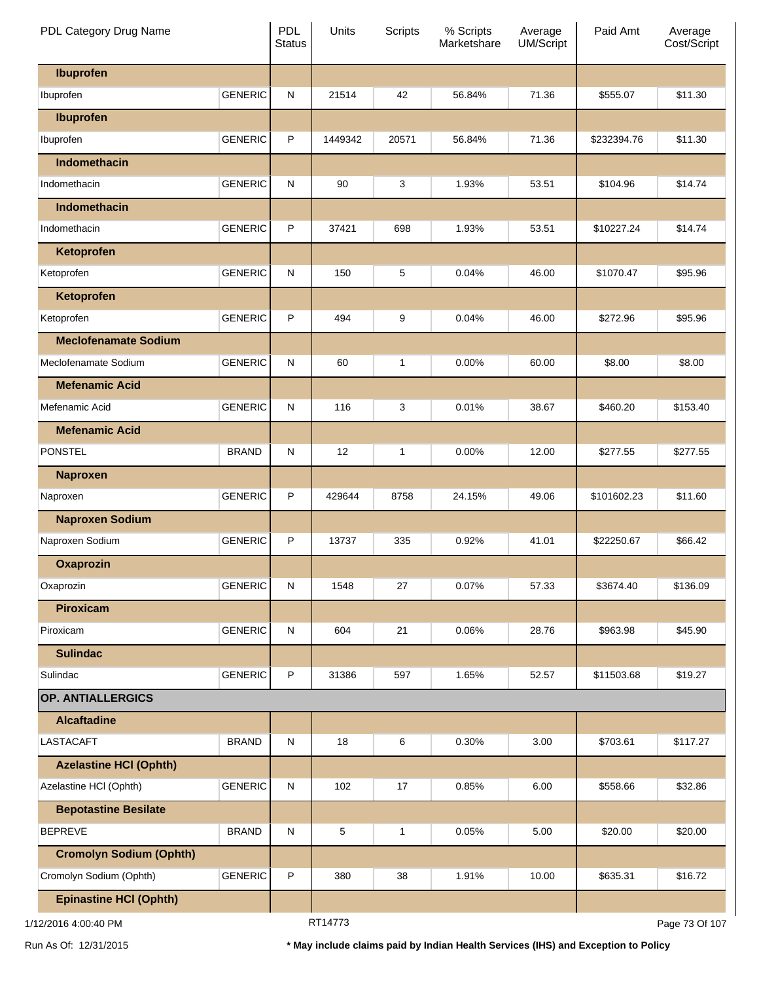| PDL Category Drug Name         |                | <b>PDL</b><br><b>Status</b> | Units   | <b>Scripts</b> | % Scripts<br>Marketshare | Average<br>UM/Script | Paid Amt    | Average<br>Cost/Script |
|--------------------------------|----------------|-----------------------------|---------|----------------|--------------------------|----------------------|-------------|------------------------|
| Ibuprofen                      |                |                             |         |                |                          |                      |             |                        |
| Ibuprofen                      | <b>GENERIC</b> | ${\sf N}$                   | 21514   | 42             | 56.84%                   | 71.36                | \$555.07    | \$11.30                |
| Ibuprofen                      |                |                             |         |                |                          |                      |             |                        |
| Ibuprofen                      | <b>GENERIC</b> | P                           | 1449342 | 20571          | 56.84%                   | 71.36                | \$232394.76 | \$11.30                |
| Indomethacin                   |                |                             |         |                |                          |                      |             |                        |
| Indomethacin                   | <b>GENERIC</b> | ${\sf N}$                   | 90      | 3              | 1.93%                    | 53.51                | \$104.96    | \$14.74                |
| Indomethacin                   |                |                             |         |                |                          |                      |             |                        |
| Indomethacin                   | <b>GENERIC</b> | P                           | 37421   | 698            | 1.93%                    | 53.51                | \$10227.24  | \$14.74                |
| Ketoprofen                     |                |                             |         |                |                          |                      |             |                        |
| Ketoprofen                     | <b>GENERIC</b> | ${\sf N}$                   | 150     | 5              | 0.04%                    | 46.00                | \$1070.47   | \$95.96                |
| Ketoprofen                     |                |                             |         |                |                          |                      |             |                        |
| Ketoprofen                     | <b>GENERIC</b> | P                           | 494     | 9              | 0.04%                    | 46.00                | \$272.96    | \$95.96                |
| <b>Meclofenamate Sodium</b>    |                |                             |         |                |                          |                      |             |                        |
| Meclofenamate Sodium           | <b>GENERIC</b> | ${\sf N}$                   | 60      | 1              | 0.00%                    | 60.00                | \$8.00      | \$8.00                 |
| <b>Mefenamic Acid</b>          |                |                             |         |                |                          |                      |             |                        |
| Mefenamic Acid                 | <b>GENERIC</b> | ${\sf N}$                   | 116     | 3              | 0.01%                    | 38.67                | \$460.20    | \$153.40               |
| <b>Mefenamic Acid</b>          |                |                             |         |                |                          |                      |             |                        |
| <b>PONSTEL</b>                 | <b>BRAND</b>   | ${\sf N}$                   | 12      | 1              | 0.00%                    | 12.00                | \$277.55    | \$277.55               |
| <b>Naproxen</b>                |                |                             |         |                |                          |                      |             |                        |
| Naproxen                       | <b>GENERIC</b> | P                           | 429644  | 8758           | 24.15%                   | 49.06                | \$101602.23 | \$11.60                |
| <b>Naproxen Sodium</b>         |                |                             |         |                |                          |                      |             |                        |
| Naproxen Sodium                | <b>GENERIC</b> | P                           | 13737   | 335            | 0.92%                    | 41.01                | \$22250.67  | \$66.42                |
| <b>Oxaprozin</b>               |                |                             |         |                |                          |                      |             |                        |
| Oxaprozin                      | <b>GENERIC</b> | ${\sf N}$                   | 1548    | 27             | 0.07%                    | 57.33                | \$3674.40   | \$136.09               |
| <b>Piroxicam</b>               |                |                             |         |                |                          |                      |             |                        |
| Piroxicam                      | <b>GENERIC</b> | ${\sf N}$                   | 604     | 21             | 0.06%                    | 28.76                | \$963.98    | \$45.90                |
| <b>Sulindac</b>                |                |                             |         |                |                          |                      |             |                        |
| Sulindac                       | <b>GENERIC</b> | P                           | 31386   | 597            | 1.65%                    | 52.57                | \$11503.68  | \$19.27                |
| <b>OP. ANTIALLERGICS</b>       |                |                             |         |                |                          |                      |             |                        |
| <b>Alcaftadine</b>             |                |                             |         |                |                          |                      |             |                        |
| <b>LASTACAFT</b>               | <b>BRAND</b>   | ${\sf N}$                   | 18      | 6              | 0.30%                    | 3.00                 | \$703.61    | \$117.27               |
| <b>Azelastine HCI (Ophth)</b>  |                |                             |         |                |                          |                      |             |                        |
| Azelastine HCl (Ophth)         | <b>GENERIC</b> | N                           | 102     | 17             | 0.85%                    | 6.00                 | \$558.66    | \$32.86                |
| <b>Bepotastine Besilate</b>    |                |                             |         |                |                          |                      |             |                        |
| <b>BEPREVE</b>                 | <b>BRAND</b>   | ${\sf N}$                   | 5       | 1              | 0.05%                    | 5.00                 | \$20.00     | \$20.00                |
| <b>Cromolyn Sodium (Ophth)</b> |                |                             |         |                |                          |                      |             |                        |
| Cromolyn Sodium (Ophth)        | <b>GENERIC</b> | P                           | 380     | 38             | 1.91%                    | 10.00                | \$635.31    | \$16.72                |
| <b>Epinastine HCI (Ophth)</b>  |                |                             |         |                |                          |                      |             |                        |
| 1/12/2016 4:00:40 PM           |                |                             | RT14773 |                |                          |                      |             | Page 73 Of 107         |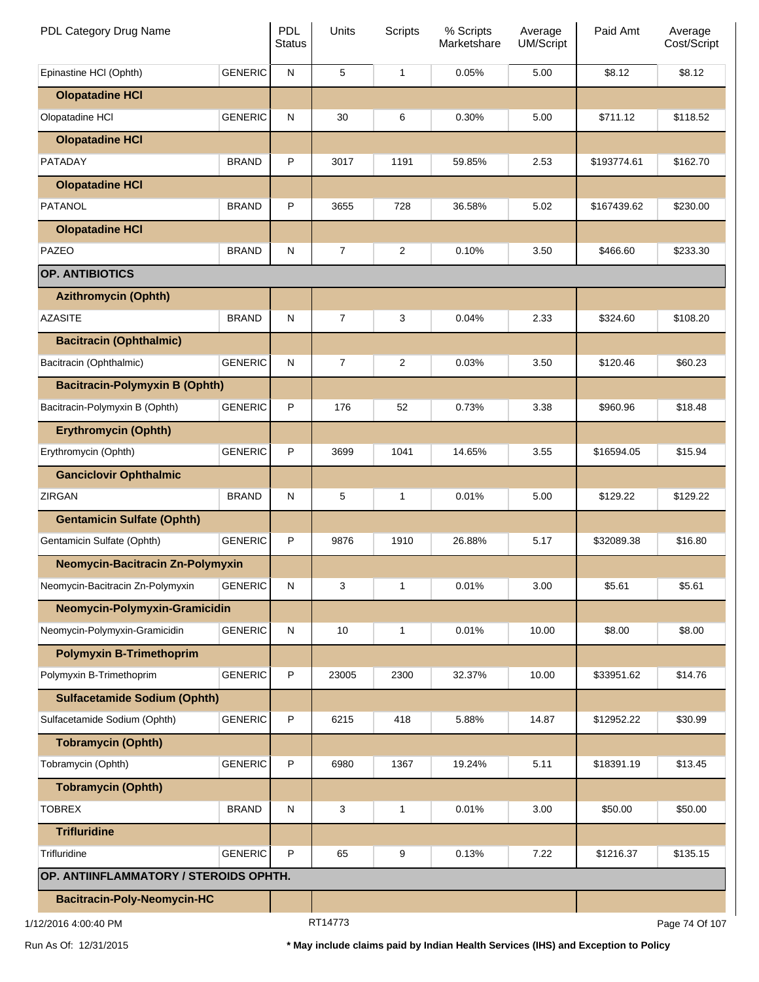| PDL Category Drug Name                  |                | <b>PDL</b><br><b>Status</b> | Units          | Scripts        | % Scripts<br>Marketshare | Average<br>UM/Script | Paid Amt    | Average<br>Cost/Script |
|-----------------------------------------|----------------|-----------------------------|----------------|----------------|--------------------------|----------------------|-------------|------------------------|
| Epinastine HCI (Ophth)                  | <b>GENERIC</b> | N                           | 5              | $\mathbf{1}$   | 0.05%                    | 5.00                 | \$8.12      | \$8.12                 |
| <b>Olopatadine HCI</b>                  |                |                             |                |                |                          |                      |             |                        |
| Olopatadine HCI                         | <b>GENERIC</b> | N                           | 30             | 6              | 0.30%                    | 5.00                 | \$711.12    | \$118.52               |
| <b>Olopatadine HCI</b>                  |                |                             |                |                |                          |                      |             |                        |
| PATADAY                                 | <b>BRAND</b>   | P                           | 3017           | 1191           | 59.85%                   | 2.53                 | \$193774.61 | \$162.70               |
| <b>Olopatadine HCI</b>                  |                |                             |                |                |                          |                      |             |                        |
| <b>PATANOL</b>                          | <b>BRAND</b>   | P                           | 3655           | 728            | 36.58%                   | 5.02                 | \$167439.62 | \$230.00               |
| <b>Olopatadine HCI</b>                  |                |                             |                |                |                          |                      |             |                        |
| PAZEO                                   | <b>BRAND</b>   | N                           | $\overline{7}$ | $\overline{2}$ | 0.10%                    | 3.50                 | \$466.60    | \$233.30               |
| <b>OP. ANTIBIOTICS</b>                  |                |                             |                |                |                          |                      |             |                        |
| <b>Azithromycin (Ophth)</b>             |                |                             |                |                |                          |                      |             |                        |
| <b>AZASITE</b>                          | <b>BRAND</b>   | N                           | $\overline{7}$ | 3              | 0.04%                    | 2.33                 | \$324.60    | \$108.20               |
| <b>Bacitracin (Ophthalmic)</b>          |                |                             |                |                |                          |                      |             |                        |
| Bacitracin (Ophthalmic)                 | <b>GENERIC</b> | N                           | 7              | $\overline{c}$ | 0.03%                    | 3.50                 | \$120.46    | \$60.23                |
| <b>Bacitracin-Polymyxin B (Ophth)</b>   |                |                             |                |                |                          |                      |             |                        |
| Bacitracin-Polymyxin B (Ophth)          | <b>GENERIC</b> | P                           | 176            | 52             | 0.73%                    | 3.38                 | \$960.96    | \$18.48                |
| <b>Erythromycin (Ophth)</b>             |                |                             |                |                |                          |                      |             |                        |
| Erythromycin (Ophth)                    | <b>GENERIC</b> | P                           | 3699           | 1041           | 14.65%                   | 3.55                 | \$16594.05  | \$15.94                |
| <b>Ganciclovir Ophthalmic</b>           |                |                             |                |                |                          |                      |             |                        |
| ZIRGAN                                  | <b>BRAND</b>   | N                           | 5              | 1              | 0.01%                    | 5.00                 | \$129.22    | \$129.22               |
| <b>Gentamicin Sulfate (Ophth)</b>       |                |                             |                |                |                          |                      |             |                        |
| Gentamicin Sulfate (Ophth)              | <b>GENERIC</b> | P                           | 9876           | 1910           | 26.88%                   | 5.17                 | \$32089.38  | \$16.80                |
| <b>Neomycin-Bacitracin Zn-Polymyxin</b> |                |                             |                |                |                          |                      |             |                        |
| Neomycin-Bacitracin Zn-Polymyxin        | <b>GENERIC</b> | N                           | 3              | 1              | 0.01%                    | 3.00                 | \$5.61      | \$5.61                 |
| Neomycin-Polymyxin-Gramicidin           |                |                             |                |                |                          |                      |             |                        |
| Neomycin-Polymyxin-Gramicidin           | <b>GENERIC</b> | N                           | 10             | 1              | 0.01%                    | 10.00                | \$8.00      | \$8.00                 |
| <b>Polymyxin B-Trimethoprim</b>         |                |                             |                |                |                          |                      |             |                        |
| Polymyxin B-Trimethoprim                | <b>GENERIC</b> | P                           | 23005          | 2300           | 32.37%                   | 10.00                | \$33951.62  | \$14.76                |
| <b>Sulfacetamide Sodium (Ophth)</b>     |                |                             |                |                |                          |                      |             |                        |
| Sulfacetamide Sodium (Ophth)            | <b>GENERIC</b> | P                           | 6215           | 418            | 5.88%                    | 14.87                | \$12952.22  | \$30.99                |
| <b>Tobramycin (Ophth)</b>               |                |                             |                |                |                          |                      |             |                        |
| Tobramycin (Ophth)                      | <b>GENERIC</b> | P                           | 6980           | 1367           | 19.24%                   | 5.11                 | \$18391.19  | \$13.45                |
| <b>Tobramycin (Ophth)</b>               |                |                             |                |                |                          |                      |             |                        |
| <b>TOBREX</b>                           | <b>BRAND</b>   | N                           | 3              | 1              | 0.01%                    | 3.00                 | \$50.00     | \$50.00                |
| <b>Trifluridine</b>                     |                |                             |                |                |                          |                      |             |                        |
| Trifluridine                            | <b>GENERIC</b> | P                           | 65             | 9              | 0.13%                    | 7.22                 | \$1216.37   | \$135.15               |
| OP. ANTIINFLAMMATORY / STEROIDS OPHTH.  |                |                             |                |                |                          |                      |             |                        |
| <b>Bacitracin-Poly-Neomycin-HC</b>      |                |                             |                |                |                          |                      |             |                        |
| 1/12/2016 4:00:40 PM                    |                |                             | RT14773        |                |                          |                      |             | Page 74 Of 107         |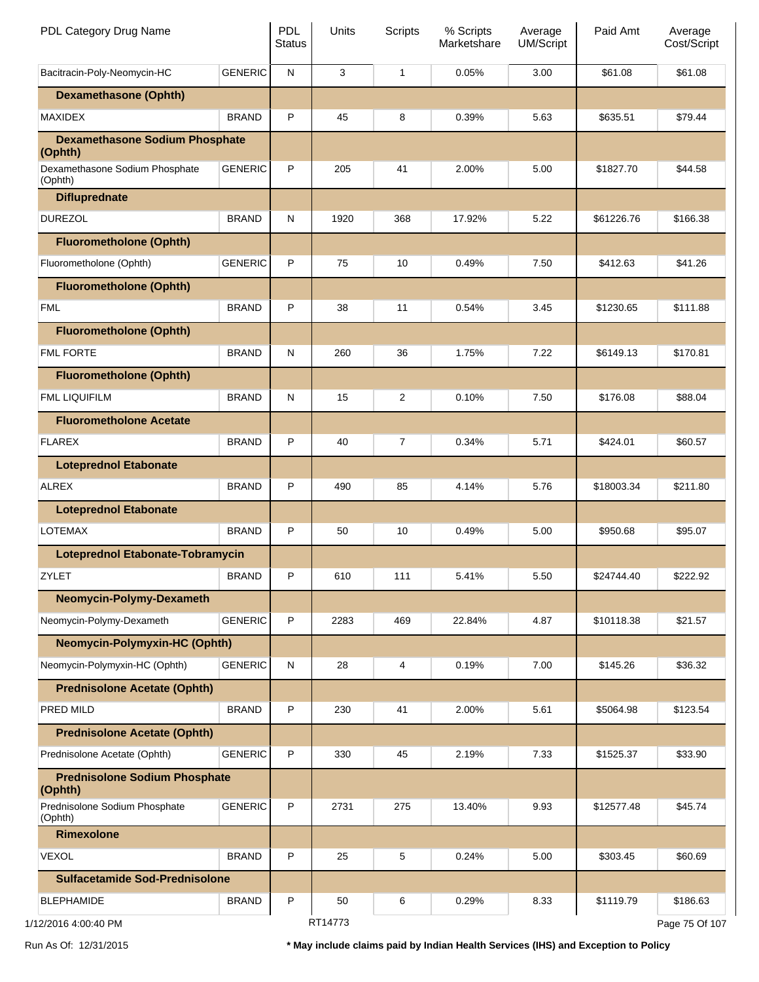| PDL Category Drug Name                           |                | PDL<br><b>Status</b> | Units   | <b>Scripts</b> | % Scripts<br>Marketshare | Average<br><b>UM/Script</b> | Paid Amt   | Average<br>Cost/Script |
|--------------------------------------------------|----------------|----------------------|---------|----------------|--------------------------|-----------------------------|------------|------------------------|
| Bacitracin-Poly-Neomycin-HC                      | <b>GENERIC</b> | N                    | 3       | 1              | 0.05%                    | 3.00                        | \$61.08    | \$61.08                |
| <b>Dexamethasone (Ophth)</b>                     |                |                      |         |                |                          |                             |            |                        |
| <b>MAXIDEX</b>                                   | <b>BRAND</b>   | P                    | 45      | 8              | 0.39%                    | 5.63                        | \$635.51   | \$79.44                |
| <b>Dexamethasone Sodium Phosphate</b><br>(Ophth) |                |                      |         |                |                          |                             |            |                        |
| Dexamethasone Sodium Phosphate<br>(Ophth)        | <b>GENERIC</b> | P                    | 205     | 41             | 2.00%                    | 5.00                        | \$1827.70  | \$44.58                |
| <b>Difluprednate</b>                             |                |                      |         |                |                          |                             |            |                        |
| <b>DUREZOL</b>                                   | <b>BRAND</b>   | N                    | 1920    | 368            | 17.92%                   | 5.22                        | \$61226.76 | \$166.38               |
| <b>Fluorometholone (Ophth)</b>                   |                |                      |         |                |                          |                             |            |                        |
| Fluorometholone (Ophth)                          | <b>GENERIC</b> | P                    | 75      | 10             | 0.49%                    | 7.50                        | \$412.63   | \$41.26                |
| <b>Fluorometholone (Ophth)</b>                   |                |                      |         |                |                          |                             |            |                        |
| <b>FML</b>                                       | <b>BRAND</b>   | P                    | 38      | 11             | 0.54%                    | 3.45                        | \$1230.65  | \$111.88               |
| <b>Fluorometholone (Ophth)</b>                   |                |                      |         |                |                          |                             |            |                        |
| <b>FML FORTE</b>                                 | <b>BRAND</b>   | N                    | 260     | 36             | 1.75%                    | 7.22                        | \$6149.13  | \$170.81               |
| <b>Fluorometholone (Ophth)</b>                   |                |                      |         |                |                          |                             |            |                        |
| FML LIQUIFILM                                    | <b>BRAND</b>   | N                    | 15      | $\overline{2}$ | 0.10%                    | 7.50                        | \$176.08   | \$88.04                |
| <b>Fluorometholone Acetate</b>                   |                |                      |         |                |                          |                             |            |                        |
| <b>FLAREX</b>                                    | <b>BRAND</b>   | P                    | 40      | $\overline{7}$ | 0.34%                    | 5.71                        | \$424.01   | \$60.57                |
| <b>Loteprednol Etabonate</b>                     |                |                      |         |                |                          |                             |            |                        |
| <b>ALREX</b>                                     | <b>BRAND</b>   | P                    | 490     | 85             | 4.14%                    | 5.76                        | \$18003.34 | \$211.80               |
| <b>Loteprednol Etabonate</b>                     |                |                      |         |                |                          |                             |            |                        |
| <b>LOTEMAX</b>                                   | <b>BRAND</b>   | P                    | 50      | 10             | 0.49%                    | 5.00                        | \$950.68   | \$95.07                |
|                                                  |                |                      |         |                |                          |                             |            |                        |
| <b>Loteprednol Etabonate-Tobramycin</b>          |                |                      |         |                |                          |                             |            |                        |
| ZYLET                                            | <b>BRAND</b>   | Р                    | 610     | 111            | 5.41%                    | 5.50                        | \$24744.40 | \$222.92               |
| Neomycin-Polymy-Dexameth                         |                |                      |         |                |                          |                             |            |                        |
| Neomycin-Polymy-Dexameth                         | <b>GENERIC</b> | P                    | 2283    | 469            | 22.84%                   | 4.87                        | \$10118.38 | \$21.57                |
| <b>Neomycin-Polymyxin-HC (Ophth)</b>             |                |                      |         |                |                          |                             |            |                        |
| Neomycin-Polymyxin-HC (Ophth)                    | <b>GENERIC</b> | N                    | 28      | 4              | 0.19%                    | 7.00                        | \$145.26   | \$36.32                |
| <b>Prednisolone Acetate (Ophth)</b>              |                |                      |         |                |                          |                             |            |                        |
| PRED MILD                                        | <b>BRAND</b>   | P                    | 230     | 41             | 2.00%                    | 5.61                        | \$5064.98  | \$123.54               |
| <b>Prednisolone Acetate (Ophth)</b>              |                |                      |         |                |                          |                             |            |                        |
| Prednisolone Acetate (Ophth)                     | <b>GENERIC</b> | P                    | 330     | 45             | 2.19%                    | 7.33                        | \$1525.37  | \$33.90                |
| <b>Prednisolone Sodium Phosphate</b><br>(Ophth)  |                |                      |         |                |                          |                             |            |                        |
| Prednisolone Sodium Phosphate<br>(Ophth)         | <b>GENERIC</b> | P                    | 2731    | 275            | 13.40%                   | 9.93                        | \$12577.48 | \$45.74                |
| <b>Rimexolone</b>                                |                |                      |         |                |                          |                             |            |                        |
| <b>VEXOL</b>                                     | <b>BRAND</b>   | P                    | 25      | 5              | 0.24%                    | 5.00                        | \$303.45   | \$60.69                |
| <b>Sulfacetamide Sod-Prednisolone</b>            |                |                      |         |                |                          |                             |            |                        |
| <b>BLEPHAMIDE</b>                                | <b>BRAND</b>   | P                    | 50      | 6              | 0.29%                    | 8.33                        | \$1119.79  | \$186.63               |
| 1/12/2016 4:00:40 PM                             |                |                      | RT14773 |                |                          |                             |            | Page 75 Of 107         |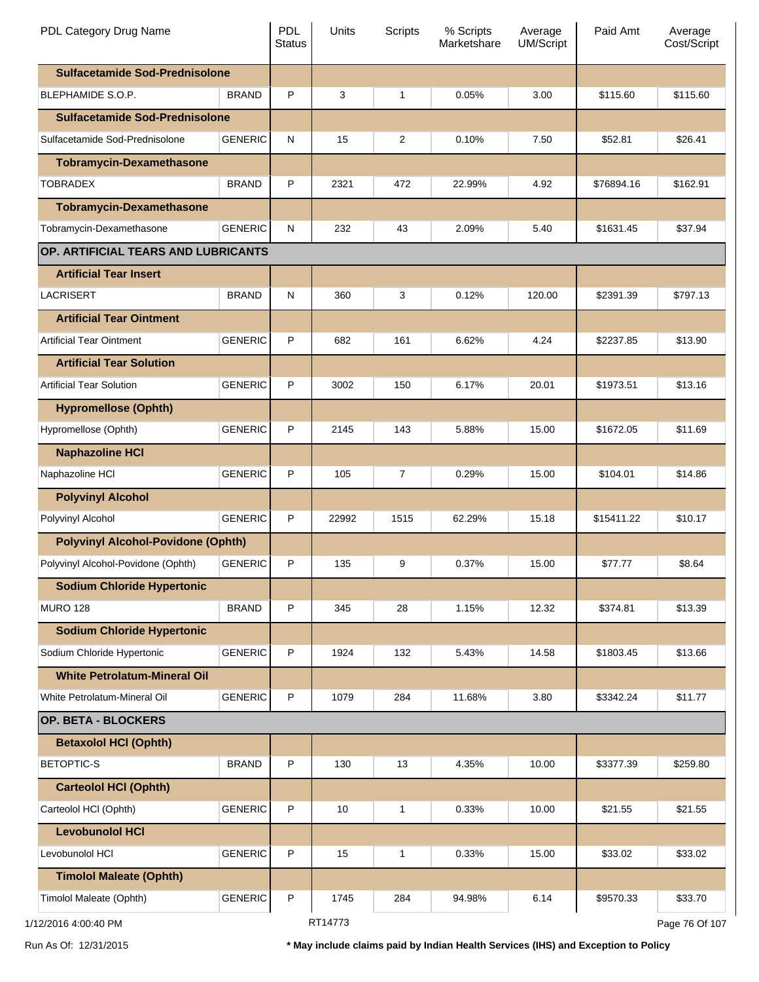| PDL Category Drug Name                    |                | <b>PDL</b><br><b>Status</b> | Units   | Scripts        | % Scripts<br>Marketshare | Average<br><b>UM/Script</b> | Paid Amt   | Average<br>Cost/Script |
|-------------------------------------------|----------------|-----------------------------|---------|----------------|--------------------------|-----------------------------|------------|------------------------|
| <b>Sulfacetamide Sod-Prednisolone</b>     |                |                             |         |                |                          |                             |            |                        |
| BLEPHAMIDE S.O.P.                         | <b>BRAND</b>   | P                           | 3       | 1              | 0.05%                    | 3.00                        | \$115.60   | \$115.60               |
| <b>Sulfacetamide Sod-Prednisolone</b>     |                |                             |         |                |                          |                             |            |                        |
| Sulfacetamide Sod-Prednisolone            | <b>GENERIC</b> | N                           | 15      | $\overline{2}$ | 0.10%                    | 7.50                        | \$52.81    | \$26.41                |
| <b>Tobramycin-Dexamethasone</b>           |                |                             |         |                |                          |                             |            |                        |
| <b>TOBRADEX</b>                           | <b>BRAND</b>   | P                           | 2321    | 472            | 22.99%                   | 4.92                        | \$76894.16 | \$162.91               |
| <b>Tobramycin-Dexamethasone</b>           |                |                             |         |                |                          |                             |            |                        |
| Tobramycin-Dexamethasone                  | <b>GENERIC</b> | N                           | 232     | 43             | 2.09%                    | 5.40                        | \$1631.45  | \$37.94                |
| OP. ARTIFICIAL TEARS AND LUBRICANTS       |                |                             |         |                |                          |                             |            |                        |
| <b>Artificial Tear Insert</b>             |                |                             |         |                |                          |                             |            |                        |
| LACRISERT                                 | <b>BRAND</b>   | N                           | 360     | 3              | 0.12%                    | 120.00                      | \$2391.39  | \$797.13               |
| <b>Artificial Tear Ointment</b>           |                |                             |         |                |                          |                             |            |                        |
| <b>Artificial Tear Ointment</b>           | <b>GENERIC</b> | P                           | 682     | 161            | 6.62%                    | 4.24                        | \$2237.85  | \$13.90                |
| <b>Artificial Tear Solution</b>           |                |                             |         |                |                          |                             |            |                        |
| <b>Artificial Tear Solution</b>           | <b>GENERIC</b> | P                           | 3002    | 150            | 6.17%                    | 20.01                       | \$1973.51  | \$13.16                |
| <b>Hypromellose (Ophth)</b>               |                |                             |         |                |                          |                             |            |                        |
| Hypromellose (Ophth)                      | <b>GENERIC</b> | P                           | 2145    | 143            | 5.88%                    | 15.00                       | \$1672.05  | \$11.69                |
| <b>Naphazoline HCI</b>                    |                |                             |         |                |                          |                             |            |                        |
| Naphazoline HCI                           | <b>GENERIC</b> | P                           | 105     | 7              | 0.29%                    | 15.00                       | \$104.01   | \$14.86                |
| <b>Polyvinyl Alcohol</b>                  |                |                             |         |                |                          |                             |            |                        |
| Polyvinyl Alcohol                         | <b>GENERIC</b> | P                           | 22992   | 1515           | 62.29%                   | 15.18                       | \$15411.22 | \$10.17                |
| <b>Polyvinyl Alcohol-Povidone (Ophth)</b> |                |                             |         |                |                          |                             |            |                        |
| Polyvinyl Alcohol-Povidone (Ophth)        | <b>GENERIC</b> | P                           | 135     | 9              | 0.37%                    | 15.00                       | \$77.77    | \$8.64                 |
| <b>Sodium Chloride Hypertonic</b>         |                |                             |         |                |                          |                             |            |                        |
| <b>MURO 128</b>                           | <b>BRAND</b>   | P                           | 345     | 28             | 1.15%                    | 12.32                       | \$374.81   | \$13.39                |
| <b>Sodium Chloride Hypertonic</b>         |                |                             |         |                |                          |                             |            |                        |
| Sodium Chloride Hypertonic                | <b>GENERIC</b> | P                           | 1924    | 132            | 5.43%                    | 14.58                       | \$1803.45  | \$13.66                |
| <b>White Petrolatum-Mineral Oil</b>       |                |                             |         |                |                          |                             |            |                        |
| White Petrolatum-Mineral Oil              | <b>GENERIC</b> | P                           | 1079    | 284            | 11.68%                   | 3.80                        | \$3342.24  | \$11.77                |
| OP. BETA - BLOCKERS                       |                |                             |         |                |                          |                             |            |                        |
| <b>Betaxolol HCI (Ophth)</b>              |                |                             |         |                |                          |                             |            |                        |
| <b>BETOPTIC-S</b>                         | <b>BRAND</b>   | P                           | 130     | 13             | 4.35%                    | 10.00                       | \$3377.39  | \$259.80               |
| <b>Carteolol HCI (Ophth)</b>              |                |                             |         |                |                          |                             |            |                        |
| Carteolol HCI (Ophth)                     | <b>GENERIC</b> | P                           | 10      | 1              | 0.33%                    | 10.00                       | \$21.55    | \$21.55                |
| <b>Levobunolol HCI</b>                    |                |                             |         |                |                          |                             |            |                        |
| Levobunolol HCI                           | <b>GENERIC</b> | P                           | 15      | 1              | 0.33%                    | 15.00                       | \$33.02    | \$33.02                |
| <b>Timolol Maleate (Ophth)</b>            |                |                             |         |                |                          |                             |            |                        |
| Timolol Maleate (Ophth)                   | <b>GENERIC</b> | P                           | 1745    | 284            | 94.98%                   | 6.14                        | \$9570.33  | \$33.70                |
| 1/12/2016 4:00:40 PM                      |                |                             | RT14773 |                |                          |                             |            | Page 76 Of 107         |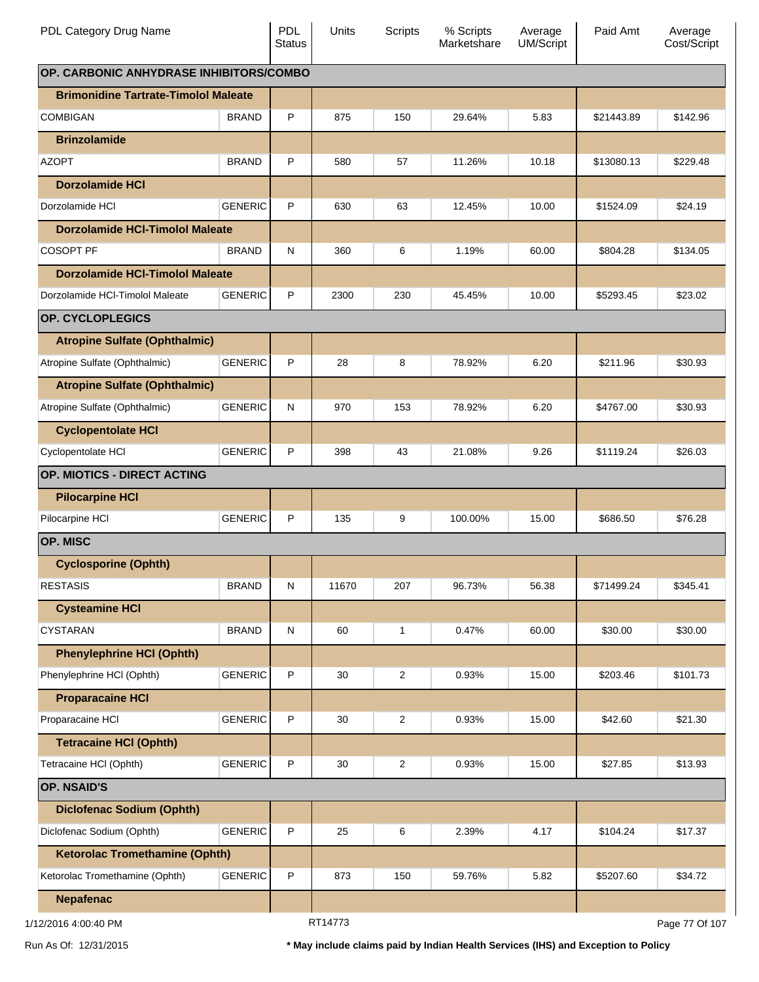| PDL Category Drug Name                      |                | <b>PDL</b><br><b>Status</b> | <b>Units</b> | <b>Scripts</b> | % Scripts<br>Marketshare | Average<br>UM/Script | Paid Amt   | Average<br>Cost/Script |
|---------------------------------------------|----------------|-----------------------------|--------------|----------------|--------------------------|----------------------|------------|------------------------|
| OP. CARBONIC ANHYDRASE INHIBITORS/COMBO     |                |                             |              |                |                          |                      |            |                        |
| <b>Brimonidine Tartrate-Timolol Maleate</b> |                |                             |              |                |                          |                      |            |                        |
| <b>COMBIGAN</b>                             | <b>BRAND</b>   | P                           | 875          | 150            | 29.64%                   | 5.83                 | \$21443.89 | \$142.96               |
| <b>Brinzolamide</b>                         |                |                             |              |                |                          |                      |            |                        |
| <b>AZOPT</b>                                | <b>BRAND</b>   | P                           | 580          | 57             | 11.26%                   | 10.18                | \$13080.13 | \$229.48               |
| <b>Dorzolamide HCI</b>                      |                |                             |              |                |                          |                      |            |                        |
| Dorzolamide HCI                             | <b>GENERIC</b> | P                           | 630          | 63             | 12.45%                   | 10.00                | \$1524.09  | \$24.19                |
| <b>Dorzolamide HCI-Timolol Maleate</b>      |                |                             |              |                |                          |                      |            |                        |
| <b>COSOPT PF</b>                            | <b>BRAND</b>   | N                           | 360          | 6              | 1.19%                    | 60.00                | \$804.28   | \$134.05               |
| <b>Dorzolamide HCI-Timolol Maleate</b>      |                |                             |              |                |                          |                      |            |                        |
| Dorzolamide HCI-Timolol Maleate             | <b>GENERIC</b> | P                           | 2300         | 230            | 45.45%                   | 10.00                | \$5293.45  | \$23.02                |
| <b>OP. CYCLOPLEGICS</b>                     |                |                             |              |                |                          |                      |            |                        |
| <b>Atropine Sulfate (Ophthalmic)</b>        |                |                             |              |                |                          |                      |            |                        |
| Atropine Sulfate (Ophthalmic)               | <b>GENERIC</b> | P                           | 28           | 8              | 78.92%                   | 6.20                 | \$211.96   | \$30.93                |
| <b>Atropine Sulfate (Ophthalmic)</b>        |                |                             |              |                |                          |                      |            |                        |
| Atropine Sulfate (Ophthalmic)               | <b>GENERIC</b> | N                           | 970          | 153            | 78.92%                   | 6.20                 | \$4767.00  | \$30.93                |
| <b>Cyclopentolate HCI</b>                   |                |                             |              |                |                          |                      |            |                        |
| Cyclopentolate HCI                          | <b>GENERIC</b> | P                           | 398          | 43             | 21.08%                   | 9.26                 | \$1119.24  | \$26.03                |
| OP. MIOTICS - DIRECT ACTING                 |                |                             |              |                |                          |                      |            |                        |
| <b>Pilocarpine HCI</b>                      |                |                             |              |                |                          |                      |            |                        |
| Pilocarpine HCI                             | <b>GENERIC</b> | P                           | 135          | 9              | 100.00%                  | 15.00                | \$686.50   | \$76.28                |
| <b>OP. MISC</b>                             |                |                             |              |                |                          |                      |            |                        |
| <b>Cyclosporine (Ophth)</b>                 |                |                             |              |                |                          |                      |            |                        |
| <b>RESTASIS</b>                             | <b>BRAND</b>   | ${\sf N}$                   | 11670        | 207            | 96.73%                   | 56.38                | \$71499.24 | \$345.41               |
| <b>Cysteamine HCI</b>                       |                |                             |              |                |                          |                      |            |                        |
| <b>CYSTARAN</b>                             | <b>BRAND</b>   | ${\sf N}$                   | 60           | 1              | 0.47%                    | 60.00                | \$30.00    | \$30.00                |
| <b>Phenylephrine HCI (Ophth)</b>            |                |                             |              |                |                          |                      |            |                        |
| Phenylephrine HCl (Ophth)                   | <b>GENERIC</b> | P                           | 30           | $\overline{c}$ | 0.93%                    | 15.00                | \$203.46   | \$101.73               |
| <b>Proparacaine HCI</b>                     |                |                             |              |                |                          |                      |            |                        |
| Proparacaine HCI                            | <b>GENERIC</b> | P                           | 30           | 2              | 0.93%                    | 15.00                | \$42.60    | \$21.30                |
| <b>Tetracaine HCI (Ophth)</b>               |                |                             |              |                |                          |                      |            |                        |
| Tetracaine HCI (Ophth)                      | <b>GENERIC</b> | $\sf P$                     | 30           | 2              | 0.93%                    | 15.00                | \$27.85    | \$13.93                |
| <b>OP. NSAID'S</b>                          |                |                             |              |                |                          |                      |            |                        |
| <b>Diclofenac Sodium (Ophth)</b>            |                |                             |              |                |                          |                      |            |                        |
| Diclofenac Sodium (Ophth)                   | <b>GENERIC</b> | $\sf P$                     | 25           | 6              | 2.39%                    | 4.17                 | \$104.24   | \$17.37                |
| <b>Ketorolac Tromethamine (Ophth)</b>       |                |                             |              |                |                          |                      |            |                        |
| Ketorolac Tromethamine (Ophth)              | <b>GENERIC</b> | P                           | 873          | 150            | 59.76%                   | 5.82                 | \$5207.60  | \$34.72                |
| <b>Nepafenac</b>                            |                |                             |              |                |                          |                      |            |                        |
| 1/12/2016 4:00:40 PM                        |                |                             |              |                |                          |                      |            | Page 77 Of 107         |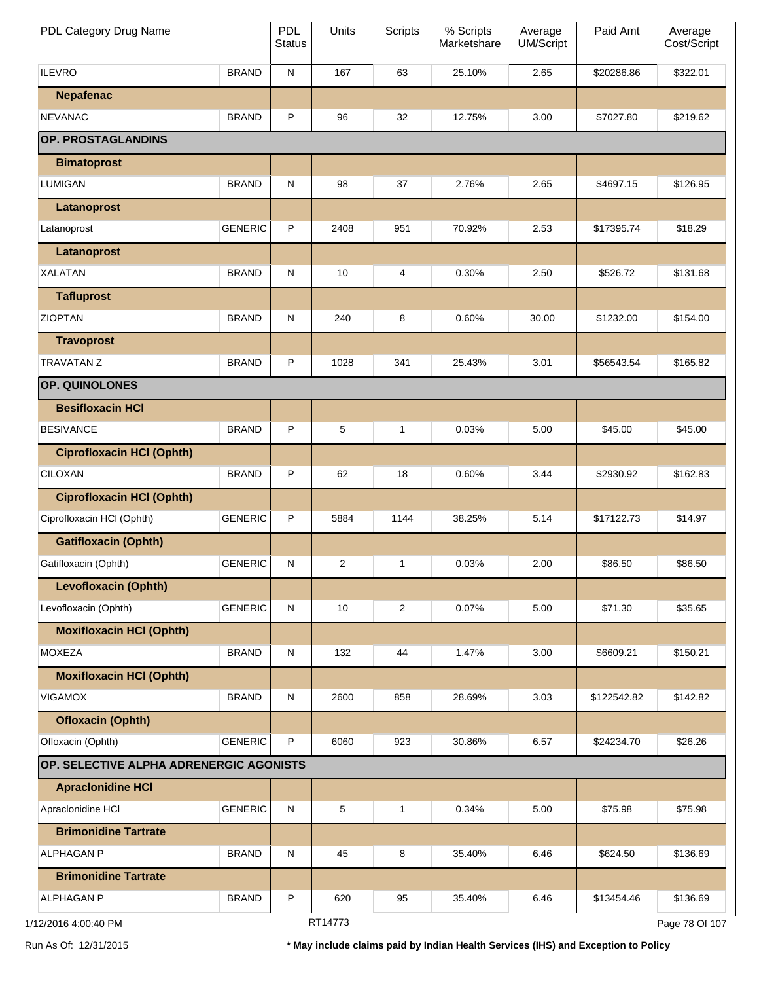| PDL Category Drug Name                  |                | PDL<br><b>Status</b> | Units          | <b>Scripts</b> | % Scripts<br>Marketshare | Average<br>UM/Script | Paid Amt    | Average<br>Cost/Script |
|-----------------------------------------|----------------|----------------------|----------------|----------------|--------------------------|----------------------|-------------|------------------------|
| <b>ILEVRO</b>                           | <b>BRAND</b>   | ${\sf N}$            | 167            | 63             | 25.10%                   | 2.65                 | \$20286.86  | \$322.01               |
| <b>Nepafenac</b>                        |                |                      |                |                |                          |                      |             |                        |
| <b>NEVANAC</b>                          | <b>BRAND</b>   | P                    | 96             | 32             | 12.75%                   | 3.00                 | \$7027.80   | \$219.62               |
| OP. PROSTAGLANDINS                      |                |                      |                |                |                          |                      |             |                        |
| <b>Bimatoprost</b>                      |                |                      |                |                |                          |                      |             |                        |
| <b>LUMIGAN</b>                          | <b>BRAND</b>   | ${\sf N}$            | 98             | 37             | 2.76%                    | 2.65                 | \$4697.15   | \$126.95               |
| Latanoprost                             |                |                      |                |                |                          |                      |             |                        |
| Latanoprost                             | <b>GENERIC</b> | P                    | 2408           | 951            | 70.92%                   | 2.53                 | \$17395.74  | \$18.29                |
| Latanoprost                             |                |                      |                |                |                          |                      |             |                        |
| <b>XALATAN</b>                          | <b>BRAND</b>   | ${\sf N}$            | 10             | 4              | 0.30%                    | 2.50                 | \$526.72    | \$131.68               |
| <b>Tafluprost</b>                       |                |                      |                |                |                          |                      |             |                        |
| <b>ZIOPTAN</b>                          | <b>BRAND</b>   | ${\sf N}$            | 240            | 8              | 0.60%                    | 30.00                | \$1232.00   | \$154.00               |
| <b>Travoprost</b>                       |                |                      |                |                |                          |                      |             |                        |
| <b>TRAVATAN Z</b>                       | <b>BRAND</b>   | P                    | 1028           | 341            | 25.43%                   | 3.01                 | \$56543.54  | \$165.82               |
| OP. QUINOLONES                          |                |                      |                |                |                          |                      |             |                        |
| <b>Besifloxacin HCI</b>                 |                |                      |                |                |                          |                      |             |                        |
| <b>BESIVANCE</b>                        | <b>BRAND</b>   | P                    | 5              | 1              | 0.03%                    | 5.00                 | \$45.00     | \$45.00                |
| <b>Ciprofloxacin HCI (Ophth)</b>        |                |                      |                |                |                          |                      |             |                        |
| <b>CILOXAN</b>                          | <b>BRAND</b>   | P                    | 62             | 18             | 0.60%                    | 3.44                 | \$2930.92   | \$162.83               |
| <b>Ciprofloxacin HCI (Ophth)</b>        |                |                      |                |                |                          |                      |             |                        |
| Ciprofloxacin HCI (Ophth)               | <b>GENERIC</b> | P                    | 5884           | 1144           | 38.25%                   | 5.14                 | \$17122.73  | \$14.97                |
| <b>Gatifloxacin (Ophth)</b>             |                |                      |                |                |                          |                      |             |                        |
| Gatifloxacin (Ophth)                    | <b>GENERIC</b> | N                    | $\overline{2}$ | 1              | 0.03%                    | 2.00                 | \$86.50     | \$86.50                |
| <b>Levofloxacin (Ophth)</b>             |                |                      |                |                |                          |                      |             |                        |
| Levofloxacin (Ophth)                    | <b>GENERIC</b> | ${\sf N}$            | 10             | $\overline{c}$ | 0.07%                    | 5.00                 | \$71.30     | \$35.65                |
| <b>Moxifloxacin HCI (Ophth)</b>         |                |                      |                |                |                          |                      |             |                        |
| <b>MOXEZA</b>                           | <b>BRAND</b>   | ${\sf N}$            | 132            | 44             | 1.47%                    | 3.00                 | \$6609.21   | \$150.21               |
| <b>Moxifloxacin HCI (Ophth)</b>         |                |                      |                |                |                          |                      |             |                        |
| <b>VIGAMOX</b>                          | <b>BRAND</b>   | ${\sf N}$            | 2600           | 858            | 28.69%                   | 3.03                 | \$122542.82 | \$142.82               |
| <b>Ofloxacin (Ophth)</b>                |                |                      |                |                |                          |                      |             |                        |
| Ofloxacin (Ophth)                       | <b>GENERIC</b> | P                    | 6060           | 923            | 30.86%                   | 6.57                 | \$24234.70  | \$26.26                |
| OP. SELECTIVE ALPHA ADRENERGIC AGONISTS |                |                      |                |                |                          |                      |             |                        |
| <b>Apraclonidine HCI</b>                |                |                      |                |                |                          |                      |             |                        |
| Apraclonidine HCI                       | <b>GENERIC</b> | ${\sf N}$            | 5              | 1              | 0.34%                    | 5.00                 | \$75.98     | \$75.98                |
| <b>Brimonidine Tartrate</b>             |                |                      |                |                |                          |                      |             |                        |
| <b>ALPHAGAN P</b>                       | <b>BRAND</b>   | ${\sf N}$            | 45             | 8              | 35.40%                   | 6.46                 | \$624.50    | \$136.69               |
| <b>Brimonidine Tartrate</b>             |                |                      |                |                |                          |                      |             |                        |
| <b>ALPHAGAN P</b>                       | <b>BRAND</b>   | P                    | 620            | 95             | 35.40%                   | 6.46                 | \$13454.46  | \$136.69               |
| 1/12/2016 4:00:40 PM                    |                |                      | RT14773        |                |                          |                      |             | Page 78 Of 107         |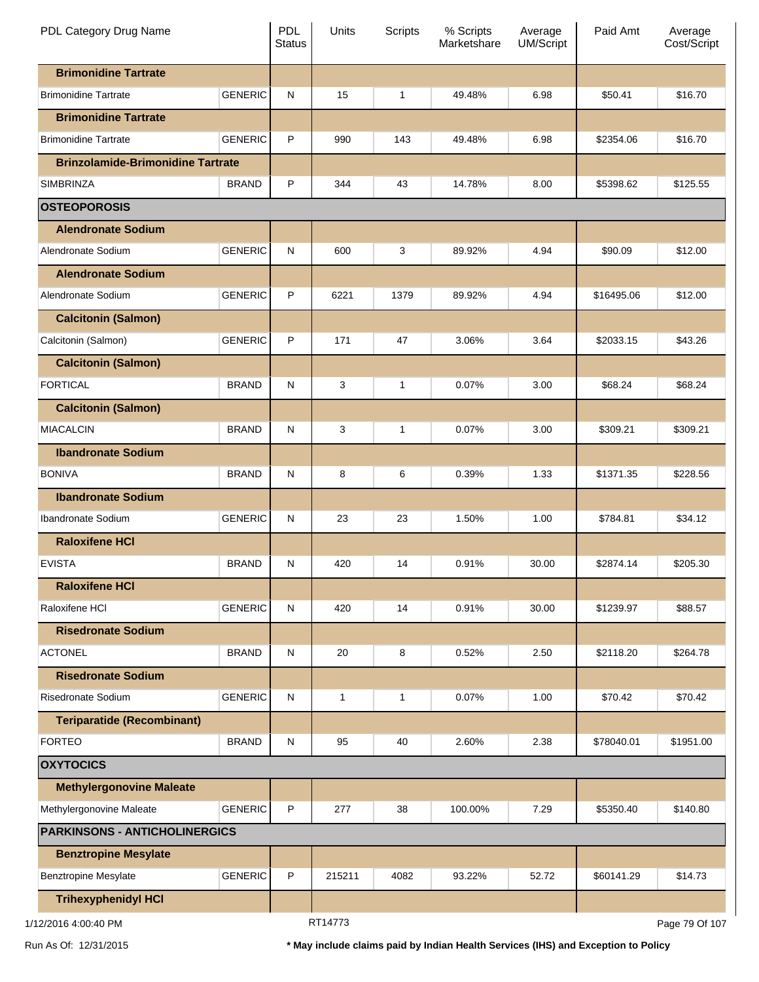| PDL Category Drug Name                   |                | <b>PDL</b><br><b>Status</b> | Units        | <b>Scripts</b> | % Scripts<br>Marketshare | Average<br>UM/Script | Paid Amt   | Average<br>Cost/Script |
|------------------------------------------|----------------|-----------------------------|--------------|----------------|--------------------------|----------------------|------------|------------------------|
| <b>Brimonidine Tartrate</b>              |                |                             |              |                |                          |                      |            |                        |
| <b>Brimonidine Tartrate</b>              | <b>GENERIC</b> | ${\sf N}$                   | 15           | 1              | 49.48%                   | 6.98                 | \$50.41    | \$16.70                |
| <b>Brimonidine Tartrate</b>              |                |                             |              |                |                          |                      |            |                        |
| <b>Brimonidine Tartrate</b>              | <b>GENERIC</b> | P                           | 990          | 143            | 49.48%                   | 6.98                 | \$2354.06  | \$16.70                |
| <b>Brinzolamide-Brimonidine Tartrate</b> |                |                             |              |                |                          |                      |            |                        |
| SIMBRINZA                                | <b>BRAND</b>   | P                           | 344          | 43             | 14.78%                   | 8.00                 | \$5398.62  | \$125.55               |
| <b>OSTEOPOROSIS</b>                      |                |                             |              |                |                          |                      |            |                        |
| <b>Alendronate Sodium</b>                |                |                             |              |                |                          |                      |            |                        |
| Alendronate Sodium                       | <b>GENERIC</b> | ${\sf N}$                   | 600          | 3              | 89.92%                   | 4.94                 | \$90.09    | \$12.00                |
| <b>Alendronate Sodium</b>                |                |                             |              |                |                          |                      |            |                        |
| Alendronate Sodium                       | <b>GENERIC</b> | P                           | 6221         | 1379           | 89.92%                   | 4.94                 | \$16495.06 | \$12.00                |
| <b>Calcitonin (Salmon)</b>               |                |                             |              |                |                          |                      |            |                        |
| Calcitonin (Salmon)                      | <b>GENERIC</b> | P                           | 171          | 47             | 3.06%                    | 3.64                 | \$2033.15  | \$43.26                |
| <b>Calcitonin (Salmon)</b>               |                |                             |              |                |                          |                      |            |                        |
| <b>FORTICAL</b>                          | <b>BRAND</b>   | ${\sf N}$                   | 3            | 1              | 0.07%                    | 3.00                 | \$68.24    | \$68.24                |
| <b>Calcitonin (Salmon)</b>               |                |                             |              |                |                          |                      |            |                        |
| <b>MIACALCIN</b>                         | <b>BRAND</b>   | ${\sf N}$                   | 3            | 1              | 0.07%                    | 3.00                 | \$309.21   | \$309.21               |
| <b>Ibandronate Sodium</b>                |                |                             |              |                |                          |                      |            |                        |
| <b>BONIVA</b>                            | <b>BRAND</b>   | N                           | 8            | 6              | 0.39%                    | 1.33                 | \$1371.35  | \$228.56               |
| <b>Ibandronate Sodium</b>                |                |                             |              |                |                          |                      |            |                        |
| Ibandronate Sodium                       | <b>GENERIC</b> | ${\sf N}$                   | 23           | 23             | 1.50%                    | 1.00                 | \$784.81   | \$34.12                |
| <b>Raloxifene HCI</b>                    |                |                             |              |                |                          |                      |            |                        |
| <b>EVISTA</b>                            | <b>BRAND</b>   | N                           | 420          | 14             | 0.91%                    | 30.00                | \$2874.14  | \$205.30               |
| <b>Raloxifene HCI</b>                    |                |                             |              |                |                          |                      |            |                        |
| Raloxifene HCI                           | <b>GENERIC</b> | ${\sf N}$                   | 420          | 14             | 0.91%                    | 30.00                | \$1239.97  | \$88.57                |
| <b>Risedronate Sodium</b>                |                |                             |              |                |                          |                      |            |                        |
| <b>ACTONEL</b>                           | <b>BRAND</b>   | ${\sf N}$                   | 20           | 8              | 0.52%                    | 2.50                 | \$2118.20  | \$264.78               |
| <b>Risedronate Sodium</b>                |                |                             |              |                |                          |                      |            |                        |
| <b>Risedronate Sodium</b>                | <b>GENERIC</b> | ${\sf N}$                   | $\mathbf{1}$ | 1              | 0.07%                    | 1.00                 | \$70.42    | \$70.42                |
| <b>Teriparatide (Recombinant)</b>        |                |                             |              |                |                          |                      |            |                        |
| <b>FORTEO</b>                            | <b>BRAND</b>   | ${\sf N}$                   | 95           | 40             | 2.60%                    | 2.38                 | \$78040.01 | \$1951.00              |
| <b>OXYTOCICS</b>                         |                |                             |              |                |                          |                      |            |                        |
| <b>Methylergonovine Maleate</b>          |                |                             |              |                |                          |                      |            |                        |
| Methylergonovine Maleate                 | <b>GENERIC</b> | P                           | 277          | 38             | 100.00%                  | 7.29                 | \$5350.40  | \$140.80               |
| <b>PARKINSONS - ANTICHOLINERGICS</b>     |                |                             |              |                |                          |                      |            |                        |
| <b>Benztropine Mesylate</b>              |                |                             |              |                |                          |                      |            |                        |
| <b>Benztropine Mesylate</b>              | <b>GENERIC</b> | $\sf P$                     | 215211       | 4082           | 93.22%                   | 52.72                | \$60141.29 | \$14.73                |
| <b>Trihexyphenidyl HCI</b>               |                |                             |              |                |                          |                      |            |                        |
| 1/12/2016 4:00:40 PM                     |                |                             | RT14773      |                |                          |                      |            | Page 79 Of 107         |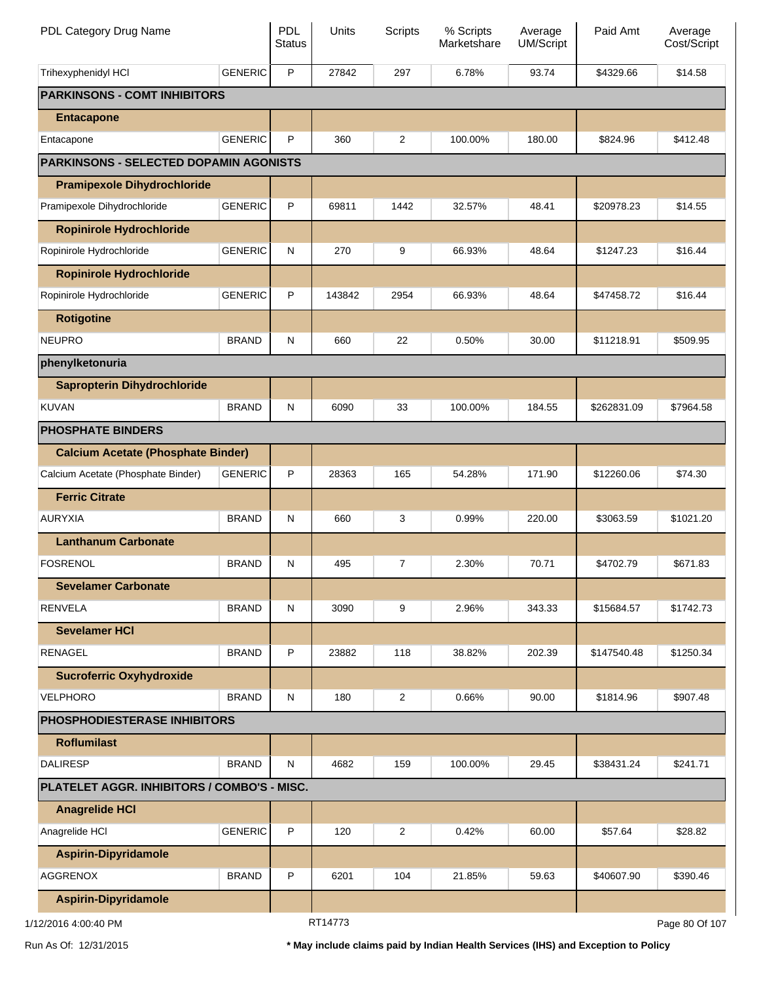| PDL Category Drug Name                        |                | PDL<br><b>Status</b> | Units   | Scripts        | % Scripts<br>Marketshare | Average<br>UM/Script | Paid Amt    | Average<br>Cost/Script |
|-----------------------------------------------|----------------|----------------------|---------|----------------|--------------------------|----------------------|-------------|------------------------|
| Trihexyphenidyl HCI                           | <b>GENERIC</b> | $\mathsf{P}$         | 27842   | 297            | 6.78%                    | 93.74                | \$4329.66   | \$14.58                |
| <b>PARKINSONS - COMT INHIBITORS</b>           |                |                      |         |                |                          |                      |             |                        |
| <b>Entacapone</b>                             |                |                      |         |                |                          |                      |             |                        |
| Entacapone                                    | <b>GENERIC</b> | P                    | 360     | 2              | 100.00%                  | 180.00               | \$824.96    | \$412.48               |
| <b>PARKINSONS - SELECTED DOPAMIN AGONISTS</b> |                |                      |         |                |                          |                      |             |                        |
| <b>Pramipexole Dihydrochloride</b>            |                |                      |         |                |                          |                      |             |                        |
| Pramipexole Dihydrochloride                   | <b>GENERIC</b> | $\sf P$              | 69811   | 1442           | 32.57%                   | 48.41                | \$20978.23  | \$14.55                |
| <b>Ropinirole Hydrochloride</b>               |                |                      |         |                |                          |                      |             |                        |
| Ropinirole Hydrochloride                      | <b>GENERIC</b> | ${\sf N}$            | 270     | 9              | 66.93%                   | 48.64                | \$1247.23   | \$16.44                |
| <b>Ropinirole Hydrochloride</b>               |                |                      |         |                |                          |                      |             |                        |
| Ropinirole Hydrochloride                      | <b>GENERIC</b> | P                    | 143842  | 2954           | 66.93%                   | 48.64                | \$47458.72  | \$16.44                |
| <b>Rotigotine</b>                             |                |                      |         |                |                          |                      |             |                        |
| <b>NEUPRO</b>                                 | <b>BRAND</b>   | ${\sf N}$            | 660     | 22             | 0.50%                    | 30.00                | \$11218.91  | \$509.95               |
| phenylketonuria                               |                |                      |         |                |                          |                      |             |                        |
| <b>Sapropterin Dihydrochloride</b>            |                |                      |         |                |                          |                      |             |                        |
| <b>KUVAN</b>                                  | <b>BRAND</b>   | ${\sf N}$            | 6090    | 33             | 100.00%                  | 184.55               | \$262831.09 | \$7964.58              |
| <b>PHOSPHATE BINDERS</b>                      |                |                      |         |                |                          |                      |             |                        |
| <b>Calcium Acetate (Phosphate Binder)</b>     |                |                      |         |                |                          |                      |             |                        |
| Calcium Acetate (Phosphate Binder)            | <b>GENERIC</b> | P                    | 28363   | 165            | 54.28%                   | 171.90               | \$12260.06  | \$74.30                |
| <b>Ferric Citrate</b>                         |                |                      |         |                |                          |                      |             |                        |
| <b>AURYXIA</b>                                | <b>BRAND</b>   | ${\sf N}$            | 660     | 3              | 0.99%                    | 220.00               | \$3063.59   | \$1021.20              |
| <b>Lanthanum Carbonate</b>                    |                |                      |         |                |                          |                      |             |                        |
| FOSRENOL                                      | <b>BRAND</b>   | ${\sf N}$            | 495     | 7              | 2.30%                    | 70.71                | \$4702.79   | \$671.83               |
| <b>Sevelamer Carbonate</b>                    |                |                      |         |                |                          |                      |             |                        |
| <b>RENVELA</b>                                | <b>BRAND</b>   | N                    | 3090    | 9              | 2.96%                    | 343.33               | \$15684.57  | \$1742.73              |
| <b>Sevelamer HCI</b>                          |                |                      |         |                |                          |                      |             |                        |
| <b>RENAGEL</b>                                | <b>BRAND</b>   | $\sf P$              | 23882   | 118            | 38.82%                   | 202.39               | \$147540.48 | \$1250.34              |
| <b>Sucroferric Oxyhydroxide</b>               |                |                      |         |                |                          |                      |             |                        |
| <b>VELPHORO</b>                               | <b>BRAND</b>   | N                    | 180     | $\overline{2}$ | 0.66%                    | 90.00                | \$1814.96   | \$907.48               |
| <b>PHOSPHODIESTERASE INHIBITORS</b>           |                |                      |         |                |                          |                      |             |                        |
| <b>Roflumilast</b>                            |                |                      |         |                |                          |                      |             |                        |
| <b>DALIRESP</b>                               | <b>BRAND</b>   | ${\sf N}$            | 4682    | 159            | 100.00%                  | 29.45                | \$38431.24  | \$241.71               |
| PLATELET AGGR. INHIBITORS / COMBO'S - MISC.   |                |                      |         |                |                          |                      |             |                        |
| <b>Anagrelide HCI</b>                         |                |                      |         |                |                          |                      |             |                        |
| Anagrelide HCI                                | <b>GENERIC</b> | $\sf P$              | 120     | $\overline{c}$ | 0.42%                    | 60.00                | \$57.64     | \$28.82                |
| <b>Aspirin-Dipyridamole</b>                   |                |                      |         |                |                          |                      |             |                        |
| <b>AGGRENOX</b>                               | <b>BRAND</b>   | $\sf P$              | 6201    | 104            | 21.85%                   | 59.63                | \$40607.90  | \$390.46               |
| <b>Aspirin-Dipyridamole</b>                   |                |                      |         |                |                          |                      |             |                        |
| 1/12/2016 4:00:40 PM                          |                |                      | RT14773 |                |                          |                      |             | Page 80 Of 107         |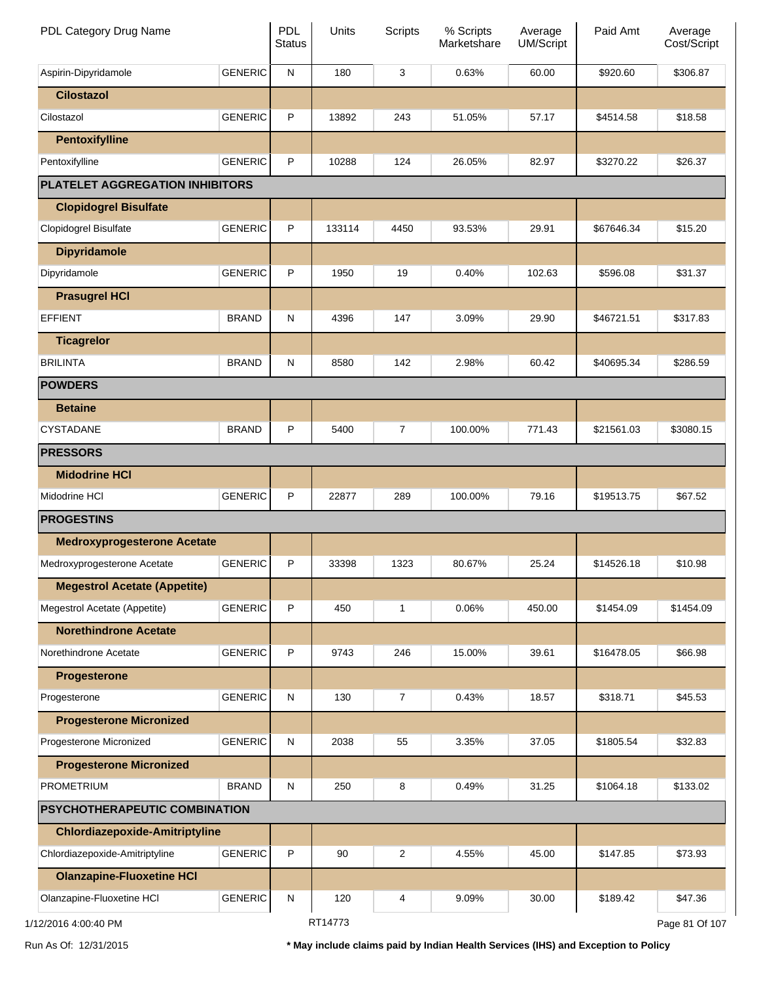| PDL Category Drug Name                |                | <b>PDL</b><br><b>Status</b> | Units   | <b>Scripts</b> | % Scripts<br>Marketshare | Average<br>UM/Script | Paid Amt   | Average<br>Cost/Script |
|---------------------------------------|----------------|-----------------------------|---------|----------------|--------------------------|----------------------|------------|------------------------|
| Aspirin-Dipyridamole                  | <b>GENERIC</b> | ${\sf N}$                   | 180     | 3              | 0.63%                    | 60.00                | \$920.60   | \$306.87               |
| <b>Cilostazol</b>                     |                |                             |         |                |                          |                      |            |                        |
| Cilostazol                            | <b>GENERIC</b> | P                           | 13892   | 243            | 51.05%                   | 57.17                | \$4514.58  | \$18.58                |
| <b>Pentoxifylline</b>                 |                |                             |         |                |                          |                      |            |                        |
| Pentoxifylline                        | <b>GENERIC</b> | P                           | 10288   | 124            | 26.05%                   | 82.97                | \$3270.22  | \$26.37                |
| PLATELET AGGREGATION INHIBITORS       |                |                             |         |                |                          |                      |            |                        |
| <b>Clopidogrel Bisulfate</b>          |                |                             |         |                |                          |                      |            |                        |
| Clopidogrel Bisulfate                 | <b>GENERIC</b> | P                           | 133114  | 4450           | 93.53%                   | 29.91                | \$67646.34 | \$15.20                |
| <b>Dipyridamole</b>                   |                |                             |         |                |                          |                      |            |                        |
| Dipyridamole                          | <b>GENERIC</b> | P                           | 1950    | 19             | 0.40%                    | 102.63               | \$596.08   | \$31.37                |
| <b>Prasugrel HCI</b>                  |                |                             |         |                |                          |                      |            |                        |
| <b>EFFIENT</b>                        | <b>BRAND</b>   | ${\sf N}$                   | 4396    | 147            | 3.09%                    | 29.90                | \$46721.51 | \$317.83               |
| <b>Ticagrelor</b>                     |                |                             |         |                |                          |                      |            |                        |
| <b>BRILINTA</b>                       | <b>BRAND</b>   | ${\sf N}$                   | 8580    | 142            | 2.98%                    | 60.42                | \$40695.34 | \$286.59               |
| <b>POWDERS</b>                        |                |                             |         |                |                          |                      |            |                        |
| <b>Betaine</b>                        |                |                             |         |                |                          |                      |            |                        |
| CYSTADANE                             | <b>BRAND</b>   | P                           | 5400    | $\overline{7}$ | 100.00%                  | 771.43               | \$21561.03 | \$3080.15              |
| <b>PRESSORS</b>                       |                |                             |         |                |                          |                      |            |                        |
| <b>Midodrine HCI</b>                  |                |                             |         |                |                          |                      |            |                        |
| Midodrine HCI                         | <b>GENERIC</b> | P                           | 22877   | 289            | 100.00%                  | 79.16                | \$19513.75 | \$67.52                |
| <b>PROGESTINS</b>                     |                |                             |         |                |                          |                      |            |                        |
| <b>Medroxyprogesterone Acetate</b>    |                |                             |         |                |                          |                      |            |                        |
| Medroxyprogesterone Acetate           | <b>GENERIC</b> | P                           | 33398   | 1323           | 80.67%                   | 25.24                | \$14526.18 | \$10.98                |
| <b>Megestrol Acetate (Appetite)</b>   |                |                             |         |                |                          |                      |            |                        |
| Megestrol Acetate (Appetite)          | <b>GENERIC</b> | P                           | 450     | 1              | 0.06%                    | 450.00               | \$1454.09  | \$1454.09              |
| <b>Norethindrone Acetate</b>          |                |                             |         |                |                          |                      |            |                        |
| Norethindrone Acetate                 | <b>GENERIC</b> | P                           | 9743    | 246            | 15.00%                   | 39.61                | \$16478.05 | \$66.98                |
| <b>Progesterone</b>                   |                |                             |         |                |                          |                      |            |                        |
| Progesterone                          | <b>GENERIC</b> | ${\sf N}$                   | 130     | $\overline{7}$ | 0.43%                    | 18.57                | \$318.71   | \$45.53                |
| <b>Progesterone Micronized</b>        |                |                             |         |                |                          |                      |            |                        |
| Progesterone Micronized               | <b>GENERIC</b> | ${\sf N}$                   | 2038    | 55             | 3.35%                    | 37.05                | \$1805.54  | \$32.83                |
| <b>Progesterone Micronized</b>        |                |                             |         |                |                          |                      |            |                        |
| <b>PROMETRIUM</b>                     | <b>BRAND</b>   | ${\sf N}$                   | 250     | 8              | 0.49%                    | 31.25                | \$1064.18  | \$133.02               |
| <b>PSYCHOTHERAPEUTIC COMBINATION</b>  |                |                             |         |                |                          |                      |            |                        |
| <b>Chlordiazepoxide-Amitriptyline</b> |                |                             |         |                |                          |                      |            |                        |
| Chlordiazepoxide-Amitriptyline        | <b>GENERIC</b> | $\sf P$                     | 90      | $\overline{2}$ | 4.55%                    | 45.00                | \$147.85   | \$73.93                |
| <b>Olanzapine-Fluoxetine HCI</b>      |                |                             |         |                |                          |                      |            |                        |
| Olanzapine-Fluoxetine HCl             | <b>GENERIC</b> | ${\sf N}$                   | 120     | 4              | 9.09%                    | 30.00                | \$189.42   | \$47.36                |
| 1/12/2016 4:00:40 PM                  |                |                             | RT14773 |                |                          |                      |            | Page 81 Of 107         |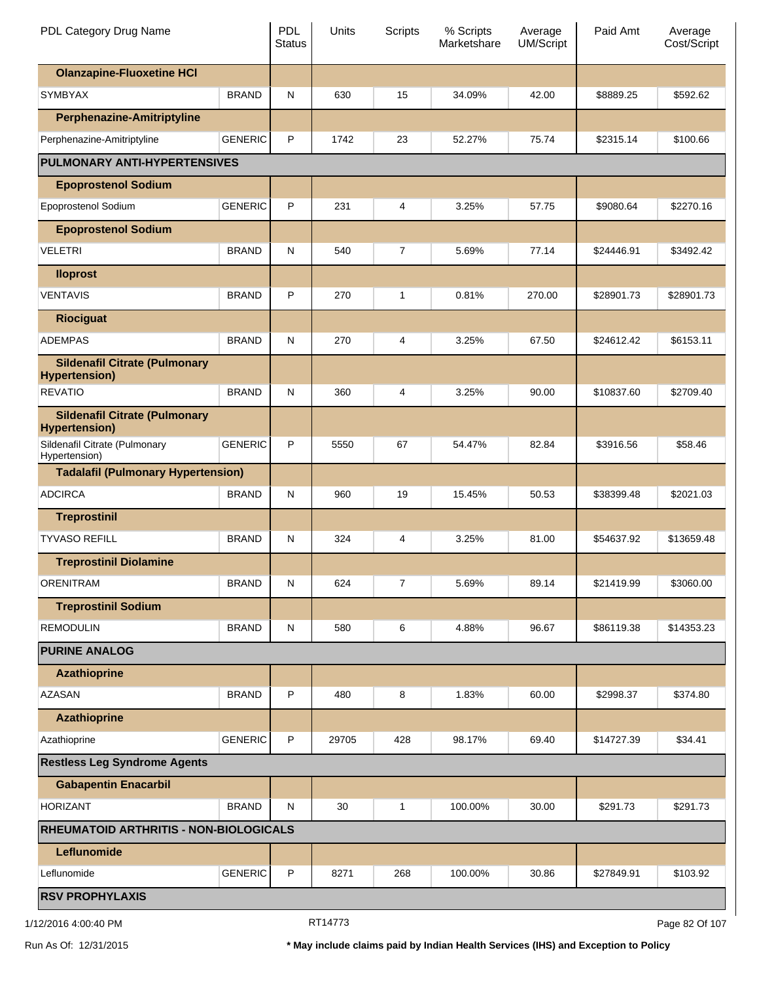| PDL Category Drug Name                                                 |                | <b>PDL</b><br><b>Status</b> | Units | Scripts        | % Scripts<br>Marketshare | Average<br>UM/Script | Paid Amt   | Average<br>Cost/Script |
|------------------------------------------------------------------------|----------------|-----------------------------|-------|----------------|--------------------------|----------------------|------------|------------------------|
| <b>Olanzapine-Fluoxetine HCI</b>                                       |                |                             |       |                |                          |                      |            |                        |
| <b>SYMBYAX</b>                                                         | <b>BRAND</b>   | N                           | 630   | 15             | 34.09%                   | 42.00                | \$8889.25  | \$592.62               |
| <b>Perphenazine-Amitriptyline</b>                                      |                |                             |       |                |                          |                      |            |                        |
| Perphenazine-Amitriptyline                                             | <b>GENERIC</b> | P                           | 1742  | 23             | 52.27%                   | 75.74                | \$2315.14  | \$100.66               |
| <b>PULMONARY ANTI-HYPERTENSIVES</b>                                    |                |                             |       |                |                          |                      |            |                        |
| <b>Epoprostenol Sodium</b>                                             |                |                             |       |                |                          |                      |            |                        |
| Epoprostenol Sodium                                                    | <b>GENERIC</b> | P                           | 231   | 4              | 3.25%                    | 57.75                | \$9080.64  | \$2270.16              |
| <b>Epoprostenol Sodium</b>                                             |                |                             |       |                |                          |                      |            |                        |
| <b>VELETRI</b>                                                         | <b>BRAND</b>   | N                           | 540   | $\overline{7}$ | 5.69%                    | 77.14                | \$24446.91 | \$3492.42              |
| <b>Iloprost</b>                                                        |                |                             |       |                |                          |                      |            |                        |
| <b>VENTAVIS</b>                                                        | <b>BRAND</b>   | P                           | 270   | 1              | 0.81%                    | 270.00               | \$28901.73 | \$28901.73             |
| <b>Riociguat</b>                                                       |                |                             |       |                |                          |                      |            |                        |
| <b>ADEMPAS</b>                                                         | <b>BRAND</b>   | N                           | 270   | $\overline{4}$ | 3.25%                    | 67.50                | \$24612.42 | \$6153.11              |
| <b>Sildenafil Citrate (Pulmonary</b><br><b>Hypertension)</b>           |                |                             |       |                |                          |                      |            |                        |
| <b>REVATIO</b>                                                         | <b>BRAND</b>   | N                           | 360   | 4              | 3.25%                    | 90.00                | \$10837.60 | \$2709.40              |
| <b>Sildenafil Citrate (Pulmonary</b>                                   |                |                             |       |                |                          |                      |            |                        |
| <b>Hypertension)</b><br>Sildenafil Citrate (Pulmonary<br>Hypertension) | <b>GENERIC</b> | P                           | 5550  | 67             | 54.47%                   | 82.84                | \$3916.56  | \$58.46                |
| <b>Tadalafil (Pulmonary Hypertension)</b>                              |                |                             |       |                |                          |                      |            |                        |
| <b>ADCIRCA</b>                                                         | <b>BRAND</b>   | N                           | 960   | 19             | 15.45%                   | 50.53                | \$38399.48 | \$2021.03              |
| <b>Treprostinil</b>                                                    |                |                             |       |                |                          |                      |            |                        |
| <b>TYVASO REFILL</b>                                                   | <b>BRAND</b>   | N                           | 324   | 4              | 3.25%                    | 81.00                | \$54637.92 | \$13659.48             |
| <b>Treprostinil Diolamine</b>                                          |                |                             |       |                |                          |                      |            |                        |
| <b>ORENITRAM</b>                                                       | <b>BRAND</b>   | N                           | 624   | $\overline{7}$ | 5.69%                    | 89.14                | \$21419.99 | \$3060.00              |
| <b>Treprostinil Sodium</b>                                             |                |                             |       |                |                          |                      |            |                        |
| <b>REMODULIN</b>                                                       | <b>BRAND</b>   | N                           | 580   | 6              | 4.88%                    | 96.67                | \$86119.38 | \$14353.23             |
| <b>PURINE ANALOG</b>                                                   |                |                             |       |                |                          |                      |            |                        |
| <b>Azathioprine</b>                                                    |                |                             |       |                |                          |                      |            |                        |
| <b>AZASAN</b>                                                          | <b>BRAND</b>   | P                           | 480   | 8              | 1.83%                    | 60.00                | \$2998.37  | \$374.80               |
| <b>Azathioprine</b>                                                    |                |                             |       |                |                          |                      |            |                        |
| Azathioprine                                                           | <b>GENERIC</b> | P                           | 29705 | 428            | 98.17%                   | 69.40                | \$14727.39 | \$34.41                |
| <b>Restless Leg Syndrome Agents</b>                                    |                |                             |       |                |                          |                      |            |                        |
| <b>Gabapentin Enacarbil</b>                                            |                |                             |       |                |                          |                      |            |                        |
| <b>HORIZANT</b>                                                        | <b>BRAND</b>   | N                           | 30    | 1              | 100.00%                  | 30.00                | \$291.73   | \$291.73               |
| RHEUMATOID ARTHRITIS - NON-BIOLOGICALS                                 |                |                             |       |                |                          |                      |            |                        |
| Leflunomide                                                            |                |                             |       |                |                          |                      |            |                        |
| Leflunomide                                                            | <b>GENERIC</b> | P                           | 8271  | 268            | 100.00%                  | 30.86                | \$27849.91 | \$103.92               |
| <b>RSV PROPHYLAXIS</b>                                                 |                |                             |       |                |                          |                      |            |                        |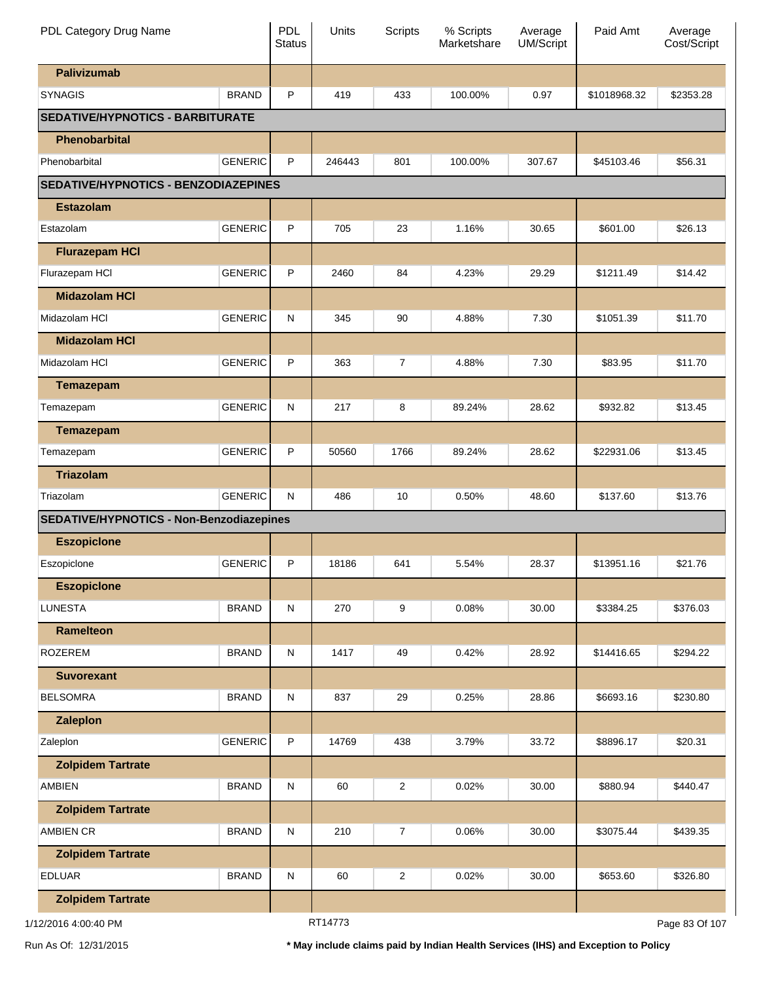| PDL Category Drug Name                          |                | PDL<br><b>Status</b> | Units   | <b>Scripts</b>   | % Scripts<br>Marketshare | Average<br>UM/Script | Paid Amt     | Average<br>Cost/Script |
|-------------------------------------------------|----------------|----------------------|---------|------------------|--------------------------|----------------------|--------------|------------------------|
| <b>Palivizumab</b>                              |                |                      |         |                  |                          |                      |              |                        |
| <b>SYNAGIS</b>                                  | <b>BRAND</b>   | P                    | 419     | 433              | 100.00%                  | 0.97                 | \$1018968.32 | \$2353.28              |
| <b>SEDATIVE/HYPNOTICS - BARBITURATE</b>         |                |                      |         |                  |                          |                      |              |                        |
| Phenobarbital                                   |                |                      |         |                  |                          |                      |              |                        |
| Phenobarbital                                   | <b>GENERIC</b> | P                    | 246443  | 801              | 100.00%                  | 307.67               | \$45103.46   | \$56.31                |
| SEDATIVE/HYPNOTICS - BENZODIAZEPINES            |                |                      |         |                  |                          |                      |              |                        |
| <b>Estazolam</b>                                |                |                      |         |                  |                          |                      |              |                        |
| Estazolam                                       | <b>GENERIC</b> | P                    | 705     | 23               | 1.16%                    | 30.65                | \$601.00     | \$26.13                |
| <b>Flurazepam HCI</b>                           |                |                      |         |                  |                          |                      |              |                        |
| Flurazepam HCI                                  | <b>GENERIC</b> | P                    | 2460    | 84               | 4.23%                    | 29.29                | \$1211.49    | \$14.42                |
| <b>Midazolam HCI</b>                            |                |                      |         |                  |                          |                      |              |                        |
| Midazolam HCI                                   | <b>GENERIC</b> | N                    | 345     | 90               | 4.88%                    | 7.30                 | \$1051.39    | \$11.70                |
| <b>Midazolam HCI</b>                            |                |                      |         |                  |                          |                      |              |                        |
| Midazolam HCI                                   | <b>GENERIC</b> | P                    | 363     | $\overline{7}$   | 4.88%                    | 7.30                 | \$83.95      | \$11.70                |
| <b>Temazepam</b>                                |                |                      |         |                  |                          |                      |              |                        |
| Temazepam                                       | <b>GENERIC</b> | N                    | 217     | 8                | 89.24%                   | 28.62                | \$932.82     | \$13.45                |
| <b>Temazepam</b>                                |                |                      |         |                  |                          |                      |              |                        |
| Temazepam                                       | <b>GENERIC</b> | P                    | 50560   | 1766             | 89.24%                   | 28.62                | \$22931.06   | \$13.45                |
| <b>Triazolam</b>                                |                |                      |         |                  |                          |                      |              |                        |
| Triazolam                                       | <b>GENERIC</b> | N                    | 486     | 10               | 0.50%                    | 48.60                | \$137.60     | \$13.76                |
| <b>SEDATIVE/HYPNOTICS - Non-Benzodiazepines</b> |                |                      |         |                  |                          |                      |              |                        |
| <b>Eszopicione</b>                              |                |                      |         |                  |                          |                      |              |                        |
| Eszopiclone                                     | <b>GENERIC</b> | P                    | 18186   | 641              | 5.54%                    | 28.37                | \$13951.16   | \$21.76                |
| <b>Eszopicione</b>                              |                |                      |         |                  |                          |                      |              |                        |
| <b>LUNESTA</b>                                  | <b>BRAND</b>   | ${\sf N}$            | 270     | 9                | 0.08%                    | 30.00                | \$3384.25    | \$376.03               |
| <b>Ramelteon</b>                                |                |                      |         |                  |                          |                      |              |                        |
| <b>ROZEREM</b>                                  | <b>BRAND</b>   | ${\sf N}$            | 1417    | 49               | 0.42%                    | 28.92                | \$14416.65   | \$294.22               |
| <b>Suvorexant</b>                               |                |                      |         |                  |                          |                      |              |                        |
| <b>BELSOMRA</b>                                 | <b>BRAND</b>   | ${\sf N}$            | 837     | 29               | 0.25%                    | 28.86                | \$6693.16    | \$230.80               |
| <b>Zaleplon</b>                                 |                |                      |         |                  |                          |                      |              |                        |
| Zaleplon                                        | <b>GENERIC</b> | P                    | 14769   | 438              | 3.79%                    | 33.72                | \$8896.17    | \$20.31                |
| <b>Zolpidem Tartrate</b>                        |                |                      |         |                  |                          |                      |              |                        |
| <b>AMBIEN</b>                                   | <b>BRAND</b>   | ${\sf N}$            | 60      | $\overline{2}$   | 0.02%                    | 30.00                | \$880.94     | \$440.47               |
| <b>Zolpidem Tartrate</b>                        |                |                      |         |                  |                          |                      |              |                        |
| <b>AMBIEN CR</b>                                | <b>BRAND</b>   | ${\sf N}$            | 210     | $\boldsymbol{7}$ | 0.06%                    | 30.00                | \$3075.44    | \$439.35               |
| <b>Zolpidem Tartrate</b>                        |                |                      |         |                  |                          |                      |              |                        |
| <b>EDLUAR</b>                                   | <b>BRAND</b>   | ${\sf N}$            | 60      | $\overline{c}$   | 0.02%                    | 30.00                | \$653.60     | \$326.80               |
| <b>Zolpidem Tartrate</b>                        |                |                      |         |                  |                          |                      |              |                        |
|                                                 |                |                      | DTA4770 |                  |                          |                      |              |                        |

1/12/2016 4:00:40 PM

RT14773

Page 83 Of 107

Run As Of: 12/31/2015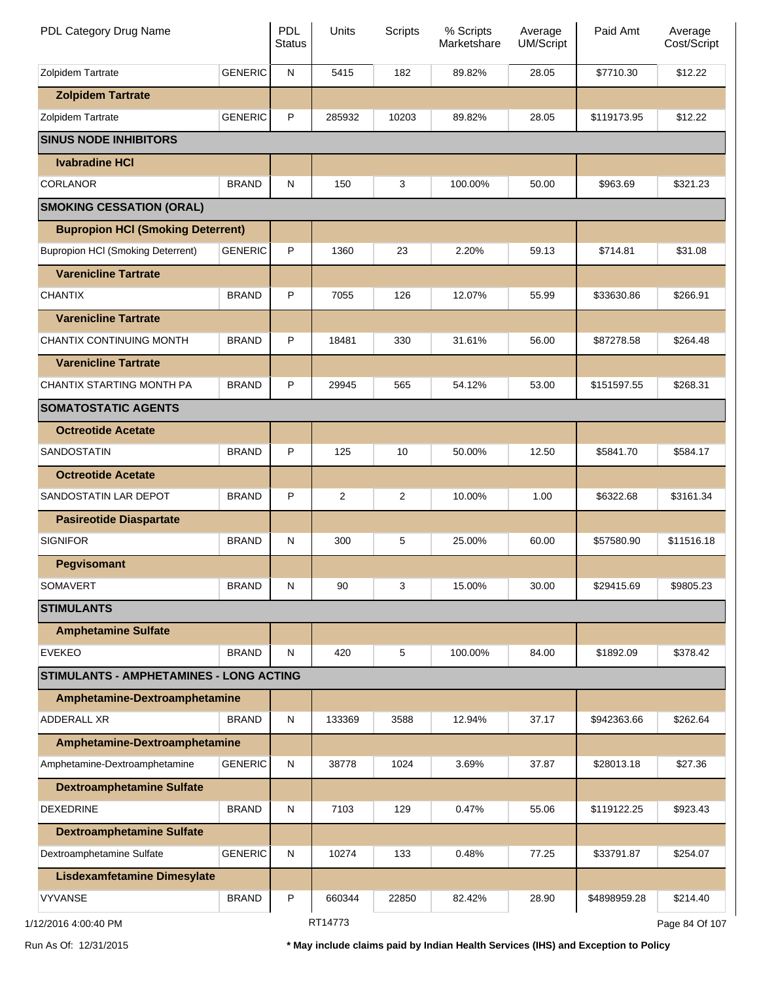| PDL Category Drug Name                         |                | <b>PDL</b><br><b>Status</b> | Units   | <b>Scripts</b> | % Scripts<br>Marketshare | Average<br><b>UM/Script</b> | Paid Amt     | Average<br>Cost/Script |
|------------------------------------------------|----------------|-----------------------------|---------|----------------|--------------------------|-----------------------------|--------------|------------------------|
| Zolpidem Tartrate                              | <b>GENERIC</b> | N                           | 5415    | 182            | 89.82%                   | 28.05                       | \$7710.30    | \$12.22                |
| <b>Zolpidem Tartrate</b>                       |                |                             |         |                |                          |                             |              |                        |
| Zolpidem Tartrate                              | <b>GENERIC</b> | P                           | 285932  | 10203          | 89.82%                   | 28.05                       | \$119173.95  | \$12.22                |
| <b>SINUS NODE INHIBITORS</b>                   |                |                             |         |                |                          |                             |              |                        |
| <b>Ivabradine HCI</b>                          |                |                             |         |                |                          |                             |              |                        |
| <b>CORLANOR</b>                                | <b>BRAND</b>   | N                           | 150     | 3              | 100.00%                  | 50.00                       | \$963.69     | \$321.23               |
| <b>SMOKING CESSATION (ORAL)</b>                |                |                             |         |                |                          |                             |              |                        |
| <b>Bupropion HCI (Smoking Deterrent)</b>       |                |                             |         |                |                          |                             |              |                        |
| <b>Bupropion HCI (Smoking Deterrent)</b>       | <b>GENERIC</b> | P                           | 1360    | 23             | 2.20%                    | 59.13                       | \$714.81     | \$31.08                |
| <b>Varenicline Tartrate</b>                    |                |                             |         |                |                          |                             |              |                        |
| <b>CHANTIX</b>                                 | <b>BRAND</b>   | P                           | 7055    | 126            | 12.07%                   | 55.99                       | \$33630.86   | \$266.91               |
| <b>Varenicline Tartrate</b>                    |                |                             |         |                |                          |                             |              |                        |
| CHANTIX CONTINUING MONTH                       | <b>BRAND</b>   | P                           | 18481   | 330            | 31.61%                   | 56.00                       | \$87278.58   | \$264.48               |
| <b>Varenicline Tartrate</b>                    |                |                             |         |                |                          |                             |              |                        |
| CHANTIX STARTING MONTH PA                      | <b>BRAND</b>   | P                           | 29945   | 565            | 54.12%                   | 53.00                       | \$151597.55  | \$268.31               |
| <b>SOMATOSTATIC AGENTS</b>                     |                |                             |         |                |                          |                             |              |                        |
| <b>Octreotide Acetate</b>                      |                |                             |         |                |                          |                             |              |                        |
| SANDOSTATIN                                    | <b>BRAND</b>   | P                           | 125     | 10             | 50.00%                   | 12.50                       | \$5841.70    | \$584.17               |
| <b>Octreotide Acetate</b>                      |                |                             |         |                |                          |                             |              |                        |
| SANDOSTATIN LAR DEPOT                          | <b>BRAND</b>   | P                           | 2       | $\overline{2}$ | 10.00%                   | 1.00                        | \$6322.68    | \$3161.34              |
| <b>Pasireotide Diaspartate</b>                 |                |                             |         |                |                          |                             |              |                        |
| <b>SIGNIFOR</b>                                | <b>BRAND</b>   | N                           | 300     | 5              | 25.00%                   | 60.00                       | \$57580.90   | \$11516.18             |
| <b>Pegvisomant</b>                             |                |                             |         |                |                          |                             |              |                        |
| <b>SOMAVERT</b>                                | <b>BRAND</b>   | N                           | 90      | 3              | 15.00%                   | 30.00                       | \$29415.69   | \$9805.23              |
| <b>STIMULANTS</b>                              |                |                             |         |                |                          |                             |              |                        |
| <b>Amphetamine Sulfate</b>                     |                |                             |         |                |                          |                             |              |                        |
| <b>EVEKEO</b>                                  | <b>BRAND</b>   | N                           | 420     | 5              | 100.00%                  | 84.00                       | \$1892.09    | \$378.42               |
| <b>STIMULANTS - AMPHETAMINES - LONG ACTING</b> |                |                             |         |                |                          |                             |              |                        |
| Amphetamine-Dextroamphetamine                  |                |                             |         |                |                          |                             |              |                        |
| <b>ADDERALL XR</b>                             | <b>BRAND</b>   | $\mathsf{N}$                | 133369  | 3588           | 12.94%                   | 37.17                       | \$942363.66  | \$262.64               |
| Amphetamine-Dextroamphetamine                  |                |                             |         |                |                          |                             |              |                        |
| Amphetamine-Dextroamphetamine                  | <b>GENERIC</b> | N                           | 38778   | 1024           | 3.69%                    | 37.87                       | \$28013.18   | \$27.36                |
| <b>Dextroamphetamine Sulfate</b>               |                |                             |         |                |                          |                             |              |                        |
| <b>DEXEDRINE</b>                               | <b>BRAND</b>   | N                           | 7103    | 129            | 0.47%                    | 55.06                       | \$119122.25  | \$923.43               |
| <b>Dextroamphetamine Sulfate</b>               |                |                             |         |                |                          |                             |              |                        |
| Dextroamphetamine Sulfate                      | <b>GENERIC</b> | N                           | 10274   | 133            | 0.48%                    | 77.25                       | \$33791.87   | \$254.07               |
| <b>Lisdexamfetamine Dimesylate</b>             |                |                             |         |                |                          |                             |              |                        |
| <b>VYVANSE</b>                                 | <b>BRAND</b>   | P                           | 660344  | 22850          | 82.42%                   | 28.90                       | \$4898959.28 | \$214.40               |
| 2/2016 4:00:40 PM                              |                |                             | RT14773 |                |                          |                             |              | Page 84 Of 107         |

1/12/2016 4:00:40 PM

Run As Of: 12/31/2015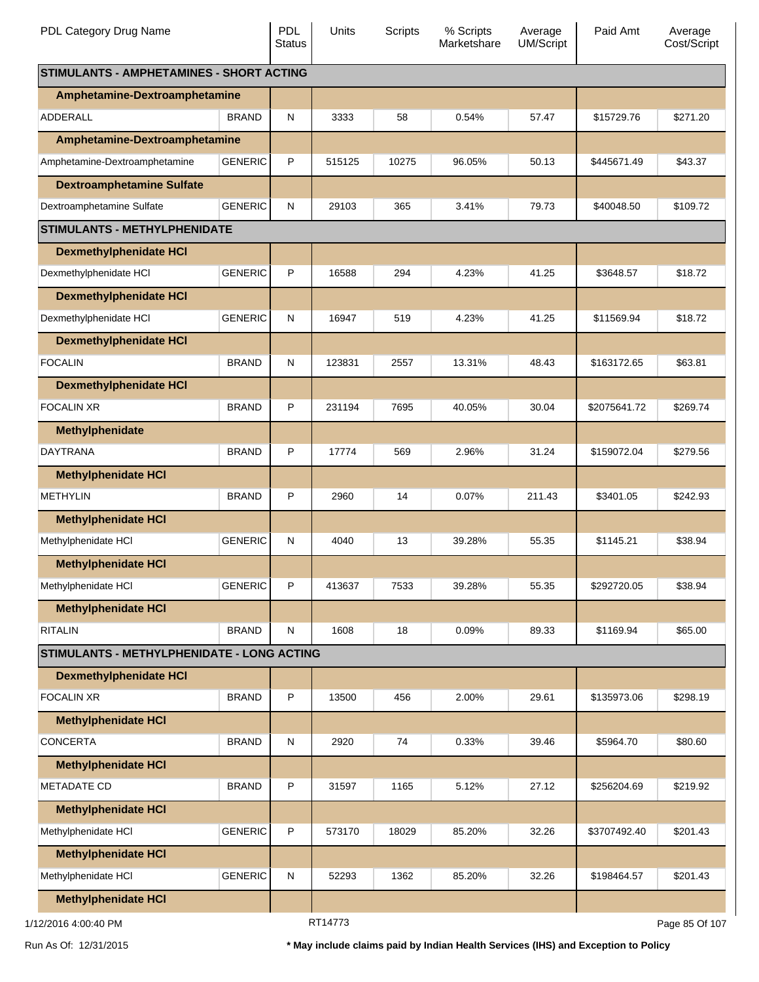| PDL Category Drug Name                            |                | <b>PDL</b><br><b>Status</b> | <b>Units</b> | Scripts | % Scripts<br>Marketshare | Average<br>UM/Script | Paid Amt       | Average<br>Cost/Script |
|---------------------------------------------------|----------------|-----------------------------|--------------|---------|--------------------------|----------------------|----------------|------------------------|
| <b>STIMULANTS - AMPHETAMINES - SHORT ACTING</b>   |                |                             |              |         |                          |                      |                |                        |
| Amphetamine-Dextroamphetamine                     |                |                             |              |         |                          |                      |                |                        |
| ADDERALL                                          | <b>BRAND</b>   | N                           | 3333         | 58      | 0.54%                    | 57.47                | \$15729.76     | \$271.20               |
| Amphetamine-Dextroamphetamine                     |                |                             |              |         |                          |                      |                |                        |
| Amphetamine-Dextroamphetamine                     | <b>GENERIC</b> | P                           | 515125       | 10275   | 96.05%                   | 50.13                | \$445671.49    | \$43.37                |
| <b>Dextroamphetamine Sulfate</b>                  |                |                             |              |         |                          |                      |                |                        |
| Dextroamphetamine Sulfate                         | <b>GENERIC</b> | ${\sf N}$                   | 29103        | 365     | 3.41%                    | 79.73                | \$40048.50     | \$109.72               |
| <b>STIMULANTS - METHYLPHENIDATE</b>               |                |                             |              |         |                          |                      |                |                        |
| <b>Dexmethylphenidate HCI</b>                     |                |                             |              |         |                          |                      |                |                        |
| Dexmethylphenidate HCI                            | <b>GENERIC</b> | P                           | 16588        | 294     | 4.23%                    | 41.25                | \$3648.57      | \$18.72                |
| <b>Dexmethylphenidate HCI</b>                     |                |                             |              |         |                          |                      |                |                        |
| Dexmethylphenidate HCI                            | <b>GENERIC</b> | N                           | 16947        | 519     | 4.23%                    | 41.25                | \$11569.94     | \$18.72                |
| <b>Dexmethylphenidate HCI</b>                     |                |                             |              |         |                          |                      |                |                        |
| <b>FOCALIN</b>                                    | <b>BRAND</b>   | N                           | 123831       | 2557    | 13.31%                   | 48.43                | \$163172.65    | \$63.81                |
| <b>Dexmethylphenidate HCI</b>                     |                |                             |              |         |                          |                      |                |                        |
| <b>FOCALIN XR</b>                                 | <b>BRAND</b>   | P                           | 231194       | 7695    | 40.05%                   | 30.04                | \$2075641.72   | \$269.74               |
| <b>Methylphenidate</b>                            |                |                             |              |         |                          |                      |                |                        |
| DAYTRANA                                          | <b>BRAND</b>   | P                           | 17774        | 569     | 2.96%                    | 31.24                | \$159072.04    | \$279.56               |
|                                                   |                |                             |              |         |                          |                      |                |                        |
| <b>Methylphenidate HCI</b><br><b>METHYLIN</b>     | <b>BRAND</b>   | P                           | 2960         | 14      | 0.07%                    | 211.43               | \$3401.05      | \$242.93               |
|                                                   |                |                             |              |         |                          |                      |                |                        |
| <b>Methylphenidate HCI</b>                        |                |                             |              |         |                          |                      |                |                        |
| Methylphenidate HCI                               | <b>GENERIC</b> | N                           | 4040         | 13      | 39.28%                   | 55.35                | \$1145.21      | \$38.94                |
| <b>Methylphenidate HCI</b>                        |                |                             |              |         |                          |                      |                |                        |
| Methylphenidate HCI                               | <b>GENERIC</b> | P                           | 413637       | 7533    | 39.28%                   | 55.35                | \$292720.05    | \$38.94                |
| <b>Methylphenidate HCI</b>                        |                |                             |              |         |                          |                      |                |                        |
| <b>RITALIN</b>                                    | <b>BRAND</b>   | N                           | 1608         | 18      | 0.09%                    | 89.33                | \$1169.94      | \$65.00                |
| <b>STIMULANTS - METHYLPHENIDATE - LONG ACTING</b> |                |                             |              |         |                          |                      |                |                        |
| <b>Dexmethylphenidate HCI</b>                     |                |                             |              |         |                          |                      |                |                        |
| <b>FOCALIN XR</b>                                 | <b>BRAND</b>   | P                           | 13500        | 456     | 2.00%                    | 29.61                | \$135973.06    | \$298.19               |
| <b>Methylphenidate HCI</b>                        |                |                             |              |         |                          |                      |                |                        |
| <b>CONCERTA</b>                                   | <b>BRAND</b>   | N                           | 2920         | 74      | 0.33%                    | 39.46                | \$5964.70      | \$80.60                |
| <b>Methylphenidate HCI</b>                        |                |                             |              |         |                          |                      |                |                        |
| <b>METADATE CD</b>                                | <b>BRAND</b>   | P                           | 31597        | 1165    | 5.12%                    | 27.12                | \$256204.69    | \$219.92               |
| <b>Methylphenidate HCI</b>                        |                |                             |              |         |                          |                      |                |                        |
| Methylphenidate HCI                               | <b>GENERIC</b> | P                           | 573170       | 18029   | 85.20%                   | 32.26                | \$3707492.40   | \$201.43               |
| <b>Methylphenidate HCI</b>                        |                |                             |              |         |                          |                      |                |                        |
| Methylphenidate HCI                               | <b>GENERIC</b> | N                           | 52293        | 1362    | 85.20%                   | 32.26                | \$198464.57    | \$201.43               |
| <b>Methylphenidate HCI</b>                        |                |                             |              |         |                          |                      |                |                        |
| 1/12/2016 4:00:40 PM                              |                | RT14773                     |              |         |                          |                      | Page 85 Of 107 |                        |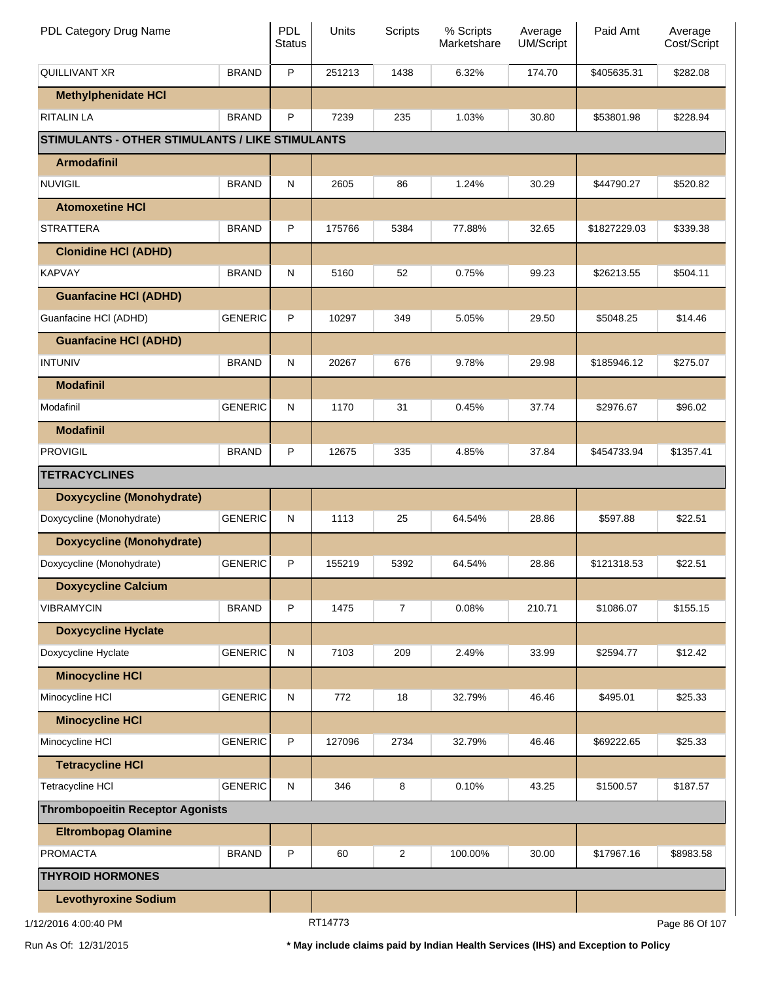| PDL Category Drug Name                                 |                | <b>PDL</b><br><b>Status</b> | Units   | Scripts        | % Scripts<br>Marketshare | Average<br><b>UM/Script</b> | Paid Amt     | Average<br>Cost/Script |
|--------------------------------------------------------|----------------|-----------------------------|---------|----------------|--------------------------|-----------------------------|--------------|------------------------|
| <b>QUILLIVANT XR</b>                                   | <b>BRAND</b>   | P                           | 251213  | 1438           | 6.32%                    | 174.70                      | \$405635.31  | \$282.08               |
| <b>Methylphenidate HCI</b>                             |                |                             |         |                |                          |                             |              |                        |
| <b>RITALIN LA</b>                                      | <b>BRAND</b>   | P                           | 7239    | 235            | 1.03%                    | 30.80                       | \$53801.98   | \$228.94               |
| <b>STIMULANTS - OTHER STIMULANTS / LIKE STIMULANTS</b> |                |                             |         |                |                          |                             |              |                        |
| <b>Armodafinil</b>                                     |                |                             |         |                |                          |                             |              |                        |
| <b>NUVIGIL</b>                                         | <b>BRAND</b>   | ${\sf N}$                   | 2605    | 86             | 1.24%                    | 30.29                       | \$44790.27   | \$520.82               |
| <b>Atomoxetine HCI</b>                                 |                |                             |         |                |                          |                             |              |                        |
| STRATTERA                                              | <b>BRAND</b>   | P                           | 175766  | 5384           | 77.88%                   | 32.65                       | \$1827229.03 | \$339.38               |
| <b>Clonidine HCI (ADHD)</b>                            |                |                             |         |                |                          |                             |              |                        |
| <b>KAPVAY</b>                                          | <b>BRAND</b>   | ${\sf N}$                   | 5160    | 52             | 0.75%                    | 99.23                       | \$26213.55   | \$504.11               |
| <b>Guanfacine HCI (ADHD)</b>                           |                |                             |         |                |                          |                             |              |                        |
| Guanfacine HCI (ADHD)                                  | <b>GENERIC</b> | P                           | 10297   | 349            | 5.05%                    | 29.50                       | \$5048.25    | \$14.46                |
| <b>Guanfacine HCI (ADHD)</b>                           |                |                             |         |                |                          |                             |              |                        |
| <b>INTUNIV</b>                                         | <b>BRAND</b>   | ${\sf N}$                   | 20267   | 676            | 9.78%                    | 29.98                       | \$185946.12  | \$275.07               |
| <b>Modafinil</b>                                       |                |                             |         |                |                          |                             |              |                        |
| Modafinil                                              | <b>GENERIC</b> | ${\sf N}$                   | 1170    | 31             | 0.45%                    | 37.74                       | \$2976.67    | \$96.02                |
| <b>Modafinil</b>                                       |                |                             |         |                |                          |                             |              |                        |
| <b>PROVIGIL</b>                                        | <b>BRAND</b>   | P                           | 12675   | 335            | 4.85%                    | 37.84                       | \$454733.94  | \$1357.41              |
| <b>TETRACYCLINES</b>                                   |                |                             |         |                |                          |                             |              |                        |
| <b>Doxycycline (Monohydrate)</b>                       |                |                             |         |                |                          |                             |              |                        |
| Doxycycline (Monohydrate)                              | <b>GENERIC</b> | ${\sf N}$                   | 1113    | 25             | 64.54%                   | 28.86                       | \$597.88     | \$22.51                |
| <b>Doxycycline (Monohydrate)</b>                       |                |                             |         |                |                          |                             |              |                        |
| Doxycycline (Monohydrate)                              | <b>GENERIC</b> | P                           | 155219  | 5392           | 64.54%                   | 28.86                       | \$121318.53  | \$22.51                |
| <b>Doxycycline Calcium</b>                             |                |                             |         |                |                          |                             |              |                        |
| VIBRAMYCIN                                             | <b>BRAND</b>   | P                           | 1475    | $\overline{7}$ | 0.08%                    | 210.71                      | \$1086.07    | \$155.15               |
| <b>Doxycycline Hyclate</b>                             |                |                             |         |                |                          |                             |              |                        |
| Doxycycline Hyclate                                    | <b>GENERIC</b> | ${\sf N}$                   | 7103    | 209            | 2.49%                    | 33.99                       | \$2594.77    | \$12.42                |
| <b>Minocycline HCI</b>                                 |                |                             |         |                |                          |                             |              |                        |
| Minocycline HCI                                        | <b>GENERIC</b> | ${\sf N}$                   | 772     | 18             | 32.79%                   | 46.46                       | \$495.01     | \$25.33                |
| <b>Minocycline HCI</b>                                 |                |                             |         |                |                          |                             |              |                        |
| Minocycline HCI                                        | <b>GENERIC</b> | P                           | 127096  | 2734           | 32.79%                   | 46.46                       | \$69222.65   | \$25.33                |
| <b>Tetracycline HCI</b>                                |                |                             |         |                |                          |                             |              |                        |
| Tetracycline HCI                                       | <b>GENERIC</b> | ${\sf N}$                   | 346     | 8              | 0.10%                    | 43.25                       | \$1500.57    | \$187.57               |
| <b>Thrombopoeitin Receptor Agonists</b>                |                |                             |         |                |                          |                             |              |                        |
| <b>Eltrombopag Olamine</b>                             |                |                             |         |                |                          |                             |              |                        |
| <b>PROMACTA</b>                                        | <b>BRAND</b>   | P                           | 60      | $\overline{2}$ | 100.00%                  | 30.00                       | \$17967.16   | \$8983.58              |
| <b>THYROID HORMONES</b>                                |                |                             |         |                |                          |                             |              |                        |
| <b>Levothyroxine Sodium</b>                            |                |                             |         |                |                          |                             |              |                        |
| 1/12/2016 4:00:40 PM                                   |                |                             | RT14773 |                |                          |                             |              | Page 86 Of 107         |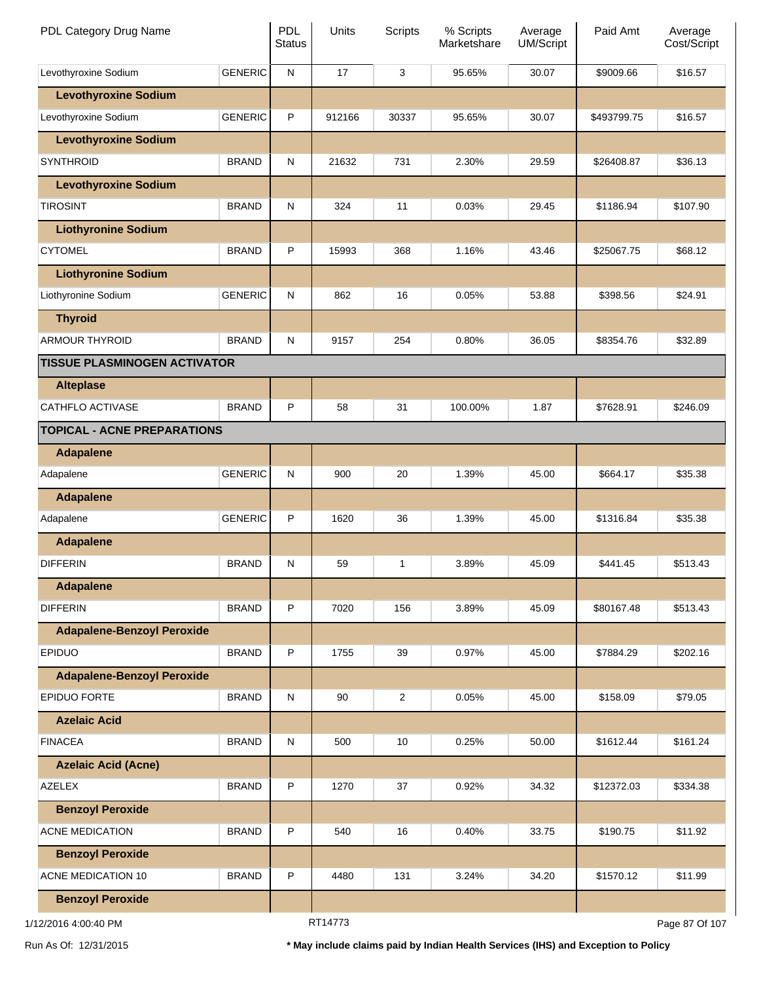| PDL Category Drug Name              |                | <b>PDL</b><br><b>Status</b> | Units   | <b>Scripts</b> | % Scripts<br>Marketshare | Average<br>UM/Script | Paid Amt    | Average<br>Cost/Script |
|-------------------------------------|----------------|-----------------------------|---------|----------------|--------------------------|----------------------|-------------|------------------------|
| Levothyroxine Sodium                | <b>GENERIC</b> | ${\sf N}$                   | 17      | 3              | 95.65%                   | 30.07                | \$9009.66   | \$16.57                |
| <b>Levothyroxine Sodium</b>         |                |                             |         |                |                          |                      |             |                        |
| Levothyroxine Sodium                | <b>GENERIC</b> | P                           | 912166  | 30337          | 95.65%                   | 30.07                | \$493799.75 | \$16.57                |
| <b>Levothyroxine Sodium</b>         |                |                             |         |                |                          |                      |             |                        |
| <b>SYNTHROID</b>                    | <b>BRAND</b>   | ${\sf N}$                   | 21632   | 731            | 2.30%                    | 29.59                | \$26408.87  | \$36.13                |
| <b>Levothyroxine Sodium</b>         |                |                             |         |                |                          |                      |             |                        |
| <b>TIROSINT</b>                     | <b>BRAND</b>   | ${\sf N}$                   | 324     | 11             | 0.03%                    | 29.45                | \$1186.94   | \$107.90               |
| <b>Liothyronine Sodium</b>          |                |                             |         |                |                          |                      |             |                        |
| <b>CYTOMEL</b>                      | <b>BRAND</b>   | P                           | 15993   | 368            | 1.16%                    | 43.46                | \$25067.75  | \$68.12                |
| <b>Liothyronine Sodium</b>          |                |                             |         |                |                          |                      |             |                        |
| Liothyronine Sodium                 | <b>GENERIC</b> | ${\sf N}$                   | 862     | 16             | 0.05%                    | 53.88                | \$398.56    | \$24.91                |
| <b>Thyroid</b>                      |                |                             |         |                |                          |                      |             |                        |
| <b>ARMOUR THYROID</b>               | <b>BRAND</b>   | ${\sf N}$                   | 9157    | 254            | 0.80%                    | 36.05                | \$8354.76   | \$32.89                |
| <b>TISSUE PLASMINOGEN ACTIVATOR</b> |                |                             |         |                |                          |                      |             |                        |
| <b>Alteplase</b>                    |                |                             |         |                |                          |                      |             |                        |
| CATHFLO ACTIVASE                    | <b>BRAND</b>   | P                           | 58      | 31             | 100.00%                  | 1.87                 | \$7628.91   | \$246.09               |
| <b>TOPICAL - ACNE PREPARATIONS</b>  |                |                             |         |                |                          |                      |             |                        |
| <b>Adapalene</b>                    |                |                             |         |                |                          |                      |             |                        |
| Adapalene                           | <b>GENERIC</b> | ${\sf N}$                   | 900     | 20             | 1.39%                    | 45.00                | \$664.17    | \$35.38                |
| <b>Adapalene</b>                    |                |                             |         |                |                          |                      |             |                        |
| Adapalene                           | <b>GENERIC</b> | P                           | 1620    | 36             | 1.39%                    | 45.00                | \$1316.84   | \$35.38                |
| <b>Adapalene</b>                    |                |                             |         |                |                          |                      |             |                        |
| <b>DIFFERIN</b>                     | <b>BRAND</b>   | N                           | 59      | 1              | 3.89%                    | 45.09                | \$441.45    | \$513.43               |
| <b>Adapalene</b>                    |                |                             |         |                |                          |                      |             |                        |
| <b>DIFFERIN</b>                     | <b>BRAND</b>   | P                           | 7020    | 156            | 3.89%                    | 45.09                | \$80167.48  | \$513.43               |
| <b>Adapalene-Benzoyl Peroxide</b>   |                |                             |         |                |                          |                      |             |                        |
| EPIDUO                              | <b>BRAND</b>   | P                           | 1755    | 39             | 0.97%                    | 45.00                | \$7884.29   | \$202.16               |
| <b>Adapalene-Benzoyl Peroxide</b>   |                |                             |         |                |                          |                      |             |                        |
| <b>EPIDUO FORTE</b>                 | <b>BRAND</b>   | N                           | 90      | $\overline{c}$ | 0.05%                    | 45.00                | \$158.09    | \$79.05                |
| <b>Azelaic Acid</b>                 |                |                             |         |                |                          |                      |             |                        |
| <b>FINACEA</b>                      | <b>BRAND</b>   | N                           | 500     | 10             | 0.25%                    | 50.00                | \$1612.44   | \$161.24               |
| <b>Azelaic Acid (Acne)</b>          |                |                             |         |                |                          |                      |             |                        |
| <b>AZELEX</b>                       | <b>BRAND</b>   | P                           | 1270    | 37             | 0.92%                    | 34.32                | \$12372.03  | \$334.38               |
| <b>Benzoyl Peroxide</b>             |                |                             |         |                |                          |                      |             |                        |
| <b>ACNE MEDICATION</b>              | <b>BRAND</b>   | P                           | 540     | 16             | 0.40%                    | 33.75                | \$190.75    | \$11.92                |
| <b>Benzoyl Peroxide</b>             |                |                             |         |                |                          |                      |             |                        |
| ACNE MEDICATION 10                  | <b>BRAND</b>   | P                           | 4480    | 131            | 3.24%                    | 34.20                | \$1570.12   | \$11.99                |
| <b>Benzoyl Peroxide</b>             |                |                             |         |                |                          |                      |             |                        |
| 1/12/2016 4:00:40 PM                |                |                             | RT14773 |                |                          |                      |             | Page 87 Of 107         |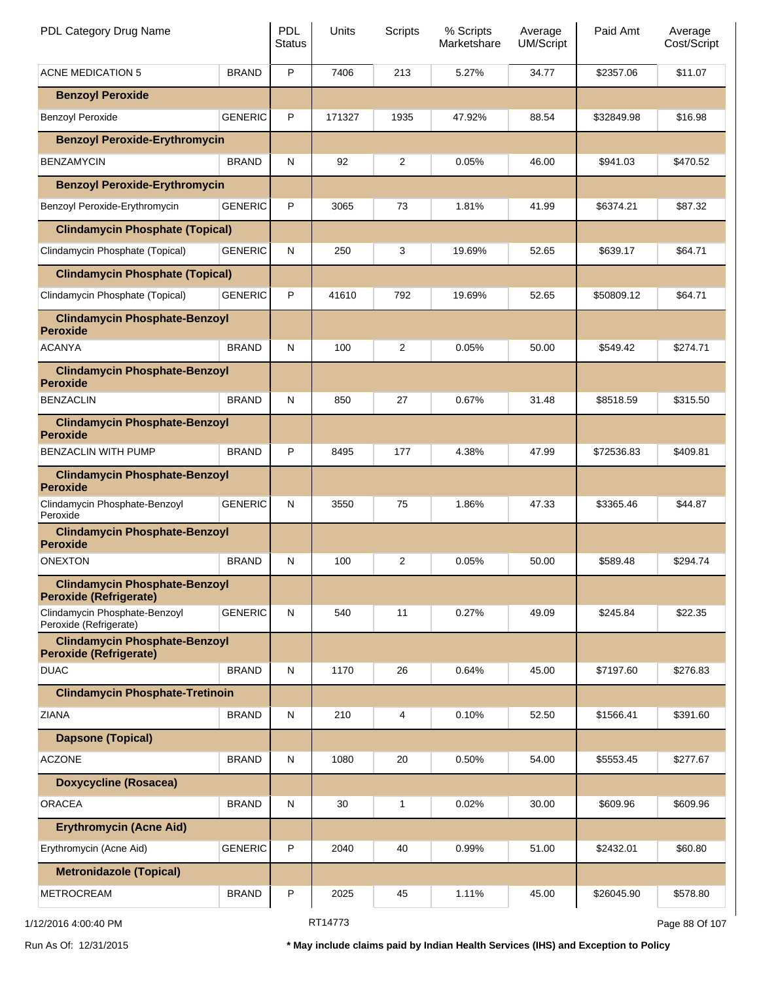| PDL Category Drug Name                                                |                | <b>PDL</b><br><b>Status</b> | <b>Units</b> | <b>Scripts</b> | % Scripts<br>Marketshare | Average<br><b>UM/Script</b> | Paid Amt   | Average<br>Cost/Script |
|-----------------------------------------------------------------------|----------------|-----------------------------|--------------|----------------|--------------------------|-----------------------------|------------|------------------------|
| <b>ACNE MEDICATION 5</b>                                              | <b>BRAND</b>   | P                           | 7406         | 213            | 5.27%                    | 34.77                       | \$2357.06  | \$11.07                |
| <b>Benzoyl Peroxide</b>                                               |                |                             |              |                |                          |                             |            |                        |
| <b>Benzoyl Peroxide</b>                                               | <b>GENERIC</b> | P                           | 171327       | 1935           | 47.92%                   | 88.54                       | \$32849.98 | \$16.98                |
| <b>Benzoyl Peroxide-Erythromycin</b>                                  |                |                             |              |                |                          |                             |            |                        |
| <b>BENZAMYCIN</b>                                                     | <b>BRAND</b>   | N                           | 92           | 2              | 0.05%                    | 46.00                       | \$941.03   | \$470.52               |
| <b>Benzoyl Peroxide-Erythromycin</b>                                  |                |                             |              |                |                          |                             |            |                        |
| Benzoyl Peroxide-Erythromycin                                         | <b>GENERIC</b> | P                           | 3065         | 73             | 1.81%                    | 41.99                       | \$6374.21  | \$87.32                |
| <b>Clindamycin Phosphate (Topical)</b>                                |                |                             |              |                |                          |                             |            |                        |
| Clindamycin Phosphate (Topical)                                       | <b>GENERIC</b> | N                           | 250          | 3              | 19.69%                   | 52.65                       | \$639.17   | \$64.71                |
| <b>Clindamycin Phosphate (Topical)</b>                                |                |                             |              |                |                          |                             |            |                        |
| Clindamycin Phosphate (Topical)                                       | <b>GENERIC</b> | P                           | 41610        | 792            | 19.69%                   | 52.65                       | \$50809.12 | \$64.71                |
| <b>Clindamycin Phosphate-Benzoyl</b><br><b>Peroxide</b>               |                |                             |              |                |                          |                             |            |                        |
| <b>ACANYA</b>                                                         | <b>BRAND</b>   | N                           | 100          | 2              | 0.05%                    | 50.00                       | \$549.42   | \$274.71               |
| <b>Clindamycin Phosphate-Benzoyl</b><br><b>Peroxide</b>               |                |                             |              |                |                          |                             |            |                        |
| <b>BENZACLIN</b>                                                      | <b>BRAND</b>   | N                           | 850          | 27             | 0.67%                    | 31.48                       | \$8518.59  | \$315.50               |
| <b>Clindamycin Phosphate-Benzoyl</b><br><b>Peroxide</b>               |                |                             |              |                |                          |                             |            |                        |
| BENZACLIN WITH PUMP                                                   | <b>BRAND</b>   | P                           | 8495         | 177            | 4.38%                    | 47.99                       | \$72536.83 | \$409.81               |
| <b>Clindamycin Phosphate-Benzoyl</b><br><b>Peroxide</b>               |                |                             |              |                |                          |                             |            |                        |
| Clindamycin Phosphate-Benzoyl<br>Peroxide                             | <b>GENERIC</b> | ${\sf N}$                   | 3550         | 75             | 1.86%                    | 47.33                       | \$3365.46  | \$44.87                |
| <b>Clindamycin Phosphate-Benzoyl</b><br><b>Peroxide</b>               |                |                             |              |                |                          |                             |            |                        |
| ONEXTON                                                               | <b>BRAND</b>   | N                           | 100          | 2              | 0.05%                    | 50.00                       | \$589.48   | \$294.74               |
| <b>Clindamycin Phosphate-Benzoyl</b><br><b>Peroxide (Refrigerate)</b> |                |                             |              |                |                          |                             |            |                        |
| Clindamycin Phosphate-Benzoyl<br>Peroxide (Refrigerate)               | <b>GENERIC</b> | N                           | 540          | 11             | 0.27%                    | 49.09                       | \$245.84   | \$22.35                |
| <b>Clindamycin Phosphate-Benzoyl</b><br><b>Peroxide (Refrigerate)</b> |                |                             |              |                |                          |                             |            |                        |
| <b>DUAC</b>                                                           | <b>BRAND</b>   | N                           | 1170         | 26             | 0.64%                    | 45.00                       | \$7197.60  | \$276.83               |
| <b>Clindamycin Phosphate-Tretinoin</b>                                |                |                             |              |                |                          |                             |            |                        |
| <b>ZIANA</b>                                                          | <b>BRAND</b>   | ${\sf N}$                   | 210          | 4              | 0.10%                    | 52.50                       | \$1566.41  | \$391.60               |
| <b>Dapsone (Topical)</b>                                              |                |                             |              |                |                          |                             |            |                        |
| <b>ACZONE</b>                                                         | <b>BRAND</b>   | ${\sf N}$                   | 1080         | 20             | 0.50%                    | 54.00                       | \$5553.45  | \$277.67               |
| <b>Doxycycline (Rosacea)</b>                                          |                |                             |              |                |                          |                             |            |                        |
| <b>ORACEA</b>                                                         | <b>BRAND</b>   | ${\sf N}$                   | 30           | 1              | 0.02%                    | 30.00                       | \$609.96   | \$609.96               |
| <b>Erythromycin (Acne Aid)</b>                                        |                |                             |              |                |                          |                             |            |                        |
| Erythromycin (Acne Aid)                                               | <b>GENERIC</b> |                             | 2040         | 40             | 0.99%                    | 51.00                       | \$2432.01  | \$60.80                |
| <b>Metronidazole (Topical)</b>                                        |                |                             |              |                |                          |                             |            |                        |
| <b>METROCREAM</b>                                                     | <b>BRAND</b>   | P                           | 2025         | 45             | 1.11%                    | 45.00                       | \$26045.90 | \$578.80               |
| 1/12/2016 4:00:40 PM                                                  |                |                             | RT14773      |                |                          |                             |            | Page 88 Of 107         |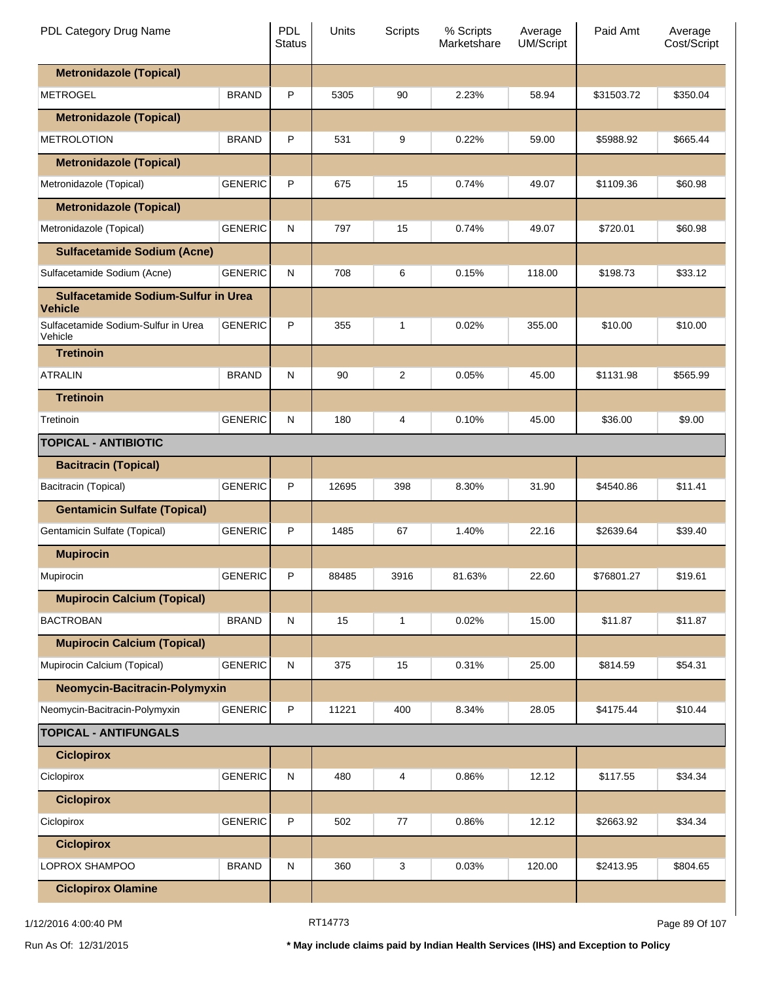| PDL Category Drug Name                                |                | <b>PDL</b><br><b>Status</b> | Units | Scripts | % Scripts<br>Marketshare | Average<br><b>UM/Script</b> | Paid Amt   | Average<br>Cost/Script |
|-------------------------------------------------------|----------------|-----------------------------|-------|---------|--------------------------|-----------------------------|------------|------------------------|
| <b>Metronidazole (Topical)</b>                        |                |                             |       |         |                          |                             |            |                        |
| <b>METROGEL</b>                                       | <b>BRAND</b>   | P                           | 5305  | 90      | 2.23%                    | 58.94                       | \$31503.72 | \$350.04               |
| <b>Metronidazole (Topical)</b>                        |                |                             |       |         |                          |                             |            |                        |
| <b>METROLOTION</b>                                    | <b>BRAND</b>   | P                           | 531   | 9       | 0.22%                    | 59.00                       | \$5988.92  | \$665.44               |
| <b>Metronidazole (Topical)</b>                        |                |                             |       |         |                          |                             |            |                        |
| Metronidazole (Topical)                               | <b>GENERIC</b> | P                           | 675   | 15      | 0.74%                    | 49.07                       | \$1109.36  | \$60.98                |
| <b>Metronidazole (Topical)</b>                        |                |                             |       |         |                          |                             |            |                        |
| Metronidazole (Topical)                               | <b>GENERIC</b> | N                           | 797   | 15      | 0.74%                    | 49.07                       | \$720.01   | \$60.98                |
| <b>Sulfacetamide Sodium (Acne)</b>                    |                |                             |       |         |                          |                             |            |                        |
| Sulfacetamide Sodium (Acne)                           | <b>GENERIC</b> | N                           | 708   | 6       | 0.15%                    | 118.00                      | \$198.73   | \$33.12                |
| Sulfacetamide Sodium-Sulfur in Urea<br><b>Vehicle</b> |                |                             |       |         |                          |                             |            |                        |
| Sulfacetamide Sodium-Sulfur in Urea<br>Vehicle        | <b>GENERIC</b> | P                           | 355   | 1       | 0.02%                    | 355.00                      | \$10.00    | \$10.00                |
| <b>Tretinoin</b>                                      |                |                             |       |         |                          |                             |            |                        |
| <b>ATRALIN</b>                                        | <b>BRAND</b>   | N                           | 90    | 2       | 0.05%                    | 45.00                       | \$1131.98  | \$565.99               |
| <b>Tretinoin</b>                                      |                |                             |       |         |                          |                             |            |                        |
| Tretinoin                                             | <b>GENERIC</b> | N                           | 180   | 4       | 0.10%                    | 45.00                       | \$36.00    | \$9.00                 |
| <b>TOPICAL - ANTIBIOTIC</b>                           |                |                             |       |         |                          |                             |            |                        |
| <b>Bacitracin (Topical)</b>                           |                |                             |       |         |                          |                             |            |                        |
| Bacitracin (Topical)                                  | <b>GENERIC</b> | P                           | 12695 | 398     | 8.30%                    | 31.90                       | \$4540.86  | \$11.41                |
| <b>Gentamicin Sulfate (Topical)</b>                   |                |                             |       |         |                          |                             |            |                        |
| Gentamicin Sulfate (Topical)                          | <b>GENERIC</b> | P                           | 1485  | 67      | 1.40%                    | 22.16                       | \$2639.64  | \$39.40                |
| <b>Mupirocin</b>                                      |                |                             |       |         |                          |                             |            |                        |
| Mupirocin                                             | GENERIC        | P                           | 88485 | 3916    | 81.63%                   | 22.60                       | \$76801.27 | \$19.61                |
| <b>Mupirocin Calcium (Topical)</b>                    |                |                             |       |         |                          |                             |            |                        |
| <b>BACTROBAN</b>                                      | <b>BRAND</b>   | N                           | 15    | 1       | 0.02%                    | 15.00                       | \$11.87    | \$11.87                |
| <b>Mupirocin Calcium (Topical)</b>                    |                |                             |       |         |                          |                             |            |                        |
| Mupirocin Calcium (Topical)                           | <b>GENERIC</b> | $\mathsf{N}$                | 375   | 15      | 0.31%                    | 25.00                       | \$814.59   | \$54.31                |
| Neomycin-Bacitracin-Polymyxin                         |                |                             |       |         |                          |                             |            |                        |
| Neomycin-Bacitracin-Polymyxin                         | <b>GENERIC</b> | P                           | 11221 | 400     | 8.34%                    | 28.05                       | \$4175.44  | \$10.44                |
| <b>TOPICAL - ANTIFUNGALS</b>                          |                |                             |       |         |                          |                             |            |                        |
| <b>Ciclopirox</b>                                     |                |                             |       |         |                          |                             |            |                        |
| Ciclopirox                                            | <b>GENERIC</b> | ${\sf N}$                   | 480   | 4       | 0.86%                    | 12.12                       | \$117.55   | \$34.34                |
| <b>Ciclopirox</b>                                     |                |                             |       |         |                          |                             |            |                        |
| Ciclopirox                                            | <b>GENERIC</b> | P                           | 502   | 77      | 0.86%                    | 12.12                       | \$2663.92  | \$34.34                |
| <b>Ciclopirox</b>                                     |                |                             |       |         |                          |                             |            |                        |
| LOPROX SHAMPOO                                        | <b>BRAND</b>   | N                           | 360   | 3       | 0.03%                    | 120.00                      | \$2413.95  | \$804.65               |
| <b>Ciclopirox Olamine</b>                             |                |                             |       |         |                          |                             |            |                        |

1/12/2016 4:00:40 PM **RT14773** RT14773 **Page 89 Of 107**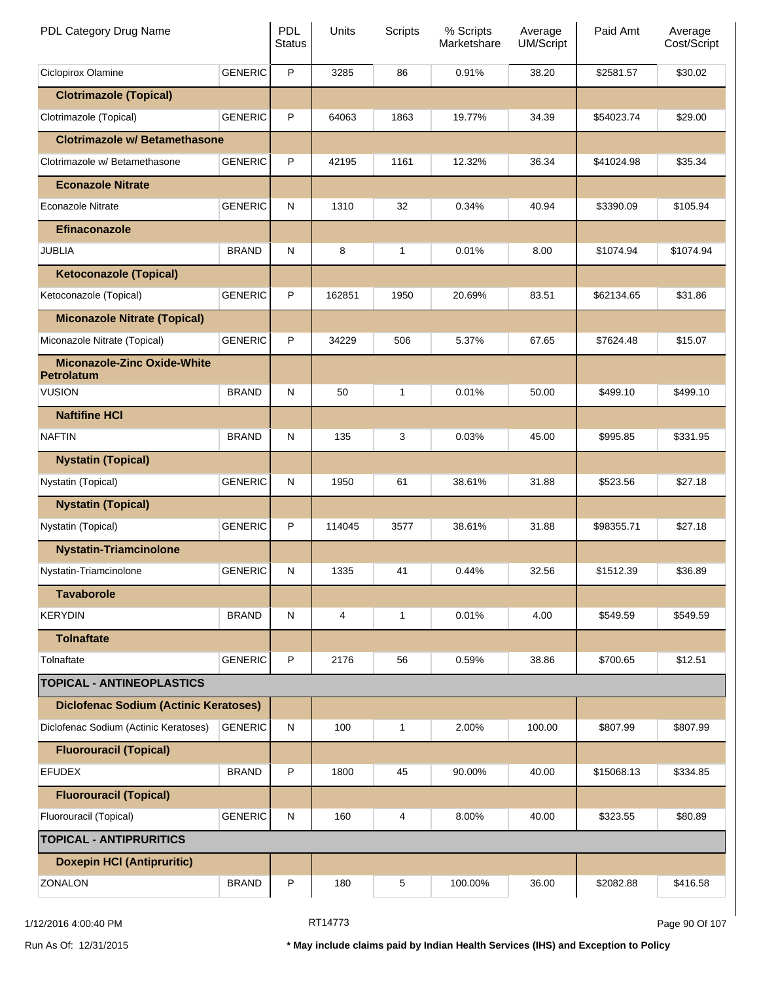| PDL Category Drug Name                           |                | PDL<br><b>Status</b> | Units  | Scripts      | % Scripts<br>Marketshare | Average<br><b>UM/Script</b> | Paid Amt   | Average<br>Cost/Script |
|--------------------------------------------------|----------------|----------------------|--------|--------------|--------------------------|-----------------------------|------------|------------------------|
| Ciclopirox Olamine                               | <b>GENERIC</b> | P                    | 3285   | 86           | 0.91%                    | 38.20                       | \$2581.57  | \$30.02                |
| <b>Clotrimazole (Topical)</b>                    |                |                      |        |              |                          |                             |            |                        |
| Clotrimazole (Topical)                           | <b>GENERIC</b> | P                    | 64063  | 1863         | 19.77%                   | 34.39                       | \$54023.74 | \$29.00                |
| <b>Clotrimazole w/ Betamethasone</b>             |                |                      |        |              |                          |                             |            |                        |
| Clotrimazole w/ Betamethasone                    | <b>GENERIC</b> | P                    | 42195  | 1161         | 12.32%                   | 36.34                       | \$41024.98 | \$35.34                |
| <b>Econazole Nitrate</b>                         |                |                      |        |              |                          |                             |            |                        |
| <b>Econazole Nitrate</b>                         | <b>GENERIC</b> | N                    | 1310   | 32           | 0.34%                    | 40.94                       | \$3390.09  | \$105.94               |
| <b>Efinaconazole</b>                             |                |                      |        |              |                          |                             |            |                        |
| <b>JUBLIA</b>                                    | <b>BRAND</b>   | N                    | 8      | $\mathbf{1}$ | 0.01%                    | 8.00                        | \$1074.94  | \$1074.94              |
| <b>Ketoconazole (Topical)</b>                    |                |                      |        |              |                          |                             |            |                        |
| Ketoconazole (Topical)                           | <b>GENERIC</b> | P                    | 162851 | 1950         | 20.69%                   | 83.51                       | \$62134.65 | \$31.86                |
| <b>Miconazole Nitrate (Topical)</b>              |                |                      |        |              |                          |                             |            |                        |
| Miconazole Nitrate (Topical)                     | <b>GENERIC</b> | P                    | 34229  | 506          | 5.37%                    | 67.65                       | \$7624.48  | \$15.07                |
| <b>Miconazole-Zinc Oxide-White</b><br>Petrolatum |                |                      |        |              |                          |                             |            |                        |
| <b>VUSION</b>                                    | <b>BRAND</b>   | N                    | 50     | $\mathbf{1}$ | 0.01%                    | 50.00                       | \$499.10   | \$499.10               |
| <b>Naftifine HCI</b>                             |                |                      |        |              |                          |                             |            |                        |
| <b>NAFTIN</b>                                    | <b>BRAND</b>   | N                    | 135    | 3            | 0.03%                    | 45.00                       | \$995.85   | \$331.95               |
| <b>Nystatin (Topical)</b>                        |                |                      |        |              |                          |                             |            |                        |
| Nystatin (Topical)                               | <b>GENERIC</b> | N                    | 1950   | 61           | 38.61%                   | 31.88                       | \$523.56   | \$27.18                |
| <b>Nystatin (Topical)</b>                        |                |                      |        |              |                          |                             |            |                        |
| Nystatin (Topical)                               | <b>GENERIC</b> | P                    | 114045 | 3577         | 38.61%                   | 31.88                       | \$98355.71 | \$27.18                |
| <b>Nystatin-Triamcinolone</b>                    |                |                      |        |              |                          |                             |            |                        |
| Nystatin-Triamcinolone                           | <b>GENERIC</b> | N                    | 1335   | 41           | 0.44%                    | 32.56                       | \$1512.39  | \$36.89                |
| <b>Tavaborole</b>                                |                |                      |        |              |                          |                             |            |                        |
| <b>KERYDIN</b>                                   | <b>BRAND</b>   | N                    | 4      | $\mathbf{1}$ | 0.01%                    | 4.00                        | \$549.59   | \$549.59               |
| <b>Tolnaftate</b>                                |                |                      |        |              |                          |                             |            |                        |
| Tolnaftate                                       | <b>GENERIC</b> | P                    | 2176   | 56           | 0.59%                    | 38.86                       | \$700.65   | \$12.51                |
| <b>TOPICAL - ANTINEOPLASTICS</b>                 |                |                      |        |              |                          |                             |            |                        |
| <b>Diclofenac Sodium (Actinic Keratoses)</b>     |                |                      |        |              |                          |                             |            |                        |
| Diclofenac Sodium (Actinic Keratoses)            | <b>GENERIC</b> | N                    | 100    | $\mathbf{1}$ | 2.00%                    | 100.00                      | \$807.99   | \$807.99               |
| <b>Fluorouracil (Topical)</b>                    |                |                      |        |              |                          |                             |            |                        |
| <b>EFUDEX</b>                                    | <b>BRAND</b>   | P                    | 1800   | 45           | 90.00%                   | 40.00                       | \$15068.13 | \$334.85               |
| <b>Fluorouracil (Topical)</b>                    |                |                      |        |              |                          |                             |            |                        |
| Fluorouracil (Topical)                           | <b>GENERIC</b> | N                    | 160    | 4            | 8.00%                    | 40.00                       | \$323.55   | \$80.89                |
| <b>TOPICAL - ANTIPRURITICS</b>                   |                |                      |        |              |                          |                             |            |                        |
| <b>Doxepin HCI (Antipruritic)</b>                |                |                      |        |              |                          |                             |            |                        |
| ZONALON                                          | <b>BRAND</b>   | P                    | 180    | 5            | 100.00%                  | 36.00                       | \$2082.88  | \$416.58               |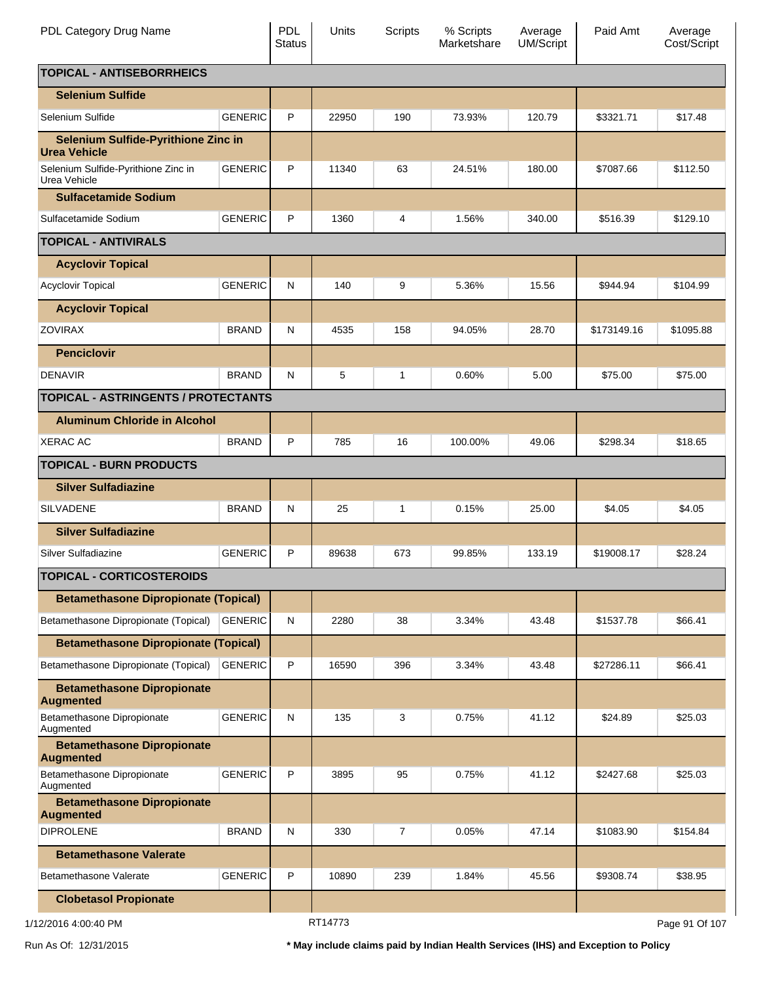| PDL Category Drug Name                                |                | <b>PDL</b><br><b>Status</b> | Units   | Scripts | % Scripts<br>Marketshare | Average<br><b>UM/Script</b> | Paid Amt    | Average<br>Cost/Script |
|-------------------------------------------------------|----------------|-----------------------------|---------|---------|--------------------------|-----------------------------|-------------|------------------------|
| <b>TOPICAL - ANTISEBORRHEICS</b>                      |                |                             |         |         |                          |                             |             |                        |
| <b>Selenium Sulfide</b>                               |                |                             |         |         |                          |                             |             |                        |
| Selenium Sulfide                                      | <b>GENERIC</b> | P                           | 22950   | 190     | 73.93%                   | 120.79                      | \$3321.71   | \$17.48                |
| Selenium Sulfide-Pyrithione Zinc in<br>Urea Vehicle   |                |                             |         |         |                          |                             |             |                        |
| Selenium Sulfide-Pyrithione Zinc in<br>Urea Vehicle   | <b>GENERIC</b> | P                           | 11340   | 63      | 24.51%                   | 180.00                      | \$7087.66   | \$112.50               |
| <b>Sulfacetamide Sodium</b>                           |                |                             |         |         |                          |                             |             |                        |
| Sulfacetamide Sodium                                  | <b>GENERIC</b> | P                           | 1360    | 4       | 1.56%                    | 340.00                      | \$516.39    | \$129.10               |
| <b>TOPICAL - ANTIVIRALS</b>                           |                |                             |         |         |                          |                             |             |                        |
| <b>Acyclovir Topical</b>                              |                |                             |         |         |                          |                             |             |                        |
| <b>Acyclovir Topical</b>                              | <b>GENERIC</b> | N                           | 140     | 9       | 5.36%                    | 15.56                       | \$944.94    | \$104.99               |
| <b>Acyclovir Topical</b>                              |                |                             |         |         |                          |                             |             |                        |
| <b>ZOVIRAX</b>                                        | <b>BRAND</b>   | N                           | 4535    | 158     | 94.05%                   | 28.70                       | \$173149.16 | \$1095.88              |
| <b>Penciclovir</b>                                    |                |                             |         |         |                          |                             |             |                        |
| <b>DENAVIR</b>                                        | <b>BRAND</b>   | N                           | 5       | 1       | 0.60%                    | 5.00                        | \$75.00     | \$75.00                |
| <b>TOPICAL - ASTRINGENTS / PROTECTANTS</b>            |                |                             |         |         |                          |                             |             |                        |
| <b>Aluminum Chloride in Alcohol</b>                   |                |                             |         |         |                          |                             |             |                        |
| <b>XERAC AC</b>                                       | <b>BRAND</b>   | P                           | 785     | 16      | 100.00%                  | 49.06                       | \$298.34    | \$18.65                |
| <b>TOPICAL - BURN PRODUCTS</b>                        |                |                             |         |         |                          |                             |             |                        |
| <b>Silver Sulfadiazine</b>                            |                |                             |         |         |                          |                             |             |                        |
| <b>SILVADENE</b>                                      | <b>BRAND</b>   | N                           | 25      | 1       | 0.15%                    | 25.00                       | \$4.05      | \$4.05                 |
| <b>Silver Sulfadiazine</b>                            |                |                             |         |         |                          |                             |             |                        |
| Silver Sulfadiazine                                   | <b>GENERIC</b> | P                           | 89638   | 673     | 99.85%                   | 133.19                      | \$19008.17  | \$28.24                |
| <b>TOPICAL - CORTICOSTEROIDS</b>                      |                |                             |         |         |                          |                             |             |                        |
| <b>Betamethasone Dipropionate (Topical)</b>           |                |                             |         |         |                          |                             |             |                        |
| Betamethasone Dipropionate (Topical)                  | <b>GENERIC</b> | N                           | 2280    | 38      | 3.34%                    | 43.48                       | \$1537.78   | \$66.41                |
| <b>Betamethasone Dipropionate (Topical)</b>           |                |                             |         |         |                          |                             |             |                        |
| Betamethasone Dipropionate (Topical)                  | <b>GENERIC</b> | P                           | 16590   | 396     | 3.34%                    | 43.48                       | \$27286.11  | \$66.41                |
| <b>Betamethasone Dipropionate</b><br><b>Augmented</b> |                |                             |         |         |                          |                             |             |                        |
| Betamethasone Dipropionate<br>Augmented               | <b>GENERIC</b> | N                           | 135     | 3       | 0.75%                    | 41.12                       | \$24.89     | \$25.03                |
| <b>Betamethasone Dipropionate</b><br><b>Augmented</b> |                |                             |         |         |                          |                             |             |                        |
| Betamethasone Dipropionate<br>Augmented               | <b>GENERIC</b> | P                           | 3895    | 95      | 0.75%                    | 41.12                       | \$2427.68   | \$25.03                |
| <b>Betamethasone Dipropionate</b><br><b>Augmented</b> |                |                             |         |         |                          |                             |             |                        |
| <b>DIPROLENE</b>                                      | <b>BRAND</b>   | N                           | 330     | 7       | 0.05%                    | 47.14                       | \$1083.90   | \$154.84               |
| <b>Betamethasone Valerate</b>                         |                |                             |         |         |                          |                             |             |                        |
| Betamethasone Valerate                                | <b>GENERIC</b> | P                           | 10890   | 239     | 1.84%                    | 45.56                       | \$9308.74   | \$38.95                |
| <b>Clobetasol Propionate</b>                          |                |                             |         |         |                          |                             |             |                        |
| 1/12/2016 4:00:40 PM                                  |                |                             | RT14773 |         |                          |                             |             | Page 91 Of 107         |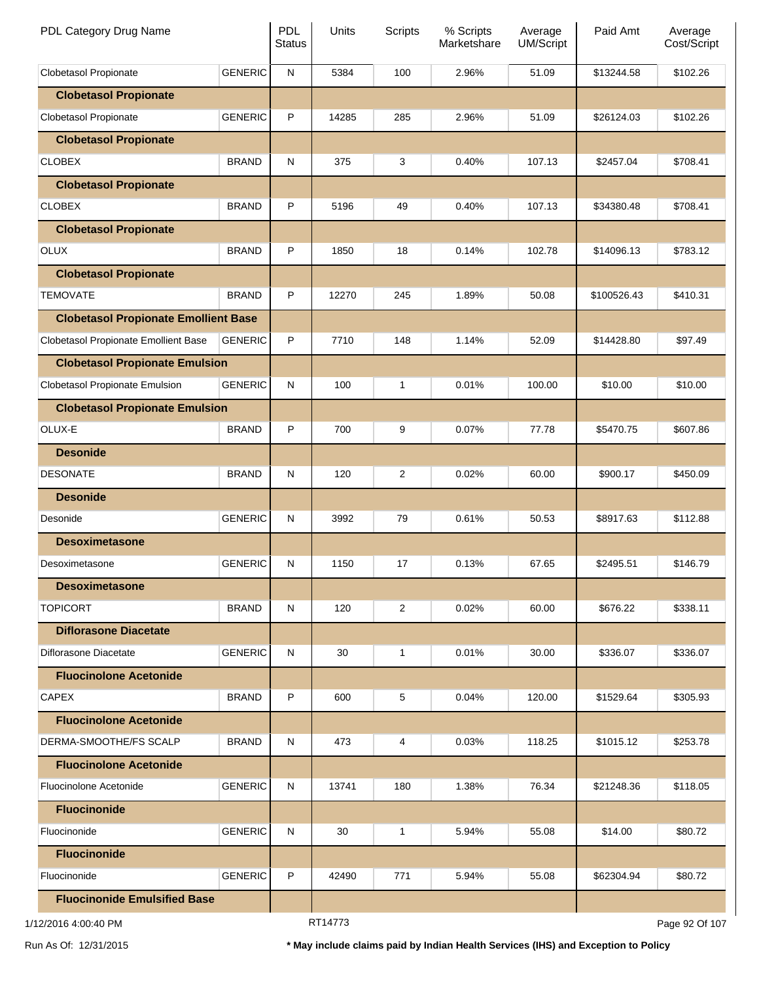| PDL Category Drug Name                      |                | <b>PDL</b><br><b>Status</b> | Units          | Scripts        | % Scripts<br>Marketshare | Average<br><b>UM/Script</b> | Paid Amt    | Average<br>Cost/Script |
|---------------------------------------------|----------------|-----------------------------|----------------|----------------|--------------------------|-----------------------------|-------------|------------------------|
| Clobetasol Propionate                       | <b>GENERIC</b> | ${\sf N}$                   | 5384           | 100            | 2.96%                    | 51.09                       | \$13244.58  | \$102.26               |
| <b>Clobetasol Propionate</b>                |                |                             |                |                |                          |                             |             |                        |
| Clobetasol Propionate                       | <b>GENERIC</b> | P                           | 14285          | 285            | 2.96%                    | 51.09                       | \$26124.03  | \$102.26               |
| <b>Clobetasol Propionate</b>                |                |                             |                |                |                          |                             |             |                        |
| <b>CLOBEX</b>                               | <b>BRAND</b>   | N                           | 375            | 3              | 0.40%                    | 107.13                      | \$2457.04   | \$708.41               |
| <b>Clobetasol Propionate</b>                |                |                             |                |                |                          |                             |             |                        |
| <b>CLOBEX</b>                               | <b>BRAND</b>   | P                           | 5196           | 49             | 0.40%                    | 107.13                      | \$34380.48  | \$708.41               |
| <b>Clobetasol Propionate</b>                |                |                             |                |                |                          |                             |             |                        |
| <b>OLUX</b>                                 | <b>BRAND</b>   | P                           | 1850           | 18             | 0.14%                    | 102.78                      | \$14096.13  | \$783.12               |
| <b>Clobetasol Propionate</b>                |                |                             |                |                |                          |                             |             |                        |
| <b>TEMOVATE</b>                             | <b>BRAND</b>   | P                           | 12270          | 245            | 1.89%                    | 50.08                       | \$100526.43 | \$410.31               |
| <b>Clobetasol Propionate Emollient Base</b> |                |                             |                |                |                          |                             |             |                        |
| Clobetasol Propionate Emollient Base        | <b>GENERIC</b> | P                           | 7710           | 148            | 1.14%                    | 52.09                       | \$14428.80  | \$97.49                |
| <b>Clobetasol Propionate Emulsion</b>       |                |                             |                |                |                          |                             |             |                        |
| Clobetasol Propionate Emulsion              | <b>GENERIC</b> | N                           | 100            | 1              | 0.01%                    | 100.00                      | \$10.00     | \$10.00                |
| <b>Clobetasol Propionate Emulsion</b>       |                |                             |                |                |                          |                             |             |                        |
| OLUX-E                                      | <b>BRAND</b>   | P                           | 700            | 9              | 0.07%                    | 77.78                       | \$5470.75   | \$607.86               |
| <b>Desonide</b>                             |                |                             |                |                |                          |                             |             |                        |
| <b>DESONATE</b>                             | <b>BRAND</b>   | N                           | 120            | $\overline{c}$ | 0.02%                    | 60.00                       | \$900.17    | \$450.09               |
| <b>Desonide</b>                             |                |                             |                |                |                          |                             |             |                        |
| Desonide                                    | <b>GENERIC</b> | N                           | 3992           | 79             | 0.61%                    | 50.53                       | \$8917.63   | \$112.88               |
| <b>Desoximetasone</b>                       |                |                             |                |                |                          |                             |             |                        |
| Desoximetasone                              | <b>GENERIC</b> | N                           | 1150           | 17             | 0.13%                    | 67.65                       | \$2495.51   | \$146.79               |
| <b>Desoximetasone</b>                       |                |                             |                |                |                          |                             |             |                        |
| <b>TOPICORT</b>                             | <b>BRAND</b>   | N                           | 120            | 2              | 0.02%                    | 60.00                       | \$676.22    | \$338.11               |
| <b>Diflorasone Diacetate</b>                |                |                             |                |                |                          |                             |             |                        |
| Diflorasone Diacetate                       | <b>GENERIC</b> | N                           | 30             | 1              | 0.01%                    | 30.00                       | \$336.07    | \$336.07               |
| <b>Fluocinolone Acetonide</b>               |                |                             |                |                |                          |                             |             |                        |
| <b>CAPEX</b>                                | <b>BRAND</b>   | P                           | 600            | 5              | 0.04%                    | 120.00                      | \$1529.64   | \$305.93               |
| <b>Fluocinolone Acetonide</b>               |                |                             |                |                |                          |                             |             |                        |
| DERMA-SMOOTHE/FS SCALP                      | <b>BRAND</b>   | N                           | 473            | 4              | 0.03%                    | 118.25                      | \$1015.12   | \$253.78               |
| <b>Fluocinolone Acetonide</b>               |                |                             |                |                |                          |                             |             |                        |
| Fluocinolone Acetonide                      | <b>GENERIC</b> | N                           | 13741          | 180            | 1.38%                    | 76.34                       | \$21248.36  | \$118.05               |
| <b>Fluocinonide</b>                         |                |                             |                |                |                          |                             |             |                        |
| Fluocinonide                                | <b>GENERIC</b> | N                           | 30             | 1              | 5.94%                    | 55.08                       | \$14.00     | \$80.72                |
| <b>Fluocinonide</b>                         |                |                             |                |                |                          |                             |             |                        |
| Fluocinonide                                | <b>GENERIC</b> | P                           | 42490          | 771            | 5.94%                    | 55.08                       | \$62304.94  | \$80.72                |
| <b>Fluocinonide Emulsified Base</b>         |                |                             |                |                |                          |                             |             |                        |
|                                             |                |                             | <b>DT44772</b> |                |                          |                             |             |                        |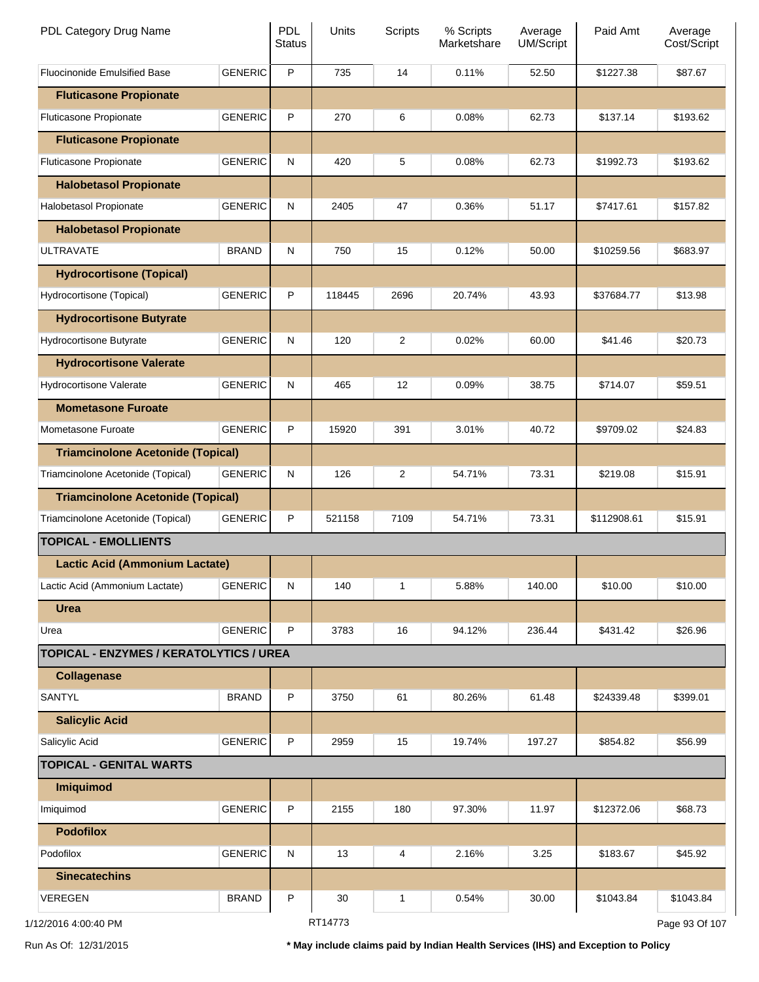| PDL Category Drug Name                   |                | <b>PDL</b><br><b>Status</b> | Units   | <b>Scripts</b> | % Scripts<br>Marketshare | Average<br><b>UM/Script</b> | Paid Amt    | Average<br>Cost/Script |
|------------------------------------------|----------------|-----------------------------|---------|----------------|--------------------------|-----------------------------|-------------|------------------------|
| <b>Fluocinonide Emulsified Base</b>      | <b>GENERIC</b> | P                           | 735     | 14             | 0.11%                    | 52.50                       | \$1227.38   | \$87.67                |
| <b>Fluticasone Propionate</b>            |                |                             |         |                |                          |                             |             |                        |
| Fluticasone Propionate                   | <b>GENERIC</b> | P                           | 270     | 6              | 0.08%                    | 62.73                       | \$137.14    | \$193.62               |
| <b>Fluticasone Propionate</b>            |                |                             |         |                |                          |                             |             |                        |
| Fluticasone Propionate                   | <b>GENERIC</b> | N                           | 420     | 5              | 0.08%                    | 62.73                       | \$1992.73   | \$193.62               |
| <b>Halobetasol Propionate</b>            |                |                             |         |                |                          |                             |             |                        |
| Halobetasol Propionate                   | <b>GENERIC</b> | N                           | 2405    | 47             | 0.36%                    | 51.17                       | \$7417.61   | \$157.82               |
| <b>Halobetasol Propionate</b>            |                |                             |         |                |                          |                             |             |                        |
| <b>ULTRAVATE</b>                         | <b>BRAND</b>   | N                           | 750     | 15             | 0.12%                    | 50.00                       | \$10259.56  | \$683.97               |
| <b>Hydrocortisone (Topical)</b>          |                |                             |         |                |                          |                             |             |                        |
| Hydrocortisone (Topical)                 | <b>GENERIC</b> | P                           | 118445  | 2696           | 20.74%                   | 43.93                       | \$37684.77  | \$13.98                |
| <b>Hydrocortisone Butyrate</b>           |                |                             |         |                |                          |                             |             |                        |
| Hydrocortisone Butyrate                  | <b>GENERIC</b> | N                           | 120     | 2              | 0.02%                    | 60.00                       | \$41.46     | \$20.73                |
| <b>Hydrocortisone Valerate</b>           |                |                             |         |                |                          |                             |             |                        |
| Hydrocortisone Valerate                  | <b>GENERIC</b> | N                           | 465     | 12             | 0.09%                    | 38.75                       | \$714.07    | \$59.51                |
| <b>Mometasone Furoate</b>                |                |                             |         |                |                          |                             |             |                        |
| Mometasone Furoate                       | <b>GENERIC</b> | P                           | 15920   | 391            | 3.01%                    | 40.72                       | \$9709.02   | \$24.83                |
| <b>Triamcinolone Acetonide (Topical)</b> |                |                             |         |                |                          |                             |             |                        |
| Triamcinolone Acetonide (Topical)        | <b>GENERIC</b> | N                           | 126     | 2              | 54.71%                   | 73.31                       | \$219.08    | \$15.91                |
| <b>Triamcinolone Acetonide (Topical)</b> |                |                             |         |                |                          |                             |             |                        |
| Triamcinolone Acetonide (Topical)        | <b>GENERIC</b> | P                           | 521158  | 7109           | 54.71%                   | 73.31                       | \$112908.61 | \$15.91                |
| <b>TOPICAL - EMOLLIENTS</b>              |                |                             |         |                |                          |                             |             |                        |
| <b>Lactic Acid (Ammonium Lactate)</b>    |                |                             |         |                |                          |                             |             |                        |
| Lactic Acid (Ammonium Lactate)           | <b>GENERIC</b> | ${\sf N}$                   | 140     | 1              | 5.88%                    | 140.00                      | \$10.00     | \$10.00                |
| <b>Urea</b>                              |                |                             |         |                |                          |                             |             |                        |
| Urea                                     | <b>GENERIC</b> | P                           | 3783    | 16             | 94.12%                   | 236.44                      | \$431.42    | \$26.96                |
| TOPICAL - ENZYMES / KERATOLYTICS / UREA  |                |                             |         |                |                          |                             |             |                        |
| <b>Collagenase</b>                       |                |                             |         |                |                          |                             |             |                        |
| <b>SANTYL</b>                            | <b>BRAND</b>   | P                           | 3750    | 61             | 80.26%                   | 61.48                       | \$24339.48  | \$399.01               |
| <b>Salicylic Acid</b>                    |                |                             |         |                |                          |                             |             |                        |
| Salicylic Acid                           | <b>GENERIC</b> | P                           | 2959    | 15             | 19.74%                   | 197.27                      | \$854.82    | \$56.99                |
| <b>TOPICAL - GENITAL WARTS</b>           |                |                             |         |                |                          |                             |             |                        |
| Imiquimod                                |                |                             |         |                |                          |                             |             |                        |
| Imiquimod                                | <b>GENERIC</b> | P                           | 2155    | 180            | 97.30%                   | 11.97                       | \$12372.06  | \$68.73                |
| <b>Podofilox</b>                         |                |                             |         |                |                          |                             |             |                        |
| Podofilox                                | <b>GENERIC</b> | ${\sf N}$                   | 13      | 4              | 2.16%                    | 3.25                        | \$183.67    | \$45.92                |
| <b>Sinecatechins</b>                     |                |                             |         |                |                          |                             |             |                        |
| VEREGEN                                  | <b>BRAND</b>   | P                           | 30      | 1              | 0.54%                    | 30.00                       | \$1043.84   | \$1043.84              |
| 1/12/2016 4:00:40 PM                     |                |                             | RT14773 |                |                          |                             |             | Page 93 Of 107         |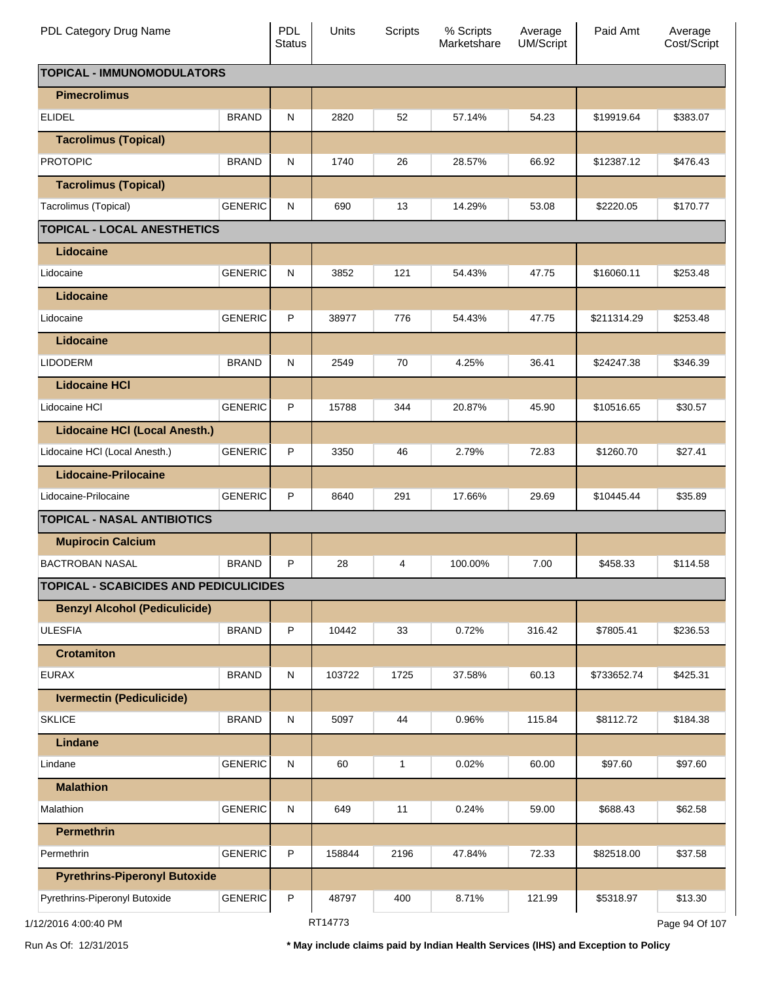| PDL Category Drug Name                        |                | <b>PDL</b><br><b>Status</b> | Units   | Scripts | % Scripts<br>Marketshare | Average<br><b>UM/Script</b> | Paid Amt    | Average<br>Cost/Script |
|-----------------------------------------------|----------------|-----------------------------|---------|---------|--------------------------|-----------------------------|-------------|------------------------|
| <b>TOPICAL - IMMUNOMODULATORS</b>             |                |                             |         |         |                          |                             |             |                        |
| <b>Pimecrolimus</b>                           |                |                             |         |         |                          |                             |             |                        |
| <b>ELIDEL</b>                                 | <b>BRAND</b>   | N                           | 2820    | 52      | 57.14%                   | 54.23                       | \$19919.64  | \$383.07               |
| <b>Tacrolimus (Topical)</b>                   |                |                             |         |         |                          |                             |             |                        |
| <b>PROTOPIC</b>                               | <b>BRAND</b>   | N                           | 1740    | 26      | 28.57%                   | 66.92                       | \$12387.12  | \$476.43               |
| <b>Tacrolimus (Topical)</b>                   |                |                             |         |         |                          |                             |             |                        |
| Tacrolimus (Topical)                          | <b>GENERIC</b> | N                           | 690     | 13      | 14.29%                   | 53.08                       | \$2220.05   | \$170.77               |
| <b>TOPICAL - LOCAL ANESTHETICS</b>            |                |                             |         |         |                          |                             |             |                        |
| Lidocaine                                     |                |                             |         |         |                          |                             |             |                        |
| Lidocaine                                     | <b>GENERIC</b> | N                           | 3852    | 121     | 54.43%                   | 47.75                       | \$16060.11  | \$253.48               |
| Lidocaine                                     |                |                             |         |         |                          |                             |             |                        |
| Lidocaine                                     | <b>GENERIC</b> | P                           | 38977   | 776     | 54.43%                   | 47.75                       | \$211314.29 | \$253.48               |
| Lidocaine                                     |                |                             |         |         |                          |                             |             |                        |
| <b>LIDODERM</b>                               | <b>BRAND</b>   | N                           | 2549    | 70      | 4.25%                    | 36.41                       | \$24247.38  | \$346.39               |
| <b>Lidocaine HCI</b>                          |                |                             |         |         |                          |                             |             |                        |
| Lidocaine HCI                                 | <b>GENERIC</b> | P                           | 15788   | 344     | 20.87%                   | 45.90                       | \$10516.65  | \$30.57                |
| <b>Lidocaine HCI (Local Anesth.)</b>          |                |                             |         |         |                          |                             |             |                        |
| Lidocaine HCI (Local Anesth.)                 | <b>GENERIC</b> | P                           | 3350    | 46      | 2.79%                    | 72.83                       | \$1260.70   | \$27.41                |
| <b>Lidocaine-Prilocaine</b>                   |                |                             |         |         |                          |                             |             |                        |
| Lidocaine-Prilocaine                          | <b>GENERIC</b> | P                           | 8640    | 291     | 17.66%                   | 29.69                       | \$10445.44  | \$35.89                |
| <b>TOPICAL - NASAL ANTIBIOTICS</b>            |                |                             |         |         |                          |                             |             |                        |
| <b>Mupirocin Calcium</b>                      |                |                             |         |         |                          |                             |             |                        |
| <b>BACTROBAN NASAL</b>                        | <b>BRAND</b>   | P                           | 28      | 4       | 100.00%                  | 7.00                        | \$458.33    | \$114.58               |
| <b>TOPICAL - SCABICIDES AND PEDICULICIDES</b> |                |                             |         |         |                          |                             |             |                        |
| <b>Benzyl Alcohol (Pediculicide)</b>          |                |                             |         |         |                          |                             |             |                        |
| <b>ULESFIA</b>                                | <b>BRAND</b>   | P                           | 10442   | 33      | 0.72%                    | 316.42                      | \$7805.41   | \$236.53               |
| <b>Crotamiton</b>                             |                |                             |         |         |                          |                             |             |                        |
| <b>EURAX</b>                                  | <b>BRAND</b>   | N                           | 103722  | 1725    | 37.58%                   | 60.13                       | \$733652.74 | \$425.31               |
| <b>Ivermectin (Pediculicide)</b>              |                |                             |         |         |                          |                             |             |                        |
| <b>SKLICE</b>                                 | <b>BRAND</b>   | N                           | 5097    | 44      | 0.96%                    | 115.84                      | \$8112.72   | \$184.38               |
| Lindane                                       |                |                             |         |         |                          |                             |             |                        |
| Lindane                                       | <b>GENERIC</b> | N                           | 60      | 1       | 0.02%                    | 60.00                       | \$97.60     | \$97.60                |
| <b>Malathion</b>                              |                |                             |         |         |                          |                             |             |                        |
| Malathion                                     | <b>GENERIC</b> | N                           | 649     | 11      | 0.24%                    | 59.00                       | \$688.43    | \$62.58                |
| <b>Permethrin</b>                             |                |                             |         |         |                          |                             |             |                        |
| Permethrin                                    | <b>GENERIC</b> | P                           | 158844  | 2196    | 47.84%                   | 72.33                       | \$82518.00  | \$37.58                |
| <b>Pyrethrins-Piperonyl Butoxide</b>          |                |                             |         |         |                          |                             |             |                        |
| Pyrethrins-Piperonyl Butoxide                 | <b>GENERIC</b> | $\sf P$                     | 48797   | 400     | 8.71%                    | 121.99                      | \$5318.97   | \$13.30                |
| 1/12/2016 4:00:40 PM                          |                |                             | RT14773 |         |                          |                             |             | Page 94 Of 107         |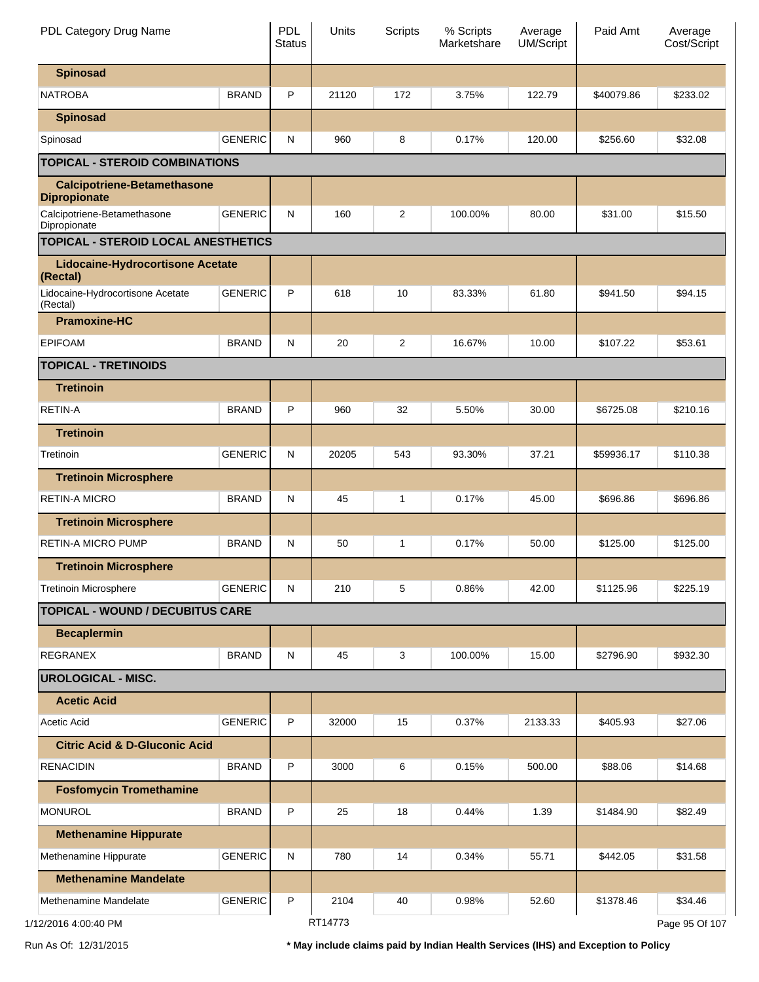| PDL Category Drug Name                                    |                | <b>PDL</b><br><b>Status</b> | Units   | <b>Scripts</b> | % Scripts<br>Marketshare | Average<br><b>UM/Script</b> | Paid Amt   | Average<br>Cost/Script |
|-----------------------------------------------------------|----------------|-----------------------------|---------|----------------|--------------------------|-----------------------------|------------|------------------------|
| <b>Spinosad</b>                                           |                |                             |         |                |                          |                             |            |                        |
| <b>NATROBA</b>                                            | <b>BRAND</b>   | P                           | 21120   | 172            | 3.75%                    | 122.79                      | \$40079.86 | \$233.02               |
| <b>Spinosad</b>                                           |                |                             |         |                |                          |                             |            |                        |
| Spinosad                                                  | <b>GENERIC</b> | N                           | 960     | 8              | 0.17%                    | 120.00                      | \$256.60   | \$32.08                |
| <b>TOPICAL - STEROID COMBINATIONS</b>                     |                |                             |         |                |                          |                             |            |                        |
| <b>Calcipotriene-Betamethasone</b><br><b>Dipropionate</b> |                |                             |         |                |                          |                             |            |                        |
| Calcipotriene-Betamethasone<br>Dipropionate               | <b>GENERIC</b> | N                           | 160     | $\overline{2}$ | 100.00%                  | 80.00                       | \$31.00    | \$15.50                |
| TOPICAL - STEROID LOCAL ANESTHETICS                       |                |                             |         |                |                          |                             |            |                        |
| <b>Lidocaine-Hydrocortisone Acetate</b><br>(Rectal)       |                |                             |         |                |                          |                             |            |                        |
| Lidocaine-Hydrocortisone Acetate<br>(Rectal)              | <b>GENERIC</b> | P                           | 618     | 10             | 83.33%                   | 61.80                       | \$941.50   | \$94.15                |
| <b>Pramoxine-HC</b>                                       |                |                             |         |                |                          |                             |            |                        |
| <b>EPIFOAM</b>                                            | <b>BRAND</b>   | N                           | 20      | $\overline{2}$ | 16.67%                   | 10.00                       | \$107.22   | \$53.61                |
| <b>TOPICAL - TRETINOIDS</b>                               |                |                             |         |                |                          |                             |            |                        |
| <b>Tretinoin</b>                                          |                |                             |         |                |                          |                             |            |                        |
| <b>RETIN-A</b>                                            | <b>BRAND</b>   | P                           | 960     | 32             | 5.50%                    | 30.00                       | \$6725.08  | \$210.16               |
| <b>Tretinoin</b>                                          |                |                             |         |                |                          |                             |            |                        |
| Tretinoin                                                 | <b>GENERIC</b> | N                           | 20205   | 543            | 93.30%                   | 37.21                       | \$59936.17 | \$110.38               |
| <b>Tretinoin Microsphere</b>                              |                |                             |         |                |                          |                             |            |                        |
| <b>RETIN-A MICRO</b>                                      | <b>BRAND</b>   | N                           | 45      | 1              | 0.17%                    | 45.00                       | \$696.86   | \$696.86               |
| <b>Tretinoin Microsphere</b>                              |                |                             |         |                |                          |                             |            |                        |
| <b>RETIN-A MICRO PUMP</b>                                 | <b>BRAND</b>   | N                           | 50      | 1              | 0.17%                    | 50.00                       | \$125.00   | \$125.00               |
| <b>Tretinoin Microsphere</b>                              |                |                             |         |                |                          |                             |            |                        |
| <b>Tretinoin Microsphere</b>                              | <b>GENERIC</b> | N                           | 210     | 5              | 0.86%                    | 42.00                       | \$1125.96  | \$225.19               |
| <b>TOPICAL - WOUND / DECUBITUS CARE</b>                   |                |                             |         |                |                          |                             |            |                        |
| <b>Becaplermin</b>                                        |                |                             |         |                |                          |                             |            |                        |
| <b>REGRANEX</b>                                           | <b>BRAND</b>   | N                           | 45      | 3              | 100.00%                  | 15.00                       | \$2796.90  | \$932.30               |
| <b>UROLOGICAL - MISC.</b>                                 |                |                             |         |                |                          |                             |            |                        |
| <b>Acetic Acid</b>                                        |                |                             |         |                |                          |                             |            |                        |
| Acetic Acid                                               | <b>GENERIC</b> | P                           | 32000   | 15             | 0.37%                    | 2133.33                     | \$405.93   | \$27.06                |
| <b>Citric Acid &amp; D-Gluconic Acid</b>                  |                |                             |         |                |                          |                             |            |                        |
| <b>RENACIDIN</b>                                          | <b>BRAND</b>   | P                           | 3000    | 6              | 0.15%                    | 500.00                      | \$88.06    | \$14.68                |
| <b>Fosfomycin Tromethamine</b>                            |                |                             |         |                |                          |                             |            |                        |
| <b>MONUROL</b>                                            | <b>BRAND</b>   | P                           | 25      | 18             | 0.44%                    | 1.39                        | \$1484.90  | \$82.49                |
| <b>Methenamine Hippurate</b>                              |                |                             |         |                |                          |                             |            |                        |
| Methenamine Hippurate                                     | <b>GENERIC</b> | N                           | 780     | 14             | 0.34%                    | 55.71                       | \$442.05   | \$31.58                |
| <b>Methenamine Mandelate</b>                              |                |                             |         |                |                          |                             |            |                        |
| Methenamine Mandelate                                     | <b>GENERIC</b> | P                           | 2104    | 40             | 0.98%                    | 52.60                       | \$1378.46  | \$34.46                |
| 1/12/2016 4:00:40 PM                                      |                |                             | RT14773 |                |                          |                             |            | Page 95 Of 107         |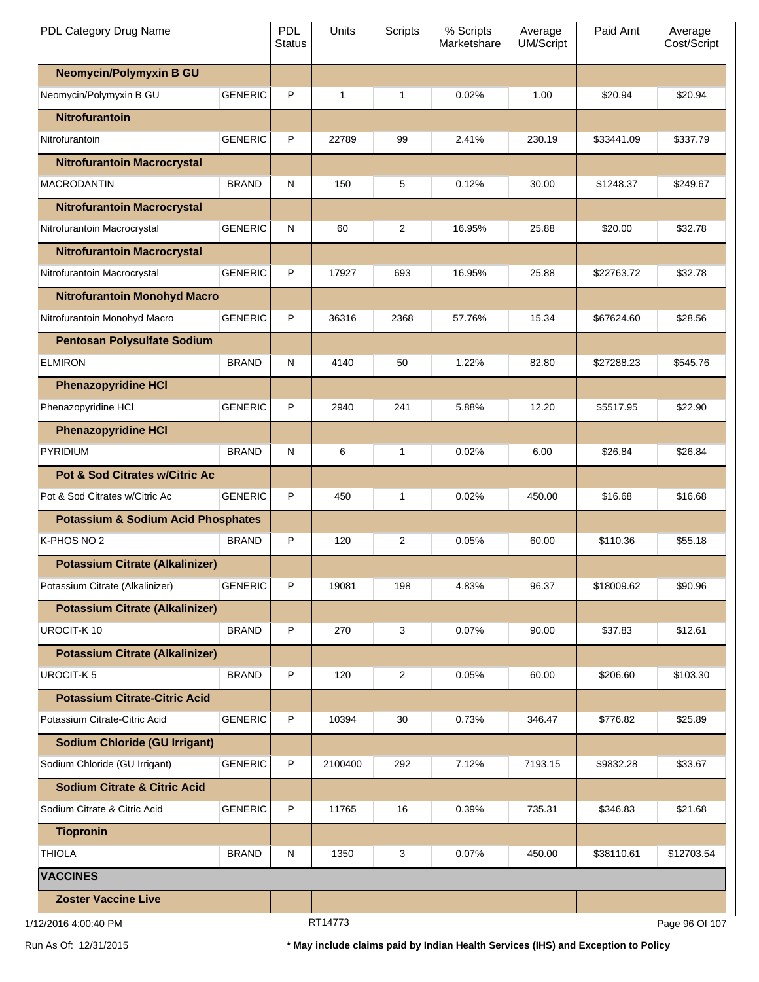| PDL Category Drug Name                        |                | <b>PDL</b><br><b>Status</b> | Units        | <b>Scripts</b> | % Scripts<br>Marketshare | Average<br><b>UM/Script</b> | Paid Amt       | Average<br>Cost/Script |
|-----------------------------------------------|----------------|-----------------------------|--------------|----------------|--------------------------|-----------------------------|----------------|------------------------|
| <b>Neomycin/Polymyxin B GU</b>                |                |                             |              |                |                          |                             |                |                        |
| Neomycin/Polymyxin B GU                       | <b>GENERIC</b> | P                           | $\mathbf{1}$ | 1              | 0.02%                    | 1.00                        | \$20.94        | \$20.94                |
| <b>Nitrofurantoin</b>                         |                |                             |              |                |                          |                             |                |                        |
| Nitrofurantoin                                | <b>GENERIC</b> | P                           | 22789        | 99             | 2.41%                    | 230.19                      | \$33441.09     | \$337.79               |
| <b>Nitrofurantoin Macrocrystal</b>            |                |                             |              |                |                          |                             |                |                        |
| <b>MACRODANTIN</b>                            | <b>BRAND</b>   | N                           | 150          | 5              | 0.12%                    | 30.00                       | \$1248.37      | \$249.67               |
| <b>Nitrofurantoin Macrocrystal</b>            |                |                             |              |                |                          |                             |                |                        |
| Nitrofurantoin Macrocrystal                   | <b>GENERIC</b> | N                           | 60           | 2              | 16.95%                   | 25.88                       | \$20.00        | \$32.78                |
| <b>Nitrofurantoin Macrocrystal</b>            |                |                             |              |                |                          |                             |                |                        |
| Nitrofurantoin Macrocrystal                   | <b>GENERIC</b> | P                           | 17927        | 693            | 16.95%                   | 25.88                       | \$22763.72     | \$32.78                |
| <b>Nitrofurantoin Monohyd Macro</b>           |                |                             |              |                |                          |                             |                |                        |
| Nitrofurantoin Monohyd Macro                  | <b>GENERIC</b> | P                           | 36316        | 2368           | 57.76%                   | 15.34                       | \$67624.60     | \$28.56                |
| <b>Pentosan Polysulfate Sodium</b>            |                |                             |              |                |                          |                             |                |                        |
| <b>ELMIRON</b>                                | <b>BRAND</b>   | N                           | 4140         | 50             | 1.22%                    | 82.80                       | \$27288.23     | \$545.76               |
| <b>Phenazopyridine HCI</b>                    |                |                             |              |                |                          |                             |                |                        |
| Phenazopyridine HCI                           | <b>GENERIC</b> | P                           | 2940         | 241            | 5.88%                    | 12.20                       | \$5517.95      | \$22.90                |
| <b>Phenazopyridine HCI</b>                    |                |                             |              |                |                          |                             |                |                        |
| PYRIDIUM                                      | <b>BRAND</b>   | N                           | 6            | 1              | 0.02%                    | 6.00                        | \$26.84        | \$26.84                |
| <b>Pot &amp; Sod Citrates w/Citric Ac</b>     |                |                             |              |                |                          |                             |                |                        |
| Pot & Sod Citrates w/Citric Ac                | <b>GENERIC</b> | P                           | 450          | 1              | 0.02%                    | 450.00                      | \$16.68        | \$16.68                |
| <b>Potassium &amp; Sodium Acid Phosphates</b> |                |                             |              |                |                          |                             |                |                        |
| K-PHOS NO 2                                   | <b>BRAND</b>   | P                           | 120          | $\overline{c}$ | 0.05%                    | 60.00                       | \$110.36       | \$55.18                |
| <b>Potassium Citrate (Alkalinizer)</b>        |                |                             |              |                |                          |                             |                |                        |
| Potassium Citrate (Alkalinizer)               | <b>GENERIC</b> | P                           | 19081        | 198            | 4.83%                    | 96.37                       | \$18009.62     | \$90.96                |
| <b>Potassium Citrate (Alkalinizer)</b>        |                |                             |              |                |                          |                             |                |                        |
| UROCIT-K10                                    | <b>BRAND</b>   | P                           | 270          | 3              | 0.07%                    | 90.00                       | \$37.83        | \$12.61                |
| <b>Potassium Citrate (Alkalinizer)</b>        |                |                             |              |                |                          |                             |                |                        |
| UROCIT-K <sub>5</sub>                         | <b>BRAND</b>   | P                           | 120          | 2              | 0.05%                    | 60.00                       | \$206.60       | \$103.30               |
| <b>Potassium Citrate-Citric Acid</b>          |                |                             |              |                |                          |                             |                |                        |
| Potassium Citrate-Citric Acid                 | <b>GENERIC</b> | P                           | 10394        | 30             | 0.73%                    | 346.47                      | \$776.82       | \$25.89                |
| <b>Sodium Chloride (GU Irrigant)</b>          |                |                             |              |                |                          |                             |                |                        |
| Sodium Chloride (GU Irrigant)                 | <b>GENERIC</b> | P                           | 2100400      | 292            | 7.12%                    | 7193.15                     | \$9832.28      | \$33.67                |
| <b>Sodium Citrate &amp; Citric Acid</b>       |                |                             |              |                |                          |                             |                |                        |
| Sodium Citrate & Citric Acid                  | <b>GENERIC</b> | P                           | 11765        | 16             | 0.39%                    | 735.31                      | \$346.83       | \$21.68                |
| <b>Tiopronin</b>                              |                |                             |              |                |                          |                             |                |                        |
| <b>THIOLA</b>                                 | <b>BRAND</b>   | N                           | 1350         | 3              | 0.07%                    | 450.00                      | \$38110.61     | \$12703.54             |
| <b>VACCINES</b>                               |                |                             |              |                |                          |                             |                |                        |
| <b>Zoster Vaccine Live</b>                    |                |                             |              |                |                          |                             |                |                        |
| 1/12/2016 4:00:40 PM                          |                | RT14773                     |              |                |                          |                             | Page 96 Of 107 |                        |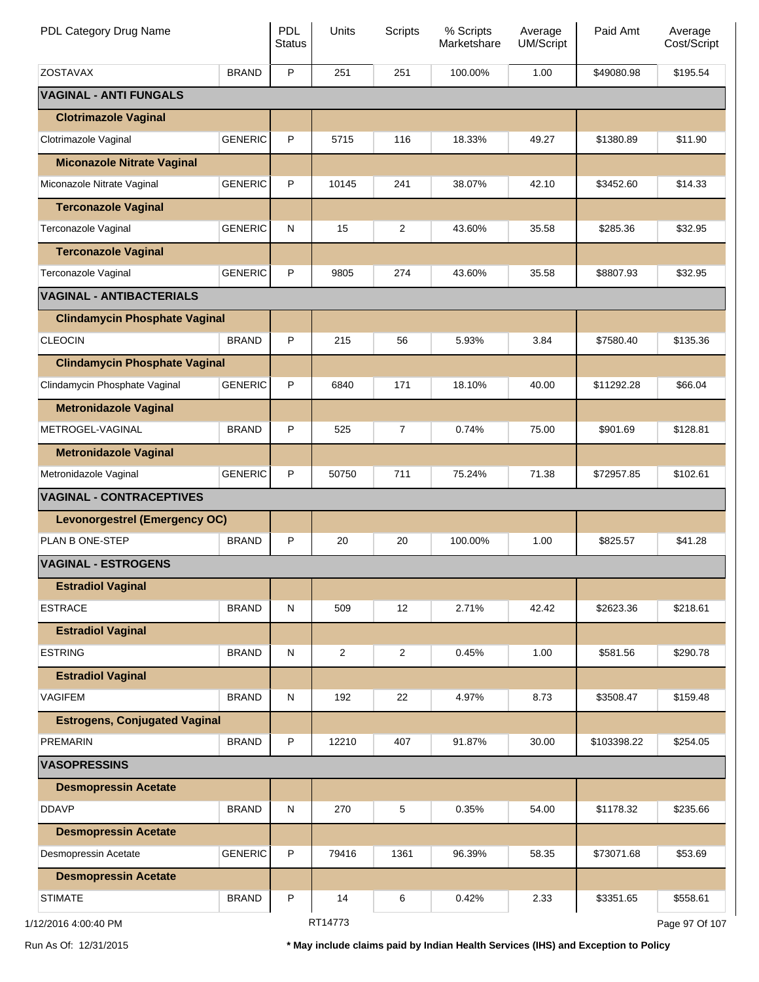| PDL Category Drug Name               |                | PDL<br><b>Status</b> | Units          | <b>Scripts</b> | % Scripts<br>Marketshare | Average<br>UM/Script | Paid Amt    | Average<br>Cost/Script |
|--------------------------------------|----------------|----------------------|----------------|----------------|--------------------------|----------------------|-------------|------------------------|
| <b>ZOSTAVAX</b>                      | <b>BRAND</b>   | P                    | 251            | 251            | 100.00%                  | 1.00                 | \$49080.98  | \$195.54               |
| <b>VAGINAL - ANTI FUNGALS</b>        |                |                      |                |                |                          |                      |             |                        |
| <b>Clotrimazole Vaginal</b>          |                |                      |                |                |                          |                      |             |                        |
| Clotrimazole Vaginal                 | <b>GENERIC</b> | P                    | 5715           | 116            | 18.33%                   | 49.27                | \$1380.89   | \$11.90                |
| <b>Miconazole Nitrate Vaginal</b>    |                |                      |                |                |                          |                      |             |                        |
| Miconazole Nitrate Vaginal           | <b>GENERIC</b> | P                    | 10145          | 241            | 38.07%                   | 42.10                | \$3452.60   | \$14.33                |
| <b>Terconazole Vaginal</b>           |                |                      |                |                |                          |                      |             |                        |
| Terconazole Vaginal                  | <b>GENERIC</b> | N                    | 15             | 2              | 43.60%                   | 35.58                | \$285.36    | \$32.95                |
| <b>Terconazole Vaginal</b>           |                |                      |                |                |                          |                      |             |                        |
| Terconazole Vaginal                  | <b>GENERIC</b> | P                    | 9805           | 274            | 43.60%                   | 35.58                | \$8807.93   | \$32.95                |
| <b>VAGINAL - ANTIBACTERIALS</b>      |                |                      |                |                |                          |                      |             |                        |
| <b>Clindamycin Phosphate Vaginal</b> |                |                      |                |                |                          |                      |             |                        |
| <b>CLEOCIN</b>                       | <b>BRAND</b>   | P                    | 215            | 56             | 5.93%                    | 3.84                 | \$7580.40   | \$135.36               |
| <b>Clindamycin Phosphate Vaginal</b> |                |                      |                |                |                          |                      |             |                        |
| Clindamycin Phosphate Vaginal        | <b>GENERIC</b> | P                    | 6840           | 171            | 18.10%                   | 40.00                | \$11292.28  | \$66.04                |
| <b>Metronidazole Vaginal</b>         |                |                      |                |                |                          |                      |             |                        |
| METROGEL-VAGINAL                     | <b>BRAND</b>   | P                    | 525            | $\overline{7}$ | 0.74%                    | 75.00                | \$901.69    | \$128.81               |
| <b>Metronidazole Vaginal</b>         |                |                      |                |                |                          |                      |             |                        |
| Metronidazole Vaginal                | <b>GENERIC</b> | P                    | 50750          | 711            | 75.24%                   | 71.38                | \$72957.85  | \$102.61               |
| <b>VAGINAL - CONTRACEPTIVES</b>      |                |                      |                |                |                          |                      |             |                        |
| <b>Levonorgestrel (Emergency OC)</b> |                |                      |                |                |                          |                      |             |                        |
| PLAN B ONE-STEP                      | <b>BRAND</b>   | P                    | 20             | 20             | 100.00%                  | 1.00                 | \$825.57    | \$41.28                |
| <b>VAGINAL - ESTROGENS</b>           |                |                      |                |                |                          |                      |             |                        |
| <b>Estradiol Vaginal</b>             |                |                      |                |                |                          |                      |             |                        |
| <b>ESTRACE</b>                       | <b>BRAND</b>   | ${\sf N}$            | 509            | 12             | 2.71%                    | 42.42                | \$2623.36   | \$218.61               |
| <b>Estradiol Vaginal</b>             |                |                      |                |                |                          |                      |             |                        |
| <b>ESTRING</b>                       | <b>BRAND</b>   | N                    | $\overline{2}$ | $\overline{2}$ | 0.45%                    | 1.00                 | \$581.56    | \$290.78               |
| <b>Estradiol Vaginal</b>             |                |                      |                |                |                          |                      |             |                        |
| <b>VAGIFEM</b>                       | <b>BRAND</b>   | N                    | 192            | 22             | 4.97%                    | 8.73                 | \$3508.47   | \$159.48               |
| <b>Estrogens, Conjugated Vaginal</b> |                |                      |                |                |                          |                      |             |                        |
| <b>PREMARIN</b>                      | <b>BRAND</b>   | P                    | 12210          | 407            | 91.87%                   | 30.00                | \$103398.22 | \$254.05               |
| <b>VASOPRESSINS</b>                  |                |                      |                |                |                          |                      |             |                        |
| <b>Desmopressin Acetate</b>          |                |                      |                |                |                          |                      |             |                        |
| <b>DDAVP</b>                         | <b>BRAND</b>   | N                    | 270            | 5              | 0.35%                    | 54.00                | \$1178.32   | \$235.66               |
| <b>Desmopressin Acetate</b>          |                |                      |                |                |                          |                      |             |                        |
| Desmopressin Acetate                 | <b>GENERIC</b> | P                    | 79416          | 1361           | 96.39%                   | 58.35                | \$73071.68  | \$53.69                |
| <b>Desmopressin Acetate</b>          |                |                      |                |                |                          |                      |             |                        |
| <b>STIMATE</b>                       | <b>BRAND</b>   | P                    | 14             | 6              | 0.42%                    | 2.33                 | \$3351.65   | \$558.61               |
| 1/12/2016 4:00:40 PM                 |                |                      | RT14773        |                |                          |                      |             | Page 97 Of 107         |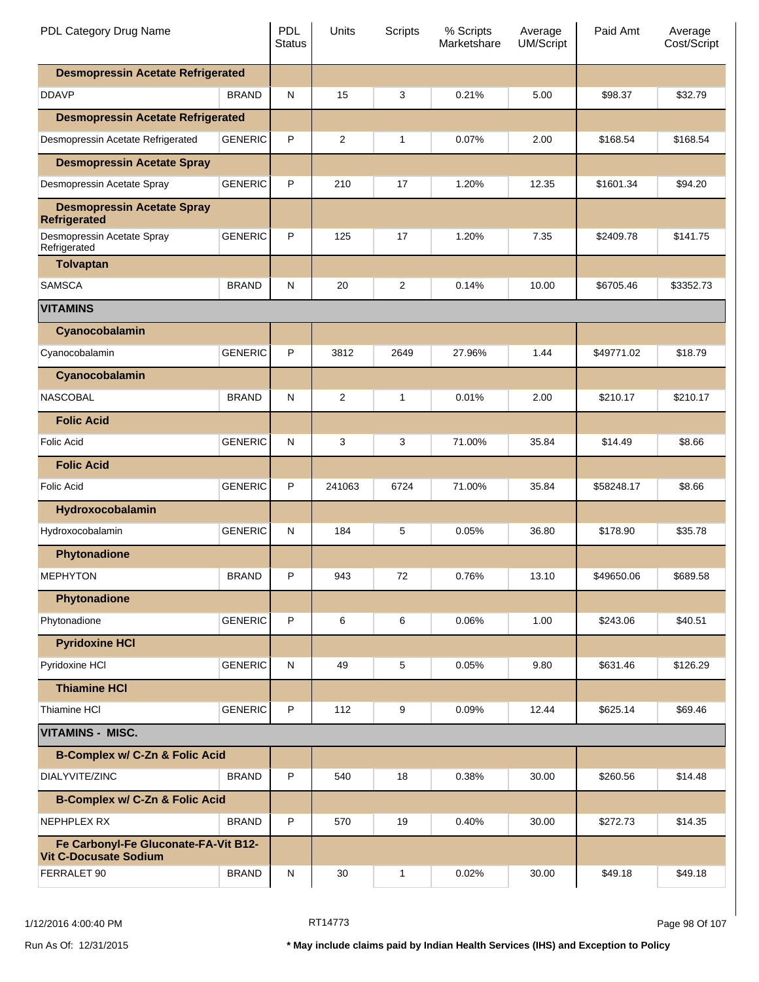| PDL Category Drug Name                                               |                | <b>PDL</b><br><b>Status</b> | Units          | Scripts        | % Scripts<br>Marketshare | Average<br><b>UM/Script</b> | Paid Amt   | Average<br>Cost/Script |
|----------------------------------------------------------------------|----------------|-----------------------------|----------------|----------------|--------------------------|-----------------------------|------------|------------------------|
| <b>Desmopressin Acetate Refrigerated</b>                             |                |                             |                |                |                          |                             |            |                        |
| <b>DDAVP</b>                                                         | <b>BRAND</b>   | N                           | 15             | 3              | 0.21%                    | 5.00                        | \$98.37    | \$32.79                |
| <b>Desmopressin Acetate Refrigerated</b>                             |                |                             |                |                |                          |                             |            |                        |
| Desmopressin Acetate Refrigerated                                    | <b>GENERIC</b> | P                           | 2              | $\mathbf{1}$   | 0.07%                    | 2.00                        | \$168.54   | \$168.54               |
| <b>Desmopressin Acetate Spray</b>                                    |                |                             |                |                |                          |                             |            |                        |
| Desmopressin Acetate Spray                                           | <b>GENERIC</b> | P                           | 210            | 17             | 1.20%                    | 12.35                       | \$1601.34  | \$94.20                |
| <b>Desmopressin Acetate Spray</b><br><b>Refrigerated</b>             |                |                             |                |                |                          |                             |            |                        |
| Desmopressin Acetate Spray<br>Refrigerated                           | <b>GENERIC</b> | P                           | 125            | 17             | 1.20%                    | 7.35                        | \$2409.78  | \$141.75               |
| <b>Tolvaptan</b>                                                     |                |                             |                |                |                          |                             |            |                        |
| <b>SAMSCA</b>                                                        | <b>BRAND</b>   | N                           | 20             | $\overline{c}$ | 0.14%                    | 10.00                       | \$6705.46  | \$3352.73              |
| <b>VITAMINS</b>                                                      |                |                             |                |                |                          |                             |            |                        |
| Cyanocobalamin                                                       |                |                             |                |                |                          |                             |            |                        |
| Cyanocobalamin                                                       | <b>GENERIC</b> | P                           | 3812           | 2649           | 27.96%                   | 1.44                        | \$49771.02 | \$18.79                |
| Cyanocobalamin                                                       |                |                             |                |                |                          |                             |            |                        |
| <b>NASCOBAL</b>                                                      | <b>BRAND</b>   | N                           | $\overline{2}$ | 1              | 0.01%                    | 2.00                        | \$210.17   | \$210.17               |
| <b>Folic Acid</b>                                                    |                |                             |                |                |                          |                             |            |                        |
| Folic Acid                                                           | <b>GENERIC</b> | N                           | 3              | 3              | 71.00%                   | 35.84                       | \$14.49    | \$8.66                 |
| <b>Folic Acid</b>                                                    |                |                             |                |                |                          |                             |            |                        |
| Folic Acid                                                           | <b>GENERIC</b> | P                           | 241063         | 6724           | 71.00%                   | 35.84                       | \$58248.17 | \$8.66                 |
| Hydroxocobalamin                                                     |                |                             |                |                |                          |                             |            |                        |
| Hydroxocobalamin                                                     | <b>GENERIC</b> | N                           | 184            | 5              | 0.05%                    | 36.80                       | \$178.90   | \$35.78                |
| <b>Phytonadione</b>                                                  |                |                             |                |                |                          |                             |            |                        |
| <b>MEPHYTON</b>                                                      | BRAND          | P.                          | 943            | 72             | 0.76%                    | 13.10                       | \$49650.06 | \$689.58               |
| Phytonadione                                                         |                |                             |                |                |                          |                             |            |                        |
| Phytonadione                                                         | <b>GENERIC</b> | P                           | 6              | 6              | 0.06%                    | 1.00                        | \$243.06   | \$40.51                |
| <b>Pyridoxine HCI</b>                                                |                |                             |                |                |                          |                             |            |                        |
| Pyridoxine HCI                                                       | <b>GENERIC</b> | $\mathsf{N}$                | 49             | 5              | 0.05%                    | 9.80                        | \$631.46   | \$126.29               |
| <b>Thiamine HCI</b>                                                  |                |                             |                |                |                          |                             |            |                        |
| Thiamine HCI                                                         | <b>GENERIC</b> | P                           | 112            | 9              | 0.09%                    | 12.44                       | \$625.14   | \$69.46                |
| <b>VITAMINS - MISC.</b>                                              |                |                             |                |                |                          |                             |            |                        |
| <b>B-Complex w/ C-Zn &amp; Folic Acid</b>                            |                |                             |                |                |                          |                             |            |                        |
| DIALYVITE/ZINC                                                       | <b>BRAND</b>   | P                           | 540            | 18             | 0.38%                    | 30.00                       | \$260.56   | \$14.48                |
| <b>B-Complex w/ C-Zn &amp; Folic Acid</b>                            |                |                             |                |                |                          |                             |            |                        |
| NEPHPLEX RX                                                          | <b>BRAND</b>   | P                           | 570            | 19             | 0.40%                    | 30.00                       | \$272.73   | \$14.35                |
| Fe Carbonyl-Fe Gluconate-FA-Vit B12-<br><b>Vit C-Docusate Sodium</b> |                |                             |                |                |                          |                             |            |                        |
| FERRALET 90                                                          | <b>BRAND</b>   | N                           | 30             | 1              | 0.02%                    | 30.00                       | \$49.18    | \$49.18                |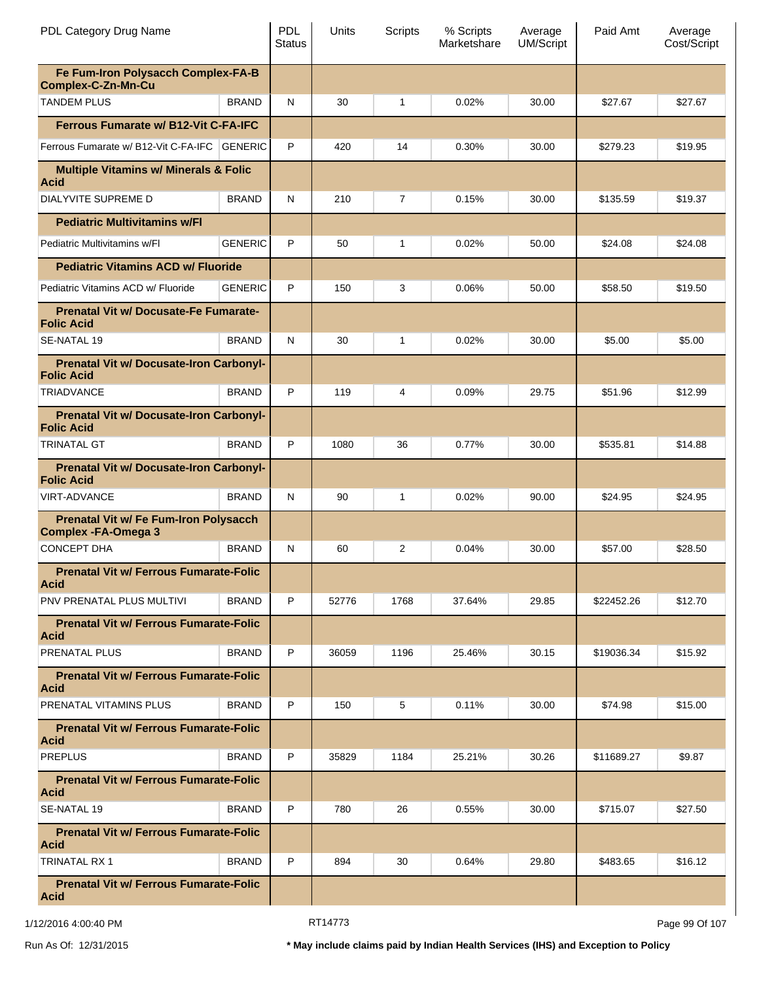| PDL Category Drug Name                                                     |                | <b>PDL</b><br><b>Status</b> | Units | Scripts        | % Scripts<br>Marketshare | Average<br><b>UM/Script</b> | Paid Amt   | Average<br>Cost/Script |
|----------------------------------------------------------------------------|----------------|-----------------------------|-------|----------------|--------------------------|-----------------------------|------------|------------------------|
| Fe Fum-Iron Polysacch Complex-FA-B<br><b>Complex-C-Zn-Mn-Cu</b>            |                |                             |       |                |                          |                             |            |                        |
| <b>TANDEM PLUS</b>                                                         | <b>BRAND</b>   | N                           | 30    | 1              | 0.02%                    | 30.00                       | \$27.67    | \$27.67                |
| <b>Ferrous Fumarate w/ B12-Vit C-FA-IFC</b>                                |                |                             |       |                |                          |                             |            |                        |
| Ferrous Fumarate w/ B12-Vit C-FA-IFC GENERIC                               |                | P                           | 420   | 14             | 0.30%                    | 30.00                       | \$279.23   | \$19.95                |
| <b>Multiple Vitamins w/ Minerals &amp; Folic</b><br><b>Acid</b>            |                |                             |       |                |                          |                             |            |                        |
| DIALYVITE SUPREME D                                                        | <b>BRAND</b>   | N                           | 210   | $\overline{7}$ | 0.15%                    | 30.00                       | \$135.59   | \$19.37                |
| <b>Pediatric Multivitamins w/Fl</b>                                        |                |                             |       |                |                          |                             |            |                        |
| Pediatric Multivitamins w/Fl                                               | <b>GENERIC</b> | P                           | 50    | 1              | 0.02%                    | 50.00                       | \$24.08    | \$24.08                |
| <b>Pediatric Vitamins ACD w/ Fluoride</b>                                  |                |                             |       |                |                          |                             |            |                        |
| Pediatric Vitamins ACD w/ Fluoride                                         | <b>GENERIC</b> | P                           | 150   | 3              | 0.06%                    | 50.00                       | \$58.50    | \$19.50                |
| Prenatal Vit w/ Docusate-Fe Fumarate-<br><b>Folic Acid</b>                 |                |                             |       |                |                          |                             |            |                        |
| SE-NATAL 19                                                                | <b>BRAND</b>   | N                           | 30    | 1              | 0.02%                    | 30.00                       | \$5.00     | \$5.00                 |
| <b>Prenatal Vit w/ Docusate-Iron Carbonyl-</b><br><b>Folic Acid</b>        |                |                             |       |                |                          |                             |            |                        |
| <b>TRIADVANCE</b>                                                          | <b>BRAND</b>   | P                           | 119   | 4              | 0.09%                    | 29.75                       | \$51.96    | \$12.99                |
| <b>Prenatal Vit w/ Docusate-Iron Carbonyl-</b><br><b>Folic Acid</b>        |                |                             |       |                |                          |                             |            |                        |
| <b>TRINATAL GT</b>                                                         | <b>BRAND</b>   | P                           | 1080  | 36             | 0.77%                    | 30.00                       | \$535.81   | \$14.88                |
| <b>Prenatal Vit w/ Docusate-Iron Carbonyl-</b><br><b>Folic Acid</b>        |                |                             |       |                |                          |                             |            |                        |
| <b>VIRT-ADVANCE</b>                                                        | <b>BRAND</b>   | N                           | 90    | 1              | 0.02%                    | 90.00                       | \$24.95    | \$24.95                |
| <b>Prenatal Vit w/ Fe Fum-Iron Polysacch</b><br><b>Complex -FA-Omega 3</b> |                |                             |       |                |                          |                             |            |                        |
| <b>CONCEPT DHA</b>                                                         | <b>BRAND</b>   | N                           | 60    | 2              | 0.04%                    | 30.00                       | \$57.00    | \$28.50                |
| <b>Prenatal Vit w/ Ferrous Fumarate-Folic</b><br><b>Acid</b>               |                |                             |       |                |                          |                             |            |                        |
| PNV PRENATAL PLUS MULTIVI                                                  | <b>BRAND</b>   | P                           | 52776 | 1768           | 37.64%                   | 29.85                       | \$22452.26 | \$12.70                |
| <b>Prenatal Vit w/ Ferrous Fumarate-Folic</b><br><b>Acid</b>               |                |                             |       |                |                          |                             |            |                        |
| PRENATAL PLUS                                                              | <b>BRAND</b>   | P                           | 36059 | 1196           | 25.46%                   | 30.15                       | \$19036.34 | \$15.92                |
| <b>Prenatal Vit w/ Ferrous Fumarate-Folic</b><br><b>Acid</b>               |                |                             |       |                |                          |                             |            |                        |
| PRENATAL VITAMINS PLUS                                                     | <b>BRAND</b>   | P                           | 150   | 5              | 0.11%                    | 30.00                       | \$74.98    | \$15.00                |
| <b>Prenatal Vit w/ Ferrous Fumarate-Folic</b><br><b>Acid</b>               |                |                             |       |                |                          |                             |            |                        |
| <b>PREPLUS</b>                                                             | <b>BRAND</b>   | P                           | 35829 | 1184           | 25.21%                   | 30.26                       | \$11689.27 | \$9.87                 |
| <b>Prenatal Vit w/ Ferrous Fumarate-Folic</b><br><b>Acid</b>               |                |                             |       |                |                          |                             |            |                        |
| SE-NATAL 19                                                                | <b>BRAND</b>   | P                           | 780   | 26             | 0.55%                    | 30.00                       | \$715.07   | \$27.50                |
| <b>Prenatal Vit w/ Ferrous Fumarate-Folic</b><br><b>Acid</b>               |                |                             |       |                |                          |                             |            |                        |
| <b>TRINATAL RX 1</b>                                                       | <b>BRAND</b>   | P                           | 894   | 30             | 0.64%                    | 29.80                       | \$483.65   | \$16.12                |
| <b>Prenatal Vit w/ Ferrous Fumarate-Folic</b><br><b>Acid</b>               |                |                             |       |                |                          |                             |            |                        |

1/12/2016 4:00:40 PM **RT14773** RT14773 **Page 99 Of 107**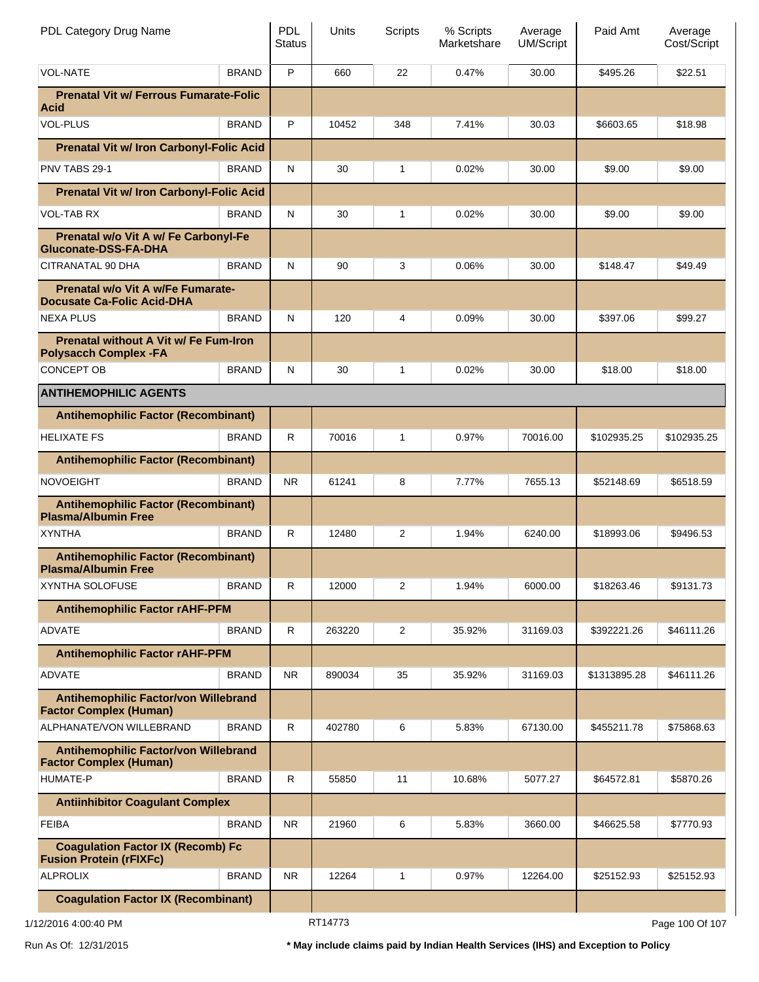| PDL Category Drug Name                                                       |                                            | <b>PDL</b><br><b>Status</b> | Units   | Scripts      | % Scripts<br>Marketshare | Average<br><b>UM/Script</b> | Paid Amt     | Average<br>Cost/Script |
|------------------------------------------------------------------------------|--------------------------------------------|-----------------------------|---------|--------------|--------------------------|-----------------------------|--------------|------------------------|
| <b>VOL-NATE</b>                                                              | <b>BRAND</b>                               | P                           | 660     | 22           | 0.47%                    | 30.00                       | \$495.26     | \$22.51                |
| <b>Prenatal Vit w/ Ferrous Fumarate-Folic</b><br>Acid                        |                                            |                             |         |              |                          |                             |              |                        |
| <b>VOL-PLUS</b>                                                              | <b>BRAND</b>                               | P                           | 10452   | 348          | 7.41%                    | 30.03                       | \$6603.65    | \$18.98                |
| <b>Prenatal Vit w/ Iron Carbonyl-Folic Acid</b>                              |                                            |                             |         |              |                          |                             |              |                        |
| PNV TABS 29-1                                                                | <b>BRAND</b>                               | ${\sf N}$                   | 30      | 1            | 0.02%                    | 30.00                       | \$9.00       | \$9.00                 |
| <b>Prenatal Vit w/ Iron Carbonyl-Folic Acid</b>                              |                                            |                             |         |              |                          |                             |              |                        |
| VOL-TAB RX                                                                   | <b>BRAND</b>                               | ${\sf N}$                   | 30      | 1            | 0.02%                    | 30.00                       | \$9.00       | \$9.00                 |
| Prenatal w/o Vit A w/ Fe Carbonyl-Fe<br>Gluconate-DSS-FA-DHA                 |                                            |                             |         |              |                          |                             |              |                        |
| CITRANATAL 90 DHA                                                            | <b>BRAND</b>                               | ${\sf N}$                   | 90      | 3            | 0.06%                    | 30.00                       | \$148.47     | \$49.49                |
| Prenatal w/o Vit A w/Fe Fumarate-<br>Docusate Ca-Folic Acid-DHA              |                                            |                             |         |              |                          |                             |              |                        |
| NEXA PLUS                                                                    | <b>BRAND</b>                               | ${\sf N}$                   | 120     | 4            | 0.09%                    | 30.00                       | \$397.06     | \$99.27                |
| <b>Prenatal without A Vit w/ Fe Fum-Iron</b><br><b>Polysacch Complex -FA</b> |                                            |                             |         |              |                          |                             |              |                        |
| <b>CONCEPT OB</b>                                                            | <b>BRAND</b>                               | ${\sf N}$                   | 30      | $\mathbf{1}$ | 0.02%                    | 30.00                       | \$18.00      | \$18.00                |
| <b>ANTIHEMOPHILIC AGENTS</b>                                                 |                                            |                             |         |              |                          |                             |              |                        |
| <b>Antihemophilic Factor (Recombinant)</b>                                   |                                            |                             |         |              |                          |                             |              |                        |
| <b>HELIXATE FS</b>                                                           | <b>BRAND</b>                               | $\mathsf{R}$                | 70016   | 1            | 0.97%                    | 70016.00                    | \$102935.25  | \$102935.25            |
| <b>Antihemophilic Factor (Recombinant)</b>                                   |                                            |                             |         |              |                          |                             |              |                        |
| <b>NOVOEIGHT</b>                                                             | <b>BRAND</b>                               | <b>NR</b>                   | 61241   | 8            | 7.77%                    | 7655.13                     | \$52148.69   | \$6518.59              |
| <b>Plasma/Albumin Free</b>                                                   | <b>Antihemophilic Factor (Recombinant)</b> |                             |         |              |                          |                             |              |                        |
| <b>XYNTHA</b>                                                                | <b>BRAND</b>                               | $\mathsf{R}$                | 12480   | 2            | 1.94%                    | 6240.00                     | \$18993.06   | \$9496.53              |
| <b>Antihemophilic Factor (Recombinant)</b><br><b>Plasma/Albumin Free</b>     |                                            |                             |         |              |                          |                             |              |                        |
| <b>XYNTHA SOLOFUSE</b>                                                       | <b>BRAND</b>                               | $\mathsf{R}$                | 12000   | 2            | 1.94%                    | 6000.00                     | \$18263.46   | \$9131.73              |
| <b>Antihemophilic Factor rAHF-PFM</b>                                        |                                            |                             |         |              |                          |                             |              |                        |
| <b>ADVATE</b>                                                                | <b>BRAND</b>                               | ${\sf R}$                   | 263220  | 2            | 35.92%                   | 31169.03                    | \$392221.26  | \$46111.26             |
| <b>Antihemophilic Factor rAHF-PFM</b>                                        |                                            |                             |         |              |                          |                             |              |                        |
| <b>ADVATE</b>                                                                | <b>BRAND</b>                               | <b>NR</b>                   | 890034  | 35           | 35.92%                   | 31169.03                    | \$1313895.28 | \$46111.26             |
| Antihemophilic Factor/von Willebrand<br><b>Factor Complex (Human)</b>        |                                            |                             |         |              |                          |                             |              |                        |
| ALPHANATE/VON WILLEBRAND                                                     | <b>BRAND</b>                               | ${\sf R}$                   | 402780  | 6            | 5.83%                    | 67130.00                    | \$455211.78  | \$75868.63             |
| Antihemophilic Factor/von Willebrand<br><b>Factor Complex (Human)</b>        |                                            |                             |         |              |                          |                             |              |                        |
| <b>HUMATE-P</b>                                                              | <b>BRAND</b>                               | ${\sf R}$                   | 55850   | 11           | 10.68%                   | 5077.27                     | \$64572.81   | \$5870.26              |
| <b>Antiinhibitor Coagulant Complex</b>                                       |                                            |                             |         |              |                          |                             |              |                        |
| <b>FEIBA</b>                                                                 | <b>BRAND</b>                               | <b>NR</b>                   | 21960   | 6            | 5.83%                    | 3660.00                     | \$46625.58   | \$7770.93              |
| <b>Coagulation Factor IX (Recomb) Fc</b><br><b>Fusion Protein (rFIXFc)</b>   |                                            |                             |         |              |                          |                             |              |                        |
| <b>ALPROLIX</b>                                                              | <b>BRAND</b>                               | <b>NR</b>                   | 12264   | 1            | 0.97%                    | 12264.00                    | \$25152.93   | \$25152.93             |
| <b>Coagulation Factor IX (Recombinant)</b>                                   |                                            |                             |         |              |                          |                             |              |                        |
| 1/12/2016 4:00:40 PM                                                         |                                            |                             | RT14773 |              |                          |                             |              | Page 100 Of 107        |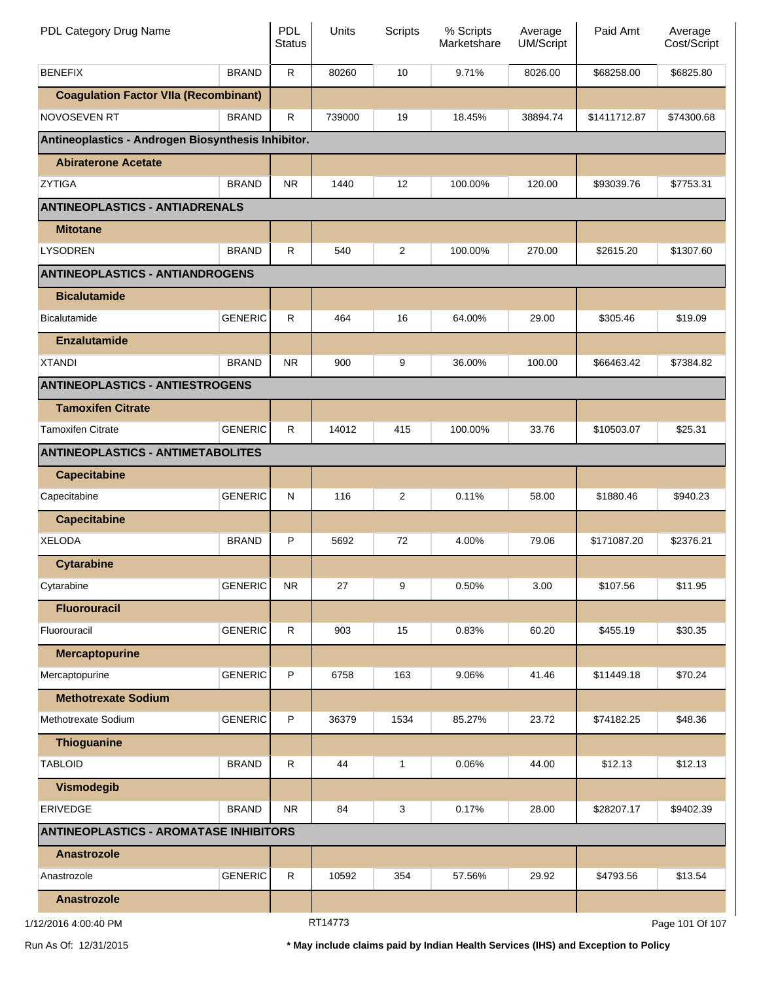| PDL Category Drug Name                             |                | <b>PDL</b><br><b>Status</b> | Units   | Scripts | % Scripts<br>Marketshare | Average<br>UM/Script | Paid Amt     | Average<br>Cost/Script |
|----------------------------------------------------|----------------|-----------------------------|---------|---------|--------------------------|----------------------|--------------|------------------------|
| <b>BENEFIX</b>                                     | <b>BRAND</b>   | $\mathsf{R}$                | 80260   | 10      | 9.71%                    | 8026.00              | \$68258.00   | \$6825.80              |
| <b>Coagulation Factor VIIa (Recombinant)</b>       |                |                             |         |         |                          |                      |              |                        |
| NOVOSEVEN RT                                       | <b>BRAND</b>   | R                           | 739000  | 19      | 18.45%                   | 38894.74             | \$1411712.87 | \$74300.68             |
| Antineoplastics - Androgen Biosynthesis Inhibitor. |                |                             |         |         |                          |                      |              |                        |
| <b>Abiraterone Acetate</b>                         |                |                             |         |         |                          |                      |              |                        |
| <b>ZYTIGA</b>                                      | <b>BRAND</b>   | <b>NR</b>                   | 1440    | 12      | 100.00%                  | 120.00               | \$93039.76   | \$7753.31              |
| <b>ANTINEOPLASTICS - ANTIADRENALS</b>              |                |                             |         |         |                          |                      |              |                        |
| <b>Mitotane</b>                                    |                |                             |         |         |                          |                      |              |                        |
| <b>LYSODREN</b>                                    | <b>BRAND</b>   | $\mathsf{R}$                | 540     | 2       | 100.00%                  | 270.00               | \$2615.20    | \$1307.60              |
| <b>ANTINEOPLASTICS - ANTIANDROGENS</b>             |                |                             |         |         |                          |                      |              |                        |
| <b>Bicalutamide</b>                                |                |                             |         |         |                          |                      |              |                        |
| <b>Bicalutamide</b>                                | <b>GENERIC</b> | R                           | 464     | 16      | 64.00%                   | 29.00                | \$305.46     | \$19.09                |
| <b>Enzalutamide</b>                                |                |                             |         |         |                          |                      |              |                        |
| <b>XTANDI</b>                                      | <b>BRAND</b>   | <b>NR</b>                   | 900     | 9       | 36.00%                   | 100.00               | \$66463.42   | \$7384.82              |
| <b>ANTINEOPLASTICS - ANTIESTROGENS</b>             |                |                             |         |         |                          |                      |              |                        |
| <b>Tamoxifen Citrate</b>                           |                |                             |         |         |                          |                      |              |                        |
| <b>Tamoxifen Citrate</b>                           | <b>GENERIC</b> | $\mathsf{R}$                | 14012   | 415     | 100.00%                  | 33.76                | \$10503.07   | \$25.31                |
| <b>ANTINEOPLASTICS - ANTIMETABOLITES</b>           |                |                             |         |         |                          |                      |              |                        |
| <b>Capecitabine</b>                                |                |                             |         |         |                          |                      |              |                        |
| Capecitabine                                       | <b>GENERIC</b> | $\mathsf{N}$                | 116     | 2       | 0.11%                    | 58.00                | \$1880.46    | \$940.23               |
| <b>Capecitabine</b>                                |                |                             |         |         |                          |                      |              |                        |
| <b>XELODA</b>                                      | <b>BRAND</b>   | P                           | 5692    | 72      | 4.00%                    | 79.06                | \$171087.20  | \$2376.21              |
| <b>Cytarabine</b>                                  |                |                             |         |         |                          |                      |              |                        |
| Cytarabine                                         | <b>GENERIC</b> | <b>NR</b>                   | 27      | 9       | 0.50%                    | 3.00                 | \$107.56     | \$11.95                |
| <b>Fluorouracil</b>                                |                |                             |         |         |                          |                      |              |                        |
| Fluorouracil                                       | <b>GENERIC</b> | $\mathsf{R}$                | 903     | 15      | 0.83%                    | 60.20                | \$455.19     | \$30.35                |
| <b>Mercaptopurine</b>                              |                |                             |         |         |                          |                      |              |                        |
| Mercaptopurine                                     | <b>GENERIC</b> | P                           | 6758    | 163     | 9.06%                    | 41.46                | \$11449.18   | \$70.24                |
| <b>Methotrexate Sodium</b>                         |                |                             |         |         |                          |                      |              |                        |
| Methotrexate Sodium                                | <b>GENERIC</b> | P                           | 36379   | 1534    | 85.27%                   | 23.72                | \$74182.25   | \$48.36                |
| Thioguanine                                        |                |                             |         |         |                          |                      |              |                        |
| <b>TABLOID</b>                                     | <b>BRAND</b>   | $\mathsf{R}$                | 44      | 1       | 0.06%                    | 44.00                | \$12.13      | \$12.13                |
| <b>Vismodegib</b>                                  |                |                             |         |         |                          |                      |              |                        |
| <b>ERIVEDGE</b>                                    | <b>BRAND</b>   | <b>NR</b>                   | 84      | 3       | 0.17%                    | 28.00                | \$28207.17   | \$9402.39              |
| <b>ANTINEOPLASTICS - AROMATASE INHIBITORS</b>      |                |                             |         |         |                          |                      |              |                        |
| <b>Anastrozole</b>                                 |                |                             |         |         |                          |                      |              |                        |
| Anastrozole                                        | <b>GENERIC</b> | ${\sf R}$                   | 10592   | 354     | 57.56%                   | 29.92                | \$4793.56    | \$13.54                |
| Anastrozole                                        |                |                             |         |         |                          |                      |              |                        |
| 12/2016 4:00:40 PM                                 |                |                             | RT14773 |         |                          |                      |              | Page 101 Of 107        |

1/12/2016 4:00:40 PM

Page 101 Of 107

Run As Of: 12/31/2015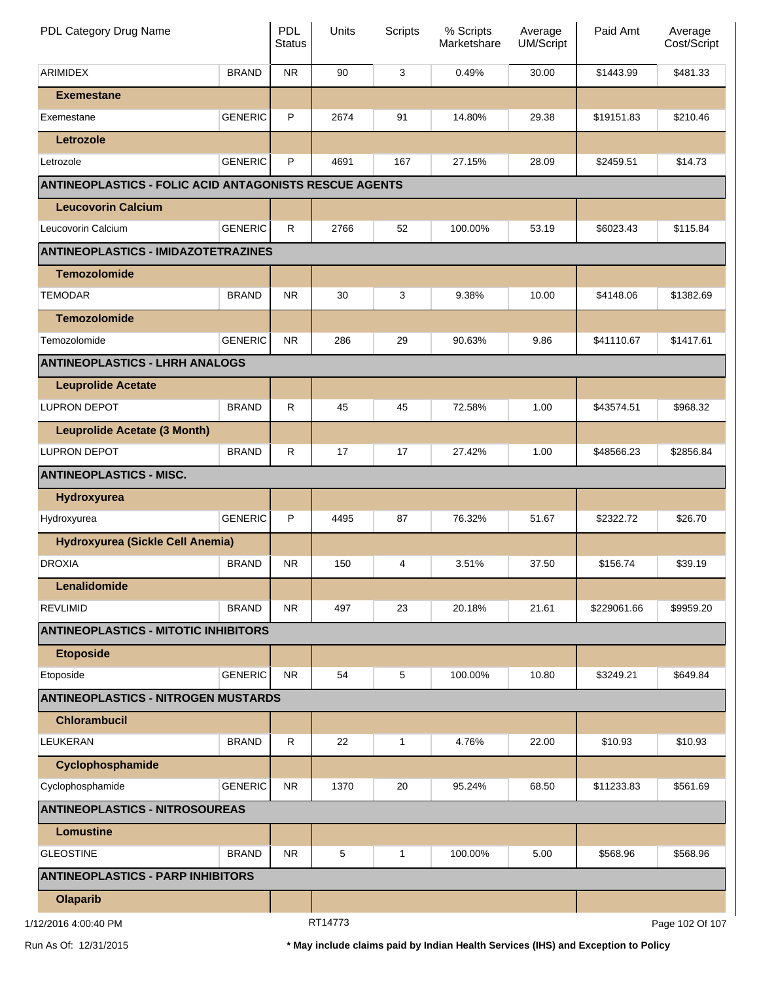| PDL Category Drug Name                                        |                | <b>PDL</b><br><b>Status</b> | Units   | Scripts | % Scripts<br>Marketshare | Average<br>UM/Script | Paid Amt    | Average<br>Cost/Script |
|---------------------------------------------------------------|----------------|-----------------------------|---------|---------|--------------------------|----------------------|-------------|------------------------|
| <b>ARIMIDEX</b>                                               | <b>BRAND</b>   | <b>NR</b>                   | 90      | 3       | 0.49%                    | 30.00                | \$1443.99   | \$481.33               |
| <b>Exemestane</b>                                             |                |                             |         |         |                          |                      |             |                        |
| Exemestane                                                    | <b>GENERIC</b> | P                           | 2674    | 91      | 14.80%                   | 29.38                | \$19151.83  | \$210.46               |
| Letrozole                                                     |                |                             |         |         |                          |                      |             |                        |
| Letrozole                                                     | <b>GENERIC</b> | P                           | 4691    | 167     | 27.15%                   | 28.09                | \$2459.51   | \$14.73                |
| <b>ANTINEOPLASTICS - FOLIC ACID ANTAGONISTS RESCUE AGENTS</b> |                |                             |         |         |                          |                      |             |                        |
| <b>Leucovorin Calcium</b>                                     |                |                             |         |         |                          |                      |             |                        |
| Leucovorin Calcium                                            | <b>GENERIC</b> | $\mathsf{R}$                | 2766    | 52      | 100.00%                  | 53.19                | \$6023.43   | \$115.84               |
| <b>ANTINEOPLASTICS - IMIDAZOTETRAZINES</b>                    |                |                             |         |         |                          |                      |             |                        |
| <b>Temozolomide</b>                                           |                |                             |         |         |                          |                      |             |                        |
| TEMODAR                                                       | <b>BRAND</b>   | <b>NR</b>                   | 30      | 3       | 9.38%                    | 10.00                | \$4148.06   | \$1382.69              |
| <b>Temozolomide</b>                                           |                |                             |         |         |                          |                      |             |                        |
| Temozolomide                                                  | <b>GENERIC</b> | <b>NR</b>                   | 286     | 29      | 90.63%                   | 9.86                 | \$41110.67  | \$1417.61              |
| <b>ANTINEOPLASTICS - LHRH ANALOGS</b>                         |                |                             |         |         |                          |                      |             |                        |
| <b>Leuprolide Acetate</b>                                     |                |                             |         |         |                          |                      |             |                        |
| <b>LUPRON DEPOT</b>                                           | <b>BRAND</b>   | $\mathsf R$                 | 45      | 45      | 72.58%                   | 1.00                 | \$43574.51  | \$968.32               |
| <b>Leuprolide Acetate (3 Month)</b>                           |                |                             |         |         |                          |                      |             |                        |
| <b>LUPRON DEPOT</b>                                           | <b>BRAND</b>   | $\mathsf R$                 | 17      | 17      | 27.42%                   | 1.00                 | \$48566.23  | \$2856.84              |
| <b>ANTINEOPLASTICS - MISC.</b>                                |                |                             |         |         |                          |                      |             |                        |
| Hydroxyurea                                                   |                |                             |         |         |                          |                      |             |                        |
| Hydroxyurea                                                   | <b>GENERIC</b> | P                           | 4495    | 87      | 76.32%                   | 51.67                | \$2322.72   | \$26.70                |
| Hydroxyurea (Sickle Cell Anemia)                              |                |                             |         |         |                          |                      |             |                        |
| <b>DROXIA</b>                                                 | <b>BRAND</b>   | NR.                         | 150     | 4       | 3.51%                    | 37.50                | \$156.74    | \$39.19                |
| Lenalidomide                                                  |                |                             |         |         |                          |                      |             |                        |
| <b>REVLIMID</b>                                               | <b>BRAND</b>   | <b>NR</b>                   | 497     | 23      | 20.18%                   | 21.61                | \$229061.66 | \$9959.20              |
| <b>ANTINEOPLASTICS - MITOTIC INHIBITORS</b>                   |                |                             |         |         |                          |                      |             |                        |
| <b>Etoposide</b>                                              |                |                             |         |         |                          |                      |             |                        |
| Etoposide                                                     | <b>GENERIC</b> | <b>NR</b>                   | 54      | 5       | 100.00%                  | 10.80                | \$3249.21   | \$649.84               |
| <b>ANTINEOPLASTICS - NITROGEN MUSTARDS</b>                    |                |                             |         |         |                          |                      |             |                        |
| <b>Chlorambucil</b>                                           |                |                             |         |         |                          |                      |             |                        |
| <b>LEUKERAN</b>                                               | <b>BRAND</b>   | $\mathsf R$                 | 22      | 1       | 4.76%                    | 22.00                | \$10.93     | \$10.93                |
| Cyclophosphamide                                              |                |                             |         |         |                          |                      |             |                        |
| Cyclophosphamide                                              | <b>GENERIC</b> | <b>NR</b>                   | 1370    | 20      | 95.24%                   | 68.50                | \$11233.83  | \$561.69               |
| <b>ANTINEOPLASTICS - NITROSOUREAS</b>                         |                |                             |         |         |                          |                      |             |                        |
| <b>Lomustine</b>                                              |                |                             |         |         |                          |                      |             |                        |
| <b>GLEOSTINE</b>                                              | <b>BRAND</b>   | <b>NR</b>                   | 5       | 1       | 100.00%                  | 5.00                 | \$568.96    | \$568.96               |
| <b>ANTINEOPLASTICS - PARP INHIBITORS</b>                      |                |                             |         |         |                          |                      |             |                        |
| <b>Olaparib</b>                                               |                |                             |         |         |                          |                      |             |                        |
| 1/12/2016 4:00:40 PM                                          |                |                             | RT14773 |         |                          |                      |             | Page 102 Of 107        |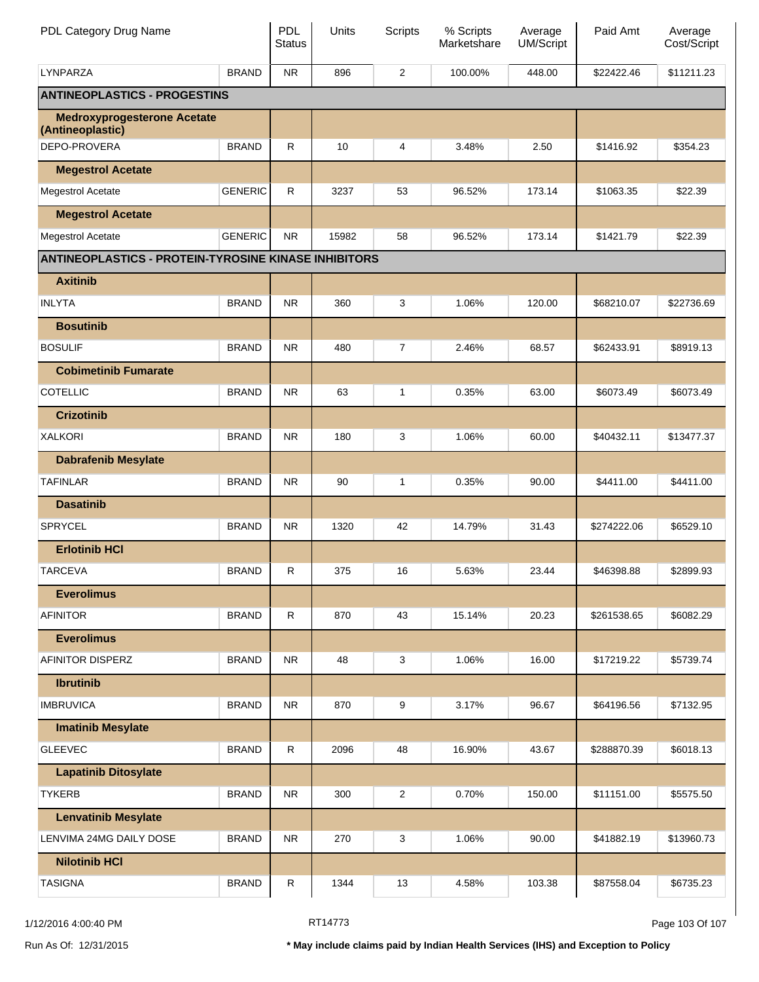| PDL Category Drug Name                                      |                | PDL<br><b>Status</b> | Units | <b>Scripts</b> | % Scripts<br>Marketshare | Average<br><b>UM/Script</b> | Paid Amt    | Average<br>Cost/Script |
|-------------------------------------------------------------|----------------|----------------------|-------|----------------|--------------------------|-----------------------------|-------------|------------------------|
| <b>LYNPARZA</b>                                             | <b>BRAND</b>   | <b>NR</b>            | 896   | 2              | 100.00%                  | 448.00                      | \$22422.46  | \$11211.23             |
| <b>ANTINEOPLASTICS - PROGESTINS</b>                         |                |                      |       |                |                          |                             |             |                        |
| <b>Medroxyprogesterone Acetate</b><br>(Antineoplastic)      |                |                      |       |                |                          |                             |             |                        |
| DEPO-PROVERA                                                | <b>BRAND</b>   | R                    | 10    | 4              | 3.48%                    | 2.50                        | \$1416.92   | \$354.23               |
| <b>Megestrol Acetate</b>                                    |                |                      |       |                |                          |                             |             |                        |
| <b>Megestrol Acetate</b>                                    | <b>GENERIC</b> | R                    | 3237  | 53             | 96.52%                   | 173.14                      | \$1063.35   | \$22.39                |
| <b>Megestrol Acetate</b>                                    |                |                      |       |                |                          |                             |             |                        |
| Megestrol Acetate                                           | <b>GENERIC</b> | <b>NR</b>            | 15982 | 58             | 96.52%                   | 173.14                      | \$1421.79   | \$22.39                |
| <b>ANTINEOPLASTICS - PROTEIN-TYROSINE KINASE INHIBITORS</b> |                |                      |       |                |                          |                             |             |                        |
| <b>Axitinib</b>                                             |                |                      |       |                |                          |                             |             |                        |
| <b>INLYTA</b>                                               | <b>BRAND</b>   | <b>NR</b>            | 360   | 3              | 1.06%                    | 120.00                      | \$68210.07  | \$22736.69             |
| <b>Bosutinib</b>                                            |                |                      |       |                |                          |                             |             |                        |
| <b>BOSULIF</b>                                              | <b>BRAND</b>   | <b>NR</b>            | 480   | $\overline{7}$ | 2.46%                    | 68.57                       | \$62433.91  | \$8919.13              |
| <b>Cobimetinib Fumarate</b>                                 |                |                      |       |                |                          |                             |             |                        |
| <b>COTELLIC</b>                                             | <b>BRAND</b>   | <b>NR</b>            | 63    | 1              | 0.35%                    | 63.00                       | \$6073.49   | \$6073.49              |
| <b>Crizotinib</b>                                           |                |                      |       |                |                          |                             |             |                        |
| <b>XALKORI</b>                                              | <b>BRAND</b>   | <b>NR</b>            | 180   | 3              | 1.06%                    | 60.00                       | \$40432.11  | \$13477.37             |
| <b>Dabrafenib Mesylate</b>                                  |                |                      |       |                |                          |                             |             |                        |
| <b>TAFINLAR</b>                                             | <b>BRAND</b>   | <b>NR</b>            | 90    | 1              | 0.35%                    | 90.00                       | \$4411.00   | \$4411.00              |
| <b>Dasatinib</b>                                            |                |                      |       |                |                          |                             |             |                        |
| <b>SPRYCEL</b>                                              | <b>BRAND</b>   | <b>NR</b>            | 1320  | 42             | 14.79%                   | 31.43                       | \$274222.06 | \$6529.10              |
| <b>Erlotinib HCI</b>                                        |                |                      |       |                |                          |                             |             |                        |
| <b>TARCEVA</b>                                              | <b>BRAND</b>   | R                    | 375   | 16             | 5.63%                    | 23.44                       | \$46398.88  | \$2899.93              |
| <b>Everolimus</b>                                           |                |                      |       |                |                          |                             |             |                        |
| <b>AFINITOR</b>                                             | <b>BRAND</b>   | R                    | 870   | 43             | 15.14%                   | 20.23                       | \$261538.65 | \$6082.29              |
| <b>Everolimus</b>                                           |                |                      |       |                |                          |                             |             |                        |
| AFINITOR DISPERZ                                            | <b>BRAND</b>   | <b>NR</b>            | 48    | 3              | 1.06%                    | 16.00                       | \$17219.22  | \$5739.74              |
| <b>Ibrutinib</b>                                            |                |                      |       |                |                          |                             |             |                        |
| <b>IMBRUVICA</b>                                            | <b>BRAND</b>   | <b>NR</b>            | 870   | 9              | 3.17%                    | 96.67                       | \$64196.56  | \$7132.95              |
| <b>Imatinib Mesylate</b>                                    |                |                      |       |                |                          |                             |             |                        |
| <b>GLEEVEC</b>                                              | <b>BRAND</b>   | R                    | 2096  | 48             | 16.90%                   | 43.67                       | \$288870.39 | \$6018.13              |
| <b>Lapatinib Ditosylate</b>                                 |                |                      |       |                |                          |                             |             |                        |
| <b>TYKERB</b>                                               | <b>BRAND</b>   | <b>NR</b>            | 300   | $\overline{c}$ | 0.70%                    | 150.00                      | \$11151.00  | \$5575.50              |
| <b>Lenvatinib Mesylate</b>                                  |                |                      |       |                |                          |                             |             |                        |
| LENVIMA 24MG DAILY DOSE                                     | <b>BRAND</b>   | <b>NR</b>            | 270   | 3              | 1.06%                    | 90.00                       | \$41882.19  | \$13960.73             |
| <b>Nilotinib HCI</b>                                        |                |                      |       |                |                          |                             |             |                        |
| <b>TASIGNA</b>                                              | <b>BRAND</b>   | R                    | 1344  | 13             | 4.58%                    | 103.38                      | \$87558.04  | \$6735.23              |

Page 103 Of 107

Run As Of: 12/31/2015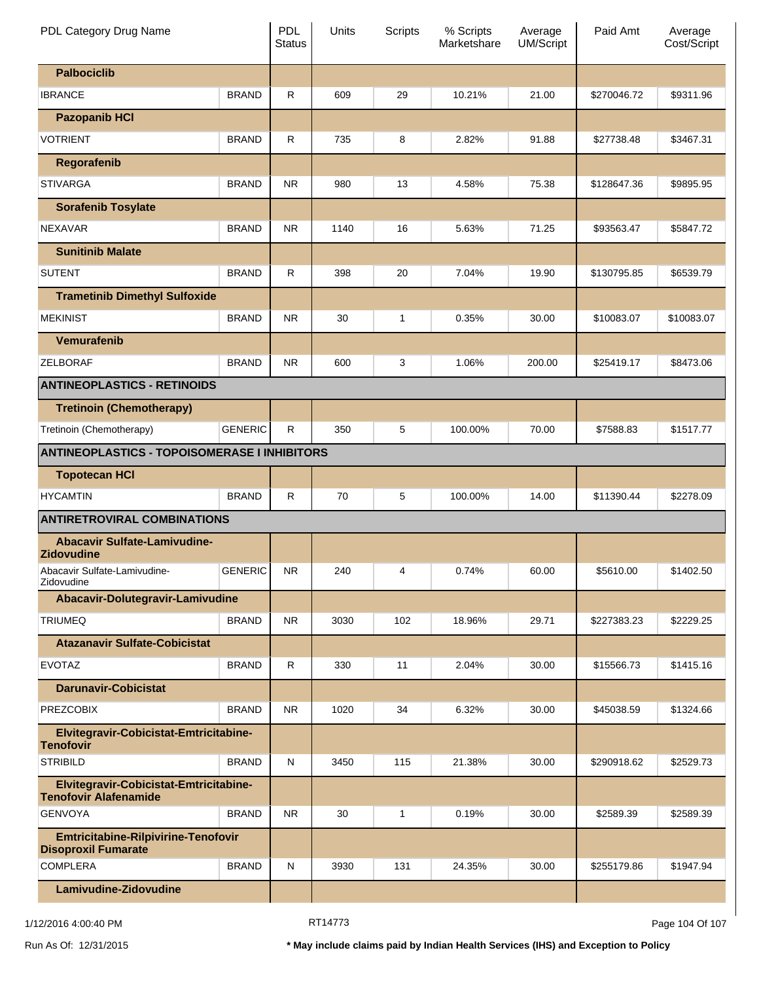| PDL Category Drug Name                                                 |                | <b>PDL</b><br><b>Status</b> | Units | Scripts | % Scripts<br>Marketshare | Average<br><b>UM/Script</b> | Paid Amt    | Average<br>Cost/Script |
|------------------------------------------------------------------------|----------------|-----------------------------|-------|---------|--------------------------|-----------------------------|-------------|------------------------|
| <b>Palbociclib</b>                                                     |                |                             |       |         |                          |                             |             |                        |
| <b>IBRANCE</b>                                                         | <b>BRAND</b>   | R                           | 609   | 29      | 10.21%                   | 21.00                       | \$270046.72 | \$9311.96              |
| <b>Pazopanib HCI</b>                                                   |                |                             |       |         |                          |                             |             |                        |
| <b>VOTRIENT</b>                                                        | <b>BRAND</b>   | $\mathsf{R}$                | 735   | 8       | 2.82%                    | 91.88                       | \$27738.48  | \$3467.31              |
| Regorafenib                                                            |                |                             |       |         |                          |                             |             |                        |
| <b>STIVARGA</b>                                                        | <b>BRAND</b>   | <b>NR</b>                   | 980   | 13      | 4.58%                    | 75.38                       | \$128647.36 | \$9895.95              |
| <b>Sorafenib Tosylate</b>                                              |                |                             |       |         |                          |                             |             |                        |
| <b>NEXAVAR</b>                                                         | <b>BRAND</b>   | <b>NR</b>                   | 1140  | 16      | 5.63%                    | 71.25                       | \$93563.47  | \$5847.72              |
| <b>Sunitinib Malate</b>                                                |                |                             |       |         |                          |                             |             |                        |
| <b>SUTENT</b>                                                          | <b>BRAND</b>   | R                           | 398   | 20      | 7.04%                    | 19.90                       | \$130795.85 | \$6539.79              |
| <b>Trametinib Dimethyl Sulfoxide</b>                                   |                |                             |       |         |                          |                             |             |                        |
| <b>MEKINIST</b>                                                        | <b>BRAND</b>   | <b>NR</b>                   | 30    | 1       | 0.35%                    | 30.00                       | \$10083.07  | \$10083.07             |
| Vemurafenib                                                            |                |                             |       |         |                          |                             |             |                        |
| <b>ZELBORAF</b>                                                        | <b>BRAND</b>   | <b>NR</b>                   | 600   | 3       | 1.06%                    | 200.00                      | \$25419.17  | \$8473.06              |
| <b>ANTINEOPLASTICS - RETINOIDS</b>                                     |                |                             |       |         |                          |                             |             |                        |
| <b>Tretinoin (Chemotherapy)</b>                                        |                |                             |       |         |                          |                             |             |                        |
| Tretinoin (Chemotherapy)                                               | <b>GENERIC</b> | R                           | 350   | 5       | 100.00%                  | 70.00                       | \$7588.83   | \$1517.77              |
| <b>ANTINEOPLASTICS - TOPOISOMERASE I INHIBITORS</b>                    |                |                             |       |         |                          |                             |             |                        |
| <b>Topotecan HCI</b>                                                   |                |                             |       |         |                          |                             |             |                        |
| <b>HYCAMTIN</b>                                                        | <b>BRAND</b>   | R                           | 70    | 5       | 100.00%                  | 14.00                       | \$11390.44  | \$2278.09              |
| <b>ANTIRETROVIRAL COMBINATIONS</b>                                     |                |                             |       |         |                          |                             |             |                        |
| <b>Abacavir Sulfate-Lamivudine-</b><br><b>Zidovudine</b>               |                |                             |       |         |                          |                             |             |                        |
| Abacavir Sulfate-Lamivudine-<br>Zidovudine                             | <b>GENERIC</b> | <b>NR</b>                   | 240   | 4       | 0.74%                    | 60.00                       | \$5610.00   | \$1402.50              |
| Abacavir-Dolutegravir-Lamivudine                                       |                |                             |       |         |                          |                             |             |                        |
| <b>TRIUMEQ</b>                                                         | <b>BRAND</b>   | <b>NR</b>                   | 3030  | 102     | 18.96%                   | 29.71                       | \$227383.23 | \$2229.25              |
| <b>Atazanavir Sulfate-Cobicistat</b>                                   |                |                             |       |         |                          |                             |             |                        |
| <b>EVOTAZ</b>                                                          | <b>BRAND</b>   | R                           | 330   | 11      | 2.04%                    | 30.00                       | \$15566.73  | \$1415.16              |
| <b>Darunavir-Cobicistat</b>                                            |                |                             |       |         |                          |                             |             |                        |
| <b>PREZCOBIX</b>                                                       | <b>BRAND</b>   | <b>NR</b>                   | 1020  | 34      | 6.32%                    | 30.00                       | \$45038.59  | \$1324.66              |
| Elvitegravir-Cobicistat-Emtricitabine-<br><b>Tenofovir</b>             |                |                             |       |         |                          |                             |             |                        |
| <b>STRIBILD</b>                                                        | <b>BRAND</b>   | N                           | 3450  | 115     | 21.38%                   | 30.00                       | \$290918.62 | \$2529.73              |
| Elvitegravir-Cobicistat-Emtricitabine-<br><b>Tenofovir Alafenamide</b> |                |                             |       |         |                          |                             |             |                        |
| <b>GENVOYA</b>                                                         | <b>BRAND</b>   | <b>NR</b>                   | 30    | 1       | 0.19%                    | 30.00                       | \$2589.39   | \$2589.39              |
| Emtricitabine-Rilpivirine-Tenofovir<br><b>Disoproxil Fumarate</b>      |                |                             |       |         |                          |                             |             |                        |
| <b>COMPLERA</b>                                                        | <b>BRAND</b>   | N                           | 3930  | 131     | 24.35%                   | 30.00                       | \$255179.86 | \$1947.94              |
| Lamivudine-Zidovudine                                                  |                |                             |       |         |                          |                             |             |                        |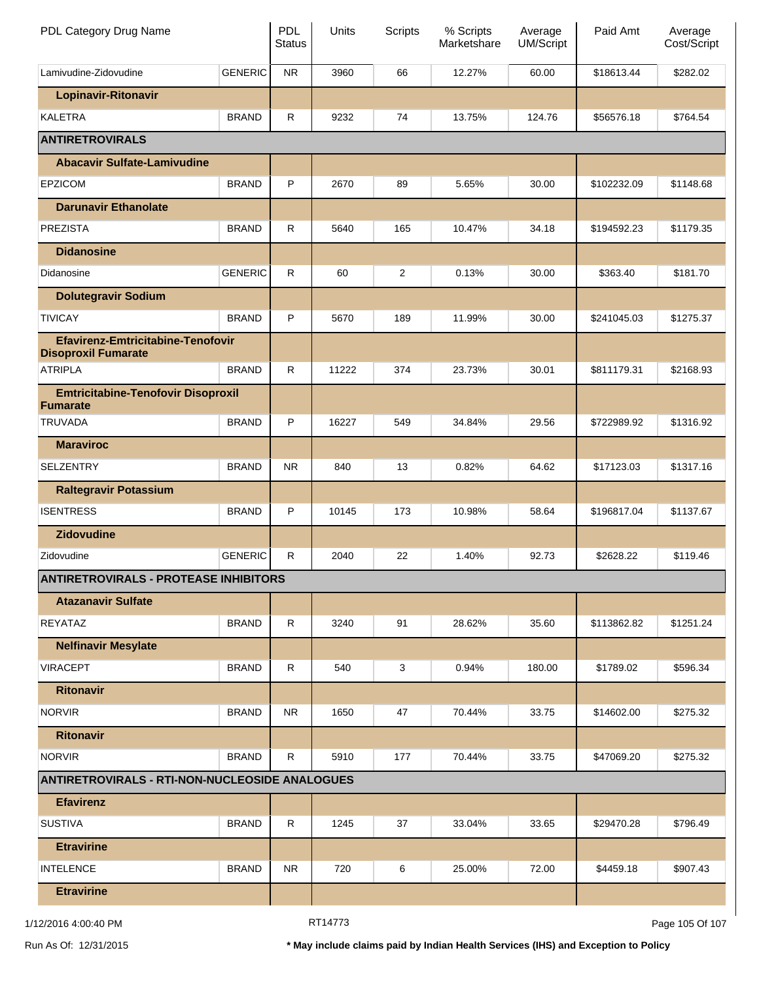| PDL Category Drug Name                                                 |                | <b>PDL</b><br><b>Status</b> | Units | Scripts        | % Scripts<br>Marketshare | Average<br><b>UM/Script</b> | Paid Amt    | Average<br>Cost/Script |
|------------------------------------------------------------------------|----------------|-----------------------------|-------|----------------|--------------------------|-----------------------------|-------------|------------------------|
| Lamivudine-Zidovudine                                                  | <b>GENERIC</b> | <b>NR</b>                   | 3960  | 66             | 12.27%                   | 60.00                       | \$18613.44  | \$282.02               |
| <b>Lopinavir-Ritonavir</b>                                             |                |                             |       |                |                          |                             |             |                        |
| <b>KALETRA</b>                                                         | <b>BRAND</b>   | R                           | 9232  | 74             | 13.75%                   | 124.76                      | \$56576.18  | \$764.54               |
| <b>ANTIRETROVIRALS</b>                                                 |                |                             |       |                |                          |                             |             |                        |
| <b>Abacavir Sulfate-Lamivudine</b>                                     |                |                             |       |                |                          |                             |             |                        |
| <b>EPZICOM</b>                                                         | <b>BRAND</b>   | P                           | 2670  | 89             | 5.65%                    | 30.00                       | \$102232.09 | \$1148.68              |
| <b>Darunavir Ethanolate</b>                                            |                |                             |       |                |                          |                             |             |                        |
| <b>PREZISTA</b>                                                        | <b>BRAND</b>   | R                           | 5640  | 165            | 10.47%                   | 34.18                       | \$194592.23 | \$1179.35              |
| <b>Didanosine</b>                                                      |                |                             |       |                |                          |                             |             |                        |
| Didanosine                                                             | <b>GENERIC</b> | R                           | 60    | $\overline{c}$ | 0.13%                    | 30.00                       | \$363.40    | \$181.70               |
| <b>Dolutegravir Sodium</b>                                             |                |                             |       |                |                          |                             |             |                        |
| <b>TIVICAY</b>                                                         | <b>BRAND</b>   | P                           | 5670  | 189            | 11.99%                   | 30.00                       | \$241045.03 | \$1275.37              |
| <b>Efavirenz-Emtricitabine-Tenofovir</b><br><b>Disoproxil Fumarate</b> |                |                             |       |                |                          |                             |             |                        |
| <b>ATRIPLA</b>                                                         | <b>BRAND</b>   | R                           | 11222 | 374            | 23.73%                   | 30.01                       | \$811179.31 | \$2168.93              |
| <b>Emtricitabine-Tenofovir Disoproxil</b><br><b>Fumarate</b>           |                |                             |       |                |                          |                             |             |                        |
| <b>TRUVADA</b>                                                         | <b>BRAND</b>   | P                           | 16227 | 549            | 34.84%                   | 29.56                       | \$722989.92 | \$1316.92              |
| <b>Maraviroc</b>                                                       |                |                             |       |                |                          |                             |             |                        |
| <b>SELZENTRY</b>                                                       | <b>BRAND</b>   | <b>NR</b>                   | 840   | 13             | 0.82%                    | 64.62                       | \$17123.03  | \$1317.16              |
| <b>Raltegravir Potassium</b>                                           |                |                             |       |                |                          |                             |             |                        |
| <b>ISENTRESS</b>                                                       | <b>BRAND</b>   | P                           | 10145 | 173            | 10.98%                   | 58.64                       | \$196817.04 | \$1137.67              |
| <b>Zidovudine</b>                                                      |                |                             |       |                |                          |                             |             |                        |
| Zidovudine                                                             | <b>GENERIC</b> | R                           | 2040  | 22             | 1.40%                    | 92.73                       | \$2628.22   | \$119.46               |
| <b>ANTIRETROVIRALS - PROTEASE INHIBITORS</b>                           |                |                             |       |                |                          |                             |             |                        |
| <b>Atazanavir Sulfate</b>                                              |                |                             |       |                |                          |                             |             |                        |
| REYATAZ                                                                | <b>BRAND</b>   | $\mathsf R$                 | 3240  | 91             | 28.62%                   | 35.60                       | \$113862.82 | \$1251.24              |
| <b>Nelfinavir Mesylate</b>                                             |                |                             |       |                |                          |                             |             |                        |
| <b>VIRACEPT</b>                                                        | <b>BRAND</b>   | R                           | 540   | 3              | 0.94%                    | 180.00                      | \$1789.02   | \$596.34               |
| <b>Ritonavir</b>                                                       |                |                             |       |                |                          |                             |             |                        |
| <b>NORVIR</b>                                                          | <b>BRAND</b>   | NR.                         | 1650  | 47             | 70.44%                   | 33.75                       | \$14602.00  | \$275.32               |
| <b>Ritonavir</b>                                                       |                |                             |       |                |                          |                             |             |                        |
| <b>NORVIR</b>                                                          | <b>BRAND</b>   | R                           | 5910  | 177            | 70.44%                   | 33.75                       | \$47069.20  | \$275.32               |
| <b>ANTIRETROVIRALS - RTI-NON-NUCLEOSIDE ANALOGUES</b>                  |                |                             |       |                |                          |                             |             |                        |
| <b>Efavirenz</b>                                                       |                |                             |       |                |                          |                             |             |                        |
| <b>SUSTIVA</b>                                                         | <b>BRAND</b>   | $\mathsf{R}$                | 1245  | 37             | 33.04%                   | 33.65                       | \$29470.28  | \$796.49               |
| <b>Etravirine</b>                                                      |                |                             |       |                |                          |                             |             |                        |
| <b>INTELENCE</b>                                                       | <b>BRAND</b>   | NR.                         | 720   | 6              | 25.00%                   | 72.00                       | \$4459.18   | \$907.43               |
| <b>Etravirine</b>                                                      |                |                             |       |                |                          |                             |             |                        |

1/12/2016 4:00:40 PM

RT14773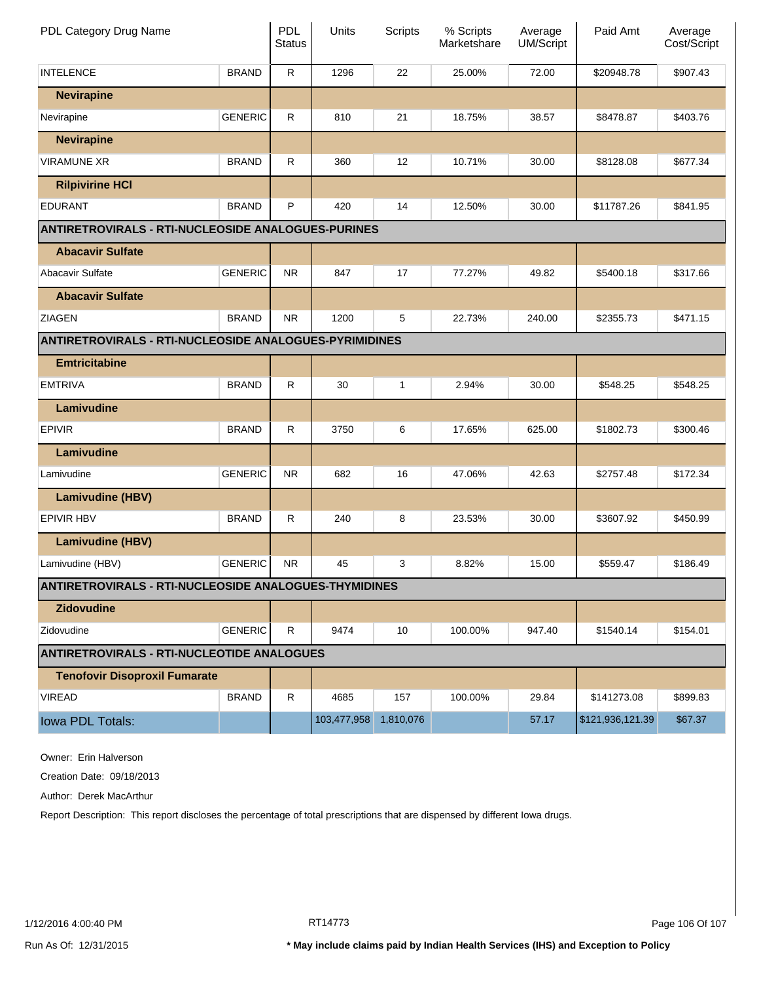| PDL Category Drug Name                                        |                | PDL<br><b>Status</b> | Units       | Scripts   | % Scripts<br>Marketshare | Average<br><b>UM/Script</b> | Paid Amt         | Average<br>Cost/Script |
|---------------------------------------------------------------|----------------|----------------------|-------------|-----------|--------------------------|-----------------------------|------------------|------------------------|
| <b>INTELENCE</b>                                              | <b>BRAND</b>   | $\mathsf{R}$         | 1296        | 22        | 25.00%                   | 72.00                       | \$20948.78       | \$907.43               |
| <b>Nevirapine</b>                                             |                |                      |             |           |                          |                             |                  |                        |
| Nevirapine                                                    | <b>GENERIC</b> | R.                   | 810         | 21        | 18.75%                   | 38.57                       | \$8478.87        | \$403.76               |
| <b>Nevirapine</b>                                             |                |                      |             |           |                          |                             |                  |                        |
| <b>VIRAMUNE XR</b>                                            | <b>BRAND</b>   | $\mathsf{R}$         | 360         | 12        | 10.71%                   | 30.00                       | \$8128.08        | \$677.34               |
| <b>Rilpivirine HCI</b>                                        |                |                      |             |           |                          |                             |                  |                        |
| <b>EDURANT</b>                                                | <b>BRAND</b>   | P                    | 420         | 14        | 12.50%                   | 30.00                       | \$11787.26       | \$841.95               |
| <b>ANTIRETROVIRALS - RTI-NUCLEOSIDE ANALOGUES-PURINES</b>     |                |                      |             |           |                          |                             |                  |                        |
| <b>Abacavir Sulfate</b>                                       |                |                      |             |           |                          |                             |                  |                        |
| Abacavir Sulfate                                              | <b>GENERIC</b> | <b>NR</b>            | 847         | 17        | 77.27%                   | 49.82                       | \$5400.18        | \$317.66               |
| <b>Abacavir Sulfate</b>                                       |                |                      |             |           |                          |                             |                  |                        |
| <b>ZIAGEN</b>                                                 | <b>BRAND</b>   | <b>NR</b>            | 1200        | 5         | 22.73%                   | 240.00                      | \$2355.73        | \$471.15               |
| <b>ANTIRETROVIRALS - RTI-NUCLEOSIDE ANALOGUES-PYRIMIDINES</b> |                |                      |             |           |                          |                             |                  |                        |
| <b>Emtricitabine</b>                                          |                |                      |             |           |                          |                             |                  |                        |
| <b>EMTRIVA</b>                                                | <b>BRAND</b>   | ${\sf R}$            | 30          | 1         | 2.94%                    | 30.00                       | \$548.25         | \$548.25               |
| Lamivudine                                                    |                |                      |             |           |                          |                             |                  |                        |
| <b>EPIVIR</b>                                                 | <b>BRAND</b>   | $\mathsf{R}$         | 3750        | 6         | 17.65%                   | 625.00                      | \$1802.73        | \$300.46               |
| Lamivudine                                                    |                |                      |             |           |                          |                             |                  |                        |
| Lamivudine                                                    | <b>GENERIC</b> | NR.                  | 682         | 16        | 47.06%                   | 42.63                       | \$2757.48        | \$172.34               |
| <b>Lamivudine (HBV)</b>                                       |                |                      |             |           |                          |                             |                  |                        |
| <b>EPIVIR HBV</b>                                             | <b>BRAND</b>   | $\mathsf{R}$         | 240         | 8         | 23.53%                   | 30.00                       | \$3607.92        | \$450.99               |
| <b>Lamivudine (HBV)</b>                                       |                |                      |             |           |                          |                             |                  |                        |
| Lamivudine (HBV)                                              | <b>GENERIC</b> | NR.                  | 45          | 3         | 8.82%                    | 15.00                       | \$559.47         | \$186.49               |
| <b>ANTIRETROVIRALS - RTI-NUCLEOSIDE ANALOGUES-THYMIDINES</b>  |                |                      |             |           |                          |                             |                  |                        |
| <b>Zidovudine</b>                                             |                |                      |             |           |                          |                             |                  |                        |
| Zidovudine                                                    | <b>GENERIC</b> | R.                   | 9474        | 10        | 100.00%                  | 947.40                      | \$1540.14        | \$154.01               |
| <b>ANTIRETROVIRALS - RTI-NUCLEOTIDE ANALOGUES</b>             |                |                      |             |           |                          |                             |                  |                        |
| <b>Tenofovir Disoproxil Fumarate</b>                          |                |                      |             |           |                          |                             |                  |                        |
| <b>VIREAD</b>                                                 | <b>BRAND</b>   | R.                   | 4685        | 157       | 100.00%                  | 29.84                       | \$141273.08      | \$899.83               |
| Iowa PDL Totals:                                              |                |                      | 103,477,958 | 1,810,076 |                          | 57.17                       | \$121,936,121.39 | \$67.37                |

Owner: Erin Halverson

Creation Date: 09/18/2013

Author: Derek MacArthur

Report Description: This report discloses the percentage of total prescriptions that are dispensed by different Iowa drugs.